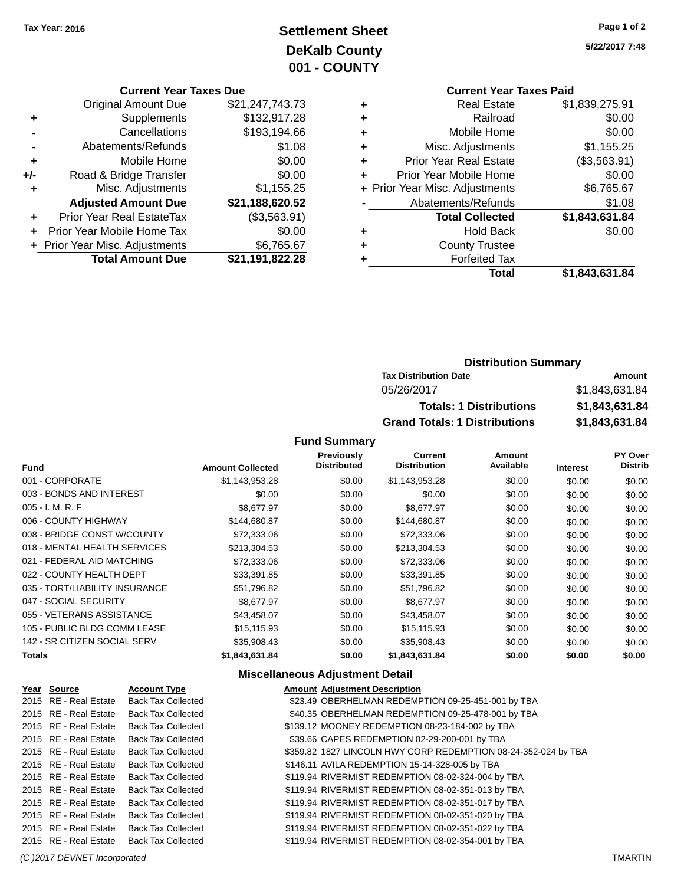# **Settlement Sheet Tax Year: 2016 Page 1 of 2 DeKalb County 001 - COUNTY**

**Current Year Taxes Due**

|     | <b>Total Amount Due</b>        | \$21,191,822.28 |
|-----|--------------------------------|-----------------|
|     | + Prior Year Misc. Adjustments | \$6,765.67      |
|     | Prior Year Mobile Home Tax     | \$0.00          |
|     | Prior Year Real EstateTax      | (\$3,563.91)    |
|     | <b>Adjusted Amount Due</b>     | \$21,188,620.52 |
| ٠   | Misc. Adjustments              | \$1,155.25      |
| +/- | Road & Bridge Transfer         | \$0.00          |
| ÷   | Mobile Home                    | \$0.00          |
|     | Abatements/Refunds             | \$1.08          |
|     | Cancellations                  | \$193,194.66    |
| ٠   | Supplements                    | \$132,917.28    |
|     | <b>Original Amount Due</b>     | \$21,247,743.73 |
|     |                                |                 |

**5/22/2017 7:48**

### **Current Year Taxes Paid +** Real Estate \$1,839,275.91 **+** Railroad \$0.00 **+** Mobile Home \$0.00 **+** Misc. Adjustments \$1,155.25 **+** Prior Year Real Estate (\$3,563.91) **+** Prior Year Mobile Home \$0.00 **+** Prior Year Misc. Adjustments \$6,765.67 Abatements/Refunds \$1.08 **Total Collected \$1,843,631.84 +** Hold Back \$0.00 **+** County Trustee **+** Forfeited Tax **Total \$1,843,631.84**

### **Distribution Summary Tax Distribution Date Amount** 05/26/2017 \$1,843,631.84 **Totals: 1 Distributions \$1,843,631.84 Grand Totals: 1 Distributions \$1,843,631.84**

#### **Fund Summary**

| <b>Fund</b>                    | <b>Amount Collected</b> | <b>Previously</b><br><b>Distributed</b> | Current<br><b>Distribution</b> | Amount<br>Available | <b>Interest</b> | <b>PY Over</b><br><b>Distrib</b> |
|--------------------------------|-------------------------|-----------------------------------------|--------------------------------|---------------------|-----------------|----------------------------------|
| 001 - CORPORATE                | \$1,143,953.28          | \$0.00                                  | \$1,143,953.28                 | \$0.00              | \$0.00          | \$0.00                           |
| 003 - BONDS AND INTEREST       | \$0.00                  | \$0.00                                  | \$0.00                         | \$0.00              | \$0.00          | \$0.00                           |
| $005 - I. M. R. F.$            | \$8,677.97              | \$0.00                                  | \$8,677.97                     | \$0.00              | \$0.00          | \$0.00                           |
| 006 - COUNTY HIGHWAY           | \$144,680.87            | \$0.00                                  | \$144,680.87                   | \$0.00              | \$0.00          | \$0.00                           |
| 008 - BRIDGE CONST W/COUNTY    | \$72,333.06             | \$0.00                                  | \$72,333.06                    | \$0.00              | \$0.00          | \$0.00                           |
| 018 - MENTAL HEALTH SERVICES   | \$213,304.53            | \$0.00                                  | \$213,304.53                   | \$0.00              | \$0.00          | \$0.00                           |
| 021 - FEDERAL AID MATCHING     | \$72,333.06             | \$0.00                                  | \$72,333.06                    | \$0.00              | \$0.00          | \$0.00                           |
| 022 - COUNTY HEALTH DEPT       | \$33,391.85             | \$0.00                                  | \$33,391.85                    | \$0.00              | \$0.00          | \$0.00                           |
| 035 - TORT/LIABILITY INSURANCE | \$51,796.82             | \$0.00                                  | \$51,796.82                    | \$0.00              | \$0.00          | \$0.00                           |
| 047 - SOCIAL SECURITY          | \$8,677.97              | \$0.00                                  | \$8,677.97                     | \$0.00              | \$0.00          | \$0.00                           |
| 055 - VETERANS ASSISTANCE      | \$43,458.07             | \$0.00                                  | \$43,458.07                    | \$0.00              | \$0.00          | \$0.00                           |
| 105 - PUBLIC BLDG COMM LEASE   | \$15.115.93             | \$0.00                                  | \$15,115.93                    | \$0.00              | \$0.00          | \$0.00                           |
| 142 - SR CITIZEN SOCIAL SERV   | \$35,908.43             | \$0.00                                  | \$35,908.43                    | \$0.00              | \$0.00          | \$0.00                           |
| <b>Totals</b>                  | \$1,843,631.84          | \$0.00                                  | \$1,843,631.84                 | \$0.00              | \$0.00          | \$0.00                           |

#### **Miscellaneous Adjustment Detail**

| Year Source           | <b>Account Type</b>       | <b>Amount Adjustment Description</b>                           |
|-----------------------|---------------------------|----------------------------------------------------------------|
| 2015 RE - Real Estate | <b>Back Tax Collected</b> | \$23.49 OBERHELMAN REDEMPTION 09-25-451-001 by TBA             |
| 2015 RE - Real Estate | <b>Back Tax Collected</b> | \$40.35 OBERHELMAN REDEMPTION 09-25-478-001 by TBA             |
| 2015 RE - Real Estate | <b>Back Tax Collected</b> | \$139.12 MOONEY REDEMPTION 08-23-184-002 by TBA                |
| 2015 RE - Real Estate | <b>Back Tax Collected</b> | \$39.66 CAPES REDEMPTION 02-29-200-001 by TBA                  |
| 2015 RE - Real Estate | <b>Back Tax Collected</b> | \$359.82 1827 LINCOLN HWY CORP REDEMPTION 08-24-352-024 by TBA |
| 2015 RE - Real Estate | <b>Back Tax Collected</b> | \$146.11 AVILA REDEMPTION 15-14-328-005 by TBA                 |
| 2015 RE - Real Estate | <b>Back Tax Collected</b> | \$119.94 RIVERMIST REDEMPTION 08-02-324-004 by TBA             |
| 2015 RE - Real Estate | <b>Back Tax Collected</b> | \$119.94 RIVERMIST REDEMPTION 08-02-351-013 by TBA             |
| 2015 RE - Real Estate | <b>Back Tax Collected</b> | \$119.94 RIVERMIST REDEMPTION 08-02-351-017 by TBA             |
| 2015 RE - Real Estate | <b>Back Tax Collected</b> | \$119.94 RIVERMIST REDEMPTION 08-02-351-020 by TBA             |
| 2015 RE - Real Estate | <b>Back Tax Collected</b> | \$119.94 RIVERMIST REDEMPTION 08-02-351-022 by TBA             |
| 2015 RE - Real Estate | <b>Back Tax Collected</b> | \$119.94 RIVERMIST REDEMPTION 08-02-354-001 by TBA             |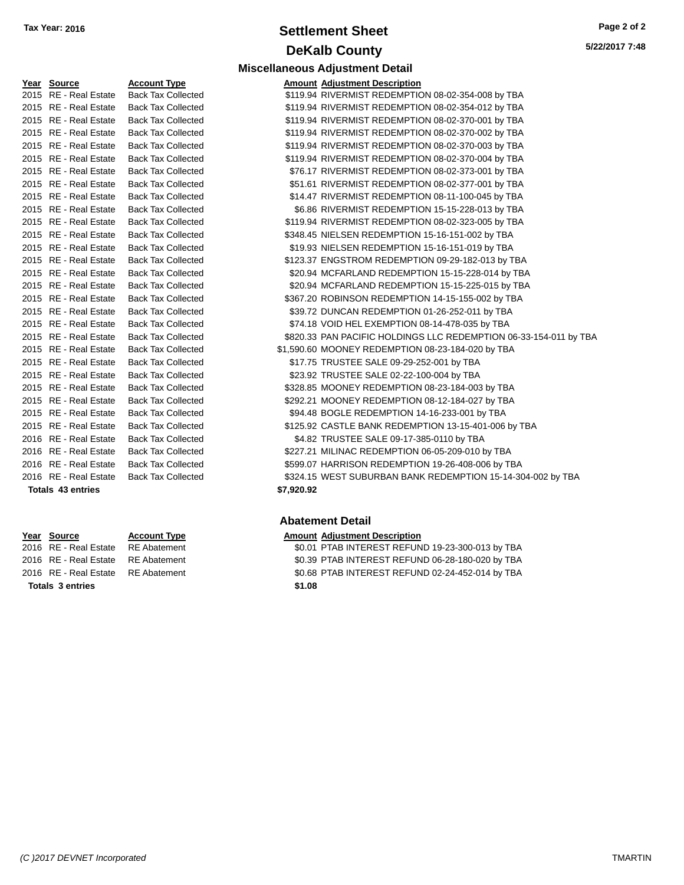## **Settlement Sheet Tax Year: 2016 Page 2 of 2 DeKalb County**

**Miscellaneous Adjustment Detail**

**5/22/2017 7:48**

| Year Source              | <b>Account Type</b>       |            | <b>Amount Adjustment Description</b> |
|--------------------------|---------------------------|------------|--------------------------------------|
| 2015 RE - Real Estate    | <b>Back Tax Collected</b> |            | \$119.94 RIVERMIST REDEMPTIO         |
| 2015 RE - Real Estate    | <b>Back Tax Collected</b> |            | \$119.94 RIVERMIST REDEMPTIO         |
| 2015 RE - Real Estate    | <b>Back Tax Collected</b> |            | \$119.94 RIVERMIST REDEMPTIO         |
| 2015 RE - Real Estate    | <b>Back Tax Collected</b> |            | \$119.94 RIVERMIST REDEMPTIO         |
| 2015 RE - Real Estate    | <b>Back Tax Collected</b> |            | \$119.94 RIVERMIST REDEMPTIO         |
| 2015 RE - Real Estate    | <b>Back Tax Collected</b> |            | \$119.94 RIVERMIST REDEMPTIO         |
| 2015 RE - Real Estate    | <b>Back Tax Collected</b> |            | \$76.17 RIVERMIST REDEMPTIO          |
| 2015 RE - Real Estate    | <b>Back Tax Collected</b> |            | \$51.61 RIVERMIST REDEMPTIO          |
| 2015 RE - Real Estate    | <b>Back Tax Collected</b> |            | \$14.47 RIVERMIST REDEMPTIO          |
| 2015 RE - Real Estate    | <b>Back Tax Collected</b> |            | \$6.86 RIVERMIST REDEMPTIO           |
| 2015 RE - Real Estate    | <b>Back Tax Collected</b> |            | \$119.94 RIVERMIST REDEMPTIO         |
| 2015 RE - Real Estate    | <b>Back Tax Collected</b> |            | \$348.45 NIELSEN REDEMPTION          |
| 2015 RE - Real Estate    | <b>Back Tax Collected</b> |            | \$19.93 NIELSEN REDEMPTION           |
| 2015 RE - Real Estate    | <b>Back Tax Collected</b> |            | \$123.37 ENGSTROM REDEMPTI           |
| 2015 RE - Real Estate    | <b>Back Tax Collected</b> |            | \$20.94 MCFARLAND REDEMPT            |
| 2015 RE - Real Estate    | <b>Back Tax Collected</b> |            | \$20.94 MCFARLAND REDEMPT            |
| 2015 RE - Real Estate    | <b>Back Tax Collected</b> |            | \$367.20 ROBINSON REDEMPTIC          |
| 2015 RE - Real Estate    | <b>Back Tax Collected</b> |            | \$39.72 DUNCAN REDEMPTION            |
| 2015 RE - Real Estate    | <b>Back Tax Collected</b> |            | \$74.18 VOID HEL EXEMPTION           |
| 2015 RE - Real Estate    | <b>Back Tax Collected</b> |            | \$820.33 PAN PACIFIC HOLDINGS        |
| 2015 RE - Real Estate    | <b>Back Tax Collected</b> |            | \$1,590.60 MOONEY REDEMPTION         |
| 2015 RE - Real Estate    | <b>Back Tax Collected</b> |            | \$17.75 TRUSTEE SALE 09-29-2         |
| 2015 RE - Real Estate    | <b>Back Tax Collected</b> |            | \$23.92 TRUSTEE SALE 02-22-1         |
| 2015 RE - Real Estate    | <b>Back Tax Collected</b> |            | \$328.85 MOONEY REDEMPTION           |
| 2015 RE - Real Estate    | <b>Back Tax Collected</b> |            | \$292.21 MOONEY REDEMPTION           |
| 2015 RE - Real Estate    | <b>Back Tax Collected</b> |            | \$94.48 BOGLE REDEMPTION 1           |
| 2015 RE - Real Estate    | <b>Back Tax Collected</b> |            | \$125.92 CASTLE BANK REDEMF          |
| 2016 RE - Real Estate    | <b>Back Tax Collected</b> |            | \$4.82 TRUSTEE SALE 09-17-3          |
| 2016 RE - Real Estate    | <b>Back Tax Collected</b> |            | \$227.21 MILINAC REDEMPTION          |
| 2016 RE - Real Estate    | <b>Back Tax Collected</b> |            | \$599.07 HARRISON REDEMPTIC          |
| 2016 RE - Real Estate    | <b>Back Tax Collected</b> |            | \$324.15 WEST SUBURBAN BANI          |
| <b>Totals 43 entries</b> |                           | \$7,920.92 |                                      |

**Totals 3 entries \$1.08**

| Year Source              | <b>Account Type</b>       | <b>Amount Adjustment Description</b>                              |  |
|--------------------------|---------------------------|-------------------------------------------------------------------|--|
| 2015 RE - Real Estate    | <b>Back Tax Collected</b> | \$119.94 RIVERMIST REDEMPTION 08-02-354-008 by TBA                |  |
| 2015 RE - Real Estate    | <b>Back Tax Collected</b> | \$119.94 RIVERMIST REDEMPTION 08-02-354-012 by TBA                |  |
| 2015 RE - Real Estate    | <b>Back Tax Collected</b> | \$119.94 RIVERMIST REDEMPTION 08-02-370-001 by TBA                |  |
| 2015 RE - Real Estate    | <b>Back Tax Collected</b> | \$119.94 RIVERMIST REDEMPTION 08-02-370-002 by TBA                |  |
| 2015 RE - Real Estate    | <b>Back Tax Collected</b> | \$119.94 RIVERMIST REDEMPTION 08-02-370-003 by TBA                |  |
| 2015 RE - Real Estate    | <b>Back Tax Collected</b> | \$119.94 RIVERMIST REDEMPTION 08-02-370-004 by TBA                |  |
| 2015 RE - Real Estate    | <b>Back Tax Collected</b> | \$76.17 RIVERMIST REDEMPTION 08-02-373-001 by TBA                 |  |
| 2015 RE - Real Estate    | <b>Back Tax Collected</b> | \$51.61 RIVERMIST REDEMPTION 08-02-377-001 by TBA                 |  |
| 2015 RE - Real Estate    | <b>Back Tax Collected</b> | \$14.47 RIVERMIST REDEMPTION 08-11-100-045 by TBA                 |  |
| 2015 RE - Real Estate    | <b>Back Tax Collected</b> | \$6.86 RIVERMIST REDEMPTION 15-15-228-013 by TBA                  |  |
| 2015 RE - Real Estate    | <b>Back Tax Collected</b> | \$119.94 RIVERMIST REDEMPTION 08-02-323-005 by TBA                |  |
| 2015 RE - Real Estate    | <b>Back Tax Collected</b> | \$348.45 NIELSEN REDEMPTION 15-16-151-002 by TBA                  |  |
| 2015 RE - Real Estate    | <b>Back Tax Collected</b> | \$19.93 NIELSEN REDEMPTION 15-16-151-019 by TBA                   |  |
| 2015 RE - Real Estate    | <b>Back Tax Collected</b> | \$123.37 ENGSTROM REDEMPTION 09-29-182-013 by TBA                 |  |
| 2015 RE - Real Estate    | <b>Back Tax Collected</b> | \$20.94 MCFARLAND REDEMPTION 15-15-228-014 by TBA                 |  |
| 2015 RE - Real Estate    | <b>Back Tax Collected</b> | \$20.94 MCFARLAND REDEMPTION 15-15-225-015 by TBA                 |  |
| 2015 RE - Real Estate    | <b>Back Tax Collected</b> | \$367.20 ROBINSON REDEMPTION 14-15-155-002 by TBA                 |  |
| 2015 RE - Real Estate    | <b>Back Tax Collected</b> | \$39.72 DUNCAN REDEMPTION 01-26-252-011 by TBA                    |  |
| 2015 RE - Real Estate    | <b>Back Tax Collected</b> | \$74.18 VOID HEL EXEMPTION 08-14-478-035 by TBA                   |  |
| 2015 RE - Real Estate    | <b>Back Tax Collected</b> | \$820.33 PAN PACIFIC HOLDINGS LLC REDEMPTION 06-33-154-011 by TBA |  |
| 2015 RE - Real Estate    | <b>Back Tax Collected</b> | \$1,590.60 MOONEY REDEMPTION 08-23-184-020 by TBA                 |  |
| 2015 RE - Real Estate    | <b>Back Tax Collected</b> | \$17.75 TRUSTEE SALE 09-29-252-001 by TBA                         |  |
| 2015 RE - Real Estate    | <b>Back Tax Collected</b> | \$23.92 TRUSTEE SALE 02-22-100-004 by TBA                         |  |
| 2015 RE - Real Estate    | <b>Back Tax Collected</b> | \$328.85 MOONEY REDEMPTION 08-23-184-003 by TBA                   |  |
| 2015 RE - Real Estate    | <b>Back Tax Collected</b> | \$292.21 MOONEY REDEMPTION 08-12-184-027 by TBA                   |  |
| 2015 RE - Real Estate    | <b>Back Tax Collected</b> | \$94.48 BOGLE REDEMPTION 14-16-233-001 by TBA                     |  |
| 2015 RE - Real Estate    | <b>Back Tax Collected</b> | \$125.92 CASTLE BANK REDEMPTION 13-15-401-006 by TBA              |  |
| 2016 RE - Real Estate    | <b>Back Tax Collected</b> | \$4.82 TRUSTEE SALE 09-17-385-0110 by TBA                         |  |
| 2016 RE - Real Estate    | <b>Back Tax Collected</b> | \$227.21 MILINAC REDEMPTION 06-05-209-010 by TBA                  |  |
| 2016 RE - Real Estate    | <b>Back Tax Collected</b> | \$599.07 HARRISON REDEMPTION 19-26-408-006 by TBA                 |  |
| 2016 RE - Real Estate    | <b>Back Tax Collected</b> | \$324.15 WEST SUBURBAN BANK REDEMPTION 15-14-304-002 by TBA       |  |
| <b>Totals 43 entries</b> |                           | \$7.920.92                                                        |  |

#### **Abatement Detail**

# **Year Source Account Type Amount Adjustment Description**<br>2016 RE - Real Estate RE Abatement **Amount 1998** 1999 **AMOUNT ADJUST ASSAURT ASSAURT ARE ADDER**

\$0.01 PTAB INTEREST REFUND 19-23-300-013 by TBA 2016 RE - Real Estate RE Abatement \$0.39 PTAB INTEREST REFUND 06-28-180-020 by TBA 2016 RE - Real Estate RE Abatement \$0.68 PTAB INTEREST REFUND 02-24-452-014 by TBA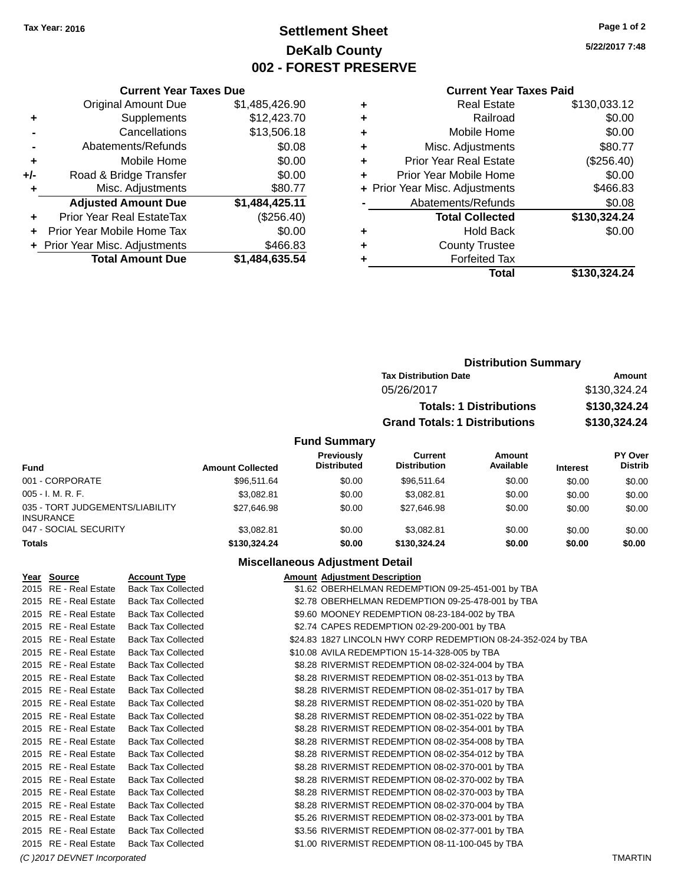# **Settlement Sheet Tax Year: 2016 Page 1 of 2 DeKalb County 002 - FOREST PRESERVE**

**5/22/2017 7:48**

#### **Current Year Taxes Paid**

| <b>Current Year Taxes Due</b>              |                         |  |  |  |  |  |
|--------------------------------------------|-------------------------|--|--|--|--|--|
| <b>Original Amount Due</b>                 | \$1,485,426.90          |  |  |  |  |  |
| Supplements                                | \$12,423.70             |  |  |  |  |  |
| Cancellations                              | \$13,506.18             |  |  |  |  |  |
| Abatements/Refunds                         | \$0.08                  |  |  |  |  |  |
| Mobile Home                                | \$0.00                  |  |  |  |  |  |
| Road & Bridge Transfer                     | \$0.00                  |  |  |  |  |  |
| Misc. Adjustments                          | \$80.77                 |  |  |  |  |  |
| <b>Adjusted Amount Due</b>                 | \$1,484,425.11          |  |  |  |  |  |
| Prior Year Real EstateTax                  | (\$256.40)              |  |  |  |  |  |
| Prior Year Mobile Home Tax                 | \$0.00                  |  |  |  |  |  |
| \$466.83<br>+ Prior Year Misc. Adjustments |                         |  |  |  |  |  |
|                                            | \$1,484,635.54          |  |  |  |  |  |
|                                            | <b>Total Amount Due</b> |  |  |  |  |  |

| ٠ | <b>Real Estate</b>             | \$130,033.12 |
|---|--------------------------------|--------------|
| ٠ | Railroad                       | \$0.00       |
| ٠ | Mobile Home                    | \$0.00       |
| ٠ | Misc. Adjustments              | \$80.77      |
| ٠ | <b>Prior Year Real Estate</b>  | (\$256.40)   |
| ٠ | Prior Year Mobile Home         | \$0.00       |
|   | + Prior Year Misc. Adjustments | \$466.83     |
|   | Abatements/Refunds             | \$0.08       |
|   | <b>Total Collected</b>         | \$130,324.24 |
| ٠ | <b>Hold Back</b>               | \$0.00       |
| ٠ | <b>County Trustee</b>          |              |
| ٠ | <b>Forfeited Tax</b>           |              |
|   | Total                          | \$130,324.24 |
|   |                                |              |

|                     | <b>Distribution Summary</b>          |              |  |  |  |  |
|---------------------|--------------------------------------|--------------|--|--|--|--|
|                     | <b>Tax Distribution Date</b>         | Amount       |  |  |  |  |
|                     | 05/26/2017                           | \$130,324.24 |  |  |  |  |
|                     | <b>Totals: 1 Distributions</b>       | \$130,324.24 |  |  |  |  |
|                     | <b>Grand Totals: 1 Distributions</b> | \$130,324.24 |  |  |  |  |
| <b>Fund Summary</b> |                                      |              |  |  |  |  |

| <b>Fund</b>                                         | <b>Amount Collected</b> | <b>Previously</b><br><b>Distributed</b> | Current<br><b>Distribution</b> | Amount<br>Available | <b>Interest</b> | <b>PY Over</b><br><b>Distrib</b> |
|-----------------------------------------------------|-------------------------|-----------------------------------------|--------------------------------|---------------------|-----------------|----------------------------------|
| 001 - CORPORATE                                     | \$96.511.64             | \$0.00                                  | \$96,511.64                    | \$0.00              | \$0.00          | \$0.00                           |
| $005 - I. M. R. F.$                                 | \$3.082.81              | \$0.00                                  | \$3.082.81                     | \$0.00              | \$0.00          | \$0.00                           |
| 035 - TORT JUDGEMENTS/LIABILITY<br><b>INSURANCE</b> | \$27.646.98             | \$0.00                                  | \$27.646.98                    | \$0.00              | \$0.00          | \$0.00                           |
| 047 - SOCIAL SECURITY                               | \$3.082.81              | \$0.00                                  | \$3.082.81                     | \$0.00              | \$0.00          | \$0.00                           |
| <b>Totals</b>                                       | \$130,324.24            | \$0.00                                  | \$130,324,24                   | \$0.00              | \$0.00          | \$0.00                           |

### **Miscellaneous Adjustment Detail**

| Year Source           | <b>Account Type</b>       | <b>Amount Adjustment Description</b>                          |  |
|-----------------------|---------------------------|---------------------------------------------------------------|--|
| 2015 RE - Real Estate | <b>Back Tax Collected</b> | \$1.62 OBERHELMAN REDEMPTION 09-25-451-001 by TBA             |  |
| 2015 RE - Real Estate | <b>Back Tax Collected</b> | \$2.78 OBERHELMAN REDEMPTION 09-25-478-001 by TBA             |  |
| 2015 RE - Real Estate | <b>Back Tax Collected</b> | \$9.60 MOONEY REDEMPTION 08-23-184-002 by TBA                 |  |
| 2015 RE - Real Estate | <b>Back Tax Collected</b> | \$2.74 CAPES REDEMPTION 02-29-200-001 by TBA                  |  |
| 2015 RE - Real Estate | <b>Back Tax Collected</b> | \$24.83 1827 LINCOLN HWY CORP REDEMPTION 08-24-352-024 by TBA |  |
| 2015 RE - Real Estate | <b>Back Tax Collected</b> | \$10.08 AVILA REDEMPTION 15-14-328-005 by TBA                 |  |
| 2015 RE - Real Estate | <b>Back Tax Collected</b> | \$8.28 RIVERMIST REDEMPTION 08-02-324-004 by TBA              |  |
| 2015 RE - Real Estate | <b>Back Tax Collected</b> | \$8.28 RIVERMIST REDEMPTION 08-02-351-013 by TBA              |  |
| 2015 RE - Real Estate | <b>Back Tax Collected</b> | \$8.28 RIVERMIST REDEMPTION 08-02-351-017 by TBA              |  |
| 2015 RE - Real Estate | <b>Back Tax Collected</b> | \$8.28 RIVERMIST REDEMPTION 08-02-351-020 by TBA              |  |
| 2015 RE - Real Estate | <b>Back Tax Collected</b> | \$8.28 RIVERMIST REDEMPTION 08-02-351-022 by TBA              |  |
| 2015 RE - Real Estate | <b>Back Tax Collected</b> | \$8.28 RIVERMIST REDEMPTION 08-02-354-001 by TBA              |  |
| 2015 RE - Real Estate | <b>Back Tax Collected</b> | \$8.28 RIVERMIST REDEMPTION 08-02-354-008 by TBA              |  |
| 2015 RE - Real Estate | <b>Back Tax Collected</b> | \$8.28 RIVERMIST REDEMPTION 08-02-354-012 by TBA              |  |
| 2015 RE - Real Estate | <b>Back Tax Collected</b> | \$8.28 RIVERMIST REDEMPTION 08-02-370-001 by TBA              |  |
| 2015 RE - Real Estate | <b>Back Tax Collected</b> | \$8.28 RIVERMIST REDEMPTION 08-02-370-002 by TBA              |  |
| 2015 RE - Real Estate | <b>Back Tax Collected</b> | \$8.28 RIVERMIST REDEMPTION 08-02-370-003 by TBA              |  |
| 2015 RE - Real Estate | <b>Back Tax Collected</b> | \$8.28 RIVERMIST REDEMPTION 08-02-370-004 by TBA              |  |
| 2015 RE - Real Estate | <b>Back Tax Collected</b> | \$5.26 RIVERMIST REDEMPTION 08-02-373-001 by TBA              |  |
| 2015 RE - Real Estate | <b>Back Tax Collected</b> | \$3.56 RIVERMIST REDEMPTION 08-02-377-001 by TBA              |  |
| 2015 RE - Real Estate | <b>Back Tax Collected</b> | \$1.00 RIVERMIST REDEMPTION 08-11-100-045 by TBA              |  |
|                       |                           |                                                               |  |

*(C )2017 DEVNET Incorporated* TMARTIN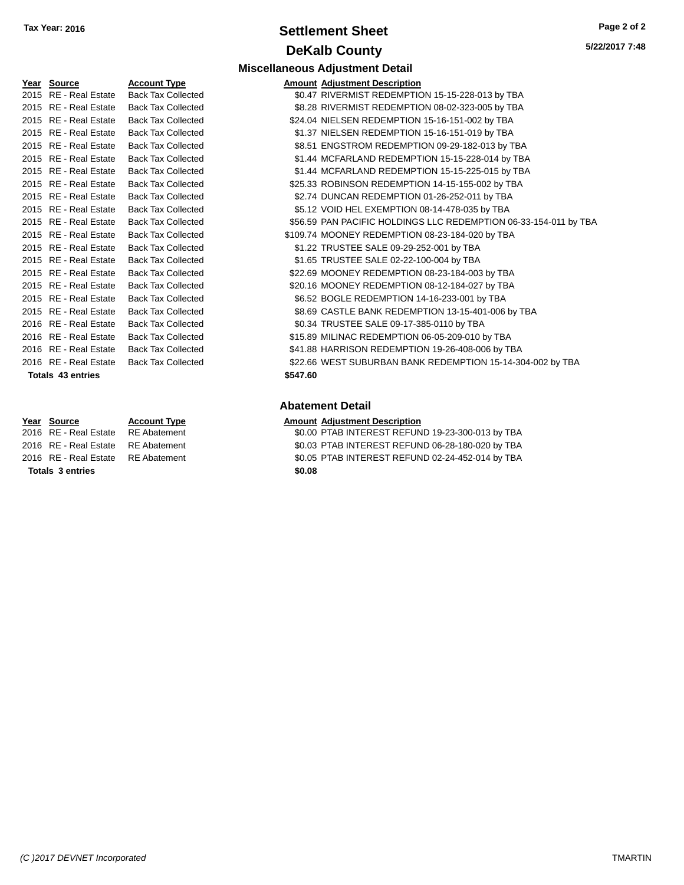### **Settlement Sheet Tax Year: 2016 Page 2 of 2 DeKalb County**

**Miscellaneous Adjustment Detail**

| <u>Year</u> | <b>Source</b>           | <b>Account Type</b>       | Amount   |
|-------------|-------------------------|---------------------------|----------|
| 2015        | <b>RE</b> - Real Estate | <b>Back Tax Collected</b> | \$0.47   |
| 2015        | <b>RE</b> - Real Estate | <b>Back Tax Collected</b> | \$8.28   |
| 2015        | <b>RE</b> - Real Estate | <b>Back Tax Collected</b> | \$24.04  |
| 2015        | <b>RE</b> - Real Estate | <b>Back Tax Collected</b> | \$1.37   |
| 2015        | <b>RE</b> - Real Estate | <b>Back Tax Collected</b> | \$8.51   |
| 2015        | RE - Real Estate        | <b>Back Tax Collected</b> | \$1.44   |
| 2015        | <b>RE</b> - Real Estate | <b>Back Tax Collected</b> | \$1.44   |
| 2015        | <b>RE</b> - Real Estate | <b>Back Tax Collected</b> | \$25.33  |
| 2015        | <b>RE</b> - Real Estate | <b>Back Tax Collected</b> | \$2.74   |
| 2015        | <b>RE</b> - Real Estate | <b>Back Tax Collected</b> | \$5.12   |
| 2015        | <b>RE</b> - Real Estate | <b>Back Tax Collected</b> | \$56.59  |
| 2015        | <b>RE</b> - Real Estate | <b>Back Tax Collected</b> | \$109.74 |
| 2015        | RE - Real Estate        | <b>Back Tax Collected</b> | \$1.22   |
| 2015        | <b>RE</b> - Real Estate | <b>Back Tax Collected</b> | \$1.65   |
| 2015        | <b>RE</b> - Real Estate | <b>Back Tax Collected</b> | \$22.69  |
| 2015        | RE - Real Estate        | <b>Back Tax Collected</b> | \$20.16  |
| 2015        | <b>RE</b> - Real Estate | <b>Back Tax Collected</b> | \$6.52   |
| 2015        | <b>RE</b> - Real Estate | <b>Back Tax Collected</b> | \$8.69   |
| 2016        | <b>RE</b> - Real Estate | <b>Back Tax Collected</b> | \$0.34   |
| 2016        | <b>RE</b> - Real Estate | <b>Back Tax Collected</b> | \$15.89  |
| 2016        | <b>RE</b> - Real Estate | <b>Back Tax Collected</b> | \$41.88  |
| 2016        | <b>RE</b> - Real Estate | <b>Back Tax Collected</b> | \$22.66  |
|             | Totals 43 entries       |                           | \$547.60 |

#### **Totals 3 entries \$0.08**

| Year Source           | <b>Account Type</b>       | <b>Amount Adjustment Description</b>                             |
|-----------------------|---------------------------|------------------------------------------------------------------|
| 2015 RE - Real Estate | <b>Back Tax Collected</b> | \$0.47 RIVERMIST REDEMPTION 15-15-228-013 by TBA                 |
| 2015 RE - Real Estate | <b>Back Tax Collected</b> | \$8.28 RIVERMIST REDEMPTION 08-02-323-005 by TBA                 |
| 2015 RE - Real Estate | <b>Back Tax Collected</b> | \$24.04 NIELSEN REDEMPTION 15-16-151-002 by TBA                  |
| 2015 RE - Real Estate | <b>Back Tax Collected</b> | \$1.37 NIELSEN REDEMPTION 15-16-151-019 by TBA                   |
| 2015 RE - Real Estate | <b>Back Tax Collected</b> | \$8.51 ENGSTROM REDEMPTION 09-29-182-013 by TBA                  |
| 2015 RE - Real Estate | <b>Back Tax Collected</b> | \$1.44 MCFARLAND REDEMPTION 15-15-228-014 by TBA                 |
| 2015 RE - Real Estate | <b>Back Tax Collected</b> | \$1.44 MCFARLAND REDEMPTION 15-15-225-015 by TBA                 |
| 2015 RE - Real Estate | <b>Back Tax Collected</b> | \$25.33 ROBINSON REDEMPTION 14-15-155-002 by TBA                 |
| 2015 RE - Real Estate | <b>Back Tax Collected</b> | \$2.74 DUNCAN REDEMPTION 01-26-252-011 by TBA                    |
| 2015 RE - Real Estate | <b>Back Tax Collected</b> | \$5.12 VOID HEL EXEMPTION 08-14-478-035 by TBA                   |
| 2015 RE - Real Estate | <b>Back Tax Collected</b> | \$56.59 PAN PACIFIC HOLDINGS LLC REDEMPTION 06-33-154-011 by TBA |
| 2015 RE - Real Estate | <b>Back Tax Collected</b> | \$109.74 MOONEY REDEMPTION 08-23-184-020 by TBA                  |
| 2015 RE - Real Estate | <b>Back Tax Collected</b> | \$1.22 TRUSTEE SALE 09-29-252-001 by TBA                         |
| 2015 RE - Real Estate | <b>Back Tax Collected</b> | \$1.65 TRUSTEE SALE 02-22-100-004 by TBA                         |
| 2015 RE - Real Estate | <b>Back Tax Collected</b> | \$22.69 MOONEY REDEMPTION 08-23-184-003 by TBA                   |
| 2015 RE - Real Estate | <b>Back Tax Collected</b> | \$20.16 MOONEY REDEMPTION 08-12-184-027 by TBA                   |
| 2015 RE - Real Estate | <b>Back Tax Collected</b> | \$6.52 BOGLE REDEMPTION 14-16-233-001 by TBA                     |
| 2015 RE - Real Estate | <b>Back Tax Collected</b> | \$8.69 CASTLE BANK REDEMPTION 13-15-401-006 by TBA               |
| 2016 RE - Real Estate | <b>Back Tax Collected</b> | \$0.34 TRUSTEE SALE 09-17-385-0110 by TBA                        |
| 2016 RE - Real Estate | <b>Back Tax Collected</b> | \$15.89 MILINAC REDEMPTION 06-05-209-010 by TBA                  |
| 2016 RE - Real Estate | <b>Back Tax Collected</b> | \$41.88 HARRISON REDEMPTION 19-26-408-006 by TBA                 |
| 2016 RE - Real Estate | <b>Back Tax Collected</b> | \$22.66 WEST SUBURBAN BANK REDEMPTION 15-14-304-002 by TBA       |
|                       |                           |                                                                  |

### **Abatement Detail**

- **Year Source Account Type Amount Adjustment Description**
- 2016 RE Real Estate RE Abatement \$0.00 PTAB INTEREST REFUND 19-23-300-013 by TBA 2016 RE - Real Estate RE Abatement \$0.03 PTAB INTEREST REFUND 06-28-180-020 by TBA 2016 RE - Real Estate RE Abatement \$0.05 PTAB INTEREST REFUND 02-24-452-014 by TBA
	-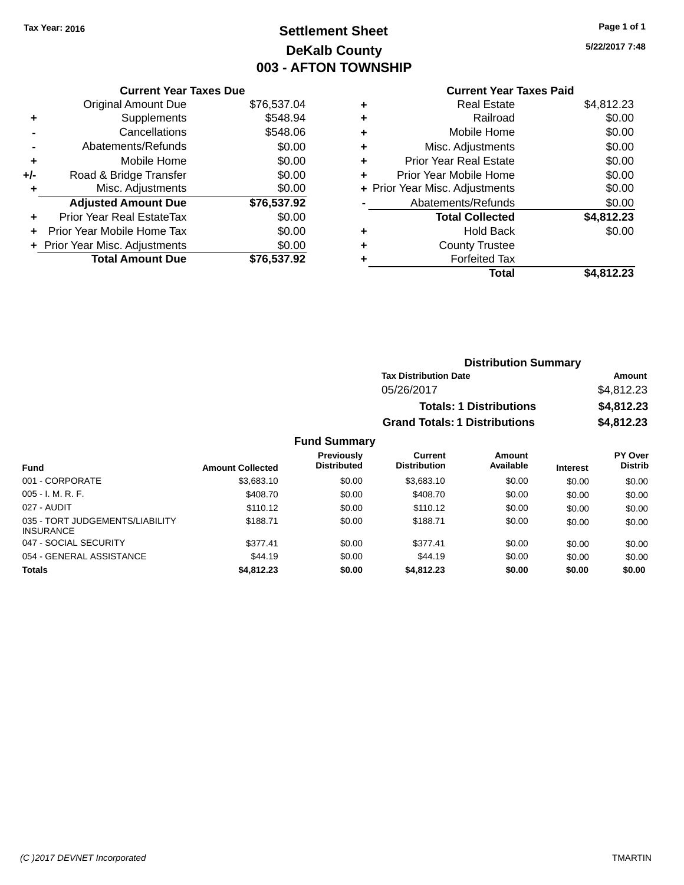# **Settlement Sheet Tax Year: 2016 Page 1 of 1 DeKalb County 003 - AFTON TOWNSHIP**

**5/22/2017 7:48**

### **Current Year Taxes Paid**

|       | <b>Current Year Taxes Due</b>  |             |
|-------|--------------------------------|-------------|
|       | <b>Original Amount Due</b>     | \$76,537.04 |
| ٠     | Supplements                    | \$548.94    |
|       | Cancellations                  | \$548.06    |
|       | Abatements/Refunds             | \$0.00      |
| ÷     | Mobile Home                    | \$0.00      |
| $+/-$ | Road & Bridge Transfer         | \$0.00      |
|       | Misc. Adjustments              | \$0.00      |
|       | <b>Adjusted Amount Due</b>     | \$76,537.92 |
| ÷     | Prior Year Real EstateTax      | \$0.00      |
|       | Prior Year Mobile Home Tax     | \$0.00      |
|       | + Prior Year Misc. Adjustments | \$0.00      |
|       | <b>Total Amount Due</b>        | \$76.537.92 |
|       |                                |             |

| ٠ | <b>Real Estate</b>             | \$4,812.23 |
|---|--------------------------------|------------|
| ٠ | Railroad                       | \$0.00     |
| ٠ | Mobile Home                    | \$0.00     |
| ٠ | Misc. Adjustments              | \$0.00     |
| ٠ | <b>Prior Year Real Estate</b>  | \$0.00     |
| ٠ | Prior Year Mobile Home         | \$0.00     |
|   | + Prior Year Misc. Adjustments | \$0.00     |
|   | Abatements/Refunds             | \$0.00     |
|   | <b>Total Collected</b>         | \$4,812.23 |
| ٠ | Hold Back                      | \$0.00     |
| ٠ | <b>County Trustee</b>          |            |
| ٠ | <b>Forfeited Tax</b>           |            |
|   | Total                          | \$4,812.23 |
|   |                                |            |

| <b>Distribution Summary</b>          |            |
|--------------------------------------|------------|
| <b>Tax Distribution Date</b>         | Amount     |
| 05/26/2017                           | \$4,812.23 |
| <b>Totals: 1 Distributions</b>       | \$4,812.23 |
| <b>Grand Totals: 1 Distributions</b> | \$4,812.23 |

|                                                     |                         | <b>Previously</b><br><b>Distributed</b> | Current<br><b>Distribution</b> | Amount<br>Available |                 | PY Over<br><b>Distrib</b> |
|-----------------------------------------------------|-------------------------|-----------------------------------------|--------------------------------|---------------------|-----------------|---------------------------|
| <b>Fund</b>                                         | <b>Amount Collected</b> |                                         |                                |                     | <b>Interest</b> |                           |
| 001 - CORPORATE                                     | \$3,683.10              | \$0.00                                  | \$3,683.10                     | \$0.00              | \$0.00          | \$0.00                    |
| $005 - I. M. R. F.$                                 | \$408.70                | \$0.00                                  | \$408.70                       | \$0.00              | \$0.00          | \$0.00                    |
| 027 - AUDIT                                         | \$110.12                | \$0.00                                  | \$110.12                       | \$0.00              | \$0.00          | \$0.00                    |
| 035 - TORT JUDGEMENTS/LIABILITY<br><b>INSURANCE</b> | \$188.71                | \$0.00                                  | \$188.71                       | \$0.00              | \$0.00          | \$0.00                    |
| 047 - SOCIAL SECURITY                               | \$377.41                | \$0.00                                  | \$377.41                       | \$0.00              | \$0.00          | \$0.00                    |
| 054 - GENERAL ASSISTANCE                            | \$44.19                 | \$0.00                                  | \$44.19                        | \$0.00              | \$0.00          | \$0.00                    |
| <b>Totals</b>                                       | \$4,812.23              | \$0.00                                  | \$4,812.23                     | \$0.00              | \$0.00          | \$0.00                    |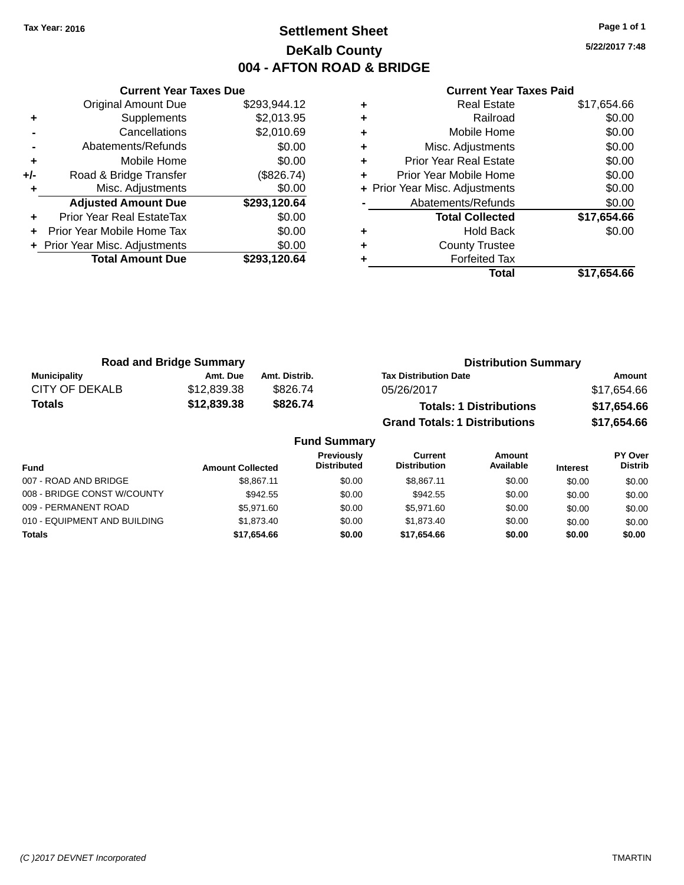# **Settlement Sheet Tax Year: 2016 Page 1 of 1 DeKalb County 004 - AFTON ROAD & BRIDGE**

**5/22/2017 7:48**

|     | <b>Current Year Taxes Due</b>  |              |  |  |  |
|-----|--------------------------------|--------------|--|--|--|
|     | Original Amount Due            | \$293,944.12 |  |  |  |
|     | Supplements                    | \$2,013.95   |  |  |  |
|     | Cancellations                  | \$2,010.69   |  |  |  |
|     | Abatements/Refunds             | \$0.00       |  |  |  |
| ٠   | Mobile Home                    | \$0.00       |  |  |  |
| +/- | Road & Bridge Transfer         | (\$826.74)   |  |  |  |
|     | Misc. Adjustments              | \$0.00       |  |  |  |
|     | <b>Adjusted Amount Due</b>     | \$293,120.64 |  |  |  |
| ÷   | Prior Year Real EstateTax      | \$0.00       |  |  |  |
|     | Prior Year Mobile Home Tax     | \$0.00       |  |  |  |
|     | + Prior Year Misc. Adjustments | \$0.00       |  |  |  |
|     | <b>Total Amount Due</b>        | \$293.120.64 |  |  |  |
|     |                                |              |  |  |  |

|   | Total                          | \$17,654.66 |
|---|--------------------------------|-------------|
|   | <b>Forfeited Tax</b>           |             |
| ٠ | <b>County Trustee</b>          |             |
| ٠ | Hold Back                      | \$0.00      |
|   | <b>Total Collected</b>         | \$17,654.66 |
|   | Abatements/Refunds             | \$0.00      |
|   | + Prior Year Misc. Adjustments | \$0.00      |
| ٠ | Prior Year Mobile Home         | \$0.00      |
| ٠ | <b>Prior Year Real Estate</b>  | \$0.00      |
| ٠ | Misc. Adjustments              | \$0.00      |
| ٠ | Mobile Home                    | \$0.00      |
| ٠ | Railroad                       | \$0.00      |
|   | <b>Real Estate</b>             | \$17,654.66 |

| <b>Road and Bridge Summary</b> |             |               | <b>Distribution Summary</b>          |             |  |
|--------------------------------|-------------|---------------|--------------------------------------|-------------|--|
| <b>Municipality</b>            | Amt. Due    | Amt. Distrib. | <b>Tax Distribution Date</b>         | Amount      |  |
| CITY OF DEKALB                 | \$12,839.38 | \$826.74      | 05/26/2017                           | \$17,654.66 |  |
| <b>Totals</b>                  | \$12,839.38 | \$826.74      | <b>Totals: 1 Distributions</b>       | \$17,654.66 |  |
|                                |             |               | <b>Grand Totals: 1 Distributions</b> | \$17,654.66 |  |

| <b>Fund Summary</b>          |                         |                                         |                                |                     |                 |                           |
|------------------------------|-------------------------|-----------------------------------------|--------------------------------|---------------------|-----------------|---------------------------|
| <b>Fund</b>                  | <b>Amount Collected</b> | <b>Previously</b><br><b>Distributed</b> | Current<br><b>Distribution</b> | Amount<br>Available | <b>Interest</b> | PY Over<br><b>Distrib</b> |
| 007 - ROAD AND BRIDGE        | \$8.867.11              | \$0.00                                  | \$8,867.11                     | \$0.00              | \$0.00          | \$0.00                    |
| 008 - BRIDGE CONST W/COUNTY  | \$942.55                | \$0.00                                  | \$942.55                       | \$0.00              | \$0.00          | \$0.00                    |
| 009 - PERMANENT ROAD         | \$5,971,60              | \$0.00                                  | \$5.971.60                     | \$0.00              | \$0.00          | \$0.00                    |
| 010 - EQUIPMENT AND BUILDING | \$1,873,40              | \$0.00                                  | \$1,873,40                     | \$0.00              | \$0.00          | \$0.00                    |
| <b>Totals</b>                | \$17,654.66             | \$0.00                                  | \$17.654.66                    | \$0.00              | \$0.00          | \$0.00                    |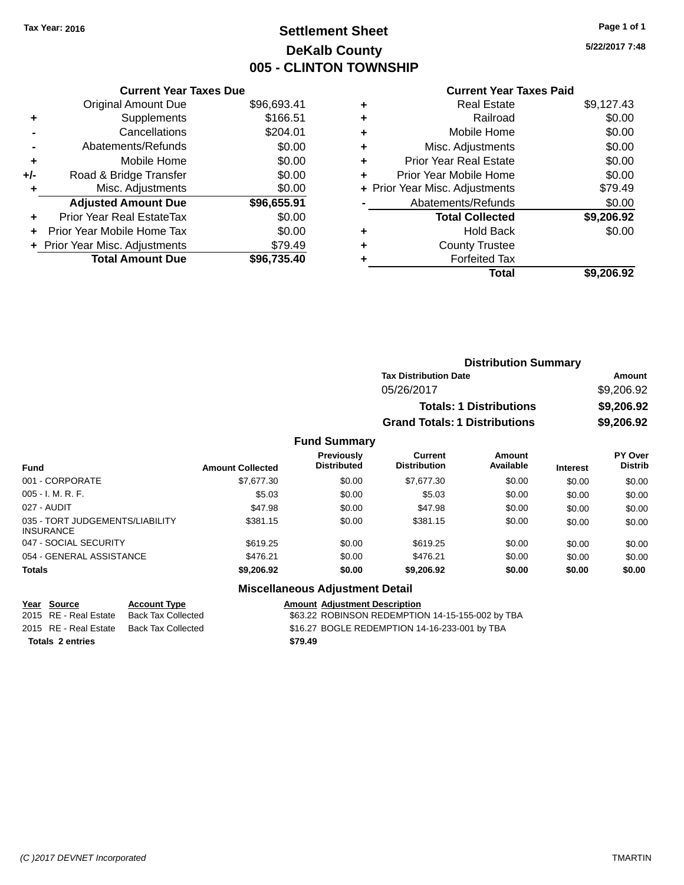# **Settlement Sheet Tax Year: 2016 Page 1 of 1 DeKalb County 005 - CLINTON TOWNSHIP**

**5/22/2017 7:48**

|     | <b>Current Year Taxes Due</b>    |             |
|-----|----------------------------------|-------------|
|     | <b>Original Amount Due</b>       | \$96,693.41 |
| ٠   | Supplements                      | \$166.51    |
|     | Cancellations                    | \$204.01    |
|     | Abatements/Refunds               | \$0.00      |
| ÷   | Mobile Home                      | \$0.00      |
| +/- | Road & Bridge Transfer           | \$0.00      |
| ٠   | Misc. Adjustments                | \$0.00      |
|     | <b>Adjusted Amount Due</b>       | \$96,655.91 |
|     | <b>Prior Year Real EstateTax</b> | \$0.00      |
|     | Prior Year Mobile Home Tax       | \$0.00      |
|     | + Prior Year Misc. Adjustments   | \$79.49     |
|     | <b>Total Amount Due</b>          | \$96,735.40 |
|     |                                  |             |

#### **Current Year Taxes Paid**

|   | <b>Real Estate</b>             | \$9,127.43 |
|---|--------------------------------|------------|
| ٠ | Railroad                       | \$0.00     |
| ٠ | Mobile Home                    | \$0.00     |
| ٠ | Misc. Adjustments              | \$0.00     |
| ٠ | <b>Prior Year Real Estate</b>  | \$0.00     |
| ٠ | Prior Year Mobile Home         | \$0.00     |
|   | + Prior Year Misc. Adjustments | \$79.49    |
|   | Abatements/Refunds             | \$0.00     |
|   | <b>Total Collected</b>         | \$9,206.92 |
| ٠ | <b>Hold Back</b>               | \$0.00     |
| ٠ | <b>County Trustee</b>          |            |
|   | <b>Forfeited Tax</b>           |            |
|   | Total                          | \$9,206.92 |
|   |                                |            |

| <b>Distribution Summary</b>          |            |
|--------------------------------------|------------|
| <b>Tax Distribution Date</b>         | Amount     |
| 05/26/2017                           | \$9,206.92 |
| <b>Totals: 1 Distributions</b>       | \$9,206.92 |
| <b>Grand Totals: 1 Distributions</b> | \$9,206.92 |

### **Fund Summary**

| <b>Fund</b>                                         | <b>Amount Collected</b> | Previously<br><b>Distributed</b> | Current<br><b>Distribution</b> | Amount<br>Available | <b>Interest</b> | <b>PY Over</b><br><b>Distrib</b> |
|-----------------------------------------------------|-------------------------|----------------------------------|--------------------------------|---------------------|-----------------|----------------------------------|
| 001 - CORPORATE                                     | \$7,677.30              | \$0.00                           | \$7,677.30                     | \$0.00              | \$0.00          | \$0.00                           |
| $005 - I. M. R. F.$                                 | \$5.03                  | \$0.00                           | \$5.03                         | \$0.00              | \$0.00          | \$0.00                           |
| 027 - AUDIT                                         | \$47.98                 | \$0.00                           | \$47.98                        | \$0.00              | \$0.00          | \$0.00                           |
| 035 - TORT JUDGEMENTS/LIABILITY<br><b>INSURANCE</b> | \$381.15                | \$0.00                           | \$381.15                       | \$0.00              | \$0.00          | \$0.00                           |
| 047 - SOCIAL SECURITY                               | \$619.25                | \$0.00                           | \$619.25                       | \$0.00              | \$0.00          | \$0.00                           |
| 054 - GENERAL ASSISTANCE                            | \$476.21                | \$0.00                           | \$476.21                       | \$0.00              | \$0.00          | \$0.00                           |
| <b>Totals</b>                                       | \$9,206.92              | \$0.00                           | \$9,206.92                     | \$0.00              | \$0.00          | \$0.00                           |

### **Miscellaneous Adjustment Detail**

**Year Source Account Type Amount Adjustment Description**

**Totals 2 entries \$79.49**

\$63.22 ROBINSON REDEMPTION 14-15-155-002 by TBA 2015 RE - Real Estate Back Tax Collected \$16.27 BOGLE REDEMPTION 14-16-233-001 by TBA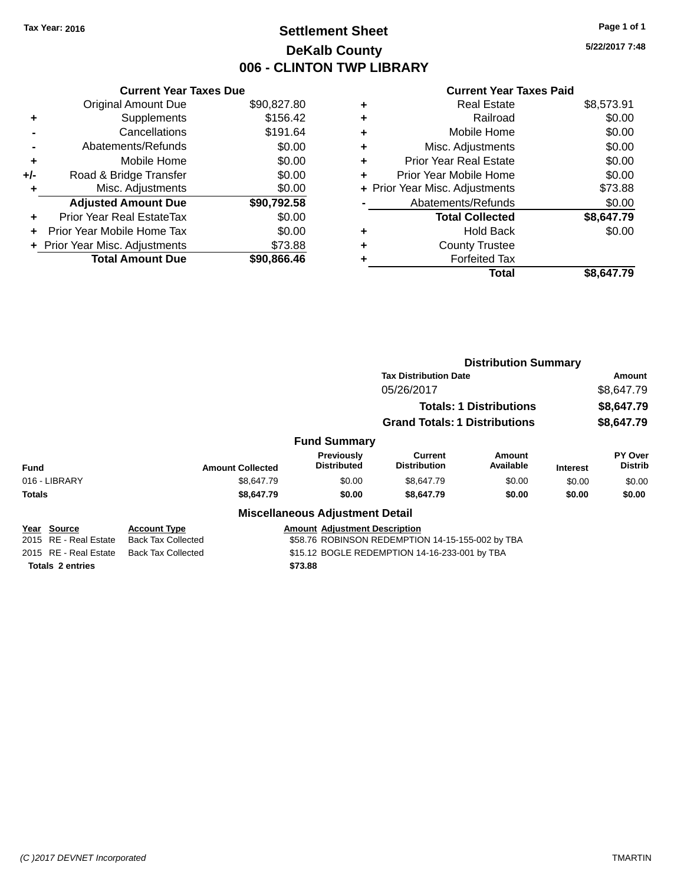# **Settlement Sheet Tax Year: 2016 Page 1 of 1 DeKalb County 006 - CLINTON TWP LIBRARY**

**5/22/2017 7:48**

#### **Current Year Taxes Paid**

|     | <b>Current Year Taxes Due</b>     |             |  |  |  |
|-----|-----------------------------------|-------------|--|--|--|
|     | <b>Original Amount Due</b>        | \$90,827.80 |  |  |  |
| ٠   | Supplements                       | \$156.42    |  |  |  |
|     | Cancellations                     | \$191.64    |  |  |  |
|     | Abatements/Refunds                | \$0.00      |  |  |  |
| ٠   | Mobile Home                       | \$0.00      |  |  |  |
| +/- | Road & Bridge Transfer            | \$0.00      |  |  |  |
| ٠   | Misc. Adjustments                 | \$0.00      |  |  |  |
|     | <b>Adjusted Amount Due</b>        | \$90,792.58 |  |  |  |
| ÷   | <b>Prior Year Real EstateTax</b>  | \$0.00      |  |  |  |
| ٠   | <b>Prior Year Mobile Home Tax</b> | \$0.00      |  |  |  |
|     | + Prior Year Misc. Adjustments    | \$73.88     |  |  |  |
|     | <b>Total Amount Due</b>           | \$90.866.46 |  |  |  |

| ٠ | Real Estate                    | \$8,573.91 |
|---|--------------------------------|------------|
| ٠ | Railroad                       | \$0.00     |
| ٠ | Mobile Home                    | \$0.00     |
| ٠ | Misc. Adjustments              | \$0.00     |
| ٠ | <b>Prior Year Real Estate</b>  | \$0.00     |
| ٠ | Prior Year Mobile Home         | \$0.00     |
|   | + Prior Year Misc. Adjustments | \$73.88    |
|   | Abatements/Refunds             | \$0.00     |
|   | <b>Total Collected</b>         | \$8,647.79 |
| ٠ | Hold Back                      | \$0.00     |
| ٠ | <b>County Trustee</b>          |            |
|   | <b>Forfeited Tax</b>           |            |
|   | Total                          | \$8,647.79 |
|   |                                |            |

|                                                |                                                  |                                                                                          | <b>Distribution Summary</b>          |                                |                 |                                  |
|------------------------------------------------|--------------------------------------------------|------------------------------------------------------------------------------------------|--------------------------------------|--------------------------------|-----------------|----------------------------------|
|                                                |                                                  |                                                                                          | <b>Tax Distribution Date</b>         |                                |                 | Amount                           |
|                                                |                                                  |                                                                                          | 05/26/2017                           |                                | \$8,647.79      |                                  |
|                                                |                                                  |                                                                                          |                                      | <b>Totals: 1 Distributions</b> |                 | \$8,647.79                       |
|                                                |                                                  |                                                                                          | <b>Grand Totals: 1 Distributions</b> |                                |                 | \$8,647.79                       |
|                                                |                                                  | <b>Fund Summary</b>                                                                      |                                      |                                |                 |                                  |
| <b>Fund</b><br><b>Amount Collected</b>         |                                                  | <b>Previously</b><br><b>Distributed</b>                                                  | Current<br><b>Distribution</b>       | Amount<br>Available            | <b>Interest</b> | <b>PY Over</b><br><b>Distrib</b> |
| 016 - LIBRARY                                  | \$8,647.79                                       | \$0.00                                                                                   | \$8,647.79                           | \$0.00                         | \$0.00          | \$0.00                           |
| <b>Totals</b>                                  | \$8,647.79                                       | \$0.00                                                                                   | \$8,647.79                           | \$0.00                         | \$0.00          | \$0.00                           |
|                                                |                                                  | <b>Miscellaneous Adjustment Detail</b>                                                   |                                      |                                |                 |                                  |
| Year Source<br><b>RE</b> - Real Estate<br>2015 | <b>Account Type</b><br><b>Back Tax Collected</b> | <b>Amount Adiustment Description</b><br>\$58.76 ROBINSON REDEMPTION 14-15-155-002 by TBA |                                      |                                |                 |                                  |
| 2015 RE - Real Estate                          | <b>Back Tax Collected</b>                        | \$15.12 BOGLE REDEMPTION 14-16-233-001 by TBA                                            |                                      |                                |                 |                                  |

**Totals 2 entries \$73.88**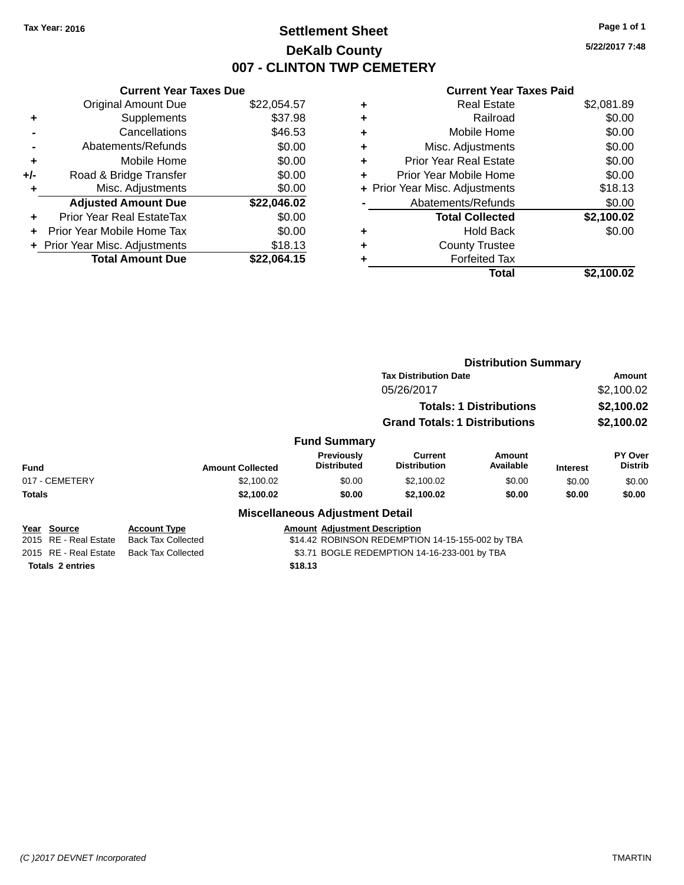# **Settlement Sheet Tax Year: 2016 Page 1 of 1 DeKalb County 007 - CLINTON TWP CEMETERY**

**5/22/2017 7:48**

#### **Current Year Taxes Paid**

|     | <b>Current Year Taxes Due</b>  |             |  |  |  |
|-----|--------------------------------|-------------|--|--|--|
|     | <b>Original Amount Due</b>     | \$22,054.57 |  |  |  |
| ٠   | Supplements                    | \$37.98     |  |  |  |
|     | Cancellations                  | \$46.53     |  |  |  |
|     | Abatements/Refunds             | \$0.00      |  |  |  |
| ٠   | Mobile Home                    | \$0.00      |  |  |  |
| +/- | Road & Bridge Transfer         | \$0.00      |  |  |  |
| ٠   | Misc. Adjustments              | \$0.00      |  |  |  |
|     | <b>Adjusted Amount Due</b>     | \$22,046.02 |  |  |  |
| ٠   | Prior Year Real EstateTax      | \$0.00      |  |  |  |
| ÷   | Prior Year Mobile Home Tax     | \$0.00      |  |  |  |
|     | + Prior Year Misc. Adjustments | \$18.13     |  |  |  |
|     | <b>Total Amount Due</b>        | \$22,064.15 |  |  |  |

| ٠ | <b>Real Estate</b>             | \$2,081.89 |
|---|--------------------------------|------------|
| ٠ | Railroad                       | \$0.00     |
| ٠ | Mobile Home                    | \$0.00     |
| ٠ | Misc. Adjustments              | \$0.00     |
| ٠ | <b>Prior Year Real Estate</b>  | \$0.00     |
| ٠ | Prior Year Mobile Home         | \$0.00     |
|   | + Prior Year Misc. Adjustments | \$18.13    |
|   | Abatements/Refunds             | \$0.00     |
|   | <b>Total Collected</b>         | \$2,100.02 |
| ٠ | <b>Hold Back</b>               | \$0.00     |
| ٠ | <b>County Trustee</b>          |            |
| ٠ | <b>Forfeited Tax</b>           |            |
|   | Total                          | \$2,100.02 |
|   |                                |            |

|                          |                           |                                                  | <b>Distribution Summary</b>                  |                                |                 |                           |  |
|--------------------------|---------------------------|--------------------------------------------------|----------------------------------------------|--------------------------------|-----------------|---------------------------|--|
|                          |                           |                                                  | <b>Tax Distribution Date</b>                 |                                |                 | Amount                    |  |
|                          |                           |                                                  | 05/26/2017                                   |                                |                 | \$2,100.02                |  |
|                          |                           |                                                  |                                              | <b>Totals: 1 Distributions</b> |                 | \$2,100.02                |  |
|                          |                           |                                                  | <b>Grand Totals: 1 Distributions</b>         |                                |                 | \$2,100.02                |  |
|                          |                           | <b>Fund Summary</b>                              |                                              |                                |                 |                           |  |
| <b>Fund</b>              | <b>Amount Collected</b>   | Previously<br><b>Distributed</b>                 | Current<br><b>Distribution</b>               | Amount<br>Available            | <b>Interest</b> | PY Over<br><b>Distrib</b> |  |
| 017 - CEMETERY           | \$2,100.02                | \$0.00                                           | \$2,100.02                                   | \$0.00                         | \$0.00          | \$0.00                    |  |
| <b>Totals</b>            | \$2,100.02                | \$0.00                                           | \$2,100.02                                   | \$0.00                         | \$0.00          | \$0.00                    |  |
|                          |                           | <b>Miscellaneous Adjustment Detail</b>           |                                              |                                |                 |                           |  |
| <u>Source</u><br>Year    | <b>Account Type</b>       | <b>Amount Adjustment Description</b>             |                                              |                                |                 |                           |  |
| RE - Real Estate<br>2015 | <b>Back Tax Collected</b> | \$14.42 ROBINSON REDEMPTION 14-15-155-002 by TBA |                                              |                                |                 |                           |  |
| 2015 RE - Real Estate    | <b>Back Tax Collected</b> |                                                  | \$3.71 BOGLE REDEMPTION 14-16-233-001 by TBA |                                |                 |                           |  |

**Totals 2 entries \$18.13**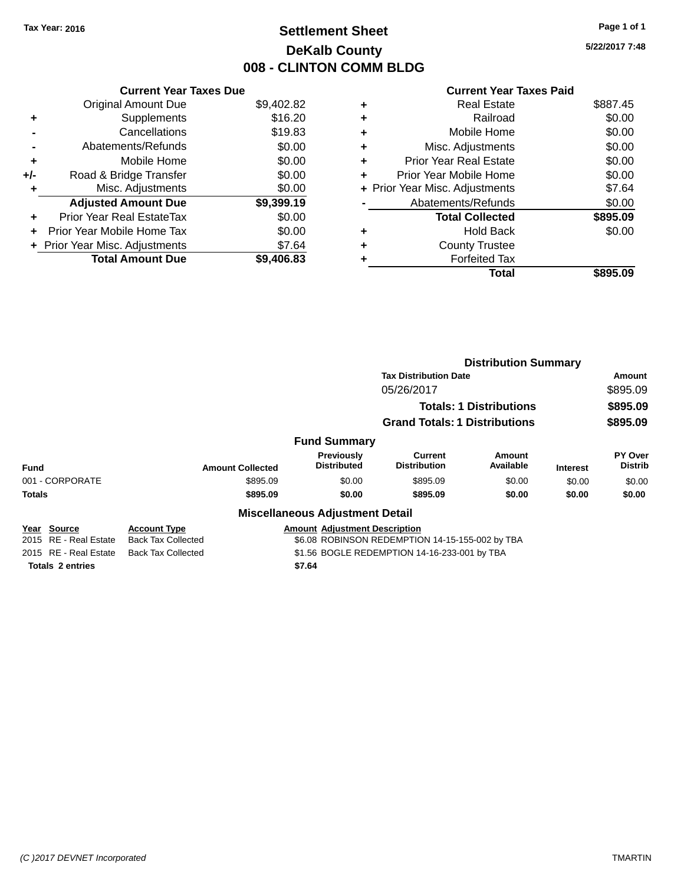# **Settlement Sheet Tax Year: 2016 Page 1 of 1 DeKalb County 008 - CLINTON COMM BLDG**

**5/22/2017 7:48**

|     | <b>Current Year Taxes Due</b>  |            |  |  |  |
|-----|--------------------------------|------------|--|--|--|
|     | <b>Original Amount Due</b>     | \$9,402.82 |  |  |  |
| ٠   | Supplements                    | \$16.20    |  |  |  |
|     | Cancellations                  | \$19.83    |  |  |  |
|     | Abatements/Refunds             | \$0.00     |  |  |  |
| ٠   | Mobile Home                    | \$0.00     |  |  |  |
| +/- | Road & Bridge Transfer         | \$0.00     |  |  |  |
| ٠   | Misc. Adjustments              | \$0.00     |  |  |  |
|     | <b>Adjusted Amount Due</b>     | \$9,399.19 |  |  |  |
| ÷   | Prior Year Real EstateTax      | \$0.00     |  |  |  |
| ÷   | Prior Year Mobile Home Tax     | \$0.00     |  |  |  |
|     | + Prior Year Misc. Adjustments | \$7.64     |  |  |  |
|     | <b>Total Amount Due</b>        | \$9.406.83 |  |  |  |

|   | Total                          | \$895.09 |
|---|--------------------------------|----------|
|   | <b>Forfeited Tax</b>           |          |
| ٠ | <b>County Trustee</b>          |          |
| ٠ | Hold Back                      | \$0.00   |
|   | <b>Total Collected</b>         | \$895.09 |
|   | Abatements/Refunds             | \$0.00   |
|   | + Prior Year Misc. Adjustments | \$7.64   |
| ٠ | Prior Year Mobile Home         | \$0.00   |
| ÷ | <b>Prior Year Real Estate</b>  | \$0.00   |
| ٠ | Misc. Adjustments              | \$0.00   |
| ٠ | Mobile Home                    | \$0.00   |
| ٠ | Railroad                       | \$0.00   |
| ٠ | <b>Real Estate</b>             | \$887.45 |
|   |                                |          |

|                         |                                                                           |                                         | <b>Distribution Summary</b>                     |                                |                 |                                  |
|-------------------------|---------------------------------------------------------------------------|-----------------------------------------|-------------------------------------------------|--------------------------------|-----------------|----------------------------------|
|                         |                                                                           |                                         | <b>Tax Distribution Date</b>                    |                                |                 | Amount                           |
|                         |                                                                           |                                         | 05/26/2017                                      |                                |                 | \$895.09                         |
|                         |                                                                           |                                         |                                                 | <b>Totals: 1 Distributions</b> |                 | \$895.09                         |
|                         |                                                                           |                                         | <b>Grand Totals: 1 Distributions</b>            |                                |                 | \$895.09                         |
|                         |                                                                           | <b>Fund Summary</b>                     |                                                 |                                |                 |                                  |
| <b>Fund</b>             | <b>Amount Collected</b>                                                   | <b>Previously</b><br><b>Distributed</b> | <b>Current</b><br><b>Distribution</b>           | Amount<br>Available            | <b>Interest</b> | <b>PY Over</b><br><b>Distrib</b> |
| 001 - CORPORATE         | \$895.09                                                                  | \$0.00                                  | \$895.09                                        | \$0.00                         | \$0.00          | \$0.00                           |
| <b>Totals</b>           | \$895.09                                                                  | \$0.00                                  | \$895.09                                        | \$0.00                         | \$0.00          | \$0.00                           |
|                         |                                                                           | <b>Miscellaneous Adjustment Detail</b>  |                                                 |                                |                 |                                  |
| Year Source             | <b>Account Type</b>                                                       | <b>Amount Adiustment Description</b>    |                                                 |                                |                 |                                  |
| 2015 RE - Real Estate   | <b>Back Tax Collected</b>                                                 |                                         | \$6.08 ROBINSON REDEMPTION 14-15-155-002 by TBA |                                |                 |                                  |
| 2015 RE - Real Estate   | \$1.56 BOGLE REDEMPTION 14-16-233-001 by TBA<br><b>Back Tax Collected</b> |                                         |                                                 |                                |                 |                                  |
| <b>Totals 2 entries</b> |                                                                           | \$7.64                                  |                                                 |                                |                 |                                  |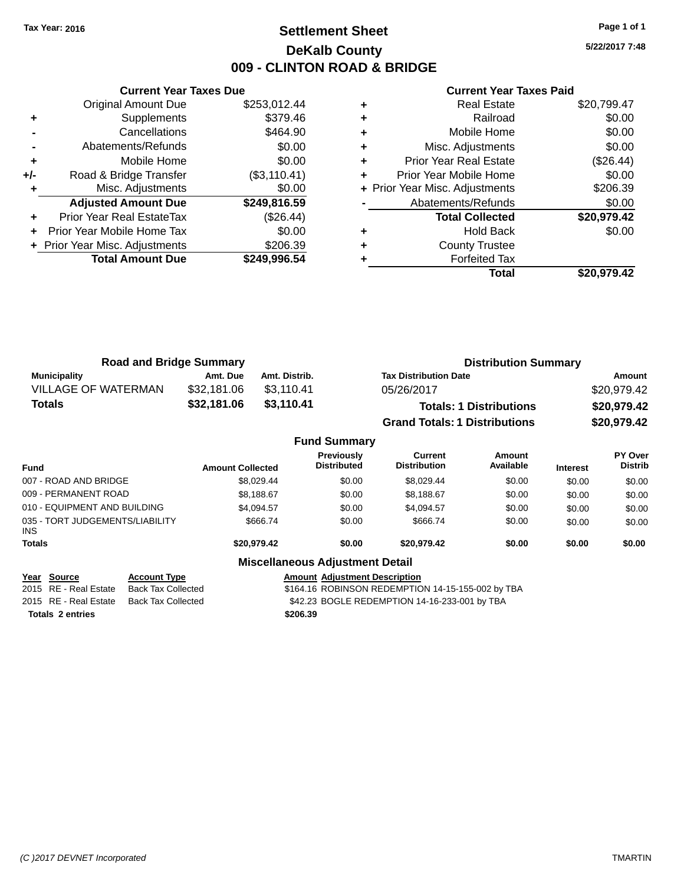## **Settlement Sheet Tax Year: 2016 Page 1 of 1 DeKalb County 009 - CLINTON ROAD & BRIDGE**

**5/22/2017 7:48**

|     | <b>Current Year Taxes Due</b>  |              |  |  |
|-----|--------------------------------|--------------|--|--|
|     | <b>Original Amount Due</b>     | \$253,012.44 |  |  |
| ٠   | Supplements                    | \$379.46     |  |  |
|     | Cancellations                  | \$464.90     |  |  |
|     | Abatements/Refunds             | \$0.00       |  |  |
| ÷   | Mobile Home                    | \$0.00       |  |  |
| +/- | Road & Bridge Transfer         | (\$3,110.41) |  |  |
|     | Misc. Adjustments              | \$0.00       |  |  |
|     | <b>Adjusted Amount Due</b>     | \$249,816.59 |  |  |
| ÷   | Prior Year Real EstateTax      | (\$26.44)    |  |  |
|     | Prior Year Mobile Home Tax     | \$0.00       |  |  |
|     | + Prior Year Misc. Adjustments | \$206.39     |  |  |
|     | <b>Total Amount Due</b>        | \$249,996.54 |  |  |
|     |                                |              |  |  |

| <b>Real Estate</b>            | \$20,799.47                    |
|-------------------------------|--------------------------------|
| Railroad                      | \$0.00                         |
| Mobile Home                   | \$0.00                         |
| Misc. Adjustments             | \$0.00                         |
| <b>Prior Year Real Estate</b> | (\$26.44)                      |
| Prior Year Mobile Home        | \$0.00                         |
|                               | \$206.39                       |
| Abatements/Refunds            | \$0.00                         |
| <b>Total Collected</b>        | \$20,979.42                    |
| <b>Hold Back</b>              | \$0.00                         |
| <b>County Trustee</b>         |                                |
| <b>Forfeited Tax</b>          |                                |
| Total                         | \$20,979.42                    |
|                               | + Prior Year Misc. Adjustments |

| <b>Road and Bridge Summary</b> |             |               | <b>Distribution Summary</b>          |             |  |
|--------------------------------|-------------|---------------|--------------------------------------|-------------|--|
| Municipality                   | Amt. Due    | Amt. Distrib. | <b>Tax Distribution Date</b>         | Amount      |  |
| <b>VILLAGE OF WATERMAN</b>     | \$32,181.06 | \$3.110.41    | 05/26/2017                           | \$20,979.42 |  |
| Totals                         | \$32,181.06 | \$3.110.41    | <b>Totals: 1 Distributions</b>       | \$20,979.42 |  |
|                                |             |               | <b>Grand Totals: 1 Distributions</b> | \$20,979.42 |  |

|                                         |                         | <b>Fund Summary</b>                     |                                |                     |                 |                           |
|-----------------------------------------|-------------------------|-----------------------------------------|--------------------------------|---------------------|-----------------|---------------------------|
| <b>Fund</b>                             | <b>Amount Collected</b> | <b>Previously</b><br><b>Distributed</b> | Current<br><b>Distribution</b> | Amount<br>Available | <b>Interest</b> | PY Over<br><b>Distrib</b> |
| 007 - ROAD AND BRIDGE                   | \$8,029.44              | \$0.00                                  | \$8,029.44                     | \$0.00              | \$0.00          | \$0.00                    |
| 009 - PERMANENT ROAD                    | \$8.188.67              | \$0.00                                  | \$8,188.67                     | \$0.00              | \$0.00          | \$0.00                    |
| 010 - EQUIPMENT AND BUILDING            | \$4,094.57              | \$0.00                                  | \$4.094.57                     | \$0.00              | \$0.00          | \$0.00                    |
| 035 - TORT JUDGEMENTS/LIABILITY<br>INS. | \$666.74                | \$0.00                                  | \$666.74                       | \$0.00              | \$0.00          | \$0.00                    |
| <b>Totals</b>                           | \$20,979.42             | \$0.00                                  | \$20,979.42                    | \$0.00              | \$0.00          | \$0.00                    |
|                                         |                         | <b>Miscellaneous Adjustment Detail</b>  |                                |                     |                 |                           |

| Year Source             | <b>Account Type</b> | <b>Amount Adjustment Description</b>              |
|-------------------------|---------------------|---------------------------------------------------|
| 2015 RE - Real Estate   | Back Tax Collected  | \$164.16 ROBINSON REDEMPTION 14-15-155-002 by TBA |
| 2015 RE - Real Estate   | Back Tax Collected  | \$42.23 BOGLE REDEMPTION 14-16-233-001 by TBA     |
| <b>Totals 2 entries</b> |                     | \$206.39                                          |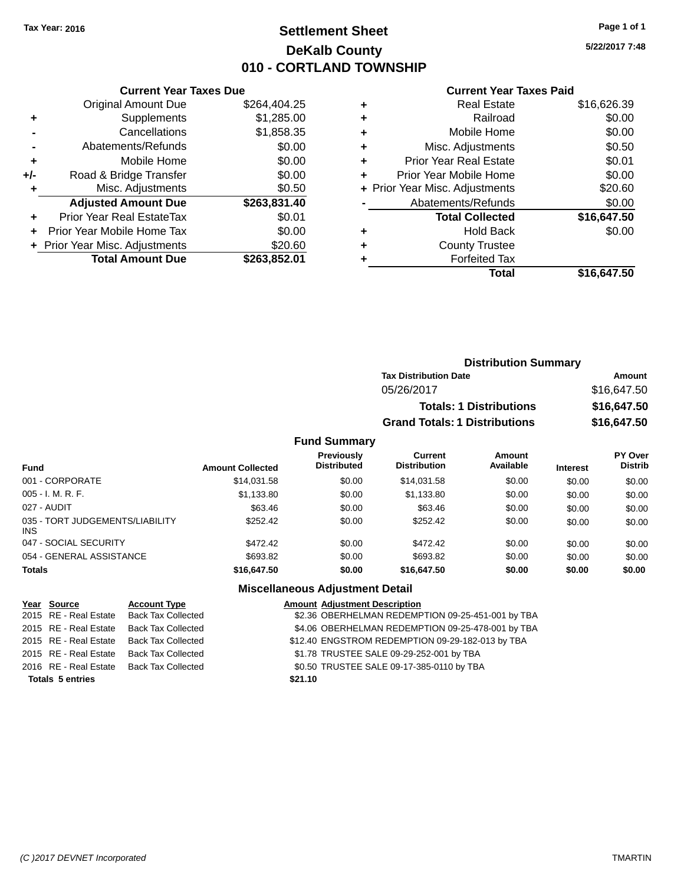# **Settlement Sheet Tax Year: 2016 Page 1 of 1 DeKalb County 010 - CORTLAND TOWNSHIP**

**5/22/2017 7:48**

#### **Current Year Taxes Paid**

|     | <b>Current Year Taxes Due</b>  |              |  |  |  |  |  |  |
|-----|--------------------------------|--------------|--|--|--|--|--|--|
|     | <b>Original Amount Due</b>     | \$264,404.25 |  |  |  |  |  |  |
| ٠   | Supplements                    | \$1,285.00   |  |  |  |  |  |  |
|     | Cancellations                  | \$1,858.35   |  |  |  |  |  |  |
|     | Abatements/Refunds             | \$0.00       |  |  |  |  |  |  |
| ÷   | Mobile Home                    | \$0.00       |  |  |  |  |  |  |
| +/- | Road & Bridge Transfer         | \$0.00       |  |  |  |  |  |  |
|     | Misc. Adjustments              | \$0.50       |  |  |  |  |  |  |
|     | <b>Adjusted Amount Due</b>     | \$263,831.40 |  |  |  |  |  |  |
| ٠   | Prior Year Real EstateTax      | \$0.01       |  |  |  |  |  |  |
|     | Prior Year Mobile Home Tax     | \$0.00       |  |  |  |  |  |  |
|     | + Prior Year Misc. Adjustments | \$20.60      |  |  |  |  |  |  |
|     | <b>Total Amount Due</b>        | \$263.852.01 |  |  |  |  |  |  |
|     |                                |              |  |  |  |  |  |  |

| ٠ | <b>Real Estate</b>             | \$16,626.39 |
|---|--------------------------------|-------------|
| ٠ | Railroad                       | \$0.00      |
| ٠ | Mobile Home                    | \$0.00      |
| ٠ | Misc. Adjustments              | \$0.50      |
| ٠ | <b>Prior Year Real Estate</b>  | \$0.01      |
| ٠ | Prior Year Mobile Home         | \$0.00      |
|   | + Prior Year Misc. Adjustments | \$20.60     |
|   | Abatements/Refunds             | \$0.00      |
|   | <b>Total Collected</b>         | \$16,647.50 |
| ٠ | <b>Hold Back</b>               | \$0.00      |
| ٠ | <b>County Trustee</b>          |             |
| ٠ | <b>Forfeited Tax</b>           |             |
|   | Total                          | \$16,647.50 |
|   |                                |             |

| <b>Distribution Summary</b>          |             |
|--------------------------------------|-------------|
| <b>Tax Distribution Date</b>         | Amount      |
| 05/26/2017                           | \$16,647.50 |
| <b>Totals: 1 Distributions</b>       | \$16,647.50 |
| <b>Grand Totals: 1 Distributions</b> | \$16,647.50 |

#### **Fund Summary**

| <b>Fund</b>                                   | <b>Amount Collected</b> | <b>Previously</b><br><b>Distributed</b> | Current<br><b>Distribution</b> | <b>Amount</b><br>Available | <b>Interest</b> | <b>PY Over</b><br><b>Distrib</b> |
|-----------------------------------------------|-------------------------|-----------------------------------------|--------------------------------|----------------------------|-----------------|----------------------------------|
| 001 - CORPORATE                               | \$14,031.58             | \$0.00                                  | \$14.031.58                    | \$0.00                     | \$0.00          | \$0.00                           |
| $005 - I. M. R. F.$                           | \$1,133.80              | \$0.00                                  | \$1,133.80                     | \$0.00                     | \$0.00          | \$0.00                           |
| 027 - AUDIT                                   | \$63.46                 | \$0.00                                  | \$63.46                        | \$0.00                     | \$0.00          | \$0.00                           |
| 035 - TORT JUDGEMENTS/LIABILITY<br><b>INS</b> | \$252.42                | \$0.00                                  | \$252.42                       | \$0.00                     | \$0.00          | \$0.00                           |
| 047 - SOCIAL SECURITY                         | \$472.42                | \$0.00                                  | \$472.42                       | \$0.00                     | \$0.00          | \$0.00                           |
| 054 - GENERAL ASSISTANCE                      | \$693.82                | \$0.00                                  | \$693.82                       | \$0.00                     | \$0.00          | \$0.00                           |
| <b>Totals</b>                                 | \$16,647.50             | \$0.00                                  | \$16,647.50                    | \$0.00                     | \$0.00          | \$0.00                           |

### **Miscellaneous Adjustment Detail**

| <b>Account Type</b>                                                                                                                        |                                                                                      | <b>Amount Adjustment Description</b>              |
|--------------------------------------------------------------------------------------------------------------------------------------------|--------------------------------------------------------------------------------------|---------------------------------------------------|
|                                                                                                                                            |                                                                                      | \$2.36 OBERHELMAN REDEMPTION 09-25-451-001 by TBA |
| <b>Back Tax Collected</b>                                                                                                                  |                                                                                      | \$4.06 OBERHELMAN REDEMPTION 09-25-478-001 by TBA |
|                                                                                                                                            |                                                                                      | \$12.40 ENGSTROM REDEMPTION 09-29-182-013 by TBA  |
| <b>Back Tax Collected</b>                                                                                                                  |                                                                                      | \$1.78 TRUSTEE SALE 09-29-252-001 by TBA          |
|                                                                                                                                            |                                                                                      | \$0.50 TRUSTEE SALE 09-17-385-0110 by TBA         |
|                                                                                                                                            | \$21.10                                                                              |                                                   |
| Year Source<br>2015 RE - Real Estate<br>2015 RE - Real Estate<br>2015 RE - Real Estate<br>2016 RE - Real Estate<br><b>Totals 5 entries</b> | 2015 RE - Real Estate Back Tax Collected<br>Back Tax Collected<br>Back Tax Collected |                                                   |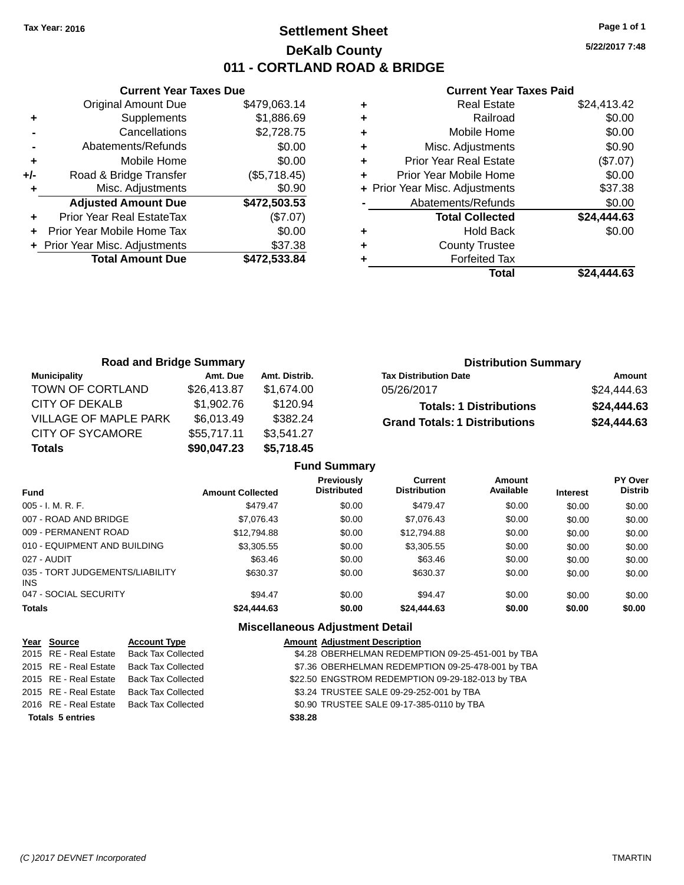# **Settlement Sheet Tax Year: 2016 Page 1 of 1 DeKalb County 011 - CORTLAND ROAD & BRIDGE**

**5/22/2017 7:48**

#### **Current Year Taxes Paid**

|     | <b>Current Year Taxes Due</b>  |              |  |  |  |  |  |  |
|-----|--------------------------------|--------------|--|--|--|--|--|--|
|     | <b>Original Amount Due</b>     | \$479,063.14 |  |  |  |  |  |  |
| ÷   | Supplements                    | \$1,886.69   |  |  |  |  |  |  |
|     | Cancellations                  | \$2,728.75   |  |  |  |  |  |  |
|     | Abatements/Refunds             | \$0.00       |  |  |  |  |  |  |
| ٠   | Mobile Home                    | \$0.00       |  |  |  |  |  |  |
| +/- | Road & Bridge Transfer         | (\$5,718.45) |  |  |  |  |  |  |
| ٠   | Misc. Adjustments              | \$0.90       |  |  |  |  |  |  |
|     | <b>Adjusted Amount Due</b>     | \$472,503.53 |  |  |  |  |  |  |
| ÷   | Prior Year Real EstateTax      | (\$7.07)     |  |  |  |  |  |  |
| ٠   | Prior Year Mobile Home Tax     | \$0.00       |  |  |  |  |  |  |
|     | + Prior Year Misc. Adjustments | \$37.38      |  |  |  |  |  |  |
|     | <b>Total Amount Due</b>        | \$472,533.84 |  |  |  |  |  |  |
|     |                                |              |  |  |  |  |  |  |

|   | <b>Real Estate</b>             | \$24,413.42 |
|---|--------------------------------|-------------|
| ٠ | Railroad                       | \$0.00      |
| ٠ | Mobile Home                    | \$0.00      |
| ٠ | Misc. Adjustments              | \$0.90      |
| ٠ | <b>Prior Year Real Estate</b>  | (\$7.07)    |
| ٠ | Prior Year Mobile Home         | \$0.00      |
|   | + Prior Year Misc. Adjustments | \$37.38     |
|   | Abatements/Refunds             | \$0.00      |
|   | <b>Total Collected</b>         | \$24,444.63 |
| ٠ | Hold Back                      | \$0.00      |
| ٠ | <b>County Trustee</b>          |             |
|   | <b>Forfeited Tax</b>           |             |
|   | Total                          | \$24.444.63 |

| <b>Road and Bridge Summary</b> |             |               | <b>Distribution Summary</b>          |             |
|--------------------------------|-------------|---------------|--------------------------------------|-------------|
| Municipality                   | Amt. Due    | Amt. Distrib. | <b>Tax Distribution Date</b>         | Amount      |
| TOWN OF CORTLAND               | \$26,413.87 | \$1.674.00    | 05/26/2017                           | \$24,444.63 |
| <b>CITY OF DEKALB</b>          | \$1,902.76  | \$120.94      | <b>Totals: 1 Distributions</b>       | \$24,444.63 |
| VILLAGE OF MAPLE PARK          | \$6,013.49  | \$382.24      | <b>Grand Totals: 1 Distributions</b> | \$24,444.63 |
| <b>CITY OF SYCAMORE</b>        | \$55,717.11 | \$3,541.27    |                                      |             |
| <b>Totals</b>                  | \$90,047.23 | \$5,718.45    |                                      |             |

|                                         |                         | <b>Fund Summary</b>                     |                                |                     |                 |                           |
|-----------------------------------------|-------------------------|-----------------------------------------|--------------------------------|---------------------|-----------------|---------------------------|
| <b>Fund</b>                             | <b>Amount Collected</b> | <b>Previously</b><br><b>Distributed</b> | Current<br><b>Distribution</b> | Amount<br>Available | <b>Interest</b> | PY Over<br><b>Distrib</b> |
| 005 - I. M. R. F.                       | \$479.47                | \$0.00                                  | \$479.47                       | \$0.00              | \$0.00          | \$0.00                    |
| 007 - ROAD AND BRIDGE                   | \$7,076.43              | \$0.00                                  | \$7.076.43                     | \$0.00              | \$0.00          | \$0.00                    |
| 009 - PERMANENT ROAD                    | \$12,794.88             | \$0.00                                  | \$12.794.88                    | \$0.00              | \$0.00          | \$0.00                    |
| 010 - EQUIPMENT AND BUILDING            | \$3,305.55              | \$0.00                                  | \$3,305.55                     | \$0.00              | \$0.00          | \$0.00                    |
| 027 - AUDIT                             | \$63.46                 | \$0.00                                  | \$63.46                        | \$0.00              | \$0.00          | \$0.00                    |
| 035 - TORT JUDGEMENTS/LIABILITY<br>INS. | \$630.37                | \$0.00                                  | \$630.37                       | \$0.00              | \$0.00          | \$0.00                    |
| 047 - SOCIAL SECURITY                   | \$94.47                 | \$0.00                                  | \$94.47                        | \$0.00              | \$0.00          | \$0.00                    |
| <b>Totals</b>                           | \$24,444,63             | \$0.00                                  | \$24,444.63                    | \$0.00              | \$0.00          | \$0.00                    |
|                                         |                         | <b>Miscellaneous Adjustment Detail</b>  |                                |                     |                 |                           |

| Year Source             | <b>Account Type</b>       | <b>Amount Adjustment Description</b>              |  |
|-------------------------|---------------------------|---------------------------------------------------|--|
| 2015 RE - Real Estate   | <b>Back Tax Collected</b> | \$4.28 OBERHELMAN REDEMPTION 09-25-451-001 by TBA |  |
| 2015 RE - Real Estate   | Back Tax Collected        | \$7.36 OBERHELMAN REDEMPTION 09-25-478-001 by TBA |  |
| 2015 RE - Real Estate   | Back Tax Collected        | \$22.50 ENGSTROM REDEMPTION 09-29-182-013 by TBA  |  |
| 2015 RE - Real Estate   | <b>Back Tax Collected</b> | \$3.24 TRUSTEE SALE 09-29-252-001 by TBA          |  |
| 2016 RE - Real Estate   | Back Tax Collected        | \$0.90 TRUSTEE SALE 09-17-385-0110 by TBA         |  |
| <b>Totals 5 entries</b> |                           | \$38.28                                           |  |

#### *(C )2017 DEVNET Incorporated* TMARTIN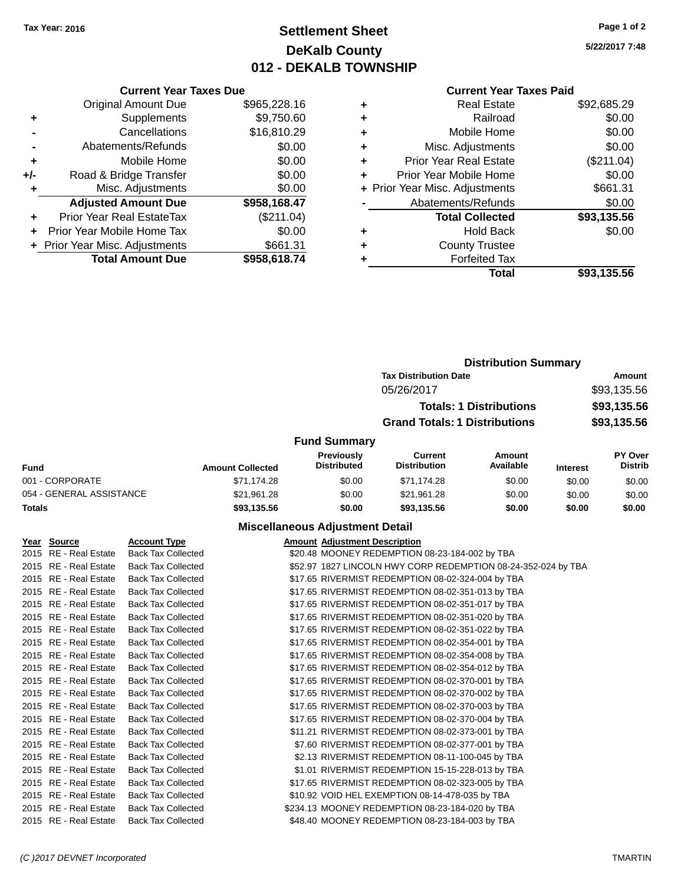# **Settlement Sheet Tax Year: 2016 Page 1 of 2 DeKalb County 012 - DEKALB TOWNSHIP**

**5/22/2017 7:48**

### **Current Year Taxes Paid**

| <b>Current Year Taxes Due</b> |                              |
|-------------------------------|------------------------------|
| <b>Original Amount Due</b>    | \$965,228.16                 |
| Supplements                   | \$9,750.60                   |
| Cancellations                 | \$16,810.29                  |
| Abatements/Refunds            | \$0.00                       |
| Mobile Home                   | \$0.00                       |
| Road & Bridge Transfer        | \$0.00                       |
| Misc. Adjustments             | \$0.00                       |
| <b>Adjusted Amount Due</b>    | \$958,168.47                 |
| Prior Year Real EstateTax     | $(\$211.04)$                 |
| Prior Year Mobile Home Tax    | \$0.00                       |
|                               | \$661.31                     |
| <b>Total Amount Due</b>       | \$958,618.74                 |
|                               | Prior Year Misc. Adjustments |

| <b>Real Estate</b>            | \$92,685.29                    |
|-------------------------------|--------------------------------|
| Railroad                      | \$0.00                         |
| Mobile Home                   | \$0.00                         |
| Misc. Adjustments             | \$0.00                         |
| <b>Prior Year Real Estate</b> | (\$211.04)                     |
| Prior Year Mobile Home        | \$0.00                         |
|                               | \$661.31                       |
| Abatements/Refunds            | \$0.00                         |
| <b>Total Collected</b>        | \$93,135.56                    |
| Hold Back                     | \$0.00                         |
| <b>County Trustee</b>         |                                |
| <b>Forfeited Tax</b>          |                                |
| Total                         | \$93,135.56                    |
|                               | + Prior Year Misc. Adjustments |

|                          |                         | <b>Distribution Summary</b>             |                                      |                     |                              |                                  |
|--------------------------|-------------------------|-----------------------------------------|--------------------------------------|---------------------|------------------------------|----------------------------------|
|                          |                         |                                         | <b>Tax Distribution Date</b>         |                     | <b>Amount</b><br>\$93,135.56 |                                  |
|                          |                         |                                         | 05/26/2017                           |                     |                              |                                  |
|                          |                         |                                         | <b>Totals: 1 Distributions</b>       |                     | \$93,135.56                  |                                  |
|                          |                         |                                         | <b>Grand Totals: 1 Distributions</b> |                     |                              | \$93,135.56                      |
|                          |                         | <b>Fund Summary</b>                     |                                      |                     |                              |                                  |
| Fund                     | <b>Amount Collected</b> | <b>Previously</b><br><b>Distributed</b> | Current<br><b>Distribution</b>       | Amount<br>Available | <b>Interest</b>              | <b>PY Over</b><br><b>Distrib</b> |
| 001 - CORPORATE          | \$71,174.28             | \$0.00                                  | \$71,174.28                          | \$0.00              | \$0.00                       | \$0.00                           |
| 054 - GENERAL ASSISTANCE | \$21,961.28             | \$0.00                                  | \$21,961.28                          | \$0.00              | \$0.00                       | \$0.00                           |
| <b>Totals</b>            | \$93,135.56             | \$0.00                                  | \$93,135.56                          | \$0.00              | \$0.00                       | \$0.00                           |

#### **Miscellaneous Adjustment Detail**

| Year Source           | <b>Account Type</b>       | <b>Amount Adjustment Description</b>                          |
|-----------------------|---------------------------|---------------------------------------------------------------|
| 2015 RE - Real Estate | <b>Back Tax Collected</b> | \$20.48 MOONEY REDEMPTION 08-23-184-002 by TBA                |
| 2015 RE - Real Estate | <b>Back Tax Collected</b> | \$52.97 1827 LINCOLN HWY CORP REDEMPTION 08-24-352-024 by TBA |
| 2015 RE - Real Estate | <b>Back Tax Collected</b> | \$17.65 RIVERMIST REDEMPTION 08-02-324-004 by TBA             |
| 2015 RE - Real Estate | <b>Back Tax Collected</b> | \$17.65 RIVERMIST REDEMPTION 08-02-351-013 by TBA             |
| 2015 RE - Real Estate | <b>Back Tax Collected</b> | \$17.65 RIVERMIST REDEMPTION 08-02-351-017 by TBA             |
| 2015 RE - Real Estate | <b>Back Tax Collected</b> | \$17.65 RIVERMIST REDEMPTION 08-02-351-020 by TBA             |
| 2015 RE - Real Estate | <b>Back Tax Collected</b> | \$17.65 RIVERMIST REDEMPTION 08-02-351-022 by TBA             |
| 2015 RE - Real Estate | <b>Back Tax Collected</b> | \$17.65 RIVERMIST REDEMPTION 08-02-354-001 by TBA             |
| 2015 RE - Real Estate | <b>Back Tax Collected</b> | \$17.65 RIVERMIST REDEMPTION 08-02-354-008 by TBA             |
| 2015 RE - Real Estate | <b>Back Tax Collected</b> | \$17.65 RIVERMIST REDEMPTION 08-02-354-012 by TBA             |
| 2015 RE - Real Estate | <b>Back Tax Collected</b> | \$17.65 RIVERMIST REDEMPTION 08-02-370-001 by TBA             |
| 2015 RE - Real Estate | <b>Back Tax Collected</b> | \$17.65 RIVERMIST REDEMPTION 08-02-370-002 by TBA             |
| 2015 RE - Real Estate | <b>Back Tax Collected</b> | \$17.65 RIVERMIST REDEMPTION 08-02-370-003 by TBA             |
| 2015 RE - Real Estate | <b>Back Tax Collected</b> | \$17.65 RIVERMIST REDEMPTION 08-02-370-004 by TBA             |
| 2015 RE - Real Estate | <b>Back Tax Collected</b> | \$11.21 RIVERMIST REDEMPTION 08-02-373-001 by TBA             |
| 2015 RE - Real Estate | <b>Back Tax Collected</b> | \$7.60 RIVERMIST REDEMPTION 08-02-377-001 by TBA              |
| 2015 RE - Real Estate | <b>Back Tax Collected</b> | \$2.13 RIVERMIST REDEMPTION 08-11-100-045 by TBA              |
| 2015 RE - Real Estate | <b>Back Tax Collected</b> | \$1.01 RIVERMIST REDEMPTION 15-15-228-013 by TBA              |
| 2015 RE - Real Estate | <b>Back Tax Collected</b> | \$17.65 RIVERMIST REDEMPTION 08-02-323-005 by TBA             |
| 2015 RE - Real Estate | <b>Back Tax Collected</b> | \$10.92 VOID HEL EXEMPTION 08-14-478-035 by TBA               |
| 2015 RE - Real Estate | <b>Back Tax Collected</b> | \$234.13 MOONEY REDEMPTION 08-23-184-020 by TBA               |
| 2015 RE - Real Estate | <b>Back Tax Collected</b> | \$48.40 MOONEY REDEMPTION 08-23-184-003 by TBA                |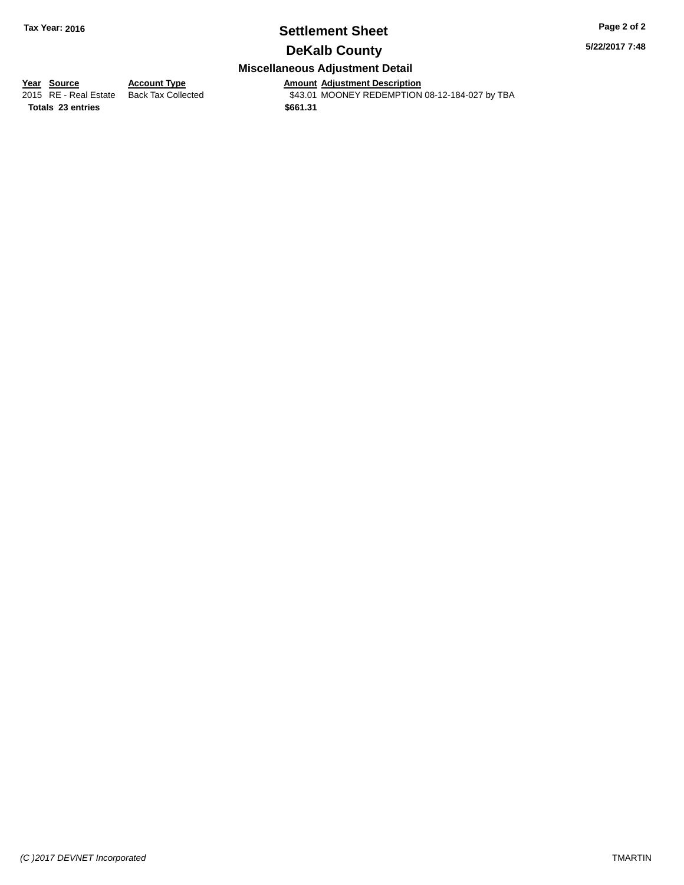# **Settlement Sheet Tax Year: 2016 Page 2 of 2**

**5/22/2017 7:48**

### **DeKalb County**

### **Miscellaneous Adjustment Detail**

**Totals 23 entries \$661.31**

**<u>Year Source</u> <b>Account Type Amount Adjustment Description**<br>2015 RE - Real Estate Back Tax Collected \$43.01 MOONEY REDEMPTION \$43.01 MOONEY REDEMPTION 08-12-184-027 by TBA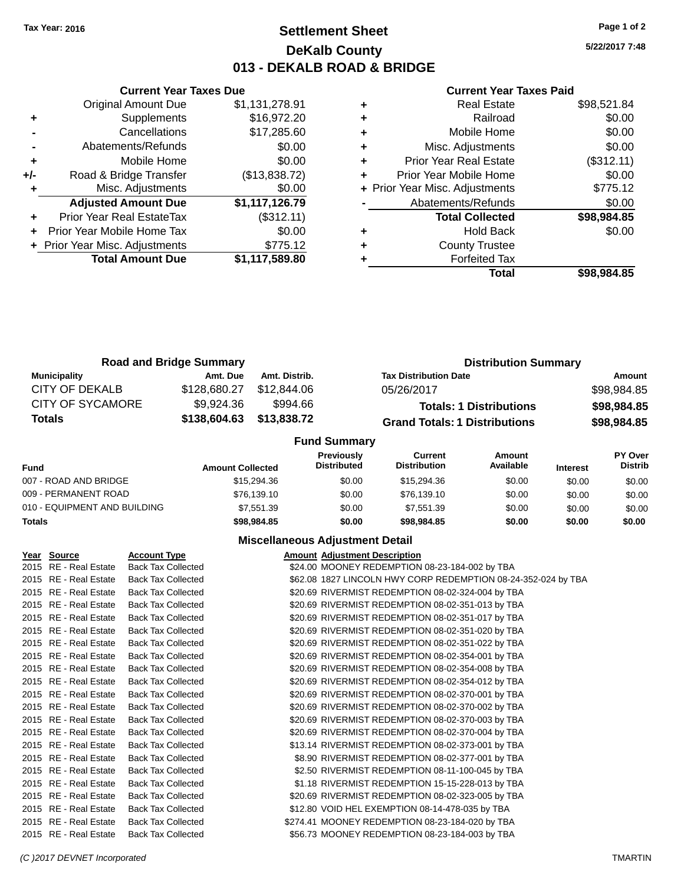### **Settlement Sheet Tax Year: 2016 Page 1 of 2 DeKalb County 013 - DEKALB ROAD & BRIDGE**

**5/22/2017 7:48**

#### **Current Year Taxes Paid**

|       | <b>Current Year Taxes Due</b>  |                |
|-------|--------------------------------|----------------|
|       | <b>Original Amount Due</b>     | \$1,131,278.91 |
| ٠     | Supplements                    | \$16,972.20    |
|       | Cancellations                  | \$17,285.60    |
|       | Abatements/Refunds             | \$0.00         |
| ٠     | Mobile Home                    | \$0.00         |
| $+/-$ | Road & Bridge Transfer         | (\$13,838.72)  |
|       | Misc. Adjustments              | \$0.00         |
|       | <b>Adjusted Amount Due</b>     | \$1,117,126.79 |
|       | Prior Year Real EstateTax      | (\$312.11)     |
|       | Prior Year Mobile Home Tax     | \$0.00         |
|       | + Prior Year Misc. Adjustments | \$775.12       |
|       | <b>Total Amount Due</b>        | \$1,117,589.80 |
|       |                                |                |

|   | <b>Real Estate</b>             | \$98,521.84 |
|---|--------------------------------|-------------|
| ٠ | Railroad                       | \$0.00      |
| ٠ | Mobile Home                    | \$0.00      |
| ٠ | Misc. Adjustments              | \$0.00      |
| ٠ | <b>Prior Year Real Estate</b>  | (\$312.11)  |
| ٠ | Prior Year Mobile Home         | \$0.00      |
|   | + Prior Year Misc. Adjustments | \$775.12    |
|   | Abatements/Refunds             | \$0.00      |
|   | <b>Total Collected</b>         | \$98,984.85 |
| ٠ | <b>Hold Back</b>               | \$0.00      |
| ٠ | <b>County Trustee</b>          |             |
|   | <b>Forfeited Tax</b>           |             |
|   | Total                          | \$98.984.85 |

| <b>Road and Bridge Summary</b> |              |               |                           | <b>Distribution Summary</b>          |                                |  |  |                           |
|--------------------------------|--------------|---------------|---------------------------|--------------------------------------|--------------------------------|--|--|---------------------------|
| <b>Municipality</b>            | Amt. Due     | Amt. Distrib. |                           | <b>Tax Distribution Date</b>         |                                |  |  | Amount                    |
| CITY OF DEKALB                 | \$128,680.27 | \$12,844,06   |                           | 05/26/2017                           |                                |  |  | \$98,984.85               |
| <b>CITY OF SYCAMORE</b>        | \$9,924.36   | \$994.66      |                           |                                      | <b>Totals: 1 Distributions</b> |  |  | \$98,984.85               |
| <b>Totals</b>                  | \$138,604.63 | \$13,838.72   |                           | <b>Grand Totals: 1 Distributions</b> |                                |  |  | \$98,984.85               |
|                                |              |               | <b>Fund Summary</b>       |                                      |                                |  |  |                           |
|                                |              | .             | Previously<br>Diotributed | <b>Current</b><br>Diotribution       | Amount<br><b>Available</b>     |  |  | PY Over<br><b>Diotrib</b> |

| Fund                         | <b>Amount Collected</b> | 11571VUJIV<br><b>Distributed</b> | <u>vuutu</u><br><b>Distribution</b> | <b>AUVULL</b><br>Available | <b>Interest</b> | וטע ו ו<br><b>Distrib</b> |
|------------------------------|-------------------------|----------------------------------|-------------------------------------|----------------------------|-----------------|---------------------------|
| 007 - ROAD AND BRIDGE        | \$15,294.36             | \$0.00                           | \$15,294.36                         | \$0.00                     | \$0.00          | \$0.00                    |
| 009 - PERMANENT ROAD         | \$76,139.10             | \$0.00                           | \$76.139.10                         | \$0.00                     | \$0.00          | \$0.00                    |
| 010 - EQUIPMENT AND BUILDING | \$7.551.39              | \$0.00                           | \$7.551.39                          | \$0.00                     | \$0.00          | \$0.00                    |
| Totals                       | \$98,984.85             | \$0.00                           | \$98,984.85                         | \$0.00                     | \$0.00          | \$0.00                    |

### **Miscellaneous Adjustment Detail**

| Year Source           | <b>Account Type</b>       | <b>Amount Adjustment Description</b>                          |
|-----------------------|---------------------------|---------------------------------------------------------------|
| 2015 RE - Real Estate | <b>Back Tax Collected</b> | \$24.00 MOONEY REDEMPTION 08-23-184-002 by TBA                |
| 2015 RE - Real Estate | <b>Back Tax Collected</b> | \$62.08 1827 LINCOLN HWY CORP REDEMPTION 08-24-352-024 by TBA |
| 2015 RE - Real Estate | <b>Back Tax Collected</b> | \$20.69 RIVERMIST REDEMPTION 08-02-324-004 by TBA             |
| 2015 RE - Real Estate | <b>Back Tax Collected</b> | \$20.69 RIVERMIST REDEMPTION 08-02-351-013 by TBA             |
| 2015 RE - Real Estate | <b>Back Tax Collected</b> | \$20.69 RIVERMIST REDEMPTION 08-02-351-017 by TBA             |
| 2015 RE - Real Estate | <b>Back Tax Collected</b> | \$20.69 RIVERMIST REDEMPTION 08-02-351-020 by TBA             |
| 2015 RE - Real Estate | <b>Back Tax Collected</b> | \$20.69 RIVERMIST REDEMPTION 08-02-351-022 by TBA             |
| 2015 RE - Real Estate | <b>Back Tax Collected</b> | \$20.69 RIVERMIST REDEMPTION 08-02-354-001 by TBA             |
| 2015 RE - Real Estate | <b>Back Tax Collected</b> | \$20.69 RIVERMIST REDEMPTION 08-02-354-008 by TBA             |
| 2015 RE - Real Estate | <b>Back Tax Collected</b> | \$20.69 RIVERMIST REDEMPTION 08-02-354-012 by TBA             |
| 2015 RE - Real Estate | <b>Back Tax Collected</b> | \$20.69 RIVERMIST REDEMPTION 08-02-370-001 by TBA             |
| 2015 RE - Real Estate | <b>Back Tax Collected</b> | \$20.69 RIVERMIST REDEMPTION 08-02-370-002 by TBA             |
| 2015 RE - Real Estate | <b>Back Tax Collected</b> | \$20.69 RIVERMIST REDEMPTION 08-02-370-003 by TBA             |
| 2015 RE - Real Estate | <b>Back Tax Collected</b> | \$20.69 RIVERMIST REDEMPTION 08-02-370-004 by TBA             |
| 2015 RE - Real Estate | <b>Back Tax Collected</b> | \$13.14 RIVERMIST REDEMPTION 08-02-373-001 by TBA             |
| 2015 RE - Real Estate | <b>Back Tax Collected</b> | \$8.90 RIVERMIST REDEMPTION 08-02-377-001 by TBA              |
| 2015 RE - Real Estate | <b>Back Tax Collected</b> | \$2.50 RIVERMIST REDEMPTION 08-11-100-045 by TBA              |
| 2015 RE - Real Estate | <b>Back Tax Collected</b> | \$1.18 RIVERMIST REDEMPTION 15-15-228-013 by TBA              |
| 2015 RE - Real Estate | <b>Back Tax Collected</b> | \$20.69 RIVERMIST REDEMPTION 08-02-323-005 by TBA             |
| 2015 RE - Real Estate | <b>Back Tax Collected</b> | \$12.80 VOID HEL EXEMPTION 08-14-478-035 by TBA               |
| 2015 RE - Real Estate | <b>Back Tax Collected</b> | \$274.41 MOONEY REDEMPTION 08-23-184-020 by TBA               |
| 2015 RE - Real Estate | <b>Back Tax Collected</b> | \$56.73 MOONEY REDEMPTION 08-23-184-003 by TBA                |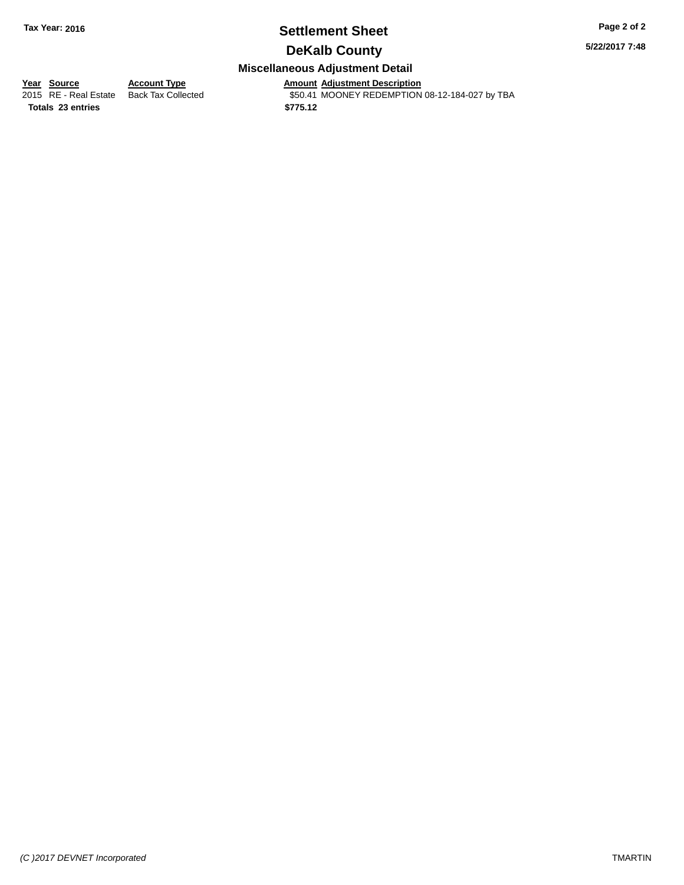# **Settlement Sheet Tax Year: 2016 Page 2 of 2**

**5/22/2017 7:48**

### **DeKalb County**

### **Miscellaneous Adjustment Detail**

**Totals 23 entries \$775.12**

**Year Source Account Type**<br>
2015 RE - Real Estate Back Tax Collected **Amount Adjustment Description**<br>
\$50.41 MOONEY REDEMPTION \$50.41 MOONEY REDEMPTION 08-12-184-027 by TBA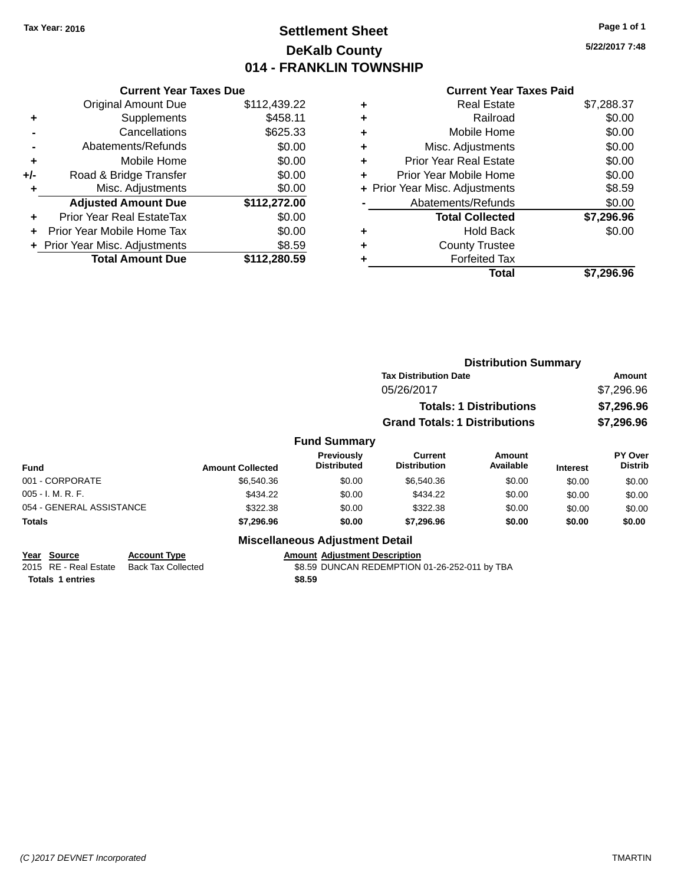# **Settlement Sheet Tax Year: 2016 Page 1 of 1 DeKalb County 014 - FRANKLIN TOWNSHIP**

**5/22/2017 7:48**

### **Current Year Taxes Paid**

|     | <b>Current Year Taxes Due</b>  |              |
|-----|--------------------------------|--------------|
|     | <b>Original Amount Due</b>     | \$112,439.22 |
| ٠   | Supplements                    | \$458.11     |
|     | Cancellations                  | \$625.33     |
|     | Abatements/Refunds             | \$0.00       |
| ٠   | Mobile Home                    | \$0.00       |
| +/- | Road & Bridge Transfer         | \$0.00       |
| ٠   | Misc. Adjustments              | \$0.00       |
|     | <b>Adjusted Amount Due</b>     | \$112,272.00 |
| ٠   | Prior Year Real EstateTax      | \$0.00       |
|     | Prior Year Mobile Home Tax     | \$0.00       |
|     | + Prior Year Misc. Adjustments | \$8.59       |
|     | <b>Total Amount Due</b>        | \$112,280,59 |
|     |                                |              |

| ۰ | <b>Real Estate</b>             | \$7,288.37 |
|---|--------------------------------|------------|
| ٠ | Railroad                       | \$0.00     |
| ٠ | Mobile Home                    | \$0.00     |
| ٠ | Misc. Adjustments              | \$0.00     |
| ٠ | <b>Prior Year Real Estate</b>  | \$0.00     |
| ٠ | Prior Year Mobile Home         | \$0.00     |
|   | + Prior Year Misc. Adjustments | \$8.59     |
|   | Abatements/Refunds             | \$0.00     |
|   | <b>Total Collected</b>         | \$7,296.96 |
| ٠ | Hold Back                      | \$0.00     |
| ٠ | <b>County Trustee</b>          |            |
|   | <b>Forfeited Tax</b>           |            |
|   | Total                          | \$7.296.96 |
|   |                                |            |

|                                |                         | <b>Distribution Summary</b>            |                                      |                            |                 |                           |
|--------------------------------|-------------------------|----------------------------------------|--------------------------------------|----------------------------|-----------------|---------------------------|
|                                |                         |                                        | <b>Tax Distribution Date</b>         |                            |                 | Amount                    |
|                                | 05/26/2017              |                                        |                                      |                            |                 | \$7,296.96                |
| <b>Totals: 1 Distributions</b> |                         |                                        |                                      |                            | \$7,296.96      |                           |
|                                |                         |                                        | <b>Grand Totals: 1 Distributions</b> |                            |                 | \$7,296.96                |
|                                |                         | <b>Fund Summary</b>                    |                                      |                            |                 |                           |
| Fund                           | <b>Amount Collected</b> | Previously<br><b>Distributed</b>       | Current<br><b>Distribution</b>       | <b>Amount</b><br>Available | <b>Interest</b> | PY Over<br><b>Distrib</b> |
| 001 - CORPORATE                | \$6,540.36              | \$0.00                                 | \$6,540.36                           | \$0.00                     | \$0.00          | \$0.00                    |
| 005 - I. M. R. F.              | \$434.22                | \$0.00                                 | \$434.22                             | \$0.00                     | \$0.00          | \$0.00                    |
| 054 - GENERAL ASSISTANCE       | \$322.38                | \$0.00                                 | \$322.38                             | \$0.00                     | \$0.00          | \$0.00                    |
| <b>Totals</b>                  | \$7,296.96              | \$0.00                                 | \$7,296.96                           | \$0.00                     | \$0.00          | \$0.00                    |
|                                |                         | <b>Miscellaneous Adjustment Detail</b> |                                      |                            |                 |                           |

**Year Source Account Type**<br>
2015 RE - Real Estate Back Tax Collected **Amount Adjustment Description**<br>
\$8.59 DUNCAN REDEMPTION

 $\overline{$8.59}$  DUNCAN REDEMPTION 01-26-252-011 by TBA

**Totals 1 entries \$8.59**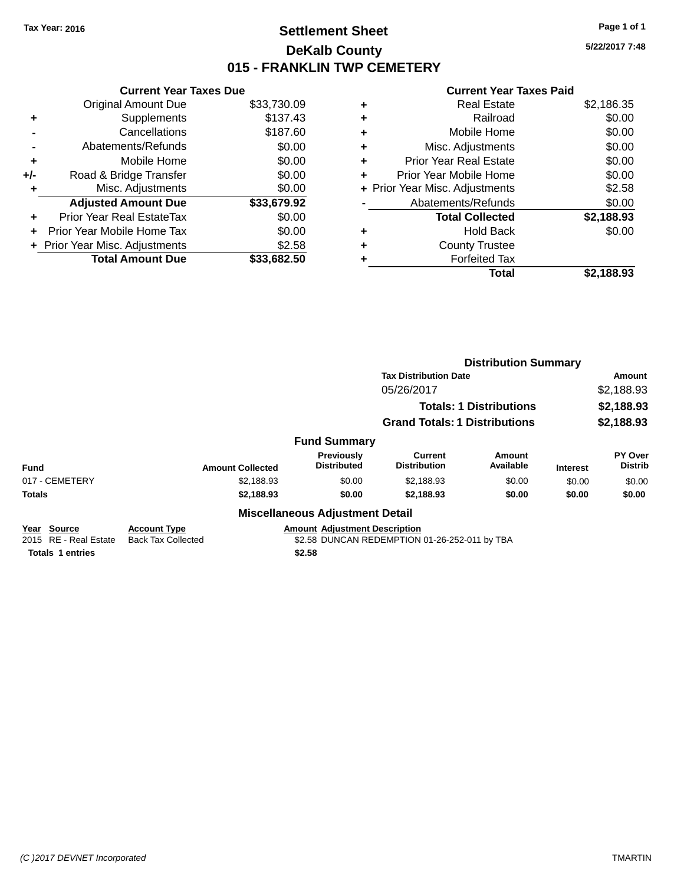# **Settlement Sheet Tax Year: 2016 Page 1 of 1 DeKalb County 015 - FRANKLIN TWP CEMETERY**

**5/22/2017 7:48**

#### **Current Year Taxes Paid**

|     | <b>Current Year Taxes Due</b>    |             |  |  |
|-----|----------------------------------|-------------|--|--|
|     | <b>Original Amount Due</b>       | \$33,730.09 |  |  |
| ÷   | Supplements                      | \$137.43    |  |  |
|     | Cancellations                    | \$187.60    |  |  |
|     | Abatements/Refunds               | \$0.00      |  |  |
| ٠   | Mobile Home                      | \$0.00      |  |  |
| +/- | Road & Bridge Transfer           | \$0.00      |  |  |
|     | Misc. Adjustments                | \$0.00      |  |  |
|     | <b>Adjusted Amount Due</b>       | \$33,679.92 |  |  |
| ÷   | <b>Prior Year Real EstateTax</b> | \$0.00      |  |  |
| ÷   | Prior Year Mobile Home Tax       | \$0.00      |  |  |
|     | + Prior Year Misc. Adjustments   | \$2.58      |  |  |
|     | <b>Total Amount Due</b>          | \$33,682.50 |  |  |

| ٠ | <b>Real Estate</b>             | \$2,186.35 |
|---|--------------------------------|------------|
| ٠ | Railroad                       | \$0.00     |
| ٠ | Mobile Home                    | \$0.00     |
| ٠ | Misc. Adjustments              | \$0.00     |
| ٠ | <b>Prior Year Real Estate</b>  | \$0.00     |
| ٠ | Prior Year Mobile Home         | \$0.00     |
|   | + Prior Year Misc. Adjustments | \$2.58     |
|   | Abatements/Refunds             | \$0.00     |
|   | <b>Total Collected</b>         | \$2,188.93 |
| ٠ | Hold Back                      | \$0.00     |
| ٠ | <b>County Trustee</b>          |            |
| ٠ | <b>Forfeited Tax</b>           |            |
|   | Total                          | \$2.188.93 |
|   |                                |            |

|                                      |                                                  |                                                                                       | <b>Distribution Summary</b>          |                                |                 |                           |
|--------------------------------------|--------------------------------------------------|---------------------------------------------------------------------------------------|--------------------------------------|--------------------------------|-----------------|---------------------------|
|                                      |                                                  |                                                                                       | <b>Tax Distribution Date</b>         |                                |                 | <b>Amount</b>             |
|                                      |                                                  |                                                                                       | 05/26/2017                           |                                |                 | \$2,188.93                |
|                                      |                                                  |                                                                                       |                                      | <b>Totals: 1 Distributions</b> |                 | \$2,188.93                |
|                                      |                                                  |                                                                                       | <b>Grand Totals: 1 Distributions</b> |                                |                 | \$2,188.93                |
|                                      |                                                  | <b>Fund Summary</b>                                                                   |                                      |                                |                 |                           |
| <b>Fund</b>                          | <b>Amount Collected</b>                          | Previously<br><b>Distributed</b>                                                      | Current<br><b>Distribution</b>       | <b>Amount</b><br>Available     | <b>Interest</b> | PY Over<br><b>Distrib</b> |
| 017 - CEMETERY                       | \$2,188.93                                       | \$0.00                                                                                | \$2,188.93                           | \$0.00                         | \$0.00          | \$0.00                    |
| <b>Totals</b>                        | \$2,188.93                                       | \$0.00                                                                                | \$2,188.93                           | \$0.00                         | \$0.00          | \$0.00                    |
|                                      |                                                  | <b>Miscellaneous Adjustment Detail</b>                                                |                                      |                                |                 |                           |
| Year Source<br>2015 RE - Real Estate | <b>Account Type</b><br><b>Back Tax Collected</b> | <b>Amount Adjustment Description</b><br>\$2.58 DUNCAN REDEMPTION 01-26-252-011 by TBA |                                      |                                |                 |                           |

**Totals 1 entries \$2.58**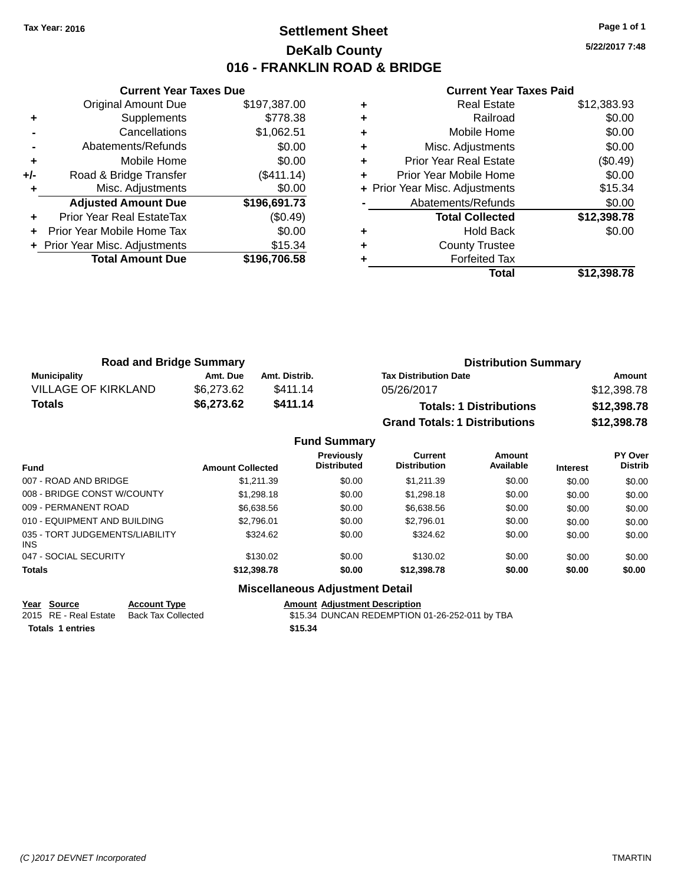# **Settlement Sheet Tax Year: 2016 Page 1 of 1 DeKalb County 016 - FRANKLIN ROAD & BRIDGE**

**5/22/2017 7:48**

#### **Current Year Taxes Paid**

|       | <b>Current Year Taxes Due</b>  |              |
|-------|--------------------------------|--------------|
|       | <b>Original Amount Due</b>     | \$197,387.00 |
| ٠     | Supplements                    | \$778.38     |
|       | Cancellations                  | \$1,062.51   |
|       | Abatements/Refunds             | \$0.00       |
| ٠     | Mobile Home                    | \$0.00       |
| $+/-$ | Road & Bridge Transfer         | (\$411.14)   |
| ٠     | Misc. Adjustments              | \$0.00       |
|       | <b>Adjusted Amount Due</b>     | \$196,691.73 |
| ÷     | Prior Year Real EstateTax      | (\$0.49)     |
|       | Prior Year Mobile Home Tax     | \$0.00       |
|       | + Prior Year Misc. Adjustments | \$15.34      |
|       | <b>Total Amount Due</b>        | \$196,706.58 |
|       |                                |              |

|   | <b>Real Estate</b>             | \$12,383.93 |
|---|--------------------------------|-------------|
| ٠ | Railroad                       | \$0.00      |
| ٠ | Mobile Home                    | \$0.00      |
| ٠ | Misc. Adjustments              | \$0.00      |
| ٠ | <b>Prior Year Real Estate</b>  | (\$0.49)    |
| ٠ | Prior Year Mobile Home         | \$0.00      |
|   | + Prior Year Misc. Adjustments | \$15.34     |
|   | Abatements/Refunds             | \$0.00      |
|   | <b>Total Collected</b>         | \$12,398.78 |
| ٠ | <b>Hold Back</b>               | \$0.00      |
| ٠ | <b>County Trustee</b>          |             |
|   | <b>Forfeited Tax</b>           |             |
|   | Total                          | \$12.398.78 |

| <b>Road and Bridge Summary</b> |            |               | <b>Distribution Summary</b>          |             |  |
|--------------------------------|------------|---------------|--------------------------------------|-------------|--|
| Municipality                   | Amt. Due   | Amt. Distrib. | <b>Tax Distribution Date</b>         | Amount      |  |
| VILLAGE OF KIRKLAND            | \$6,273.62 | \$411.14      | 05/26/2017                           | \$12,398.78 |  |
| Totals                         | \$6,273.62 | \$411.14      | <b>Totals: 1 Distributions</b>       | \$12,398.78 |  |
|                                |            |               | <b>Grand Totals: 1 Distributions</b> | \$12,398.78 |  |

#### **Fund Summary Fund Interest Amount Collected Distributed PY Over Distrib Amount Available Current Distribution Previously** 007 - ROAD AND BRIDGE \$1,211.39 \$1,211.39 \$0.00 \$1,211.39 \$0.00 \$0.00 \$0.00 \$0.00 008 - BRIDGE CONST W/COUNTY  $$1,298.18$  \$0.00  $$1,298.18$  \$0.00 \$0.00 \$0.00 \$0.00 009 - PERMANENT ROAD \$6,638.56 \$0.00 \$6,638.56 \$0.00 \$0.00 \$0.00 010 - EQUIPMENT AND BUILDING \$2,796.01 \$0.00 \$2,796.01 \$0.00 \$0.00 \$0.00 \$0.00 \$0.00 035 - TORT JUDGEMENTS/LIABILITY INS \$324.62 \$0.00 \$324.62 \$0.00 \$0.00 \$0.00 047 - SOCIAL SECURITY \$130.02 \$0.00 \$0.00 \$0.00 \$0.00 \$0.00 \$0.00 **Totals \$12,398.78 \$0.00 \$12,398.78 \$0.00 \$0.00 \$0.00**

### **Miscellaneous Adjustment Detail**

| Year Source             | <b>Account Type</b> | <b>Amount Adiustment Description</b>           |
|-------------------------|---------------------|------------------------------------------------|
| 2015 RE - Real Estate   | Back Tax Collected  | \$15.34 DUNCAN REDEMPTION 01-26-252-011 by TBA |
| <b>Totals 1 entries</b> |                     | \$15.34                                        |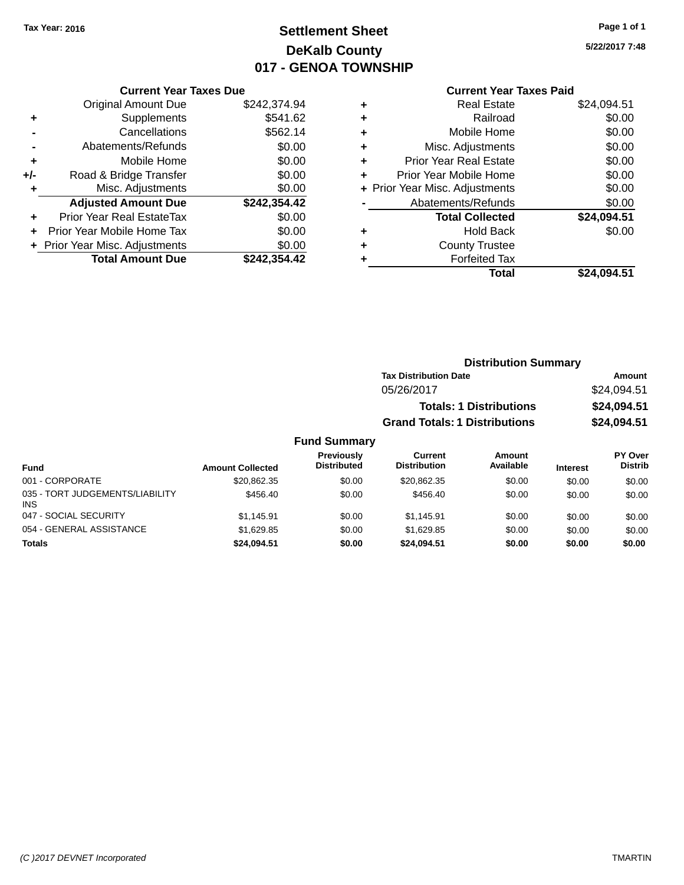# **Settlement Sheet Tax Year: 2016 Page 1 of 1 DeKalb County 017 - GENOA TOWNSHIP**

### **5/22/2017 7:48**

#### **Current Year Taxes Paid**

|     | <b>Current Year Taxes Due</b>     |              |  |  |
|-----|-----------------------------------|--------------|--|--|
|     | <b>Original Amount Due</b>        | \$242,374.94 |  |  |
| ٠   | Supplements                       | \$541.62     |  |  |
|     | Cancellations                     | \$562.14     |  |  |
|     | Abatements/Refunds                | \$0.00       |  |  |
| ٠   | Mobile Home                       | \$0.00       |  |  |
| +/- | Road & Bridge Transfer            | \$0.00       |  |  |
| ÷   | Misc. Adjustments                 | \$0.00       |  |  |
|     | <b>Adjusted Amount Due</b>        | \$242,354.42 |  |  |
| ٠   | Prior Year Real EstateTax         | \$0.00       |  |  |
| ٠   | <b>Prior Year Mobile Home Tax</b> | \$0.00       |  |  |
|     | + Prior Year Misc. Adjustments    | \$0.00       |  |  |
|     | <b>Total Amount Due</b>           | \$242.354.42 |  |  |

| ٠ | <b>Real Estate</b>             | \$24,094.51 |
|---|--------------------------------|-------------|
| ٠ | Railroad                       | \$0.00      |
| ٠ | Mobile Home                    | \$0.00      |
| ٠ | Misc. Adjustments              | \$0.00      |
| ٠ | <b>Prior Year Real Estate</b>  | \$0.00      |
| ٠ | Prior Year Mobile Home         | \$0.00      |
|   | + Prior Year Misc. Adjustments | \$0.00      |
|   | Abatements/Refunds             | \$0.00      |
|   | <b>Total Collected</b>         | \$24,094.51 |
| ٠ | <b>Hold Back</b>               | \$0.00      |
| ٠ | <b>County Trustee</b>          |             |
| ٠ | <b>Forfeited Tax</b>           |             |
|   | Total                          | \$24.094.51 |
|   |                                |             |

| <b>Distribution Summary</b>          |             |  |  |
|--------------------------------------|-------------|--|--|
| <b>Tax Distribution Date</b>         | Amount      |  |  |
| 05/26/2017                           | \$24,094.51 |  |  |
| <b>Totals: 1 Distributions</b>       | \$24,094.51 |  |  |
| <b>Grand Totals: 1 Distributions</b> | \$24,094.51 |  |  |

| Fund                                          | <b>Amount Collected</b> | <b>Previously</b><br><b>Distributed</b> | Current<br><b>Distribution</b> | Amount<br>Available | <b>Interest</b> | <b>PY Over</b><br><b>Distrib</b> |
|-----------------------------------------------|-------------------------|-----------------------------------------|--------------------------------|---------------------|-----------------|----------------------------------|
| 001 - CORPORATE                               | \$20.862.35             | \$0.00                                  | \$20.862.35                    | \$0.00              | \$0.00          | \$0.00                           |
| 035 - TORT JUDGEMENTS/LIABILITY<br><b>INS</b> | \$456.40                | \$0.00                                  | \$456.40                       | \$0.00              | \$0.00          | \$0.00                           |
| 047 - SOCIAL SECURITY                         | \$1.145.91              | \$0.00                                  | \$1.145.91                     | \$0.00              | \$0.00          | \$0.00                           |
| 054 - GENERAL ASSISTANCE                      | \$1,629.85              | \$0.00                                  | \$1.629.85                     | \$0.00              | \$0.00          | \$0.00                           |
| <b>Totals</b>                                 | \$24.094.51             | \$0.00                                  | \$24.094.51                    | \$0.00              | \$0.00          | \$0.00                           |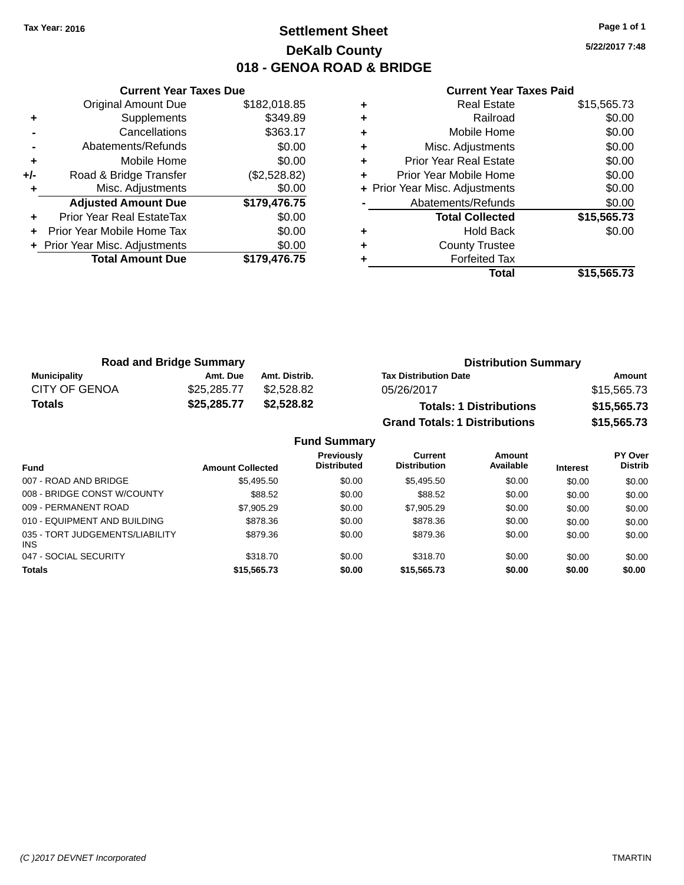# **Settlement Sheet Tax Year: 2016 Page 1 of 1 DeKalb County 018 - GENOA ROAD & BRIDGE**

**5/22/2017 7:48**

|     | <b>Current Year Taxes Due</b>  |              |  |  |
|-----|--------------------------------|--------------|--|--|
|     | <b>Original Amount Due</b>     | \$182,018.85 |  |  |
| ٠   | Supplements                    | \$349.89     |  |  |
|     | Cancellations                  | \$363.17     |  |  |
|     | Abatements/Refunds             | \$0.00       |  |  |
| ٠   | Mobile Home                    | \$0.00       |  |  |
| +/- | Road & Bridge Transfer         | (\$2,528.82) |  |  |
|     | Misc. Adjustments              | \$0.00       |  |  |
|     | <b>Adjusted Amount Due</b>     | \$179,476.75 |  |  |
|     | Prior Year Real EstateTax      | \$0.00       |  |  |
|     | Prior Year Mobile Home Tax     | \$0.00       |  |  |
|     | + Prior Year Misc. Adjustments | \$0.00       |  |  |
|     | <b>Total Amount Due</b>        | \$179,476.75 |  |  |
|     |                                |              |  |  |

|   | Real Estate                    | \$15,565.73 |
|---|--------------------------------|-------------|
| ٠ | Railroad                       | \$0.00      |
| ٠ | Mobile Home                    | \$0.00      |
| ٠ | Misc. Adjustments              | \$0.00      |
| ٠ | <b>Prior Year Real Estate</b>  | \$0.00      |
| ٠ | Prior Year Mobile Home         | \$0.00      |
|   | + Prior Year Misc. Adjustments | \$0.00      |
|   | Abatements/Refunds             | \$0.00      |
|   | <b>Total Collected</b>         | \$15,565.73 |
| ٠ | Hold Back                      | \$0.00      |
| ٠ | <b>County Trustee</b>          |             |
|   | <b>Forfeited Tax</b>           |             |
|   | Total                          | \$15.565.73 |

| <b>Road and Bridge Summary</b> |             |               | <b>Distribution Summary</b>          |             |  |
|--------------------------------|-------------|---------------|--------------------------------------|-------------|--|
| Municipality                   | Amt. Due    | Amt. Distrib. | <b>Tax Distribution Date</b>         | Amount      |  |
| <b>CITY OF GENOA</b>           | \$25,285.77 | \$2,528.82    | 05/26/2017                           | \$15,565.73 |  |
| <b>Totals</b>                  | \$25,285.77 | \$2.528.82    | <b>Totals: 1 Distributions</b>       | \$15,565.73 |  |
|                                |             |               | <b>Grand Totals: 1 Distributions</b> | \$15,565.73 |  |

|                                        |                         | <b>Fund Summary</b>                     |                                |                     |                 |                                  |
|----------------------------------------|-------------------------|-----------------------------------------|--------------------------------|---------------------|-----------------|----------------------------------|
| <b>Fund</b>                            | <b>Amount Collected</b> | <b>Previously</b><br><b>Distributed</b> | Current<br><b>Distribution</b> | Amount<br>Available | <b>Interest</b> | <b>PY Over</b><br><b>Distrib</b> |
| 007 - ROAD AND BRIDGE                  | \$5,495.50              | \$0.00                                  | \$5,495.50                     | \$0.00              | \$0.00          | \$0.00                           |
| 008 - BRIDGE CONST W/COUNTY            | \$88.52                 | \$0.00                                  | \$88.52                        | \$0.00              | \$0.00          | \$0.00                           |
| 009 - PERMANENT ROAD                   | \$7,905.29              | \$0.00                                  | \$7,905.29                     | \$0.00              | \$0.00          | \$0.00                           |
| 010 - EQUIPMENT AND BUILDING           | \$878.36                | \$0.00                                  | \$878.36                       | \$0.00              | \$0.00          | \$0.00                           |
| 035 - TORT JUDGEMENTS/LIABILITY<br>INS | \$879.36                | \$0.00                                  | \$879.36                       | \$0.00              | \$0.00          | \$0.00                           |
| 047 - SOCIAL SECURITY                  | \$318.70                | \$0.00                                  | \$318.70                       | \$0.00              | \$0.00          | \$0.00                           |
| <b>Totals</b>                          | \$15,565.73             | \$0.00                                  | \$15,565.73                    | \$0.00              | \$0.00          | \$0.00                           |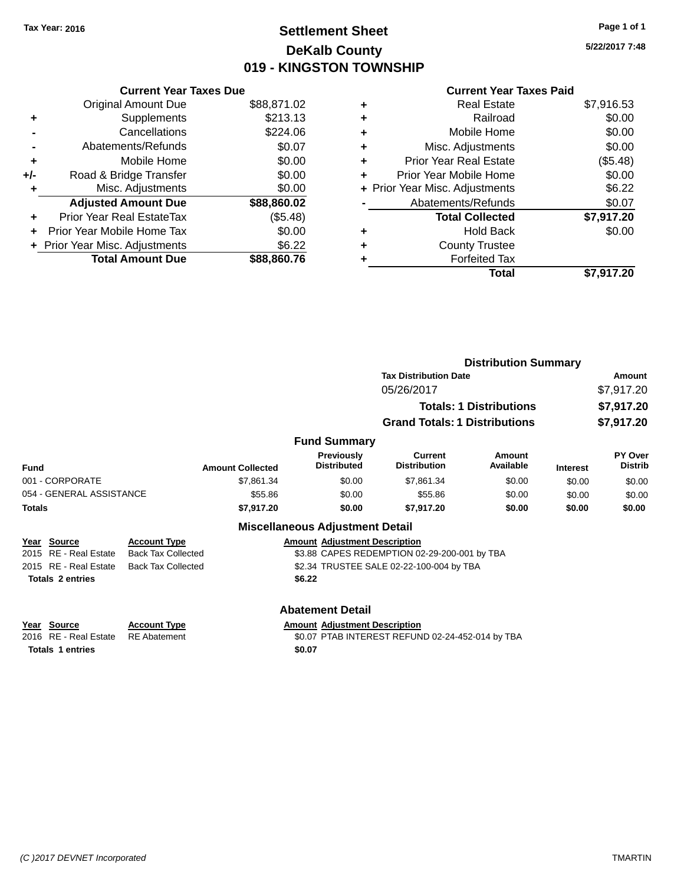# **Settlement Sheet Tax Year: 2016 Page 1 of 1 DeKalb County 019 - KINGSTON TOWNSHIP**

**5/22/2017 7:48**

#### **Current Year Taxes Paid**

|     | <b>Current Year Taxes Due</b>  |             |
|-----|--------------------------------|-------------|
|     | <b>Original Amount Due</b>     | \$88,871.02 |
| ٠   | Supplements                    | \$213.13    |
|     | Cancellations                  | \$224.06    |
|     | Abatements/Refunds             | \$0.07      |
| ٠   | Mobile Home                    | \$0.00      |
| +/- | Road & Bridge Transfer         | \$0.00      |
| ٠   | Misc. Adjustments              | \$0.00      |
|     | <b>Adjusted Amount Due</b>     | \$88,860.02 |
| ÷   | Prior Year Real EstateTax      | (\$5.48)    |
| ÷   | Prior Year Mobile Home Tax     | \$0.00      |
|     | + Prior Year Misc. Adjustments | \$6.22      |
|     | <b>Total Amount Due</b>        | \$88,860.76 |

|   | <b>Real Estate</b>             | \$7,916.53 |
|---|--------------------------------|------------|
| ٠ | Railroad                       | \$0.00     |
| ٠ | Mobile Home                    | \$0.00     |
| ٠ | Misc. Adjustments              | \$0.00     |
| ٠ | <b>Prior Year Real Estate</b>  | (\$5.48)   |
| ٠ | Prior Year Mobile Home         | \$0.00     |
|   | + Prior Year Misc. Adjustments | \$6.22     |
|   | Abatements/Refunds             | \$0.07     |
|   | <b>Total Collected</b>         | \$7,917.20 |
| ٠ | <b>Hold Back</b>               | \$0.00     |
|   | <b>County Trustee</b>          |            |
| ٠ | <b>Forfeited Tax</b>           |            |
|   | Total                          | \$7.917.20 |
|   |                                |            |

|                                      |                                                  |                         |                                         |                                              | <b>Distribution Summary</b>    |                 |                           |
|--------------------------------------|--------------------------------------------------|-------------------------|-----------------------------------------|----------------------------------------------|--------------------------------|-----------------|---------------------------|
|                                      |                                                  |                         | <b>Tax Distribution Date</b>            |                                              |                                |                 | Amount                    |
|                                      |                                                  |                         |                                         | 05/26/2017                                   |                                |                 | \$7,917.20                |
|                                      |                                                  |                         |                                         |                                              | <b>Totals: 1 Distributions</b> |                 | \$7,917.20                |
|                                      |                                                  |                         |                                         | <b>Grand Totals: 1 Distributions</b>         |                                |                 | \$7,917.20                |
|                                      |                                                  |                         | <b>Fund Summary</b>                     |                                              |                                |                 |                           |
| <b>Fund</b>                          |                                                  | <b>Amount Collected</b> | <b>Previously</b><br><b>Distributed</b> | <b>Current</b><br><b>Distribution</b>        | Amount<br>Available            | <b>Interest</b> | PY Over<br><b>Distrib</b> |
| 001 - CORPORATE                      |                                                  | \$7,861.34              | \$0.00                                  | \$7,861.34                                   | \$0.00                         | \$0.00          | \$0.00                    |
| 054 - GENERAL ASSISTANCE             |                                                  | \$55.86                 | \$0.00                                  | \$55.86                                      | \$0.00                         | \$0.00          | \$0.00                    |
| <b>Totals</b>                        |                                                  | \$7,917.20              | \$0.00                                  | \$7,917.20                                   | \$0.00                         | \$0.00          | \$0.00                    |
|                                      |                                                  |                         | <b>Miscellaneous Adjustment Detail</b>  |                                              |                                |                 |                           |
| Year Source<br>2015 RE - Real Estate | <b>Account Type</b><br><b>Back Tax Collected</b> |                         | <b>Amount Adjustment Description</b>    | \$3.88 CAPES REDEMPTION 02-29-200-001 by TBA |                                |                 |                           |
| 2015 RE - Real Estate                | <b>Back Tax Collected</b>                        |                         |                                         | \$2.34 TRUSTEE SALE 02-22-100-004 by TBA     |                                |                 |                           |
| <b>Totals 2 entries</b>              |                                                  |                         | \$6.22                                  |                                              |                                |                 |                           |
|                                      |                                                  |                         | <b>Abatement Detail</b>                 |                                              |                                |                 |                           |

**<u>Year Source</u> <b>Account Type**<br>
2016 RE - Real Estate RE Abatement **Totals 1 entries \$0.07**

Amount Adjustment Description<br>\$0.07 PTAB INTEREST REFUND 02-24-452-014 by TBA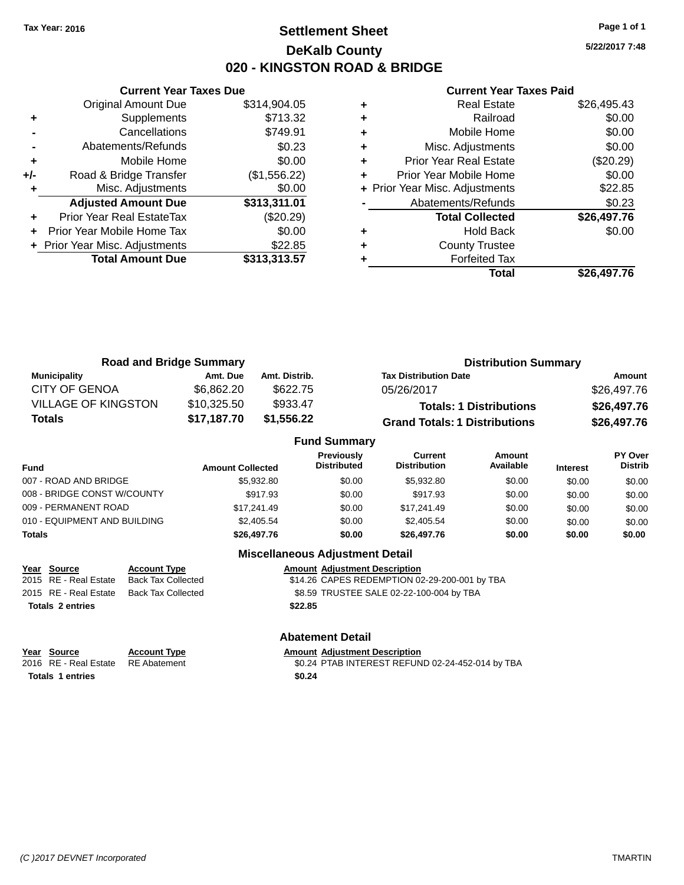# **Settlement Sheet Tax Year: 2016 Page 1 of 1 DeKalb County 020 - KINGSTON ROAD & BRIDGE**

**5/22/2017 7:48**

#### **Current Year Taxes Paid**

|     | <b>Current Year Taxes Due</b>  |              |
|-----|--------------------------------|--------------|
|     | <b>Original Amount Due</b>     | \$314,904.05 |
| ٠   | Supplements                    | \$713.32     |
|     | Cancellations                  | \$749.91     |
|     | Abatements/Refunds             | \$0.23       |
| ٠   | Mobile Home                    | \$0.00       |
| +/- | Road & Bridge Transfer         | (\$1,556.22) |
|     | Misc. Adjustments              | \$0.00       |
|     | <b>Adjusted Amount Due</b>     | \$313,311.01 |
| ÷   | Prior Year Real EstateTax      | $(\$20.29)$  |
|     | Prior Year Mobile Home Tax     | \$0.00       |
|     | + Prior Year Misc. Adjustments | \$22.85      |
|     | <b>Total Amount Due</b>        | \$313,313.57 |
|     |                                |              |

| ٠ | <b>County Trustee</b><br><b>Forfeited Tax</b> |                       |
|---|-----------------------------------------------|-----------------------|
|   | <b>Total Collected</b><br><b>Hold Back</b>    | \$26,497.76<br>\$0.00 |
|   | Abatements/Refunds                            | \$0.23                |
|   | + Prior Year Misc. Adjustments                | \$22.85               |
|   | Prior Year Mobile Home                        | \$0.00                |
| ٠ | <b>Prior Year Real Estate</b>                 | (\$20.29)             |
| ٠ | Misc. Adjustments                             | \$0.00                |
| ٠ | Mobile Home                                   | \$0.00                |
| ٠ | Railroad                                      | \$0.00                |
|   | <b>Real Estate</b>                            | \$26,495.43           |

| <b>Road and Bridge Summary</b> |             |               | <b>Distribution Summary</b>          |             |  |
|--------------------------------|-------------|---------------|--------------------------------------|-------------|--|
| Municipality                   | Amt. Due    | Amt. Distrib. | <b>Tax Distribution Date</b>         | Amount      |  |
| <b>CITY OF GENOA</b>           | \$6.862.20  | \$622.75      | 05/26/2017                           | \$26,497.76 |  |
| <b>VILLAGE OF KINGSTON</b>     | \$10,325.50 | \$933.47      | <b>Totals: 1 Distributions</b>       | \$26,497.76 |  |
| Totals                         | \$17,187.70 | \$1,556.22    | <b>Grand Totals: 1 Distributions</b> | \$26,497.76 |  |

|                              |                         | <b>Fund Summary</b>              |                                       |                     |                 |                           |
|------------------------------|-------------------------|----------------------------------|---------------------------------------|---------------------|-----------------|---------------------------|
| <b>Fund</b>                  | <b>Amount Collected</b> | Previously<br><b>Distributed</b> | <b>Current</b><br><b>Distribution</b> | Amount<br>Available | <b>Interest</b> | PY Over<br><b>Distrib</b> |
| 007 - ROAD AND BRIDGE        | \$5,932.80              | \$0.00                           | \$5,932.80                            | \$0.00              | \$0.00          | \$0.00                    |
| 008 - BRIDGE CONST W/COUNTY  | \$917.93                | \$0.00                           | \$917.93                              | \$0.00              | \$0.00          | \$0.00                    |
| 009 - PERMANENT ROAD         | \$17.241.49             | \$0.00                           | \$17.241.49                           | \$0.00              | \$0.00          | \$0.00                    |
| 010 - EQUIPMENT AND BUILDING | \$2,405.54              | \$0.00                           | \$2,405.54                            | \$0.00              | \$0.00          | \$0.00                    |
| <b>Totals</b>                | \$26,497.76             | \$0.00                           | \$26,497.76                           | \$0.00              | \$0.00          | \$0.00                    |

|                         |                           | <b>Miscellaneous Adjustment Detail</b>        |  |
|-------------------------|---------------------------|-----------------------------------------------|--|
| Year Source             | <b>Account Type</b>       | <b>Amount Adjustment Description</b>          |  |
| 2015 RE - Real Estate   | <b>Back Tax Collected</b> | \$14.26 CAPES REDEMPTION 02-29-200-001 by TBA |  |
| 2015 RE - Real Estate   | <b>Back Tax Collected</b> | \$8.59 TRUSTEE SALE 02-22-100-004 by TBA      |  |
| <b>Totals 2 entries</b> |                           | \$22.85                                       |  |
|                         |                           | <b>Abatement Detail</b>                       |  |

| Year Source                        | <b>Account Type</b> | <b>Amount Adiustment Description</b>             |
|------------------------------------|---------------------|--------------------------------------------------|
| 2016 RE - Real Estate RE Abatement |                     | \$0.24 PTAB INTEREST REFUND 02-24-452-014 by TBA |
| <b>Totals 1 entries</b>            |                     | \$0.24                                           |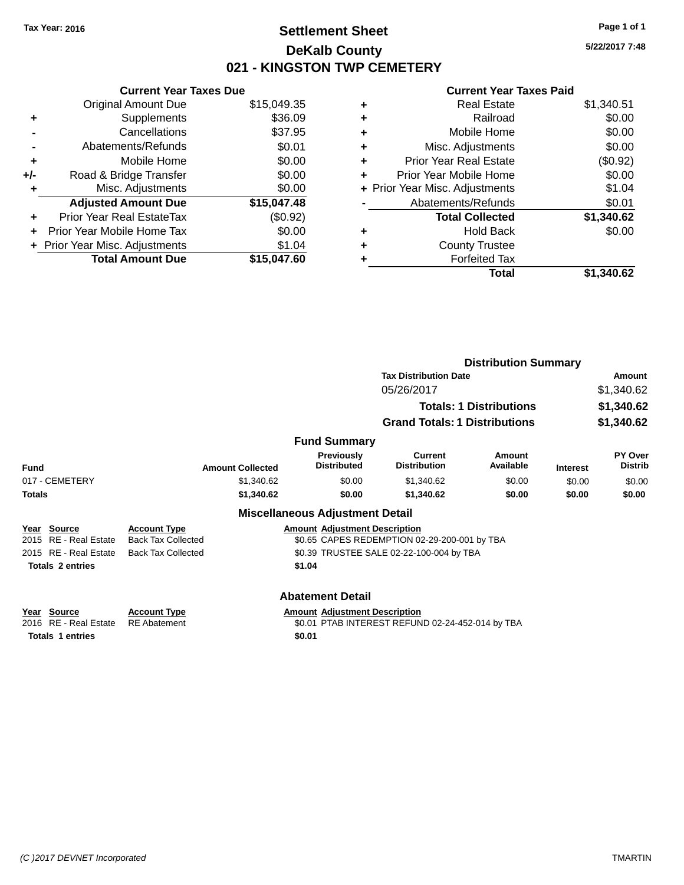# **Settlement Sheet Tax Year: 2016 Page 1 of 1 DeKalb County 021 - KINGSTON TWP CEMETERY**

**5/22/2017 7:48**

|     | <b>Current Year Taxes Due</b>  |             |  |  |  |
|-----|--------------------------------|-------------|--|--|--|
|     | <b>Original Amount Due</b>     | \$15,049.35 |  |  |  |
| ٠   | Supplements                    | \$36.09     |  |  |  |
|     | Cancellations                  | \$37.95     |  |  |  |
|     | Abatements/Refunds             | \$0.01      |  |  |  |
| ٠   | Mobile Home                    | \$0.00      |  |  |  |
| +/- | Road & Bridge Transfer         | \$0.00      |  |  |  |
|     | Misc. Adjustments              | \$0.00      |  |  |  |
|     | <b>Adjusted Amount Due</b>     | \$15,047.48 |  |  |  |
| ÷   | Prior Year Real EstateTax      | (\$0.92)    |  |  |  |
|     | Prior Year Mobile Home Tax     | \$0.00      |  |  |  |
|     | + Prior Year Misc. Adjustments | \$1.04      |  |  |  |
|     | <b>Total Amount Due</b>        | \$15,047,60 |  |  |  |

| ٠ | <b>Real Estate</b>             | \$1,340.51 |
|---|--------------------------------|------------|
| ٠ | Railroad                       | \$0.00     |
| ٠ | Mobile Home                    | \$0.00     |
| ٠ | Misc. Adjustments              | \$0.00     |
| ٠ | <b>Prior Year Real Estate</b>  | (\$0.92)   |
| ٠ | Prior Year Mobile Home         | \$0.00     |
|   | + Prior Year Misc. Adjustments | \$1.04     |
|   | Abatements/Refunds             | \$0.01     |
|   | <b>Total Collected</b>         | \$1,340.62 |
| ٠ | <b>Hold Back</b>               | \$0.00     |
| ٠ | <b>County Trustee</b>          |            |
| ٠ | <b>Forfeited Tax</b>           |            |
|   | Total                          | \$1,340.62 |
|   |                                |            |

|                                                                           |                                                  |                                                | <b>Distribution Summary</b>                      |                                |                 |                           |
|---------------------------------------------------------------------------|--------------------------------------------------|------------------------------------------------|--------------------------------------------------|--------------------------------|-----------------|---------------------------|
|                                                                           |                                                  |                                                | <b>Tax Distribution Date</b>                     |                                |                 | Amount                    |
|                                                                           |                                                  |                                                | 05/26/2017                                       |                                |                 | \$1,340.62                |
|                                                                           |                                                  |                                                |                                                  | <b>Totals: 1 Distributions</b> |                 | \$1,340.62                |
|                                                                           |                                                  |                                                | <b>Grand Totals: 1 Distributions</b>             |                                |                 | \$1,340.62                |
|                                                                           |                                                  | <b>Fund Summary</b>                            |                                                  |                                |                 |                           |
| <b>Fund</b>                                                               | <b>Amount Collected</b>                          | <b>Previously</b><br><b>Distributed</b>        | <b>Current</b><br><b>Distribution</b>            | Amount<br>Available            | <b>Interest</b> | PY Over<br><b>Distrib</b> |
| 017 - CEMETERY                                                            | \$1,340.62                                       | \$0.00                                         | \$1,340.62                                       | \$0.00                         | \$0.00          | \$0.00                    |
| <b>Totals</b>                                                             | \$1,340.62                                       | \$0.00                                         | \$1,340.62                                       | \$0.00                         | \$0.00          | \$0.00                    |
|                                                                           |                                                  | <b>Miscellaneous Adjustment Detail</b>         |                                                  |                                |                 |                           |
| Year Source<br><b>RE</b> - Real Estate<br>2015                            | <b>Account Type</b><br><b>Back Tax Collected</b> | <b>Amount Adjustment Description</b>           | \$0.65 CAPES REDEMPTION 02-29-200-001 by TBA     |                                |                 |                           |
| RE - Real Estate<br>2015                                                  | <b>Back Tax Collected</b>                        |                                                | \$0.39 TRUSTEE SALE 02-22-100-004 by TBA         |                                |                 |                           |
| <b>Totals 2 entries</b>                                                   |                                                  | \$1.04                                         |                                                  |                                |                 |                           |
|                                                                           |                                                  | <b>Abatement Detail</b>                        |                                                  |                                |                 |                           |
| Year Source<br><b>RE</b> - Real Estate<br>2016<br><b>Totals 1 entries</b> | <b>Account Type</b><br><b>RE</b> Abatement       | <b>Amount Adjustment Description</b><br>\$0.01 | \$0.01 PTAB INTEREST REFUND 02-24-452-014 by TBA |                                |                 |                           |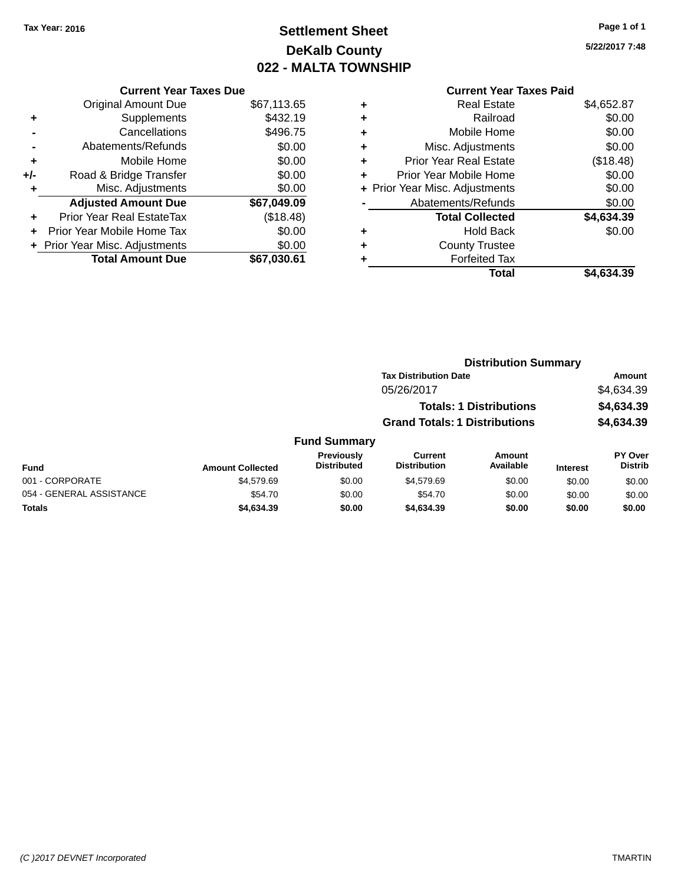# **Settlement Sheet Tax Year: 2016 Page 1 of 1 DeKalb County 022 - MALTA TOWNSHIP**

**5/22/2017 7:48**

|     | <b>Current Year Taxes Due</b>  |             |  |  |  |
|-----|--------------------------------|-------------|--|--|--|
|     | <b>Original Amount Due</b>     | \$67,113.65 |  |  |  |
| ٠   | Supplements                    | \$432.19    |  |  |  |
|     | Cancellations                  | \$496.75    |  |  |  |
|     | Abatements/Refunds             | \$0.00      |  |  |  |
| ٠   | Mobile Home                    | \$0.00      |  |  |  |
| +/- | Road & Bridge Transfer         | \$0.00      |  |  |  |
|     | Misc. Adjustments              | \$0.00      |  |  |  |
|     | <b>Adjusted Amount Due</b>     | \$67,049.09 |  |  |  |
| ÷   | Prior Year Real EstateTax      | (\$18.48)   |  |  |  |
| ÷   | Prior Year Mobile Home Tax     | \$0.00      |  |  |  |
|     | + Prior Year Misc. Adjustments | \$0.00      |  |  |  |
|     | <b>Total Amount Due</b>        | \$67,030.61 |  |  |  |
|     |                                |             |  |  |  |

| ٠ | <b>Real Estate</b>             | \$4,652.87 |
|---|--------------------------------|------------|
| ٠ | Railroad                       | \$0.00     |
| ٠ | Mobile Home                    | \$0.00     |
| ٠ | Misc. Adjustments              | \$0.00     |
| ٠ | <b>Prior Year Real Estate</b>  | (\$18.48)  |
| ٠ | Prior Year Mobile Home         | \$0.00     |
|   | + Prior Year Misc. Adjustments | \$0.00     |
|   | Abatements/Refunds             | \$0.00     |
|   | <b>Total Collected</b>         | \$4,634.39 |
| ٠ | Hold Back                      | \$0.00     |
| ٠ | <b>County Trustee</b>          |            |
| ٠ | <b>Forfeited Tax</b>           |            |
|   | Total                          | \$4.634.39 |
|   |                                |            |

|                          |                         |                                         |                                      | <b>Distribution Summary</b>    |                 |                           |
|--------------------------|-------------------------|-----------------------------------------|--------------------------------------|--------------------------------|-----------------|---------------------------|
|                          |                         |                                         | <b>Tax Distribution Date</b>         |                                |                 | Amount                    |
|                          |                         |                                         | 05/26/2017                           |                                |                 | \$4,634.39                |
|                          |                         |                                         |                                      | <b>Totals: 1 Distributions</b> |                 | \$4,634.39                |
|                          |                         |                                         | <b>Grand Totals: 1 Distributions</b> |                                |                 | \$4,634.39                |
|                          |                         | <b>Fund Summary</b>                     |                                      |                                |                 |                           |
| Fund                     | <b>Amount Collected</b> | <b>Previously</b><br><b>Distributed</b> | Current<br><b>Distribution</b>       | <b>Amount</b><br>Available     | <b>Interest</b> | PY Over<br><b>Distrib</b> |
| 001 - CORPORATE          | \$4,579.69              | \$0.00                                  | \$4,579.69                           | \$0.00                         | \$0.00          | \$0.00                    |
| 054 - GENERAL ASSISTANCE | \$54.70                 | \$0.00                                  | \$54.70                              | \$0.00                         | \$0.00          | \$0.00                    |
| Totals                   | \$4,634.39              | \$0.00                                  | \$4,634.39                           | \$0.00                         | \$0.00          | \$0.00                    |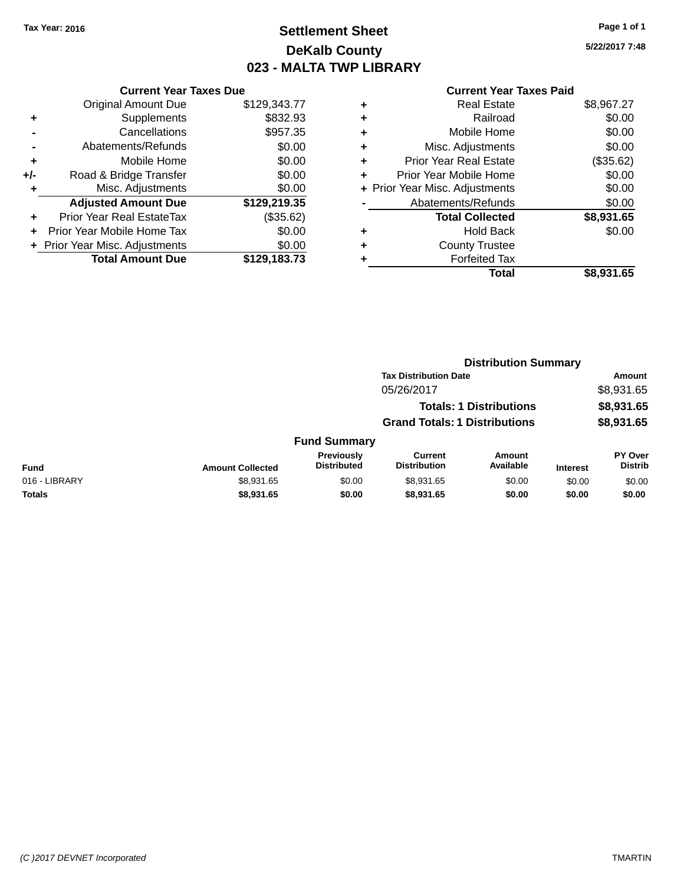# **Settlement Sheet Tax Year: 2016 Page 1 of 1 DeKalb County 023 - MALTA TWP LIBRARY**

**5/22/2017 7:48**

| <b>Current Year Taxes Due</b>  |              |  |  |  |
|--------------------------------|--------------|--|--|--|
| <b>Original Amount Due</b>     | \$129,343.77 |  |  |  |
| Supplements                    | \$832.93     |  |  |  |
| Cancellations                  | \$957.35     |  |  |  |
| Abatements/Refunds             | \$0.00       |  |  |  |
| Mobile Home                    | \$0.00       |  |  |  |
| Road & Bridge Transfer         | \$0.00       |  |  |  |
| \$0.00<br>Misc. Adjustments    |              |  |  |  |
| <b>Adjusted Amount Due</b>     | \$129,219.35 |  |  |  |
| Prior Year Real EstateTax      | (\$35.62)    |  |  |  |
| Prior Year Mobile Home Tax     | \$0.00       |  |  |  |
| + Prior Year Misc. Adjustments | \$0.00       |  |  |  |
| <b>Total Amount Due</b>        | \$129.183.73 |  |  |  |
|                                |              |  |  |  |

| ٠ | <b>Real Estate</b>             | \$8,967.27 |
|---|--------------------------------|------------|
| ٠ | Railroad                       | \$0.00     |
| ٠ | Mobile Home                    | \$0.00     |
| ٠ | Misc. Adjustments              | \$0.00     |
| ٠ | <b>Prior Year Real Estate</b>  | (\$35.62)  |
| ٠ | Prior Year Mobile Home         | \$0.00     |
|   | + Prior Year Misc. Adjustments | \$0.00     |
|   | Abatements/Refunds             | \$0.00     |
|   | <b>Total Collected</b>         | \$8,931.65 |
| ۰ | Hold Back                      | \$0.00     |
| ٠ | <b>County Trustee</b>          |            |
| ٠ | <b>Forfeited Tax</b>           |            |
|   | Total                          | \$8,931.65 |
|   |                                |            |

|               |                         | <b>Distribution Summary</b>      |                                       |                                |                 |                           |
|---------------|-------------------------|----------------------------------|---------------------------------------|--------------------------------|-----------------|---------------------------|
|               |                         |                                  | <b>Tax Distribution Date</b>          |                                |                 | Amount                    |
|               |                         |                                  | 05/26/2017                            |                                |                 | \$8,931.65                |
|               |                         |                                  |                                       | <b>Totals: 1 Distributions</b> |                 | \$8,931.65                |
|               |                         |                                  | <b>Grand Totals: 1 Distributions</b>  |                                |                 | \$8,931.65                |
|               |                         | <b>Fund Summary</b>              |                                       |                                |                 |                           |
| <b>Fund</b>   | <b>Amount Collected</b> | Previously<br><b>Distributed</b> | <b>Current</b><br><b>Distribution</b> | <b>Amount</b><br>Available     | <b>Interest</b> | PY Over<br><b>Distrib</b> |
| 016 - LIBRARY | \$8,931.65              | \$0.00                           | \$8,931.65                            | \$0.00                         | \$0.00          | \$0.00                    |
| <b>Totals</b> | \$8,931.65              | \$0.00                           | \$8,931.65                            | \$0.00                         | \$0.00          | \$0.00                    |
|               |                         |                                  |                                       |                                |                 |                           |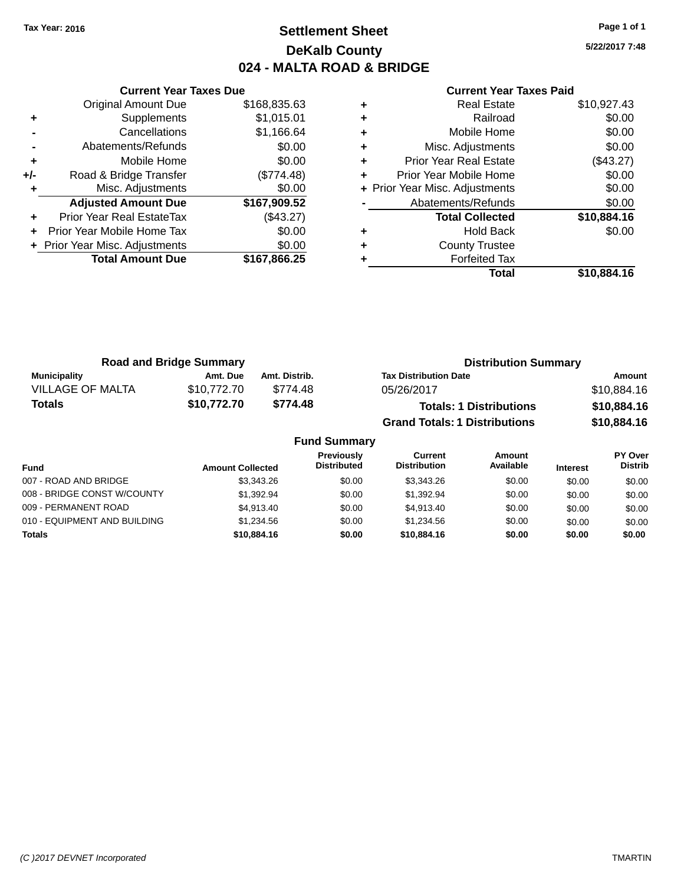# **Settlement Sheet Tax Year: 2016 Page 1 of 1 DeKalb County 024 - MALTA ROAD & BRIDGE**

**5/22/2017 7:48**

|       | <b>Current Year Taxes Due</b>    |              |  |  |  |
|-------|----------------------------------|--------------|--|--|--|
|       | <b>Original Amount Due</b>       | \$168,835.63 |  |  |  |
| ٠     | Supplements                      | \$1,015.01   |  |  |  |
|       | Cancellations                    | \$1,166.64   |  |  |  |
|       | Abatements/Refunds               | \$0.00       |  |  |  |
| ٠     | Mobile Home                      | \$0.00       |  |  |  |
| $+/-$ | Road & Bridge Transfer           | (\$774.48)   |  |  |  |
| ٠     | Misc. Adjustments                | \$0.00       |  |  |  |
|       | <b>Adjusted Amount Due</b>       | \$167,909.52 |  |  |  |
|       | <b>Prior Year Real EstateTax</b> | (\$43.27)    |  |  |  |
|       | Prior Year Mobile Home Tax       | \$0.00       |  |  |  |
|       | + Prior Year Misc. Adjustments   | \$0.00       |  |  |  |
|       | <b>Total Amount Due</b>          | \$167,866.25 |  |  |  |
|       |                                  |              |  |  |  |

|   | <b>Real Estate</b>             | \$10,927.43 |
|---|--------------------------------|-------------|
| ٠ | Railroad                       | \$0.00      |
| ٠ | Mobile Home                    | \$0.00      |
| ٠ | Misc. Adjustments              | \$0.00      |
| ٠ | <b>Prior Year Real Estate</b>  | (\$43.27)   |
| ٠ | Prior Year Mobile Home         | \$0.00      |
|   | + Prior Year Misc. Adjustments | \$0.00      |
|   | Abatements/Refunds             | \$0.00      |
|   | <b>Total Collected</b>         | \$10,884.16 |
| ٠ | Hold Back                      | \$0.00      |
| ٠ | <b>County Trustee</b>          |             |
| ٠ | <b>Forfeited Tax</b>           |             |
|   | Total                          | \$10,884.16 |
|   |                                |             |

| <b>Road and Bridge Summary</b> |             |               | <b>Distribution Summary</b>          |             |  |
|--------------------------------|-------------|---------------|--------------------------------------|-------------|--|
| Municipality                   | Amt. Due    | Amt. Distrib. | <b>Tax Distribution Date</b>         | Amount      |  |
| <b>VILLAGE OF MALTA</b>        | \$10.772.70 | \$774.48      | 05/26/2017                           | \$10,884.16 |  |
| <b>Totals</b>                  | \$10,772.70 | \$774.48      | <b>Totals: 1 Distributions</b>       | \$10,884.16 |  |
|                                |             |               | <b>Grand Totals: 1 Distributions</b> | \$10,884.16 |  |

|                              |                         | <b>Fund Summary</b>                     |                                |                     |                 |                                  |
|------------------------------|-------------------------|-----------------------------------------|--------------------------------|---------------------|-----------------|----------------------------------|
| <b>Fund</b>                  | <b>Amount Collected</b> | <b>Previously</b><br><b>Distributed</b> | Current<br><b>Distribution</b> | Amount<br>Available | <b>Interest</b> | <b>PY Over</b><br><b>Distrib</b> |
| 007 - ROAD AND BRIDGE        | \$3,343,26              | \$0.00                                  | \$3.343.26                     | \$0.00              | \$0.00          | \$0.00                           |
| 008 - BRIDGE CONST W/COUNTY  | \$1.392.94              | \$0.00                                  | \$1.392.94                     | \$0.00              | \$0.00          | \$0.00                           |
| 009 - PERMANENT ROAD         | \$4.913.40              | \$0.00                                  | \$4.913.40                     | \$0.00              | \$0.00          | \$0.00                           |
| 010 - EQUIPMENT AND BUILDING | \$1.234.56              | \$0.00                                  | \$1.234.56                     | \$0.00              | \$0.00          | \$0.00                           |
| <b>Totals</b>                | \$10,884.16             | \$0.00                                  | \$10,884.16                    | \$0.00              | \$0.00          | \$0.00                           |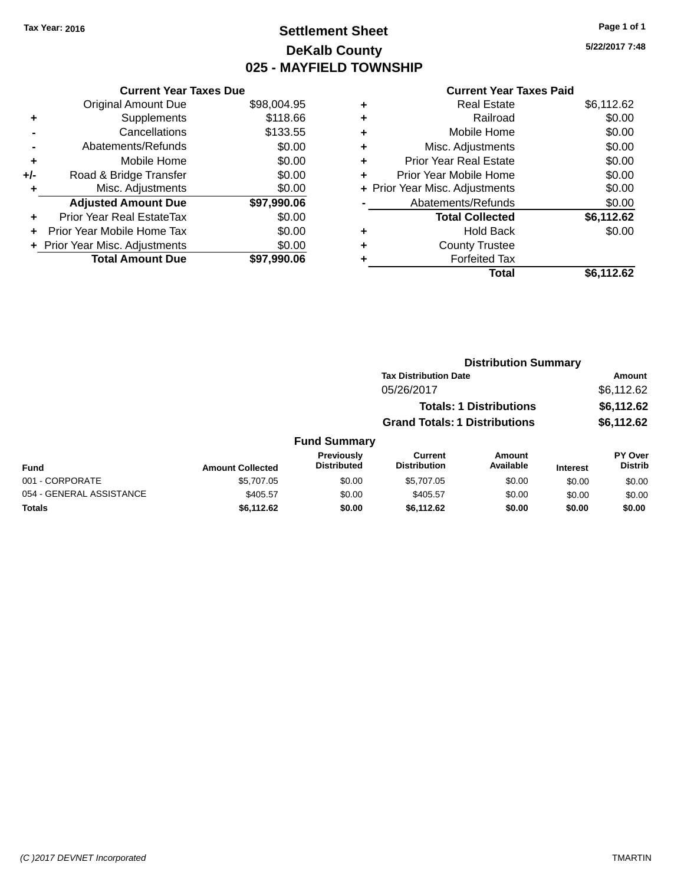# **Settlement Sheet Tax Year: 2016 Page 1 of 1 DeKalb County 025 - MAYFIELD TOWNSHIP**

**5/22/2017 7:48**

|     | <b>Current Year Taxes Due</b>  |             |
|-----|--------------------------------|-------------|
|     | <b>Original Amount Due</b>     | \$98,004.95 |
| ٠   | Supplements                    | \$118.66    |
|     | Cancellations                  | \$133.55    |
|     | Abatements/Refunds             | \$0.00      |
| ٠   | Mobile Home                    | \$0.00      |
| +/- | Road & Bridge Transfer         | \$0.00      |
| ٠   | Misc. Adjustments              | \$0.00      |
|     | <b>Adjusted Amount Due</b>     | \$97,990.06 |
| ٠   | Prior Year Real EstateTax      | \$0.00      |
| ÷   | Prior Year Mobile Home Tax     | \$0.00      |
|     | + Prior Year Misc. Adjustments | \$0.00      |
|     | <b>Total Amount Due</b>        | \$97,990.06 |

### **Current Year Taxes Paid +** Real Estate \$6,112.62 **+** Railroad \$0.00 **+** Mobile Home \$0.00 **+** Misc. Adjustments \$0.00 **+** Prior Year Real Estate \$0.00 **+** Prior Year Mobile Home \$0.00<br> **+** Prior Year Misc. Adjustments \$0.00 **+ Prior Year Misc. Adjustments -** Abatements/Refunds \$0.00 **Total Collected \$6,112.62 +** Hold Back \$0.00

|   | Total                 | \$6,112.62 |
|---|-----------------------|------------|
| ٠ | <b>Forfeited Tax</b>  |            |
| ٠ | <b>County Trustee</b> |            |

| , cu | Ψ |
|------|---|
|      |   |
|      |   |
|      |   |
|      |   |
|      |   |

|                          |                         |                                         | <b>Distribution Summary</b>           |                                |                 |                           |
|--------------------------|-------------------------|-----------------------------------------|---------------------------------------|--------------------------------|-----------------|---------------------------|
|                          |                         |                                         | <b>Tax Distribution Date</b>          |                                |                 | Amount                    |
|                          |                         |                                         | 05/26/2017                            |                                |                 | \$6,112.62                |
|                          |                         |                                         |                                       | <b>Totals: 1 Distributions</b> |                 | \$6,112.62                |
|                          |                         |                                         | <b>Grand Totals: 1 Distributions</b>  |                                |                 | \$6,112.62                |
|                          |                         | <b>Fund Summary</b>                     |                                       |                                |                 |                           |
| <b>Fund</b>              | <b>Amount Collected</b> | <b>Previously</b><br><b>Distributed</b> | <b>Current</b><br><b>Distribution</b> | Amount<br>Available            | <b>Interest</b> | PY Over<br><b>Distrib</b> |
| 001 - CORPORATE          | \$5,707.05              | \$0.00                                  | \$5,707.05                            | \$0.00                         | \$0.00          | \$0.00                    |
| 054 - GENERAL ASSISTANCE | \$405.57                | \$0.00                                  | \$405.57                              | \$0.00                         | \$0.00          | \$0.00                    |
| <b>Totals</b>            | \$6,112.62              | \$0.00                                  | \$6,112.62                            | \$0.00                         | \$0.00          | \$0.00                    |
|                          |                         |                                         |                                       |                                |                 |                           |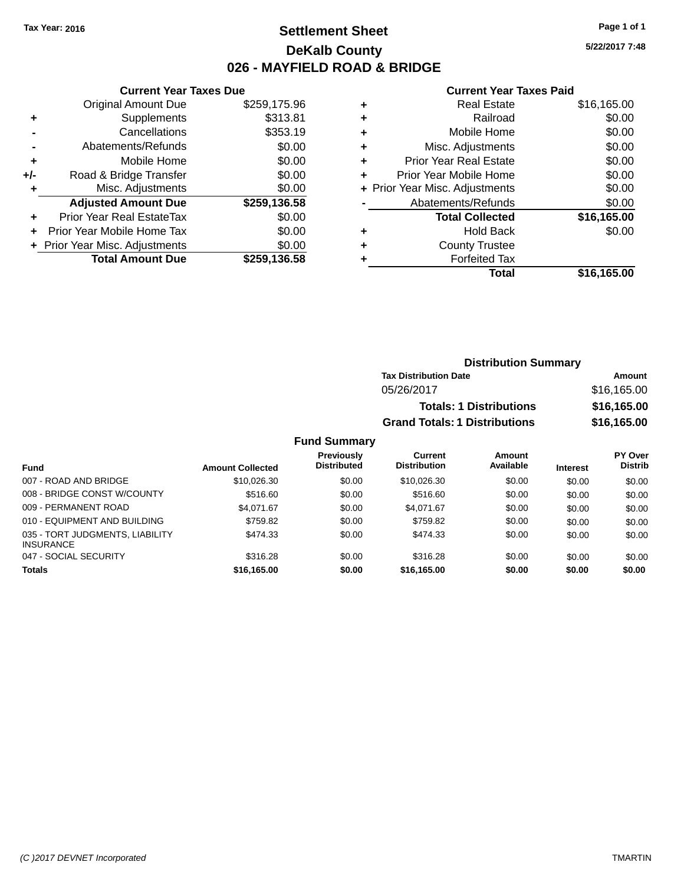# **Settlement Sheet Tax Year: 2016 Page 1 of 1 DeKalb County 026 - MAYFIELD ROAD & BRIDGE**

**5/22/2017 7:48**

#### **Current Year Taxes Paid**

| \$259,175.96 |
|--------------|
| \$313.81     |
| \$353.19     |
| \$0.00       |
| \$0.00       |
| \$0.00       |
| \$0.00       |
| \$259,136.58 |
| \$0.00       |
| \$0.00       |
| \$0.00       |
| \$259,136.58 |
|              |

|   | <b>Real Estate</b>             | \$16,165.00 |
|---|--------------------------------|-------------|
| ٠ | Railroad                       | \$0.00      |
| ٠ | Mobile Home                    | \$0.00      |
| ٠ | Misc. Adjustments              | \$0.00      |
| ٠ | <b>Prior Year Real Estate</b>  | \$0.00      |
| ÷ | Prior Year Mobile Home         | \$0.00      |
|   | + Prior Year Misc. Adjustments | \$0.00      |
|   | Abatements/Refunds             | \$0.00      |
|   | <b>Total Collected</b>         | \$16,165.00 |
| ٠ | <b>Hold Back</b>               | \$0.00      |
| ٠ | <b>County Trustee</b>          |             |
| ٠ | <b>Forfeited Tax</b>           |             |
|   | Total                          | \$16,165.00 |
|   |                                |             |

| <b>Distribution Summary</b>          |             |
|--------------------------------------|-------------|
| <b>Tax Distribution Date</b>         | Amount      |
| 05/26/2017                           | \$16,165.00 |
| <b>Totals: 1 Distributions</b>       | \$16,165.00 |
| <b>Grand Totals: 1 Distributions</b> | \$16,165.00 |

| Fund                                                | <b>Amount Collected</b> | <b>Previously</b><br><b>Distributed</b> | Current<br><b>Distribution</b> | Amount<br>Available | <b>Interest</b> | PY Over<br><b>Distrib</b> |
|-----------------------------------------------------|-------------------------|-----------------------------------------|--------------------------------|---------------------|-----------------|---------------------------|
| 007 - ROAD AND BRIDGE                               | \$10.026.30             | \$0.00                                  | \$10.026.30                    | \$0.00              | \$0.00          | \$0.00                    |
| 008 - BRIDGE CONST W/COUNTY                         | \$516.60                | \$0.00                                  | \$516.60                       | \$0.00              | \$0.00          | \$0.00                    |
| 009 - PERMANENT ROAD                                | \$4.071.67              | \$0.00                                  | \$4.071.67                     | \$0.00              | \$0.00          | \$0.00                    |
| 010 - EQUIPMENT AND BUILDING                        | \$759.82                | \$0.00                                  | \$759.82                       | \$0.00              | \$0.00          | \$0.00                    |
| 035 - TORT JUDGMENTS, LIABILITY<br><b>INSURANCE</b> | \$474.33                | \$0.00                                  | \$474.33                       | \$0.00              | \$0.00          | \$0.00                    |
| 047 - SOCIAL SECURITY                               | \$316.28                | \$0.00                                  | \$316.28                       | \$0.00              | \$0.00          | \$0.00                    |
| <b>Totals</b>                                       | \$16,165.00             | \$0.00                                  | \$16,165,00                    | \$0.00              | \$0.00          | \$0.00                    |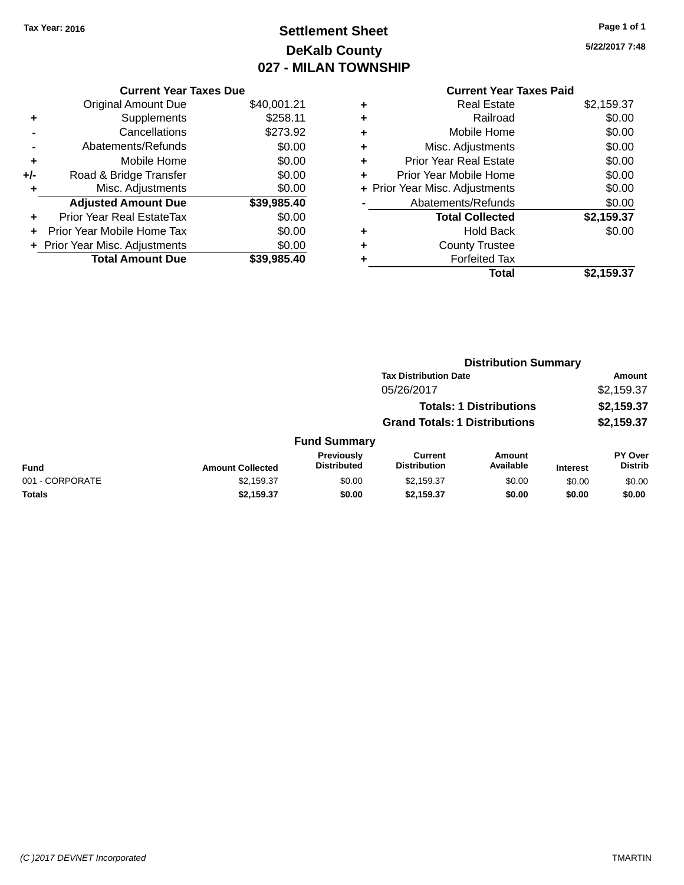# **Settlement Sheet Tax Year: 2016 Page 1 of 1 DeKalb County 027 - MILAN TOWNSHIP**

**5/22/2017 7:48**

|     | <b>Current Year Taxes Due</b>  |             |
|-----|--------------------------------|-------------|
|     | <b>Original Amount Due</b>     | \$40,001.21 |
| ٠   | Supplements                    | \$258.11    |
|     | Cancellations                  | \$273.92    |
|     | Abatements/Refunds             | \$0.00      |
| ٠   | Mobile Home                    | \$0.00      |
| +/- | Road & Bridge Transfer         | \$0.00      |
|     | Misc. Adjustments              | \$0.00      |
|     | <b>Adjusted Amount Due</b>     | \$39,985.40 |
| ٠   | Prior Year Real EstateTax      | \$0.00      |
|     | Prior Year Mobile Home Tax     | \$0.00      |
|     | + Prior Year Misc. Adjustments | \$0.00      |
|     | <b>Total Amount Due</b>        | \$39,985.40 |
|     |                                |             |

|   | <b>Real Estate</b>             | \$2,159.37 |
|---|--------------------------------|------------|
| ٠ | Railroad                       | \$0.00     |
| ٠ | Mobile Home                    | \$0.00     |
| ٠ | Misc. Adjustments              | \$0.00     |
| ٠ | <b>Prior Year Real Estate</b>  | \$0.00     |
| ٠ | Prior Year Mobile Home         | \$0.00     |
|   | + Prior Year Misc. Adjustments | \$0.00     |
|   | Abatements/Refunds             | \$0.00     |
|   | <b>Total Collected</b>         | \$2,159.37 |
| ٠ | <b>Hold Back</b>               | \$0.00     |
|   | <b>County Trustee</b>          |            |
| ٠ | <b>Forfeited Tax</b>           |            |
|   | Total                          | \$2,159.37 |
|   |                                |            |

|                 |                         |                                         | <b>Distribution Summary</b>           |                                |                 |                           |
|-----------------|-------------------------|-----------------------------------------|---------------------------------------|--------------------------------|-----------------|---------------------------|
|                 |                         |                                         | <b>Tax Distribution Date</b>          |                                |                 | <b>Amount</b>             |
|                 |                         |                                         | 05/26/2017                            |                                |                 | \$2,159.37                |
|                 |                         |                                         |                                       | <b>Totals: 1 Distributions</b> |                 | \$2,159.37                |
|                 |                         |                                         | <b>Grand Totals: 1 Distributions</b>  |                                |                 | \$2,159.37                |
|                 |                         | <b>Fund Summary</b>                     |                                       |                                |                 |                           |
| <b>Fund</b>     | <b>Amount Collected</b> | <b>Previously</b><br><b>Distributed</b> | <b>Current</b><br><b>Distribution</b> | Amount<br>Available            | <b>Interest</b> | PY Over<br><b>Distrib</b> |
| 001 - CORPORATE | \$2,159.37              | \$0.00                                  | \$2,159.37                            | \$0.00                         | \$0.00          | \$0.00                    |
| Totals          | \$2,159.37              | \$0.00                                  | \$2,159.37                            | \$0.00                         | \$0.00          | \$0.00                    |
|                 |                         |                                         |                                       |                                |                 |                           |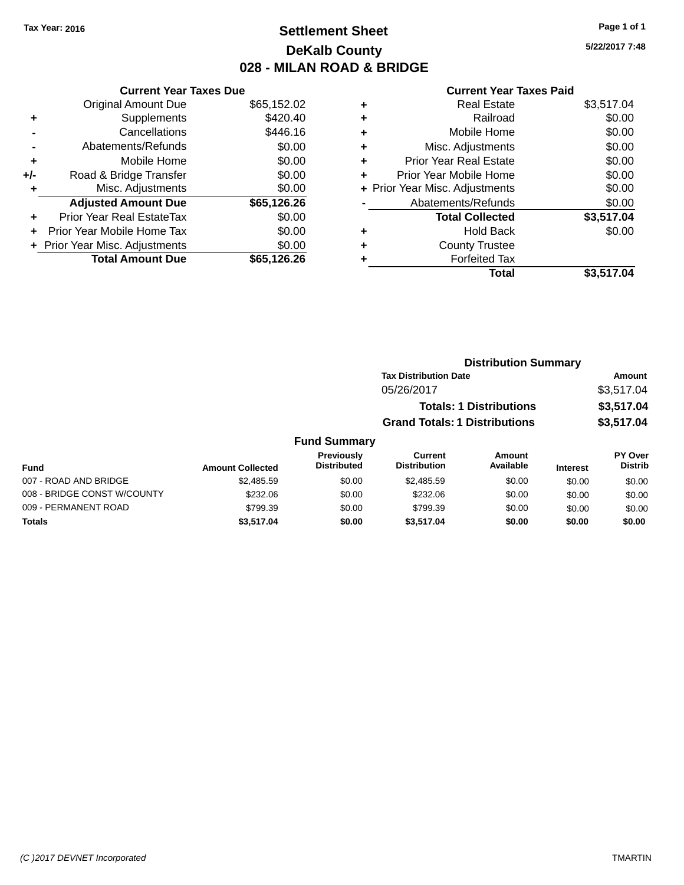# **Settlement Sheet Tax Year: 2016 Page 1 of 1 DeKalb County 028 - MILAN ROAD & BRIDGE**

**5/22/2017 7:48**

|     | <b>Current Year Taxes Due</b>  |             |
|-----|--------------------------------|-------------|
|     | <b>Original Amount Due</b>     | \$65,152.02 |
| ÷   | Supplements                    | \$420.40    |
|     | Cancellations                  | \$446.16    |
|     | Abatements/Refunds             | \$0.00      |
| ٠   | Mobile Home                    | \$0.00      |
| +/- | Road & Bridge Transfer         | \$0.00      |
|     | Misc. Adjustments              | \$0.00      |
|     | <b>Adjusted Amount Due</b>     | \$65,126.26 |
| ÷   | Prior Year Real EstateTax      | \$0.00      |
|     | Prior Year Mobile Home Tax     | \$0.00      |
|     | + Prior Year Misc. Adjustments | \$0.00      |
|     | <b>Total Amount Due</b>        | \$65,126.26 |
|     |                                |             |

| ٠ | <b>Real Estate</b>             | \$3,517.04 |
|---|--------------------------------|------------|
| ٠ | Railroad                       | \$0.00     |
| ٠ | Mobile Home                    | \$0.00     |
| ٠ | Misc. Adjustments              | \$0.00     |
| ٠ | <b>Prior Year Real Estate</b>  | \$0.00     |
| ٠ | Prior Year Mobile Home         | \$0.00     |
|   | + Prior Year Misc. Adjustments | \$0.00     |
|   | Abatements/Refunds             | \$0.00     |
|   | <b>Total Collected</b>         | \$3,517.04 |
| ٠ | <b>Hold Back</b>               | \$0.00     |
| ٠ | <b>County Trustee</b>          |            |
| ٠ | <b>Forfeited Tax</b>           |            |
|   | Total                          | \$3,517.04 |
|   |                                |            |

|                       |                         |                                  |                                      | <b>Distribution Summary</b>    |                 |                           |  |
|-----------------------|-------------------------|----------------------------------|--------------------------------------|--------------------------------|-----------------|---------------------------|--|
|                       |                         |                                  | <b>Tax Distribution Date</b>         |                                |                 | <b>Amount</b>             |  |
|                       |                         |                                  | 05/26/2017                           |                                |                 | \$3,517.04                |  |
|                       |                         |                                  |                                      | <b>Totals: 1 Distributions</b> |                 | \$3,517.04                |  |
|                       |                         |                                  | <b>Grand Totals: 1 Distributions</b> |                                |                 | \$3,517.04                |  |
|                       |                         | <b>Fund Summary</b>              |                                      |                                |                 |                           |  |
| <b>Fund</b>           | <b>Amount Collected</b> | Previously<br><b>Distributed</b> | Current<br><b>Distribution</b>       | Amount<br>Available            | <b>Interest</b> | PY Over<br><b>Distrib</b> |  |
| 007 - ROAD AND BRIDGE | \$2,485.59              | \$0.00                           | \$2,485.59                           | \$0.00                         | \$0.00          | \$0.00                    |  |

| \$2.485.59 | \$0.00        | \$2,485.59 | \$0.00 | \$0.00 | \$0.00 |
|------------|---------------|------------|--------|--------|--------|
| \$232.06   | \$0.00        | \$232.06   | \$0.00 | \$0.00 | \$0.00 |
| \$799.39   | \$0.00        | \$799.39   | \$0.00 | \$0.00 | \$0.00 |
| \$3.517.04 | \$0.00        | \$3.517.04 | \$0.00 | \$0.00 | \$0.00 |
|            | Ашоаш оолсосо |            |        |        |        |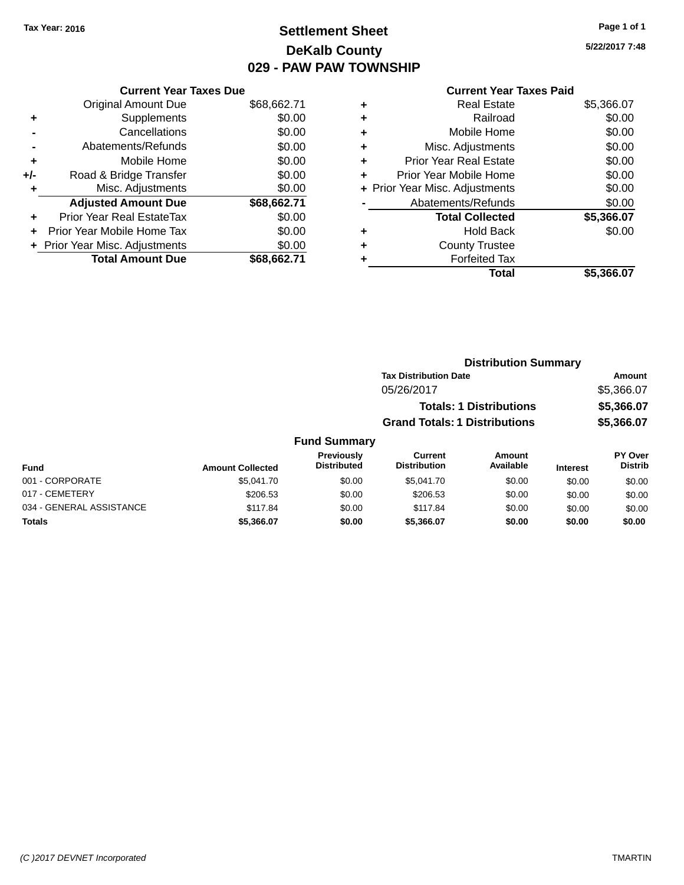# **Settlement Sheet Tax Year: 2016 Page 1 of 1 DeKalb County 029 - PAW PAW TOWNSHIP**

**5/22/2017 7:48**

| <b>Original Amount Due</b> | \$68,662.71                                                     |
|----------------------------|-----------------------------------------------------------------|
| Supplements                | \$0.00                                                          |
| Cancellations              | \$0.00                                                          |
| Abatements/Refunds         | \$0.00                                                          |
| Mobile Home                | \$0.00                                                          |
| Road & Bridge Transfer     | \$0.00                                                          |
| Misc. Adjustments          | \$0.00                                                          |
| <b>Adjusted Amount Due</b> | \$68,662.71                                                     |
| Prior Year Real EstateTax  | \$0.00                                                          |
| Prior Year Mobile Home Tax | \$0.00                                                          |
|                            | \$0.00                                                          |
| <b>Total Amount Due</b>    | \$68.662.71                                                     |
|                            | <b>Current Year Taxes Due</b><br>+ Prior Year Misc. Adjustments |

|   | <b>Real Estate</b>             | \$5,366.07 |
|---|--------------------------------|------------|
| ٠ | Railroad                       | \$0.00     |
| ٠ | Mobile Home                    | \$0.00     |
| ٠ | Misc. Adjustments              | \$0.00     |
| ٠ | <b>Prior Year Real Estate</b>  | \$0.00     |
| ÷ | Prior Year Mobile Home         | \$0.00     |
|   | + Prior Year Misc. Adjustments | \$0.00     |
|   | Abatements/Refunds             | \$0.00     |
|   | <b>Total Collected</b>         | \$5,366.07 |
| ٠ | <b>Hold Back</b>               | \$0.00     |
| ٠ | <b>County Trustee</b>          |            |
| ٠ | <b>Forfeited Tax</b>           |            |
|   | Total                          | \$5,366.07 |
|   |                                |            |

|                     |                                      | <b>Distribution Summary</b>    |            |
|---------------------|--------------------------------------|--------------------------------|------------|
|                     | <b>Tax Distribution Date</b>         |                                | Amount     |
|                     | 05/26/2017                           |                                | \$5,366.07 |
|                     |                                      | <b>Totals: 1 Distributions</b> | \$5,366.07 |
|                     | <b>Grand Totals: 1 Distributions</b> |                                | \$5,366.07 |
| <b>Fund Summary</b> |                                      |                                |            |
| <b>Provinuely</b>   | Currant                              | Amount                         | PY ∩ver    |

| Fund                     | <b>Amount Collected</b> | <b>Previously</b><br><b>Distributed</b> | Current<br><b>Distribution</b> | Amount<br>Available | <b>Interest</b> | <b>PY Over</b><br><b>Distrib</b> |
|--------------------------|-------------------------|-----------------------------------------|--------------------------------|---------------------|-----------------|----------------------------------|
| 001 - CORPORATE          | \$5.041.70              | \$0.00                                  | \$5,041.70                     | \$0.00              | \$0.00          | \$0.00                           |
| 017 - CEMETERY           | \$206.53                | \$0.00                                  | \$206.53                       | \$0.00              | \$0.00          | \$0.00                           |
| 034 - GENERAL ASSISTANCE | \$117.84                | \$0.00                                  | \$117.84                       | \$0.00              | \$0.00          | \$0.00                           |
| <b>Totals</b>            | \$5,366.07              | \$0.00                                  | \$5.366.07                     | \$0.00              | \$0.00          | \$0.00                           |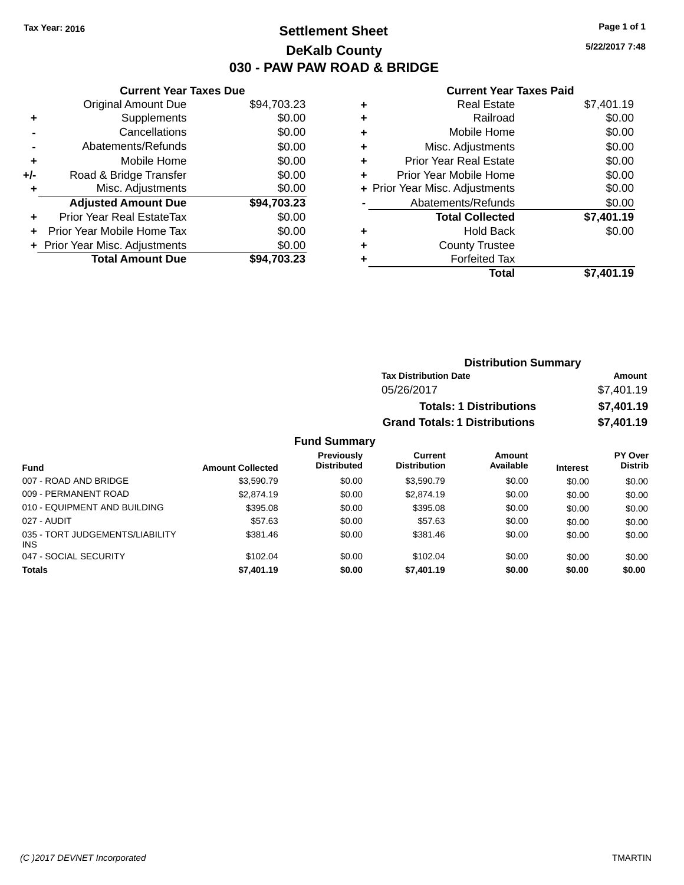# **Settlement Sheet Tax Year: 2016 Page 1 of 1 DeKalb County 030 - PAW PAW ROAD & BRIDGE**

**5/22/2017 7:48**

#### **Current Year Taxes Paid**

|     | <b>Current Year Taxes Due</b>  |             |
|-----|--------------------------------|-------------|
|     | <b>Original Amount Due</b>     | \$94,703.23 |
| ÷   | Supplements                    | \$0.00      |
|     | Cancellations                  | \$0.00      |
|     | Abatements/Refunds             | \$0.00      |
| ٠   | Mobile Home                    | \$0.00      |
| +/- | Road & Bridge Transfer         | \$0.00      |
|     | Misc. Adjustments              | \$0.00      |
|     | <b>Adjusted Amount Due</b>     | \$94,703.23 |
| ÷   | Prior Year Real EstateTax      | \$0.00      |
|     | Prior Year Mobile Home Tax     | \$0.00      |
|     | + Prior Year Misc. Adjustments | \$0.00      |
|     | <b>Total Amount Due</b>        | \$94.703.23 |
|     |                                |             |

| ٠ | <b>Real Estate</b>             | \$7,401.19 |
|---|--------------------------------|------------|
| ٠ | Railroad                       | \$0.00     |
| ٠ | Mobile Home                    | \$0.00     |
| ٠ | Misc. Adjustments              | \$0.00     |
| ٠ | <b>Prior Year Real Estate</b>  | \$0.00     |
| ÷ | Prior Year Mobile Home         | \$0.00     |
|   | + Prior Year Misc. Adjustments | \$0.00     |
|   | Abatements/Refunds             | \$0.00     |
|   | <b>Total Collected</b>         | \$7,401.19 |
| ٠ | <b>Hold Back</b>               | \$0.00     |
| ٠ | <b>County Trustee</b>          |            |
| ٠ | <b>Forfeited Tax</b>           |            |
|   | Total                          | \$7,401.19 |
|   |                                |            |

| <b>Distribution Summary</b>          |            |
|--------------------------------------|------------|
| <b>Tax Distribution Date</b>         | Amount     |
| 05/26/2017                           | \$7,401.19 |
| <b>Totals: 1 Distributions</b>       | \$7,401.19 |
| <b>Grand Totals: 1 Distributions</b> | \$7,401.19 |

| <b>Fund</b>                                   | <b>Amount Collected</b> | <b>Previously</b><br><b>Distributed</b> | Current<br><b>Distribution</b> | <b>Amount</b><br>Available | <b>Interest</b> | PY Over<br><b>Distrib</b> |
|-----------------------------------------------|-------------------------|-----------------------------------------|--------------------------------|----------------------------|-----------------|---------------------------|
| 007 - ROAD AND BRIDGE                         | \$3,590.79              | \$0.00                                  | \$3.590.79                     | \$0.00                     | \$0.00          | \$0.00                    |
| 009 - PERMANENT ROAD                          | \$2,874.19              | \$0.00                                  | \$2,874.19                     | \$0.00                     | \$0.00          | \$0.00                    |
| 010 - EQUIPMENT AND BUILDING                  | \$395.08                | \$0.00                                  | \$395.08                       | \$0.00                     | \$0.00          | \$0.00                    |
| 027 - AUDIT                                   | \$57.63                 | \$0.00                                  | \$57.63                        | \$0.00                     | \$0.00          | \$0.00                    |
| 035 - TORT JUDGEMENTS/LIABILITY<br><b>INS</b> | \$381.46                | \$0.00                                  | \$381.46                       | \$0.00                     | \$0.00          | \$0.00                    |
| 047 - SOCIAL SECURITY                         | \$102.04                | \$0.00                                  | \$102.04                       | \$0.00                     | \$0.00          | \$0.00                    |
| <b>Totals</b>                                 | \$7,401.19              | \$0.00                                  | \$7,401.19                     | \$0.00                     | \$0.00          | \$0.00                    |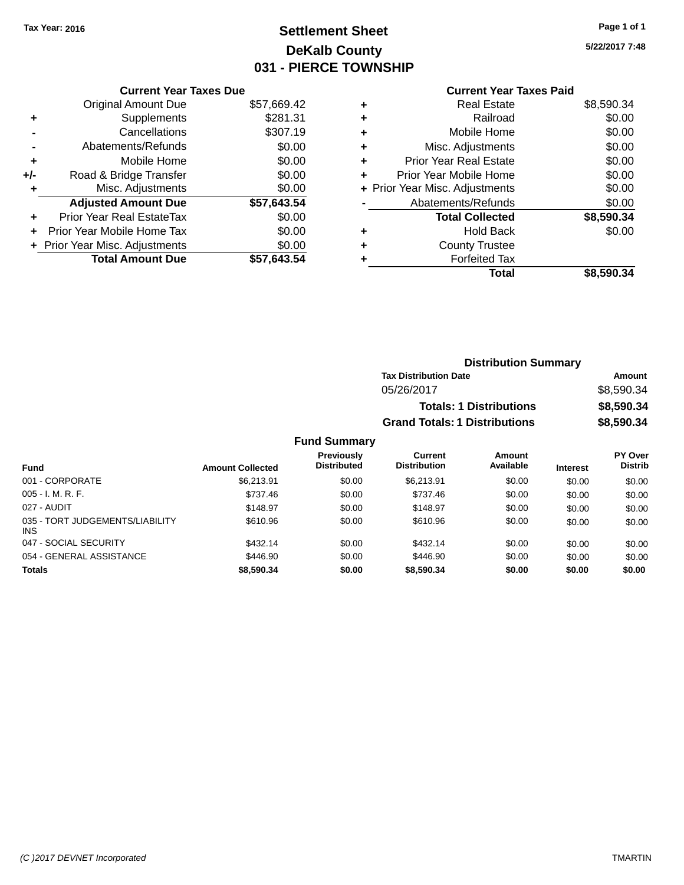# **Settlement Sheet Tax Year: 2016 Page 1 of 1 DeKalb County 031 - PIERCE TOWNSHIP**

**5/22/2017 7:48**

### **Current Year Taxes Paid**

|     | <b>Current Year Taxes Due</b>  |             |
|-----|--------------------------------|-------------|
|     | <b>Original Amount Due</b>     | \$57,669.42 |
| ٠   | Supplements                    | \$281.31    |
|     | Cancellations                  | \$307.19    |
|     | Abatements/Refunds             | \$0.00      |
| ٠   | Mobile Home                    | \$0.00      |
| +/- | Road & Bridge Transfer         | \$0.00      |
|     | Misc. Adjustments              | \$0.00      |
|     | <b>Adjusted Amount Due</b>     | \$57,643.54 |
| ٠   | Prior Year Real EstateTax      | \$0.00      |
| ÷   | Prior Year Mobile Home Tax     | \$0.00      |
|     | + Prior Year Misc. Adjustments | \$0.00      |
|     | <b>Total Amount Due</b>        | \$57,643.54 |
|     |                                |             |

| ٠ | <b>Real Estate</b>             | \$8,590.34 |
|---|--------------------------------|------------|
| ٠ | Railroad                       | \$0.00     |
| ٠ | Mobile Home                    | \$0.00     |
| ٠ | Misc. Adjustments              | \$0.00     |
| ٠ | <b>Prior Year Real Estate</b>  | \$0.00     |
| ٠ | Prior Year Mobile Home         | \$0.00     |
|   | + Prior Year Misc. Adjustments | \$0.00     |
|   | Abatements/Refunds             | \$0.00     |
|   | <b>Total Collected</b>         | \$8,590.34 |
| ٠ | <b>Hold Back</b>               | \$0.00     |
| ٠ | <b>County Trustee</b>          |            |
| ٠ | <b>Forfeited Tax</b>           |            |
|   | Total                          | \$8,590.34 |
|   |                                |            |

| <b>Distribution Summary</b>          |            |
|--------------------------------------|------------|
| <b>Tax Distribution Date</b>         | Amount     |
| 05/26/2017                           | \$8,590.34 |
| <b>Totals: 1 Distributions</b>       | \$8,590.34 |
| <b>Grand Totals: 1 Distributions</b> | \$8,590.34 |

| <b>Fund</b>                                   | <b>Amount Collected</b> | Previously<br><b>Distributed</b> | Current<br><b>Distribution</b> | <b>Amount</b><br>Available | <b>Interest</b> | PY Over<br><b>Distrib</b> |
|-----------------------------------------------|-------------------------|----------------------------------|--------------------------------|----------------------------|-----------------|---------------------------|
| 001 - CORPORATE                               | \$6.213.91              | \$0.00                           | \$6.213.91                     | \$0.00                     | \$0.00          | \$0.00                    |
| $005 - I. M. R. F.$                           | \$737.46                | \$0.00                           | \$737.46                       | \$0.00                     | \$0.00          | \$0.00                    |
| 027 - AUDIT                                   | \$148.97                | \$0.00                           | \$148.97                       | \$0.00                     | \$0.00          | \$0.00                    |
| 035 - TORT JUDGEMENTS/LIABILITY<br><b>INS</b> | \$610.96                | \$0.00                           | \$610.96                       | \$0.00                     | \$0.00          | \$0.00                    |
| 047 - SOCIAL SECURITY                         | \$432.14                | \$0.00                           | \$432.14                       | \$0.00                     | \$0.00          | \$0.00                    |
| 054 - GENERAL ASSISTANCE                      | \$446.90                | \$0.00                           | \$446.90                       | \$0.00                     | \$0.00          | \$0.00                    |
| <b>Totals</b>                                 | \$8,590.34              | \$0.00                           | \$8,590,34                     | \$0.00                     | \$0.00          | \$0.00                    |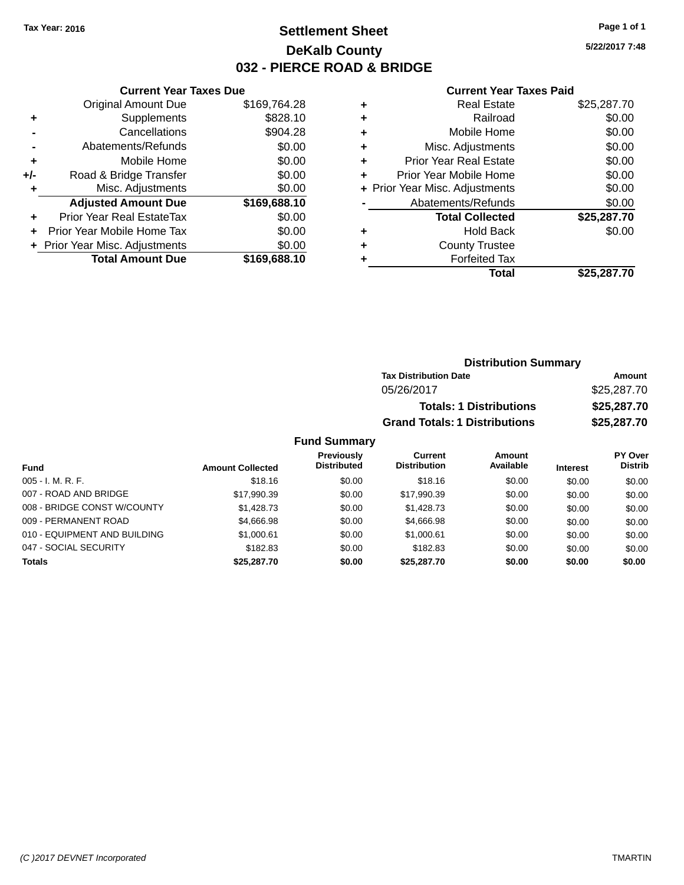# **Settlement Sheet Tax Year: 2016 Page 1 of 1 DeKalb County 032 - PIERCE ROAD & BRIDGE**

**5/22/2017 7:48**

#### **Current Year Taxes Paid**

|       | <b>Current Year Taxes Due</b>  |              |  |  |  |
|-------|--------------------------------|--------------|--|--|--|
|       | <b>Original Amount Due</b>     | \$169,764.28 |  |  |  |
| ÷     | Supplements                    | \$828.10     |  |  |  |
|       | Cancellations                  | \$904.28     |  |  |  |
|       | Abatements/Refunds             | \$0.00       |  |  |  |
| ٠     | Mobile Home                    | \$0.00       |  |  |  |
| $+/-$ | Road & Bridge Transfer         | \$0.00       |  |  |  |
|       | Misc. Adjustments              | \$0.00       |  |  |  |
|       | <b>Adjusted Amount Due</b>     | \$169,688.10 |  |  |  |
| ÷     | Prior Year Real EstateTax      | \$0.00       |  |  |  |
|       | Prior Year Mobile Home Tax     | \$0.00       |  |  |  |
|       | + Prior Year Misc. Adjustments | \$0.00       |  |  |  |
|       | <b>Total Amount Due</b>        | \$169,688.10 |  |  |  |
|       |                                |              |  |  |  |

|   | <b>Real Estate</b>             | \$25,287.70 |
|---|--------------------------------|-------------|
| ٠ | Railroad                       | \$0.00      |
| ٠ | Mobile Home                    | \$0.00      |
| ٠ | Misc. Adjustments              | \$0.00      |
| ٠ | <b>Prior Year Real Estate</b>  | \$0.00      |
| ٠ | Prior Year Mobile Home         | \$0.00      |
|   | + Prior Year Misc. Adjustments | \$0.00      |
|   | Abatements/Refunds             | \$0.00      |
|   | <b>Total Collected</b>         | \$25,287.70 |
| ٠ | <b>Hold Back</b>               | \$0.00      |
| ٠ | <b>County Trustee</b>          |             |
| ٠ | <b>Forfeited Tax</b>           |             |
|   | Total                          | \$25,287.70 |
|   |                                |             |

| <b>Distribution Summary</b>          |             |
|--------------------------------------|-------------|
| <b>Tax Distribution Date</b>         | Amount      |
| 05/26/2017                           | \$25,287.70 |
| <b>Totals: 1 Distributions</b>       | \$25,287.70 |
| <b>Grand Totals: 1 Distributions</b> | \$25,287.70 |

| Fund                         | <b>Amount Collected</b> | <b>Previously</b><br><b>Distributed</b> | Current<br><b>Distribution</b> | Amount<br>Available | <b>Interest</b> | PY Over<br><b>Distrib</b> |
|------------------------------|-------------------------|-----------------------------------------|--------------------------------|---------------------|-----------------|---------------------------|
| $005 - I. M. R. F.$          | \$18.16                 | \$0.00                                  | \$18.16                        | \$0.00              | \$0.00          | \$0.00                    |
| 007 - ROAD AND BRIDGE        | \$17.990.39             | \$0.00                                  | \$17.990.39                    | \$0.00              | \$0.00          | \$0.00                    |
| 008 - BRIDGE CONST W/COUNTY  | \$1.428.73              | \$0.00                                  | \$1,428.73                     | \$0.00              | \$0.00          | \$0.00                    |
| 009 - PERMANENT ROAD         | \$4,666.98              | \$0.00                                  | \$4,666.98                     | \$0.00              | \$0.00          | \$0.00                    |
| 010 - EQUIPMENT AND BUILDING | \$1,000.61              | \$0.00                                  | \$1,000.61                     | \$0.00              | \$0.00          | \$0.00                    |
| 047 - SOCIAL SECURITY        | \$182.83                | \$0.00                                  | \$182.83                       | \$0.00              | \$0.00          | \$0.00                    |
| <b>Totals</b>                | \$25,287.70             | \$0.00                                  | \$25,287.70                    | \$0.00              | \$0.00          | \$0.00                    |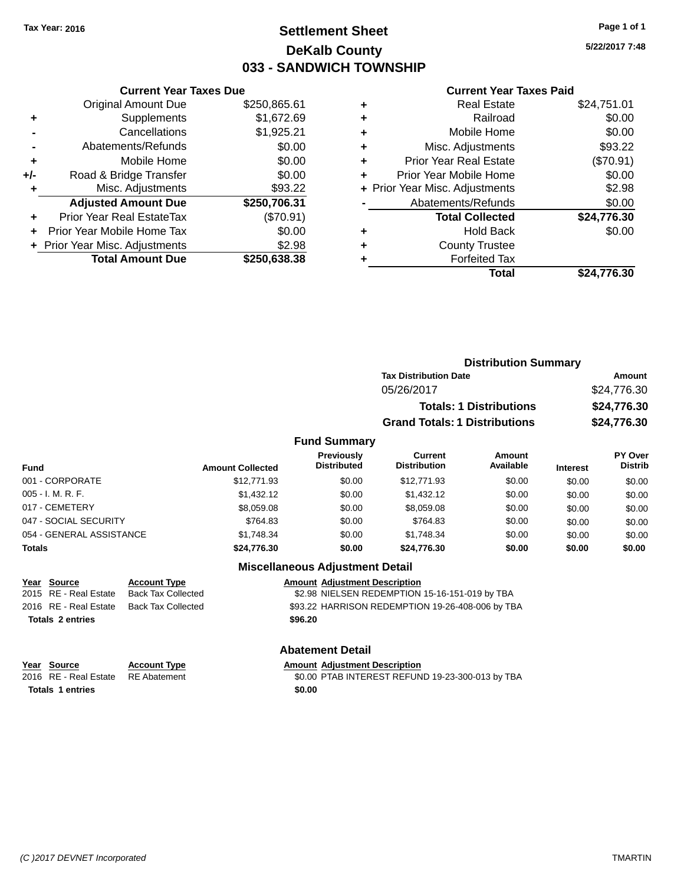### **Settlement Sheet Tax Year: 2016 Page 1 of 1 DeKalb County 033 - SANDWICH TOWNSHIP**

**5/22/2017 7:48**

#### **Current Year Taxes Paid**

| <b>Current Year Taxes Due</b> |                              |  |  |  |
|-------------------------------|------------------------------|--|--|--|
| <b>Original Amount Due</b>    | \$250,865.61                 |  |  |  |
| Supplements                   | \$1,672.69                   |  |  |  |
| Cancellations                 | \$1,925.21                   |  |  |  |
| Abatements/Refunds            | \$0.00                       |  |  |  |
| Mobile Home                   | \$0.00                       |  |  |  |
| Road & Bridge Transfer        | \$0.00                       |  |  |  |
| Misc. Adjustments             | \$93.22                      |  |  |  |
| <b>Adjusted Amount Due</b>    | \$250,706.31                 |  |  |  |
| Prior Year Real EstateTax     | (\$70.91)                    |  |  |  |
| Prior Year Mobile Home Tax    | \$0.00                       |  |  |  |
|                               | \$2.98                       |  |  |  |
| <b>Total Amount Due</b>       | \$250,638,38                 |  |  |  |
|                               | Prior Year Misc. Adjustments |  |  |  |

| ٠ | <b>Real Estate</b>             | \$24,751.01 |
|---|--------------------------------|-------------|
| ٠ | Railroad                       | \$0.00      |
| ٠ | Mobile Home                    | \$0.00      |
| ٠ | Misc. Adjustments              | \$93.22     |
| ٠ | <b>Prior Year Real Estate</b>  | (\$70.91)   |
| ٠ | Prior Year Mobile Home         | \$0.00      |
|   | + Prior Year Misc. Adjustments | \$2.98      |
|   | Abatements/Refunds             | \$0.00      |
|   | <b>Total Collected</b>         | \$24,776.30 |
| ٠ | <b>Hold Back</b>               | \$0.00      |
| ٠ | <b>County Trustee</b>          |             |
| ٠ | <b>Forfeited Tax</b>           |             |
|   | Total                          | \$24,776.30 |
|   |                                |             |

|                     | <b>Distribution Summary</b>          |             |
|---------------------|--------------------------------------|-------------|
|                     | <b>Tax Distribution Date</b>         | Amount      |
|                     | 05/26/2017                           | \$24,776.30 |
|                     | <b>Totals: 1 Distributions</b>       | \$24,776.30 |
|                     | <b>Grand Totals: 1 Distributions</b> | \$24,776.30 |
| <b>Fund Summary</b> |                                      |             |

| <b>Fund</b>              | <b>Amount Collected</b> | <b>Previously</b><br><b>Distributed</b> | Current<br><b>Distribution</b> | Amount<br>Available | <b>Interest</b> | <b>PY Over</b><br><b>Distrib</b> |
|--------------------------|-------------------------|-----------------------------------------|--------------------------------|---------------------|-----------------|----------------------------------|
| 001 - CORPORATE          | \$12,771.93             | \$0.00                                  | \$12,771.93                    | \$0.00              | \$0.00          | \$0.00                           |
| 005 - I. M. R. F.        | \$1,432.12              | \$0.00                                  | \$1,432.12                     | \$0.00              | \$0.00          | \$0.00                           |
| 017 - CEMETERY           | \$8,059.08              | \$0.00                                  | \$8.059.08                     | \$0.00              | \$0.00          | \$0.00                           |
| 047 - SOCIAL SECURITY    | \$764.83                | \$0.00                                  | \$764.83                       | \$0.00              | \$0.00          | \$0.00                           |
| 054 - GENERAL ASSISTANCE | \$1.748.34              | \$0.00                                  | \$1.748.34                     | \$0.00              | \$0.00          | \$0.00                           |
| <b>Totals</b>            | \$24,776.30             | \$0.00                                  | \$24.776.30                    | \$0.00              | \$0.00          | \$0.00                           |

### **Miscellaneous Adjustment Detail**

| Year Source             | <b>Account Type</b> | <b>Amount Adiustment Description</b>             |
|-------------------------|---------------------|--------------------------------------------------|
| 2015 RE - Real Estate   | Back Tax Collected  | \$2.98 NIELSEN REDEMPTION 15-16-151-019 by TBA   |
| 2016 RE - Real Estate   | Back Tax Collected  | \$93.22 HARRISON REDEMPTION 19-26-408-006 by TBA |
| <b>Totals 2 entries</b> |                     | \$96.20                                          |
|                         |                     |                                                  |

#### **Abatement Detail**

| Year Source                        | <b>Account Type</b> | <b>Amount Adiustment Description</b>             |
|------------------------------------|---------------------|--------------------------------------------------|
| 2016 RE - Real Estate RE Abatement |                     | \$0.00 PTAB INTEREST REFUND 19-23-300-013 by TBA |
| <b>Totals 1 entries</b>            |                     | \$0.00                                           |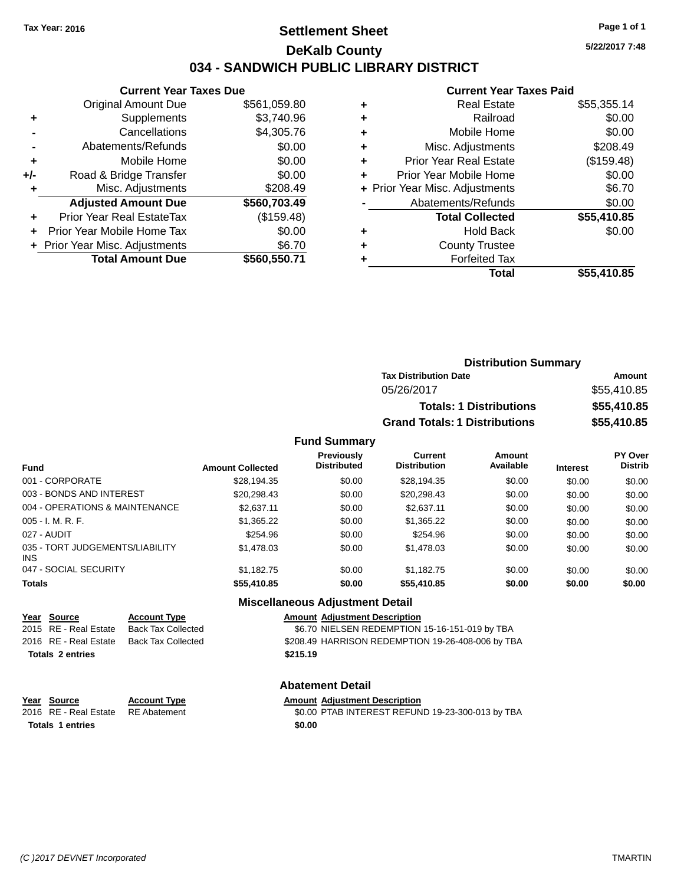### **Settlement Sheet Tax Year: 2016 Page 1 of 1 DeKalb County 034 - SANDWICH PUBLIC LIBRARY DISTRICT**

**5/22/2017 7:48**

## **Current Year Taxes Paid**

|       | <b>Current Year Taxes Due</b>  |              |  |  |  |
|-------|--------------------------------|--------------|--|--|--|
|       | <b>Original Amount Due</b>     | \$561,059.80 |  |  |  |
| ٠     | Supplements                    | \$3,740.96   |  |  |  |
|       | Cancellations                  | \$4,305.76   |  |  |  |
|       | Abatements/Refunds             | \$0.00       |  |  |  |
| ٠     | Mobile Home                    | \$0.00       |  |  |  |
| $+/-$ | Road & Bridge Transfer         | \$0.00       |  |  |  |
| ٠     | Misc. Adjustments              | \$208.49     |  |  |  |
|       | <b>Adjusted Amount Due</b>     | \$560,703.49 |  |  |  |
| ٠     | Prior Year Real EstateTax      | (\$159.48)   |  |  |  |
|       | Prior Year Mobile Home Tax     | \$0.00       |  |  |  |
|       | + Prior Year Misc. Adjustments | \$6.70       |  |  |  |
|       | <b>Total Amount Due</b>        | \$560,550.71 |  |  |  |
|       |                                |              |  |  |  |

| ٠ | <b>Real Estate</b>             | \$55,355.14 |
|---|--------------------------------|-------------|
| ٠ | Railroad                       | \$0.00      |
| ٠ | Mobile Home                    | \$0.00      |
| ٠ | Misc. Adjustments              | \$208.49    |
| ٠ | <b>Prior Year Real Estate</b>  | (\$159.48)  |
| ٠ | Prior Year Mobile Home         | \$0.00      |
|   | + Prior Year Misc. Adjustments | \$6.70      |
|   | Abatements/Refunds             | \$0.00      |
|   | <b>Total Collected</b>         | \$55,410.85 |
| ٠ | <b>Hold Back</b>               | \$0.00      |
| ٠ | <b>County Trustee</b>          |             |
|   | <b>Forfeited Tax</b>           |             |
|   | Total                          | \$55,410.85 |
|   |                                |             |

| <b>Distribution Summary</b>          |             |
|--------------------------------------|-------------|
| <b>Tax Distribution Date</b>         | Amount      |
| 05/26/2017                           | \$55,410.85 |
| <b>Totals: 1 Distributions</b>       | \$55,410.85 |
| <b>Grand Totals: 1 Distributions</b> | \$55,410.85 |

#### **Fund Summary**

| <b>Fund</b>                            | <b>Amount Collected</b> | Previously<br><b>Distributed</b> | Current<br><b>Distribution</b> | Amount<br>Available | <b>Interest</b> | <b>PY Over</b><br><b>Distrib</b> |
|----------------------------------------|-------------------------|----------------------------------|--------------------------------|---------------------|-----------------|----------------------------------|
| 001 - CORPORATE                        | \$28,194.35             | \$0.00                           | \$28,194.35                    | \$0.00              | \$0.00          | \$0.00                           |
| 003 - BONDS AND INTEREST               | \$20,298.43             | \$0.00                           | \$20,298.43                    | \$0.00              | \$0.00          | \$0.00                           |
| 004 - OPERATIONS & MAINTENANCE         | \$2.637.11              | \$0.00                           | \$2,637.11                     | \$0.00              | \$0.00          | \$0.00                           |
| 005 - I. M. R. F.                      | \$1,365.22              | \$0.00                           | \$1,365.22                     | \$0.00              | \$0.00          | \$0.00                           |
| 027 - AUDIT                            | \$254.96                | \$0.00                           | \$254.96                       | \$0.00              | \$0.00          | \$0.00                           |
| 035 - TORT JUDGEMENTS/LIABILITY<br>INS | \$1,478.03              | \$0.00                           | \$1,478.03                     | \$0.00              | \$0.00          | \$0.00                           |
| 047 - SOCIAL SECURITY                  | \$1.182.75              | \$0.00                           | \$1.182.75                     | \$0.00              | \$0.00          | \$0.00                           |
| <b>Totals</b>                          | \$55,410.85             | \$0.00                           | \$55,410.85                    | \$0.00              | \$0.00          | \$0.00                           |

#### **Miscellaneous Adjustment Detail**

| <u>Year Source</u>      | <b>Account Type</b>       | <b>Amount Adjustment Description</b>              |
|-------------------------|---------------------------|---------------------------------------------------|
| 2015 RE - Real Estate   | <b>Back Tax Collected</b> | \$6.70 NIELSEN REDEMPTION 15-16-151-019 by TBA    |
| 2016 RE - Real Estate   | Back Tax Collected        | \$208.49 HARRISON REDEMPTION 19-26-408-006 by TBA |
| <b>Totals 2 entries</b> |                           | \$215.19                                          |
|                         |                           |                                                   |
|                         |                           |                                                   |

**Year Source Account Type Amount Adjustment Description Totals 1 entries \$0.00**

## **Abatement Detail**

\$0.00 PTAB INTEREST REFUND 19-23-300-013 by TBA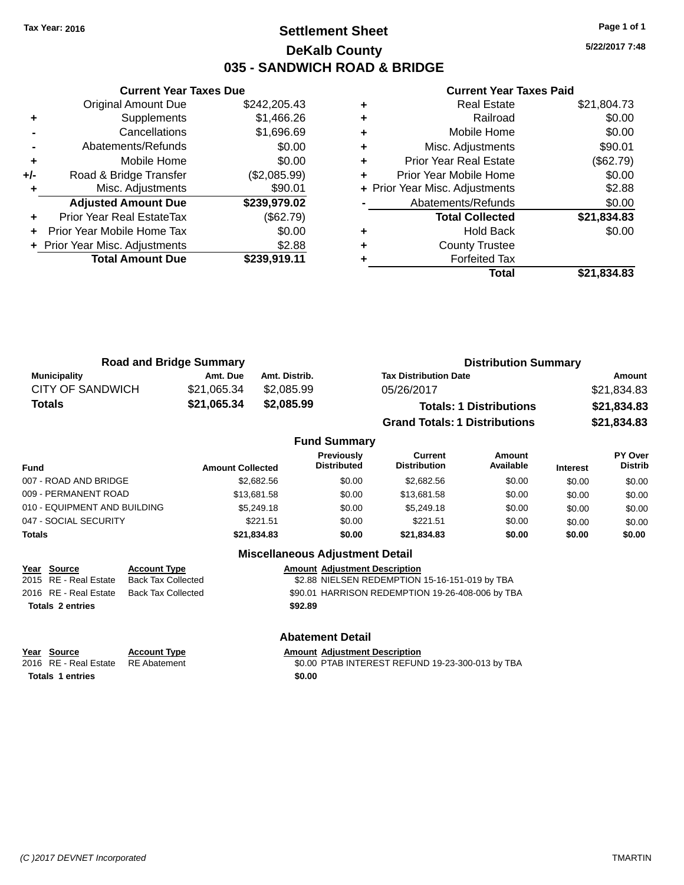### **Settlement Sheet Tax Year: 2016 Page 1 of 1 DeKalb County 035 - SANDWICH ROAD & BRIDGE**

**5/22/2017 7:48**

#### **Current Year Taxes Paid**

|       | <b>Original Amount Due</b>     | \$242,205.43 |
|-------|--------------------------------|--------------|
| ٠     | Supplements                    | \$1,466.26   |
|       | Cancellations                  | \$1,696.69   |
|       | Abatements/Refunds             | \$0.00       |
| ÷     | Mobile Home                    | \$0.00       |
| $+/-$ | Road & Bridge Transfer         | (\$2,085.99) |
| ٠     | Misc. Adjustments              | \$90.01      |
|       | <b>Adjusted Amount Due</b>     | \$239,979.02 |
| ÷     | Prior Year Real EstateTax      | (\$62.79)    |
| ÷     | Prior Year Mobile Home Tax     | \$0.00       |
|       | + Prior Year Misc. Adjustments | \$2.88       |
|       | <b>Total Amount Due</b>        | \$239,919.11 |
|       |                                |              |

**Current Year Taxes Due**

| <b>Real Estate</b>             | \$21,804.73 |
|--------------------------------|-------------|
| Railroad                       | \$0.00      |
| Mobile Home                    | \$0.00      |
| Misc. Adjustments              | \$90.01     |
| Prior Year Real Estate         | (\$62.79)   |
| Prior Year Mobile Home         | \$0.00      |
| + Prior Year Misc. Adjustments | \$2.88      |
| Abatements/Refunds             | \$0.00      |
| <b>Total Collected</b>         | \$21,834.83 |
| <b>Hold Back</b>               | \$0.00      |
| <b>County Trustee</b>          |             |
| <b>Forfeited Tax</b>           |             |
| Total                          | \$21,834.83 |
|                                |             |

| <b>Road and Bridge Summary</b> |             |               | <b>Distribution Summary</b>          |             |  |
|--------------------------------|-------------|---------------|--------------------------------------|-------------|--|
| <b>Municipality</b>            | Amt. Due    | Amt. Distrib. | <b>Tax Distribution Date</b>         | Amount      |  |
| CITY OF SANDWICH               | \$21.065.34 | \$2,085.99    | 05/26/2017                           | \$21,834.83 |  |
| <b>Totals</b>                  | \$21,065.34 | \$2,085.99    | <b>Totals: 1 Distributions</b>       | \$21,834.83 |  |
|                                |             |               | <b>Grand Totals: 1 Distributions</b> | \$21,834.83 |  |

#### **Fund Summary Fund Interest Amount Collected Distributed PY Over Distrib Amount Available Current Distribution Previously** 007 - ROAD AND BRIDGE \$2,682.56 \$2,682.56 \$0.00 \$2,682.56 \$0.00 \$0.00 \$0.00 \$0.00 009 - PERMANENT ROAD \$13,681.58 \$13,681.58 \$0.00 \$13,681.58 \$0.00 \$0.00 \$0.00 \$0.00 010 - EQUIPMENT AND BUILDING \$5,249.18 \$0.00 \$5,249.18 \$0.00 \$0.00 \$0.00 \$0.00 047 - SOCIAL SECURITY \$221.51 \$0.00 \$221.51 \$0.00 \$0.00 \$0.00 \$0.00 **Totals \$21,834.83 \$0.00 \$21,834.83 \$0.00 \$0.00 \$0.00**

### **Miscellaneous Adjustment Detail Year Source Account Type Amount Adjustment Description** \$2.88 NIELSEN REDEMPTION 15-16-151-019 by TBA 2016 RE - Real Estate Back Tax Collected \$90.01 HARRISON REDEMPTION 19-26-408-006 by TBA **Totals 2 entries \$92.89**

# **Totals 1 entries \$0.00**

#### **Year Source Account Type Amount Adjustment Description** 2016 RE - Real Estate RE Abatement \$0.00 PTAB INTEREST REFUND 19-23-300-013 by TBA

**Abatement Detail**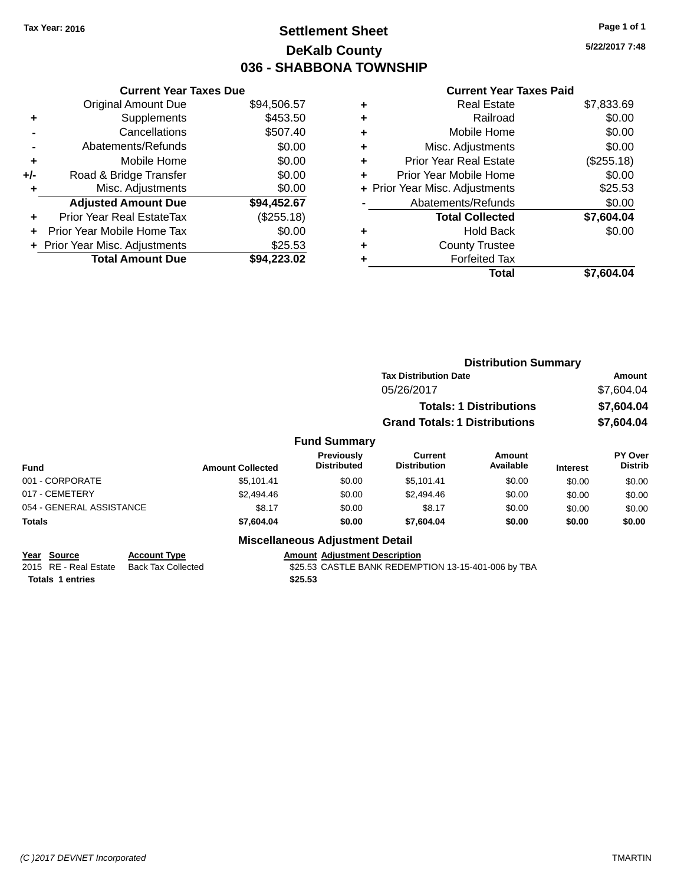### **Settlement Sheet Tax Year: 2016 Page 1 of 1 DeKalb County 036 - SHABBONA TOWNSHIP**

**5/22/2017 7:48**

#### **Current Year Taxes Paid**

|     | <b>Current Year Taxes Due</b>  |             |
|-----|--------------------------------|-------------|
|     | <b>Original Amount Due</b>     | \$94,506.57 |
| ٠   | Supplements                    | \$453.50    |
|     | Cancellations                  | \$507.40    |
|     | Abatements/Refunds             | \$0.00      |
| ٠   | Mobile Home                    | \$0.00      |
| +/- | Road & Bridge Transfer         | \$0.00      |
|     | Misc. Adjustments              | \$0.00      |
|     | <b>Adjusted Amount Due</b>     | \$94,452.67 |
| ÷   | Prior Year Real EstateTax      | (\$255.18)  |
| ÷   | Prior Year Mobile Home Tax     | \$0.00      |
|     | + Prior Year Misc. Adjustments | \$25.53     |
|     | <b>Total Amount Due</b>        | \$94.223.02 |

|   | Total                          | \$7,604.04 |
|---|--------------------------------|------------|
| ٠ | <b>Forfeited Tax</b>           |            |
| ٠ | <b>County Trustee</b>          |            |
| ٠ | Hold Back                      | \$0.00     |
|   | <b>Total Collected</b>         | \$7,604.04 |
|   | Abatements/Refunds             | \$0.00     |
|   | + Prior Year Misc. Adjustments | \$25.53    |
| ٠ | Prior Year Mobile Home         | \$0.00     |
| ٠ | <b>Prior Year Real Estate</b>  | (\$255.18) |
| ٠ | Misc. Adjustments              | \$0.00     |
| ٠ | Mobile Home                    | \$0.00     |
| ٠ | Railroad                       | \$0.00     |
| ٠ | <b>Real Estate</b>             | \$7,833.69 |
|   |                                |            |

|                          |                     |                         |                                        |                                       | <b>Distribution Summary</b>    |                 |                           |
|--------------------------|---------------------|-------------------------|----------------------------------------|---------------------------------------|--------------------------------|-----------------|---------------------------|
|                          |                     |                         |                                        | <b>Tax Distribution Date</b>          |                                |                 | Amount                    |
|                          |                     |                         |                                        | 05/26/2017                            |                                |                 | \$7,604.04                |
|                          |                     |                         |                                        |                                       | <b>Totals: 1 Distributions</b> |                 | \$7,604.04                |
|                          |                     |                         |                                        | <b>Grand Totals: 1 Distributions</b>  |                                |                 | \$7,604.04                |
|                          |                     |                         | <b>Fund Summary</b>                    |                                       |                                |                 |                           |
| <b>Fund</b>              |                     | <b>Amount Collected</b> | Previously<br><b>Distributed</b>       | <b>Current</b><br><b>Distribution</b> | <b>Amount</b><br>Available     | <b>Interest</b> | PY Over<br><b>Distrib</b> |
| 001 - CORPORATE          |                     | \$5,101.41              | \$0.00                                 | \$5,101.41                            | \$0.00                         | \$0.00          | \$0.00                    |
| 017 - CEMETERY           |                     | \$2,494.46              | \$0.00                                 | \$2,494.46                            | \$0.00                         | \$0.00          | \$0.00                    |
| 054 - GENERAL ASSISTANCE |                     | \$8.17                  | \$0.00                                 | \$8.17                                | \$0.00                         | \$0.00          | \$0.00                    |
| <b>Totals</b>            |                     | \$7,604.04              | \$0.00                                 | \$7,604.04                            | \$0.00                         | \$0.00          | \$0.00                    |
|                          |                     |                         | <b>Miscellaneous Adjustment Detail</b> |                                       |                                |                 |                           |
| Year Source              | <b>Account Type</b> |                         | <b>Amount Adjustment Description</b>   |                                       |                                |                 |                           |

**<u>Year Source</u> <b>Account Type**<br> **Account Type Added Added** Back Tax Collected **Totals 1 entries \$25.53**

**2016 Real Estate Bank REDEMPTION 13-15-401-006 by TBA**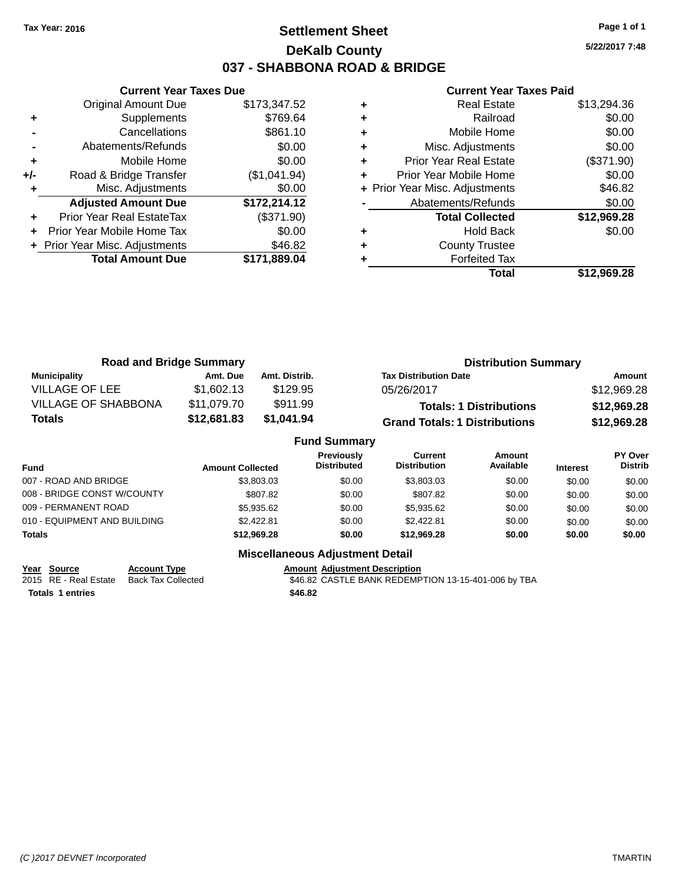### **Settlement Sheet Tax Year: 2016 Page 1 of 1 DeKalb County 037 - SHABBONA ROAD & BRIDGE**

**5/22/2017 7:48**

#### **Current Year Taxes Paid**

|     | <b>Current Year Taxes Due</b>  |              |
|-----|--------------------------------|--------------|
|     | <b>Original Amount Due</b>     | \$173,347.52 |
| ٠   | Supplements                    | \$769.64     |
|     | Cancellations                  | \$861.10     |
|     | Abatements/Refunds             | \$0.00       |
| ٠   | Mobile Home                    | \$0.00       |
| +/- | Road & Bridge Transfer         | (\$1,041.94) |
|     | Misc. Adjustments              | \$0.00       |
|     | <b>Adjusted Amount Due</b>     | \$172,214.12 |
| ٠   | Prior Year Real EstateTax      | (\$371.90)   |
|     | Prior Year Mobile Home Tax     | \$0.00       |
|     | + Prior Year Misc. Adjustments | \$46.82      |
|     | <b>Total Amount Due</b>        | \$171,889.04 |
|     |                                |              |

|   | <b>Real Estate</b>             | \$13,294.36 |
|---|--------------------------------|-------------|
| ٠ | Railroad                       | \$0.00      |
| ٠ | Mobile Home                    | \$0.00      |
| ٠ | Misc. Adjustments              | \$0.00      |
| ٠ | <b>Prior Year Real Estate</b>  | (\$371.90)  |
| ٠ | Prior Year Mobile Home         | \$0.00      |
|   | + Prior Year Misc. Adjustments | \$46.82     |
|   | Abatements/Refunds             | \$0.00      |
|   | <b>Total Collected</b>         | \$12,969.28 |
| ٠ | <b>Hold Back</b>               | \$0.00      |
| ٠ | <b>County Trustee</b>          |             |
|   | <b>Forfeited Tax</b>           |             |
|   | Total                          | \$12.969.28 |

| <b>Road and Bridge Summary</b> |             |               | <b>Distribution Summary</b>          |             |  |
|--------------------------------|-------------|---------------|--------------------------------------|-------------|--|
| <b>Municipality</b>            | Amt. Due    | Amt. Distrib. | <b>Tax Distribution Date</b>         | Amount      |  |
| VILLAGE OF LEE                 | \$1,602.13  | \$129.95      | 05/26/2017                           | \$12,969.28 |  |
| <b>VILLAGE OF SHABBONA</b>     | \$11,079.70 | \$911.99      | <b>Totals: 1 Distributions</b>       | \$12,969.28 |  |
| <b>Totals</b>                  | \$12,681.83 | \$1,041.94    | <b>Grand Totals: 1 Distributions</b> | \$12,969.28 |  |

|                              |                         | <b>Fund Summary</b>                     |                                |                     |                 |                           |
|------------------------------|-------------------------|-----------------------------------------|--------------------------------|---------------------|-----------------|---------------------------|
| Fund                         | <b>Amount Collected</b> | <b>Previously</b><br><b>Distributed</b> | Current<br><b>Distribution</b> | Amount<br>Available | <b>Interest</b> | PY Over<br><b>Distrib</b> |
| 007 - ROAD AND BRIDGE        | \$3,803.03              | \$0.00                                  | \$3,803,03                     | \$0.00              | \$0.00          | \$0.00                    |
| 008 - BRIDGE CONST W/COUNTY  | \$807.82                | \$0.00                                  | \$807.82                       | \$0.00              | \$0.00          | \$0.00                    |
| 009 - PERMANENT ROAD         | \$5,935.62              | \$0.00                                  | \$5,935.62                     | \$0.00              | \$0.00          | \$0.00                    |
| 010 - EQUIPMENT AND BUILDING | \$2.422.81              | \$0.00                                  | \$2,422.81                     | \$0.00              | \$0.00          | \$0.00                    |
| <b>Totals</b>                | \$12,969,28             | \$0.00                                  | \$12,969,28                    | \$0.00              | \$0.00          | \$0.00                    |
|                              | ---<br>--               |                                         |                                |                     |                 |                           |

**Miscellaneous Adjustment Detail**

**Totals 1 entries \$46.82**

**Year Source Account Type**<br>
2015 RE - Real Estate Back Tax Collected **Amount Adjustment Description**<br>
346.82 CASTLE BANK REDEMP \$46.82 CASTLE BANK REDEMPTION 13-15-401-006 by TBA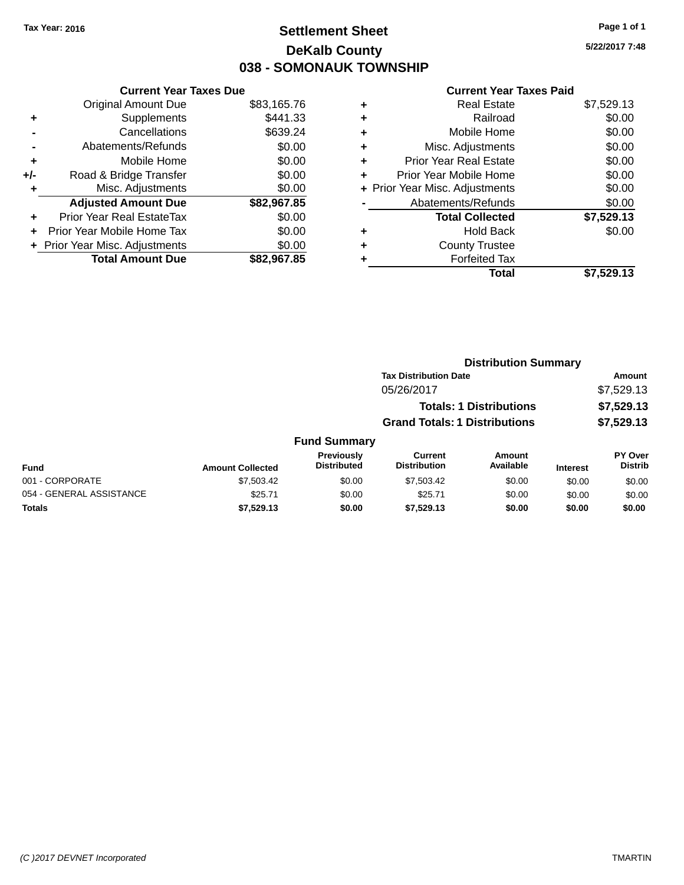### **Settlement Sheet Tax Year: 2016 Page 1 of 1 DeKalb County 038 - SOMONAUK TOWNSHIP**

**5/22/2017 7:48**

#### **Current Year Taxes Paid**

|     | <b>Current Year Taxes Due</b>  |             |
|-----|--------------------------------|-------------|
|     | <b>Original Amount Due</b>     | \$83,165.76 |
| ٠   | Supplements                    | \$441.33    |
|     | Cancellations                  | \$639.24    |
|     | Abatements/Refunds             | \$0.00      |
| ٠   | Mobile Home                    | \$0.00      |
| +/- | Road & Bridge Transfer         | \$0.00      |
| ٠   | Misc. Adjustments              | \$0.00      |
|     | <b>Adjusted Amount Due</b>     | \$82,967.85 |
| ÷   | Prior Year Real EstateTax      | \$0.00      |
| ÷   | Prior Year Mobile Home Tax     | \$0.00      |
|     | + Prior Year Misc. Adjustments | \$0.00      |
|     | <b>Total Amount Due</b>        | \$82,967,85 |

| ٠ | <b>Real Estate</b>             | \$7,529.13 |
|---|--------------------------------|------------|
| ٠ | Railroad                       | \$0.00     |
| ٠ | Mobile Home                    | \$0.00     |
| ٠ | Misc. Adjustments              | \$0.00     |
| ٠ | <b>Prior Year Real Estate</b>  | \$0.00     |
| ٠ | Prior Year Mobile Home         | \$0.00     |
|   | + Prior Year Misc. Adjustments | \$0.00     |
|   | Abatements/Refunds             | \$0.00     |
|   | <b>Total Collected</b>         | \$7,529.13 |
| ٠ | <b>Hold Back</b>               | \$0.00     |
| ٠ | <b>County Trustee</b>          |            |
| ٠ | <b>Forfeited Tax</b>           |            |
|   | Total                          | \$7,529.13 |
|   |                                |            |

|                          |                         |                                  |                                      | <b>Distribution Summary</b>    |                 |                                  |
|--------------------------|-------------------------|----------------------------------|--------------------------------------|--------------------------------|-----------------|----------------------------------|
|                          |                         |                                  | <b>Tax Distribution Date</b>         |                                |                 | <b>Amount</b>                    |
|                          |                         |                                  | 05/26/2017                           |                                |                 | \$7,529.13                       |
|                          |                         |                                  |                                      | <b>Totals: 1 Distributions</b> |                 | \$7,529.13                       |
|                          |                         |                                  | <b>Grand Totals: 1 Distributions</b> |                                |                 | \$7,529.13                       |
|                          |                         | <b>Fund Summary</b>              |                                      |                                |                 |                                  |
| Fund                     | <b>Amount Collected</b> | Previously<br><b>Distributed</b> | Current<br><b>Distribution</b>       | Amount<br>Available            | <b>Interest</b> | <b>PY Over</b><br><b>Distrib</b> |
| 001 - CORPORATE          | \$7,503.42              | \$0.00                           | \$7,503.42                           | \$0.00                         | \$0.00          | \$0.00                           |
| 054 - GENERAL ASSISTANCE | \$25.71                 | \$0.00                           | \$25.71                              | \$0.00                         | \$0.00          | \$0.00                           |
| <b>Totals</b>            | \$7,529.13              | \$0.00                           | \$7.529.13                           | \$0.00                         | \$0.00          | \$0.00                           |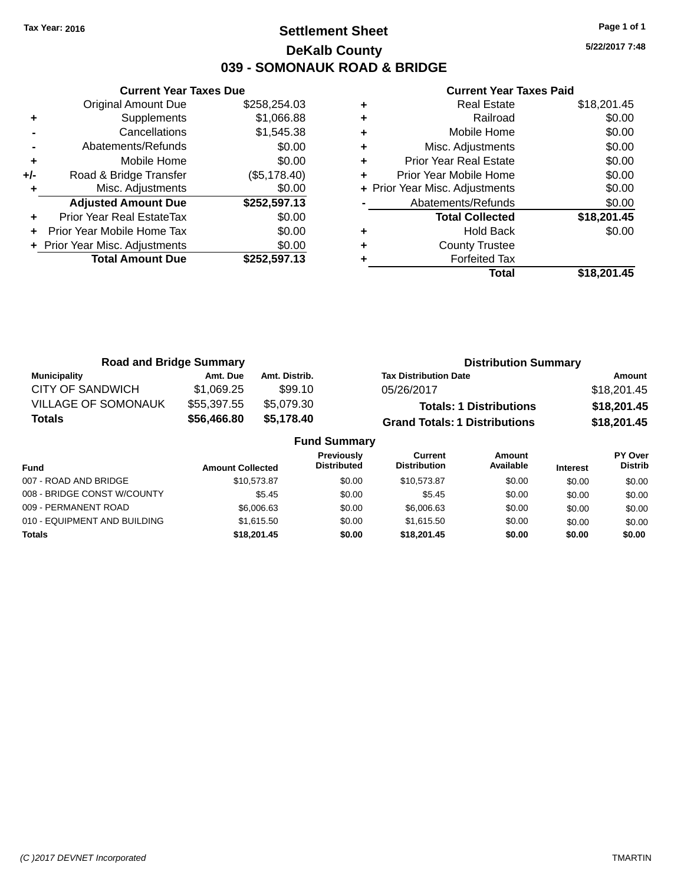### **Settlement Sheet Tax Year: 2016 Page 1 of 1 DeKalb County 039 - SOMONAUK ROAD & BRIDGE**

**5/22/2017 7:48**

#### **Current Year Taxes Paid**

|     | <b>Current Year Taxes Due</b>  |              |
|-----|--------------------------------|--------------|
|     | Original Amount Due            | \$258,254.03 |
| ٠   | Supplements                    | \$1,066.88   |
|     | Cancellations                  | \$1,545.38   |
|     | Abatements/Refunds             | \$0.00       |
| ٠   | Mobile Home                    | \$0.00       |
| +/- | Road & Bridge Transfer         | (\$5,178.40) |
|     | Misc. Adjustments              | \$0.00       |
|     | <b>Adjusted Amount Due</b>     | \$252,597.13 |
|     | Prior Year Real EstateTax      | \$0.00       |
|     | Prior Year Mobile Home Tax     | \$0.00       |
|     | + Prior Year Misc. Adjustments | \$0.00       |
|     | <b>Total Amount Due</b>        | \$252,597.13 |
|     |                                |              |

| ٠ | <b>Real Estate</b>             | \$18,201.45 |
|---|--------------------------------|-------------|
| ٠ | Railroad                       | \$0.00      |
| ٠ | Mobile Home                    | \$0.00      |
| ٠ | Misc. Adjustments              | \$0.00      |
| ٠ | <b>Prior Year Real Estate</b>  | \$0.00      |
| ٠ | Prior Year Mobile Home         | \$0.00      |
|   | + Prior Year Misc. Adjustments | \$0.00      |
|   | Abatements/Refunds             | \$0.00      |
|   | <b>Total Collected</b>         | \$18,201.45 |
| ٠ | <b>Hold Back</b>               | \$0.00      |
| ٠ | <b>County Trustee</b>          |             |
|   | <b>Forfeited Tax</b>           |             |
|   | Total                          | \$18.201.45 |

| <b>Road and Bridge Summary</b> |             |               | <b>Distribution Summary</b>          |             |  |
|--------------------------------|-------------|---------------|--------------------------------------|-------------|--|
| <b>Municipality</b>            | Amt. Due    | Amt. Distrib. | <b>Tax Distribution Date</b>         | Amount      |  |
| <b>CITY OF SANDWICH</b>        | \$1.069.25  | \$99.10       | 05/26/2017                           | \$18,201.45 |  |
| <b>VILLAGE OF SOMONAUK</b>     | \$55,397.55 | \$5,079.30    | <b>Totals: 1 Distributions</b>       | \$18,201.45 |  |
| Totals                         | \$56,466.80 | \$5,178.40    | <b>Grand Totals: 1 Distributions</b> | \$18,201.45 |  |
| <b>Fund Summary</b>            |             |               |                                      |             |  |

| <b>PY Over</b><br><b>Interest</b> | <b>Distrib</b> |
|-----------------------------------|----------------|
|                                   |                |
| \$0.00                            | \$0.00         |
| \$0.00                            | \$0.00         |
| \$0.00                            | \$0.00         |
| \$0.00                            | \$0.00         |
| \$0.00                            | \$0.00         |
|                                   |                |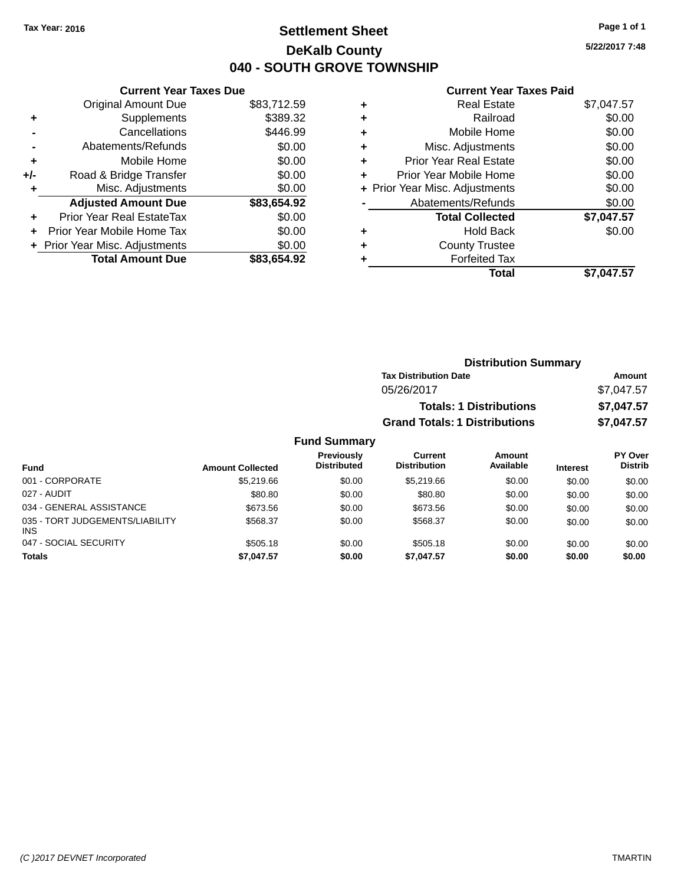### **Settlement Sheet Tax Year: 2016 Page 1 of 1 DeKalb County 040 - SOUTH GROVE TOWNSHIP**

**5/22/2017 7:48**

#### **Current Year Taxes Paid**

|       | <b>Current Year Taxes Due</b>  |             |
|-------|--------------------------------|-------------|
|       | <b>Original Amount Due</b>     | \$83,712.59 |
| ٠     | Supplements                    | \$389.32    |
|       | Cancellations                  | \$446.99    |
|       | Abatements/Refunds             | \$0.00      |
| ٠     | Mobile Home                    | \$0.00      |
| $+/-$ | Road & Bridge Transfer         | \$0.00      |
| ٠     | Misc. Adjustments              | \$0.00      |
|       | <b>Adjusted Amount Due</b>     | \$83,654.92 |
| ÷     | Prior Year Real EstateTax      | \$0.00      |
|       | Prior Year Mobile Home Tax     | \$0.00      |
|       | + Prior Year Misc. Adjustments | \$0.00      |
|       | <b>Total Amount Due</b>        | \$83,654.92 |

|   | <b>Real Estate</b>             | \$7,047.57 |
|---|--------------------------------|------------|
| ٠ | Railroad                       | \$0.00     |
| ٠ | Mobile Home                    | \$0.00     |
| ٠ | Misc. Adjustments              | \$0.00     |
| ٠ | <b>Prior Year Real Estate</b>  | \$0.00     |
| ٠ | Prior Year Mobile Home         | \$0.00     |
|   | + Prior Year Misc. Adjustments | \$0.00     |
|   | Abatements/Refunds             | \$0.00     |
|   | <b>Total Collected</b>         | \$7,047.57 |
| ٠ | <b>Hold Back</b>               | \$0.00     |
|   | <b>County Trustee</b>          |            |
| ٠ | <b>Forfeited Tax</b>           |            |
|   | Total                          | \$7,047.57 |
|   |                                |            |

| <b>Distribution Summary</b>          |            |
|--------------------------------------|------------|
| <b>Tax Distribution Date</b>         | Amount     |
| 05/26/2017                           | \$7,047.57 |
| <b>Totals: 1 Distributions</b>       | \$7,047.57 |
| <b>Grand Totals: 1 Distributions</b> | \$7,047.57 |

#### **Fund Summary**

| <b>Fund</b>                                   | <b>Amount Collected</b> | Previously<br><b>Distributed</b> | Current<br><b>Distribution</b> | Amount<br>Available | <b>Interest</b> | <b>PY Over</b><br><b>Distrib</b> |
|-----------------------------------------------|-------------------------|----------------------------------|--------------------------------|---------------------|-----------------|----------------------------------|
| 001 - CORPORATE                               | \$5,219.66              | \$0.00                           | \$5,219.66                     | \$0.00              | \$0.00          | \$0.00                           |
| 027 - AUDIT                                   | \$80.80                 | \$0.00                           | \$80.80                        | \$0.00              | \$0.00          | \$0.00                           |
| 034 - GENERAL ASSISTANCE                      | \$673.56                | \$0.00                           | \$673.56                       | \$0.00              | \$0.00          | \$0.00                           |
| 035 - TORT JUDGEMENTS/LIABILITY<br><b>INS</b> | \$568.37                | \$0.00                           | \$568.37                       | \$0.00              | \$0.00          | \$0.00                           |
| 047 - SOCIAL SECURITY                         | \$505.18                | \$0.00                           | \$505.18                       | \$0.00              | \$0.00          | \$0.00                           |
| <b>Totals</b>                                 | \$7,047.57              | \$0.00                           | \$7,047.57                     | \$0.00              | \$0.00          | \$0.00                           |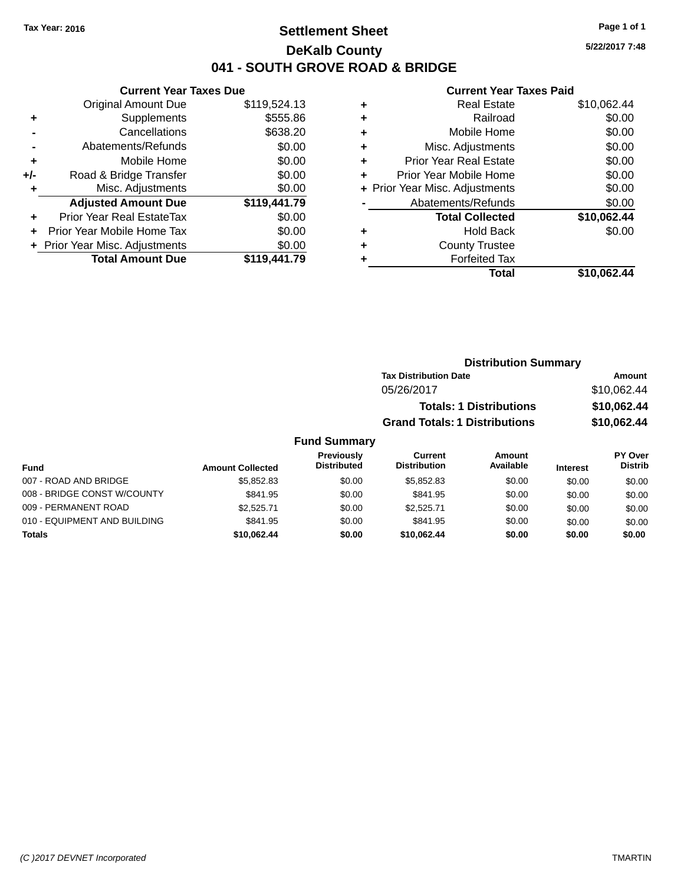### **Settlement Sheet Tax Year: 2016 Page 1 of 1 DeKalb County 041 - SOUTH GROVE ROAD & BRIDGE**

**5/22/2017 7:48**

#### **Current Year Taxes Paid**

| <b>Current Year Taxes Due</b> |                                |
|-------------------------------|--------------------------------|
| <b>Original Amount Due</b>    | \$119,524.13                   |
| Supplements                   | \$555.86                       |
| Cancellations                 | \$638.20                       |
| Abatements/Refunds            | \$0.00                         |
| Mobile Home                   | \$0.00                         |
| Road & Bridge Transfer        | \$0.00                         |
| Misc. Adjustments             | \$0.00                         |
| <b>Adjusted Amount Due</b>    | \$119,441.79                   |
| Prior Year Real EstateTax     | \$0.00                         |
| Prior Year Mobile Home Tax    | \$0.00                         |
|                               | \$0.00                         |
| <b>Total Amount Due</b>       | \$119.441.79                   |
|                               | + Prior Year Misc. Adjustments |

| ٠ | <b>Real Estate</b>             | \$10,062.44 |
|---|--------------------------------|-------------|
| ٠ | Railroad                       | \$0.00      |
| ٠ | Mobile Home                    | \$0.00      |
| ٠ | Misc. Adjustments              | \$0.00      |
| ٠ | <b>Prior Year Real Estate</b>  | \$0.00      |
| ÷ | Prior Year Mobile Home         | \$0.00      |
|   | + Prior Year Misc. Adjustments | \$0.00      |
|   | Abatements/Refunds             | \$0.00      |
|   | <b>Total Collected</b>         | \$10,062.44 |
| ٠ | <b>Hold Back</b>               | \$0.00      |
| ٠ | <b>County Trustee</b>          |             |
| ٠ | <b>Forfeited Tax</b>           |             |
|   | Total                          | \$10,062.44 |
|   |                                |             |

| <b>Distribution Summary</b>          |             |
|--------------------------------------|-------------|
| <b>Tax Distribution Date</b>         | Amount      |
| 05/26/2017                           | \$10,062.44 |
| <b>Totals: 1 Distributions</b>       | \$10,062.44 |
| <b>Grand Totals: 1 Distributions</b> | \$10,062.44 |

#### **Fund Summary**

| Fund                         | <b>Amount Collected</b> | Previously<br><b>Distributed</b> | Current<br><b>Distribution</b> | Amount<br>Available | <b>Interest</b> | PY Over<br><b>Distrib</b> |
|------------------------------|-------------------------|----------------------------------|--------------------------------|---------------------|-----------------|---------------------------|
| 007 - ROAD AND BRIDGE        | \$5.852.83              | \$0.00                           | \$5.852.83                     | \$0.00              | \$0.00          | \$0.00                    |
| 008 - BRIDGE CONST W/COUNTY  | \$841.95                | \$0.00                           | \$841.95                       | \$0.00              | \$0.00          | \$0.00                    |
| 009 - PERMANENT ROAD         | \$2.525.71              | \$0.00                           | \$2.525.71                     | \$0.00              | \$0.00          | \$0.00                    |
| 010 - EQUIPMENT AND BUILDING | \$841.95                | \$0.00                           | \$841.95                       | \$0.00              | \$0.00          | \$0.00                    |
| <b>Totals</b>                | \$10.062.44             | \$0.00                           | \$10.062.44                    | \$0.00              | \$0.00          | \$0.00                    |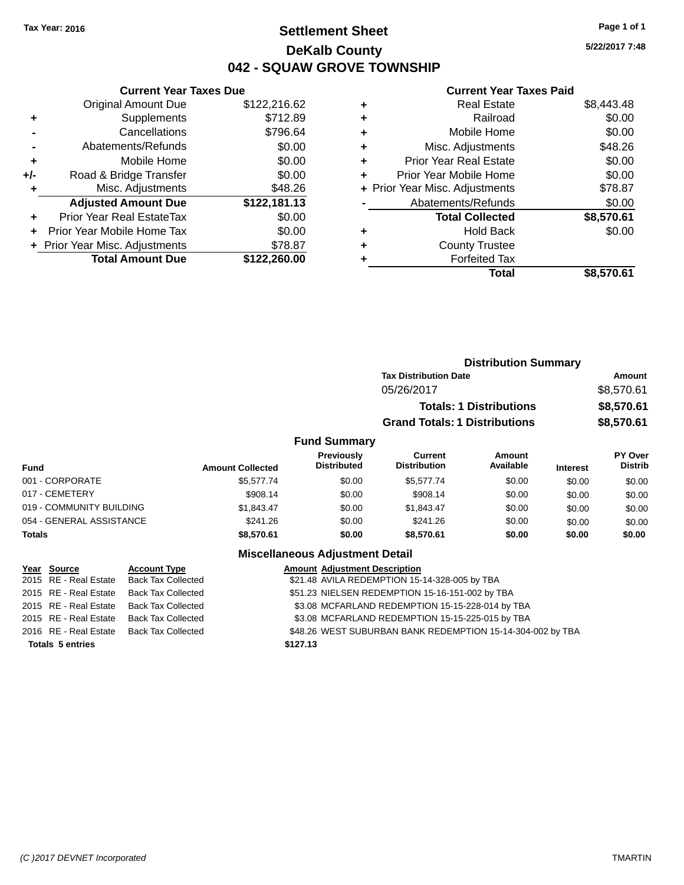### **Settlement Sheet Tax Year: 2016 Page 1 of 1 DeKalb County 042 - SQUAW GROVE TOWNSHIP**

**5/22/2017 7:48**

#### **Current Year Taxes Paid**

|     | <b>Current Year Taxes Due</b>  |              |  |  |  |
|-----|--------------------------------|--------------|--|--|--|
|     | <b>Original Amount Due</b>     | \$122,216.62 |  |  |  |
| ٠   | Supplements                    | \$712.89     |  |  |  |
|     | Cancellations                  | \$796.64     |  |  |  |
|     | Abatements/Refunds             | \$0.00       |  |  |  |
| ٠   | Mobile Home                    | \$0.00       |  |  |  |
| +/- | Road & Bridge Transfer         | \$0.00       |  |  |  |
|     | Misc. Adjustments              | \$48.26      |  |  |  |
|     | <b>Adjusted Amount Due</b>     | \$122,181.13 |  |  |  |
| ÷   | Prior Year Real EstateTax      | \$0.00       |  |  |  |
|     | Prior Year Mobile Home Tax     | \$0.00       |  |  |  |
|     | + Prior Year Misc. Adjustments | \$78.87      |  |  |  |
|     | <b>Total Amount Due</b>        | \$122.260.00 |  |  |  |
|     |                                |              |  |  |  |

|   | <b>Real Estate</b>             | \$8,443.48 |
|---|--------------------------------|------------|
| ٠ | Railroad                       | \$0.00     |
| ٠ | Mobile Home                    | \$0.00     |
| ٠ | Misc. Adjustments              | \$48.26    |
| ٠ | <b>Prior Year Real Estate</b>  | \$0.00     |
| ٠ | Prior Year Mobile Home         | \$0.00     |
|   | + Prior Year Misc. Adjustments | \$78.87    |
|   | Abatements/Refunds             | \$0.00     |
|   | <b>Total Collected</b>         | \$8,570.61 |
| ٠ | <b>Hold Back</b>               | \$0.00     |
| ٠ | <b>County Trustee</b>          |            |
| ٠ | <b>Forfeited Tax</b>           |            |
|   | Total                          | \$8,570.61 |
|   |                                |            |

|                     |                                                                        | <b>Distribution Summary</b> |                |
|---------------------|------------------------------------------------------------------------|-----------------------------|----------------|
|                     | <b>Tax Distribution Date</b>                                           |                             | <b>Amount</b>  |
|                     | 05/26/2017                                                             |                             | \$8,570.61     |
|                     | <b>Totals: 1 Distributions</b><br><b>Grand Totals: 1 Distributions</b> |                             | \$8,570.61     |
|                     |                                                                        |                             | \$8,570.61     |
| <b>Fund Summary</b> |                                                                        |                             |                |
| Previously          | <b>Current</b>                                                         | Amount                      | <b>PY Over</b> |
|                     |                                                                        |                             |                |

| <b>Fund</b>              | <b>Amount Collected</b> | <b>Previously</b><br><b>Distributed</b> | <b>Current</b><br><b>Distribution</b> | <b>Amount</b><br>Available | <b>Interest</b> | <b>PY Over</b><br><b>Distrib</b> |
|--------------------------|-------------------------|-----------------------------------------|---------------------------------------|----------------------------|-----------------|----------------------------------|
| 001 - CORPORATE          | \$5,577,74              | \$0.00                                  | \$5,577.74                            | \$0.00                     | \$0.00          | \$0.00                           |
| 017 - CEMETERY           | \$908.14                | \$0.00                                  | \$908.14                              | \$0.00                     | \$0.00          | \$0.00                           |
| 019 - COMMUNITY BUILDING | \$1.843.47              | \$0.00                                  | \$1.843.47                            | \$0.00                     | \$0.00          | \$0.00                           |
| 054 - GENERAL ASSISTANCE | \$241.26                | \$0.00                                  | \$241.26                              | \$0.00                     | \$0.00          | \$0.00                           |
| <b>Totals</b>            | \$8,570.61              | \$0.00                                  | \$8.570.61                            | \$0.00                     | \$0.00          | \$0.00                           |

| Year Source             | <b>Account Type</b>                      |          | <b>Amount Adjustment Description</b>                       |
|-------------------------|------------------------------------------|----------|------------------------------------------------------------|
|                         | 2015 RE - Real Estate Back Tax Collected |          | \$21.48 AVILA REDEMPTION 15-14-328-005 by TBA              |
|                         | 2015 RE - Real Estate Back Tax Collected |          | \$51.23 NIELSEN REDEMPTION 15-16-151-002 by TBA            |
|                         | 2015 RE - Real Estate Back Tax Collected |          | \$3.08 MCFARLAND REDEMPTION 15-15-228-014 by TBA           |
|                         | 2015 RE - Real Estate Back Tax Collected |          | \$3.08 MCFARLAND REDEMPTION 15-15-225-015 by TBA           |
|                         | 2016 RE - Real Estate Back Tax Collected |          | \$48.26 WEST SUBURBAN BANK REDEMPTION 15-14-304-002 by TBA |
| <b>Totals 5 entries</b> |                                          | \$127.13 |                                                            |
|                         |                                          |          |                                                            |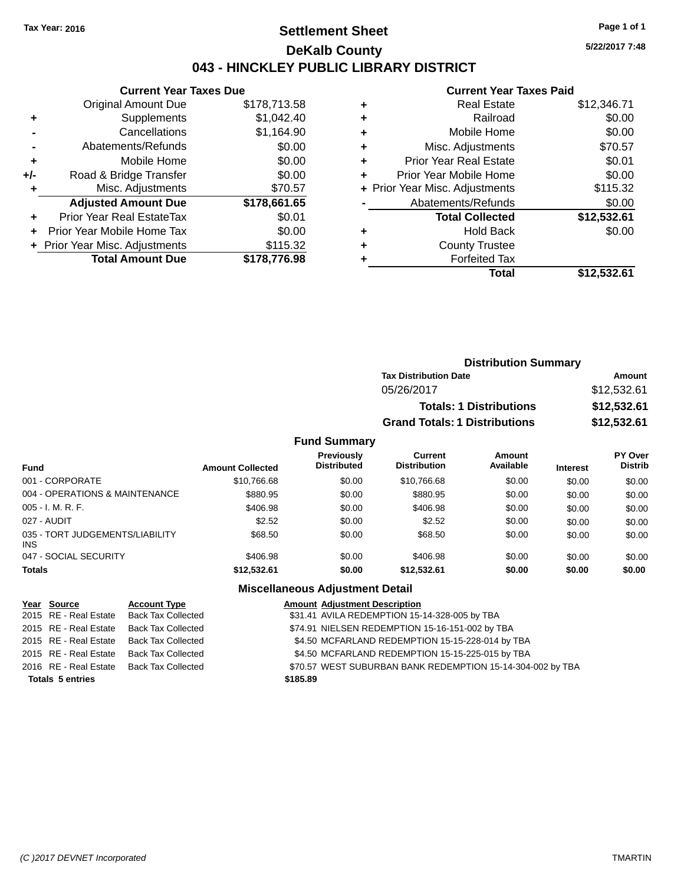### **Settlement Sheet Tax Year: 2016 Page 1 of 1 DeKalb County 043 - HINCKLEY PUBLIC LIBRARY DISTRICT**

**5/22/2017 7:48**

### **Current Year Taxes Paid**

|       | <b>Current Year Taxes Due</b>  |              |  |  |  |
|-------|--------------------------------|--------------|--|--|--|
|       | <b>Original Amount Due</b>     | \$178,713.58 |  |  |  |
| ٠     | Supplements                    | \$1,042.40   |  |  |  |
|       | Cancellations                  | \$1,164.90   |  |  |  |
|       | Abatements/Refunds             | \$0.00       |  |  |  |
| ٠     | Mobile Home                    | \$0.00       |  |  |  |
| $+/-$ | Road & Bridge Transfer         | \$0.00       |  |  |  |
| ٠     | Misc. Adjustments              | \$70.57      |  |  |  |
|       | <b>Adjusted Amount Due</b>     | \$178,661.65 |  |  |  |
| ٠     | Prior Year Real EstateTax      | \$0.01       |  |  |  |
|       | Prior Year Mobile Home Tax     | \$0.00       |  |  |  |
|       | + Prior Year Misc. Adjustments | \$115.32     |  |  |  |
|       | <b>Total Amount Due</b>        | \$178,776.98 |  |  |  |
|       |                                |              |  |  |  |

| ٠ | <b>Real Estate</b>             | \$12,346.71 |
|---|--------------------------------|-------------|
| ٠ | Railroad                       | \$0.00      |
| ٠ | Mobile Home                    | \$0.00      |
| ٠ | Misc. Adjustments              | \$70.57     |
| ٠ | <b>Prior Year Real Estate</b>  | \$0.01      |
| ٠ | Prior Year Mobile Home         | \$0.00      |
|   | + Prior Year Misc. Adjustments | \$115.32    |
|   | Abatements/Refunds             | \$0.00      |
|   | <b>Total Collected</b>         | \$12,532.61 |
| ٠ | <b>Hold Back</b>               | \$0.00      |
| ٠ | <b>County Trustee</b>          |             |
| ٠ | <b>Forfeited Tax</b>           |             |
|   | Total                          | \$12,532.61 |
|   |                                |             |

| <b>Distribution Summary</b>          |             |
|--------------------------------------|-------------|
| <b>Tax Distribution Date</b>         | Amount      |
| 05/26/2017                           | \$12,532.61 |
| <b>Totals: 1 Distributions</b>       | \$12,532.61 |
| <b>Grand Totals: 1 Distributions</b> | \$12,532.61 |

#### **Fund Summary**

| <b>Fund</b>                                   | <b>Amount Collected</b> | <b>Previously</b><br><b>Distributed</b> | Current<br><b>Distribution</b> | <b>Amount</b><br>Available | <b>Interest</b> | <b>PY Over</b><br><b>Distrib</b> |
|-----------------------------------------------|-------------------------|-----------------------------------------|--------------------------------|----------------------------|-----------------|----------------------------------|
| 001 - CORPORATE                               | \$10,766.68             | \$0.00                                  | \$10,766.68                    | \$0.00                     | \$0.00          | \$0.00                           |
| 004 - OPERATIONS & MAINTENANCE                | \$880.95                | \$0.00                                  | \$880.95                       | \$0.00                     | \$0.00          | \$0.00                           |
| $005 - I. M. R. F.$                           | \$406.98                | \$0.00                                  | \$406.98                       | \$0.00                     | \$0.00          | \$0.00                           |
| 027 - AUDIT                                   | \$2.52                  | \$0.00                                  | \$2.52                         | \$0.00                     | \$0.00          | \$0.00                           |
| 035 - TORT JUDGEMENTS/LIABILITY<br><b>INS</b> | \$68.50                 | \$0.00                                  | \$68.50                        | \$0.00                     | \$0.00          | \$0.00                           |
| 047 - SOCIAL SECURITY                         | \$406.98                | \$0.00                                  | \$406.98                       | \$0.00                     | \$0.00          | \$0.00                           |
| <b>Totals</b>                                 | \$12,532.61             | \$0.00                                  | \$12,532.61                    | \$0.00                     | \$0.00          | \$0.00                           |

| Year Source             | <b>Account Type</b>                      |          | <b>Amount Adjustment Description</b>                       |
|-------------------------|------------------------------------------|----------|------------------------------------------------------------|
|                         | 2015 RE - Real Estate Back Tax Collected |          | \$31.41 AVILA REDEMPTION 15-14-328-005 by TBA              |
|                         | 2015 RE - Real Estate Back Tax Collected |          | \$74.91 NIELSEN REDEMPTION 15-16-151-002 by TBA            |
|                         | 2015 RE - Real Estate Back Tax Collected |          | \$4.50 MCFARLAND REDEMPTION 15-15-228-014 by TBA           |
|                         | 2015 RE - Real Estate Back Tax Collected |          | \$4.50 MCFARLAND REDEMPTION 15-15-225-015 by TBA           |
|                         | 2016 RE - Real Estate Back Tax Collected |          | \$70.57 WEST SUBURBAN BANK REDEMPTION 15-14-304-002 by TBA |
| <b>Totals 5 entries</b> |                                          | \$185.89 |                                                            |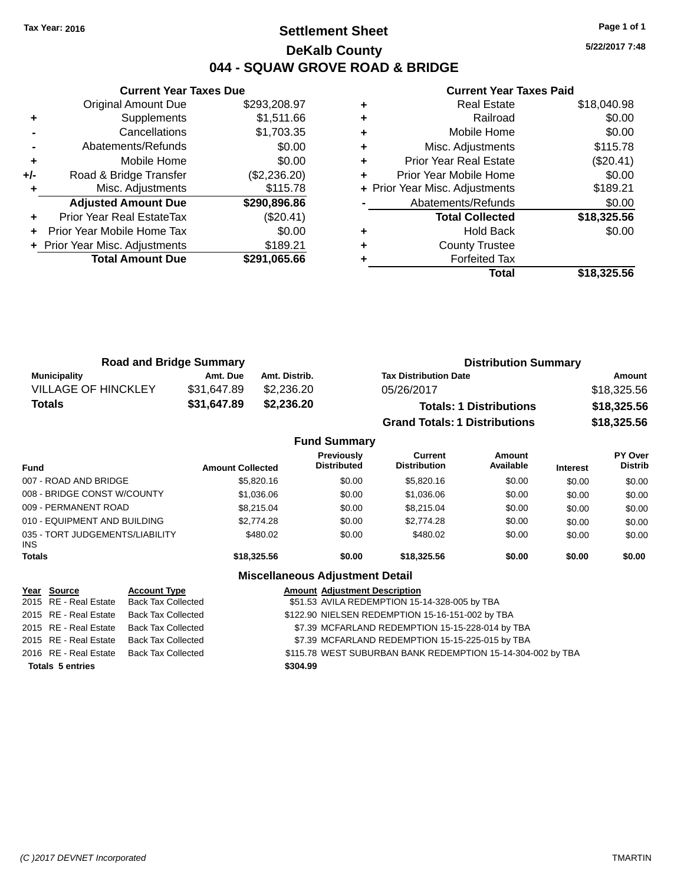### **Settlement Sheet Tax Year: 2016 Page 1 of 1 DeKalb County 044 - SQUAW GROVE ROAD & BRIDGE**

**5/22/2017 7:48**

#### **Current Year Taxes Paid**

|     | <b>Current Year Taxes Due</b>  |              |  |  |  |
|-----|--------------------------------|--------------|--|--|--|
|     | <b>Original Amount Due</b>     | \$293,208.97 |  |  |  |
| ٠   | Supplements                    | \$1,511.66   |  |  |  |
|     | Cancellations                  | \$1,703.35   |  |  |  |
|     | Abatements/Refunds             | \$0.00       |  |  |  |
| ٠   | Mobile Home                    | \$0.00       |  |  |  |
| +/- | Road & Bridge Transfer         | (\$2,236.20) |  |  |  |
|     | Misc. Adjustments              | \$115.78     |  |  |  |
|     | <b>Adjusted Amount Due</b>     | \$290,896.86 |  |  |  |
|     | Prior Year Real EstateTax      | (\$20.41)    |  |  |  |
|     | Prior Year Mobile Home Tax     | \$0.00       |  |  |  |
|     | + Prior Year Misc. Adjustments | \$189.21     |  |  |  |
|     | <b>Total Amount Due</b>        | \$291,065.66 |  |  |  |
|     |                                |              |  |  |  |

| ٠ | <b>Real Estate</b>             | \$18,040.98 |
|---|--------------------------------|-------------|
| ٠ | Railroad                       | \$0.00      |
| ٠ | Mobile Home                    | \$0.00      |
| ٠ | Misc. Adjustments              | \$115.78    |
| ٠ | <b>Prior Year Real Estate</b>  | (\$20.41)   |
| ٠ | Prior Year Mobile Home         | \$0.00      |
|   | + Prior Year Misc. Adjustments | \$189.21    |
|   | Abatements/Refunds             | \$0.00      |
|   | <b>Total Collected</b>         | \$18,325.56 |
| ٠ | <b>Hold Back</b>               | \$0.00      |
| ٠ | <b>County Trustee</b>          |             |
| ٠ | <b>Forfeited Tax</b>           |             |
|   | Total                          | \$18,325.56 |
|   |                                |             |

| <b>Road and Bridge Summary</b> |             |               | <b>Distribution Summary</b>          |             |  |
|--------------------------------|-------------|---------------|--------------------------------------|-------------|--|
| <b>Municipality</b>            | Amt. Due    | Amt. Distrib. | <b>Tax Distribution Date</b>         | Amount      |  |
| <b>VILLAGE OF HINCKLEY</b>     | \$31,647.89 | \$2.236.20    | 05/26/2017                           | \$18,325.56 |  |
| Totals                         | \$31,647.89 | \$2,236.20    | <b>Totals: 1 Distributions</b>       | \$18,325.56 |  |
|                                |             |               | <b>Grand Totals: 1 Distributions</b> | \$18,325.56 |  |

|                                         |                         | <b>Fund Summary</b>                     |                                       |                     |                 |                                  |
|-----------------------------------------|-------------------------|-----------------------------------------|---------------------------------------|---------------------|-----------------|----------------------------------|
| <b>Fund</b>                             | <b>Amount Collected</b> | <b>Previously</b><br><b>Distributed</b> | <b>Current</b><br><b>Distribution</b> | Amount<br>Available | <b>Interest</b> | <b>PY Over</b><br><b>Distrib</b> |
| 007 - ROAD AND BRIDGE                   | \$5,820.16              | \$0.00                                  | \$5,820.16                            | \$0.00              | \$0.00          | \$0.00                           |
| 008 - BRIDGE CONST W/COUNTY             | \$1,036.06              | \$0.00                                  | \$1,036.06                            | \$0.00              | \$0.00          | \$0.00                           |
| 009 - PERMANENT ROAD                    | \$8,215,04              | \$0.00                                  | \$8.215.04                            | \$0.00              | \$0.00          | \$0.00                           |
| 010 - EQUIPMENT AND BUILDING            | \$2,774.28              | \$0.00                                  | \$2,774.28                            | \$0.00              | \$0.00          | \$0.00                           |
| 035 - TORT JUDGEMENTS/LIABILITY<br>INS. | \$480.02                | \$0.00                                  | \$480.02                              | \$0.00              | \$0.00          | \$0.00                           |
| Totals                                  | \$18,325.56             | \$0.00                                  | \$18,325.56                           | \$0.00              | \$0.00          | \$0.00                           |

| Year Source             | <b>Account Type</b>                      | <b>Amount Adjustment Description</b>                        |
|-------------------------|------------------------------------------|-------------------------------------------------------------|
|                         | 2015 RE - Real Estate Back Tax Collected | \$51.53 AVILA REDEMPTION 15-14-328-005 by TBA               |
|                         | 2015 RE - Real Estate Back Tax Collected | \$122.90 NIELSEN REDEMPTION 15-16-151-002 by TBA            |
|                         | 2015 RE - Real Estate Back Tax Collected | \$7.39 MCFARLAND REDEMPTION 15-15-228-014 by TBA            |
|                         | 2015 RE - Real Estate Back Tax Collected | \$7.39 MCFARLAND REDEMPTION 15-15-225-015 by TBA            |
|                         | 2016 RE - Real Estate Back Tax Collected | \$115.78 WEST SUBURBAN BANK REDEMPTION 15-14-304-002 by TBA |
| <b>Totals 5 entries</b> |                                          | \$304.99                                                    |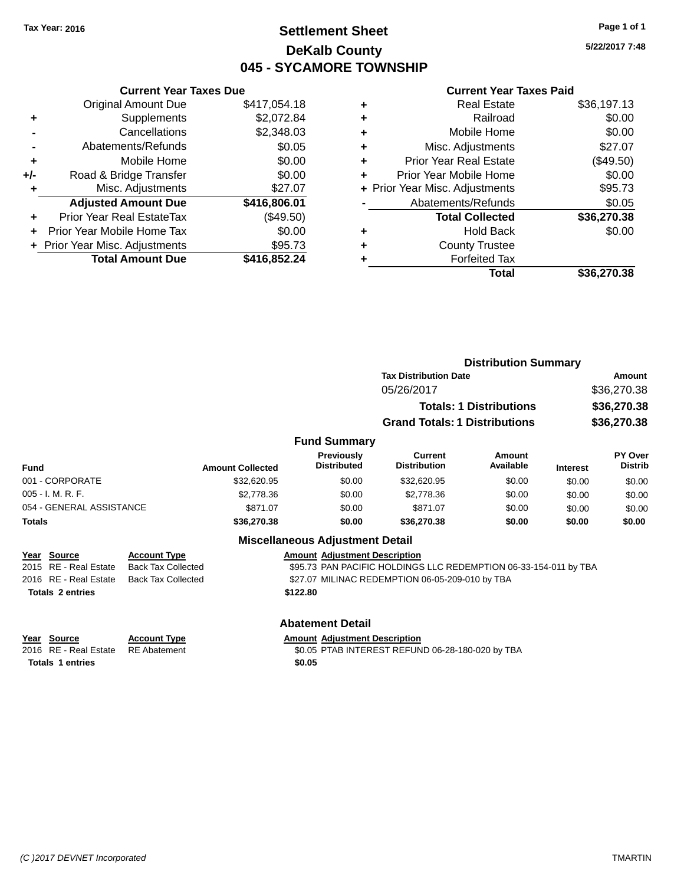### **Settlement Sheet Tax Year: 2016 Page 1 of 1 DeKalb County 045 - SYCAMORE TOWNSHIP**

**5/22/2017 7:48**

#### **Current Year Taxes Paid**

|     | <b>Current Year Taxes Due</b>  |              |
|-----|--------------------------------|--------------|
|     | <b>Original Amount Due</b>     | \$417,054.18 |
| ÷   | Supplements                    | \$2,072.84   |
|     | Cancellations                  | \$2,348.03   |
|     | Abatements/Refunds             | \$0.05       |
| ٠   | Mobile Home                    | \$0.00       |
| +/- | Road & Bridge Transfer         | \$0.00       |
|     | Misc. Adjustments              | \$27.07      |
|     | <b>Adjusted Amount Due</b>     | \$416,806.01 |
| ÷   | Prior Year Real EstateTax      | $(\$49.50)$  |
|     | Prior Year Mobile Home Tax     | \$0.00       |
|     | + Prior Year Misc. Adjustments | \$95.73      |
|     | <b>Total Amount Due</b>        | \$416,852.24 |
|     |                                |              |

| ٠ | <b>Real Estate</b>             | \$36,197.13 |
|---|--------------------------------|-------------|
| ٠ | Railroad                       | \$0.00      |
| ٠ | Mobile Home                    | \$0.00      |
| ٠ | Misc. Adjustments              | \$27.07     |
| ٠ | Prior Year Real Estate         | (\$49.50)   |
| ٠ | Prior Year Mobile Home         | \$0.00      |
|   | + Prior Year Misc. Adjustments | \$95.73     |
|   | Abatements/Refunds             | \$0.05      |
|   | <b>Total Collected</b>         | \$36,270.38 |
| ٠ | <b>Hold Back</b>               | \$0.00      |
| ٠ | <b>County Trustee</b>          |             |
| ٠ | <b>Forfeited Tax</b>           |             |
|   | Total                          | \$36,270.38 |
|   |                                |             |

|                                      |                                                  |                         |                                        | <b>Distribution Summary</b>                                      |                                |                 |                           |
|--------------------------------------|--------------------------------------------------|-------------------------|----------------------------------------|------------------------------------------------------------------|--------------------------------|-----------------|---------------------------|
|                                      |                                                  |                         |                                        | <b>Tax Distribution Date</b>                                     |                                |                 | Amount                    |
|                                      |                                                  |                         |                                        | 05/26/2017                                                       |                                |                 | \$36,270.38               |
|                                      |                                                  |                         |                                        |                                                                  | <b>Totals: 1 Distributions</b> |                 | \$36,270.38               |
|                                      |                                                  |                         |                                        | <b>Grand Totals: 1 Distributions</b>                             |                                |                 | \$36,270.38               |
|                                      |                                                  |                         | <b>Fund Summary</b>                    |                                                                  |                                |                 |                           |
| <b>Fund</b>                          |                                                  | <b>Amount Collected</b> | Previously<br><b>Distributed</b>       | <b>Current</b><br><b>Distribution</b>                            | Amount<br>Available            | <b>Interest</b> | PY Over<br><b>Distrib</b> |
| 001 - CORPORATE                      |                                                  | \$32,620.95             | \$0.00                                 | \$32,620.95                                                      | \$0.00                         | \$0.00          | \$0.00                    |
| 005 - I. M. R. F.                    |                                                  | \$2,778.36              | \$0.00                                 | \$2,778.36                                                       | \$0.00                         | \$0.00          | \$0.00                    |
| 054 - GENERAL ASSISTANCE             |                                                  | \$871.07                | \$0.00                                 | \$871.07                                                         | \$0.00                         | \$0.00          | \$0.00                    |
| <b>Totals</b>                        |                                                  | \$36,270.38             | \$0.00                                 | \$36,270.38                                                      | \$0.00                         | \$0.00          | \$0.00                    |
|                                      |                                                  |                         | <b>Miscellaneous Adjustment Detail</b> |                                                                  |                                |                 |                           |
| Year Source<br>2015 RE - Real Estate | <b>Account Type</b><br><b>Back Tax Collected</b> |                         | <b>Amount Adjustment Description</b>   | \$95.73 PAN PACIFIC HOLDINGS LLC REDEMPTION 06-33-154-011 by TBA |                                |                 |                           |
| 2016 RE - Real Estate                | <b>Back Tax Collected</b>                        |                         |                                        | \$27.07 MILINAC REDEMPTION 06-05-209-010 by TBA                  |                                |                 |                           |
| <b>Totals 2 entries</b>              |                                                  |                         | \$122.80                               |                                                                  |                                |                 |                           |
|                                      |                                                  |                         | <b>Abatement Detail</b>                |                                                                  |                                |                 |                           |

**Totals 1 entries \$0.05**

**Year Source Account Type Amount Adjustment Description**

2016 RE - Real Estate RE Abatement **1200 FTAB INTEREST REFUND 06-28-180-020 by TBA**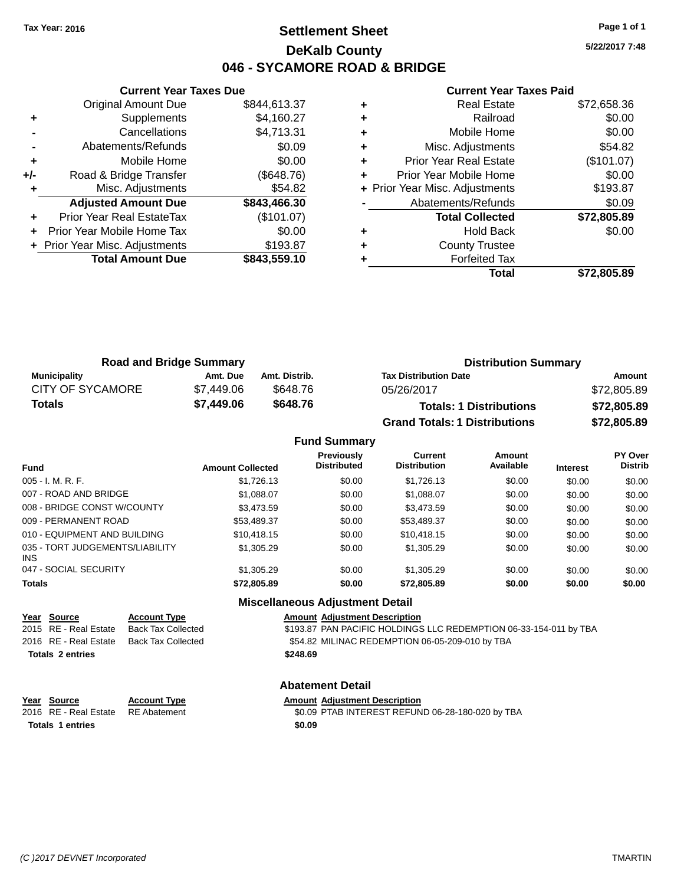### **Settlement Sheet Tax Year: 2016 Page 1 of 1 DeKalb County 046 - SYCAMORE ROAD & BRIDGE**

**5/22/2017 7:48**

#### **Current Year Taxes Paid**

|     | <b>Current Year Taxes Due</b>  |              |
|-----|--------------------------------|--------------|
|     | <b>Original Amount Due</b>     | \$844,613.37 |
| ٠   | Supplements                    | \$4,160.27   |
|     | Cancellations                  | \$4,713.31   |
|     | Abatements/Refunds             | \$0.09       |
| ٠   | Mobile Home                    | \$0.00       |
| +/- | Road & Bridge Transfer         | (\$648.76)   |
|     | Misc. Adjustments              | \$54.82      |
|     | <b>Adjusted Amount Due</b>     | \$843,466.30 |
|     | Prior Year Real EstateTax      | (\$101.07)   |
|     | Prior Year Mobile Home Tax     | \$0.00       |
|     | + Prior Year Misc. Adjustments | \$193.87     |
|     | <b>Total Amount Due</b>        | \$843,559.10 |
|     |                                |              |

| <b>Real Estate</b>            | \$72,658.36                    |
|-------------------------------|--------------------------------|
| Railroad                      | \$0.00                         |
| Mobile Home                   | \$0.00                         |
| Misc. Adjustments             | \$54.82                        |
| <b>Prior Year Real Estate</b> | (\$101.07)                     |
| Prior Year Mobile Home        | \$0.00                         |
|                               | \$193.87                       |
| Abatements/Refunds            | \$0.09                         |
| <b>Total Collected</b>        | \$72,805.89                    |
| <b>Hold Back</b>              | \$0.00                         |
| <b>County Trustee</b>         |                                |
| <b>Forfeited Tax</b>          |                                |
| Total                         | \$72,805.89                    |
|                               | + Prior Year Misc. Adjustments |

| <b>Road and Bridge Summary</b> |            | <b>Distribution Summary</b> |                                      |             |
|--------------------------------|------------|-----------------------------|--------------------------------------|-------------|
| <b>Municipality</b>            | Amt. Due   | Amt. Distrib.               | <b>Tax Distribution Date</b>         | Amount      |
| <b>CITY OF SYCAMORE</b>        | \$7.449.06 | \$648.76                    | 05/26/2017                           | \$72,805.89 |
| Totals                         | \$7,449.06 | \$648.76                    | <b>Totals: 1 Distributions</b>       | \$72,805.89 |
|                                |            |                             | <b>Grand Totals: 1 Distributions</b> | \$72,805.89 |

|                                         |                         | <b>Fund Summary</b>                     |                                       |                            |                 |                                  |
|-----------------------------------------|-------------------------|-----------------------------------------|---------------------------------------|----------------------------|-----------------|----------------------------------|
| <b>Fund</b>                             | <b>Amount Collected</b> | <b>Previously</b><br><b>Distributed</b> | <b>Current</b><br><b>Distribution</b> | <b>Amount</b><br>Available | <b>Interest</b> | <b>PY Over</b><br><b>Distrib</b> |
| $005 - I. M. R. F.$                     | \$1,726.13              | \$0.00                                  | \$1.726.13                            | \$0.00                     | \$0.00          | \$0.00                           |
| 007 - ROAD AND BRIDGE                   | \$1,088.07              | \$0.00                                  | \$1,088.07                            | \$0.00                     | \$0.00          | \$0.00                           |
| 008 - BRIDGE CONST W/COUNTY             | \$3.473.59              | \$0.00                                  | \$3.473.59                            | \$0.00                     | \$0.00          | \$0.00                           |
| 009 - PERMANENT ROAD                    | \$53,489.37             | \$0.00                                  | \$53,489.37                           | \$0.00                     | \$0.00          | \$0.00                           |
| 010 - EQUIPMENT AND BUILDING            | \$10.418.15             | \$0.00                                  | \$10.418.15                           | \$0.00                     | \$0.00          | \$0.00                           |
| 035 - TORT JUDGEMENTS/LIABILITY<br>INS. | \$1,305.29              | \$0.00                                  | \$1,305.29                            | \$0.00                     | \$0.00          | \$0.00                           |
| 047 - SOCIAL SECURITY                   | \$1,305.29              | \$0.00                                  | \$1,305.29                            | \$0.00                     | \$0.00          | \$0.00                           |
| <b>Totals</b>                           | \$72,805.89             | \$0.00                                  | \$72,805.89                           | \$0.00                     | \$0.00          | \$0.00                           |
|                                         |                         |                                         |                                       |                            |                 |                                  |

#### **Miscellaneous Adjustment Detail**

| Year Source             | <b>Account Type</b> | <b>Amount Adjustment Description</b>                              |
|-------------------------|---------------------|-------------------------------------------------------------------|
| 2015 RE - Real Estate   | Back Tax Collected  | \$193.87 PAN PACIFIC HOLDINGS LLC REDEMPTION 06-33-154-011 by TBA |
| 2016 RE - Real Estate   | Back Tax Collected  | \$54.82 MILINAC REDEMPTION 06-05-209-010 by TBA                   |
| <b>Totals 2 entries</b> |                     | \$248.69                                                          |
|                         |                     | <b>Abatement Detail</b>                                           |

**Year Source Account Type Amount Adjustment Description Totals 1 entries \$0.09**

\$0.09 PTAB INTEREST REFUND 06-28-180-020 by TBA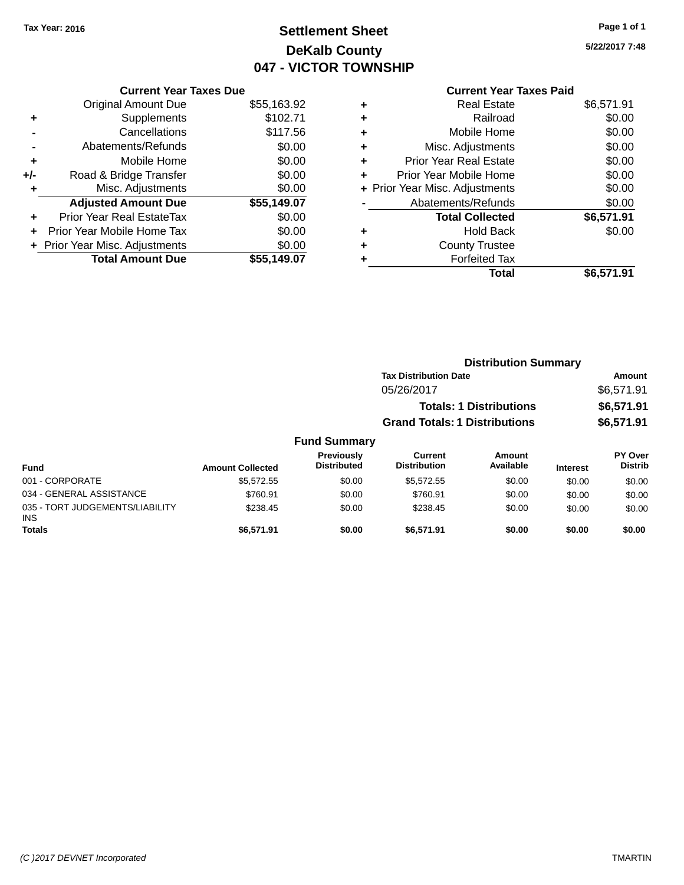### **Settlement Sheet Tax Year: 2016 Page 1 of 1 DeKalb County 047 - VICTOR TOWNSHIP**

**5/22/2017 7:48**

### **Current Year Taxes Paid**

|     | <b>Current Year Taxes Due</b>  |             |  |  |  |  |
|-----|--------------------------------|-------------|--|--|--|--|
|     | <b>Original Amount Due</b>     | \$55,163.92 |  |  |  |  |
| ٠   | Supplements                    | \$102.71    |  |  |  |  |
|     | Cancellations                  | \$117.56    |  |  |  |  |
|     | Abatements/Refunds             | \$0.00      |  |  |  |  |
| ٠   | Mobile Home                    | \$0.00      |  |  |  |  |
| +/- | Road & Bridge Transfer         | \$0.00      |  |  |  |  |
| ٠   | Misc. Adjustments              | \$0.00      |  |  |  |  |
|     | <b>Adjusted Amount Due</b>     | \$55,149.07 |  |  |  |  |
| ÷   | Prior Year Real EstateTax      | \$0.00      |  |  |  |  |
|     | Prior Year Mobile Home Tax     | \$0.00      |  |  |  |  |
|     | + Prior Year Misc. Adjustments | \$0.00      |  |  |  |  |
|     | <b>Total Amount Due</b>        | \$55.149.07 |  |  |  |  |
|     |                                |             |  |  |  |  |

| ٠ | <b>Real Estate</b>             | \$6,571.91 |
|---|--------------------------------|------------|
| ٠ | Railroad                       | \$0.00     |
| ٠ | Mobile Home                    | \$0.00     |
| ٠ | Misc. Adjustments              | \$0.00     |
| ٠ | <b>Prior Year Real Estate</b>  | \$0.00     |
|   | Prior Year Mobile Home         | \$0.00     |
|   | + Prior Year Misc. Adjustments | \$0.00     |
|   | Abatements/Refunds             | \$0.00     |
|   | <b>Total Collected</b>         | \$6,571.91 |
| ٠ | <b>Hold Back</b>               | \$0.00     |
| ٠ | <b>County Trustee</b>          |            |
| ٠ | <b>Forfeited Tax</b>           |            |
|   | Total                          | \$6,571.91 |
|   |                                |            |

|           |                     |                                      | <b>Distribution Summary</b>    |                        |                |
|-----------|---------------------|--------------------------------------|--------------------------------|------------------------|----------------|
|           |                     | <b>Tax Distribution Date</b>         |                                |                        | Amount         |
|           |                     | 05/26/2017                           |                                |                        | \$6,571.91     |
|           |                     |                                      | <b>Totals: 1 Distributions</b> |                        | \$6,571.91     |
|           |                     | <b>Grand Totals: 1 Distributions</b> |                                |                        | \$6,571.91     |
|           | <b>Fund Summary</b> |                                      |                                |                        |                |
|           | <b>Previously</b>   | Current                              | Amount                         |                        | <b>PY Over</b> |
| المتعادية | <b>Dictributed</b>  | <b>Dictribution</b>                  | <b>Availahla</b>               | <b>Looking and St.</b> | <b>Dictrib</b> |

| Fund                                          | <b>Amount Collected</b> | Previously<br><b>Distributed</b> | Current<br><b>Distribution</b> | Amount<br>Available | <b>Interest</b> | <b>PY Over</b><br><b>Distrib</b> |
|-----------------------------------------------|-------------------------|----------------------------------|--------------------------------|---------------------|-----------------|----------------------------------|
| 001 - CORPORATE                               | \$5.572.55              | \$0.00                           | \$5.572.55                     | \$0.00              | \$0.00          | \$0.00                           |
| 034 - GENERAL ASSISTANCE                      | \$760.91                | \$0.00                           | \$760.91                       | \$0.00              | \$0.00          | \$0.00                           |
| 035 - TORT JUDGEMENTS/LIABILITY<br><b>INS</b> | \$238.45                | \$0.00                           | \$238.45                       | \$0.00              | \$0.00          | \$0.00                           |
| <b>Totals</b>                                 | \$6.571.91              | \$0.00                           | \$6,571.91                     | \$0.00              | \$0.00          | \$0.00                           |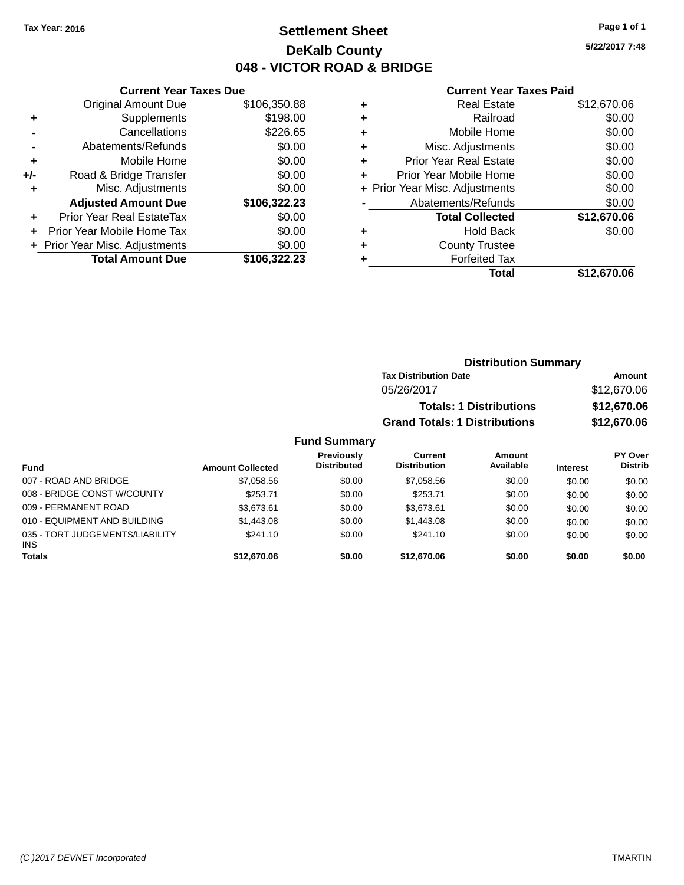### **Settlement Sheet Tax Year: 2016 Page 1 of 1 DeKalb County 048 - VICTOR ROAD & BRIDGE**

**5/22/2017 7:48**

#### **Current Year Taxes Paid**

|     | <b>Current Year Taxes Due</b>  |              |  |  |  |
|-----|--------------------------------|--------------|--|--|--|
|     | <b>Original Amount Due</b>     | \$106,350.88 |  |  |  |
| ٠   | Supplements                    | \$198.00     |  |  |  |
|     | Cancellations                  | \$226.65     |  |  |  |
|     | Abatements/Refunds             | \$0.00       |  |  |  |
| ٠   | Mobile Home                    | \$0.00       |  |  |  |
| +/- | Road & Bridge Transfer         | \$0.00       |  |  |  |
|     | \$0.00<br>Misc. Adjustments    |              |  |  |  |
|     | <b>Adjusted Amount Due</b>     | \$106,322.23 |  |  |  |
| ÷   | Prior Year Real EstateTax      | \$0.00       |  |  |  |
|     | Prior Year Mobile Home Tax     | \$0.00       |  |  |  |
|     | + Prior Year Misc. Adjustments | \$0.00       |  |  |  |
|     | <b>Total Amount Due</b>        | \$106.322.23 |  |  |  |
|     |                                |              |  |  |  |

|   | <b>Real Estate</b>             | \$12,670.06 |
|---|--------------------------------|-------------|
| ٠ | Railroad                       | \$0.00      |
| ٠ | Mobile Home                    | \$0.00      |
| ٠ | Misc. Adjustments              | \$0.00      |
| ٠ | <b>Prior Year Real Estate</b>  | \$0.00      |
| ٠ | Prior Year Mobile Home         | \$0.00      |
|   | + Prior Year Misc. Adjustments | \$0.00      |
|   | Abatements/Refunds             | \$0.00      |
|   | <b>Total Collected</b>         | \$12,670.06 |
| ٠ | <b>Hold Back</b>               | \$0.00      |
| ٠ | <b>County Trustee</b>          |             |
| ٠ | <b>Forfeited Tax</b>           |             |
|   | Total                          | \$12,670.06 |
|   |                                |             |

| <b>Distribution Summary</b>          |             |
|--------------------------------------|-------------|
| <b>Tax Distribution Date</b>         | Amount      |
| 05/26/2017                           | \$12,670.06 |
| <b>Totals: 1 Distributions</b>       | \$12,670.06 |
| <b>Grand Totals: 1 Distributions</b> | \$12,670.06 |

#### **Fund Summary**

| <b>Fund</b>                                   | <b>Amount Collected</b> | Previously<br><b>Distributed</b> | Current<br><b>Distribution</b> | Amount<br>Available | <b>Interest</b> | <b>PY Over</b><br><b>Distrib</b> |
|-----------------------------------------------|-------------------------|----------------------------------|--------------------------------|---------------------|-----------------|----------------------------------|
| 007 - ROAD AND BRIDGE                         | \$7.058.56              | \$0.00                           | \$7.058.56                     | \$0.00              | \$0.00          | \$0.00                           |
| 008 - BRIDGE CONST W/COUNTY                   | \$253.71                | \$0.00                           | \$253.71                       | \$0.00              | \$0.00          | \$0.00                           |
| 009 - PERMANENT ROAD                          | \$3.673.61              | \$0.00                           | \$3.673.61                     | \$0.00              | \$0.00          | \$0.00                           |
| 010 - EQUIPMENT AND BUILDING                  | \$1,443.08              | \$0.00                           | \$1,443.08                     | \$0.00              | \$0.00          | \$0.00                           |
| 035 - TORT JUDGEMENTS/LIABILITY<br><b>INS</b> | \$241.10                | \$0.00                           | \$241.10                       | \$0.00              | \$0.00          | \$0.00                           |
| <b>Totals</b>                                 | \$12,670.06             | \$0.00                           | \$12,670.06                    | \$0.00              | \$0.00          | \$0.00                           |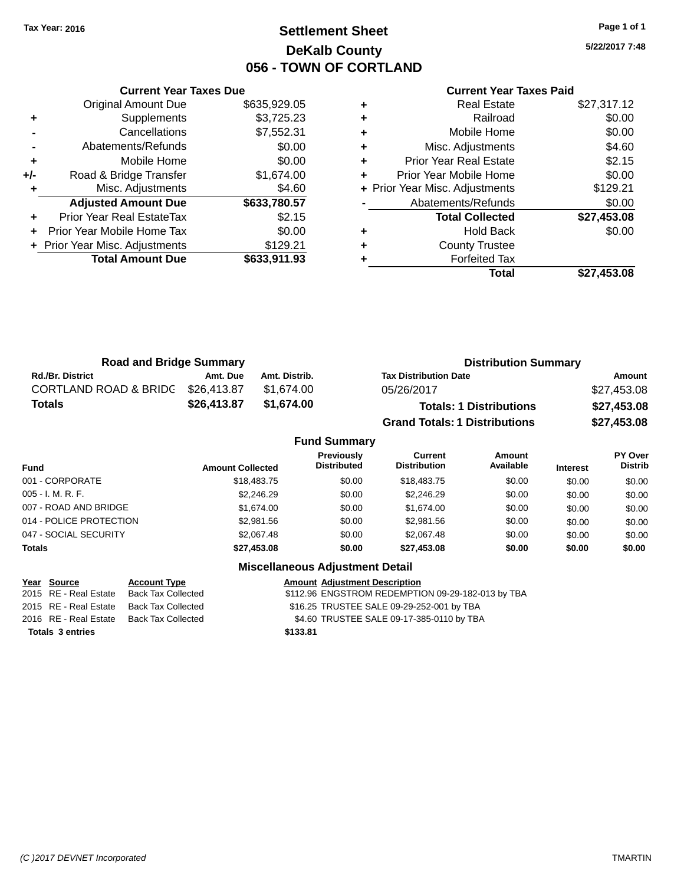### **Settlement Sheet Tax Year: 2016 Page 1 of 1 DeKalb County 056 - TOWN OF CORTLAND**

**5/22/2017 7:48**

#### **Current Year Taxes Paid**

|     | <b>Current Year Taxes Due</b>  |              |  |  |  |  |
|-----|--------------------------------|--------------|--|--|--|--|
|     | <b>Original Amount Due</b>     | \$635,929.05 |  |  |  |  |
| ٠   | Supplements                    | \$3,725.23   |  |  |  |  |
|     | Cancellations                  | \$7,552.31   |  |  |  |  |
|     | \$0.00<br>Abatements/Refunds   |              |  |  |  |  |
| ٠   | Mobile Home                    | \$0.00       |  |  |  |  |
| +/- | Road & Bridge Transfer         | \$1,674.00   |  |  |  |  |
|     | Misc. Adjustments              | \$4.60       |  |  |  |  |
|     | <b>Adjusted Amount Due</b>     | \$633,780.57 |  |  |  |  |
|     | Prior Year Real EstateTax      | \$2.15       |  |  |  |  |
|     | Prior Year Mobile Home Tax     | \$0.00       |  |  |  |  |
|     | + Prior Year Misc. Adjustments | \$129.21     |  |  |  |  |
|     | <b>Total Amount Due</b>        | \$633,911.93 |  |  |  |  |
|     |                                |              |  |  |  |  |

| \$0.00<br>Railroad<br>٠<br>\$0.00<br>Mobile Home<br>٠<br>\$4.60<br>Misc. Adjustments<br>٠<br>\$2.15<br><b>Prior Year Real Estate</b><br>٠<br>\$0.00<br>Prior Year Mobile Home<br>÷<br>\$129.21<br>+ Prior Year Misc. Adjustments<br>\$0.00<br>Abatements/Refunds<br>\$27,453.08<br><b>Total Collected</b><br>\$0.00<br><b>Hold Back</b><br>٠<br><b>County Trustee</b><br>٠<br><b>Forfeited Tax</b><br>٠<br>\$27,453.08<br>Total | <b>Real Estate</b> | \$27,317.12 |
|---------------------------------------------------------------------------------------------------------------------------------------------------------------------------------------------------------------------------------------------------------------------------------------------------------------------------------------------------------------------------------------------------------------------------------|--------------------|-------------|
|                                                                                                                                                                                                                                                                                                                                                                                                                                 |                    |             |
|                                                                                                                                                                                                                                                                                                                                                                                                                                 |                    |             |
|                                                                                                                                                                                                                                                                                                                                                                                                                                 |                    |             |
|                                                                                                                                                                                                                                                                                                                                                                                                                                 |                    |             |
|                                                                                                                                                                                                                                                                                                                                                                                                                                 |                    |             |
|                                                                                                                                                                                                                                                                                                                                                                                                                                 |                    |             |
|                                                                                                                                                                                                                                                                                                                                                                                                                                 |                    |             |
|                                                                                                                                                                                                                                                                                                                                                                                                                                 |                    |             |
|                                                                                                                                                                                                                                                                                                                                                                                                                                 |                    |             |
|                                                                                                                                                                                                                                                                                                                                                                                                                                 |                    |             |
|                                                                                                                                                                                                                                                                                                                                                                                                                                 |                    |             |
|                                                                                                                                                                                                                                                                                                                                                                                                                                 |                    |             |

| <b>Road and Bridge Summary</b> |             |               | <b>Distribution Summary</b>          |             |  |  |
|--------------------------------|-------------|---------------|--------------------------------------|-------------|--|--|
| <b>Rd./Br. District</b>        | Amt. Due    | Amt. Distrib. | <b>Tax Distribution Date</b>         | Amount      |  |  |
| CORTLAND ROAD & BRIDG          | \$26,413.87 | \$1.674.00    | 05/26/2017                           | \$27,453.08 |  |  |
| <b>Totals</b>                  | \$26,413.87 | \$1.674.00    | <b>Totals: 1 Distributions</b>       | \$27,453.08 |  |  |
|                                |             |               | <b>Grand Totals: 1 Distributions</b> | \$27,453.08 |  |  |

### **Fund Summary**

| <b>Fund</b>             | <b>Amount Collected</b> | <b>Previously</b><br><b>Distributed</b> | Current<br><b>Distribution</b> | Amount<br>Available | <b>Interest</b> | <b>PY Over</b><br><b>Distrib</b> |
|-------------------------|-------------------------|-----------------------------------------|--------------------------------|---------------------|-----------------|----------------------------------|
| 001 - CORPORATE         | \$18,483.75             | \$0.00                                  | \$18,483.75                    | \$0.00              | \$0.00          | \$0.00                           |
| 005 - I. M. R. F.       | \$2,246.29              | \$0.00                                  | \$2.246.29                     | \$0.00              | \$0.00          | \$0.00                           |
| 007 - ROAD AND BRIDGE   | \$1,674,00              | \$0.00                                  | \$1.674.00                     | \$0.00              | \$0.00          | \$0.00                           |
| 014 - POLICE PROTECTION | \$2,981.56              | \$0.00                                  | \$2,981.56                     | \$0.00              | \$0.00          | \$0.00                           |
| 047 - SOCIAL SECURITY   | \$2,067.48              | \$0.00                                  | \$2,067.48                     | \$0.00              | \$0.00          | \$0.00                           |
| Totals                  | \$27,453,08             | \$0.00                                  | \$27,453,08                    | \$0.00              | \$0.00          | \$0.00                           |

| Year Source             | <b>Account Type</b>       | <b>Amount Adjustment Description</b>              |
|-------------------------|---------------------------|---------------------------------------------------|
| 2015 RE - Real Estate   | Back Tax Collected        | \$112.96 ENGSTROM REDEMPTION 09-29-182-013 by TBA |
| 2015 RE - Real Estate   | <b>Back Tax Collected</b> | \$16.25 TRUSTEE SALE 09-29-252-001 by TBA         |
| 2016 RE - Real Estate   | Back Tax Collected        | \$4.60 TRUSTEE SALE 09-17-385-0110 by TBA         |
| <b>Totals 3 entries</b> |                           | \$133.81                                          |
|                         |                           |                                                   |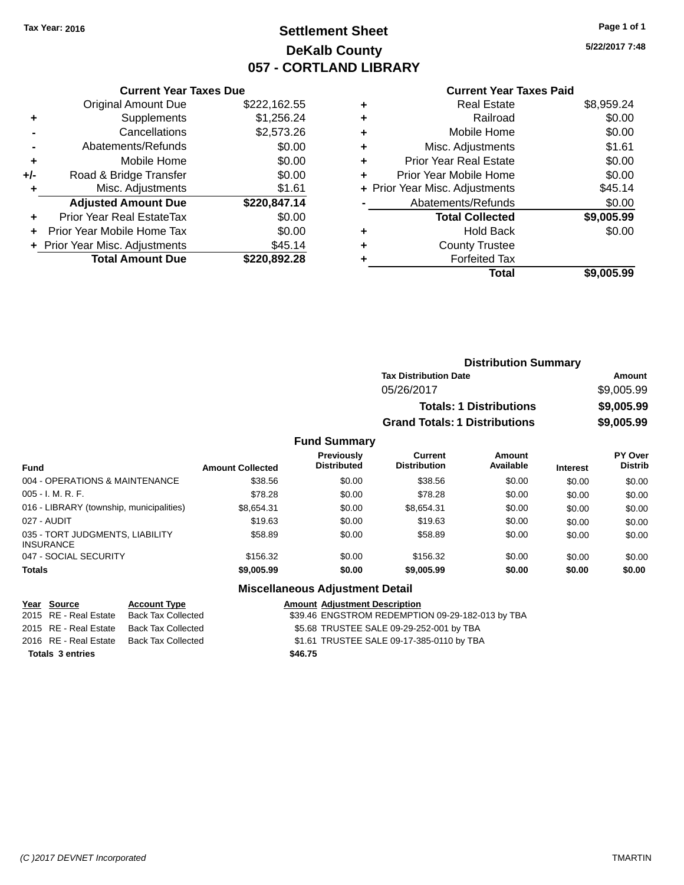### **Settlement Sheet Tax Year: 2016 Page 1 of 1 DeKalb County 057 - CORTLAND LIBRARY**

**5/22/2017 7:48**

#### **Current Year Taxes Paid**

|     | <b>Current Year Taxes Due</b>              |              |  |  |  |  |
|-----|--------------------------------------------|--------------|--|--|--|--|
|     | <b>Original Amount Due</b><br>\$222,162.55 |              |  |  |  |  |
| ٠   | \$1,256.24<br>Supplements                  |              |  |  |  |  |
|     | Cancellations                              | \$2,573.26   |  |  |  |  |
|     | Abatements/Refunds                         | \$0.00       |  |  |  |  |
| ÷   | Mobile Home                                | \$0.00       |  |  |  |  |
| +/- | \$0.00<br>Road & Bridge Transfer           |              |  |  |  |  |
|     | \$1.61<br>Misc. Adjustments                |              |  |  |  |  |
|     | <b>Adjusted Amount Due</b>                 | \$220,847.14 |  |  |  |  |
| ÷   | Prior Year Real EstateTax                  | \$0.00       |  |  |  |  |
|     | Prior Year Mobile Home Tax                 | \$0.00       |  |  |  |  |
|     | \$45.14<br>Prior Year Misc. Adjustments    |              |  |  |  |  |
|     | <b>Total Amount Due</b>                    | \$220.892.28 |  |  |  |  |
|     |                                            |              |  |  |  |  |

|   | Real Estate                    | \$8,959.24 |
|---|--------------------------------|------------|
| ٠ | Railroad                       | \$0.00     |
| ٠ | Mobile Home                    | \$0.00     |
| ٠ | Misc. Adjustments              | \$1.61     |
| ٠ | <b>Prior Year Real Estate</b>  | \$0.00     |
| ÷ | Prior Year Mobile Home         | \$0.00     |
|   | + Prior Year Misc. Adjustments | \$45.14    |
|   | Abatements/Refunds             | \$0.00     |
|   | <b>Total Collected</b>         | \$9,005.99 |
| ٠ | Hold Back                      | \$0.00     |
| ٠ | <b>County Trustee</b>          |            |
|   | <b>Forfeited Tax</b>           |            |
|   | Total                          | \$9,005.99 |
|   |                                |            |

| <b>Distribution Summary</b>          |            |
|--------------------------------------|------------|
| <b>Tax Distribution Date</b>         | Amount     |
| 05/26/2017                           | \$9,005.99 |
| <b>Totals: 1 Distributions</b>       | \$9,005.99 |
| <b>Grand Totals: 1 Distributions</b> | \$9,005.99 |

#### **Fund Summary**

| <b>Fund</b>                                         | <b>Amount Collected</b> | <b>Previously</b><br><b>Distributed</b> | Current<br><b>Distribution</b> | Amount<br>Available | <b>Interest</b> | <b>PY Over</b><br><b>Distrib</b> |
|-----------------------------------------------------|-------------------------|-----------------------------------------|--------------------------------|---------------------|-----------------|----------------------------------|
| 004 - OPERATIONS & MAINTENANCE                      | \$38.56                 | \$0.00                                  | \$38.56                        | \$0.00              | \$0.00          | \$0.00                           |
| $005 - I. M. R. F.$                                 | \$78.28                 | \$0.00                                  | \$78.28                        | \$0.00              | \$0.00          | \$0.00                           |
| 016 - LIBRARY (township, municipalities)            | \$8,654.31              | \$0.00                                  | \$8.654.31                     | \$0.00              | \$0.00          | \$0.00                           |
| 027 - AUDIT                                         | \$19.63                 | \$0.00                                  | \$19.63                        | \$0.00              | \$0.00          | \$0.00                           |
| 035 - TORT JUDGMENTS, LIABILITY<br><b>INSURANCE</b> | \$58.89                 | \$0.00                                  | \$58.89                        | \$0.00              | \$0.00          | \$0.00                           |
| 047 - SOCIAL SECURITY                               | \$156.32                | \$0.00                                  | \$156.32                       | \$0.00              | \$0.00          | \$0.00                           |
| <b>Totals</b>                                       | \$9,005.99              | \$0.00                                  | \$9,005.99                     | \$0.00              | \$0.00          | \$0.00                           |

|                         | Year Source           | <b>Account Type</b>                      |         | <b>Amount Adjustment Description</b>             |
|-------------------------|-----------------------|------------------------------------------|---------|--------------------------------------------------|
|                         | 2015 RE - Real Estate | Back Tax Collected                       |         | \$39.46 ENGSTROM REDEMPTION 09-29-182-013 by TBA |
|                         |                       | 2015 RE - Real Estate Back Tax Collected |         | \$5.68 TRUSTEE SALE 09-29-252-001 by TBA         |
|                         |                       | 2016 RE - Real Estate Back Tax Collected |         | \$1.61 TRUSTEE SALE 09-17-385-0110 by TBA        |
| <b>Totals 3 entries</b> |                       |                                          | \$46.75 |                                                  |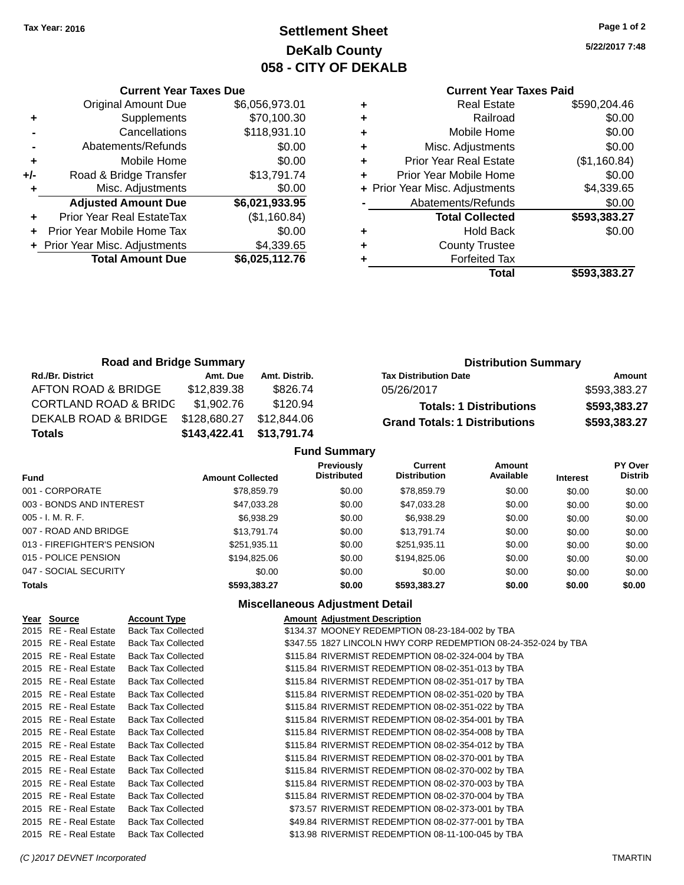### **Settlement Sheet Tax Year: 2016 Page 1 of 2 DeKalb County 058 - CITY OF DEKALB**

**5/22/2017 7:48**

#### **Current Year Taxes Paid**

|     | <b>Current Year Taxes Due</b>    |                |  |  |  |
|-----|----------------------------------|----------------|--|--|--|
|     | <b>Original Amount Due</b>       | \$6,056,973.01 |  |  |  |
| ٠   | Supplements                      | \$70,100.30    |  |  |  |
|     | Cancellations                    | \$118,931.10   |  |  |  |
|     | Abatements/Refunds               | \$0.00         |  |  |  |
| ٠   | Mobile Home                      | \$0.00         |  |  |  |
| +/- | Road & Bridge Transfer           | \$13,791.74    |  |  |  |
| ٠   | Misc. Adjustments                | \$0.00         |  |  |  |
|     | <b>Adjusted Amount Due</b>       | \$6,021,933.95 |  |  |  |
| ÷   | <b>Prior Year Real EstateTax</b> | (\$1,160.84)   |  |  |  |
|     | Prior Year Mobile Home Tax       | \$0.00         |  |  |  |
|     | + Prior Year Misc. Adjustments   | \$4,339.65     |  |  |  |
|     | <b>Total Amount Due</b>          | \$6,025,112.76 |  |  |  |
|     |                                  |                |  |  |  |

|   | <b>Real Estate</b>             | \$590,204.46 |
|---|--------------------------------|--------------|
| ٠ | Railroad                       | \$0.00       |
| ٠ | Mobile Home                    | \$0.00       |
| ٠ | Misc. Adjustments              | \$0.00       |
| ٠ | <b>Prior Year Real Estate</b>  | (\$1,160.84) |
|   | Prior Year Mobile Home         | \$0.00       |
|   | + Prior Year Misc. Adjustments | \$4,339.65   |
|   | Abatements/Refunds             | \$0.00       |
|   | <b>Total Collected</b>         | \$593,383.27 |
| ٠ | <b>Hold Back</b>               | \$0.00       |
|   | <b>County Trustee</b>          |              |
|   | <b>Forfeited Tax</b>           |              |
|   | Total                          | \$593,383.27 |
|   |                                |              |

| <b>Road and Bridge Summary</b>   |              |               | <b>Distribution Summary</b>          |              |  |
|----------------------------------|--------------|---------------|--------------------------------------|--------------|--|
| <b>Rd./Br. District</b>          | Amt. Due     | Amt. Distrib. | <b>Tax Distribution Date</b>         | Amount       |  |
| AFTON ROAD & BRIDGE              | \$12,839.38  | \$826.74      | 05/26/2017                           | \$593,383.27 |  |
| <b>CORTLAND ROAD &amp; BRIDC</b> | \$1,902.76   | \$120.94      | <b>Totals: 1 Distributions</b>       | \$593,383.27 |  |
| DEKALB ROAD & BRIDGE             | \$128,680.27 | \$12,844.06   | <b>Grand Totals: 1 Distributions</b> | \$593,383.27 |  |
| <b>Totals</b>                    | \$143,422.41 | \$13,791.74   |                                      |              |  |
| <b>Fund Summary</b>              |              |               |                                      |              |  |

|                             |                         | . 989 YAN 198                           |                                |                            |                 |                                  |
|-----------------------------|-------------------------|-----------------------------------------|--------------------------------|----------------------------|-----------------|----------------------------------|
| Fund                        | <b>Amount Collected</b> | <b>Previously</b><br><b>Distributed</b> | Current<br><b>Distribution</b> | <b>Amount</b><br>Available | <b>Interest</b> | <b>PY Over</b><br><b>Distrib</b> |
| 001 - CORPORATE             | \$78,859.79             | \$0.00                                  | \$78,859.79                    | \$0.00                     | \$0.00          | \$0.00                           |
| 003 - BONDS AND INTEREST    | \$47,033.28             | \$0.00                                  | \$47,033.28                    | \$0.00                     | \$0.00          | \$0.00                           |
| $005 - I. M. R. F.$         | \$6,938.29              | \$0.00                                  | \$6,938.29                     | \$0.00                     | \$0.00          | \$0.00                           |
| 007 - ROAD AND BRIDGE       | \$13.791.74             | \$0.00                                  | \$13.791.74                    | \$0.00                     | \$0.00          | \$0.00                           |
| 013 - FIREFIGHTER'S PENSION | \$251,935.11            | \$0.00                                  | \$251,935.11                   | \$0.00                     | \$0.00          | \$0.00                           |
| 015 - POLICE PENSION        | \$194.825.06            | \$0.00                                  | \$194.825.06                   | \$0.00                     | \$0.00          | \$0.00                           |
| 047 - SOCIAL SECURITY       | \$0.00                  | \$0.00                                  | \$0.00                         | \$0.00                     | \$0.00          | \$0.00                           |
| <b>Totals</b>               | \$593.383.27            | \$0.00                                  | \$593.383.27                   | \$0.00                     | \$0.00          | \$0.00                           |

| Year Source           | <b>Account Type</b>       | <b>Amount Adjustment Description</b>                           |
|-----------------------|---------------------------|----------------------------------------------------------------|
| 2015 RE - Real Estate | <b>Back Tax Collected</b> | \$134.37 MOONEY REDEMPTION 08-23-184-002 by TBA                |
| 2015 RE - Real Estate | <b>Back Tax Collected</b> | \$347.55 1827 LINCOLN HWY CORP REDEMPTION 08-24-352-024 by TBA |
| 2015 RE - Real Estate | <b>Back Tax Collected</b> | \$115.84 RIVERMIST REDEMPTION 08-02-324-004 by TBA             |
| 2015 RE - Real Estate | <b>Back Tax Collected</b> | \$115.84 RIVERMIST REDEMPTION 08-02-351-013 by TBA             |
| 2015 RE - Real Estate | <b>Back Tax Collected</b> | \$115.84 RIVERMIST REDEMPTION 08-02-351-017 by TBA             |
| 2015 RE - Real Estate | <b>Back Tax Collected</b> | \$115.84 RIVERMIST REDEMPTION 08-02-351-020 by TBA             |
| 2015 RE - Real Estate | <b>Back Tax Collected</b> | \$115.84 RIVERMIST REDEMPTION 08-02-351-022 by TBA             |
| 2015 RE - Real Estate | <b>Back Tax Collected</b> | \$115.84 RIVERMIST REDEMPTION 08-02-354-001 by TBA             |
| 2015 RE - Real Estate | <b>Back Tax Collected</b> | \$115.84 RIVERMIST REDEMPTION 08-02-354-008 by TBA             |
| 2015 RE - Real Estate | <b>Back Tax Collected</b> | \$115.84 RIVERMIST REDEMPTION 08-02-354-012 by TBA             |
| 2015 RE - Real Estate | <b>Back Tax Collected</b> | \$115.84 RIVERMIST REDEMPTION 08-02-370-001 by TBA             |
| 2015 RE - Real Estate | <b>Back Tax Collected</b> | \$115.84 RIVERMIST REDEMPTION 08-02-370-002 by TBA             |
| 2015 RE - Real Estate | <b>Back Tax Collected</b> | \$115.84 RIVERMIST REDEMPTION 08-02-370-003 by TBA             |
| 2015 RE - Real Estate | <b>Back Tax Collected</b> | \$115.84 RIVERMIST REDEMPTION 08-02-370-004 by TBA             |
| 2015 RE - Real Estate | <b>Back Tax Collected</b> | \$73.57 RIVERMIST REDEMPTION 08-02-373-001 by TBA              |
| 2015 RE - Real Estate | <b>Back Tax Collected</b> | \$49.84 RIVERMIST REDEMPTION 08-02-377-001 by TBA              |
| 2015 RE - Real Estate | <b>Back Tax Collected</b> | \$13.98 RIVERMIST REDEMPTION 08-11-100-045 by TBA              |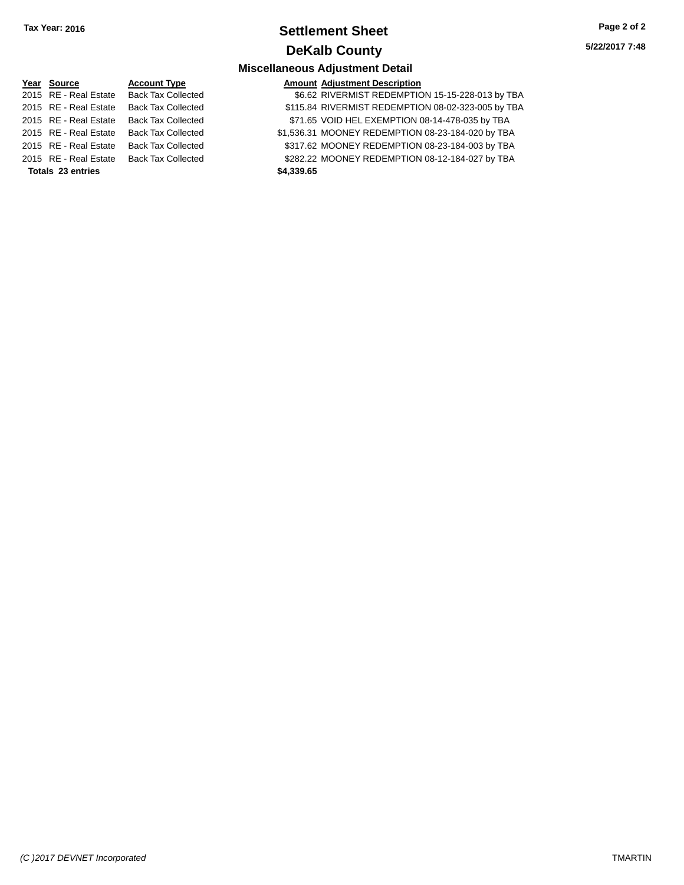### **Settlement Sheet Tax Year: 2016 Page 2 of 2 DeKalb County**

**5/22/2017 7:48**

### **Miscellaneous Adjustment Detail**

|                   | Year Source           | <b>Account Type</b>       |  |  |
|-------------------|-----------------------|---------------------------|--|--|
|                   | 2015 RE - Real Estate | <b>Back Tax Collected</b> |  |  |
|                   | 2015 RE - Real Estate | <b>Back Tax Collected</b> |  |  |
|                   | 2015 RE - Real Estate | <b>Back Tax Collected</b> |  |  |
|                   | 2015 RE - Real Estate | <b>Back Tax Collected</b> |  |  |
|                   | 2015 RE - Real Estate | <b>Back Tax Collected</b> |  |  |
|                   | 2015 RE - Real Estate | <b>Back Tax Collected</b> |  |  |
| Totals 23 entries |                       |                           |  |  |

#### **Amount Adjustment Description**

| 2015 RE - Real Estate    | <b>Back Tax Collected</b> | \$6.62 RIVERMIST REDEMPTION 15-15-228-013 by TBA   |
|--------------------------|---------------------------|----------------------------------------------------|
| 2015 RE - Real Estate    | <b>Back Tax Collected</b> | \$115.84 RIVERMIST REDEMPTION 08-02-323-005 by TBA |
| 2015 RE - Real Estate    | <b>Back Tax Collected</b> | \$71.65 VOID HEL EXEMPTION 08-14-478-035 by TBA    |
| 2015 RE - Real Estate    | Back Tax Collected        | \$1,536.31 MOONEY REDEMPTION 08-23-184-020 by TBA  |
| 2015 RE - Real Estate    | <b>Back Tax Collected</b> | \$317.62 MOONEY REDEMPTION 08-23-184-003 by TBA    |
| 2015 RE - Real Estate    | <b>Back Tax Collected</b> | \$282.22 MOONEY REDEMPTION 08-12-184-027 by TBA    |
| <b>Totals 23 entries</b> |                           | \$4,339.65                                         |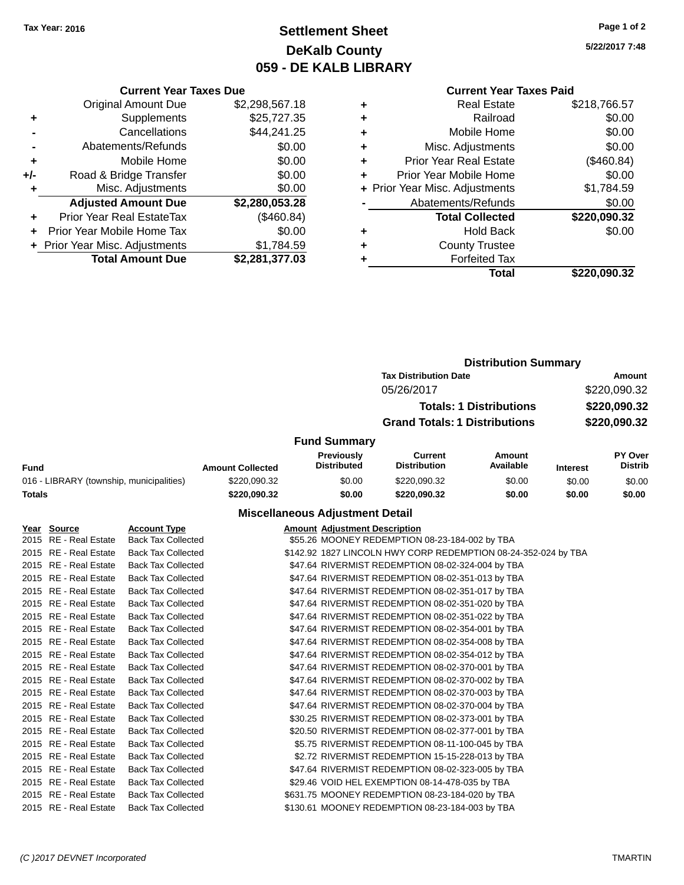### **Settlement Sheet Tax Year: 2016 Page 1 of 2 DeKalb County 059 - DE KALB LIBRARY**

**5/22/2017 7:48**

#### **Current Year Taxes Paid**

|     | <b>Total Amount Due</b>          | \$2,281,377.03 |
|-----|----------------------------------|----------------|
|     | + Prior Year Misc. Adjustments   | \$1,784.59     |
| ÷   | Prior Year Mobile Home Tax       | \$0.00         |
|     | <b>Prior Year Real EstateTax</b> | (\$460.84)     |
|     | <b>Adjusted Amount Due</b>       | \$2,280,053.28 |
|     | Misc. Adjustments                | \$0.00         |
| +/- | Road & Bridge Transfer           | \$0.00         |
| ٠   | Mobile Home                      | \$0.00         |
|     | Abatements/Refunds               | \$0.00         |
|     | Cancellations                    | \$44,241.25    |
| ٠   | Supplements                      | \$25,727.35    |
|     | <b>Original Amount Due</b>       | \$2,298,567.18 |
|     |                                  |                |

**Current Year Taxes Due**

| ٠ | <b>Real Estate</b>             | \$218,766.57 |
|---|--------------------------------|--------------|
| ٠ | Railroad                       | \$0.00       |
| ٠ | Mobile Home                    | \$0.00       |
| ٠ | Misc. Adjustments              | \$0.00       |
| ٠ | <b>Prior Year Real Estate</b>  | (\$460.84)   |
| ÷ | Prior Year Mobile Home         | \$0.00       |
|   | + Prior Year Misc. Adjustments | \$1,784.59   |
|   | Abatements/Refunds             | \$0.00       |
|   | <b>Total Collected</b>         | \$220,090.32 |
| ٠ | <b>Hold Back</b>               | \$0.00       |
| ٠ | <b>County Trustee</b>          |              |
| ٠ | <b>Forfeited Tax</b>           |              |
|   | Total                          | \$220,090.32 |
|   |                                |              |

#### **Distribution Summary Tax Distribution Date Amount** 05/26/2017 \$220,090.32 **Totals: 1 Distributions \$220,090.32 Grand Totals: 1 Distributions \$220,090.32 Fund Summary Fund Interest Amount Collected Distributed PY Over Distrib Amount Available Current Distribution Previously** 016 - LIBRARY (township, municipalities)  $$220,090.32$   $$0.00$   $$220,090.32$  \$0.00 \$0.00 \$0.00 **Totals \$220,090.32 \$0.00 \$220,090.32 \$0.00 \$0.00 \$0.00**

| Year Source           | <b>Account Type</b>       | <b>Amount Adjustment Description</b>                           |
|-----------------------|---------------------------|----------------------------------------------------------------|
| 2015 RE - Real Estate | <b>Back Tax Collected</b> | \$55.26 MOONEY REDEMPTION 08-23-184-002 by TBA                 |
| 2015 RE - Real Estate | <b>Back Tax Collected</b> | \$142.92 1827 LINCOLN HWY CORP REDEMPTION 08-24-352-024 by TBA |
| 2015 RE - Real Estate | <b>Back Tax Collected</b> | \$47.64 RIVERMIST REDEMPTION 08-02-324-004 by TBA              |
| 2015 RE - Real Estate | <b>Back Tax Collected</b> | \$47.64 RIVERMIST REDEMPTION 08-02-351-013 by TBA              |
| 2015 RE - Real Estate | <b>Back Tax Collected</b> | \$47.64 RIVERMIST REDEMPTION 08-02-351-017 by TBA              |
| 2015 RE - Real Estate | <b>Back Tax Collected</b> | \$47.64 RIVERMIST REDEMPTION 08-02-351-020 by TBA              |
| 2015 RE - Real Estate | <b>Back Tax Collected</b> | \$47.64 RIVERMIST REDEMPTION 08-02-351-022 by TBA              |
| 2015 RE - Real Estate | <b>Back Tax Collected</b> | \$47.64 RIVERMIST REDEMPTION 08-02-354-001 by TBA              |
| 2015 RE - Real Estate | <b>Back Tax Collected</b> | \$47.64 RIVERMIST REDEMPTION 08-02-354-008 by TBA              |
| 2015 RE - Real Estate | <b>Back Tax Collected</b> | \$47.64 RIVERMIST REDEMPTION 08-02-354-012 by TBA              |
| 2015 RE - Real Estate | <b>Back Tax Collected</b> | \$47.64 RIVERMIST REDEMPTION 08-02-370-001 by TBA              |
| 2015 RE - Real Estate | <b>Back Tax Collected</b> | \$47.64 RIVERMIST REDEMPTION 08-02-370-002 by TBA              |
| 2015 RE - Real Estate | <b>Back Tax Collected</b> | \$47.64 RIVERMIST REDEMPTION 08-02-370-003 by TBA              |
| 2015 RE - Real Estate | <b>Back Tax Collected</b> | \$47.64 RIVERMIST REDEMPTION 08-02-370-004 by TBA              |
| 2015 RE - Real Estate | <b>Back Tax Collected</b> | \$30.25 RIVERMIST REDEMPTION 08-02-373-001 by TBA              |
| 2015 RE - Real Estate | <b>Back Tax Collected</b> | \$20.50 RIVERMIST REDEMPTION 08-02-377-001 by TBA              |
| 2015 RE - Real Estate | <b>Back Tax Collected</b> | \$5.75 RIVERMIST REDEMPTION 08-11-100-045 by TBA               |
| 2015 RE - Real Estate | <b>Back Tax Collected</b> | \$2.72 RIVERMIST REDEMPTION 15-15-228-013 by TBA               |
| 2015 RE - Real Estate | <b>Back Tax Collected</b> | \$47.64 RIVERMIST REDEMPTION 08-02-323-005 by TBA              |
| 2015 RE - Real Estate | <b>Back Tax Collected</b> | \$29.46 VOID HEL EXEMPTION 08-14-478-035 by TBA                |
| 2015 RE - Real Estate | <b>Back Tax Collected</b> | \$631.75 MOONEY REDEMPTION 08-23-184-020 by TBA                |
| 2015 RE - Real Estate | <b>Back Tax Collected</b> | \$130.61 MOONEY REDEMPTION 08-23-184-003 by TBA                |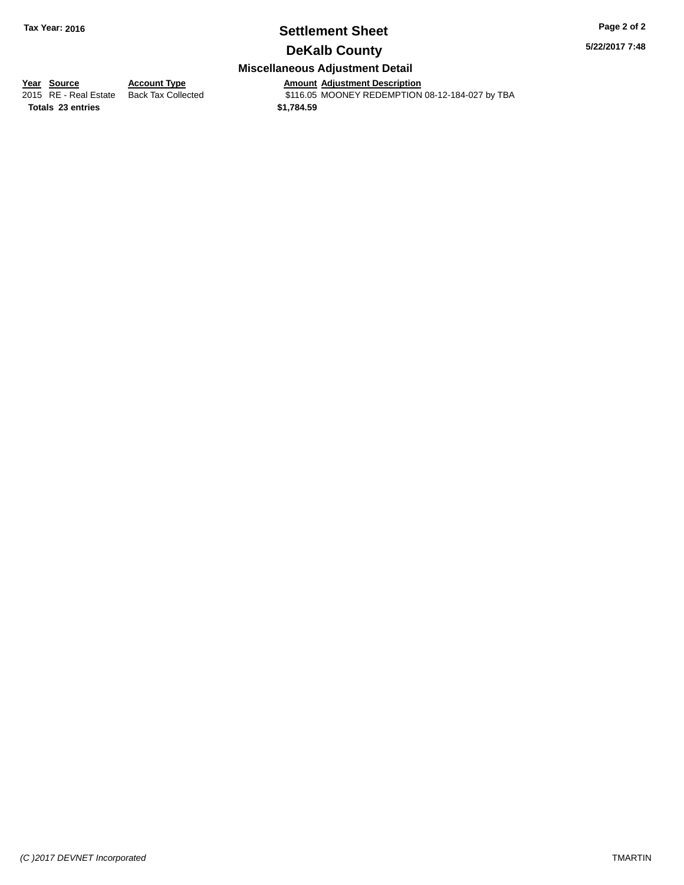### **Settlement Sheet Tax Year: 2016 Page 2 of 2**

**5/22/2017 7:48**

### **DeKalb County**

#### **Miscellaneous Adjustment Detail**

**Year Source Account Type Amount Adjustment Description**

**Totals 23 entries \$1,784.59**

2015 RE - Real Estate Back Tax Collected \$116.05 MOONEY REDEMPTION 08-12-184-027 by TBA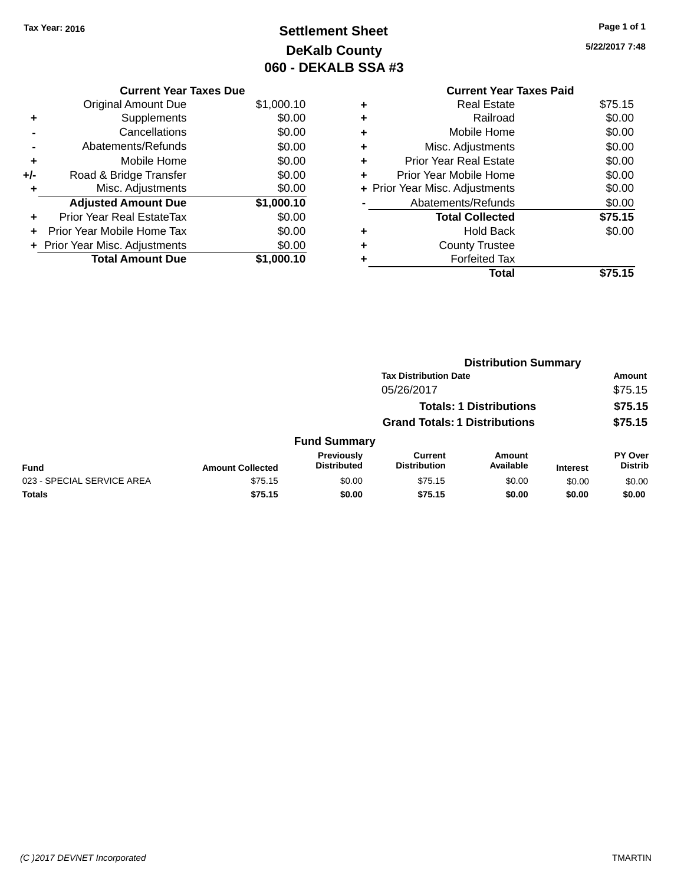### **Settlement Sheet Tax Year: 2016 Page 1 of 1 DeKalb County 060 - DEKALB SSA #3**

**5/22/2017 7:48**

|     | <b>Current Year Taxes Due</b>    |            |
|-----|----------------------------------|------------|
|     | <b>Original Amount Due</b>       | \$1,000.10 |
| ٠   | Supplements                      | \$0.00     |
|     | Cancellations                    | \$0.00     |
|     | Abatements/Refunds               | \$0.00     |
| ٠   | Mobile Home                      | \$0.00     |
| +/- | Road & Bridge Transfer           | \$0.00     |
| ٠   | Misc. Adjustments                | \$0.00     |
|     | <b>Adjusted Amount Due</b>       | \$1,000.10 |
| ٠   | <b>Prior Year Real EstateTax</b> | \$0.00     |
| ÷   | Prior Year Mobile Home Tax       | \$0.00     |
|     | + Prior Year Misc. Adjustments   | \$0.00     |
|     | <b>Total Amount Due</b>          | \$1.000.10 |

#### **Current Year Taxes Paid +** Real Estate \$75.15 **+** Railroad \$0.00 **+** Mobile Home \$0.00 **+** Misc. Adjustments \$0.00 **+** Prior Year Real Estate \$0.00 **+** Prior Year Mobile Home \$0.00<br> **+** Prior Year Misc. Adjustments \$0.00 **+ Prior Year Misc. Adjustments -** Abatements/Refunds \$0.00 **Total Collected \$75.15 +** Hold Back \$0.00 **+** County Trustee **+** Forfeited Tax **Total \$75.15**

|                            | <b>Distribution Summary</b> |                                         |                                       |                                |                 |                           |  |
|----------------------------|-----------------------------|-----------------------------------------|---------------------------------------|--------------------------------|-----------------|---------------------------|--|
|                            |                             |                                         | <b>Tax Distribution Date</b>          |                                |                 | Amount                    |  |
|                            |                             |                                         | 05/26/2017                            |                                |                 | \$75.15                   |  |
|                            |                             |                                         |                                       | <b>Totals: 1 Distributions</b> |                 | \$75.15                   |  |
|                            |                             | <b>Grand Totals: 1 Distributions</b>    |                                       |                                | \$75.15         |                           |  |
|                            |                             | <b>Fund Summary</b>                     |                                       |                                |                 |                           |  |
| <b>Fund</b>                | <b>Amount Collected</b>     | <b>Previously</b><br><b>Distributed</b> | <b>Current</b><br><b>Distribution</b> | Amount<br>Available            | <b>Interest</b> | PY Over<br><b>Distrib</b> |  |
| 023 - SPECIAL SERVICE AREA | \$75.15                     | \$0.00                                  | \$75.15                               | \$0.00                         | \$0.00          | \$0.00                    |  |
| <b>Totals</b>              | \$75.15                     | \$0.00                                  | \$75.15                               | \$0.00                         | \$0.00          | \$0.00                    |  |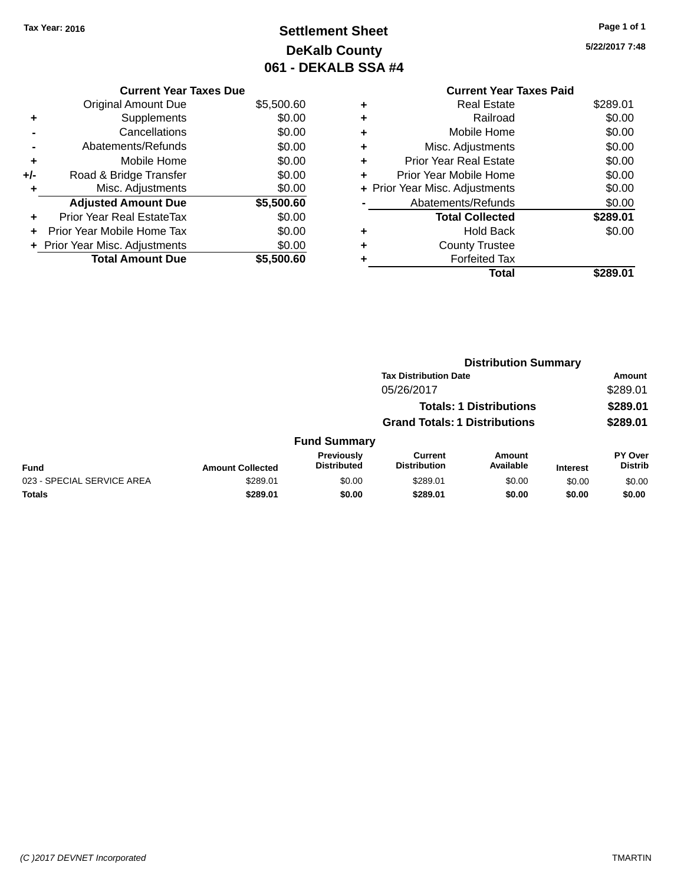### **Settlement Sheet Tax Year: 2016 Page 1 of 1 DeKalb County 061 - DEKALB SSA #4**

**5/22/2017 7:48**

|       | <b>Current Year Taxes Due</b>    |            |
|-------|----------------------------------|------------|
|       | <b>Original Amount Due</b>       | \$5,500.60 |
| ٠     | Supplements                      | \$0.00     |
|       | Cancellations                    | \$0.00     |
|       | Abatements/Refunds               | \$0.00     |
| ٠     | Mobile Home                      | \$0.00     |
| $+/-$ | Road & Bridge Transfer           | \$0.00     |
|       | Misc. Adjustments                | \$0.00     |
|       | <b>Adjusted Amount Due</b>       | \$5,500.60 |
| ٠     | <b>Prior Year Real EstateTax</b> | \$0.00     |
|       | Prior Year Mobile Home Tax       | \$0.00     |
|       | + Prior Year Misc. Adjustments   | \$0.00     |
|       | <b>Total Amount Due</b>          | \$5.500.60 |

|   | <b>Current Year Taxes Paid</b> |          |
|---|--------------------------------|----------|
| ٠ | <b>Real Estate</b>             | \$289.01 |
| ٠ | Railroad                       | \$0.00   |
|   | Mobile Home                    | \$0.00   |
|   | Misc. Adjustments              | \$0.00   |
| ٠ | <b>Prior Year Real Estate</b>  | \$0.00   |
|   | Prior Year Mobile Home         | \$0.00   |
|   | + Prior Year Misc. Adjustments | \$0.00   |
|   | Abatements/Refunds             | \$0.00   |
|   | <b>Total Collected</b>         | \$289.01 |
|   | <b>Hold Back</b>               | \$0.00   |
|   | <b>County Trustee</b>          |          |
|   | <b>Forfeited Tax</b>           |          |
|   | Total                          | \$289.01 |
|   |                                |          |

|                            | <b>Distribution Summary</b> |                                  |                                       |                                |                 |                           |  |
|----------------------------|-----------------------------|----------------------------------|---------------------------------------|--------------------------------|-----------------|---------------------------|--|
|                            |                             | <b>Tax Distribution Date</b>     |                                       |                                |                 | <b>Amount</b>             |  |
| 05/26/2017                 |                             |                                  |                                       | \$289.01                       |                 |                           |  |
|                            |                             |                                  |                                       | <b>Totals: 1 Distributions</b> |                 | \$289.01                  |  |
|                            |                             |                                  | <b>Grand Totals: 1 Distributions</b>  |                                |                 | \$289.01                  |  |
|                            |                             | <b>Fund Summary</b>              |                                       |                                |                 |                           |  |
| <b>Fund</b>                | <b>Amount Collected</b>     | Previously<br><b>Distributed</b> | <b>Current</b><br><b>Distribution</b> | Amount<br>Available            | <b>Interest</b> | PY Over<br><b>Distrib</b> |  |
| 023 - SPECIAL SERVICE AREA | \$289.01                    | \$0.00                           | \$289.01                              | \$0.00                         | \$0.00          | \$0.00                    |  |
| <b>Totals</b>              | \$289.01                    | \$0.00                           | \$289.01                              | \$0.00                         | \$0.00          | \$0.00                    |  |
|                            |                             |                                  |                                       |                                |                 |                           |  |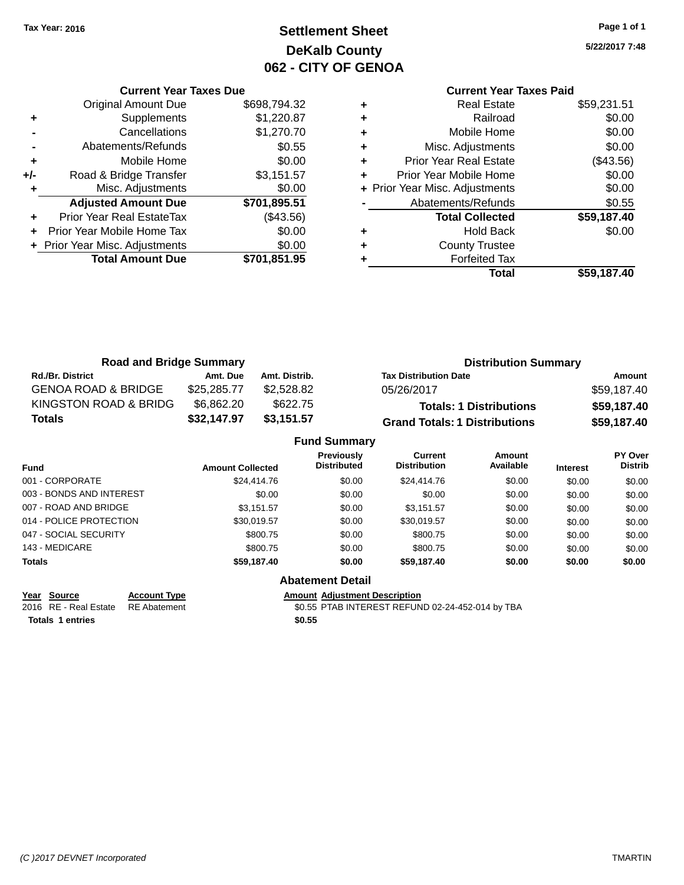### **Settlement Sheet Tax Year: 2016 Page 1 of 1 DeKalb County 062 - CITY OF GENOA**

**5/22/2017 7:48**

### **Current Year Taxes Paid**

|     | <b>Current Year Taxes Due</b>    |              |
|-----|----------------------------------|--------------|
|     | <b>Original Amount Due</b>       | \$698,794.32 |
| ٠   | Supplements                      | \$1,220.87   |
|     | Cancellations                    | \$1,270.70   |
|     | Abatements/Refunds               | \$0.55       |
| ٠   | Mobile Home                      | \$0.00       |
| +/- | Road & Bridge Transfer           | \$3,151.57   |
|     | Misc. Adjustments                | \$0.00       |
|     | <b>Adjusted Amount Due</b>       | \$701,895.51 |
|     | <b>Prior Year Real EstateTax</b> | (\$43.56)    |
|     | Prior Year Mobile Home Tax       | \$0.00       |
|     | + Prior Year Misc. Adjustments   | \$0.00       |
|     | <b>Total Amount Due</b>          | \$701,851.95 |
|     |                                  |              |

| ٠ | <b>Real Estate</b>             | \$59,231.51 |
|---|--------------------------------|-------------|
| ٠ | Railroad                       | \$0.00      |
| ٠ | Mobile Home                    | \$0.00      |
| ٠ | Misc. Adjustments              | \$0.00      |
| ٠ | <b>Prior Year Real Estate</b>  | (\$43.56)   |
| ٠ | Prior Year Mobile Home         | \$0.00      |
|   | + Prior Year Misc. Adjustments | \$0.00      |
|   | Abatements/Refunds             | \$0.55      |
|   | <b>Total Collected</b>         | \$59,187.40 |
| ٠ | <b>Hold Back</b>               | \$0.00      |
| ٠ | <b>County Trustee</b>          |             |
| ٠ | <b>Forfeited Tax</b>           |             |
|   | <b>Total</b>                   | \$59,187.40 |
|   |                                |             |

| <b>Road and Bridge Summary</b> |             |               | <b>Distribution Summary</b>          |             |  |  |
|--------------------------------|-------------|---------------|--------------------------------------|-------------|--|--|
| <b>Rd./Br. District</b>        | Amt. Due    | Amt. Distrib. | <b>Tax Distribution Date</b>         | Amount      |  |  |
| <b>GENOA ROAD &amp; BRIDGE</b> | \$25.285.77 | \$2.528.82    | 05/26/2017                           | \$59,187.40 |  |  |
| KINGSTON ROAD & BRIDG          | \$6,862.20  | \$622.75      | <b>Totals: 1 Distributions</b>       | \$59,187.40 |  |  |
| Totals                         | \$32,147.97 | \$3,151.57    | <b>Grand Totals: 1 Distributions</b> | \$59,187.40 |  |  |

|                          |                         | <b>Fund Summary</b>                     |                                |                     |                 |                                  |
|--------------------------|-------------------------|-----------------------------------------|--------------------------------|---------------------|-----------------|----------------------------------|
| <b>Fund</b>              | <b>Amount Collected</b> | <b>Previously</b><br><b>Distributed</b> | Current<br><b>Distribution</b> | Amount<br>Available | <b>Interest</b> | <b>PY Over</b><br><b>Distrib</b> |
| 001 - CORPORATE          | \$24,414.76             | \$0.00                                  | \$24,414.76                    | \$0.00              | \$0.00          | \$0.00                           |
| 003 - BONDS AND INTEREST | \$0.00                  | \$0.00                                  | \$0.00                         | \$0.00              | \$0.00          | \$0.00                           |
| 007 - ROAD AND BRIDGE    | \$3.151.57              | \$0.00                                  | \$3.151.57                     | \$0.00              | \$0.00          | \$0.00                           |
| 014 - POLICE PROTECTION  | \$30.019.57             | \$0.00                                  | \$30.019.57                    | \$0.00              | \$0.00          | \$0.00                           |
| 047 - SOCIAL SECURITY    | \$800.75                | \$0.00                                  | \$800.75                       | \$0.00              | \$0.00          | \$0.00                           |
| 143 - MEDICARE           | \$800.75                | \$0.00                                  | \$800.75                       | \$0.00              | \$0.00          | \$0.00                           |
| <b>Totals</b>            | \$59,187.40             | \$0.00                                  | \$59,187.40                    | \$0.00              | \$0.00          | \$0.00                           |
|                          |                         | <b>Abatement Detail</b>                 |                                |                     |                 |                                  |

**Year Source Account Type**<br>
2016 RE - Real Estate RE Abatement **Adjustment Adjustment Description**<br>
\$0.55 PTAB INTEREST REFUN **Totals 1 entries \$0.55**

\$0.55 PTAB INTEREST REFUND 02-24-452-014 by TBA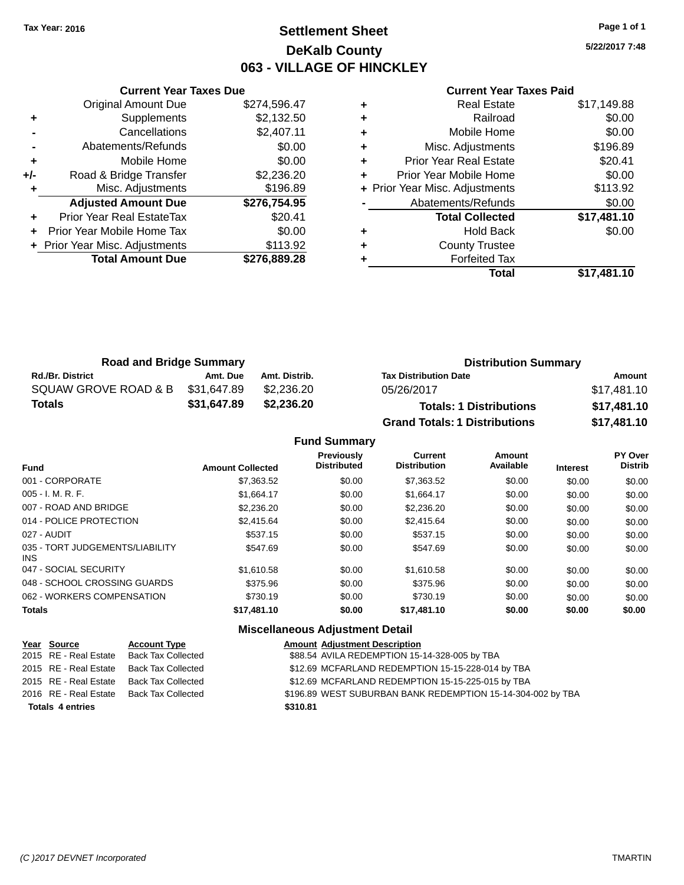### **Settlement Sheet Tax Year: 2016 Page 1 of 1 DeKalb County 063 - VILLAGE OF HINCKLEY**

**5/22/2017 7:48**

#### **Current Year Taxes Paid**

|       | <b>Current Year Taxes Due</b>  |              |  |  |  |
|-------|--------------------------------|--------------|--|--|--|
|       | <b>Original Amount Due</b>     | \$274,596.47 |  |  |  |
| ٠     | Supplements                    | \$2,132.50   |  |  |  |
|       | Cancellations                  | \$2,407.11   |  |  |  |
|       | Abatements/Refunds             | \$0.00       |  |  |  |
| ٠     | Mobile Home                    | \$0.00       |  |  |  |
| $+/-$ | Road & Bridge Transfer         | \$2,236.20   |  |  |  |
| ٠     | Misc. Adjustments              | \$196.89     |  |  |  |
|       | <b>Adjusted Amount Due</b>     | \$276,754.95 |  |  |  |
| ÷     | Prior Year Real EstateTax      | \$20.41      |  |  |  |
|       | Prior Year Mobile Home Tax     | \$0.00       |  |  |  |
|       | + Prior Year Misc. Adjustments | \$113.92     |  |  |  |
|       | <b>Total Amount Due</b>        | \$276,889.28 |  |  |  |
|       |                                |              |  |  |  |

| ٠ | <b>Real Estate</b>             | \$17,149.88 |
|---|--------------------------------|-------------|
| ٠ | Railroad                       | \$0.00      |
| ٠ | Mobile Home                    | \$0.00      |
| ٠ | Misc. Adjustments              | \$196.89    |
| ٠ | <b>Prior Year Real Estate</b>  | \$20.41     |
| ٠ | Prior Year Mobile Home         | \$0.00      |
|   | + Prior Year Misc. Adjustments | \$113.92    |
|   | Abatements/Refunds             | \$0.00      |
|   | <b>Total Collected</b>         | \$17,481.10 |
| ٠ | <b>Hold Back</b>               | \$0.00      |
| ٠ | <b>County Trustee</b>          |             |
| ٠ | <b>Forfeited Tax</b>           |             |
|   | Total                          | \$17,481.10 |
|   |                                |             |

| <b>Road and Bridge Summary</b> |             |               | <b>Distribution Summary</b>          |             |  |
|--------------------------------|-------------|---------------|--------------------------------------|-------------|--|
| <b>Rd./Br. District</b>        | Amt. Due    | Amt. Distrib. | <b>Tax Distribution Date</b>         | Amount      |  |
| SQUAW GROVE ROAD & B           | \$31,647.89 | \$2,236,20    | 05/26/2017                           | \$17,481.10 |  |
| Totals                         | \$31,647.89 | \$2,236.20    | <b>Totals: 1 Distributions</b>       | \$17,481.10 |  |
|                                |             |               | <b>Grand Totals: 1 Distributions</b> | \$17,481.10 |  |

|                                         |                         | <b>Fund Summary</b>                     |                                       |                            |                 |                                  |
|-----------------------------------------|-------------------------|-----------------------------------------|---------------------------------------|----------------------------|-----------------|----------------------------------|
| <b>Fund</b>                             | <b>Amount Collected</b> | <b>Previously</b><br><b>Distributed</b> | <b>Current</b><br><b>Distribution</b> | <b>Amount</b><br>Available | <b>Interest</b> | <b>PY Over</b><br><b>Distrib</b> |
| 001 - CORPORATE                         | \$7,363.52              | \$0.00                                  | \$7,363.52                            | \$0.00                     | \$0.00          | \$0.00                           |
| 005 - I. M. R. F.                       | \$1,664.17              | \$0.00                                  | \$1.664.17                            | \$0.00                     | \$0.00          | \$0.00                           |
| 007 - ROAD AND BRIDGE.                  | \$2,236.20              | \$0.00                                  | \$2,236.20                            | \$0.00                     | \$0.00          | \$0.00                           |
| 014 - POLICE PROTECTION                 | \$2,415.64              | \$0.00                                  | \$2,415.64                            | \$0.00                     | \$0.00          | \$0.00                           |
| 027 - AUDIT                             | \$537.15                | \$0.00                                  | \$537.15                              | \$0.00                     | \$0.00          | \$0.00                           |
| 035 - TORT JUDGEMENTS/LIABILITY<br>INS. | \$547.69                | \$0.00                                  | \$547.69                              | \$0.00                     | \$0.00          | \$0.00                           |
| 047 - SOCIAL SECURITY                   | \$1.610.58              | \$0.00                                  | \$1.610.58                            | \$0.00                     | \$0.00          | \$0.00                           |
| 048 - SCHOOL CROSSING GUARDS            | \$375.96                | \$0.00                                  | \$375.96                              | \$0.00                     | \$0.00          | \$0.00                           |
| 062 - WORKERS COMPENSATION              | \$730.19                | \$0.00                                  | \$730.19                              | \$0.00                     | \$0.00          | \$0.00                           |
| Totals                                  | \$17,481.10             | \$0.00                                  | \$17,481.10                           | \$0.00                     | \$0.00          | \$0.00                           |

| Year Source             | <b>Account Type</b>       | <b>Amount Adjustment Description</b>                        |
|-------------------------|---------------------------|-------------------------------------------------------------|
| 2015 RE - Real Estate   | Back Tax Collected        | \$88.54 AVILA REDEMPTION 15-14-328-005 by TBA               |
| 2015 RE - Real Estate   | <b>Back Tax Collected</b> | \$12.69 MCFARLAND REDEMPTION 15-15-228-014 by TBA           |
| 2015 RE - Real Estate   | Back Tax Collected        | \$12.69 MCFARLAND REDEMPTION 15-15-225-015 by TBA           |
| 2016 RE - Real Estate   | Back Tax Collected        | \$196.89 WEST SUBURBAN BANK REDEMPTION 15-14-304-002 by TBA |
| <b>Totals 4 entries</b> |                           | \$310.81                                                    |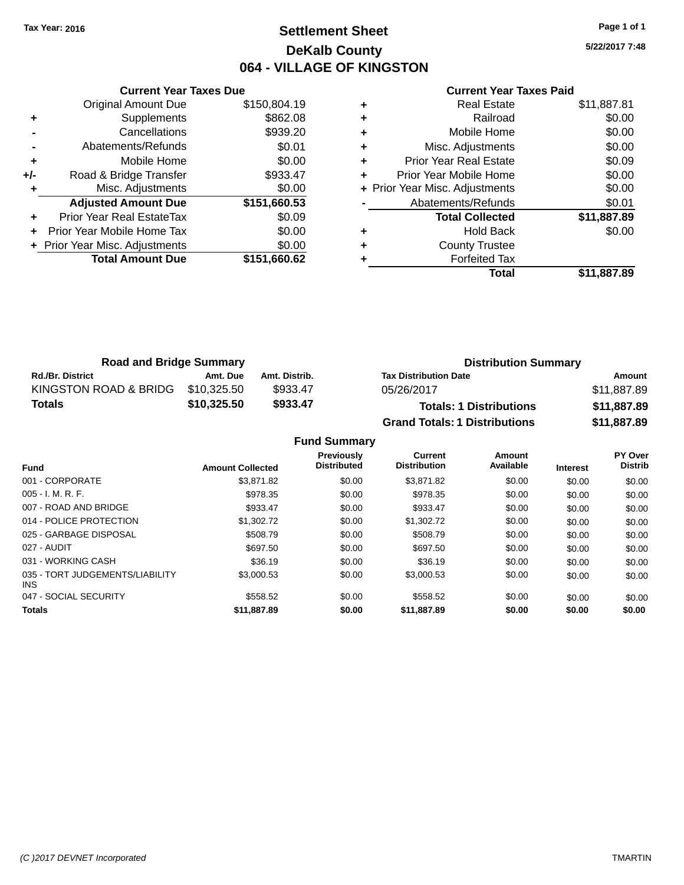### **Settlement Sheet Tax Year: 2016 Page 1 of 1 DeKalb County 064 - VILLAGE OF KINGSTON**

**5/22/2017 7:48**

#### **Current Year Taxes Paid**

|     | <b>Current Year Taxes Due</b>  |              |  |  |  |
|-----|--------------------------------|--------------|--|--|--|
|     | <b>Original Amount Due</b>     | \$150,804.19 |  |  |  |
| ٠   | Supplements                    | \$862.08     |  |  |  |
|     | Cancellations                  | \$939.20     |  |  |  |
|     | Abatements/Refunds             | \$0.01       |  |  |  |
| ٠   | Mobile Home                    | \$0.00       |  |  |  |
| +/- | Road & Bridge Transfer         | \$933.47     |  |  |  |
|     | Misc. Adjustments              | \$0.00       |  |  |  |
|     | <b>Adjusted Amount Due</b>     | \$151,660.53 |  |  |  |
| ٠   | Prior Year Real EstateTax      | \$0.09       |  |  |  |
|     | Prior Year Mobile Home Tax     | \$0.00       |  |  |  |
|     | + Prior Year Misc. Adjustments | \$0.00       |  |  |  |
|     | <b>Total Amount Due</b>        | \$151,660.62 |  |  |  |
|     |                                |              |  |  |  |

| \$11,887.81 |
|-------------|
| \$0.00      |
| \$0.00      |
| \$0.00      |
| \$0.09      |
| \$0.00      |
| \$0.00      |
| \$0.01      |
| \$11,887.89 |
| \$0.00      |
|             |
|             |
| \$11,887.89 |
|             |

| <b>Road and Bridge Summary</b> |             |               | <b>Distribution Summary</b>          |             |  |
|--------------------------------|-------------|---------------|--------------------------------------|-------------|--|
| <b>Rd./Br. District</b>        | Amt. Due    | Amt. Distrib. | <b>Tax Distribution Date</b>         | Amount      |  |
| KINGSTON ROAD & BRIDG          | \$10,325.50 | \$933.47      | 05/26/2017                           | \$11,887.89 |  |
| Totals                         | \$10,325.50 | \$933.47      | <b>Totals: 1 Distributions</b>       | \$11,887.89 |  |
|                                |             |               | <b>Grand Totals: 1 Distributions</b> | \$11,887.89 |  |

**Fund Summary**

| <b>Fund</b>                             | <b>Amount Collected</b> | Previously<br><b>Distributed</b> | Current<br><b>Distribution</b> | Amount<br>Available | <b>Interest</b> | PY Over<br><b>Distrib</b> |
|-----------------------------------------|-------------------------|----------------------------------|--------------------------------|---------------------|-----------------|---------------------------|
| 001 - CORPORATE                         | \$3,871.82              | \$0.00                           | \$3,871.82                     | \$0.00              | \$0.00          | \$0.00                    |
| $005 - I. M. R. F.$                     | \$978.35                | \$0.00                           | \$978.35                       | \$0.00              | \$0.00          | \$0.00                    |
| 007 - ROAD AND BRIDGE                   | \$933.47                | \$0.00                           | \$933.47                       | \$0.00              | \$0.00          | \$0.00                    |
| 014 - POLICE PROTECTION                 | \$1,302.72              | \$0.00                           | \$1,302.72                     | \$0.00              | \$0.00          | \$0.00                    |
| 025 - GARBAGE DISPOSAL                  | \$508.79                | \$0.00                           | \$508.79                       | \$0.00              | \$0.00          | \$0.00                    |
| 027 - AUDIT                             | \$697.50                | \$0.00                           | \$697.50                       | \$0.00              | \$0.00          | \$0.00                    |
| 031 - WORKING CASH                      | \$36.19                 | \$0.00                           | \$36.19                        | \$0.00              | \$0.00          | \$0.00                    |
| 035 - TORT JUDGEMENTS/LIABILITY<br>INS. | \$3,000.53              | \$0.00                           | \$3,000.53                     | \$0.00              | \$0.00          | \$0.00                    |
| 047 - SOCIAL SECURITY                   | \$558.52                | \$0.00                           | \$558.52                       | \$0.00              | \$0.00          | \$0.00                    |
| <b>Totals</b>                           | \$11,887.89             | \$0.00                           | \$11,887.89                    | \$0.00              | \$0.00          | \$0.00                    |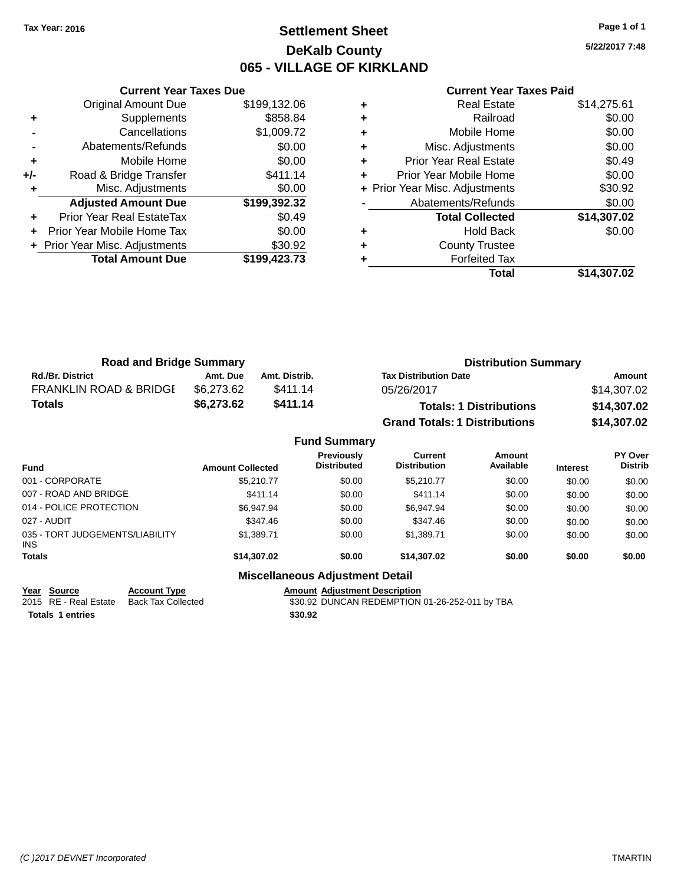### **Settlement Sheet Tax Year: 2016 Page 1 of 1 DeKalb County 065 - VILLAGE OF KIRKLAND**

**5/22/2017 7:48**

|     | <b>Current Year Taxes Due</b>  |              |
|-----|--------------------------------|--------------|
|     | <b>Original Amount Due</b>     | \$199,132.06 |
| ٠   | Supplements                    | \$858.84     |
|     | Cancellations                  | \$1,009.72   |
|     | Abatements/Refunds             | \$0.00       |
| ٠   | Mobile Home                    | \$0.00       |
| +/- | Road & Bridge Transfer         | \$411.14     |
|     | Misc. Adjustments              | \$0.00       |
|     | <b>Adjusted Amount Due</b>     | \$199,392.32 |
| ÷   | Prior Year Real EstateTax      | \$0.49       |
|     | Prior Year Mobile Home Tax     | \$0.00       |
|     | + Prior Year Misc. Adjustments | \$30.92      |
|     | <b>Total Amount Due</b>        | \$199,423.73 |
|     |                                |              |

#### **Current Year Taxes Paid**

|   | <b>Real Estate</b>             | \$14,275.61 |
|---|--------------------------------|-------------|
| ٠ | Railroad                       | \$0.00      |
| ٠ | Mobile Home                    | \$0.00      |
| ٠ | Misc. Adjustments              | \$0.00      |
| ٠ | Prior Year Real Estate         | \$0.49      |
|   | Prior Year Mobile Home         | \$0.00      |
|   | + Prior Year Misc. Adjustments | \$30.92     |
|   | Abatements/Refunds             | \$0.00      |
|   | <b>Total Collected</b>         | \$14,307.02 |
| ٠ | <b>Hold Back</b>               | \$0.00      |
| ٠ | <b>County Trustee</b>          |             |
|   | <b>Forfeited Tax</b>           |             |
|   | Total                          | \$14,307.02 |
|   |                                |             |

| <b>Road and Bridge Summary</b>    |            |               | <b>Distribution Summary</b>          |             |  |
|-----------------------------------|------------|---------------|--------------------------------------|-------------|--|
| <b>Rd./Br. District</b>           | Amt. Due   | Amt. Distrib. | <b>Tax Distribution Date</b>         | Amount      |  |
| <b>FRANKLIN ROAD &amp; BRIDGE</b> | \$6.273.62 | \$411.14      | 05/26/2017                           | \$14,307.02 |  |
| Totals                            | \$6,273.62 | \$411.14      | <b>Totals: 1 Distributions</b>       | \$14,307.02 |  |
|                                   |            |               | <b>Grand Totals: 1 Distributions</b> | \$14,307.02 |  |

#### **Fund Summary Fund Interest Amount Collected Distributed PY Over Distrib Amount Available Current Distribution Previously** 001 - CORPORATE 60.00 \$5,210.77 \$0.00 \$5,210.77 \$0.00 \$0.00 \$0.00 \$0.00 007 - ROAD AND BRIDGE 60.00 \$411.14 \$0.00 \$411.14 \$0.00 \$0.00 \$0.00 \$0.00 \$0.00 014 - POLICE PROTECTION \$6,947.94 \$0.00 \$6,947.94 \$0.00 \$0.00 \$0.00 \$0.00 \$0.00 027 - AUDIT \$347.46 \$0.00 \$347.46 \$0.00 \$0.00 \$0.00 035 - TORT JUDGEMENTS/LIABILITY INS \$1,389.71 \$0.00 \$1,389.71 \$0.00 \$0.00 \$0.00 **Totals \$14,307.02 \$0.00 \$14,307.02 \$0.00 \$0.00 \$0.00 Miscellaneous Adjustment Detail**

**Year** Source **Account Type Account Adjustment Description** 

**Totals 1 entries \$30.92**

2015 RE - Real Estate Back Tax Collected \$30.92 DUNCAN REDEMPTION 01-26-252-011 by TBA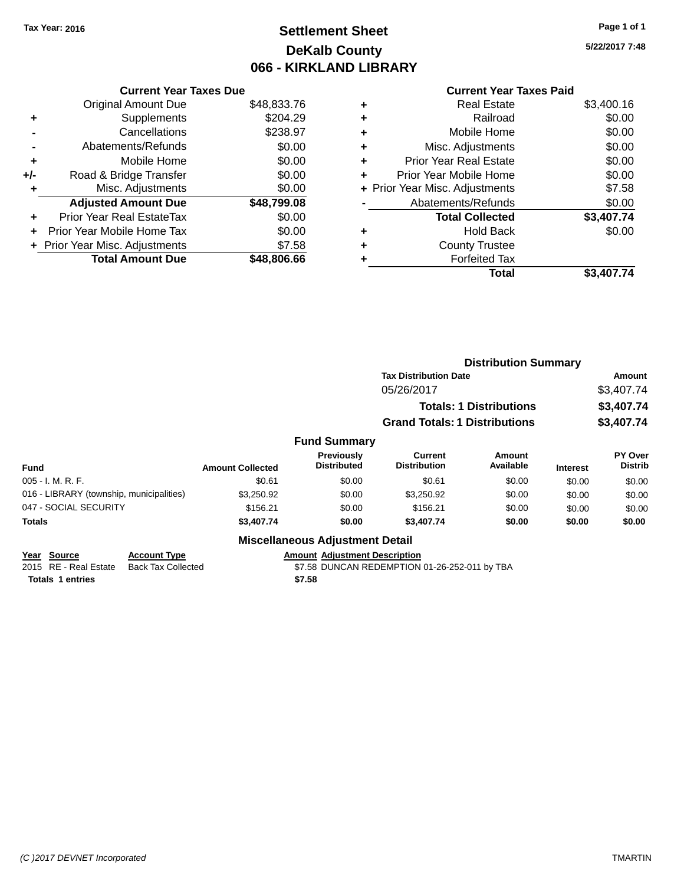### **Settlement Sheet Tax Year: 2016 Page 1 of 1 DeKalb County 066 - KIRKLAND LIBRARY**

**5/22/2017 7:48**

### **Current Year Taxes Due** Original Amount Due \$48,833.76<br>Supplements \$204.29 **+** Supplements

|                | Cancellations                    | \$238.97    |
|----------------|----------------------------------|-------------|
| $\blacksquare$ | Abatements/Refunds               | \$0.00      |
| ٠              | Mobile Home                      | \$0.00      |
| $+/-$          | Road & Bridge Transfer           | \$0.00      |
| ٠              | Misc. Adjustments                | \$0.00      |
|                |                                  |             |
|                | <b>Adjusted Amount Due</b>       | \$48,799.08 |
| ÷              | <b>Prior Year Real EstateTax</b> | \$0.00      |
|                | Prior Year Mobile Home Tax       | \$0.00      |
|                | + Prior Year Misc. Adjustments   | \$7.58      |

#### **Current Year Taxes Paid**

|   | Total                          | \$3,407.74 |
|---|--------------------------------|------------|
|   | <b>Forfeited Tax</b>           |            |
| ٠ | <b>County Trustee</b>          |            |
| ٠ | <b>Hold Back</b>               | \$0.00     |
|   | <b>Total Collected</b>         | \$3,407.74 |
|   | Abatements/Refunds             | \$0.00     |
|   | + Prior Year Misc. Adjustments | \$7.58     |
|   | Prior Year Mobile Home         | \$0.00     |
| ٠ | Prior Year Real Estate         | \$0.00     |
| ٠ | Misc. Adjustments              | \$0.00     |
| ٠ | Mobile Home                    | \$0.00     |
| ٠ | Railroad                       | \$0.00     |
|   | <b>Real Estate</b>             | \$3,400.16 |

|                                                |                                                  |                         |                                         | <b>Distribution Summary</b>                   |                                |                 |                           |
|------------------------------------------------|--------------------------------------------------|-------------------------|-----------------------------------------|-----------------------------------------------|--------------------------------|-----------------|---------------------------|
|                                                |                                                  |                         |                                         | <b>Tax Distribution Date</b>                  |                                |                 | Amount                    |
|                                                |                                                  |                         |                                         | 05/26/2017                                    |                                |                 | \$3,407.74                |
|                                                |                                                  |                         |                                         |                                               | <b>Totals: 1 Distributions</b> |                 | \$3,407.74                |
|                                                |                                                  |                         |                                         | <b>Grand Totals: 1 Distributions</b>          |                                |                 | \$3,407.74                |
|                                                |                                                  |                         | <b>Fund Summary</b>                     |                                               |                                |                 |                           |
| <b>Fund</b>                                    |                                                  | <b>Amount Collected</b> | <b>Previously</b><br><b>Distributed</b> | Current<br><b>Distribution</b>                | Amount<br>Available            | <b>Interest</b> | PY Over<br><b>Distrib</b> |
| $005 - I. M. R. F.$                            |                                                  | \$0.61                  | \$0.00                                  | \$0.61                                        | \$0.00                         | \$0.00          | \$0.00                    |
| 016 - LIBRARY (township, municipalities)       |                                                  | \$3,250.92              | \$0.00                                  | \$3,250.92                                    | \$0.00                         | \$0.00          | \$0.00                    |
| 047 - SOCIAL SECURITY                          |                                                  | \$156.21                | \$0.00                                  | \$156.21                                      | \$0.00                         | \$0.00          | \$0.00                    |
| <b>Totals</b>                                  |                                                  | \$3,407.74              | \$0.00                                  | \$3,407.74                                    | \$0.00                         | \$0.00          | \$0.00                    |
|                                                |                                                  |                         | <b>Miscellaneous Adjustment Detail</b>  |                                               |                                |                 |                           |
| <b>Source</b><br>Year<br>2015 RE - Real Estate | <b>Account Type</b><br><b>Back Tax Collected</b> |                         | <b>Amount Adjustment Description</b>    | \$7.58 DUNCAN REDEMPTION 01-26-252-011 by TBA |                                |                 |                           |

**Totals 1 entries \$7.58**

\$7.58 DUNCAN REDEMPTION 01-26-252-011 by TBA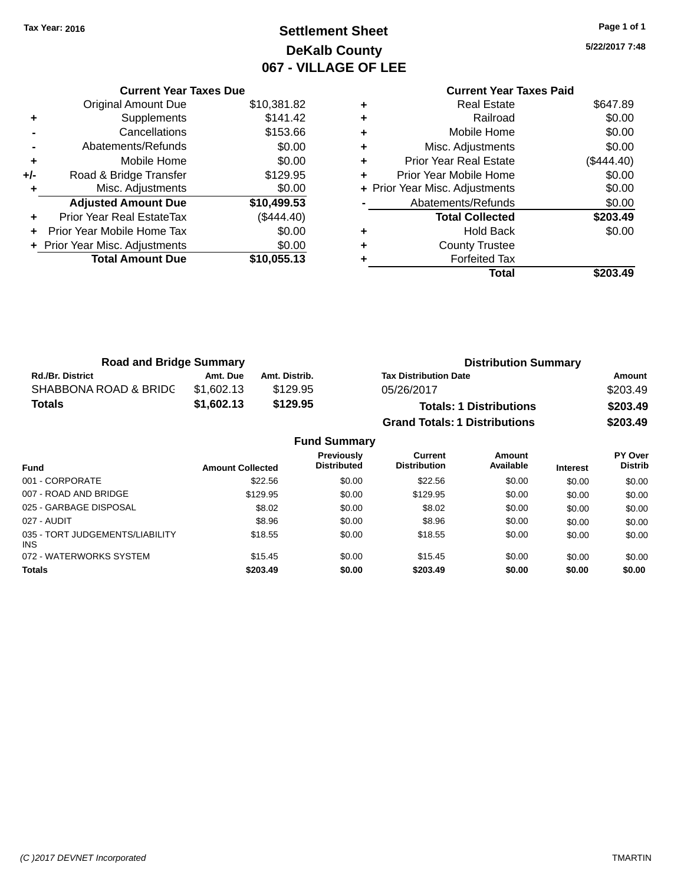### **Settlement Sheet Tax Year: 2016 Page 1 of 1 DeKalb County 067 - VILLAGE OF LEE**

**5/22/2017 7:48**

|   | <b>Current Year Taxes Paid</b> |            |
|---|--------------------------------|------------|
|   | <b>Real Estate</b>             | \$647.89   |
| ٠ | Railroad                       | \$0.00     |
|   | Mobile Home                    | \$0.00     |
|   | Misc. Adjustments              | \$0.00     |
| ٠ | <b>Prior Year Real Estate</b>  | (\$444.40) |
| ٠ | Prior Year Mobile Home         | \$0.00     |
|   | + Prior Year Misc. Adjustments | \$0.00     |
|   | Abatements/Refunds             | \$0.00     |
|   | <b>Total Collected</b>         | \$203.49   |
|   | Hold Back                      | \$0.00     |
|   | <b>County Trustee</b>          |            |
|   | <b>Forfeited Tax</b>           |            |
|   | Total                          |            |
|   |                                |            |

|     | <b>Current Year Taxes Due</b>  |             |
|-----|--------------------------------|-------------|
|     | Original Amount Due            | \$10,381.82 |
| ٠   | Supplements                    | \$141.42    |
|     | Cancellations                  | \$153.66    |
|     | Abatements/Refunds             | \$0.00      |
| ٠   | Mobile Home                    | \$0.00      |
| +/- | Road & Bridge Transfer         | \$129.95    |
| ٠   | Misc. Adjustments              | \$0.00      |
|     | <b>Adjusted Amount Due</b>     | \$10,499.53 |
|     | Prior Year Real EstateTax      | (\$444.40)  |
|     | Prior Year Mobile Home Tax     | \$0.00      |
|     | + Prior Year Misc. Adjustments | \$0.00      |
|     | <b>Total Amount Due</b>        | \$10,055.13 |
|     |                                |             |

| <b>Road and Bridge Summary</b> |            |                     |                                      | <b>Distribution Summary</b> |          |
|--------------------------------|------------|---------------------|--------------------------------------|-----------------------------|----------|
| <b>Rd./Br. District</b>        | Amt. Due   | Amt. Distrib.       | <b>Tax Distribution Date</b>         |                             | Amount   |
| SHABBONA ROAD & BRIDC          | \$1,602.13 | \$129.95            | 05/26/2017                           |                             | \$203.49 |
| <b>Totals</b>                  | \$1,602.13 | \$129.95            | <b>Totals: 1 Distributions</b>       |                             | \$203.49 |
|                                |            |                     | <b>Grand Totals: 1 Distributions</b> |                             | \$203.49 |
|                                |            | <b>Fund Summary</b> |                                      |                             |          |
|                                |            | <b>Draviously</b>   | $C$ urrant                           | Amoint                      | DV Over  |

|                                         |                         | <b>Previously</b>  | Current             | Amount    |                 | <b>PY Over</b> |
|-----------------------------------------|-------------------------|--------------------|---------------------|-----------|-----------------|----------------|
| <b>Fund</b>                             | <b>Amount Collected</b> | <b>Distributed</b> | <b>Distribution</b> | Available | <b>Interest</b> | <b>Distrib</b> |
| 001 - CORPORATE                         | \$22.56                 | \$0.00             | \$22.56             | \$0.00    | \$0.00          | \$0.00         |
| 007 - ROAD AND BRIDGE                   | \$129.95                | \$0.00             | \$129.95            | \$0.00    | \$0.00          | \$0.00         |
| 025 - GARBAGE DISPOSAL                  | \$8.02                  | \$0.00             | \$8.02              | \$0.00    | \$0.00          | \$0.00         |
| 027 - AUDIT                             | \$8.96                  | \$0.00             | \$8.96              | \$0.00    | \$0.00          | \$0.00         |
| 035 - TORT JUDGEMENTS/LIABILITY<br>INS. | \$18.55                 | \$0.00             | \$18.55             | \$0.00    | \$0.00          | \$0.00         |
| 072 - WATERWORKS SYSTEM                 | \$15.45                 | \$0.00             | \$15.45             | \$0.00    | \$0.00          | \$0.00         |
| <b>Totals</b>                           | \$203.49                | \$0.00             | \$203.49            | \$0.00    | \$0.00          | \$0.00         |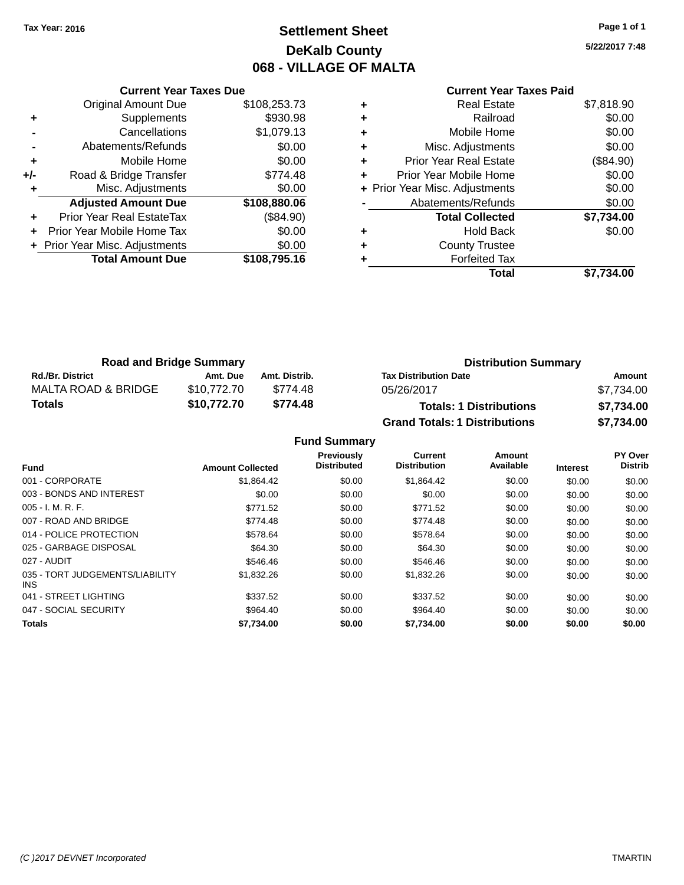### **Settlement Sheet Tax Year: 2016 Page 1 of 1 DeKalb County 068 - VILLAGE OF MALTA**

**5/22/2017 7:48**

|     | <b>Current Year Taxes Due</b>    |              |  |  |  |
|-----|----------------------------------|--------------|--|--|--|
|     | <b>Original Amount Due</b>       | \$108,253.73 |  |  |  |
| ٠   | Supplements                      | \$930.98     |  |  |  |
|     | Cancellations                    | \$1,079.13   |  |  |  |
|     | Abatements/Refunds               | \$0.00       |  |  |  |
| ٠   | Mobile Home                      | \$0.00       |  |  |  |
| +/- | Road & Bridge Transfer           | \$774.48     |  |  |  |
| ٠   | Misc. Adjustments                | \$0.00       |  |  |  |
|     | <b>Adjusted Amount Due</b>       | \$108,880.06 |  |  |  |
|     | <b>Prior Year Real EstateTax</b> | (\$84.90)    |  |  |  |
|     | Prior Year Mobile Home Tax       | \$0.00       |  |  |  |
|     | + Prior Year Misc. Adjustments   | \$0.00       |  |  |  |
|     | <b>Total Amount Due</b>          | \$108,795.16 |  |  |  |
|     |                                  |              |  |  |  |

### **Current Year Taxes Paid**

|   | <b>Real Estate</b>             | \$7,818.90 |
|---|--------------------------------|------------|
| ٠ | Railroad                       | \$0.00     |
| ٠ | Mobile Home                    | \$0.00     |
| ٠ | Misc. Adjustments              | \$0.00     |
| ٠ | Prior Year Real Estate         | (\$84.90)  |
| ٠ | Prior Year Mobile Home         | \$0.00     |
|   | + Prior Year Misc. Adjustments | \$0.00     |
|   | Abatements/Refunds             | \$0.00     |
|   | <b>Total Collected</b>         | \$7,734.00 |
| ٠ | <b>Hold Back</b>               | \$0.00     |
| ٠ | <b>County Trustee</b>          |            |
|   | <b>Forfeited Tax</b>           |            |
|   | Total                          | \$7,734.00 |
|   |                                |            |

| <b>Road and Bridge Summary</b> |             |               | <b>Distribution Summary</b>          |            |
|--------------------------------|-------------|---------------|--------------------------------------|------------|
| <b>Rd./Br. District</b>        | Amt. Due    | Amt. Distrib. | <b>Tax Distribution Date</b>         | Amount     |
| MALTA ROAD & BRIDGE            | \$10.772.70 | \$774.48      | 05/26/2017                           | \$7,734.00 |
| Totals                         | \$10,772.70 | \$774.48      | <b>Totals: 1 Distributions</b>       | \$7,734.00 |
|                                |             |               | <b>Grand Totals: 1 Distributions</b> | \$7.734.00 |

**Fund Summary**

| <b>Fund</b>                             | <b>Amount Collected</b> | <b>Previously</b><br><b>Distributed</b> | <b>Current</b><br><b>Distribution</b> | Amount<br>Available | <b>Interest</b> | PY Over<br><b>Distrib</b> |
|-----------------------------------------|-------------------------|-----------------------------------------|---------------------------------------|---------------------|-----------------|---------------------------|
| 001 - CORPORATE                         | \$1,864.42              | \$0.00                                  | \$1.864.42                            | \$0.00              | \$0.00          | \$0.00                    |
| 003 - BONDS AND INTEREST                | \$0.00                  | \$0.00                                  | \$0.00                                | \$0.00              | \$0.00          | \$0.00                    |
| $005 - I. M. R. F.$                     | \$771.52                | \$0.00                                  | \$771.52                              | \$0.00              | \$0.00          | \$0.00                    |
| 007 - ROAD AND BRIDGE                   | \$774.48                | \$0.00                                  | \$774.48                              | \$0.00              | \$0.00          | \$0.00                    |
| 014 - POLICE PROTECTION                 | \$578.64                | \$0.00                                  | \$578.64                              | \$0.00              | \$0.00          | \$0.00                    |
| 025 - GARBAGE DISPOSAL                  | \$64.30                 | \$0.00                                  | \$64.30                               | \$0.00              | \$0.00          | \$0.00                    |
| 027 - AUDIT                             | \$546.46                | \$0.00                                  | \$546.46                              | \$0.00              | \$0.00          | \$0.00                    |
| 035 - TORT JUDGEMENTS/LIABILITY<br>INS. | \$1,832.26              | \$0.00                                  | \$1,832.26                            | \$0.00              | \$0.00          | \$0.00                    |
| 041 - STREET LIGHTING                   | \$337.52                | \$0.00                                  | \$337.52                              | \$0.00              | \$0.00          | \$0.00                    |
| 047 - SOCIAL SECURITY                   | \$964.40                | \$0.00                                  | \$964.40                              | \$0.00              | \$0.00          | \$0.00                    |
| <b>Totals</b>                           | \$7,734.00              | \$0.00                                  | \$7,734.00                            | \$0.00              | \$0.00          | \$0.00                    |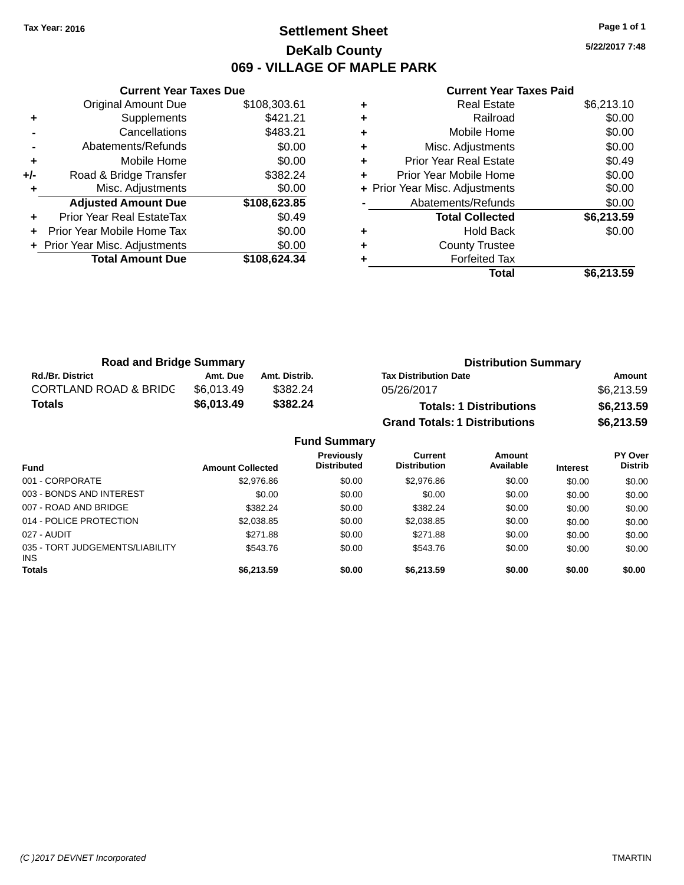### **Settlement Sheet Tax Year: 2016 Page 1 of 1 DeKalb County 069 - VILLAGE OF MAPLE PARK**

**5/22/2017 7:48**

#### **Current Year Taxes Paid**

|     | <b>Current Year Taxes Due</b>  |              |
|-----|--------------------------------|--------------|
|     | <b>Original Amount Due</b>     | \$108,303.61 |
| ٠   | Supplements                    | \$421.21     |
|     | Cancellations                  | \$483.21     |
|     | Abatements/Refunds             | \$0.00       |
| ٠   | Mobile Home                    | \$0.00       |
| +/- | Road & Bridge Transfer         | \$382.24     |
|     | Misc. Adjustments              | \$0.00       |
|     | <b>Adjusted Amount Due</b>     | \$108,623.85 |
| ٠   | Prior Year Real EstateTax      | \$0.49       |
|     | Prior Year Mobile Home Tax     | \$0.00       |
|     | + Prior Year Misc. Adjustments | \$0.00       |
|     | <b>Total Amount Due</b>        | \$108,624.34 |
|     |                                |              |

| <b>Real Estate</b>             | \$6,213.10 |
|--------------------------------|------------|
| Railroad                       | \$0.00     |
| Mobile Home                    | \$0.00     |
| Misc. Adjustments              | \$0.00     |
| <b>Prior Year Real Estate</b>  | \$0.49     |
| Prior Year Mobile Home         | \$0.00     |
| + Prior Year Misc. Adjustments | \$0.00     |
| Abatements/Refunds             | \$0.00     |
| <b>Total Collected</b>         | \$6,213.59 |
| <b>Hold Back</b>               | \$0.00     |
| <b>County Trustee</b>          |            |
| <b>Forfeited Tax</b>           |            |
| Total                          | \$6,213.59 |
|                                |            |

| <b>Road and Bridge Summary</b>   |            |               | <b>Distribution Summary</b>          |            |
|----------------------------------|------------|---------------|--------------------------------------|------------|
| <b>Rd./Br. District</b>          | Amt. Due   | Amt. Distrib. | <b>Tax Distribution Date</b>         | Amount     |
| <b>CORTLAND ROAD &amp; BRIDC</b> | \$6.013.49 | \$382.24      | 05/26/2017                           | \$6,213.59 |
| Totals                           | \$6,013.49 | \$382.24      | <b>Totals: 1 Distributions</b>       | \$6,213.59 |
|                                  |            |               | <b>Grand Totals: 1 Distributions</b> | \$6,213.59 |

| <b>Fund Summary</b>                     |                         |                                         |                                |                     |                 |                                  |  |  |
|-----------------------------------------|-------------------------|-----------------------------------------|--------------------------------|---------------------|-----------------|----------------------------------|--|--|
| <b>Fund</b>                             | <b>Amount Collected</b> | <b>Previously</b><br><b>Distributed</b> | Current<br><b>Distribution</b> | Amount<br>Available | <b>Interest</b> | <b>PY Over</b><br><b>Distrib</b> |  |  |
| 001 - CORPORATE                         | \$2,976.86              | \$0.00                                  | \$2,976.86                     | \$0.00              | \$0.00          | \$0.00                           |  |  |
| 003 - BONDS AND INTEREST                | \$0.00                  | \$0.00                                  | \$0.00                         | \$0.00              | \$0.00          | \$0.00                           |  |  |
| 007 - ROAD AND BRIDGE                   | \$382.24                | \$0.00                                  | \$382.24                       | \$0.00              | \$0.00          | \$0.00                           |  |  |
| 014 - POLICE PROTECTION                 | \$2,038.85              | \$0.00                                  | \$2,038.85                     | \$0.00              | \$0.00          | \$0.00                           |  |  |
| 027 - AUDIT                             | \$271.88                | \$0.00                                  | \$271.88                       | \$0.00              | \$0.00          | \$0.00                           |  |  |
| 035 - TORT JUDGEMENTS/LIABILITY<br>INS. | \$543.76                | \$0.00                                  | \$543.76                       | \$0.00              | \$0.00          | \$0.00                           |  |  |
| <b>Totals</b>                           | \$6,213.59              | \$0.00                                  | \$6,213.59                     | \$0.00              | \$0.00          | \$0.00                           |  |  |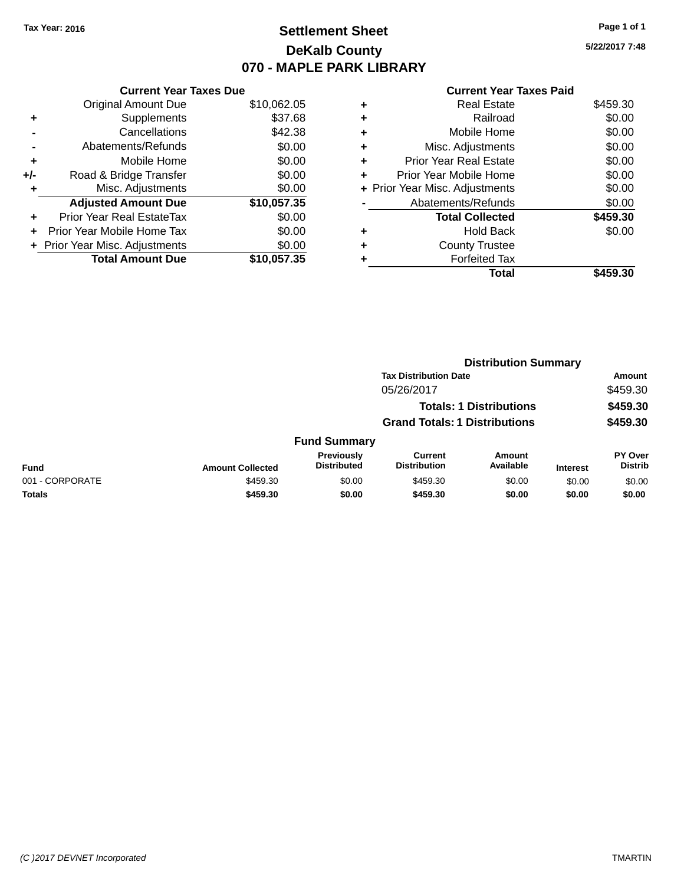### **Settlement Sheet Tax Year: 2016 Page 1 of 1 DeKalb County 070 - MAPLE PARK LIBRARY**

**5/22/2017 7:48**

#### **Current Year Taxes Paid**

|     | <b>Current Year Taxes Due</b>    |             |
|-----|----------------------------------|-------------|
|     | <b>Original Amount Due</b>       | \$10,062.05 |
| ٠   | Supplements                      | \$37.68     |
|     | Cancellations                    | \$42.38     |
|     | Abatements/Refunds               | \$0.00      |
| ٠   | Mobile Home                      | \$0.00      |
| +/- | Road & Bridge Transfer           | \$0.00      |
| ٠   | Misc. Adjustments                | \$0.00      |
|     | <b>Adjusted Amount Due</b>       | \$10,057.35 |
| ÷   | <b>Prior Year Real EstateTax</b> | \$0.00      |
| ÷   | Prior Year Mobile Home Tax       | \$0.00      |
|     | + Prior Year Misc. Adjustments   | \$0.00      |
|     | <b>Total Amount Due</b>          | \$10.057.35 |

|   | Total                          | \$459.30 |
|---|--------------------------------|----------|
| ٠ | <b>Forfeited Tax</b>           |          |
| ٠ | <b>County Trustee</b>          |          |
| ٠ | <b>Hold Back</b>               | \$0.00   |
|   | <b>Total Collected</b>         | \$459.30 |
|   | Abatements/Refunds             | \$0.00   |
|   | + Prior Year Misc. Adjustments | \$0.00   |
| ٠ | Prior Year Mobile Home         | \$0.00   |
| ٠ | <b>Prior Year Real Estate</b>  | \$0.00   |
| ٠ | Misc. Adjustments              | \$0.00   |
| ٠ | Mobile Home                    | \$0.00   |
| ٠ | Railroad                       | \$0.00   |
| ٠ | <b>Real Estate</b>             | \$459.30 |
|   |                                |          |

|                 |                         |                                  | <b>Distribution Summary</b>           |                                |                 |                                  |  |
|-----------------|-------------------------|----------------------------------|---------------------------------------|--------------------------------|-----------------|----------------------------------|--|
|                 |                         |                                  | <b>Tax Distribution Date</b>          |                                |                 | <b>Amount</b>                    |  |
|                 |                         |                                  | 05/26/2017                            |                                |                 | \$459.30                         |  |
|                 |                         |                                  |                                       | <b>Totals: 1 Distributions</b> |                 | \$459.30                         |  |
|                 |                         |                                  | <b>Grand Totals: 1 Distributions</b>  |                                |                 | \$459.30                         |  |
|                 |                         | <b>Fund Summary</b>              |                                       |                                |                 |                                  |  |
| Fund            | <b>Amount Collected</b> | Previously<br><b>Distributed</b> | <b>Current</b><br><b>Distribution</b> | Amount<br>Available            | <b>Interest</b> | <b>PY Over</b><br><b>Distrib</b> |  |
| 001 - CORPORATE | \$459.30                | \$0.00                           | \$459.30                              | \$0.00                         | \$0.00          | \$0.00                           |  |
| <b>Totals</b>   | \$459.30                | \$0.00                           | \$459.30                              | \$0.00                         | \$0.00          | \$0.00                           |  |
|                 |                         |                                  |                                       |                                |                 |                                  |  |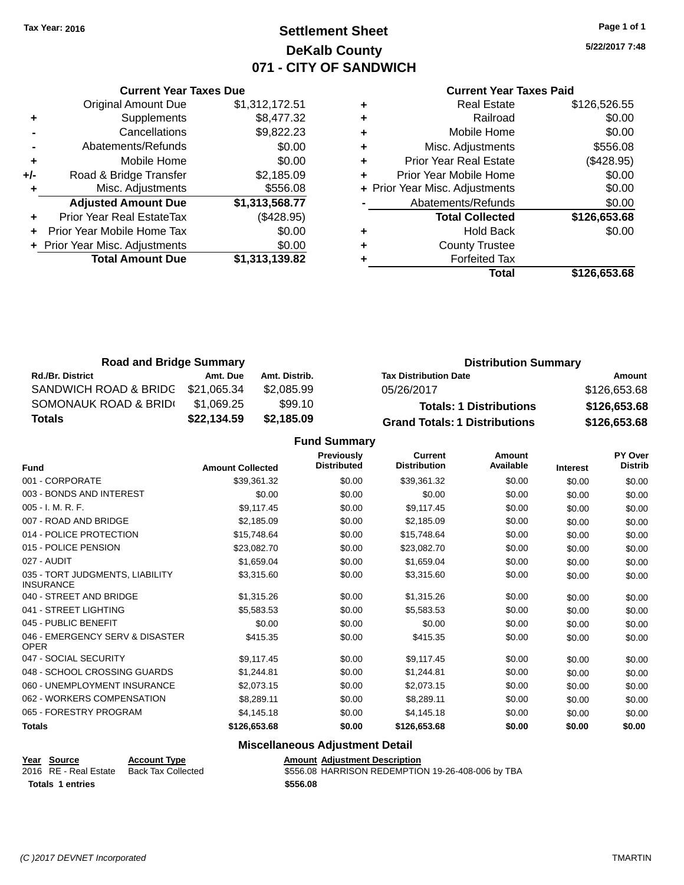### **Settlement Sheet Tax Year: 2016 Page 1 of 1 DeKalb County 071 - CITY OF SANDWICH**

**5/22/2017 7:48**

#### **Current Year Taxes Paid**

|     | <b>Current Year Taxes Due</b>  |                |
|-----|--------------------------------|----------------|
|     | <b>Original Amount Due</b>     | \$1,312,172.51 |
| ٠   | Supplements                    | \$8,477.32     |
|     | Cancellations                  | \$9,822.23     |
|     | Abatements/Refunds             | \$0.00         |
| ٠   | Mobile Home                    | \$0.00         |
| +/- | Road & Bridge Transfer         | \$2,185.09     |
| ٠   | Misc. Adjustments              | \$556.08       |
|     | <b>Adjusted Amount Due</b>     | \$1,313,568.77 |
|     | Prior Year Real EstateTax      | (\$428.95)     |
|     | Prior Year Mobile Home Tax     | \$0.00         |
|     | + Prior Year Misc. Adjustments | \$0.00         |
|     | <b>Total Amount Due</b>        | \$1,313,139.82 |
|     |                                |                |

| <b>Real Estate</b>             | \$126,526.55 |
|--------------------------------|--------------|
| Railroad                       | \$0.00       |
| Mobile Home                    | \$0.00       |
| Misc. Adjustments              | \$556.08     |
| Prior Year Real Estate         | (\$428.95)   |
| Prior Year Mobile Home         | \$0.00       |
| + Prior Year Misc. Adjustments | \$0.00       |
| Abatements/Refunds             | \$0.00       |
| <b>Total Collected</b>         | \$126,653.68 |
| <b>Hold Back</b>               | \$0.00       |
| <b>County Trustee</b>          |              |
| <b>Forfeited Tax</b>           |              |
| Total                          | \$126,653.68 |
|                                |              |

| <b>Road and Bridge Summary</b> |             |               | <b>Distribution Summary</b>          |              |  |  |
|--------------------------------|-------------|---------------|--------------------------------------|--------------|--|--|
| <b>Rd./Br. District</b>        | Amt. Due    | Amt. Distrib. | <b>Tax Distribution Date</b>         | Amount       |  |  |
| SANDWICH ROAD & BRIDG          | \$21,065.34 | \$2,085.99    | 05/26/2017                           | \$126,653.68 |  |  |
| SOMONAUK ROAD & BRIDI          | \$1.069.25  | \$99.10       | <b>Totals: 1 Distributions</b>       | \$126,653.68 |  |  |
| Totals                         | \$22,134.59 | \$2,185.09    | <b>Grand Totals: 1 Distributions</b> | \$126,653.68 |  |  |

**Fund Summary**

| <b>Fund</b>                                         | <b>Amount Collected</b> | Previously<br><b>Distributed</b> | <b>Current</b><br><b>Distribution</b> | Amount<br>Available | <b>Interest</b> | PY Over<br><b>Distrib</b> |
|-----------------------------------------------------|-------------------------|----------------------------------|---------------------------------------|---------------------|-----------------|---------------------------|
| 001 - CORPORATE                                     | \$39,361.32             | \$0.00                           | \$39,361.32                           | \$0.00              | \$0.00          | \$0.00                    |
| 003 - BONDS AND INTEREST                            | \$0.00                  | \$0.00                           | \$0.00                                | \$0.00              | \$0.00          | \$0.00                    |
| 005 - I. M. R. F.                                   | \$9,117.45              | \$0.00                           | \$9,117.45                            | \$0.00              | \$0.00          | \$0.00                    |
| 007 - ROAD AND BRIDGE                               | \$2,185.09              | \$0.00                           | \$2,185.09                            | \$0.00              | \$0.00          | \$0.00                    |
| 014 - POLICE PROTECTION                             | \$15,748.64             | \$0.00                           | \$15,748.64                           | \$0.00              | \$0.00          | \$0.00                    |
| 015 - POLICE PENSION                                | \$23,082.70             | \$0.00                           | \$23,082.70                           | \$0.00              | \$0.00          | \$0.00                    |
| 027 - AUDIT                                         | \$1,659.04              | \$0.00                           | \$1,659.04                            | \$0.00              | \$0.00          | \$0.00                    |
| 035 - TORT JUDGMENTS, LIABILITY<br><b>INSURANCE</b> | \$3,315.60              | \$0.00                           | \$3,315.60                            | \$0.00              | \$0.00          | \$0.00                    |
| 040 - STREET AND BRIDGE                             | \$1,315.26              | \$0.00                           | \$1,315.26                            | \$0.00              | \$0.00          | \$0.00                    |
| 041 - STREET LIGHTING                               | \$5,583.53              | \$0.00                           | \$5,583.53                            | \$0.00              | \$0.00          | \$0.00                    |
| 045 - PUBLIC BENEFIT                                | \$0.00                  | \$0.00                           | \$0.00                                | \$0.00              | \$0.00          | \$0.00                    |
| 046 - EMERGENCY SERV & DISASTER<br><b>OPER</b>      | \$415.35                | \$0.00                           | \$415.35                              | \$0.00              | \$0.00          | \$0.00                    |
| 047 - SOCIAL SECURITY                               | \$9,117.45              | \$0.00                           | \$9,117.45                            | \$0.00              | \$0.00          | \$0.00                    |
| 048 - SCHOOL CROSSING GUARDS                        | \$1,244.81              | \$0.00                           | \$1,244.81                            | \$0.00              | \$0.00          | \$0.00                    |
| 060 - UNEMPLOYMENT INSURANCE                        | \$2,073.15              | \$0.00                           | \$2,073.15                            | \$0.00              | \$0.00          | \$0.00                    |
| 062 - WORKERS COMPENSATION                          | \$8,289.11              | \$0.00                           | \$8,289.11                            | \$0.00              | \$0.00          | \$0.00                    |
| 065 - FORESTRY PROGRAM                              | \$4,145.18              | \$0.00                           | \$4,145.18                            | \$0.00              | \$0.00          | \$0.00                    |
| <b>Totals</b>                                       | \$126,653.68            | \$0.00                           | \$126,653.68                          | \$0.00              | \$0.00          | \$0.00                    |

#### **Miscellaneous Adjustment Detail**

| <b>Amount Adiustment Des</b> |  |  |  |  |  |  |
|------------------------------|--|--|--|--|--|--|
|                              |  |  |  |  |  |  |

**<u>Year Source</u> <b>Account Type**<br>
2016 RE - Real Estate Back Tax Collected **Totals 1 entries \$556.08**

Amount Adjustment Description<br>\$556.08 HARRISON REDEMPTION 19-26-408-006 by TBA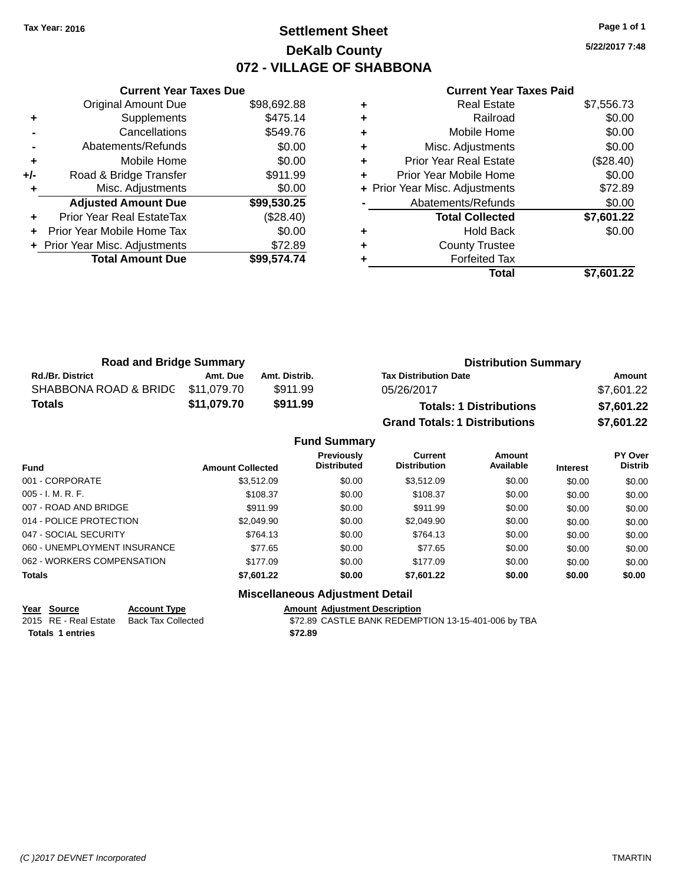### **Settlement Sheet Tax Year: 2016 Page 1 of 1 DeKalb County 072 - VILLAGE OF SHABBONA**

**5/22/2017 7:48**

| <b>Current Year Taxes Paid</b> |  |  |  |
|--------------------------------|--|--|--|
|--------------------------------|--|--|--|

|       | <b>Current Year Taxes Due</b>  |             |  |  |  |
|-------|--------------------------------|-------------|--|--|--|
|       | <b>Original Amount Due</b>     | \$98,692.88 |  |  |  |
| ٠     | Supplements                    | \$475.14    |  |  |  |
|       | Cancellations                  | \$549.76    |  |  |  |
|       | Abatements/Refunds             | \$0.00      |  |  |  |
| ٠     | Mobile Home                    | \$0.00      |  |  |  |
| $+/-$ | Road & Bridge Transfer         | \$911.99    |  |  |  |
| ٠     | Misc. Adjustments              | \$0.00      |  |  |  |
|       | <b>Adjusted Amount Due</b>     | \$99,530.25 |  |  |  |
| ٠     | Prior Year Real EstateTax      | (\$28.40)   |  |  |  |
| ٠     | Prior Year Mobile Home Tax     | \$0.00      |  |  |  |
|       | + Prior Year Misc. Adjustments | \$72.89     |  |  |  |
|       | <b>Total Amount Due</b>        | \$99,574.74 |  |  |  |
|       |                                |             |  |  |  |

|   | <b>Real Estate</b>             | \$7,556.73 |
|---|--------------------------------|------------|
| ٠ | Railroad                       | \$0.00     |
| ٠ | Mobile Home                    | \$0.00     |
| ٠ | Misc. Adjustments              | \$0.00     |
| ٠ | Prior Year Real Estate         | (\$28.40)  |
|   | Prior Year Mobile Home         | \$0.00     |
|   | + Prior Year Misc. Adjustments | \$72.89    |
|   | Abatements/Refunds             | \$0.00     |
|   | <b>Total Collected</b>         | \$7,601.22 |
| ٠ | <b>Hold Back</b>               | \$0.00     |
|   | <b>County Trustee</b>          |            |
|   | <b>Forfeited Tax</b>           |            |
|   | Total                          | \$7,601.22 |
|   |                                |            |

| <b>Road and Bridge Summary</b>                                      |          |               | <b>Distribution Summary</b>          |            |  |
|---------------------------------------------------------------------|----------|---------------|--------------------------------------|------------|--|
| <b>Rd./Br. District</b>                                             | Amt. Due | Amt. Distrib. | <b>Tax Distribution Date</b>         | Amount     |  |
| SHABBONA ROAD & BRIDC \$11,079.70                                   |          | \$911.99      | 05/26/2017                           | \$7,601.22 |  |
| \$11,079.70<br>\$911.99<br>Totals<br><b>Totals: 1 Distributions</b> |          | \$7,601.22    |                                      |            |  |
|                                                                     |          |               | <b>Grand Totals: 1 Distributions</b> | \$7,601.22 |  |

|                              |                         | <b>Fund Summary</b>                              |                                       |                     |                 |                           |
|------------------------------|-------------------------|--------------------------------------------------|---------------------------------------|---------------------|-----------------|---------------------------|
| Fund                         | <b>Amount Collected</b> | <b>Previously</b><br><b>Distributed</b>          | <b>Current</b><br><b>Distribution</b> | Amount<br>Available | <b>Interest</b> | PY Over<br><b>Distrib</b> |
| 001 - CORPORATE              | \$3.512.09              | \$0.00                                           | \$3.512.09                            | \$0.00              | \$0.00          | \$0.00                    |
| 005 - I. M. R. F.            | \$108.37                | \$0.00                                           | \$108.37                              | \$0.00              | \$0.00          | \$0.00                    |
| 007 - ROAD AND BRIDGE.       | \$911.99                | \$0.00                                           | \$911.99                              | \$0.00              | \$0.00          | \$0.00                    |
| 014 - POLICE PROTECTION      | \$2,049.90              | \$0.00                                           | \$2,049.90                            | \$0.00              | \$0.00          | \$0.00                    |
| 047 - SOCIAL SECURITY        | \$764.13                | \$0.00                                           | \$764.13                              | \$0.00              | \$0.00          | \$0.00                    |
| 060 - UNEMPLOYMENT INSURANCE | \$77.65                 | \$0.00                                           | \$77.65                               | \$0.00              | \$0.00          | \$0.00                    |
| 062 - WORKERS COMPENSATION   | \$177.09                | \$0.00                                           | \$177.09                              | \$0.00              | \$0.00          | \$0.00                    |
| Totals                       | \$7,601.22              | \$0.00                                           | \$7,601.22                            | \$0.00              | \$0.00          | \$0.00                    |
|                              |                         | <b>Address House Court A. Househouse Broad H</b> |                                       |                     |                 |                           |

#### **Miscellaneous Adjustment Detail**

**Totals 1 entries \$72.89**

**Year Source Account Type Amount Adjustment Description**<br>2015 RE - Real Estate Back Tax Collected \$72.89 CASTLE BANK REDEMP \$72.89 CASTLE BANK REDEMPTION 13-15-401-006 by TBA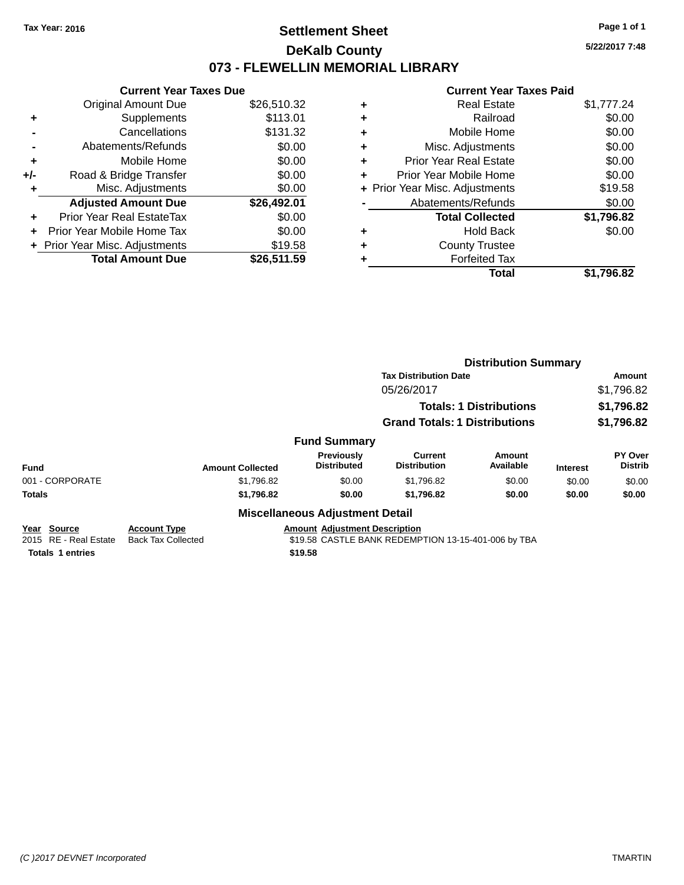### **Settlement Sheet Tax Year: 2016 Page 1 of 1 DeKalb County 073 - FLEWELLIN MEMORIAL LIBRARY**

**5/22/2017 7:48**

### **Current Year Taxes Paid**

|     | <b>Current Year Taxes Due</b>  |             |  |  |  |  |
|-----|--------------------------------|-------------|--|--|--|--|
|     | Original Amount Due            | \$26,510.32 |  |  |  |  |
| ٠   | Supplements                    | \$113.01    |  |  |  |  |
|     | Cancellations                  | \$131.32    |  |  |  |  |
|     | Abatements/Refunds             | \$0.00      |  |  |  |  |
| ٠   | Mobile Home                    |             |  |  |  |  |
| +/- | Road & Bridge Transfer         | \$0.00      |  |  |  |  |
|     | \$0.00<br>Misc. Adjustments    |             |  |  |  |  |
|     | <b>Adjusted Amount Due</b>     | \$26,492.01 |  |  |  |  |
| ÷   | Prior Year Real EstateTax      | \$0.00      |  |  |  |  |
| ÷   | Prior Year Mobile Home Tax     | \$0.00      |  |  |  |  |
|     | + Prior Year Misc. Adjustments | \$19.58     |  |  |  |  |
|     | <b>Total Amount Due</b>        | \$26.511.59 |  |  |  |  |

|   | Real Estate                    | \$1,777.24 |
|---|--------------------------------|------------|
| ٠ | Railroad                       | \$0.00     |
| ٠ | Mobile Home                    | \$0.00     |
| ٠ | Misc. Adjustments              | \$0.00     |
| ٠ | <b>Prior Year Real Estate</b>  | \$0.00     |
| ٠ | Prior Year Mobile Home         | \$0.00     |
|   | + Prior Year Misc. Adjustments | \$19.58    |
|   | Abatements/Refunds             | \$0.00     |
|   | <b>Total Collected</b>         | \$1,796.82 |
| ٠ | Hold Back                      | \$0.00     |
|   | <b>County Trustee</b>          |            |
|   | <b>Forfeited Tax</b>           |            |
|   | Total                          | \$1.796.82 |
|   |                                |            |

|                                         |                                                  |                                        | <b>Distribution Summary</b>                         |                     |                 |                           |  |
|-----------------------------------------|--------------------------------------------------|----------------------------------------|-----------------------------------------------------|---------------------|-----------------|---------------------------|--|
|                                         |                                                  |                                        | <b>Tax Distribution Date</b>                        |                     |                 | Amount                    |  |
|                                         |                                                  |                                        | 05/26/2017                                          | \$1,796.82          |                 |                           |  |
|                                         |                                                  |                                        | <b>Totals: 1 Distributions</b>                      |                     |                 | \$1,796.82                |  |
|                                         |                                                  |                                        | <b>Grand Totals: 1 Distributions</b>                | \$1,796.82          |                 |                           |  |
| <b>Fund Summary</b>                     |                                                  |                                        |                                                     |                     |                 |                           |  |
| <b>Fund</b>                             | <b>Amount Collected</b>                          | Previously<br><b>Distributed</b>       | Current<br><b>Distribution</b>                      | Amount<br>Available | <b>Interest</b> | PY Over<br><b>Distrib</b> |  |
| 001 - CORPORATE                         | \$1,796.82                                       | \$0.00                                 | \$1,796.82                                          | \$0.00              | \$0.00          | \$0.00                    |  |
| <b>Totals</b>                           | \$1,796.82                                       | \$0.00                                 | \$1,796.82                                          | \$0.00              | \$0.00          | \$0.00                    |  |
|                                         |                                                  | <b>Miscellaneous Adjustment Detail</b> |                                                     |                     |                 |                           |  |
| Source<br>Year<br>2015 RE - Real Estate | <b>Account Type</b><br><b>Back Tax Collected</b> | <b>Amount Adjustment Description</b>   | \$19.58 CASTLE BANK REDEMPTION 13-15-401-006 by TBA |                     |                 |                           |  |

**Totals 1 entries \$19.58**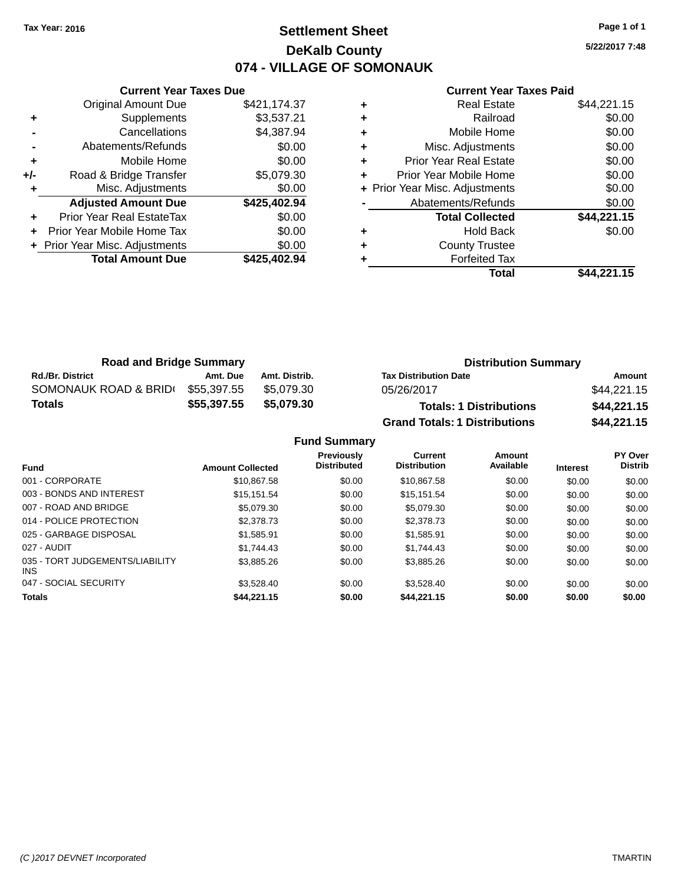# **Settlement Sheet Tax Year: 2016 Page 1 of 1 DeKalb County 074 - VILLAGE OF SOMONAUK**

**5/22/2017 7:48**

#### **Current Year Taxes Paid**

|     | <b>Current Year Taxes Due</b>  |              |
|-----|--------------------------------|--------------|
|     | <b>Original Amount Due</b>     | \$421,174.37 |
| ٠   | Supplements                    | \$3,537.21   |
|     | Cancellations                  | \$4,387.94   |
|     | Abatements/Refunds             | \$0.00       |
| ٠   | Mobile Home                    | \$0.00       |
| +/- | Road & Bridge Transfer         | \$5,079.30   |
|     | Misc. Adjustments              | \$0.00       |
|     | <b>Adjusted Amount Due</b>     | \$425,402.94 |
| ٠   | Prior Year Real EstateTax      | \$0.00       |
|     | Prior Year Mobile Home Tax     | \$0.00       |
|     | + Prior Year Misc. Adjustments | \$0.00       |
|     | <b>Total Amount Due</b>        | \$425,402.94 |
|     |                                |              |

| ٠ | <b>Real Estate</b>             | \$44,221.15 |
|---|--------------------------------|-------------|
| ٠ | Railroad                       | \$0.00      |
| ٠ | Mobile Home                    | \$0.00      |
| ٠ | Misc. Adjustments              | \$0.00      |
| ٠ | <b>Prior Year Real Estate</b>  | \$0.00      |
| ٠ | Prior Year Mobile Home         | \$0.00      |
|   | + Prior Year Misc. Adjustments | \$0.00      |
|   | Abatements/Refunds             | \$0.00      |
|   | <b>Total Collected</b>         | \$44,221.15 |
| ٠ | <b>Hold Back</b>               | \$0.00      |
| ٠ | <b>County Trustee</b>          |             |
|   | <b>Forfeited Tax</b>           |             |
|   | Total                          | \$44,221.15 |

| <b>Road and Bridge Summary</b> |             |               | <b>Distribution Summary</b>          |             |  |
|--------------------------------|-------------|---------------|--------------------------------------|-------------|--|
| <b>Rd./Br. District</b>        | Amt. Due    | Amt. Distrib. | <b>Tax Distribution Date</b>         | Amount      |  |
| SOMONAUK ROAD & BRIDI          | \$55.397.55 | \$5.079.30    | 05/26/2017                           | \$44,221.15 |  |
| Totals                         | \$55,397.55 | \$5,079.30    | <b>Totals: 1 Distributions</b>       | \$44,221.15 |  |
|                                |             |               | <b>Grand Totals: 1 Distributions</b> | \$44,221.15 |  |

|                                         |                         | <b>Fund Summary</b>              |                                |                     |                 |                           |
|-----------------------------------------|-------------------------|----------------------------------|--------------------------------|---------------------|-----------------|---------------------------|
| <b>Fund</b>                             | <b>Amount Collected</b> | Previously<br><b>Distributed</b> | Current<br><b>Distribution</b> | Amount<br>Available | <b>Interest</b> | PY Over<br><b>Distrib</b> |
| 001 - CORPORATE                         | \$10.867.58             | \$0.00                           | \$10,867.58                    | \$0.00              | \$0.00          | \$0.00                    |
| 003 - BONDS AND INTEREST                | \$15,151.54             | \$0.00                           | \$15.151.54                    | \$0.00              | \$0.00          | \$0.00                    |
| 007 - ROAD AND BRIDGE.                  | \$5,079.30              | \$0.00                           | \$5,079.30                     | \$0.00              | \$0.00          | \$0.00                    |
| 014 - POLICE PROTECTION                 | \$2,378.73              | \$0.00                           | \$2,378.73                     | \$0.00              | \$0.00          | \$0.00                    |
| 025 - GARBAGE DISPOSAL                  | \$1,585.91              | \$0.00                           | \$1,585.91                     | \$0.00              | \$0.00          | \$0.00                    |
| 027 - AUDIT                             | \$1.744.43              | \$0.00                           | \$1,744.43                     | \$0.00              | \$0.00          | \$0.00                    |
| 035 - TORT JUDGEMENTS/LIABILITY<br>INS. | \$3,885,26              | \$0.00                           | \$3,885,26                     | \$0.00              | \$0.00          | \$0.00                    |
| 047 - SOCIAL SECURITY                   | \$3.528.40              | \$0.00                           | \$3.528.40                     | \$0.00              | \$0.00          | \$0.00                    |
| <b>Totals</b>                           | \$44.221.15             | \$0.00                           | \$44,221.15                    | \$0.00              | \$0.00          | \$0.00                    |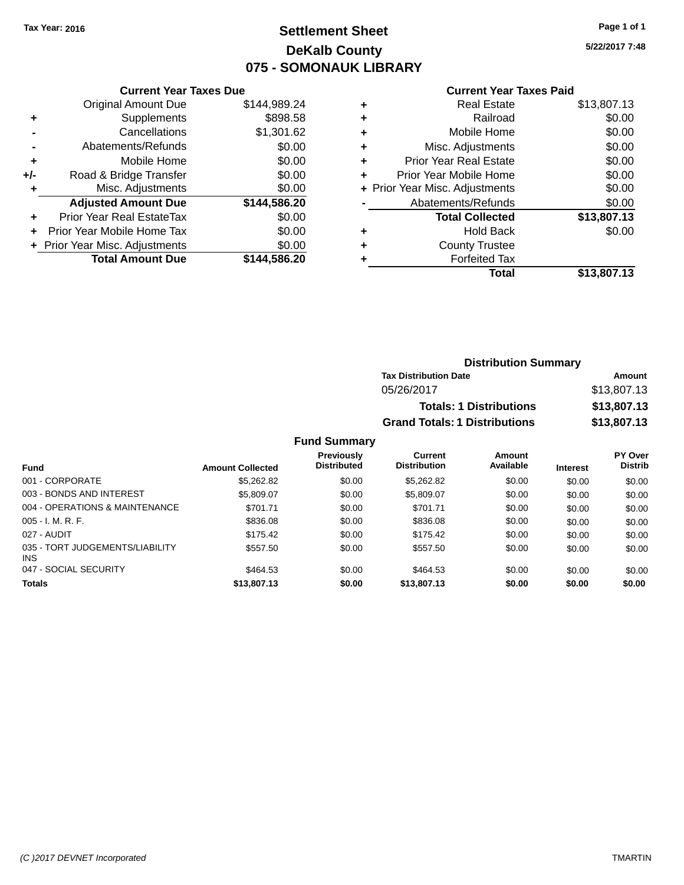# **Settlement Sheet Tax Year: 2016 Page 1 of 1 DeKalb County 075 - SOMONAUK LIBRARY**

**5/22/2017 7:48**

#### **Current Year Taxes Paid**

|       | <b>Current Year Taxes Due</b>  |              |
|-------|--------------------------------|--------------|
|       | <b>Original Amount Due</b>     | \$144,989.24 |
| ٠     | Supplements                    | \$898.58     |
|       | Cancellations                  | \$1,301.62   |
|       | Abatements/Refunds             | \$0.00       |
| ٠     | Mobile Home                    | \$0.00       |
| $+/-$ | Road & Bridge Transfer         | \$0.00       |
| ٠     | Misc. Adjustments              | \$0.00       |
|       | <b>Adjusted Amount Due</b>     | \$144,586.20 |
| ٠     | Prior Year Real EstateTax      | \$0.00       |
|       | Prior Year Mobile Home Tax     | \$0.00       |
|       | + Prior Year Misc. Adjustments | \$0.00       |
|       | <b>Total Amount Due</b>        | \$144,586.20 |
|       |                                |              |

|   | <b>Real Estate</b>             | \$13,807.13 |
|---|--------------------------------|-------------|
| ٠ | Railroad                       | \$0.00      |
| ٠ | Mobile Home                    | \$0.00      |
| ٠ | Misc. Adjustments              | \$0.00      |
| ٠ | <b>Prior Year Real Estate</b>  | \$0.00      |
| ٠ | Prior Year Mobile Home         | \$0.00      |
|   | + Prior Year Misc. Adjustments | \$0.00      |
|   | Abatements/Refunds             | \$0.00      |
|   | <b>Total Collected</b>         | \$13,807.13 |
| ٠ | Hold Back                      | \$0.00      |
| ٠ | <b>County Trustee</b>          |             |
| ٠ | <b>Forfeited Tax</b>           |             |
|   | Total                          | \$13,807.13 |
|   |                                |             |

| <b>Distribution Summary</b>          |             |  |  |  |  |
|--------------------------------------|-------------|--|--|--|--|
| <b>Tax Distribution Date</b>         | Amount      |  |  |  |  |
| 05/26/2017                           | \$13,807.13 |  |  |  |  |
| <b>Totals: 1 Distributions</b>       | \$13,807.13 |  |  |  |  |
| <b>Grand Totals: 1 Distributions</b> | \$13,807.13 |  |  |  |  |

#### **Fund Summary**

| <b>Fund</b>                                   | <b>Amount Collected</b> | <b>Previously</b><br><b>Distributed</b> | Current<br><b>Distribution</b> | Amount<br>Available | <b>Interest</b> | <b>PY Over</b><br><b>Distrib</b> |
|-----------------------------------------------|-------------------------|-----------------------------------------|--------------------------------|---------------------|-----------------|----------------------------------|
| 001 - CORPORATE                               | \$5,262.82              | \$0.00                                  | \$5,262.82                     | \$0.00              | \$0.00          | \$0.00                           |
| 003 - BONDS AND INTEREST                      | \$5,809.07              | \$0.00                                  | \$5,809.07                     | \$0.00              | \$0.00          | \$0.00                           |
| 004 - OPERATIONS & MAINTENANCE                | \$701.71                | \$0.00                                  | \$701.71                       | \$0.00              | \$0.00          | \$0.00                           |
| $005 - I. M. R. F.$                           | \$836.08                | \$0.00                                  | \$836.08                       | \$0.00              | \$0.00          | \$0.00                           |
| 027 - AUDIT                                   | \$175.42                | \$0.00                                  | \$175.42                       | \$0.00              | \$0.00          | \$0.00                           |
| 035 - TORT JUDGEMENTS/LIABILITY<br><b>INS</b> | \$557.50                | \$0.00                                  | \$557.50                       | \$0.00              | \$0.00          | \$0.00                           |
| 047 - SOCIAL SECURITY                         | \$464.53                | \$0.00                                  | \$464.53                       | \$0.00              | \$0.00          | \$0.00                           |
| <b>Totals</b>                                 | \$13,807.13             | \$0.00                                  | \$13,807.13                    | \$0.00              | \$0.00          | \$0.00                           |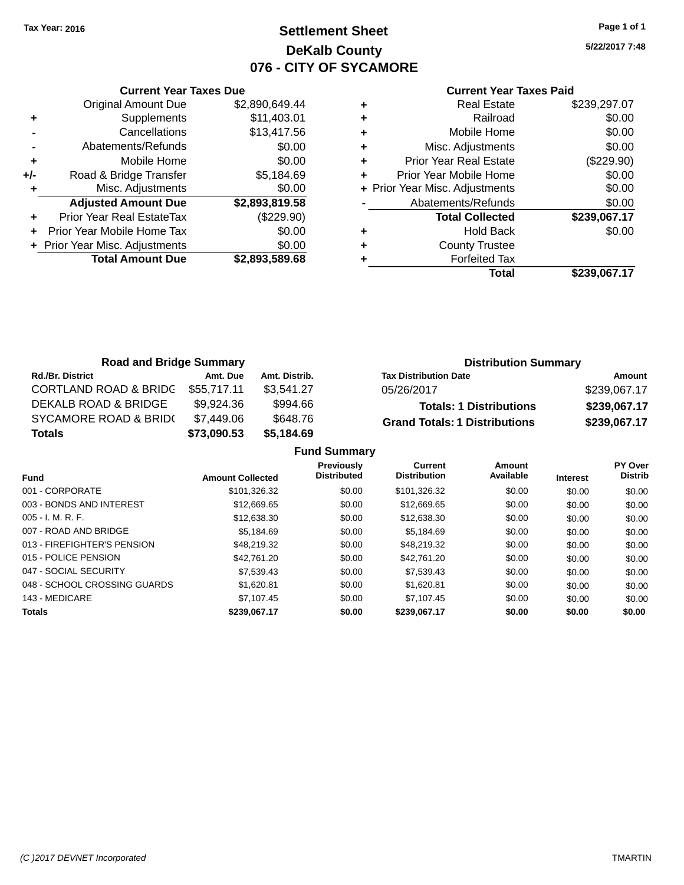# **Settlement Sheet Tax Year: 2016 Page 1 of 1 DeKalb County 076 - CITY OF SYCAMORE**

**5/22/2017 7:48**

#### **Current Year Taxes Paid**

|     | <b>Current Year Taxes Due</b>  |                |
|-----|--------------------------------|----------------|
|     | <b>Original Amount Due</b>     | \$2,890,649.44 |
| ٠   | Supplements                    | \$11,403.01    |
|     | Cancellations                  | \$13,417.56    |
|     | Abatements/Refunds             | \$0.00         |
| ٠   | Mobile Home                    | \$0.00         |
| +/- | Road & Bridge Transfer         | \$5,184.69     |
|     | Misc. Adjustments              | \$0.00         |
|     | <b>Adjusted Amount Due</b>     | \$2,893,819.58 |
| ٠   | Prior Year Real EstateTax      | (\$229.90)     |
| ÷   | Prior Year Mobile Home Tax     | \$0.00         |
|     | + Prior Year Misc. Adjustments | \$0.00         |
|     | <b>Total Amount Due</b>        | \$2,893,589.68 |
|     |                                |                |

| Real Estate                    | \$239,297.07 |
|--------------------------------|--------------|
| Railroad                       | \$0.00       |
| Mobile Home                    | \$0.00       |
| Misc. Adjustments              | \$0.00       |
| <b>Prior Year Real Estate</b>  | (\$229.90)   |
| Prior Year Mobile Home         | \$0.00       |
| + Prior Year Misc. Adjustments | \$0.00       |
| Abatements/Refunds             | \$0.00       |
| <b>Total Collected</b>         | \$239,067.17 |
| <b>Hold Back</b>               | \$0.00       |
| <b>County Trustee</b>          |              |
| <b>Forfeited Tax</b>           |              |
| Total                          | \$239,067.17 |
|                                |              |

| <b>Road and Bridge Summary</b>   |             |               | <b>Distribution Summary</b>          |              |  |
|----------------------------------|-------------|---------------|--------------------------------------|--------------|--|
| <b>Rd./Br. District</b>          | Amt. Due    | Amt. Distrib. | <b>Tax Distribution Date</b>         | Amount       |  |
| <b>CORTLAND ROAD &amp; BRIDC</b> | \$55,717.11 | \$3,541.27    | 05/26/2017                           | \$239,067.17 |  |
| DEKALB ROAD & BRIDGE             | \$9,924.36  | \$994.66      | <b>Totals: 1 Distributions</b>       | \$239,067.17 |  |
| <b>SYCAMORE ROAD &amp; BRID(</b> | \$7,449.06  | \$648.76      | <b>Grand Totals: 1 Distributions</b> | \$239,067.17 |  |
| <b>Totals</b>                    | \$73,090.53 | \$5,184.69    |                                      |              |  |

|                              |                         | <b>Fund Summary</b>                     |                                       |                     |                 |                                  |
|------------------------------|-------------------------|-----------------------------------------|---------------------------------------|---------------------|-----------------|----------------------------------|
| <b>Fund</b>                  | <b>Amount Collected</b> | <b>Previously</b><br><b>Distributed</b> | <b>Current</b><br><b>Distribution</b> | Amount<br>Available | <b>Interest</b> | <b>PY Over</b><br><b>Distrib</b> |
| 001 - CORPORATE              | \$101,326.32            | \$0.00                                  | \$101,326.32                          | \$0.00              | \$0.00          | \$0.00                           |
| 003 - BONDS AND INTEREST     | \$12,669.65             | \$0.00                                  | \$12,669.65                           | \$0.00              | \$0.00          | \$0.00                           |
| $005 - I. M. R. F.$          | \$12,638,30             | \$0.00                                  | \$12.638.30                           | \$0.00              | \$0.00          | \$0.00                           |
| 007 - ROAD AND BRIDGE        | \$5.184.69              | \$0.00                                  | \$5,184.69                            | \$0.00              | \$0.00          | \$0.00                           |
| 013 - FIREFIGHTER'S PENSION  | \$48,219.32             | \$0.00                                  | \$48,219.32                           | \$0.00              | \$0.00          | \$0.00                           |
| 015 - POLICE PENSION         | \$42.761.20             | \$0.00                                  | \$42,761.20                           | \$0.00              | \$0.00          | \$0.00                           |
| 047 - SOCIAL SECURITY        | \$7.539.43              | \$0.00                                  | \$7,539.43                            | \$0.00              | \$0.00          | \$0.00                           |
| 048 - SCHOOL CROSSING GUARDS | \$1.620.81              | \$0.00                                  | \$1.620.81                            | \$0.00              | \$0.00          | \$0.00                           |
| 143 - MEDICARE               | \$7.107.45              | \$0.00                                  | \$7.107.45                            | \$0.00              | \$0.00          | \$0.00                           |
| <b>Totals</b>                | \$239.067.17            | \$0.00                                  | \$239.067.17                          | \$0.00              | \$0.00          | \$0.00                           |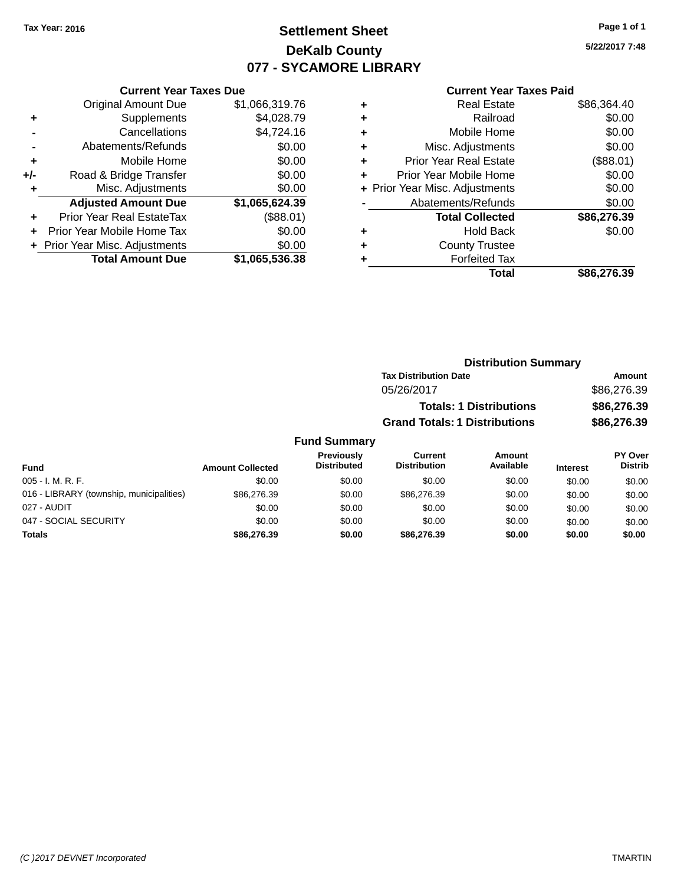# **Settlement Sheet Tax Year: 2016 Page 1 of 1 DeKalb County 077 - SYCAMORE LIBRARY**

**5/22/2017 7:48**

#### **Current Year Taxes Paid**

|       | <b>Current Year Taxes Due</b>  |                |  |  |  |  |
|-------|--------------------------------|----------------|--|--|--|--|
|       | <b>Original Amount Due</b>     | \$1,066,319.76 |  |  |  |  |
| ٠     | Supplements                    | \$4,028.79     |  |  |  |  |
|       | Cancellations                  | \$4,724.16     |  |  |  |  |
|       | Abatements/Refunds             | \$0.00         |  |  |  |  |
| ٠     | Mobile Home                    | \$0.00         |  |  |  |  |
| $+/-$ | Road & Bridge Transfer         | \$0.00         |  |  |  |  |
| ÷     | Misc. Adjustments              | \$0.00         |  |  |  |  |
|       | <b>Adjusted Amount Due</b>     | \$1,065,624.39 |  |  |  |  |
| ٠     | Prior Year Real EstateTax      | (\$88.01)      |  |  |  |  |
|       | Prior Year Mobile Home Tax     | \$0.00         |  |  |  |  |
|       | + Prior Year Misc. Adjustments | \$0.00         |  |  |  |  |
|       | <b>Total Amount Due</b>        | \$1,065,536.38 |  |  |  |  |
|       |                                |                |  |  |  |  |

| ٠ | <b>Real Estate</b>             | \$86,364.40 |
|---|--------------------------------|-------------|
| ٠ | Railroad                       | \$0.00      |
| ٠ | Mobile Home                    | \$0.00      |
| ٠ | Misc. Adjustments              | \$0.00      |
| ٠ | <b>Prior Year Real Estate</b>  | (\$88.01)   |
| ÷ | Prior Year Mobile Home         | \$0.00      |
|   | + Prior Year Misc. Adjustments | \$0.00      |
|   | Abatements/Refunds             | \$0.00      |
|   | <b>Total Collected</b>         | \$86,276.39 |
| ٠ | <b>Hold Back</b>               | \$0.00      |
|   | <b>County Trustee</b>          |             |
| ٠ | <b>Forfeited Tax</b>           |             |
|   | Total                          | \$86,276.39 |
|   |                                |             |

| <b>Distribution Summary</b>          |             |
|--------------------------------------|-------------|
| <b>Tax Distribution Date</b>         | Amount      |
| 05/26/2017                           | \$86,276.39 |
| <b>Totals: 1 Distributions</b>       | \$86,276.39 |
| <b>Grand Totals: 1 Distributions</b> | \$86,276.39 |

#### **Fund Summary**

| <b>Fund</b>                              | <b>Amount Collected</b> | <b>Previously</b><br><b>Distributed</b> | Current<br><b>Distribution</b> | Amount<br>Available | <b>Interest</b> | <b>PY Over</b><br><b>Distrib</b> |
|------------------------------------------|-------------------------|-----------------------------------------|--------------------------------|---------------------|-----------------|----------------------------------|
| $005 - I. M. R. F.$                      | \$0.00                  | \$0.00                                  | \$0.00                         | \$0.00              | \$0.00          | \$0.00                           |
| 016 - LIBRARY (township, municipalities) | \$86,276.39             | \$0.00                                  | \$86,276,39                    | \$0.00              | \$0.00          | \$0.00                           |
| 027 - AUDIT                              | \$0.00                  | \$0.00                                  | \$0.00                         | \$0.00              | \$0.00          | \$0.00                           |
| 047 - SOCIAL SECURITY                    | \$0.00                  | \$0.00                                  | \$0.00                         | \$0.00              | \$0.00          | \$0.00                           |
| <b>Totals</b>                            | \$86,276.39             | \$0.00                                  | \$86,276,39                    | \$0.00              | \$0.00          | \$0.00                           |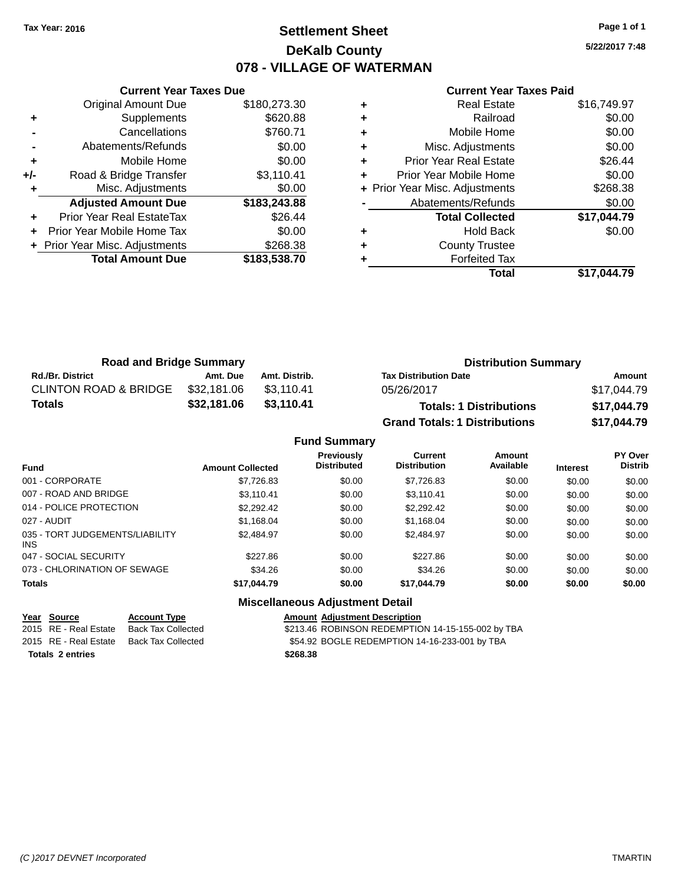# **Settlement Sheet Tax Year: 2016 Page 1 of 1 DeKalb County 078 - VILLAGE OF WATERMAN**

**5/22/2017 7:48**

#### **Current Year Taxes Paid**

|       | <b>Current Year Taxes Due</b>  |              |
|-------|--------------------------------|--------------|
|       | <b>Original Amount Due</b>     | \$180,273.30 |
| ٠     | Supplements                    | \$620.88     |
|       | Cancellations                  | \$760.71     |
|       | Abatements/Refunds             | \$0.00       |
| ٠     | Mobile Home                    | \$0.00       |
| $+/-$ | Road & Bridge Transfer         | \$3,110.41   |
|       | Misc. Adjustments              | \$0.00       |
|       | <b>Adjusted Amount Due</b>     | \$183,243.88 |
| ٠     | Prior Year Real EstateTax      | \$26.44      |
|       | Prior Year Mobile Home Tax     | \$0.00       |
|       | + Prior Year Misc. Adjustments | \$268.38     |
|       | <b>Total Amount Due</b>        | \$183,538.70 |
|       |                                |              |

| ٠ | <b>Real Estate</b>             | \$16,749.97 |
|---|--------------------------------|-------------|
| ٠ | Railroad                       | \$0.00      |
| ٠ | Mobile Home                    | \$0.00      |
| ٠ | Misc. Adjustments              | \$0.00      |
| ٠ | <b>Prior Year Real Estate</b>  | \$26.44     |
| ٠ | Prior Year Mobile Home         | \$0.00      |
|   | + Prior Year Misc. Adjustments | \$268.38    |
|   | Abatements/Refunds             | \$0.00      |
|   | <b>Total Collected</b>         | \$17,044.79 |
| ٠ | <b>Hold Back</b>               | \$0.00      |
| ٠ | <b>County Trustee</b>          |             |
| ٠ | <b>Forfeited Tax</b>           |             |
|   | Total                          | \$17.044.79 |
|   |                                |             |

| <b>Road and Bridge Summary</b>   |             |               | <b>Distribution Summary</b>          |             |  |
|----------------------------------|-------------|---------------|--------------------------------------|-------------|--|
| <b>Rd./Br. District</b>          | Amt. Due    | Amt. Distrib. | <b>Tax Distribution Date</b>         | Amount      |  |
| <b>CLINTON ROAD &amp; BRIDGE</b> | \$32,181.06 | \$3.110.41    | 05/26/2017                           | \$17,044.79 |  |
| Totals                           | \$32,181.06 | \$3.110.41    | <b>Totals: 1 Distributions</b>       | \$17,044.79 |  |
|                                  |             |               | <b>Grand Totals: 1 Distributions</b> | \$17,044.79 |  |

|                                         |                         | <b>Fund Summary</b>                     |                                       |                            |                 |                                  |
|-----------------------------------------|-------------------------|-----------------------------------------|---------------------------------------|----------------------------|-----------------|----------------------------------|
| <b>Fund</b>                             | <b>Amount Collected</b> | <b>Previously</b><br><b>Distributed</b> | <b>Current</b><br><b>Distribution</b> | <b>Amount</b><br>Available | <b>Interest</b> | <b>PY Over</b><br><b>Distrib</b> |
| 001 - CORPORATE                         | \$7,726.83              | \$0.00                                  | \$7,726.83                            | \$0.00                     | \$0.00          | \$0.00                           |
| 007 - ROAD AND BRIDGE.                  | \$3.110.41              | \$0.00                                  | \$3.110.41                            | \$0.00                     | \$0.00          | \$0.00                           |
| 014 - POLICE PROTECTION                 | \$2,292.42              | \$0.00                                  | \$2.292.42                            | \$0.00                     | \$0.00          | \$0.00                           |
| 027 - AUDIT                             | \$1,168.04              | \$0.00                                  | \$1,168.04                            | \$0.00                     | \$0.00          | \$0.00                           |
| 035 - TORT JUDGEMENTS/LIABILITY<br>INS. | \$2.484.97              | \$0.00                                  | \$2,484.97                            | \$0.00                     | \$0.00          | \$0.00                           |
| 047 - SOCIAL SECURITY                   | \$227.86                | \$0.00                                  | \$227.86                              | \$0.00                     | \$0.00          | \$0.00                           |
| 073 - CHLORINATION OF SEWAGE            | \$34.26                 | \$0.00                                  | \$34.26                               | \$0.00                     | \$0.00          | \$0.00                           |
| <b>Totals</b>                           | \$17,044.79             | \$0.00                                  | \$17,044.79                           | \$0.00                     | \$0.00          | \$0.00                           |
|                                         |                         | <b>Miscellaneous Adjustment Detail</b>  |                                       |                            |                 |                                  |

|                         | Year Source           | <b>Account Type</b> | <b>Amount Adjustment Description</b>              |
|-------------------------|-----------------------|---------------------|---------------------------------------------------|
|                         | 2015 RE - Real Estate | Back Tax Collected  | \$213.46 ROBINSON REDEMPTION 14-15-155-002 by TBA |
|                         | 2015 RE - Real Estate | Back Tax Collected  | \$54.92 BOGLE REDEMPTION 14-16-233-001 by TBA     |
| <b>Totals 2 entries</b> |                       |                     | \$268.38                                          |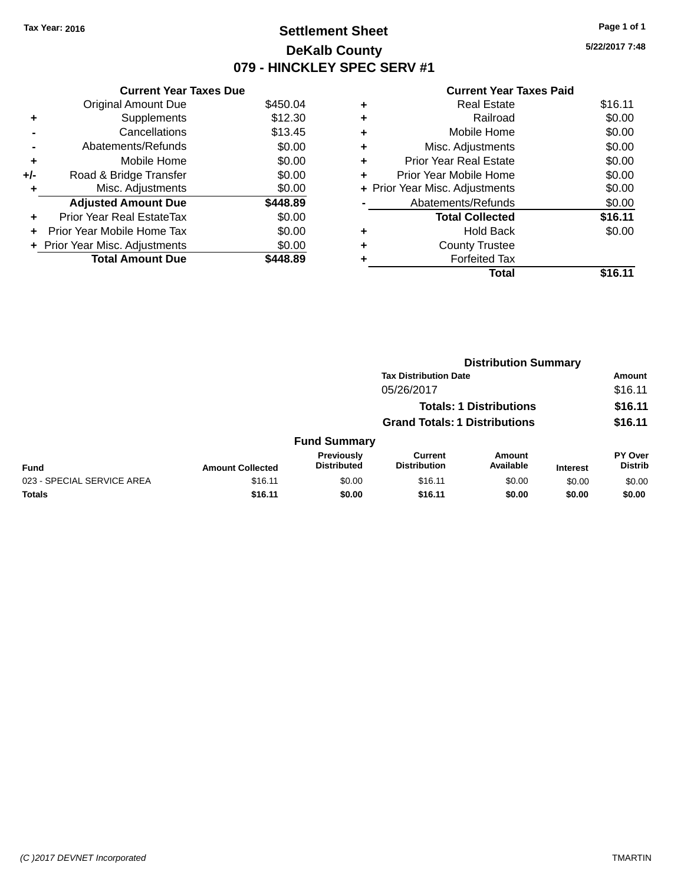# **Settlement Sheet Tax Year: 2016 Page 1 of 1 DeKalb County 079 - HINCKLEY SPEC SERV #1**

**5/22/2017 7:48**

#### **Current Year Taxes Paid**

|     | <b>Current Year Taxes Due</b>          |          |  |  |  |  |  |
|-----|----------------------------------------|----------|--|--|--|--|--|
|     | \$450.04<br><b>Original Amount Due</b> |          |  |  |  |  |  |
| ٠   | Supplements                            | \$12.30  |  |  |  |  |  |
|     | Cancellations                          | \$13.45  |  |  |  |  |  |
|     | Abatements/Refunds                     | \$0.00   |  |  |  |  |  |
| ٠   | Mobile Home                            | \$0.00   |  |  |  |  |  |
| +/- | Road & Bridge Transfer                 | \$0.00   |  |  |  |  |  |
| ٠   | Misc. Adjustments                      | \$0.00   |  |  |  |  |  |
|     | <b>Adjusted Amount Due</b>             | \$448.89 |  |  |  |  |  |
| ÷   | Prior Year Real EstateTax              | \$0.00   |  |  |  |  |  |
| ÷   | <b>Prior Year Mobile Home Tax</b>      | \$0.00   |  |  |  |  |  |
|     | + Prior Year Misc. Adjustments         | \$0.00   |  |  |  |  |  |
|     | <b>Total Amount Due</b>                | 448.89   |  |  |  |  |  |

| ٠ | <b>Real Estate</b>             | \$16.11 |
|---|--------------------------------|---------|
| ٠ | Railroad                       | \$0.00  |
| ٠ | Mobile Home                    | \$0.00  |
| ٠ | Misc. Adjustments              | \$0.00  |
| ٠ | <b>Prior Year Real Estate</b>  | \$0.00  |
| ٠ | Prior Year Mobile Home         | \$0.00  |
|   | + Prior Year Misc. Adjustments | \$0.00  |
|   | Abatements/Refunds             | \$0.00  |
|   | <b>Total Collected</b>         | \$16.11 |
| ٠ | <b>Hold Back</b>               | \$0.00  |
| ٠ | <b>County Trustee</b>          |         |
| ٠ | <b>Forfeited Tax</b>           |         |
|   | Total                          | \$16.11 |
|   |                                |         |

|                            | <b>Distribution Summary</b> |                                  |                                       |                                |                 |                           |  |
|----------------------------|-----------------------------|----------------------------------|---------------------------------------|--------------------------------|-----------------|---------------------------|--|
|                            |                             |                                  | <b>Tax Distribution Date</b>          |                                |                 | <b>Amount</b>             |  |
|                            |                             |                                  | 05/26/2017                            |                                |                 | \$16.11                   |  |
|                            |                             |                                  |                                       | <b>Totals: 1 Distributions</b> |                 | \$16.11                   |  |
|                            |                             |                                  | <b>Grand Totals: 1 Distributions</b>  |                                |                 | \$16.11                   |  |
|                            |                             | <b>Fund Summary</b>              |                                       |                                |                 |                           |  |
| <b>Fund</b>                | <b>Amount Collected</b>     | Previously<br><b>Distributed</b> | <b>Current</b><br><b>Distribution</b> | Amount<br>Available            | <b>Interest</b> | PY Over<br><b>Distrib</b> |  |
| 023 - SPECIAL SERVICE AREA | \$16.11                     | \$0.00                           | \$16.11                               | \$0.00                         | \$0.00          | \$0.00                    |  |
| <b>Totals</b>              | \$16.11                     | \$0.00                           | \$16.11                               | \$0.00                         | \$0.00          | \$0.00                    |  |
|                            |                             |                                  |                                       |                                |                 |                           |  |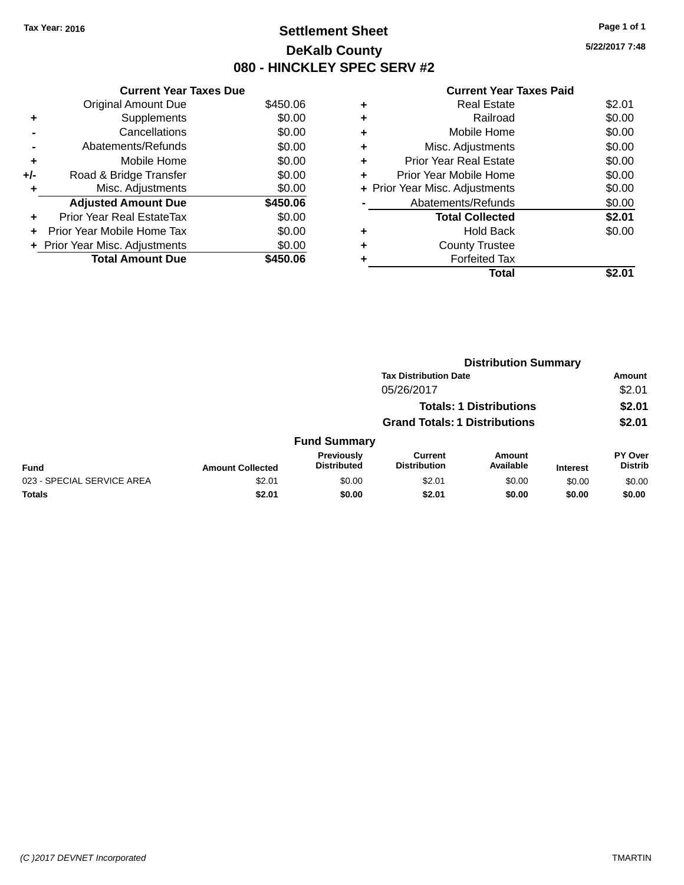# **Settlement Sheet Tax Year: 2016 Page 1 of 1 DeKalb County 080 - HINCKLEY SPEC SERV #2**

| <b>Current Year Taxes Paid</b> |  |  |  |
|--------------------------------|--|--|--|
|--------------------------------|--|--|--|

|     | <b>Current Year Taxes Due</b>  |          |
|-----|--------------------------------|----------|
|     | <b>Original Amount Due</b>     | \$450.06 |
| ٠   | Supplements                    | \$0.00   |
|     | Cancellations                  | \$0.00   |
|     | Abatements/Refunds             | \$0.00   |
| ٠   | Mobile Home                    | \$0.00   |
| +/- | Road & Bridge Transfer         | \$0.00   |
| ٠   | Misc. Adjustments              | \$0.00   |
|     | <b>Adjusted Amount Due</b>     | \$450.06 |
| ÷   | Prior Year Real EstateTax      | \$0.00   |
| ÷   | Prior Year Mobile Home Tax     | \$0.00   |
|     | + Prior Year Misc. Adjustments | \$0.00   |
|     | <b>Total Amount Due</b>        | \$450.06 |

| ٠ | <b>Real Estate</b>             | \$2.01 |
|---|--------------------------------|--------|
| ٠ | Railroad                       | \$0.00 |
| ٠ | Mobile Home                    | \$0.00 |
| ٠ | Misc. Adjustments              | \$0.00 |
| ٠ | Prior Year Real Estate         | \$0.00 |
| ٠ | Prior Year Mobile Home         | \$0.00 |
|   | + Prior Year Misc. Adjustments | \$0.00 |
|   | Abatements/Refunds             | \$0.00 |
|   | <b>Total Collected</b>         | \$2.01 |
| ٠ | <b>Hold Back</b>               | \$0.00 |
| ٠ | <b>County Trustee</b>          |        |
| ٠ | <b>Forfeited Tax</b>           |        |
|   | Total                          |        |
|   |                                |        |

|                            |                         |                                  |                                      | <b>Distribution Summary</b>    |                 |                           |
|----------------------------|-------------------------|----------------------------------|--------------------------------------|--------------------------------|-----------------|---------------------------|
|                            |                         |                                  | <b>Tax Distribution Date</b>         |                                |                 | <b>Amount</b>             |
|                            |                         |                                  | 05/26/2017                           |                                |                 | \$2.01                    |
|                            |                         |                                  |                                      | <b>Totals: 1 Distributions</b> |                 | \$2.01                    |
|                            |                         |                                  | <b>Grand Totals: 1 Distributions</b> |                                |                 | \$2.01                    |
|                            |                         | <b>Fund Summary</b>              |                                      |                                |                 |                           |
| <b>Fund</b>                | <b>Amount Collected</b> | Previously<br><b>Distributed</b> | Current<br><b>Distribution</b>       | Amount<br>Available            | <b>Interest</b> | PY Over<br><b>Distrib</b> |
| 023 - SPECIAL SERVICE AREA | \$2.01                  | \$0.00                           | \$2.01                               | \$0.00                         | \$0.00          | \$0.00                    |
| <b>Totals</b>              | \$2.01                  | \$0.00                           | \$2.01                               | \$0.00                         | \$0.00          | \$0.00                    |
|                            |                         |                                  |                                      |                                |                 |                           |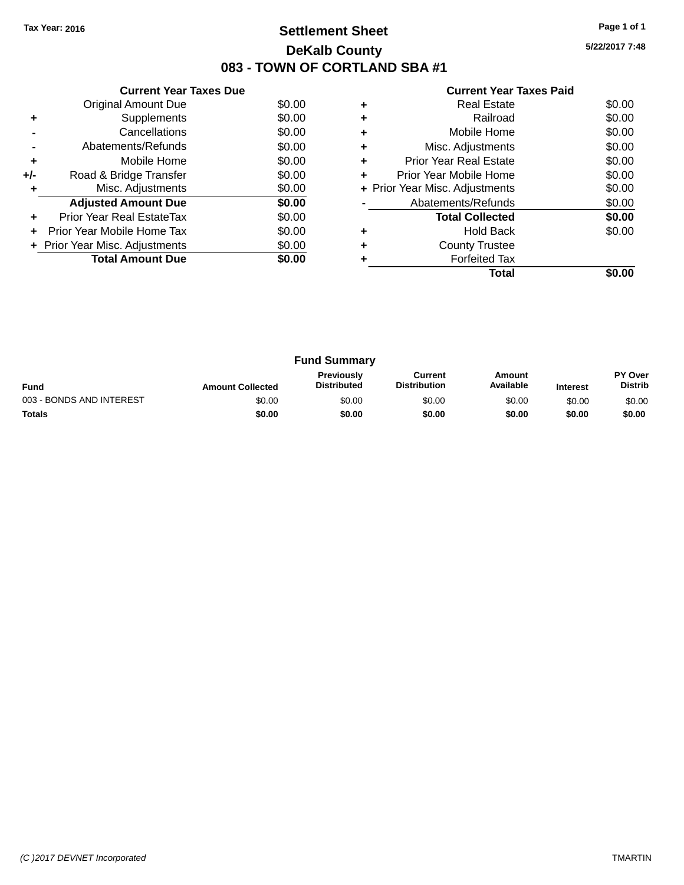# **Settlement Sheet Tax Year: 2016 Page 1 of 1 DeKalb County 083 - TOWN OF CORTLAND SBA #1**

|  | <b>Current Year Taxes Paid</b> |  |  |  |
|--|--------------------------------|--|--|--|
|--|--------------------------------|--|--|--|

|     | <b>Current Year Taxes Due</b>  |        |
|-----|--------------------------------|--------|
|     | Original Amount Due            | \$0.00 |
| ٠   | Supplements                    | \$0.00 |
|     | Cancellations                  | \$0.00 |
|     | Abatements/Refunds             | \$0.00 |
| ٠   | Mobile Home                    | \$0.00 |
| +/- | Road & Bridge Transfer         | \$0.00 |
| ٠   | Misc. Adjustments              | \$0.00 |
|     | <b>Adjusted Amount Due</b>     | \$0.00 |
| ٠   | Prior Year Real EstateTax      | \$0.00 |
|     | Prior Year Mobile Home Tax     | \$0.00 |
|     | + Prior Year Misc. Adjustments | \$0.00 |
|     | <b>Total Amount Due</b>        | \$0.00 |
|     |                                |        |

|   | <b>Real Estate</b>             | \$0.00 |
|---|--------------------------------|--------|
| ٠ | Railroad                       | \$0.00 |
| ٠ | Mobile Home                    | \$0.00 |
| ٠ | Misc. Adjustments              | \$0.00 |
| ٠ | <b>Prior Year Real Estate</b>  | \$0.00 |
| ٠ | Prior Year Mobile Home         | \$0.00 |
|   | + Prior Year Misc. Adjustments | \$0.00 |
|   | Abatements/Refunds             | \$0.00 |
|   | <b>Total Collected</b>         | \$0.00 |
|   | <b>Hold Back</b>               | \$0.00 |
| ٠ | <b>County Trustee</b>          |        |
|   | <b>Forfeited Tax</b>           |        |
|   | Total                          |        |

|                          |                         | <b>Fund Summary</b>                     |                                |                     |                 |                                  |
|--------------------------|-------------------------|-----------------------------------------|--------------------------------|---------------------|-----------------|----------------------------------|
| <b>Fund</b>              | <b>Amount Collected</b> | <b>Previously</b><br><b>Distributed</b> | Current<br><b>Distribution</b> | Amount<br>Available | <b>Interest</b> | <b>PY Over</b><br><b>Distrib</b> |
| 003 - BONDS AND INTEREST | \$0.00                  | \$0.00                                  | \$0.00                         | \$0.00              | \$0.00          | \$0.00                           |
| <b>Totals</b>            | \$0.00                  | \$0.00                                  | \$0.00                         | \$0.00              | \$0.00          | \$0.00                           |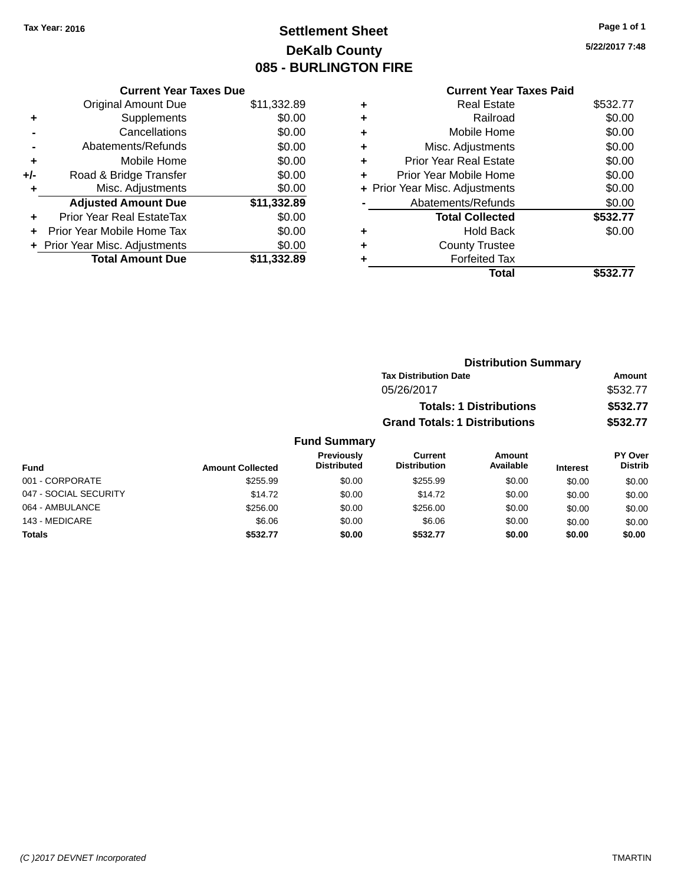# **Settlement Sheet Tax Year: 2016 Page 1 of 1 DeKalb County 085 - BURLINGTON FIRE**

|     | <b>Current Year Taxes Due</b>  |             |
|-----|--------------------------------|-------------|
|     | <b>Original Amount Due</b>     | \$11,332.89 |
| ٠   | Supplements                    | \$0.00      |
|     | Cancellations                  | \$0.00      |
|     | Abatements/Refunds             | \$0.00      |
| ٠   | Mobile Home                    | \$0.00      |
| +/- | Road & Bridge Transfer         | \$0.00      |
|     | Misc. Adjustments              | \$0.00      |
|     | <b>Adjusted Amount Due</b>     | \$11,332.89 |
| ٠   | Prior Year Real EstateTax      | \$0.00      |
| ÷   | Prior Year Mobile Home Tax     | \$0.00      |
|     | + Prior Year Misc. Adjustments | \$0.00      |
|     | <b>Total Amount Due</b>        | \$11.332.89 |

|   | <b>Current Year Taxes Paid</b> |          |
|---|--------------------------------|----------|
| ٠ | Real Estate                    | \$532.77 |
| ٠ | Railroad                       | \$0.00   |
| ٠ | Mobile Home                    | \$0.00   |
| ٠ | Misc. Adjustments              | \$0.00   |
| ٠ | <b>Prior Year Real Estate</b>  | \$0.00   |
|   | Prior Year Mobile Home         | \$0.00   |
|   | + Prior Year Misc. Adjustments | \$0.00   |
|   | Abatements/Refunds             | \$0.00   |
|   | <b>Total Collected</b>         | \$532.77 |
| ٠ | Hold Back                      | \$0.00   |
|   | <b>County Trustee</b>          |          |
|   | <b>Forfeited Tax</b>           |          |
|   | Total                          | \$532.77 |

|                  |                                         |                                      | <b>Distribution Summary</b>    |                 |                                  |
|------------------|-----------------------------------------|--------------------------------------|--------------------------------|-----------------|----------------------------------|
|                  |                                         | <b>Tax Distribution Date</b>         |                                |                 | <b>Amount</b>                    |
|                  |                                         | 05/26/2017                           |                                |                 | \$532.77                         |
|                  |                                         |                                      | <b>Totals: 1 Distributions</b> |                 | \$532.77                         |
|                  |                                         | <b>Grand Totals: 1 Distributions</b> |                                |                 | \$532.77                         |
|                  | <b>Fund Summary</b>                     |                                      |                                |                 |                                  |
| <b>Collected</b> | <b>Previously</b><br><b>Distributed</b> | Current<br><b>Distribution</b>       | Amount<br>Available            | <b>Interest</b> | <b>PY Over</b><br><b>Distrib</b> |
| $Q$ 255 $Q$      | ድስ ሰሰ                                   | $Q$ 255 $Q$                          | <b>AO OO</b>                   | en on           | <b>CO OO</b>                     |

| <b>Fund</b>           | <b>Amount Collected</b> | <b>Distributed</b> | <b>Distribution</b> | Available | <b>Interest</b> | <b>Distrib</b> |
|-----------------------|-------------------------|--------------------|---------------------|-----------|-----------------|----------------|
| 001 - CORPORATE       | \$255.99                | \$0.00             | \$255.99            | \$0.00    | \$0.00          | \$0.00         |
| 047 - SOCIAL SECURITY | \$14.72                 | \$0.00             | \$14.72             | \$0.00    | \$0.00          | \$0.00         |
| 064 - AMBULANCE       | \$256.00                | \$0.00             | \$256.00            | \$0.00    | \$0.00          | \$0.00         |
| 143 - MEDICARE        | \$6.06                  | \$0.00             | \$6.06              | \$0.00    | \$0.00          | \$0.00         |
| <b>Totals</b>         | \$532.77                | \$0.00             | \$532.77            | \$0.00    | \$0.00          | \$0.00         |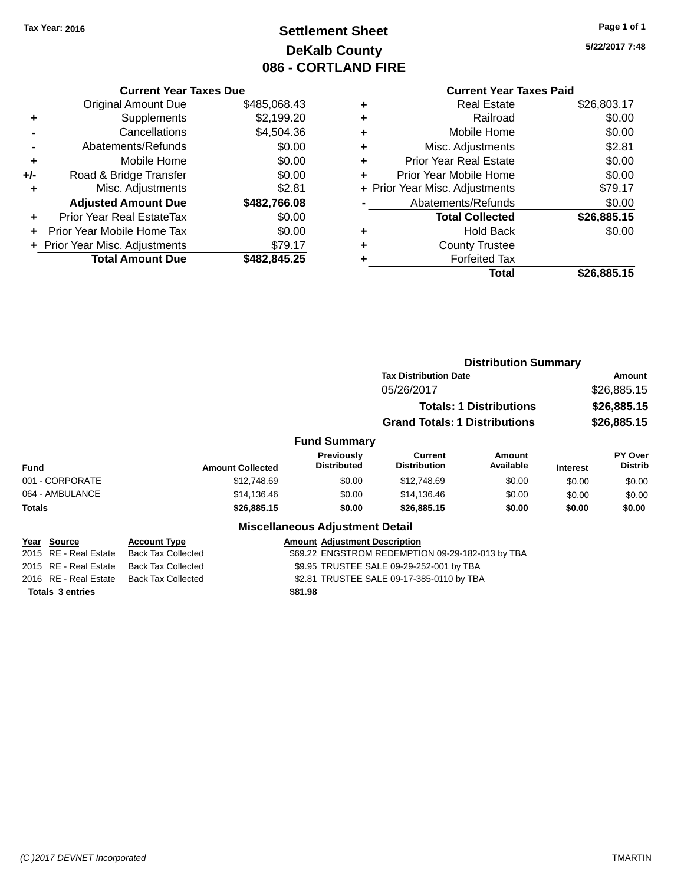# **Settlement Sheet Tax Year: 2016 Page 1 of 1 DeKalb County 086 - CORTLAND FIRE**

**5/22/2017 7:48**

|     | <b>Current Year Taxes Due</b>  |              |
|-----|--------------------------------|--------------|
|     | <b>Original Amount Due</b>     | \$485,068.43 |
| ٠   | Supplements                    | \$2,199.20   |
|     | Cancellations                  | \$4,504.36   |
|     | Abatements/Refunds             | \$0.00       |
| ٠   | Mobile Home                    | \$0.00       |
| +/- | Road & Bridge Transfer         | \$0.00       |
| ٠   | Misc. Adjustments              | \$2.81       |
|     | <b>Adjusted Amount Due</b>     | \$482,766.08 |
| ÷   | Prior Year Real EstateTax      | \$0.00       |
|     | Prior Year Mobile Home Tax     | \$0.00       |
|     | + Prior Year Misc. Adjustments | \$79.17      |
|     | <b>Total Amount Due</b>        | \$482,845.25 |

|   | <b>Current Year Taxes Paid</b> |             |
|---|--------------------------------|-------------|
| ٠ | <b>Real Estate</b>             | \$26,803.17 |
| ٠ | Railroad                       | \$0.00      |
| ٠ | Mobile Home                    | \$0.00      |
| ٠ | Misc. Adjustments              | \$2.81      |
| ٠ | <b>Prior Year Real Estate</b>  | \$0.00      |
| ٠ | Prior Year Mobile Home         | \$0.00      |
|   | + Prior Year Misc. Adjustments | \$79.17     |
|   | Abatements/Refunds             | \$0.00      |
|   | <b>Total Collected</b>         | \$26,885.15 |
|   | <b>Hold Back</b>               | \$0.00      |
|   | <b>County Trustee</b>          |             |
|   | <b>Forfeited Tax</b>           |             |
|   | Total                          | \$26,885.15 |

|             |                                      |                                                  |             |                                           | <b>Distribution Summary</b>                      |                                |                 |                           |
|-------------|--------------------------------------|--------------------------------------------------|-------------|-------------------------------------------|--------------------------------------------------|--------------------------------|-----------------|---------------------------|
|             |                                      |                                                  |             |                                           | <b>Tax Distribution Date</b>                     |                                |                 | Amount                    |
|             |                                      |                                                  |             |                                           | 05/26/2017                                       |                                |                 | \$26,885.15               |
|             |                                      |                                                  |             |                                           |                                                  | <b>Totals: 1 Distributions</b> |                 | \$26,885.15               |
|             |                                      |                                                  |             |                                           | <b>Grand Totals: 1 Distributions</b>             |                                |                 | \$26,885.15               |
|             |                                      |                                                  |             | <b>Fund Summary</b>                       |                                                  |                                |                 |                           |
| <b>Fund</b> |                                      | <b>Amount Collected</b>                          |             | <b>Previously</b><br><b>Distributed</b>   | <b>Current</b><br><b>Distribution</b>            | <b>Amount</b><br>Available     | <b>Interest</b> | PY Over<br><b>Distrib</b> |
|             | 001 - CORPORATE                      |                                                  | \$12,748.69 | \$0.00                                    | \$12,748.69                                      | \$0.00                         | \$0.00          | \$0.00                    |
|             | 064 - AMBULANCE                      |                                                  | \$14,136.46 | \$0.00                                    | \$14,136.46                                      | \$0.00                         | \$0.00          | \$0.00                    |
| Totals      |                                      |                                                  | \$26,885.15 | \$0.00                                    | \$26,885.15                                      | \$0.00                         | \$0.00          | \$0.00                    |
|             |                                      |                                                  |             | <b>Miscellaneous Adjustment Detail</b>    |                                                  |                                |                 |                           |
|             | Year Source<br>2015 RE - Real Estate | <b>Account Type</b><br><b>Back Tax Collected</b> |             | <b>Amount Adjustment Description</b>      | \$69.22 ENGSTROM REDEMPTION 09-29-182-013 by TBA |                                |                 |                           |
|             | 2015 RE - Real Estate                | <b>Back Tax Collected</b>                        |             | \$9.95 TRUSTEE SALE 09-29-252-001 by TBA  |                                                  |                                |                 |                           |
|             | 2016 RE - Real Estate                | <b>Back Tax Collected</b>                        |             | \$2.81 TRUSTEE SALE 09-17-385-0110 by TBA |                                                  |                                |                 |                           |

**Totals 3 entries \$81.98**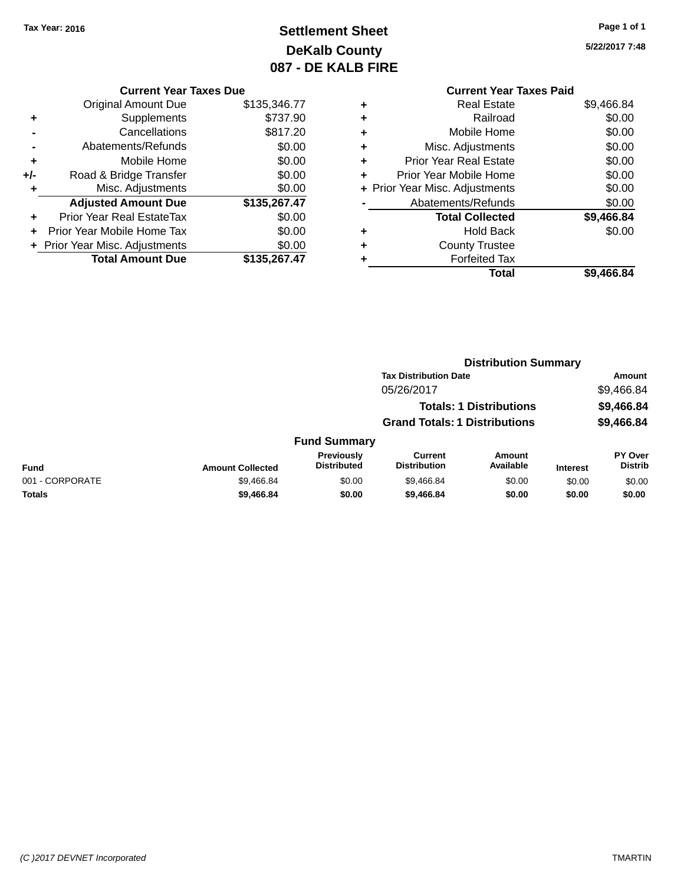# **Settlement Sheet Tax Year: 2016 Page 1 of 1 DeKalb County 087 - DE KALB FIRE**

# **5/22/2017 7:48**

|       | <b>Current Year Taxes Due</b>  |              |  |  |  |  |  |
|-------|--------------------------------|--------------|--|--|--|--|--|
|       | Original Amount Due            | \$135,346.77 |  |  |  |  |  |
|       | Supplements                    | \$737.90     |  |  |  |  |  |
|       | Cancellations                  | \$817.20     |  |  |  |  |  |
|       | Abatements/Refunds             | \$0.00       |  |  |  |  |  |
| ٠     | Mobile Home                    | \$0.00       |  |  |  |  |  |
| $+/-$ | Road & Bridge Transfer         | \$0.00       |  |  |  |  |  |
| ٠     | Misc. Adjustments              | \$0.00       |  |  |  |  |  |
|       | <b>Adjusted Amount Due</b>     | \$135,267.47 |  |  |  |  |  |
| ÷     | Prior Year Real EstateTax      | \$0.00       |  |  |  |  |  |
| ÷     | Prior Year Mobile Home Tax     | \$0.00       |  |  |  |  |  |
|       | + Prior Year Misc. Adjustments | \$0.00       |  |  |  |  |  |
|       | <b>Total Amount Due</b>        | \$135.267.47 |  |  |  |  |  |

|   | <b>Current Year Taxes Paid</b> |            |
|---|--------------------------------|------------|
| ٠ | <b>Real Estate</b>             | \$9,466.84 |
| ٠ | Railroad                       | \$0.00     |
| ٠ | Mobile Home                    | \$0.00     |
| ٠ | Misc. Adjustments              | \$0.00     |
| ٠ | <b>Prior Year Real Estate</b>  | \$0.00     |
| ٠ | Prior Year Mobile Home         | \$0.00     |
|   | + Prior Year Misc. Adjustments | \$0.00     |
|   | Abatements/Refunds             | \$0.00     |
|   | <b>Total Collected</b>         | \$9,466.84 |
|   | <b>Hold Back</b>               | \$0.00     |
|   | <b>County Trustee</b>          |            |
|   | <b>Forfeited Tax</b>           |            |
|   | Total                          | \$9,466.84 |
|   |                                |            |

|                 |                         |                                         | <b>Distribution Summary</b>           |                                |                 |                           |
|-----------------|-------------------------|-----------------------------------------|---------------------------------------|--------------------------------|-----------------|---------------------------|
|                 |                         |                                         | <b>Tax Distribution Date</b>          |                                |                 | Amount                    |
|                 |                         |                                         | 05/26/2017                            |                                |                 | \$9,466.84                |
|                 |                         |                                         |                                       | <b>Totals: 1 Distributions</b> |                 | \$9,466.84                |
|                 |                         |                                         | <b>Grand Totals: 1 Distributions</b>  |                                |                 | \$9,466.84                |
|                 |                         | <b>Fund Summary</b>                     |                                       |                                |                 |                           |
| <b>Fund</b>     | <b>Amount Collected</b> | <b>Previously</b><br><b>Distributed</b> | <b>Current</b><br><b>Distribution</b> | <b>Amount</b><br>Available     | <b>Interest</b> | PY Over<br><b>Distrib</b> |
| 001 - CORPORATE | \$9,466.84              | \$0.00                                  | \$9,466.84                            | \$0.00                         | \$0.00          | \$0.00                    |
| <b>Totals</b>   | \$9,466.84              | \$0.00                                  | \$9,466.84                            | \$0.00                         | \$0.00          | \$0.00                    |
|                 |                         |                                         |                                       |                                |                 |                           |

#### *(C )2017 DEVNET Incorporated* TMARTIN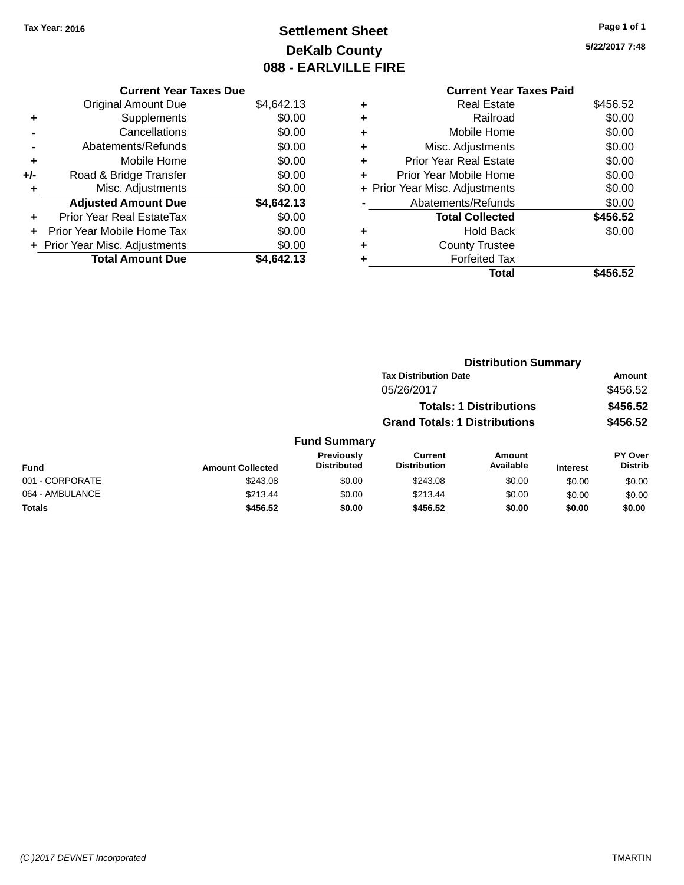# **Settlement Sheet Tax Year: 2016 Page 1 of 1 DeKalb County 088 - EARLVILLE FIRE**

|       | <b>Current Year Taxes Due</b>  |            |
|-------|--------------------------------|------------|
|       | <b>Original Amount Due</b>     | \$4,642.13 |
| ٠     | Supplements                    | \$0.00     |
|       | Cancellations                  | \$0.00     |
|       | Abatements/Refunds             | \$0.00     |
| ٠     | Mobile Home                    | \$0.00     |
| $+/-$ | Road & Bridge Transfer         | \$0.00     |
| ٠     | Misc. Adjustments              | \$0.00     |
|       | <b>Adjusted Amount Due</b>     | \$4,642.13 |
| ÷     | Prior Year Real EstateTax      | \$0.00     |
| ÷     | Prior Year Mobile Home Tax     | \$0.00     |
|       | + Prior Year Misc. Adjustments | \$0.00     |
|       | <b>Total Amount Due</b>        | \$4.642.13 |

|   | <b>Current Year Taxes Paid</b> |          |
|---|--------------------------------|----------|
| ٠ | Real Estate                    | \$456.52 |
| ٠ | Railroad                       | \$0.00   |
| ٠ | Mobile Home                    | \$0.00   |
| ٠ | Misc. Adjustments              | \$0.00   |
| ٠ | <b>Prior Year Real Estate</b>  | \$0.00   |
| ٠ | Prior Year Mobile Home         | \$0.00   |
|   | + Prior Year Misc. Adjustments | \$0.00   |
|   | Abatements/Refunds             | \$0.00   |
|   | <b>Total Collected</b>         | \$456.52 |
|   | <b>Hold Back</b>               | \$0.00   |
|   | <b>County Trustee</b>          |          |
|   | <b>Forfeited Tax</b>           |          |
|   | Total                          | \$456.52 |
|   |                                |          |

|                 |                         |                                  | <b>Distribution Summary</b>           |                                |                 |                           |
|-----------------|-------------------------|----------------------------------|---------------------------------------|--------------------------------|-----------------|---------------------------|
|                 |                         |                                  | <b>Tax Distribution Date</b>          |                                |                 | <b>Amount</b>             |
|                 |                         |                                  | 05/26/2017                            |                                |                 | \$456.52                  |
|                 |                         |                                  |                                       | <b>Totals: 1 Distributions</b> |                 | \$456.52                  |
|                 |                         |                                  | <b>Grand Totals: 1 Distributions</b>  |                                |                 | \$456.52                  |
|                 |                         | <b>Fund Summary</b>              |                                       |                                |                 |                           |
| <b>Fund</b>     | <b>Amount Collected</b> | Previously<br><b>Distributed</b> | <b>Current</b><br><b>Distribution</b> | Amount<br>Available            | <b>Interest</b> | PY Over<br><b>Distrib</b> |
| 001 - CORPORATE | \$243.08                | \$0.00                           | \$243.08                              | \$0.00                         | \$0.00          | \$0.00                    |
| 064 - AMBULANCE | \$213.44                | \$0.00                           | \$213.44                              | \$0.00                         | \$0.00          | \$0.00                    |
| <b>Totals</b>   | \$456.52                | \$0.00                           | \$456.52                              | \$0.00                         | \$0.00          | \$0.00                    |
|                 |                         |                                  |                                       |                                |                 |                           |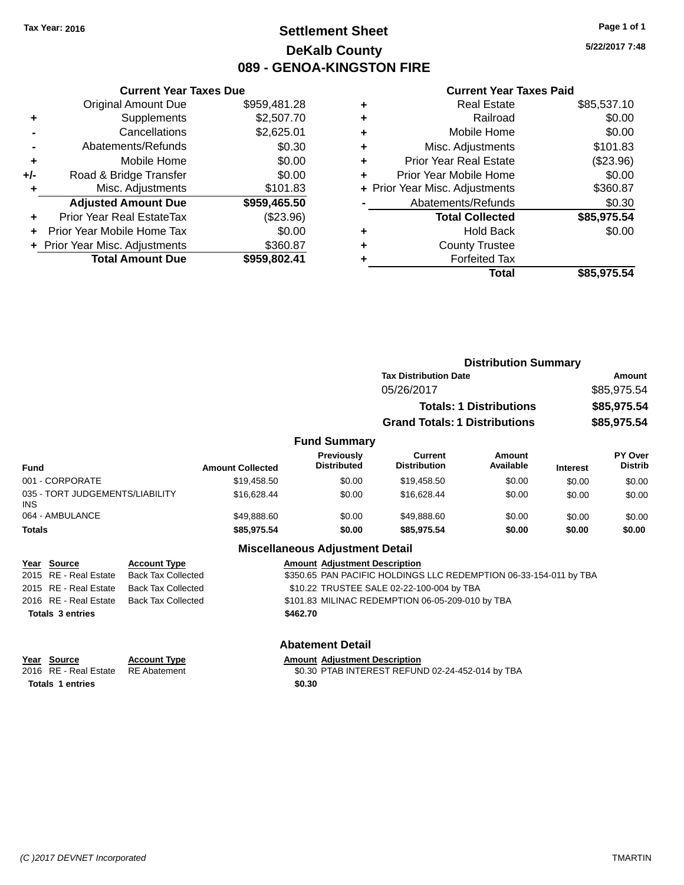# **Settlement Sheet Tax Year: 2016 Page 1 of 1 DeKalb County 089 - GENOA-KINGSTON FIRE**

**5/22/2017 7:48**

#### **Current Year Taxes Paid**

| <b>Current Year Taxes Due</b> |                                |
|-------------------------------|--------------------------------|
| <b>Original Amount Due</b>    | \$959,481.28                   |
| Supplements                   | \$2,507.70                     |
| Cancellations                 | \$2,625.01                     |
| Abatements/Refunds            | \$0.30                         |
| Mobile Home                   | \$0.00                         |
| Road & Bridge Transfer        | \$0.00                         |
| Misc. Adjustments             | \$101.83                       |
| <b>Adjusted Amount Due</b>    | \$959,465.50                   |
| Prior Year Real EstateTax     | $(\$23.96)$                    |
| Prior Year Mobile Home Tax    | \$0.00                         |
|                               | \$360.87                       |
| <b>Total Amount Due</b>       | \$959,802.41                   |
|                               | + Prior Year Misc. Adjustments |

| ٠ | <b>Real Estate</b>             | \$85,537.10 |
|---|--------------------------------|-------------|
| ٠ | Railroad                       | \$0.00      |
| ٠ | Mobile Home                    | \$0.00      |
| ٠ | Misc. Adjustments              | \$101.83    |
| ٠ | <b>Prior Year Real Estate</b>  | (\$23.96)   |
| ٠ | Prior Year Mobile Home         | \$0.00      |
|   | + Prior Year Misc. Adjustments | \$360.87    |
|   | Abatements/Refunds             | \$0.30      |
|   | <b>Total Collected</b>         | \$85,975.54 |
| ٠ | Hold Back                      | \$0.00      |
| ٠ | <b>County Trustee</b>          |             |
| ٠ | <b>Forfeited Tax</b>           |             |
|   | Total                          | \$85,975.54 |
|   |                                |             |

|                                               |                     |                         |                                         | <b>Distribution Summary</b>          |                                |                 |                           |
|-----------------------------------------------|---------------------|-------------------------|-----------------------------------------|--------------------------------------|--------------------------------|-----------------|---------------------------|
|                                               |                     |                         |                                         | <b>Tax Distribution Date</b>         |                                | Amount          |                           |
|                                               |                     |                         |                                         | 05/26/2017                           |                                |                 | \$85,975.54               |
|                                               |                     |                         |                                         |                                      | <b>Totals: 1 Distributions</b> |                 | \$85,975.54               |
|                                               |                     |                         |                                         | <b>Grand Totals: 1 Distributions</b> |                                |                 | \$85,975.54               |
|                                               |                     |                         | <b>Fund Summary</b>                     |                                      |                                |                 |                           |
| <b>Fund</b>                                   |                     | <b>Amount Collected</b> | <b>Previously</b><br><b>Distributed</b> | Current<br><b>Distribution</b>       | Amount<br>Available            | <b>Interest</b> | PY Over<br><b>Distrib</b> |
| 001 - CORPORATE                               |                     | \$19,458.50             | \$0.00                                  | \$19,458.50                          | \$0.00                         | \$0.00          | \$0.00                    |
| 035 - TORT JUDGEMENTS/LIABILITY<br><b>INS</b> |                     | \$16,628.44             | \$0.00                                  | \$16,628.44                          | \$0.00                         | \$0.00          | \$0.00                    |
| 064 - AMBULANCE                               |                     | \$49,888.60             | \$0.00                                  | \$49,888.60                          | \$0.00                         | \$0.00          | \$0.00                    |
| <b>Totals</b>                                 |                     | \$85,975.54             | \$0.00                                  | \$85,975.54                          | \$0.00                         | \$0.00          | \$0.00                    |
|                                               |                     |                         | <b>Miscellaneous Adjustment Detail</b>  |                                      |                                |                 |                           |
| <b>Source</b><br>Year                         | <b>Account Type</b> |                         | <b>Amount Adiustment Description</b>    |                                      |                                |                 |                           |

| $1$ $2$ $3$             | AGGOUIL TYPE                             |          | AND MILL AURONNER DESCRIPTION                                     |
|-------------------------|------------------------------------------|----------|-------------------------------------------------------------------|
|                         | 2015 RE - Real Estate Back Tax Collected |          | \$350.65 PAN PACIFIC HOLDINGS LLC REDEMPTION 06-33-154-011 by TBA |
| 2015 RE - Real Estate   | Back Tax Collected                       |          | \$10.22 TRUSTEE SALE 02-22-100-004 by TBA                         |
| 2016 RE - Real Estate   | Back Tax Collected                       |          | \$101.83 MILINAC REDEMPTION 06-05-209-010 by TBA                  |
| <b>Totals 3 entries</b> |                                          | \$462.70 |                                                                   |
|                         |                                          |          |                                                                   |
|                         |                                          |          |                                                                   |

| <b>Abatement Detail</b> |
|-------------------------|
|-------------------------|

**Year Source Account Type Amount Adjustment Description**<br>2016 RE - Real Estate RE Abatement **Amount Adjustment REFUN** \$0.30 PTAB INTEREST REFUND 02-24-452-014 by TBA **Totals 1 entries \$0.30**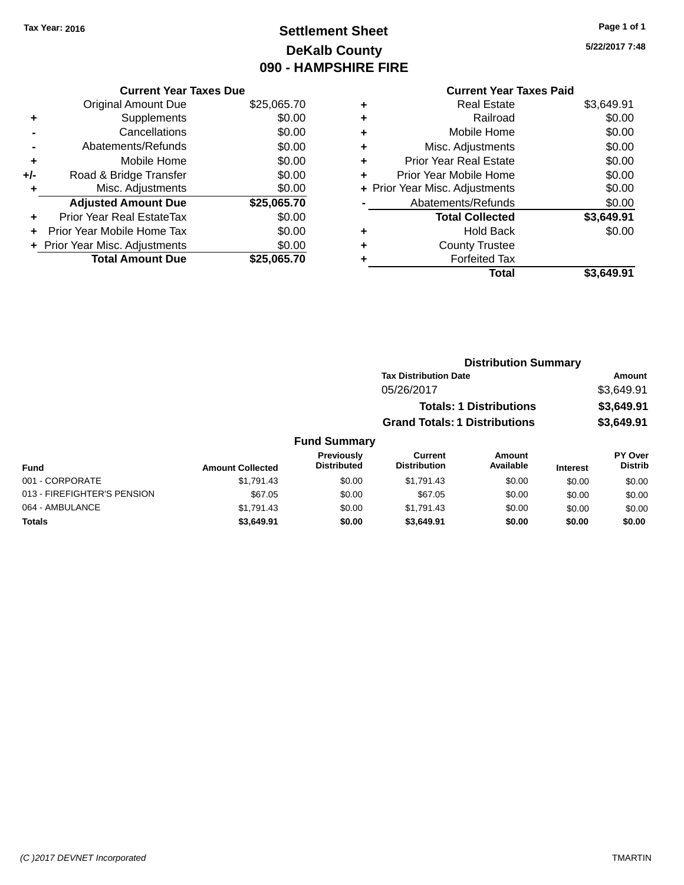# **Settlement Sheet Tax Year: 2016 Page 1 of 1 DeKalb County 090 - HAMPSHIRE FIRE**

**5/22/2017 7:48**

### **Current Year Taxes Due** Original Amount Due \$25,065.70 **+** Supplements \$0.00 **-** Cancellations \$0.00 **-** Abatements/Refunds \$0.00 **+** Mobile Home \$0.00 **+/-** Road & Bridge Transfer \$0.00 **+** Misc. Adjustments \$0.00 **Adjusted Amount Due \$25,065.70 +** Prior Year Real EstateTax \$0.00 **+** Prior Year Mobile Home Tax \$0.00 **+** Prior Year Misc. Adjustments  $$0.00$ **Total Amount Due \$25,065.70**

# **Current Year Taxes Paid +** Real Estate \$3,649.91 **+** Railroad \$0.00 **+** Mobile Home \$0.00 **+** Misc. Adjustments \$0.00 **+** Prior Year Real Estate \$0.00 **+** Prior Year Mobile Home \$0.00 **+** Prior Year Misc. Adjustments  $$0.00$ Abatements/Refunds \$0.00 **Total Collected \$3,649.91 +** Hold Back \$0.00 **+** County Trustee **+** Forfeited Tax **Total \$3,649.91**

|                             |                         |                                  | <b>Distribution Summary</b>          |                                |                 |                           |
|-----------------------------|-------------------------|----------------------------------|--------------------------------------|--------------------------------|-----------------|---------------------------|
|                             |                         |                                  | <b>Tax Distribution Date</b>         |                                |                 | Amount                    |
|                             |                         |                                  | 05/26/2017                           |                                |                 | \$3,649.91                |
|                             |                         |                                  |                                      | <b>Totals: 1 Distributions</b> |                 | \$3,649.91                |
|                             |                         |                                  | <b>Grand Totals: 1 Distributions</b> |                                |                 | \$3,649.91                |
|                             |                         | <b>Fund Summary</b>              |                                      |                                |                 |                           |
| Fund                        | <b>Amount Collected</b> | Previously<br><b>Distributed</b> | Current<br><b>Distribution</b>       | Amount<br>Available            | <b>Interest</b> | PY Over<br><b>Distrib</b> |
| 001 - CORPORATE             | \$1,791.43              | \$0.00                           | \$1,791.43                           | \$0.00                         | \$0.00          | \$0.00                    |
| 013 - FIREFIGHTER'S PENSION | \$67.05                 | \$0.00                           | \$67.05                              | \$0.00                         | \$0.00          | \$0.00                    |

064 - AMBULANCE \$1,791.43 \$0.00 \$1,791.43 \$0.00 \$0.00 \$0.00 **Totals \$3,649.91 \$0.00 \$3,649.91 \$0.00 \$0.00 \$0.00**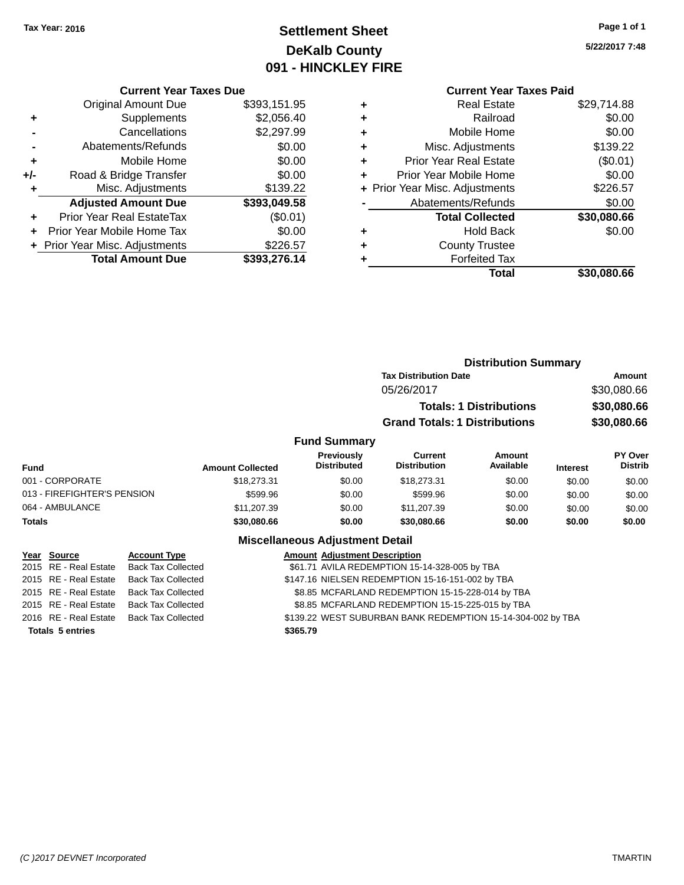# **Settlement Sheet Tax Year: 2016 Page 1 of 1 DeKalb County 091 - HINCKLEY FIRE**

**5/22/2017 7:48**

#### **Current Year Taxes Due**

|       | <b>Original Amount Due</b>     | \$393,151.95 |
|-------|--------------------------------|--------------|
| ٠     | Supplements                    | \$2,056.40   |
|       | Cancellations                  | \$2,297.99   |
|       | Abatements/Refunds             | \$0.00       |
| ٠     | Mobile Home                    | \$0.00       |
| $+/-$ | Road & Bridge Transfer         | \$0.00       |
| ٠     | Misc. Adjustments              | \$139.22     |
|       | <b>Adjusted Amount Due</b>     | \$393,049.58 |
| ÷     | Prior Year Real EstateTax      | (\$0.01)     |
|       | Prior Year Mobile Home Tax     | \$0.00       |
|       | + Prior Year Misc. Adjustments | \$226.57     |
|       | <b>Total Amount Due</b>        | \$393,276.14 |

# **Current Year Taxes Paid +** Real Estate \$29,714.88 **+** Railroad \$0.00 **+** Mobile Home \$0.00 **+** Misc. Adjustments \$139.22 **+** Prior Year Real Estate (\$0.01)<br> **+** Prior Year Mobile Home \$0.00

|           | Total                          | \$30,080.66 |
|-----------|--------------------------------|-------------|
|           | <b>Forfeited Tax</b>           |             |
| $\ddot{}$ | <b>County Trustee</b>          |             |
|           | <b>Hold Back</b>               | \$0.00      |
|           | <b>Total Collected</b>         | \$30,080.66 |
|           | Abatements/Refunds             | \$0.00      |
|           | + Prior Year Misc. Adjustments | \$226.57    |
|           | Prior Year Mobile Home         | \$0.00      |
|           |                                |             |

|                                              |                         |                                         | <b>Distribution Summary</b>           |                                |                 |                           |
|----------------------------------------------|-------------------------|-----------------------------------------|---------------------------------------|--------------------------------|-----------------|---------------------------|
|                                              |                         |                                         | <b>Tax Distribution Date</b>          |                                |                 | Amount                    |
|                                              |                         |                                         | 05/26/2017                            |                                |                 | \$30,080.66               |
|                                              |                         |                                         |                                       | <b>Totals: 1 Distributions</b> |                 | \$30,080.66               |
|                                              |                         |                                         | <b>Grand Totals: 1 Distributions</b>  |                                |                 | \$30,080.66               |
|                                              |                         | <b>Fund Summary</b>                     |                                       |                                |                 |                           |
| Fund                                         | <b>Amount Collected</b> | <b>Previously</b><br><b>Distributed</b> | <b>Current</b><br><b>Distribution</b> | Amount<br>Available            | <b>Interest</b> | PY Over<br><b>Distrib</b> |
| 001 - CORPORATE                              | \$18,273.31             | \$0.00                                  | \$18,273.31                           | \$0.00                         | \$0.00          | \$0.00                    |
| 013 - FIREFIGHTER'S PENSION                  | \$599.96                | \$0.00                                  | \$599.96                              | \$0.00                         | \$0.00          | \$0.00                    |
| 064 - AMBULANCE                              | \$11,207.39             | \$0.00                                  | \$11,207.39                           | \$0.00                         | \$0.00          | \$0.00                    |
| Totals                                       | \$30,080.66             | \$0.00                                  | \$30,080.66                           | \$0.00                         | \$0.00          | \$0.00                    |
|                                              |                         | <b>Miscellaneous Adjustment Detail</b>  |                                       |                                |                 |                           |
| Year<br><b>Account Type</b><br><b>Source</b> |                         | <b>Amount Adjustment Description</b>    |                                       |                                |                 |                           |

|                         | 2015 RE - Real Estate Back Tax Collected | \$61.71 AVILA REDEMPTION 15-14-328-005 by TBA               |
|-------------------------|------------------------------------------|-------------------------------------------------------------|
|                         | 2015 RE - Real Estate Back Tax Collected | \$147.16 NIELSEN REDEMPTION 15-16-151-002 by TBA            |
|                         | 2015 RE - Real Estate Back Tax Collected | \$8.85 MCFARLAND REDEMPTION 15-15-228-014 by TBA            |
|                         | 2015 RE - Real Estate Back Tax Collected | \$8.85 MCFARLAND REDEMPTION 15-15-225-015 by TBA            |
|                         | 2016 RE - Real Estate Back Tax Collected | \$139.22 WEST SUBURBAN BANK REDEMPTION 15-14-304-002 by TBA |
| <b>Totals 5 entries</b> |                                          | \$365.79                                                    |
|                         |                                          |                                                             |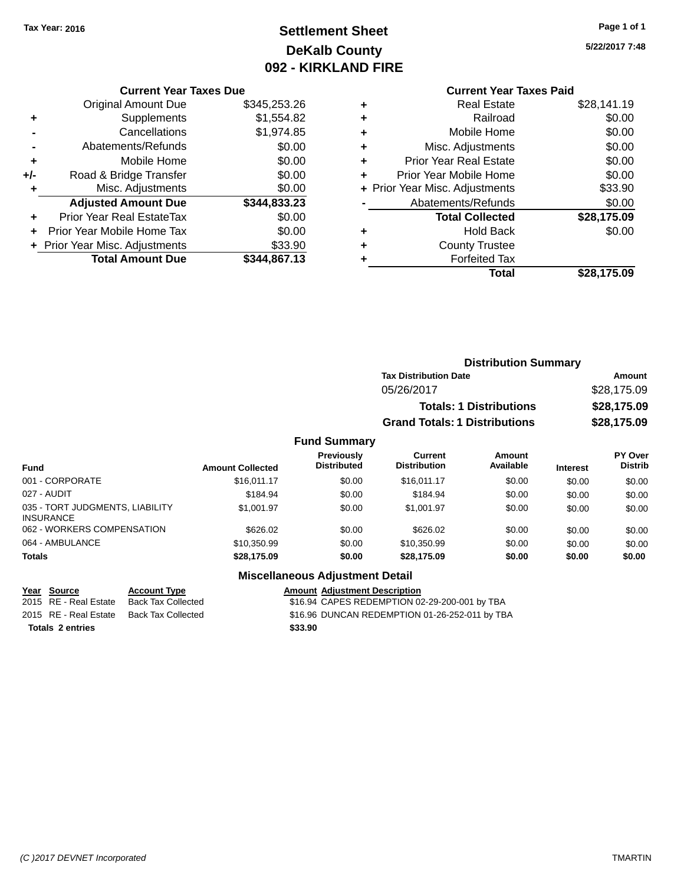# **Settlement Sheet Tax Year: 2016 Page 1 of 1 DeKalb County 092 - KIRKLAND FIRE**

**5/22/2017 7:48**

#### **Current Year Taxes Due**

|       | <b>Original Amount Due</b>       | \$345,253.26 |
|-------|----------------------------------|--------------|
| ٠     | Supplements                      | \$1,554.82   |
|       | Cancellations                    | \$1,974.85   |
|       | Abatements/Refunds               | \$0.00       |
| ٠     | Mobile Home                      | \$0.00       |
| $+/-$ | Road & Bridge Transfer           | \$0.00       |
| ٠     | Misc. Adjustments                | \$0.00       |
|       | <b>Adjusted Amount Due</b>       | \$344,833.23 |
| ٠     | <b>Prior Year Real EstateTax</b> | \$0.00       |
|       | Prior Year Mobile Home Tax       | \$0.00       |
|       | + Prior Year Misc. Adjustments   | \$33.90      |
|       | <b>Total Amount Due</b>          | \$344.867.13 |

|   | <b>Current Year Taxes Paid</b> |             |
|---|--------------------------------|-------------|
| ٠ | <b>Real Estate</b>             | \$28,141.19 |
| ٠ | Railroad                       | \$0.00      |
| ٠ | Mobile Home                    | \$0.00      |
| ٠ | Misc. Adjustments              | \$0.00      |
| ٠ | <b>Prior Year Real Estate</b>  | \$0.00      |
| ٠ | Prior Year Mobile Home         | \$0.00      |
|   | + Prior Year Misc. Adjustments | \$33.90     |
|   | Abatements/Refunds             | \$0.00      |
|   | <b>Total Collected</b>         | \$28,175.09 |
| ٠ | <b>Hold Back</b>               | \$0.00      |
| ٠ | <b>County Trustee</b>          |             |
|   | <b>Forfeited Tax</b>           |             |
|   | Total                          | \$28,175.09 |
|   |                                |             |

|                     | <b>Distribution Summary</b>          |             |  |  |
|---------------------|--------------------------------------|-------------|--|--|
|                     | <b>Tax Distribution Date</b>         | Amount      |  |  |
|                     | 05/26/2017                           | \$28,175.09 |  |  |
|                     | <b>Totals: 1 Distributions</b>       | \$28,175.09 |  |  |
|                     | <b>Grand Totals: 1 Distributions</b> | \$28,175.09 |  |  |
| <b>Fund Summary</b> |                                      |             |  |  |

#### **Fund Interest Amount Collected Distributed PY Over Distrib Amount Available Current Distribution Previously** 001 - CORPORATE 60.00 \$16,011.17 \$0.00 \$16,011.17 \$0.00 \$0.00 \$0.00 \$0.00 027 - AUDIT \$184.94 \$0.00 \$184.94 \$0.00 \$0.00 \$0.00 035 - TORT JUDGMENTS, LIABILITY INSURANCE \$1,001.97 \$0.00 \$1,001.97 \$0.00 \$0.00 \$0.00 062 - WORKERS COMPENSATION \$626.02 \$0.00 \$626.02 \$0.00 \$0.00 \$0.00 \$0.00 \$0.00 064 - AMBULANCE \$10,350.99 \$0.00 \$10,350.99 \$0.00 \$0.00 \$0.00 **Totals \$28,175.09 \$0.00 \$28,175.09 \$0.00 \$0.00 \$0.00**

#### **Miscellaneous Adjustment Detail**

#### **Year** Source **Account Type Account Adjustment Description**

2015 RE - Real Estate Back Tax Collected \$16.94 CAPES REDEMPTION 02-29-200-001 by TBA 2015 RE - Real Estate Back Tax Collected \$16.96 DUNCAN REDEMPTION 01-26-252-011 by TBA **Totals 2 entries \$33.90**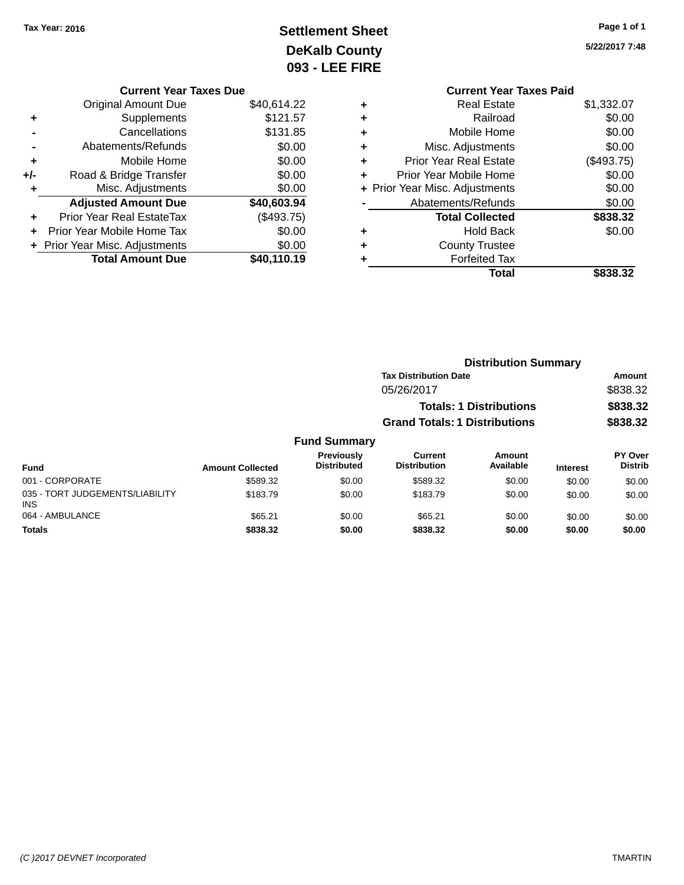# **Settlement Sheet Tax Year: 2016 Page 1 of 1 DeKalb County 093 - LEE FIRE**

**5/22/2017 7:48**

| ເes Due     |   | <b>Current Year Taxes Paid</b> |            |
|-------------|---|--------------------------------|------------|
| \$40,614.22 | ٠ | <b>Real Estate</b>             | \$1,332.07 |
| \$121.57    | ٠ | Railroad                       | \$0.00     |
| \$131.85    | ÷ | Mobile Home                    | \$0.00     |
| \$0.00      | ٠ | Misc. Adjustments              | \$0.00     |
| \$0.00      | ٠ | <b>Prior Year Real Estate</b>  | (\$493.75) |
| \$0.00      | ٠ | Prior Year Mobile Home         | \$0.00     |
| \$0.00      |   | + Prior Year Misc. Adjustments | \$0.00     |
| \$40,603.94 |   | Abatements/Refunds             | \$0.00     |
| (\$493.75)  |   | <b>Total Collected</b>         | \$838.32   |
| \$0.00      | ٠ | <b>Hold Back</b>               | \$0.00     |
| \$0.00      | ٠ | <b>County Trustee</b>          |            |
| \$40,110.19 |   | <b>Forfeited Tax</b>           |            |
|             |   | <b>Total</b>                   | \$838.32   |

| <b>Current Year Taxes Due</b> |             |
|-------------------------------|-------------|
| Original Amount Due           | \$40,614.22 |
|                               |             |

|     | <b>Total Amount Due</b>          | \$40,110.19 |
|-----|----------------------------------|-------------|
|     | + Prior Year Misc. Adjustments   | \$0.00      |
| ٠   | Prior Year Mobile Home Tax       | \$0.00      |
| ٠   | <b>Prior Year Real EstateTax</b> | (\$493.75)  |
|     | <b>Adjusted Amount Due</b>       | \$40,603.94 |
| ÷   | Misc. Adjustments                | \$0.00      |
| +/- | Road & Bridge Transfer           | \$0.00      |
| ÷   | Mobile Home                      | \$0.00      |
|     | Abatements/Refunds               | \$0.00      |
|     | Cancellations                    | \$131.85    |
| ٠   | Supplements                      | \$121.57    |
|     | Oliginal Alliount Due            | J40.014.ZZ  |

|        |                                         |                                      | <b>Distribution Summary</b>    |                 |                                  |  |
|--------|-----------------------------------------|--------------------------------------|--------------------------------|-----------------|----------------------------------|--|
|        |                                         | <b>Tax Distribution Date</b>         |                                |                 | Amount                           |  |
|        |                                         | 05/26/2017                           |                                |                 | \$838.32                         |  |
|        |                                         |                                      | <b>Totals: 1 Distributions</b> |                 | \$838.32                         |  |
|        |                                         | <b>Grand Totals: 1 Distributions</b> |                                |                 | \$838.32                         |  |
|        | <b>Fund Summary</b>                     |                                      |                                |                 |                                  |  |
| lected | <b>Previously</b><br><b>Distributed</b> | Current<br><b>Distribution</b>       | Amount<br>Available            | <b>Interest</b> | <b>PY Over</b><br><b>Distrib</b> |  |

| <b>Fund</b>                                   | <b>Amount Collected</b> | .<br><b>Distributed</b> | -------<br><b>Distribution</b> | .<br>Available | <b>Interest</b> | .<br><b>Distrib</b> |
|-----------------------------------------------|-------------------------|-------------------------|--------------------------------|----------------|-----------------|---------------------|
| 001 - CORPORATE                               | \$589.32                | \$0.00                  | \$589.32                       | \$0.00         | \$0.00          | \$0.00              |
| 035 - TORT JUDGEMENTS/LIABILITY<br><b>INS</b> | \$183.79                | \$0.00                  | \$183.79                       | \$0.00         | \$0.00          | \$0.00              |
| 064 - AMBULANCE                               | \$65.21                 | \$0.00                  | \$65.21                        | \$0.00         | \$0.00          | \$0.00              |
| <b>Totals</b>                                 | \$838.32                | \$0.00                  | \$838.32                       | \$0.00         | \$0.00          | \$0.00              |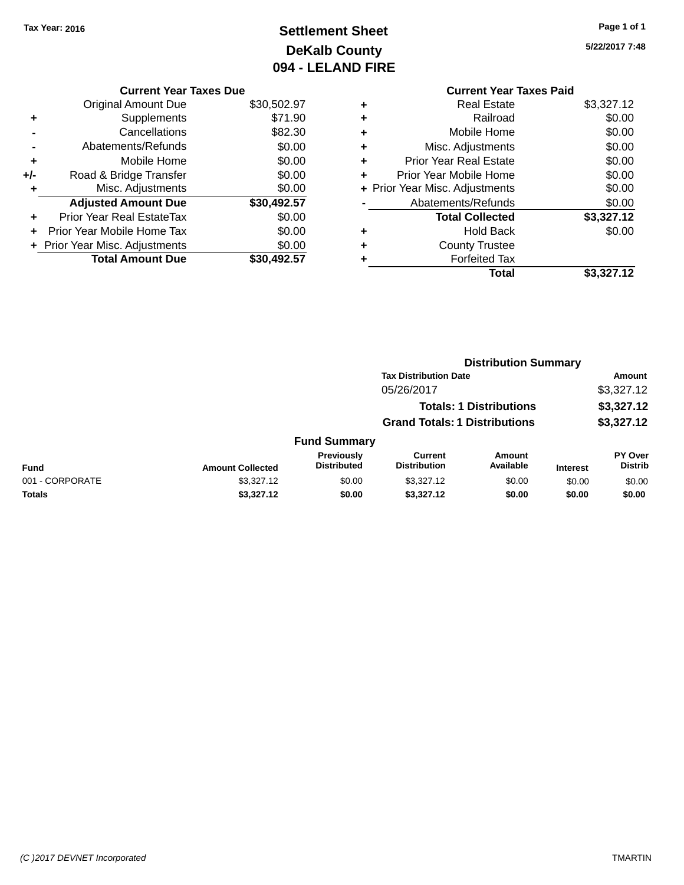# **Settlement Sheet Tax Year: 2016 Page 1 of 1 DeKalb County 094 - LELAND FIRE**

**5/22/2017 7:48**

| <b>Current Year Taxes Due</b>  |             |
|--------------------------------|-------------|
| <b>Original Amount Due</b>     | \$30,502.97 |
| Supplements                    | \$71.90     |
| Cancellations                  | \$82.30     |
| Abatements/Refunds             | \$0.00      |
| Mobile Home                    | \$0.00      |
| Road & Bridge Transfer         | \$0.00      |
| Misc. Adjustments              | \$0.00      |
| <b>Adjusted Amount Due</b>     | \$30,492.57 |
| Prior Year Real EstateTax      | \$0.00      |
| Prior Year Mobile Home Tax     | \$0.00      |
| + Prior Year Misc. Adjustments | \$0.00      |
| <b>Total Amount Due</b>        | \$30,492.57 |
|                                |             |

# **Current Year Taxes Paid +** Real Estate \$3,327.12 **+** Railroad \$0.00 **+** Mobile Home \$0.00 **+** Misc. Adjustments \$0.00 **+** Prior Year Real Estate \$0.00 **+** Prior Year Mobile Home \$0.00 **+ Prior Year Misc. Adjustments**  $$0.00$ **-** Abatements/Refunds \$0.00 **Total Collected \$3,327.12 +** Hold Back \$0.00 **+** County Trustee **+** Forfeited Tax **Total \$3,327.12**

|                 |                         | <b>Distribution Summary</b>      |                                       |                                |                 |                                  |
|-----------------|-------------------------|----------------------------------|---------------------------------------|--------------------------------|-----------------|----------------------------------|
|                 |                         |                                  | <b>Tax Distribution Date</b>          |                                |                 | Amount                           |
|                 |                         |                                  | 05/26/2017                            |                                |                 | \$3,327.12                       |
|                 |                         |                                  |                                       | <b>Totals: 1 Distributions</b> |                 | \$3,327.12                       |
|                 |                         |                                  | <b>Grand Totals: 1 Distributions</b>  |                                |                 | \$3,327.12                       |
|                 |                         | <b>Fund Summary</b>              |                                       |                                |                 |                                  |
| Fund            | <b>Amount Collected</b> | Previously<br><b>Distributed</b> | <b>Current</b><br><b>Distribution</b> | Amount<br>Available            | <b>Interest</b> | <b>PY Over</b><br><b>Distrib</b> |
| 001 - CORPORATE | \$3,327.12              | \$0.00                           | \$3,327.12                            | \$0.00                         | \$0.00          | \$0.00                           |
| Totals          | \$3,327.12              | \$0.00                           | \$3,327.12                            | \$0.00                         | \$0.00          | \$0.00                           |
|                 |                         |                                  |                                       |                                |                 |                                  |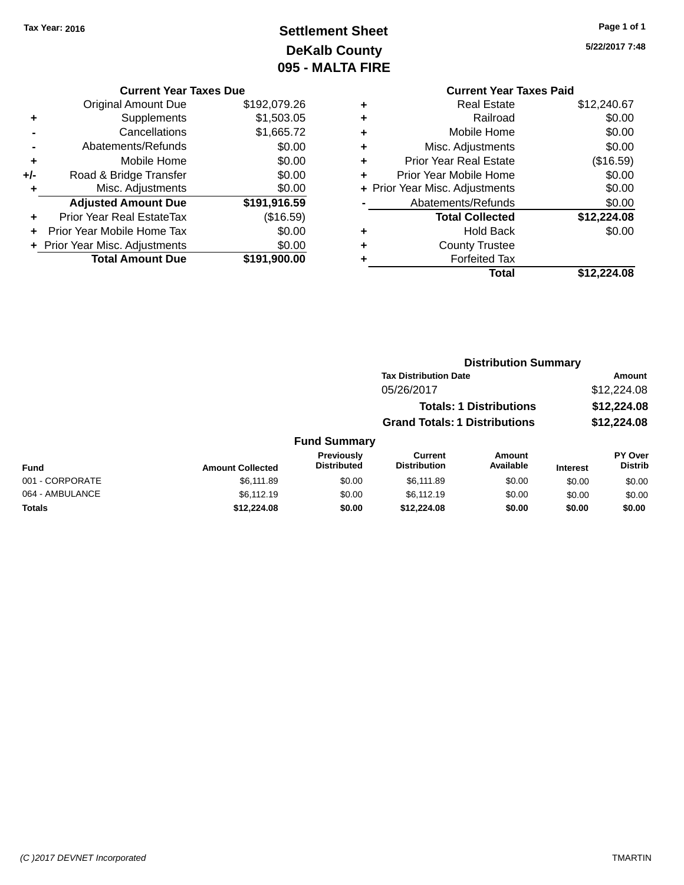# **Settlement Sheet Tax Year: 2016 Page 1 of 1 DeKalb County 095 - MALTA FIRE**

**5/22/2017 7:48**

#### **Current Year Taxes Due**

|     | <b>Original Amount Due</b>     | \$192,079.26 |
|-----|--------------------------------|--------------|
| ٠   | Supplements                    | \$1,503.05   |
|     | Cancellations                  | \$1,665.72   |
|     | Abatements/Refunds             | \$0.00       |
| ٠   | Mobile Home                    | \$0.00       |
| +/- | Road & Bridge Transfer         | \$0.00       |
| ٠   | Misc. Adjustments              | \$0.00       |
|     | <b>Adjusted Amount Due</b>     | \$191,916.59 |
| ÷   | Prior Year Real EstateTax      | (\$16.59)    |
|     | Prior Year Mobile Home Tax     | \$0.00       |
|     | + Prior Year Misc. Adjustments | \$0.00       |
|     | <b>Total Amount Due</b>        | \$191,900.00 |

|   | <b>Current Year Taxes Paid</b> |             |
|---|--------------------------------|-------------|
| ٠ | <b>Real Estate</b>             | \$12,240.67 |
| ٠ | Railroad                       | \$0.00      |
| ٠ | Mobile Home                    | \$0.00      |
|   | Misc. Adjustments              | \$0.00      |
| ٠ | <b>Prior Year Real Estate</b>  | (\$16.59)   |
| ÷ | Prior Year Mobile Home         | \$0.00      |
|   | + Prior Year Misc. Adjustments | \$0.00      |
|   | Abatements/Refunds             | \$0.00      |
|   | <b>Total Collected</b>         | \$12,224.08 |
|   | <b>Hold Back</b>               | \$0.00      |
|   | <b>County Trustee</b>          |             |
|   | <b>Forfeited Tax</b>           |             |
|   | Total                          | \$12,224.08 |
|   |                                |             |

#### **Distribution Summary Tax Distribution Date Amount** 05/26/2017 \$12,224.08 **Totals: 1 Distributions \$12,224.08 Grand Totals: 1 Distributions \$12,224.08 Fund Summary PY Over Amount Current Previously**

| Fund            | <b>Amount Collected</b> | <b>Previously</b><br>Distributed | Current<br><b>Distribution</b> | Amount<br>Available | <b>Interest</b> | <b>PY Over</b><br><b>Distrib</b> |
|-----------------|-------------------------|----------------------------------|--------------------------------|---------------------|-----------------|----------------------------------|
| 001 - CORPORATE | \$6.111.89              | \$0.00                           | \$6.111.89                     | \$0.00              | \$0.00          | \$0.00                           |
| 064 - AMBULANCE | \$6.112.19              | \$0.00                           | \$6,112.19                     | \$0.00              | \$0.00          | \$0.00                           |
| Totals          | \$12,224.08             | \$0.00                           | \$12,224.08                    | \$0.00              | \$0.00          | \$0.00                           |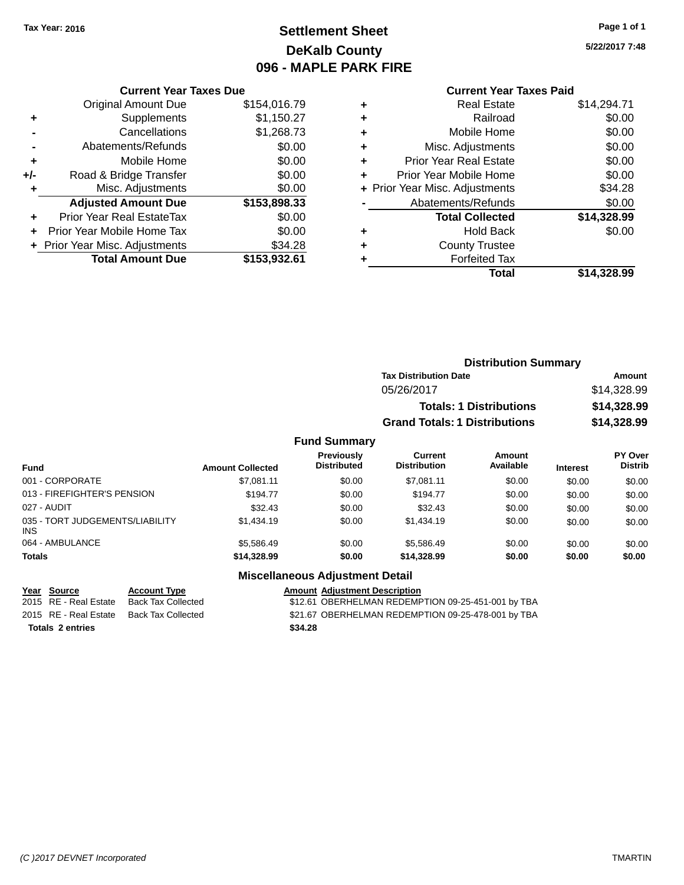# **Settlement Sheet Tax Year: 2016 Page 1 of 1 DeKalb County 096 - MAPLE PARK FIRE**

**5/22/2017 7:48**

### **Current Year Taxes Paid**

| <b>Current Year Taxes Due</b> |                                |
|-------------------------------|--------------------------------|
| <b>Original Amount Due</b>    | \$154,016.79                   |
| Supplements                   | \$1,150.27                     |
| Cancellations                 | \$1,268.73                     |
| Abatements/Refunds            | \$0.00                         |
| Mobile Home                   | \$0.00                         |
| Road & Bridge Transfer        | \$0.00                         |
| Misc. Adjustments             | \$0.00                         |
| <b>Adjusted Amount Due</b>    | \$153,898.33                   |
| Prior Year Real EstateTax     | \$0.00                         |
| Prior Year Mobile Home Tax    | \$0.00                         |
|                               | \$34.28                        |
| <b>Total Amount Due</b>       | \$153.932.61                   |
|                               | + Prior Year Misc. Adjustments |

| ٠ | <b>Real Estate</b>             | \$14,294.71 |
|---|--------------------------------|-------------|
| ٠ | Railroad                       | \$0.00      |
| ٠ | Mobile Home                    | \$0.00      |
| ٠ | Misc. Adjustments              | \$0.00      |
| ٠ | <b>Prior Year Real Estate</b>  | \$0.00      |
| ٠ | Prior Year Mobile Home         | \$0.00      |
|   | + Prior Year Misc. Adjustments | \$34.28     |
|   | Abatements/Refunds             | \$0.00      |
|   | <b>Total Collected</b>         | \$14,328.99 |
| ٠ | <b>Hold Back</b>               | \$0.00      |
| ٠ | <b>County Trustee</b>          |             |
| ٠ | <b>Forfeited Tax</b>           |             |
|   | Total                          | \$14,328.99 |
|   |                                |             |

|                     | <b>Distribution Summary</b>          |             |
|---------------------|--------------------------------------|-------------|
|                     | <b>Tax Distribution Date</b>         | Amount      |
|                     | 05/26/2017                           | \$14,328.99 |
|                     | <b>Totals: 1 Distributions</b>       | \$14,328.99 |
|                     | <b>Grand Totals: 1 Distributions</b> | \$14,328.99 |
| <b>Fund Summary</b> |                                      |             |

#### **Fund Interest Amount Collected Distributed PY Over Distrib Amount Available Current Distribution Previously** 001 - CORPORATE \$7,081.11 \$0.00 \$7,081.11 \$0.00 \$0.00 \$0.00 013 - FIREFIGHTER'S PENSION \$194.77 \$0.00 \$194.77 \$0.00 \$0.00 \$0.00 \$0.00 \$0.00 027 - AUDIT \$32.43 \$0.00 \$32.43 \$0.00 \$0.00 \$0.00 035 - TORT JUDGEMENTS/LIABILITY INS \$1,434.19 \$0.00 \$1,434.19 \$0.00 \$0.00 \$0.00 064 - AMBULANCE \$5,586.49 \$0.00 \$5,586.49 \$0.00 \$0.00 \$0.00 **Totals \$14,328.99 \$0.00 \$14,328.99 \$0.00 \$0.00 \$0.00**

# **Totals 2 entries \$34.28**

#### **Miscellaneous Adjustment Detail Year Source Account Type Account Type Amount Adjustment Description**

2015 RE - Real Estate Back Tax Collected \$12.61 OBERHELMAN REDEMPTION 09-25-451-001 by TBA 2015 RE - Real Estate Back Tax Collected \$21.67 OBERHELMAN REDEMPTION 09-25-478-001 by TBA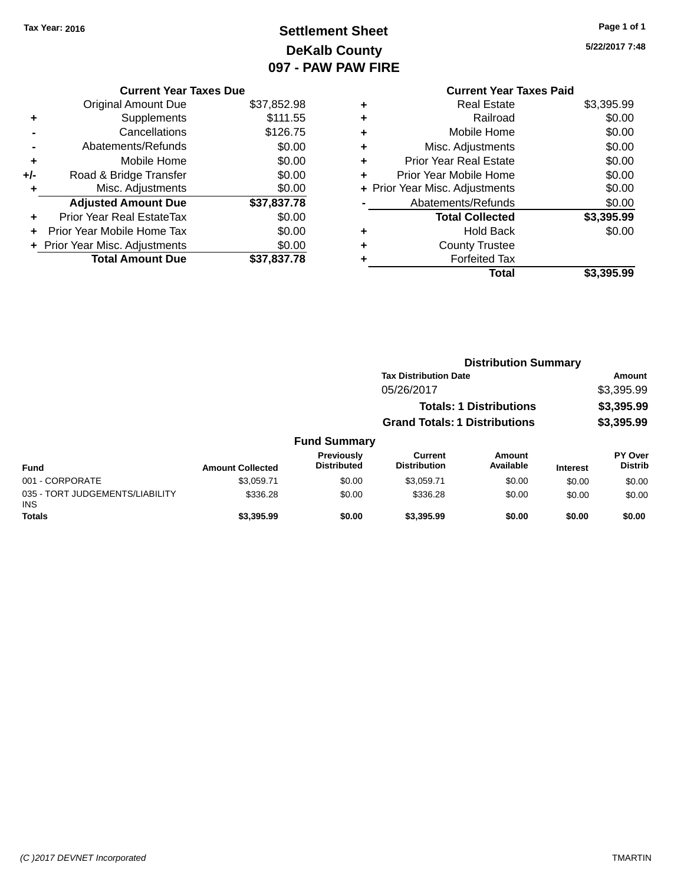# **Settlement Sheet Tax Year: 2016 Page 1 of 1 DeKalb County 097 - PAW PAW FIRE**

|     | <b>Current Year Taxes Due</b>  |             |
|-----|--------------------------------|-------------|
|     | <b>Original Amount Due</b>     | \$37,852.98 |
|     | Supplements                    | \$111.55    |
|     | Cancellations                  | \$126.75    |
|     | Abatements/Refunds             | \$0.00      |
| ٠   | Mobile Home                    | \$0.00      |
| +/- | Road & Bridge Transfer         | \$0.00      |
|     | Misc. Adjustments              | \$0.00      |
|     | <b>Adjusted Amount Due</b>     | \$37,837.78 |
| ٠   | Prior Year Real EstateTax      | \$0.00      |
|     | Prior Year Mobile Home Tax     | \$0.00      |
|     | + Prior Year Misc. Adjustments | \$0.00      |
|     | <b>Total Amount Due</b>        | \$37,837.78 |
|     |                                |             |

|   | <b>Current Year Taxes Paid</b> |            |
|---|--------------------------------|------------|
| ٠ | <b>Real Estate</b>             | \$3,395.99 |
| ٠ | Railroad                       | \$0.00     |
|   | Mobile Home                    | \$0.00     |
| ٠ | Misc. Adjustments              | \$0.00     |
| ÷ | <b>Prior Year Real Estate</b>  | \$0.00     |
|   | Prior Year Mobile Home         | \$0.00     |
| ÷ | Prior Year Misc. Adjustments   | \$0.00     |
|   | Abatements/Refunds             | \$0.00     |
|   | <b>Total Collected</b>         | \$3,395.99 |
|   | <b>Hold Back</b>               | \$0.00     |
|   | <b>County Trustee</b>          |            |
|   | <b>Forfeited Tax</b>           |            |
|   | Total                          | \$3.395.99 |
|   |                                |            |

|                                         |                         |                                  | <b>Distribution Summary</b>          |                                |                 |                           |
|-----------------------------------------|-------------------------|----------------------------------|--------------------------------------|--------------------------------|-----------------|---------------------------|
|                                         |                         |                                  | <b>Tax Distribution Date</b>         |                                |                 | Amount                    |
|                                         |                         |                                  | 05/26/2017                           |                                |                 | \$3,395.99                |
|                                         |                         |                                  |                                      | <b>Totals: 1 Distributions</b> |                 | \$3,395.99                |
|                                         |                         |                                  | <b>Grand Totals: 1 Distributions</b> |                                |                 | \$3,395.99                |
|                                         |                         | <b>Fund Summary</b>              |                                      |                                |                 |                           |
| <b>Fund</b>                             | <b>Amount Collected</b> | Previously<br><b>Distributed</b> | Current<br><b>Distribution</b>       | Amount<br>Available            | <b>Interest</b> | PY Over<br><b>Distrib</b> |
| 001 - CORPORATE                         | \$3.059.71              | \$0.00                           | \$3.059.71                           | \$0.00                         | \$0.00          | \$0.00                    |
| 035 - TORT JUDGEMENTS/LIABILITY<br>INS. | \$336.28                | \$0.00                           | \$336.28                             | \$0.00                         | \$0.00          | \$0.00                    |
| <b>Totals</b>                           | \$3,395.99              | \$0.00                           | \$3,395.99                           | \$0.00                         | \$0.00          | \$0.00                    |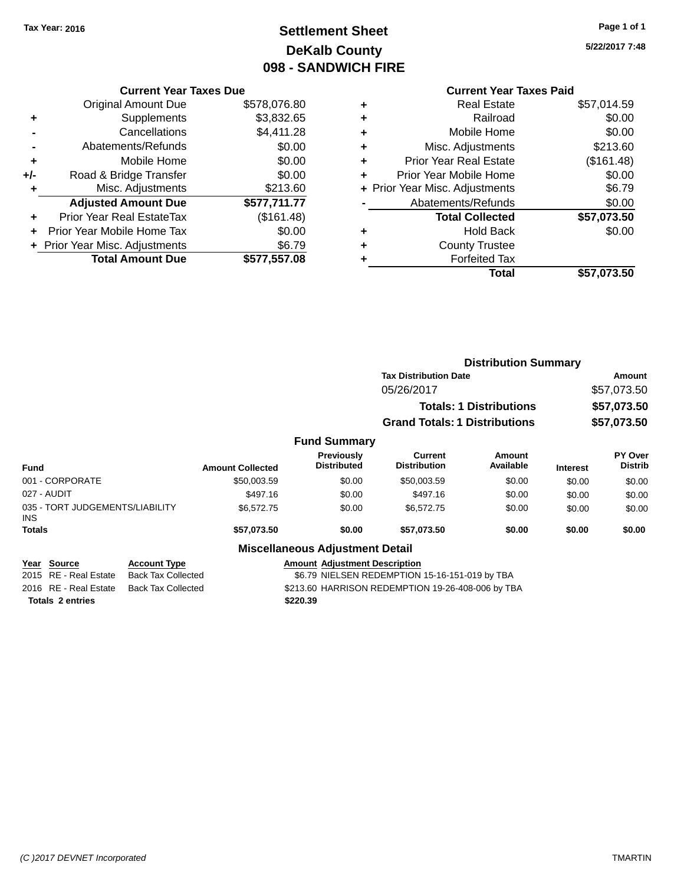# **Settlement Sheet Tax Year: 2016 Page 1 of 1 DeKalb County 098 - SANDWICH FIRE**

**5/22/2017 7:48**

# **Current Year Taxes Paid**

|     | <b>Current Year Taxes Due</b>  |              |
|-----|--------------------------------|--------------|
|     | <b>Original Amount Due</b>     | \$578,076.80 |
| ٠   | Supplements                    | \$3,832.65   |
|     | Cancellations                  | \$4,411.28   |
|     | Abatements/Refunds             | \$0.00       |
| ٠   | Mobile Home                    | \$0.00       |
| +/- | Road & Bridge Transfer         | \$0.00       |
| ٠   | Misc. Adjustments              | \$213.60     |
|     | <b>Adjusted Amount Due</b>     | \$577,711.77 |
| ÷   | Prior Year Real EstateTax      | (\$161.48)   |
| ÷   | Prior Year Mobile Home Tax     | \$0.00       |
|     | + Prior Year Misc. Adjustments | \$6.79       |
|     | <b>Total Amount Due</b>        | \$577,557.08 |
|     |                                |              |

| ٠ | <b>Real Estate</b>             | \$57,014.59 |
|---|--------------------------------|-------------|
| ٠ | Railroad                       | \$0.00      |
| ٠ | Mobile Home                    | \$0.00      |
| ٠ | Misc. Adjustments              | \$213.60    |
| ٠ | <b>Prior Year Real Estate</b>  | (\$161.48)  |
| ٠ | Prior Year Mobile Home         | \$0.00      |
|   | + Prior Year Misc. Adjustments | \$6.79      |
|   | Abatements/Refunds             | \$0.00      |
|   | <b>Total Collected</b>         | \$57,073.50 |
| ٠ | <b>Hold Back</b>               | \$0.00      |
| ٠ | <b>County Trustee</b>          |             |
| ٠ | <b>Forfeited Tax</b>           |             |
|   | Total                          | \$57,073.50 |
|   |                                |             |

|                                                                                                    |                         |                                                   | <b>Distribution Summary</b>                    |                                |                 |                           |  |
|----------------------------------------------------------------------------------------------------|-------------------------|---------------------------------------------------|------------------------------------------------|--------------------------------|-----------------|---------------------------|--|
|                                                                                                    |                         |                                                   | <b>Tax Distribution Date</b>                   |                                |                 | Amount                    |  |
|                                                                                                    |                         |                                                   | 05/26/2017                                     |                                |                 | \$57,073.50               |  |
|                                                                                                    |                         |                                                   |                                                | <b>Totals: 1 Distributions</b> |                 | \$57,073.50               |  |
|                                                                                                    |                         |                                                   | <b>Grand Totals: 1 Distributions</b>           |                                |                 | \$57,073.50               |  |
|                                                                                                    |                         | <b>Fund Summary</b>                               |                                                |                                |                 |                           |  |
| <b>Fund</b>                                                                                        | <b>Amount Collected</b> | <b>Previously</b><br><b>Distributed</b>           | <b>Current</b><br><b>Distribution</b>          | Amount<br>Available            | <b>Interest</b> | PY Over<br><b>Distrib</b> |  |
| 001 - CORPORATE                                                                                    | \$50,003.59             | \$0.00                                            | \$50,003.59                                    | \$0.00                         | \$0.00          | \$0.00                    |  |
| 027 - AUDIT                                                                                        | \$497.16                | \$0.00                                            | \$497.16                                       | \$0.00                         | \$0.00          | \$0.00                    |  |
| 035 - TORT JUDGEMENTS/LIABILITY<br><b>INS</b>                                                      | \$6,572.75              | \$0.00                                            | \$6,572.75                                     | \$0.00                         | \$0.00          | \$0.00                    |  |
| <b>Totals</b>                                                                                      | \$57,073.50             | \$0.00                                            | \$57,073.50                                    | \$0.00                         | \$0.00          | \$0.00                    |  |
|                                                                                                    |                         | <b>Miscellaneous Adjustment Detail</b>            |                                                |                                |                 |                           |  |
| <b>Account Type</b><br><b>Source</b><br>Year<br>2015 RE - Real Estate<br><b>Back Tax Collected</b> |                         | <b>Amount Adjustment Description</b>              | \$6.79 NIELSEN REDEMPTION 15-16-151-019 by TBA |                                |                 |                           |  |
| 2016 RE - Real Estate<br><b>Back Tax Collected</b>                                                 |                         | \$213.60 HARRISON REDEMPTION 19-26-408-006 by TBA |                                                |                                |                 |                           |  |

**Totals 2 entries \$220.39**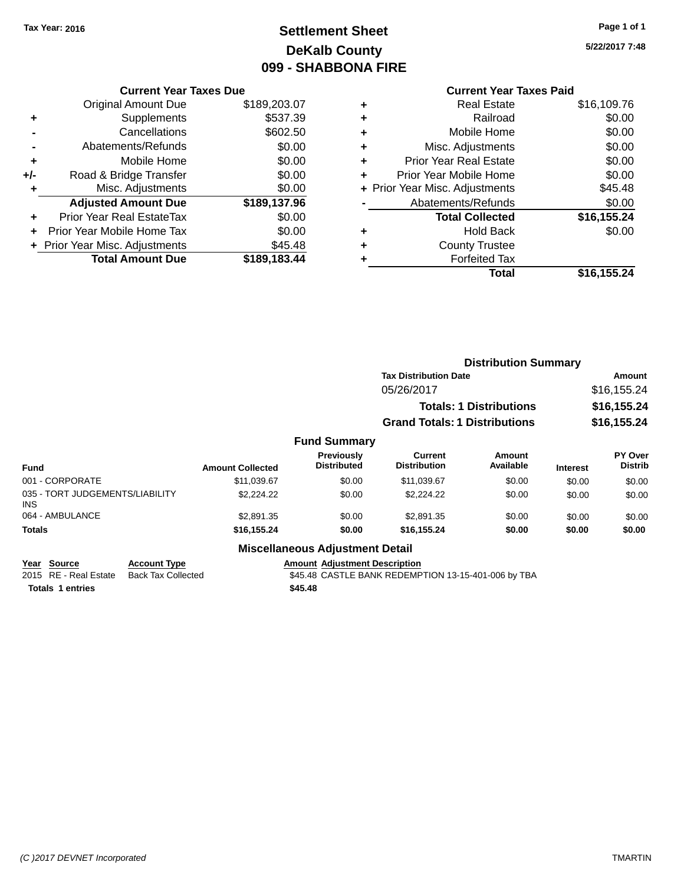# **Settlement Sheet Tax Year: 2016 Page 1 of 1 DeKalb County 099 - SHABBONA FIRE**

**5/22/2017 7:48**

| <b>Current Year Taxes Due</b> |              |
|-------------------------------|--------------|
| <b>Original Amount Due</b>    | \$189,203.07 |
| Supplements                   | \$537.39     |
| Cancellations                 | \$602.50     |
| Abatements/Refunds            | \$0.00       |
| Mobile Home                   | \$0.00       |
| Road & Bridge Transfer        | \$0.00       |
| Misc. Adjustments             | \$0.00       |
| <b>Adjusted Amount Due</b>    | \$189,137.96 |
| Prior Year Real EstateTax     | \$0.00       |
| Prior Year Mobile Home Tax    | \$0.00       |
| Prior Year Misc. Adjustments  | \$45.48      |
| <b>Total Amount Due</b>       | \$189,183.44 |
|                               |              |

|   | <b>Current Year Taxes Paid</b> |             |
|---|--------------------------------|-------------|
| ٠ | <b>Real Estate</b>             | \$16,109.76 |
| ٠ | Railroad                       | \$0.00      |
| ٠ | Mobile Home                    | \$0.00      |
| ٠ | Misc. Adjustments              | \$0.00      |
| ٠ | <b>Prior Year Real Estate</b>  | \$0.00      |
| ٠ | Prior Year Mobile Home         | \$0.00      |
|   | + Prior Year Misc. Adjustments | \$45.48     |
|   | Abatements/Refunds             | \$0.00      |
|   | <b>Total Collected</b>         | \$16,155.24 |
| ٠ | <b>Hold Back</b>               | \$0.00      |
| ٠ | <b>County Trustee</b>          |             |
| ٠ | <b>Forfeited Tax</b>           |             |
|   | <b>Total</b>                   | \$16,155.24 |

|                                         |                         |                                  | <b>Distribution Summary</b>           |                                |                 |                           |
|-----------------------------------------|-------------------------|----------------------------------|---------------------------------------|--------------------------------|-----------------|---------------------------|
|                                         |                         |                                  | <b>Tax Distribution Date</b>          |                                |                 | Amount                    |
|                                         |                         |                                  | 05/26/2017                            |                                |                 | \$16,155.24               |
|                                         |                         |                                  |                                       | <b>Totals: 1 Distributions</b> |                 | \$16,155.24               |
|                                         |                         |                                  | <b>Grand Totals: 1 Distributions</b>  |                                |                 | \$16,155.24               |
|                                         |                         | <b>Fund Summary</b>              |                                       |                                |                 |                           |
| <b>Fund</b>                             | <b>Amount Collected</b> | Previously<br><b>Distributed</b> | <b>Current</b><br><b>Distribution</b> | Amount<br>Available            | <b>Interest</b> | PY Over<br><b>Distrib</b> |
| 001 - CORPORATE                         | \$11,039.67             | \$0.00                           | \$11,039.67                           | \$0.00                         | \$0.00          | \$0.00                    |
| 035 - TORT JUDGEMENTS/LIABILITY<br>INS. | \$2,224.22              | \$0.00                           | \$2,224.22                            | \$0.00                         | \$0.00          | \$0.00                    |
| 064 - AMBULANCE                         | \$2,891.35              | \$0.00                           | \$2.891.35                            | \$0.00                         | \$0.00          | \$0.00                    |
| <b>Totals</b>                           | \$16,155.24             | \$0.00                           | \$16,155.24                           | \$0.00                         | \$0.00          | \$0.00                    |
|                                         |                         | Miccellanesus Adjustment Detail  |                                       |                                |                 |                           |

#### **Miscellaneous Adjustment Detail**

| Year Source           | <b>Account Type</b> | <b>Amount Adiustment Description</b>                |
|-----------------------|---------------------|-----------------------------------------------------|
| 2015 RE - Real Estate | Back Tax Collected  | \$45.48 CASTLE BANK REDEMPTION 13-15-401-006 by TBA |
| Totals 1 entries      |                     | \$45.48                                             |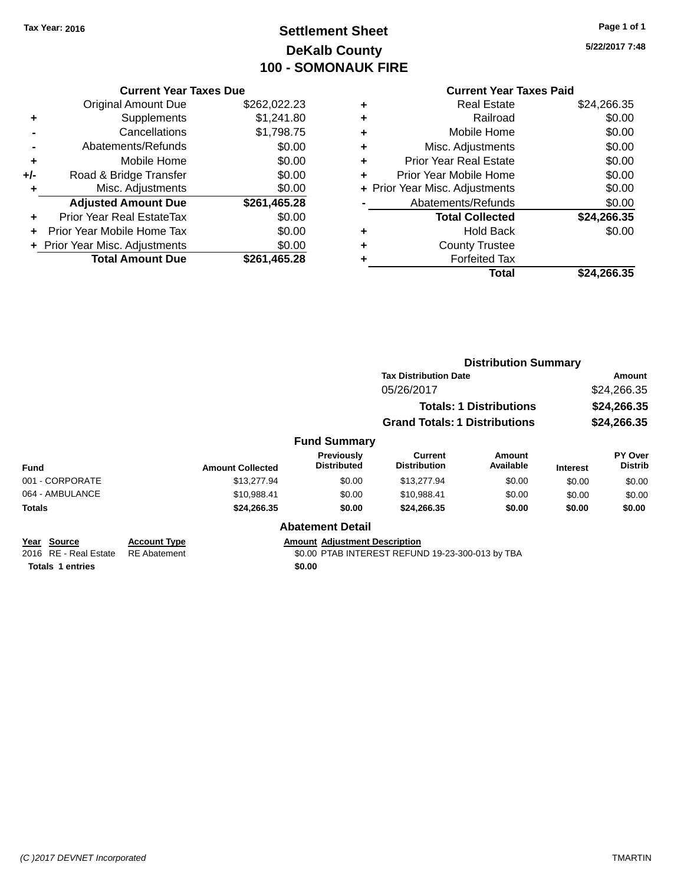# **Settlement Sheet Tax Year: 2016 Page 1 of 1 DeKalb County 100 - SOMONAUK FIRE**

|     | <b>Current Year Taxes Due</b>    |              |
|-----|----------------------------------|--------------|
|     | <b>Original Amount Due</b>       | \$262,022.23 |
| ٠   | Supplements                      | \$1,241.80   |
|     | Cancellations                    | \$1,798.75   |
|     | Abatements/Refunds               | \$0.00       |
| ٠   | Mobile Home                      | \$0.00       |
| +/- | Road & Bridge Transfer           | \$0.00       |
| ٠   | Misc. Adjustments                | \$0.00       |
|     | <b>Adjusted Amount Due</b>       | \$261,465.28 |
| ÷   | <b>Prior Year Real EstateTax</b> | \$0.00       |
| ÷   | Prior Year Mobile Home Tax       | \$0.00       |
|     | + Prior Year Misc. Adjustments   | \$0.00       |
|     | <b>Total Amount Due</b>          | \$261.465.28 |

|   | <b>Current Year Taxes Paid</b> |             |
|---|--------------------------------|-------------|
| ٠ | <b>Real Estate</b>             | \$24,266.35 |
| ٠ | Railroad                       | \$0.00      |
| ٠ | Mobile Home                    | \$0.00      |
| ٠ | Misc. Adjustments              | \$0.00      |
| ٠ | <b>Prior Year Real Estate</b>  | \$0.00      |
| ٠ | Prior Year Mobile Home         | \$0.00      |
|   | + Prior Year Misc. Adjustments | \$0.00      |
|   | Abatements/Refunds             | \$0.00      |
|   | <b>Total Collected</b>         | \$24,266.35 |
| ٠ | <b>Hold Back</b>               | \$0.00      |
|   | <b>County Trustee</b>          |             |
|   | <b>Forfeited Tax</b>           |             |
|   | Total                          | \$24,266.35 |
|   |                                |             |

|                                                                 |                                            |                         |                                                | <b>Distribution Summary</b>                      |                                |                 |                           |
|-----------------------------------------------------------------|--------------------------------------------|-------------------------|------------------------------------------------|--------------------------------------------------|--------------------------------|-----------------|---------------------------|
|                                                                 |                                            |                         |                                                | <b>Tax Distribution Date</b>                     |                                |                 | Amount                    |
|                                                                 |                                            |                         |                                                | 05/26/2017                                       |                                |                 | \$24,266.35               |
|                                                                 |                                            |                         |                                                |                                                  | <b>Totals: 1 Distributions</b> |                 | \$24,266.35               |
|                                                                 |                                            |                         |                                                | <b>Grand Totals: 1 Distributions</b>             |                                |                 | \$24,266.35               |
|                                                                 |                                            |                         | <b>Fund Summary</b>                            |                                                  |                                |                 |                           |
| <b>Fund</b>                                                     |                                            | <b>Amount Collected</b> | <b>Previously</b><br><b>Distributed</b>        | Current<br><b>Distribution</b>                   | Amount<br>Available            | <b>Interest</b> | PY Over<br><b>Distrib</b> |
| 001 - CORPORATE                                                 |                                            | \$13,277.94             | \$0.00                                         | \$13,277.94                                      | \$0.00                         | \$0.00          | \$0.00                    |
| 064 - AMBULANCE                                                 |                                            | \$10,988.41             | \$0.00                                         | \$10,988.41                                      | \$0.00                         | \$0.00          | \$0.00                    |
| <b>Totals</b>                                                   |                                            | \$24,266.35             | \$0.00                                         | \$24,266.35                                      | \$0.00                         | \$0.00          | \$0.00                    |
|                                                                 |                                            |                         | <b>Abatement Detail</b>                        |                                                  |                                |                 |                           |
| Year Source<br>2016 RE - Real Estate<br><b>Totals 1 entries</b> | <b>Account Type</b><br><b>RE</b> Abatement |                         | <b>Amount Adjustment Description</b><br>\$0.00 | \$0.00 PTAB INTEREST REFUND 19-23-300-013 by TBA |                                |                 |                           |
|                                                                 |                                            |                         |                                                |                                                  |                                |                 |                           |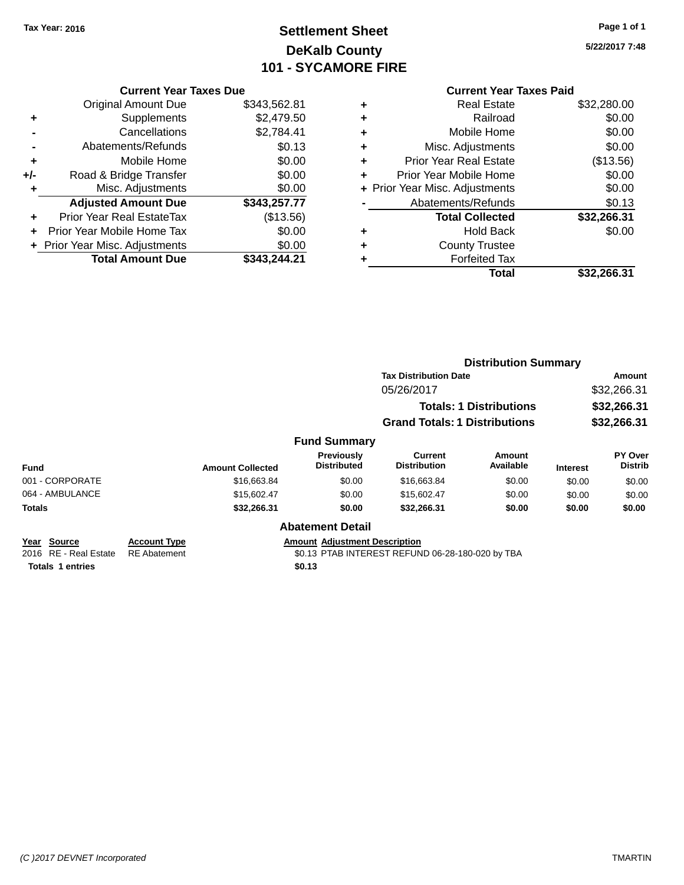# **Settlement Sheet Tax Year: 2016 Page 1 of 1 DeKalb County 101 - SYCAMORE FIRE**

| <b>Current Year Taxes Due</b>  |              |
|--------------------------------|--------------|
| <b>Original Amount Due</b>     | \$343,562.81 |
| Supplements                    | \$2,479.50   |
| Cancellations                  | \$2,784.41   |
| Abatements/Refunds             | \$0.13       |
| Mobile Home                    | \$0.00       |
| Road & Bridge Transfer         | \$0.00       |
| Misc. Adjustments              | \$0.00       |
| <b>Adjusted Amount Due</b>     | \$343,257.77 |
| Prior Year Real EstateTax      | (\$13.56)    |
| Prior Year Mobile Home Tax     | \$0.00       |
| + Prior Year Misc. Adjustments | \$0.00       |
| <b>Total Amount Due</b>        | \$343.244.21 |
|                                |              |

|   | <b>Current Year Taxes Paid</b> |             |
|---|--------------------------------|-------------|
| ٠ | <b>Real Estate</b>             | \$32,280.00 |
| ٠ | Railroad                       | \$0.00      |
| ٠ | Mobile Home                    | \$0.00      |
| ٠ | Misc. Adjustments              | \$0.00      |
| ٠ | <b>Prior Year Real Estate</b>  | (\$13.56)   |
| ٠ | Prior Year Mobile Home         | \$0.00      |
|   | + Prior Year Misc. Adjustments | \$0.00      |
|   | Abatements/Refunds             | \$0.13      |
|   | <b>Total Collected</b>         | \$32,266.31 |
| ٠ | <b>Hold Back</b>               | \$0.00      |
| ٠ | <b>County Trustee</b>          |             |
|   | <b>Forfeited Tax</b>           |             |
|   | Total                          | \$32,266.31 |
|   |                                |             |

|                                      |                                            |                         |                                         | <b>Distribution Summary</b>                      |                                |                 |                           |
|--------------------------------------|--------------------------------------------|-------------------------|-----------------------------------------|--------------------------------------------------|--------------------------------|-----------------|---------------------------|
|                                      |                                            |                         |                                         | <b>Tax Distribution Date</b>                     |                                |                 | Amount                    |
|                                      |                                            |                         |                                         | 05/26/2017                                       |                                |                 | \$32,266.31               |
|                                      |                                            |                         |                                         |                                                  | <b>Totals: 1 Distributions</b> | \$32,266.31     |                           |
|                                      |                                            |                         |                                         | <b>Grand Totals: 1 Distributions</b>             |                                |                 | \$32,266.31               |
|                                      |                                            |                         | <b>Fund Summary</b>                     |                                                  |                                |                 |                           |
| <b>Fund</b>                          |                                            | <b>Amount Collected</b> | <b>Previously</b><br><b>Distributed</b> | Current<br><b>Distribution</b>                   | Amount<br>Available            | <b>Interest</b> | PY Over<br><b>Distrib</b> |
| 001 - CORPORATE                      |                                            | \$16,663.84             | \$0.00                                  | \$16,663.84                                      | \$0.00                         | \$0.00          | \$0.00                    |
| 064 - AMBULANCE                      |                                            | \$15,602.47             | \$0.00                                  | \$15,602.47                                      | \$0.00                         | \$0.00          | \$0.00                    |
| <b>Totals</b>                        |                                            | \$32,266.31             | \$0.00                                  | \$32,266.31                                      | \$0.00                         | \$0.00          | \$0.00                    |
|                                      |                                            |                         | <b>Abatement Detail</b>                 |                                                  |                                |                 |                           |
| Year Source<br>2016 RE - Real Estate | <b>Account Type</b><br><b>RE</b> Abatement |                         | <b>Amount Adjustment Description</b>    | \$0.13 PTAB INTEREST REFUND 06-28-180-020 by TBA |                                |                 |                           |
| <b>Totals 1 entries</b>              |                                            |                         | \$0.13                                  |                                                  |                                |                 |                           |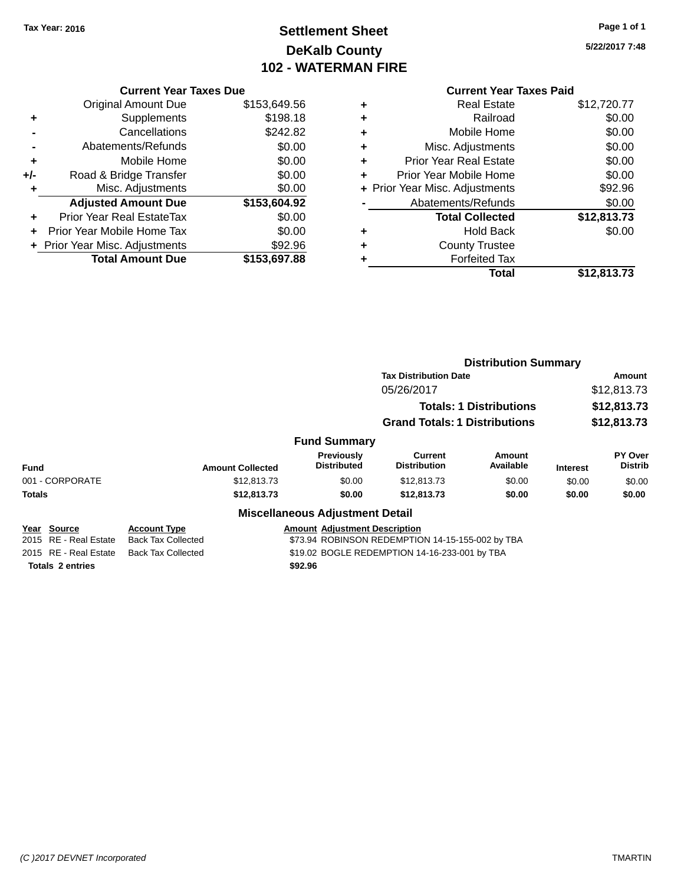# **Settlement Sheet Tax Year: 2016 Page 1 of 1 DeKalb County 102 - WATERMAN FIRE**

**5/22/2017 7:48**

### **Current Year Taxes Due**

|       | <b>Original Amount Due</b>     | \$153,649.56 |
|-------|--------------------------------|--------------|
| ٠     | Supplements                    | \$198.18     |
|       | Cancellations                  | \$242.82     |
|       | Abatements/Refunds             | \$0.00       |
| ٠     | Mobile Home                    | \$0.00       |
| $+/-$ | Road & Bridge Transfer         | \$0.00       |
| ٠     | Misc. Adjustments              | \$0.00       |
|       | <b>Adjusted Amount Due</b>     | \$153,604.92 |
| ٠     | Prior Year Real EstateTax      | \$0.00       |
|       | Prior Year Mobile Home Tax     | \$0.00       |
|       | + Prior Year Misc. Adjustments | \$92.96      |
|       | <b>Total Amount Due</b>        | \$153,697.88 |

|   | <b>Current Year Taxes Paid</b> |             |
|---|--------------------------------|-------------|
| ٠ | <b>Real Estate</b>             | \$12,720.77 |
| ٠ | Railroad                       | \$0.00      |
| ٠ | Mobile Home                    | \$0.00      |
| ٠ | Misc. Adjustments              | \$0.00      |
| ٠ | <b>Prior Year Real Estate</b>  | \$0.00      |
| ٠ | Prior Year Mobile Home         | \$0.00      |
|   | + Prior Year Misc. Adjustments | \$92.96     |
|   | Abatements/Refunds             | \$0.00      |
|   | <b>Total Collected</b>         | \$12,813.73 |
|   | <b>Hold Back</b>               | \$0.00      |
| ٠ | <b>County Trustee</b>          |             |
|   | <b>Forfeited Tax</b>           |             |
|   | Total                          | \$12,813.73 |
|   |                                |             |

|                       |                           |                                                  | <b>Distribution Summary</b>          |                     |                 |                           |             |
|-----------------------|---------------------------|--------------------------------------------------|--------------------------------------|---------------------|-----------------|---------------------------|-------------|
|                       |                           |                                                  | <b>Tax Distribution Date</b>         |                     |                 | Amount                    |             |
|                       |                           |                                                  | 05/26/2017                           |                     |                 | \$12,813.73               |             |
|                       |                           | <b>Totals: 1 Distributions</b>                   |                                      |                     |                 |                           | \$12,813.73 |
|                       |                           |                                                  | <b>Grand Totals: 1 Distributions</b> |                     |                 | \$12,813.73               |             |
|                       |                           | <b>Fund Summary</b>                              |                                      |                     |                 |                           |             |
| <b>Fund</b>           | <b>Amount Collected</b>   | Previously<br><b>Distributed</b>                 | Current<br><b>Distribution</b>       | Amount<br>Available | <b>Interest</b> | PY Over<br><b>Distrib</b> |             |
| 001 - CORPORATE       | \$12,813.73               | \$0.00                                           | \$12,813.73                          | \$0.00              | \$0.00          | \$0.00                    |             |
| <b>Totals</b>         | \$12,813.73               | \$0.00                                           | \$12,813.73                          | \$0.00              | \$0.00          | \$0.00                    |             |
|                       |                           | <b>Miscellaneous Adjustment Detail</b>           |                                      |                     |                 |                           |             |
| Year Source           | <b>Account Type</b>       | <b>Amount Adjustment Description</b>             |                                      |                     |                 |                           |             |
| 2015 RE - Real Estate | <b>Back Tax Collected</b> | \$73.94 ROBINSON REDEMPTION 14-15-155-002 by TBA |                                      |                     |                 |                           |             |
| 2015 RE - Real Estate | <b>Back Tax Collected</b> | \$19.02 BOGLE REDEMPTION 14-16-233-001 by TBA    |                                      |                     |                 |                           |             |

**Totals 2 entries \$92.96**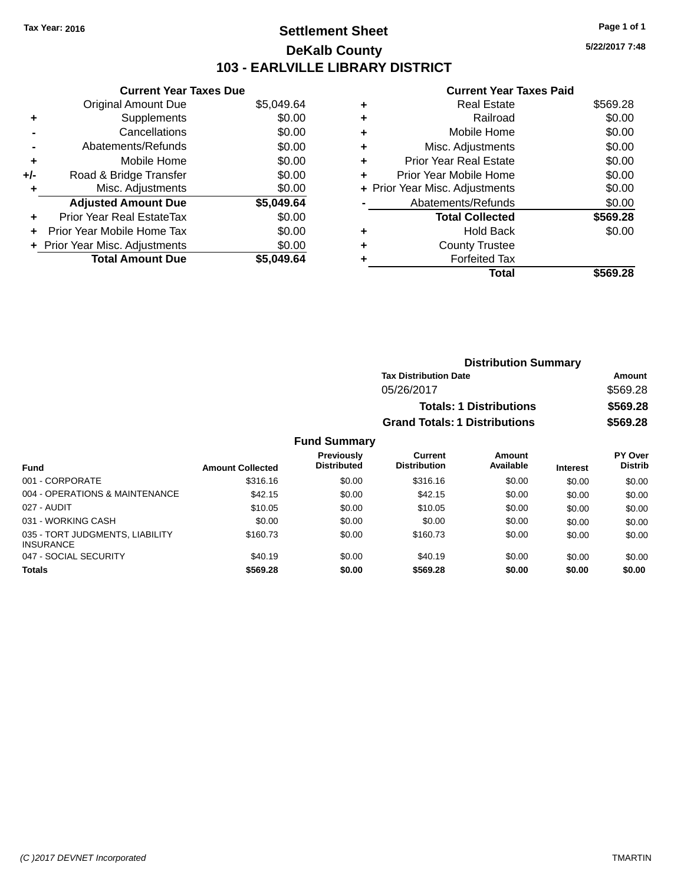# **Settlement Sheet Tax Year: 2016 Page 1 of 1 DeKalb County 103 - EARLVILLE LIBRARY DISTRICT**

**5/22/2017 7:48**

#### **Current Year Taxes Paid**

| <b>Current Year Taxes Due</b> |            |
|-------------------------------|------------|
| <b>Original Amount Due</b>    | \$5,049.64 |
| Supplements                   | \$0.00     |
| Cancellations                 | \$0.00     |
| Abatements/Refunds            | \$0.00     |
| Mobile Home                   | \$0.00     |
| Road & Bridge Transfer        | \$0.00     |
| Misc. Adjustments             | \$0.00     |
| <b>Adjusted Amount Due</b>    | \$5,049.64 |
| Prior Year Real EstateTax     | \$0.00     |
| Prior Year Mobile Home Tax    | \$0.00     |
| Prior Year Misc. Adjustments  | \$0.00     |
| <b>Total Amount Due</b>       | \$5.049.64 |
|                               |            |

|   | Total                          | \$569.28 |
|---|--------------------------------|----------|
| ٠ | <b>Forfeited Tax</b>           |          |
| ٠ | <b>County Trustee</b>          |          |
| ٠ | <b>Hold Back</b>               | \$0.00   |
|   | <b>Total Collected</b>         | \$569.28 |
|   | Abatements/Refunds             | \$0.00   |
|   | + Prior Year Misc. Adjustments | \$0.00   |
| ٠ | Prior Year Mobile Home         | \$0.00   |
| ٠ | <b>Prior Year Real Estate</b>  | \$0.00   |
| ٠ | Misc. Adjustments              | \$0.00   |
| ٠ | Mobile Home                    | \$0.00   |
| ٠ | Railroad                       | \$0.00   |
| ٠ | <b>Real Estate</b>             | \$569.28 |
|   |                                |          |

| <b>Distribution Summary</b>          |          |
|--------------------------------------|----------|
| <b>Tax Distribution Date</b>         | Amount   |
| 05/26/2017                           | \$569.28 |
| <b>Totals: 1 Distributions</b>       | \$569.28 |
| <b>Grand Totals: 1 Distributions</b> | \$569.28 |

#### **Fund Summary**

| <b>Fund</b>                                         | <b>Amount Collected</b> | <b>Previously</b><br><b>Distributed</b> | Current<br><b>Distribution</b> | Amount<br>Available | <b>Interest</b> | <b>PY Over</b><br><b>Distrib</b> |
|-----------------------------------------------------|-------------------------|-----------------------------------------|--------------------------------|---------------------|-----------------|----------------------------------|
| 001 - CORPORATE                                     | \$316.16                | \$0.00                                  | \$316.16                       | \$0.00              | \$0.00          | \$0.00                           |
| 004 - OPERATIONS & MAINTENANCE                      | \$42.15                 | \$0.00                                  | \$42.15                        | \$0.00              | \$0.00          | \$0.00                           |
| 027 - AUDIT                                         | \$10.05                 | \$0.00                                  | \$10.05                        | \$0.00              | \$0.00          | \$0.00                           |
| 031 - WORKING CASH                                  | \$0.00                  | \$0.00                                  | \$0.00                         | \$0.00              | \$0.00          | \$0.00                           |
| 035 - TORT JUDGMENTS, LIABILITY<br><b>INSURANCE</b> | \$160.73                | \$0.00                                  | \$160.73                       | \$0.00              | \$0.00          | \$0.00                           |
| 047 - SOCIAL SECURITY                               | \$40.19                 | \$0.00                                  | \$40.19                        | \$0.00              | \$0.00          | \$0.00                           |
| <b>Totals</b>                                       | \$569.28                | \$0.00                                  | \$569.28                       | \$0.00              | \$0.00          | \$0.00                           |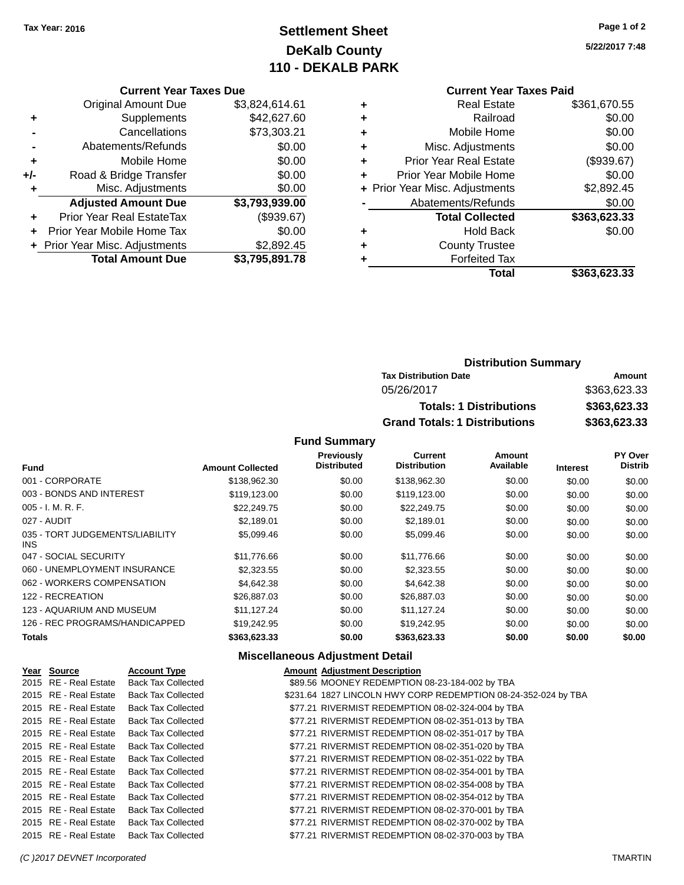# **Settlement Sheet Tax Year: 2016 Page 1 of 2 DeKalb County 110 - DEKALB PARK**

**5/22/2017 7:48**

#### **Current Year Taxes Due**

|     | <b>Original Amount Due</b>       | \$3,824,614.61 |
|-----|----------------------------------|----------------|
| ٠   | Supplements                      | \$42,627.60    |
|     | Cancellations                    | \$73,303.21    |
|     | Abatements/Refunds               | \$0.00         |
| ٠   | Mobile Home                      | \$0.00         |
| +/- | Road & Bridge Transfer           | \$0.00         |
| ٠   | Misc. Adjustments                | \$0.00         |
|     | <b>Adjusted Amount Due</b>       | \$3,793,939.00 |
|     | <b>Prior Year Real EstateTax</b> | (\$939.67)     |
|     | Prior Year Mobile Home Tax       | \$0.00         |
|     | + Prior Year Misc. Adjustments   | \$2,892.45     |
|     | <b>Total Amount Due</b>          | \$3,795,891.78 |

#### **Current Year Taxes Paid**

|   | <b>Real Estate</b>             | \$361,670.55 |
|---|--------------------------------|--------------|
| ÷ | Railroad                       | \$0.00       |
| ٠ | Mobile Home                    | \$0.00       |
| ٠ | Misc. Adjustments              | \$0.00       |
| ٠ | <b>Prior Year Real Estate</b>  | (\$939.67)   |
| ٠ | Prior Year Mobile Home         | \$0.00       |
|   | + Prior Year Misc. Adjustments | \$2,892.45   |
|   | Abatements/Refunds             | \$0.00       |
|   | <b>Total Collected</b>         | \$363,623.33 |
| ٠ | <b>Hold Back</b>               | \$0.00       |
| ٠ | <b>County Trustee</b>          |              |
| ٠ | <b>Forfeited Tax</b>           |              |
|   | Total                          | \$363,623.33 |
|   |                                |              |

# **Distribution Summary Tax Distribution Date Amount** 05/26/2017 \$363,623.33 **Totals: 1 Distributions \$363,623.33 Grand Totals: 1 Distributions \$363,623.33**

#### **Fund Summary**

|                                         |                         | <b>Previously</b>  | Current             | Amount    |                 | PY Over        |
|-----------------------------------------|-------------------------|--------------------|---------------------|-----------|-----------------|----------------|
| <b>Fund</b>                             | <b>Amount Collected</b> | <b>Distributed</b> | <b>Distribution</b> | Available | <b>Interest</b> | <b>Distrib</b> |
| 001 - CORPORATE                         | \$138,962.30            | \$0.00             | \$138,962.30        | \$0.00    | \$0.00          | \$0.00         |
| 003 - BONDS AND INTEREST                | \$119,123.00            | \$0.00             | \$119,123.00        | \$0.00    | \$0.00          | \$0.00         |
| $005 - I. M. R. F.$                     | \$22,249.75             | \$0.00             | \$22,249.75         | \$0.00    | \$0.00          | \$0.00         |
| 027 - AUDIT                             | \$2.189.01              | \$0.00             | \$2,189.01          | \$0.00    | \$0.00          | \$0.00         |
| 035 - TORT JUDGEMENTS/LIABILITY<br>INS. | \$5,099.46              | \$0.00             | \$5,099.46          | \$0.00    | \$0.00          | \$0.00         |
| 047 - SOCIAL SECURITY                   | \$11,776.66             | \$0.00             | \$11,776.66         | \$0.00    | \$0.00          | \$0.00         |
| 060 - UNEMPLOYMENT INSURANCE            | \$2,323.55              | \$0.00             | \$2,323.55          | \$0.00    | \$0.00          | \$0.00         |
| 062 - WORKERS COMPENSATION              | \$4.642.38              | \$0.00             | \$4,642.38          | \$0.00    | \$0.00          | \$0.00         |
| 122 - RECREATION                        | \$26,887.03             | \$0.00             | \$26,887.03         | \$0.00    | \$0.00          | \$0.00         |
| 123 - AQUARIUM AND MUSEUM               | \$11.127.24             | \$0.00             | \$11.127.24         | \$0.00    | \$0.00          | \$0.00         |
| 126 - REC PROGRAMS/HANDICAPPED          | \$19.242.95             | \$0.00             | \$19,242.95         | \$0.00    | \$0.00          | \$0.00         |
| <b>Totals</b>                           | \$363.623.33            | \$0.00             | \$363.623.33        | \$0.00    | \$0.00          | \$0.00         |

#### **Miscellaneous Adjustment Detail**

| Year Source           | <b>Account Type</b>       | <b>Amount Adjustment Description</b>                           |
|-----------------------|---------------------------|----------------------------------------------------------------|
| 2015 RE - Real Estate | <b>Back Tax Collected</b> | \$89.56 MOONEY REDEMPTION 08-23-184-002 by TBA                 |
| 2015 RE - Real Estate | <b>Back Tax Collected</b> | \$231.64 1827 LINCOLN HWY CORP REDEMPTION 08-24-352-024 by TBA |
| 2015 RE - Real Estate | <b>Back Tax Collected</b> | \$77.21 RIVERMIST REDEMPTION 08-02-324-004 by TBA              |
| 2015 RE - Real Estate | <b>Back Tax Collected</b> | \$77.21 RIVERMIST REDEMPTION 08-02-351-013 by TBA              |
| 2015 RE - Real Estate | <b>Back Tax Collected</b> | \$77.21 RIVERMIST REDEMPTION 08-02-351-017 by TBA              |
| 2015 RE - Real Estate | <b>Back Tax Collected</b> | \$77.21 RIVERMIST REDEMPTION 08-02-351-020 by TBA              |
| 2015 RE - Real Estate | <b>Back Tax Collected</b> | \$77.21 RIVERMIST REDEMPTION 08-02-351-022 by TBA              |
| 2015 RE - Real Estate | <b>Back Tax Collected</b> | \$77.21 RIVERMIST REDEMPTION 08-02-354-001 by TBA              |
| 2015 RE - Real Estate | <b>Back Tax Collected</b> | \$77.21 RIVERMIST REDEMPTION 08-02-354-008 by TBA              |
| 2015 RE - Real Estate | <b>Back Tax Collected</b> | \$77.21 RIVERMIST REDEMPTION 08-02-354-012 by TBA              |
| 2015 RE - Real Estate | <b>Back Tax Collected</b> | \$77.21 RIVERMIST REDEMPTION 08-02-370-001 by TBA              |
| 2015 RE - Real Estate | <b>Back Tax Collected</b> | \$77.21 RIVERMIST REDEMPTION 08-02-370-002 by TBA              |
| 2015 RE - Real Estate | <b>Back Tax Collected</b> | \$77.21 RIVERMIST REDEMPTION 08-02-370-003 by TBA              |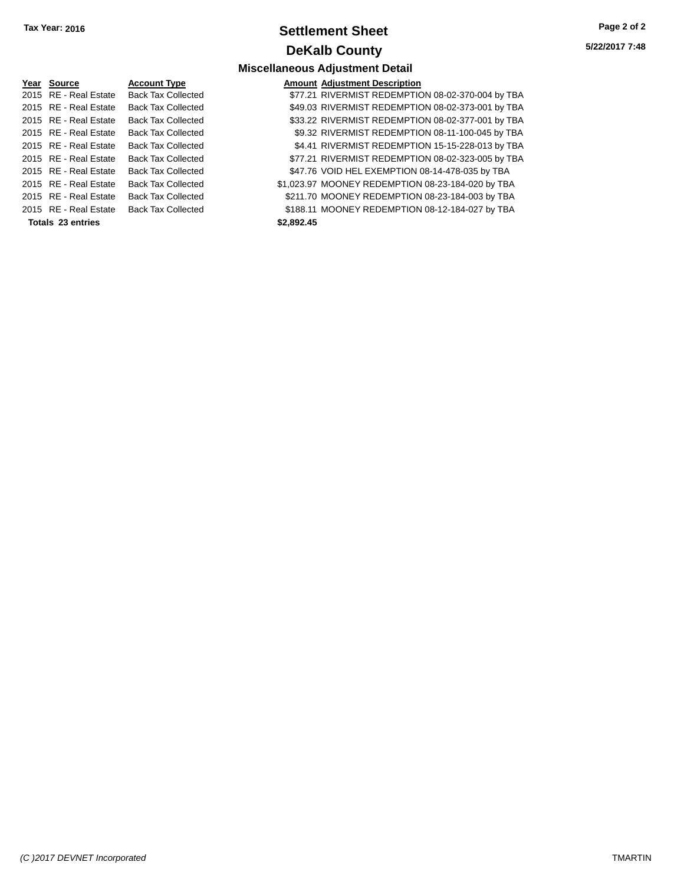# **Settlement Sheet Tax Year: 2016 Page 2 of 2 DeKalb County**

**Miscellaneous Adjustment Detail**

**5/22/2017 7:48**

#### **Year Source Account Type** 2015 RE - Real Estate Back Tax Collected 2015 RE - Real Estate Back Tax Collected 2015 RE - Real Estate Back Tax Collected 2015 RE - Real Estate Back Tax Collected 2015 RE - Real Estate Back Tax Collected 2015 RE - Real Estate Back Tax Collected 2015 RE - Real Estate Back Tax Collected 2015 RE - Real Estate Back Tax Collected 2015 RE - Real Estate Back Tax Collected 2015 RE - Real Estate Back Tax Collected **Totals 23 entries \$2,892.45**

|           | <b>Amount Adjustment Description</b>              |
|-----------|---------------------------------------------------|
|           | \$77.21 RIVERMIST REDEMPTION 08-02-370-004 by TBA |
|           | \$49.03 RIVERMIST REDEMPTION 08-02-373-001 by TBA |
|           | \$33.22 RIVERMIST REDEMPTION 08-02-377-001 by TBA |
|           | \$9.32 RIVERMIST REDEMPTION 08-11-100-045 by TBA  |
|           | \$4.41 RIVERMIST REDEMPTION 15-15-228-013 by TBA  |
|           | \$77.21 RIVERMIST REDEMPTION 08-02-323-005 by TBA |
|           | \$47.76 VOID HEL EXEMPTION 08-14-478-035 by TBA   |
|           | \$1,023.97 MOONEY REDEMPTION 08-23-184-020 by TBA |
|           | \$211.70 MOONEY REDEMPTION 08-23-184-003 by TBA   |
|           | \$188.11 MOONEY REDEMPTION 08-12-184-027 by TBA   |
| en ann se |                                                   |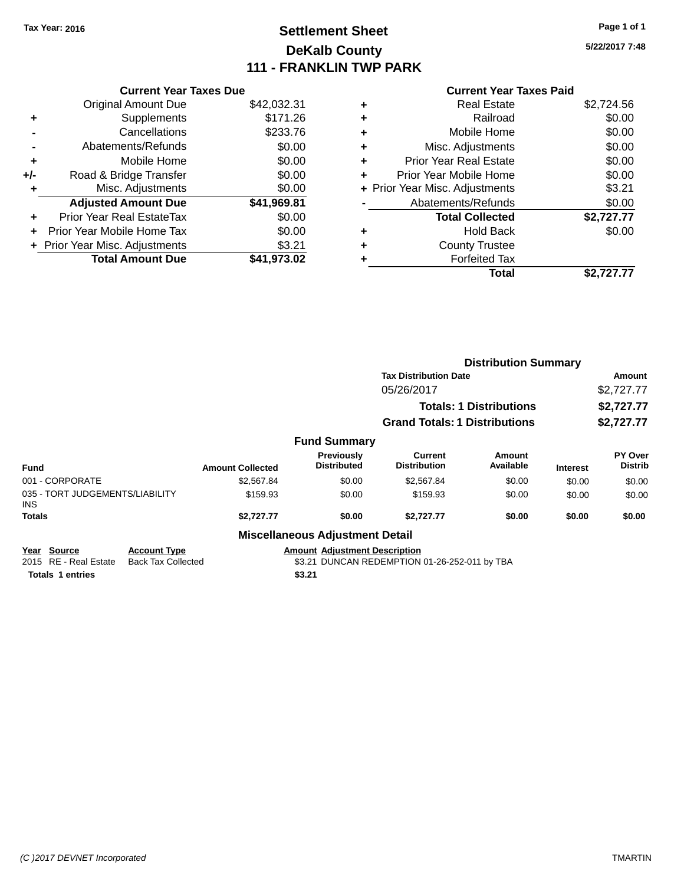# **Settlement Sheet Tax Year: 2016 Page 1 of 1 DeKalb County 111 - FRANKLIN TWP PARK**

**5/22/2017 7:48**

### **Current Year Taxes Paid**

|     | <b>Current Year Taxes Due</b>    |             |
|-----|----------------------------------|-------------|
|     | <b>Original Amount Due</b>       | \$42,032.31 |
| ٠   | Supplements                      | \$171.26    |
|     | Cancellations                    | \$233.76    |
|     | Abatements/Refunds               | \$0.00      |
| ٠   | Mobile Home                      | \$0.00      |
| +/- | Road & Bridge Transfer           | \$0.00      |
| ٠   | Misc. Adjustments                | \$0.00      |
|     | <b>Adjusted Amount Due</b>       | \$41,969.81 |
| ÷   | <b>Prior Year Real EstateTax</b> | \$0.00      |
| ÷   | Prior Year Mobile Home Tax       | \$0.00      |
|     | + Prior Year Misc. Adjustments   | \$3.21      |
|     | <b>Total Amount Due</b>          | \$41.973.02 |

|   | <b>Real Estate</b>             | \$2,724.56 |
|---|--------------------------------|------------|
| ٠ | Railroad                       | \$0.00     |
| ٠ | Mobile Home                    | \$0.00     |
| ٠ | Misc. Adjustments              | \$0.00     |
| ٠ | <b>Prior Year Real Estate</b>  | \$0.00     |
| ٠ | Prior Year Mobile Home         | \$0.00     |
|   | + Prior Year Misc. Adjustments | \$3.21     |
|   | Abatements/Refunds             | \$0.00     |
|   | <b>Total Collected</b>         | \$2,727.77 |
| ٠ | Hold Back                      | \$0.00     |
|   | <b>County Trustee</b>          |            |
| ٠ | <b>Forfeited Tax</b>           |            |
|   | Total                          | \$2.727.77 |
|   |                                |            |

|                                                |                                                  |                         |                                         | <b>Distribution Summary</b>                   |                                |                 |                           |
|------------------------------------------------|--------------------------------------------------|-------------------------|-----------------------------------------|-----------------------------------------------|--------------------------------|-----------------|---------------------------|
|                                                |                                                  |                         |                                         | <b>Tax Distribution Date</b>                  |                                |                 | Amount                    |
|                                                |                                                  |                         |                                         | 05/26/2017                                    |                                |                 | \$2,727.77                |
|                                                |                                                  |                         |                                         |                                               | <b>Totals: 1 Distributions</b> |                 | \$2,727.77                |
|                                                |                                                  |                         |                                         | <b>Grand Totals: 1 Distributions</b>          |                                |                 | \$2,727.77                |
|                                                |                                                  |                         | <b>Fund Summary</b>                     |                                               |                                |                 |                           |
| <b>Fund</b>                                    |                                                  | <b>Amount Collected</b> | <b>Previously</b><br><b>Distributed</b> | Current<br><b>Distribution</b>                | Amount<br>Available            | <b>Interest</b> | PY Over<br><b>Distrib</b> |
| 001 - CORPORATE                                |                                                  | \$2,567.84              | \$0.00                                  | \$2,567.84                                    | \$0.00                         | \$0.00          | \$0.00                    |
| 035 - TORT JUDGEMENTS/LIABILITY<br><b>INS</b>  |                                                  | \$159.93                | \$0.00                                  | \$159.93                                      | \$0.00                         | \$0.00          | \$0.00                    |
| <b>Totals</b>                                  |                                                  | \$2,727.77              | \$0.00                                  | \$2,727.77                                    | \$0.00                         | \$0.00          | \$0.00                    |
|                                                |                                                  |                         | <b>Miscellaneous Adjustment Detail</b>  |                                               |                                |                 |                           |
| <b>Source</b><br>Year<br>2015 RE - Real Estate | <b>Account Type</b><br><b>Back Tax Collected</b> |                         | <b>Amount Adjustment Description</b>    | \$3.21 DUNCAN REDEMPTION 01-26-252-011 by TBA |                                |                 |                           |
| <b>Totals 1 entries</b>                        |                                                  |                         | \$3.21                                  |                                               |                                |                 |                           |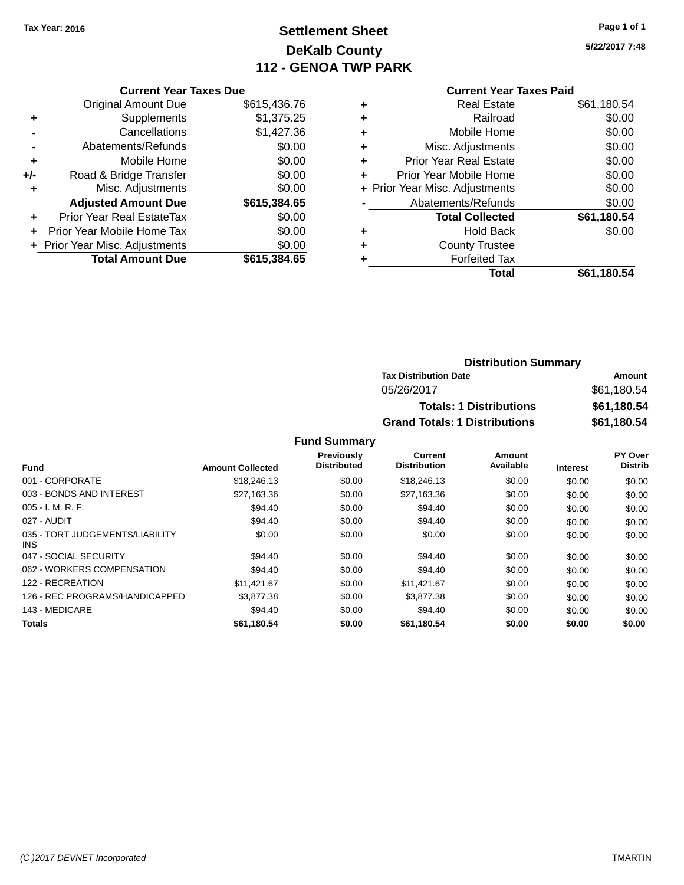# **Settlement Sheet Tax Year: 2016 Page 1 of 1 DeKalb County 112 - GENOA TWP PARK**

**5/22/2017 7:48**

|     | <b>Current Year Taxes Due</b>  |              |
|-----|--------------------------------|--------------|
|     | <b>Original Amount Due</b>     | \$615,436.76 |
| ٠   | Supplements                    | \$1,375.25   |
|     | Cancellations                  | \$1,427.36   |
|     | Abatements/Refunds             | \$0.00       |
| ٠   | Mobile Home                    | \$0.00       |
| +/- | Road & Bridge Transfer         | \$0.00       |
| ٠   | Misc. Adjustments              | \$0.00       |
|     | <b>Adjusted Amount Due</b>     | \$615,384.65 |
|     | Prior Year Real EstateTax      | \$0.00       |
|     | Prior Year Mobile Home Tax     | \$0.00       |
|     | + Prior Year Misc. Adjustments | \$0.00       |
|     | <b>Total Amount Due</b>        | \$615,384.65 |
|     |                                |              |

#### **Current Year Taxes Paid**

|   | <b>Real Estate</b>             | \$61,180.54 |
|---|--------------------------------|-------------|
| ٠ | Railroad                       | \$0.00      |
| ÷ | Mobile Home                    | \$0.00      |
| ٠ | Misc. Adjustments              | \$0.00      |
| ٠ | Prior Year Real Estate         | \$0.00      |
| ٠ | Prior Year Mobile Home         | \$0.00      |
|   | + Prior Year Misc. Adjustments | \$0.00      |
|   | Abatements/Refunds             | \$0.00      |
|   | <b>Total Collected</b>         | \$61,180.54 |
| ٠ | <b>Hold Back</b>               | \$0.00      |
| ٠ | <b>County Trustee</b>          |             |
|   | <b>Forfeited Tax</b>           |             |
|   | Total                          | \$61,180.54 |
|   |                                |             |

# **Distribution Summary Tax Distribution Date Amount** 05/26/2017 \$61,180.54 **Totals: 1 Distributions \$61,180.54 Grand Totals: 1 Distributions \$61,180.54**

#### **Fund Summary**

|                                         |                         | <b>Previously</b>  | Current             | Amount    |                 | PY Over        |
|-----------------------------------------|-------------------------|--------------------|---------------------|-----------|-----------------|----------------|
| <b>Fund</b>                             | <b>Amount Collected</b> | <b>Distributed</b> | <b>Distribution</b> | Available | <b>Interest</b> | <b>Distrib</b> |
| 001 - CORPORATE                         | \$18,246.13             | \$0.00             | \$18,246.13         | \$0.00    | \$0.00          | \$0.00         |
| 003 - BONDS AND INTEREST                | \$27,163.36             | \$0.00             | \$27,163.36         | \$0.00    | \$0.00          | \$0.00         |
| $005 - I. M. R. F.$                     | \$94.40                 | \$0.00             | \$94.40             | \$0.00    | \$0.00          | \$0.00         |
| 027 - AUDIT                             | \$94.40                 | \$0.00             | \$94.40             | \$0.00    | \$0.00          | \$0.00         |
| 035 - TORT JUDGEMENTS/LIABILITY<br>INS. | \$0.00                  | \$0.00             | \$0.00              | \$0.00    | \$0.00          | \$0.00         |
| 047 - SOCIAL SECURITY                   | \$94.40                 | \$0.00             | \$94.40             | \$0.00    | \$0.00          | \$0.00         |
| 062 - WORKERS COMPENSATION              | \$94.40                 | \$0.00             | \$94.40             | \$0.00    | \$0.00          | \$0.00         |
| 122 - RECREATION                        | \$11.421.67             | \$0.00             | \$11,421.67         | \$0.00    | \$0.00          | \$0.00         |
| 126 - REC PROGRAMS/HANDICAPPED          | \$3,877.38              | \$0.00             | \$3,877,38          | \$0.00    | \$0.00          | \$0.00         |
| 143 - MEDICARE                          | \$94.40                 | \$0.00             | \$94.40             | \$0.00    | \$0.00          | \$0.00         |
| Totals                                  | \$61.180.54             | \$0.00             | \$61.180.54         | \$0.00    | \$0.00          | \$0.00         |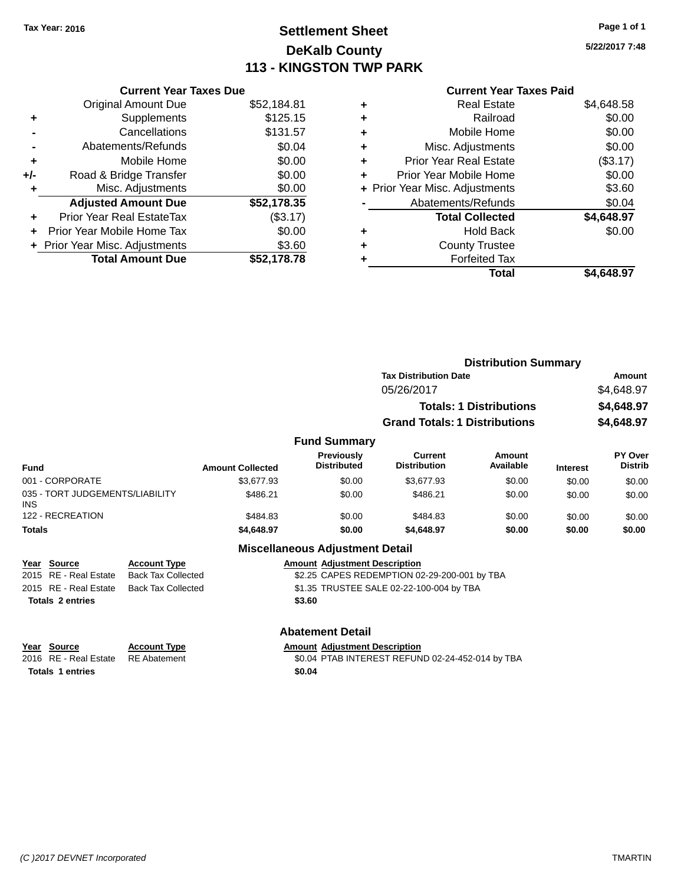# **Settlement Sheet Tax Year: 2016 Page 1 of 1 DeKalb County 113 - KINGSTON TWP PARK**

**5/22/2017 7:48**

|     | <b>Current Year Taxes Due</b>  |             |
|-----|--------------------------------|-------------|
|     | <b>Original Amount Due</b>     | \$52,184.81 |
| ٠   | Supplements                    | \$125.15    |
|     | Cancellations                  | \$131.57    |
|     | Abatements/Refunds             | \$0.04      |
| ÷   | Mobile Home                    | \$0.00      |
| +/- | Road & Bridge Transfer         | \$0.00      |
| ٠   | Misc. Adjustments              | \$0.00      |
|     | <b>Adjusted Amount Due</b>     | \$52,178.35 |
| ٠   | Prior Year Real EstateTax      | (\$3.17)    |
|     | Prior Year Mobile Home Tax     | \$0.00      |
|     | + Prior Year Misc. Adjustments | \$3.60      |
|     | <b>Total Amount Due</b>        | \$52.178.78 |
|     |                                |             |

# **Current Year Taxes Paid**

| ٠ | <b>Real Estate</b>             | \$4,648.58 |
|---|--------------------------------|------------|
| ٠ | Railroad                       | \$0.00     |
| ٠ | Mobile Home                    | \$0.00     |
| ٠ | Misc. Adjustments              | \$0.00     |
| ٠ | <b>Prior Year Real Estate</b>  | (\$3.17)   |
| ٠ | Prior Year Mobile Home         | \$0.00     |
|   | + Prior Year Misc. Adjustments | \$3.60     |
|   | Abatements/Refunds             | \$0.04     |
|   | <b>Total Collected</b>         | \$4,648.97 |
| ٠ | <b>Hold Back</b>               | \$0.00     |
| ٠ | <b>County Trustee</b>          |            |
|   | <b>Forfeited Tax</b>           |            |
|   | Total                          | \$4,648.97 |
|   |                                |            |

|                                                                                                            |                         |                                         | <b>Distribution Summary</b>                 |                                |                 |                                  |
|------------------------------------------------------------------------------------------------------------|-------------------------|-----------------------------------------|---------------------------------------------|--------------------------------|-----------------|----------------------------------|
|                                                                                                            |                         |                                         | <b>Tax Distribution Date</b>                |                                |                 | Amount                           |
|                                                                                                            |                         |                                         | 05/26/2017                                  |                                |                 | \$4,648.97                       |
|                                                                                                            |                         |                                         |                                             | <b>Totals: 1 Distributions</b> |                 | \$4,648.97                       |
|                                                                                                            |                         |                                         | <b>Grand Totals: 1 Distributions</b>        |                                |                 | \$4,648.97                       |
|                                                                                                            |                         | <b>Fund Summary</b>                     |                                             |                                |                 |                                  |
| <b>Fund</b>                                                                                                | <b>Amount Collected</b> | <b>Previously</b><br><b>Distributed</b> | <b>Current</b><br><b>Distribution</b>       | Amount<br>Available            | <b>Interest</b> | <b>PY Over</b><br><b>Distrib</b> |
| 001 - CORPORATE                                                                                            | \$3.677.93              | \$0.00                                  | \$3,677.93                                  | \$0.00                         | \$0.00          | \$0.00                           |
| 035 - TORT JUDGEMENTS/LIABILITY<br>INS.                                                                    | \$486.21                | \$0.00                                  | \$486.21                                    | \$0.00                         | \$0.00          | \$0.00                           |
| 122 - RECREATION                                                                                           | \$484.83                | \$0.00                                  | \$484.83                                    | \$0.00                         | \$0.00          | \$0.00                           |
| <b>Totals</b>                                                                                              | \$4,648.97              | \$0.00                                  | \$4,648.97                                  | \$0.00                         | \$0.00          | \$0.00                           |
|                                                                                                            |                         | <b>Miscellaneous Adjustment Detail</b>  |                                             |                                |                 |                                  |
| <b>Account Type</b><br>Year<br><b>Source</b><br>2015<br><b>DE Dool Ectoto</b><br><b>Book Toy Colloctod</b> |                         | <b>Amount Adjustment Description</b>    | CO OF CADES DENEMBTION 02.20.200.001 by TRA |                                |                 |                                  |

| <b>Totals 2 entries</b> |                                          | \$3.60                                       |
|-------------------------|------------------------------------------|----------------------------------------------|
|                         | 2015 RE - Real Estate Back Tax Collected | \$1.35 TRUSTEE SALE 02-22-100-004 by TBA     |
|                         | 2015 RE - Real Estate Back Tax Collected | \$2.25 CAPES REDEMPTION 02-29-200-001 by TBA |

| Year | Source |                         |  |
|------|--------|-------------------------|--|
| 0.10 | - nr   | <b>D</b> - - 1 <b>P</b> |  |

**Totals 1 entries \$0.04**

**Abatement Detail**

# **Year Source Account Type**<br>RE Abatement **Adjustment SO.04 PTAB INTEREST REFUN**

2016 RE - Real Estate RE Abatement \$0.04 PTAB INTEREST REFUND 02-24-452-014 by TBA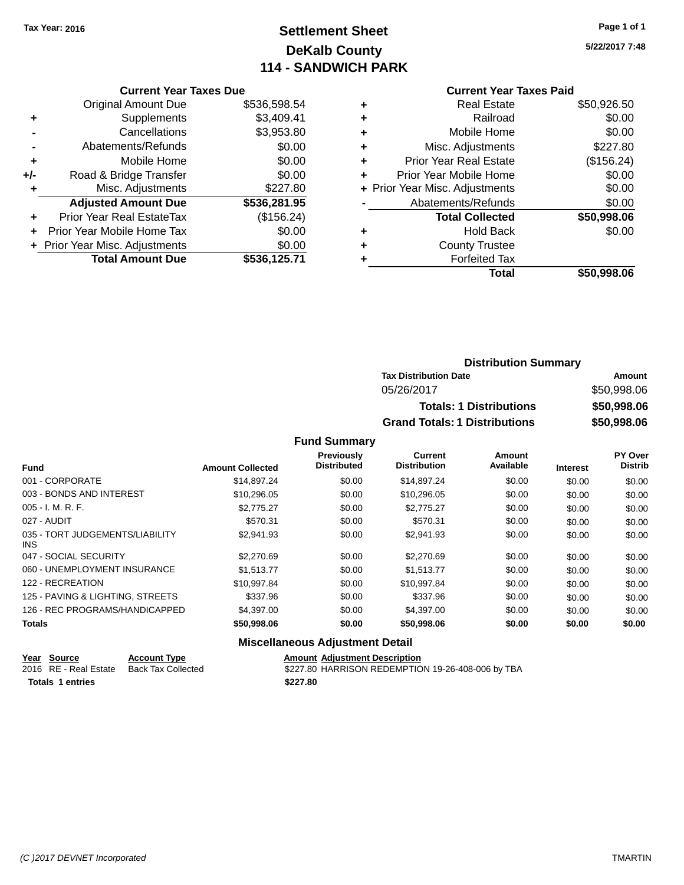# **Settlement Sheet Tax Year: 2016 Page 1 of 1 DeKalb County 114 - SANDWICH PARK**

**5/22/2017 7:48**

### **Current Year Taxes Due** Original Amount Due \$536,598.54 **+** Supplements \$3,409.41 **-** Cancellations \$3,953.80 **-** Abatements/Refunds \$0.00 **+** Mobile Home \$0.00 **+/-** Road & Bridge Transfer \$0.00 **+** Misc. Adjustments \$227.80 **Adjusted Amount Due \$536,281.95 +** Prior Year Real EstateTax (\$156.24) **+** Prior Year Mobile Home Tax \$0.00 **+** Prior Year Misc. Adjustments  $$0.00$ **Total Amount Due \$536,125.71**

# **Current Year Taxes Paid +** Real Estate \$50,926.50 **+** Railroad \$0.00 **+** Mobile Home \$0.00

|   | Total                          | \$50,998.06 |
|---|--------------------------------|-------------|
|   | <b>Forfeited Tax</b>           |             |
| ÷ | <b>County Trustee</b>          |             |
|   | <b>Hold Back</b>               | \$0.00      |
|   | <b>Total Collected</b>         | \$50,998.06 |
|   | Abatements/Refunds             | \$0.00      |
|   | + Prior Year Misc. Adjustments | \$0.00      |
|   | Prior Year Mobile Home         | \$0.00      |
| ÷ | <b>Prior Year Real Estate</b>  | (\$156.24)  |
|   | Misc. Adjustments              | \$227.80    |

# **Distribution Summary Tax Distribution Date Amount** 05/26/2017 \$50,998.06 **Totals: 1 Distributions \$50,998.06 Grand Totals: 1 Distributions \$50,998.06**

#### **Fund Summary**

|                                         |                         | Previously         | Current             | Amount    |                 | PY Over        |
|-----------------------------------------|-------------------------|--------------------|---------------------|-----------|-----------------|----------------|
| <b>Fund</b>                             | <b>Amount Collected</b> | <b>Distributed</b> | <b>Distribution</b> | Available | <b>Interest</b> | <b>Distrib</b> |
| 001 - CORPORATE                         | \$14,897.24             | \$0.00             | \$14,897.24         | \$0.00    | \$0.00          | \$0.00         |
| 003 - BONDS AND INTEREST                | \$10,296.05             | \$0.00             | \$10,296.05         | \$0.00    | \$0.00          | \$0.00         |
| $005 - I. M. R. F.$                     | \$2.775.27              | \$0.00             | \$2,775.27          | \$0.00    | \$0.00          | \$0.00         |
| 027 - AUDIT                             | \$570.31                | \$0.00             | \$570.31            | \$0.00    | \$0.00          | \$0.00         |
| 035 - TORT JUDGEMENTS/LIABILITY<br>INS. | \$2,941.93              | \$0.00             | \$2.941.93          | \$0.00    | \$0.00          | \$0.00         |
| 047 - SOCIAL SECURITY                   | \$2,270.69              | \$0.00             | \$2,270.69          | \$0.00    | \$0.00          | \$0.00         |
| 060 - UNEMPLOYMENT INSURANCE            | \$1.513.77              | \$0.00             | \$1.513.77          | \$0.00    | \$0.00          | \$0.00         |
| 122 - RECREATION                        | \$10.997.84             | \$0.00             | \$10.997.84         | \$0.00    | \$0.00          | \$0.00         |
| 125 - PAVING & LIGHTING, STREETS        | \$337.96                | \$0.00             | \$337.96            | \$0.00    | \$0.00          | \$0.00         |
| 126 - REC PROGRAMS/HANDICAPPED          | \$4,397.00              | \$0.00             | \$4,397.00          | \$0.00    | \$0.00          | \$0.00         |
| <b>Totals</b>                           | \$50,998.06             | \$0.00             | \$50,998.06         | \$0.00    | \$0.00          | \$0.00         |

#### **Miscellaneous Adjustment Detail**

| Year Source             | <b>Account Type</b> | <b>Amount Adiustment Description</b>              |
|-------------------------|---------------------|---------------------------------------------------|
| 2016 RE - Real Estate   | Back Tax Collected  | \$227.80 HARRISON REDEMPTION 19-26-408-006 by TBA |
| <b>Totals 1 entries</b> |                     | \$227.80                                          |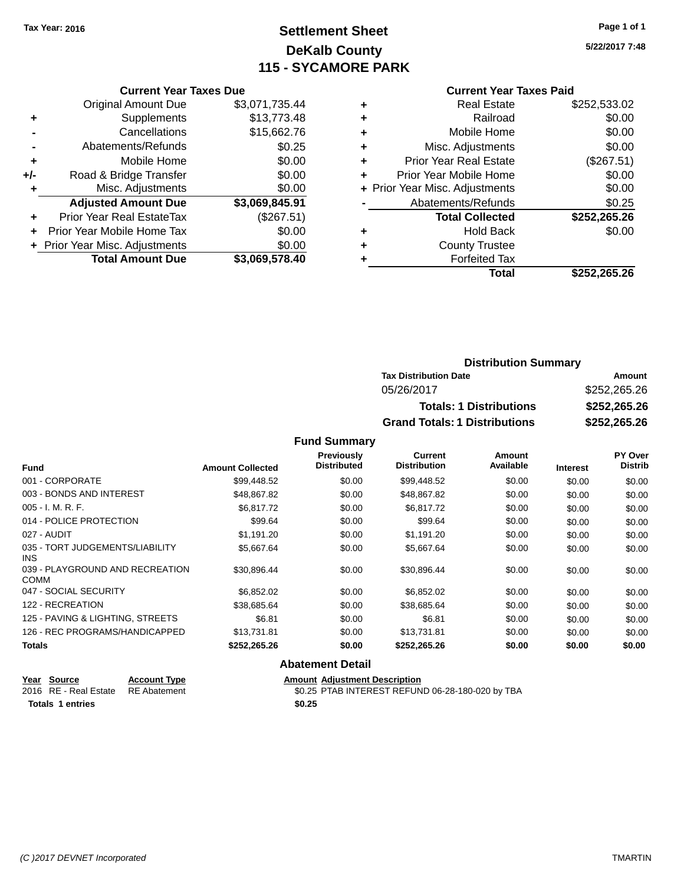# **Settlement Sheet Tax Year: 2016 Page 1 of 1 DeKalb County 115 - SYCAMORE PARK**

**5/22/2017 7:48**

#### **Current Year Taxes Paid**

|     | <b>Current Year Taxes Due</b>  |                |
|-----|--------------------------------|----------------|
|     | Original Amount Due            | \$3,071,735.44 |
| ٠   | Supplements                    | \$13,773.48    |
|     | Cancellations                  | \$15,662.76    |
|     | Abatements/Refunds             | \$0.25         |
| ٠   | Mobile Home                    | \$0.00         |
| +/- | Road & Bridge Transfer         | \$0.00         |
| ٠   | Misc. Adjustments              | \$0.00         |
|     | <b>Adjusted Amount Due</b>     | \$3,069,845.91 |
| ٠   | Prior Year Real EstateTax      | (\$267.51)     |
| ÷   | Prior Year Mobile Home Tax     | \$0.00         |
|     | + Prior Year Misc. Adjustments | \$0.00         |
|     | <b>Total Amount Due</b>        | \$3.069.578.40 |

| ٠ | <b>Real Estate</b>             | \$252,533.02 |
|---|--------------------------------|--------------|
| ٠ | Railroad                       | \$0.00       |
| ٠ | Mobile Home                    | \$0.00       |
| ٠ | Misc. Adjustments              | \$0.00       |
| ٠ | <b>Prior Year Real Estate</b>  | (\$267.51)   |
| ٠ | Prior Year Mobile Home         | \$0.00       |
|   | + Prior Year Misc. Adjustments | \$0.00       |
|   | Abatements/Refunds             | \$0.25       |
|   | <b>Total Collected</b>         | \$252,265.26 |
| ٠ | Hold Back                      | \$0.00       |
|   | <b>County Trustee</b>          |              |
| ٠ | <b>Forfeited Tax</b>           |              |
|   | Total                          | \$252,265.26 |
|   |                                |              |

# **Distribution Summary Tax Distribution Date Amount** 05/26/2017 \$252,265.26 **Totals: 1 Distributions \$252,265.26 Grand Totals: 1 Distributions \$252,265.26**

#### **Fund Summary**

|                                                |                         | Previously<br><b>Distributed</b> | Current<br><b>Distribution</b> | Amount<br>Available |                 | <b>PY Over</b><br><b>Distrib</b> |
|------------------------------------------------|-------------------------|----------------------------------|--------------------------------|---------------------|-----------------|----------------------------------|
| <b>Fund</b>                                    | <b>Amount Collected</b> |                                  |                                |                     | <b>Interest</b> |                                  |
| 001 - CORPORATE                                | \$99,448.52             | \$0.00                           | \$99,448.52                    | \$0.00              | \$0.00          | \$0.00                           |
| 003 - BONDS AND INTEREST                       | \$48,867.82             | \$0.00                           | \$48,867.82                    | \$0.00              | \$0.00          | \$0.00                           |
| $005 - I. M. R. F.$                            | \$6.817.72              | \$0.00                           | \$6,817.72                     | \$0.00              | \$0.00          | \$0.00                           |
| 014 - POLICE PROTECTION                        | \$99.64                 | \$0.00                           | \$99.64                        | \$0.00              | \$0.00          | \$0.00                           |
| 027 - AUDIT                                    | \$1,191.20              | \$0.00                           | \$1,191.20                     | \$0.00              | \$0.00          | \$0.00                           |
| 035 - TORT JUDGEMENTS/LIABILITY<br>INS.        | \$5,667.64              | \$0.00                           | \$5,667.64                     | \$0.00              | \$0.00          | \$0.00                           |
| 039 - PLAYGROUND AND RECREATION<br><b>COMM</b> | \$30,896.44             | \$0.00                           | \$30,896.44                    | \$0.00              | \$0.00          | \$0.00                           |
| 047 - SOCIAL SECURITY                          | \$6,852.02              | \$0.00                           | \$6,852.02                     | \$0.00              | \$0.00          | \$0.00                           |
| 122 - RECREATION                               | \$38,685.64             | \$0.00                           | \$38,685.64                    | \$0.00              | \$0.00          | \$0.00                           |
| 125 - PAVING & LIGHTING, STREETS               | \$6.81                  | \$0.00                           | \$6.81                         | \$0.00              | \$0.00          | \$0.00                           |
| 126 - REC PROGRAMS/HANDICAPPED                 | \$13,731.81             | \$0.00                           | \$13,731.81                    | \$0.00              | \$0.00          | \$0.00                           |
| <b>Totals</b>                                  | \$252,265.26            | \$0.00                           | \$252,265.26                   | \$0.00              | \$0.00          | \$0.00                           |
|                                                |                         | <b>Abatement Detail</b>          |                                |                     |                 |                                  |

#### **Year Source Account Type Anneurs Amount Adjustment Description**<br>2016 RE - Real Estate RE Abatement **Adjustment** \$0.25 PTAB INTEREST REFUN  $\overline{20.25}$  PTAB INTEREST REFUND 06-28-180-020 by TBA **Totals 1 entries \$0.25**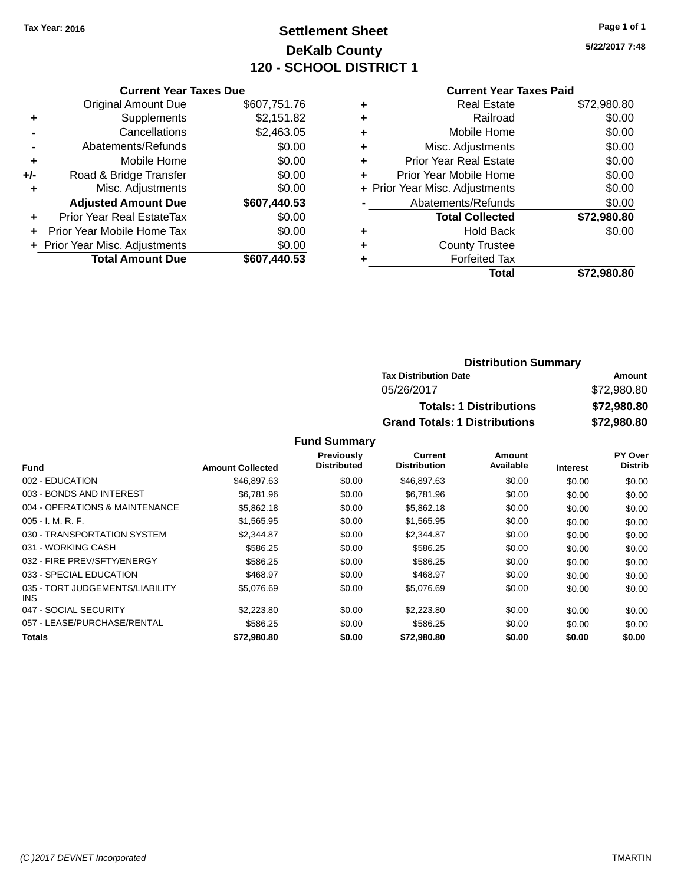# **Settlement Sheet Tax Year: 2016 Page 1 of 1 DeKalb County 120 - SCHOOL DISTRICT 1**

**5/22/2017 7:48**

# **Current Year Taxes Paid**

|     | <b>Current Year Taxes Due</b>  |              |  |
|-----|--------------------------------|--------------|--|
|     | <b>Original Amount Due</b>     | \$607,751.76 |  |
| ٠   | Supplements                    | \$2,151.82   |  |
|     | Cancellations                  | \$2,463.05   |  |
|     | Abatements/Refunds             | \$0.00       |  |
| ٠   | Mobile Home                    | \$0.00       |  |
| +/- | Road & Bridge Transfer         | \$0.00       |  |
| ٠   | Misc. Adjustments              | \$0.00       |  |
|     | <b>Adjusted Amount Due</b>     | \$607,440.53 |  |
| ٠   | Prior Year Real EstateTax      | \$0.00       |  |
|     | Prior Year Mobile Home Tax     | \$0.00       |  |
|     | + Prior Year Misc. Adjustments | \$0.00       |  |
|     | <b>Total Amount Due</b>        | \$607,440.53 |  |
|     |                                |              |  |

|   | Total                          | \$72,980.80 |
|---|--------------------------------|-------------|
| ٠ | <b>Forfeited Tax</b>           |             |
| ٠ | <b>County Trustee</b>          |             |
| ٠ | <b>Hold Back</b>               | \$0.00      |
|   | <b>Total Collected</b>         | \$72,980.80 |
|   | Abatements/Refunds             | \$0.00      |
|   | + Prior Year Misc. Adjustments | \$0.00      |
| ٠ | Prior Year Mobile Home         | \$0.00      |
| ÷ | <b>Prior Year Real Estate</b>  | \$0.00      |
| ٠ | Misc. Adjustments              | \$0.00      |
| ٠ | Mobile Home                    | \$0.00      |
| ٠ | Railroad                       | \$0.00      |
| ٠ | <b>Real Estate</b>             | \$72,980.80 |
|   |                                |             |

| <b>Distribution Summary</b>          |             |
|--------------------------------------|-------------|
| <b>Tax Distribution Date</b>         | Amount      |
| 05/26/2017                           | \$72,980.80 |
| <b>Totals: 1 Distributions</b>       | \$72,980.80 |
| <b>Grand Totals: 1 Distributions</b> | \$72,980.80 |

#### **Fund Summary**

|                                         |                         | Previously         | <b>Current</b>      | <b>Amount</b> |                 | PY Over        |
|-----------------------------------------|-------------------------|--------------------|---------------------|---------------|-----------------|----------------|
| <b>Fund</b>                             | <b>Amount Collected</b> | <b>Distributed</b> | <b>Distribution</b> | Available     | <b>Interest</b> | <b>Distrib</b> |
| 002 - EDUCATION                         | \$46,897,63             | \$0.00             | \$46,897.63         | \$0.00        | \$0.00          | \$0.00         |
| 003 - BONDS AND INTEREST                | \$6,781.96              | \$0.00             | \$6,781.96          | \$0.00        | \$0.00          | \$0.00         |
| 004 - OPERATIONS & MAINTENANCE          | \$5,862.18              | \$0.00             | \$5,862.18          | \$0.00        | \$0.00          | \$0.00         |
| $005 - I. M. R. F.$                     | \$1,565.95              | \$0.00             | \$1,565.95          | \$0.00        | \$0.00          | \$0.00         |
| 030 - TRANSPORTATION SYSTEM             | \$2,344.87              | \$0.00             | \$2,344.87          | \$0.00        | \$0.00          | \$0.00         |
| 031 - WORKING CASH                      | \$586.25                | \$0.00             | \$586.25            | \$0.00        | \$0.00          | \$0.00         |
| 032 - FIRE PREV/SFTY/ENERGY             | \$586.25                | \$0.00             | \$586.25            | \$0.00        | \$0.00          | \$0.00         |
| 033 - SPECIAL EDUCATION                 | \$468.97                | \$0.00             | \$468.97            | \$0.00        | \$0.00          | \$0.00         |
| 035 - TORT JUDGEMENTS/LIABILITY<br>INS. | \$5,076.69              | \$0.00             | \$5,076.69          | \$0.00        | \$0.00          | \$0.00         |
| 047 - SOCIAL SECURITY                   | \$2,223.80              | \$0.00             | \$2,223.80          | \$0.00        | \$0.00          | \$0.00         |
| 057 - LEASE/PURCHASE/RENTAL             | \$586.25                | \$0.00             | \$586.25            | \$0.00        | \$0.00          | \$0.00         |
| Totals                                  | \$72,980.80             | \$0.00             | \$72,980.80         | \$0.00        | \$0.00          | \$0.00         |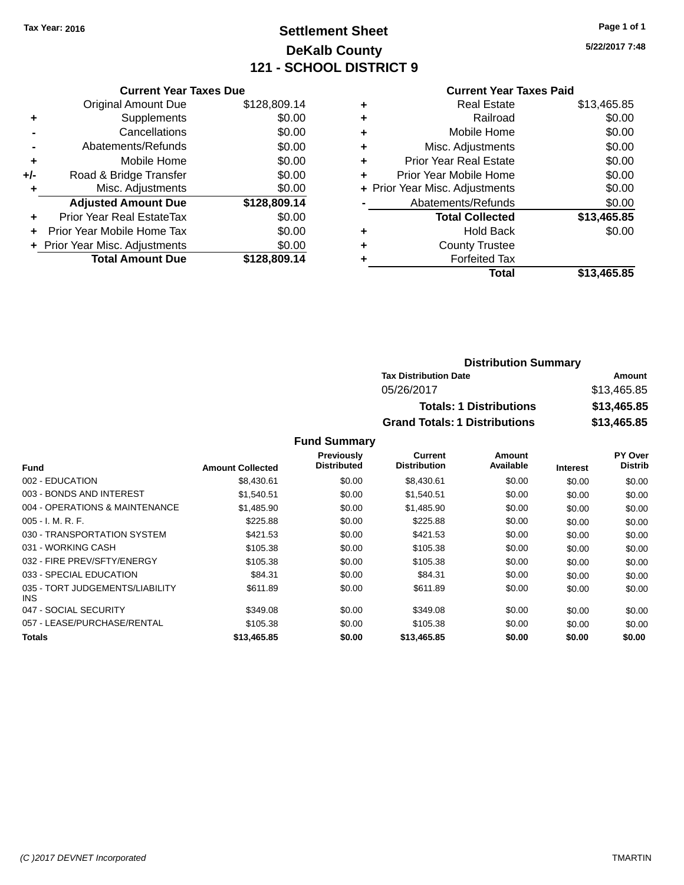# **Settlement Sheet Tax Year: 2016 Page 1 of 1 DeKalb County 121 - SCHOOL DISTRICT 9**

**5/22/2017 7:48**

|     | <b>Current Year Taxes Due</b> |              |  |  |  |
|-----|-------------------------------|--------------|--|--|--|
|     | <b>Original Amount Due</b>    | \$128,809.14 |  |  |  |
| ٠   | Supplements                   | \$0.00       |  |  |  |
|     | Cancellations                 | \$0.00       |  |  |  |
|     | Abatements/Refunds            | \$0.00       |  |  |  |
| ٠   | Mobile Home                   | \$0.00       |  |  |  |
| +/- | Road & Bridge Transfer        | \$0.00       |  |  |  |
| ٠   | Misc. Adjustments             | \$0.00       |  |  |  |
|     | <b>Adjusted Amount Due</b>    | \$128,809.14 |  |  |  |
| ٠   | Prior Year Real EstateTax     | \$0.00       |  |  |  |
|     | Prior Year Mobile Home Tax    | \$0.00       |  |  |  |
|     | Prior Year Misc. Adjustments  | \$0.00       |  |  |  |
|     | <b>Total Amount Due</b>       | \$128,809.14 |  |  |  |
|     |                               |              |  |  |  |

### **Current Year Taxes Paid**

|   | <b>Real Estate</b>             | \$13,465.85 |
|---|--------------------------------|-------------|
| ٠ | Railroad                       | \$0.00      |
| ٠ | Mobile Home                    | \$0.00      |
| ٠ | Misc. Adjustments              | \$0.00      |
| ٠ | <b>Prior Year Real Estate</b>  | \$0.00      |
| ÷ | Prior Year Mobile Home         | \$0.00      |
|   | + Prior Year Misc. Adjustments | \$0.00      |
|   | Abatements/Refunds             | \$0.00      |
|   | <b>Total Collected</b>         | \$13,465.85 |
| ٠ | Hold Back                      | \$0.00      |
| ٠ | <b>County Trustee</b>          |             |
| ٠ | <b>Forfeited Tax</b>           |             |
|   | <b>Total</b>                   | \$13,465.85 |
|   |                                |             |

# **Distribution Summary Tax Distribution Date Amount** 05/26/2017 \$13,465.85 **Totals: 1 Distributions \$13,465.85 Grand Totals: 1 Distributions \$13,465.85**

#### **Fund Summary**

|                                         |                         | Previously         | Current             | Amount    |                 | PY Over        |
|-----------------------------------------|-------------------------|--------------------|---------------------|-----------|-----------------|----------------|
| <b>Fund</b>                             | <b>Amount Collected</b> | <b>Distributed</b> | <b>Distribution</b> | Available | <b>Interest</b> | <b>Distrib</b> |
| 002 - EDUCATION                         | \$8,430.61              | \$0.00             | \$8,430.61          | \$0.00    | \$0.00          | \$0.00         |
| 003 - BONDS AND INTEREST                | \$1,540.51              | \$0.00             | \$1,540.51          | \$0.00    | \$0.00          | \$0.00         |
| 004 - OPERATIONS & MAINTENANCE          | \$1,485.90              | \$0.00             | \$1,485.90          | \$0.00    | \$0.00          | \$0.00         |
| $005 - I. M. R. F.$                     | \$225.88                | \$0.00             | \$225.88            | \$0.00    | \$0.00          | \$0.00         |
| 030 - TRANSPORTATION SYSTEM             | \$421.53                | \$0.00             | \$421.53            | \$0.00    | \$0.00          | \$0.00         |
| 031 - WORKING CASH                      | \$105.38                | \$0.00             | \$105.38            | \$0.00    | \$0.00          | \$0.00         |
| 032 - FIRE PREV/SFTY/ENERGY             | \$105.38                | \$0.00             | \$105.38            | \$0.00    | \$0.00          | \$0.00         |
| 033 - SPECIAL EDUCATION                 | \$84.31                 | \$0.00             | \$84.31             | \$0.00    | \$0.00          | \$0.00         |
| 035 - TORT JUDGEMENTS/LIABILITY<br>INS. | \$611.89                | \$0.00             | \$611.89            | \$0.00    | \$0.00          | \$0.00         |
| 047 - SOCIAL SECURITY                   | \$349.08                | \$0.00             | \$349.08            | \$0.00    | \$0.00          | \$0.00         |
| 057 - LEASE/PURCHASE/RENTAL             | \$105.38                | \$0.00             | \$105.38            | \$0.00    | \$0.00          | \$0.00         |
| Totals                                  | \$13,465.85             | \$0.00             | \$13,465.85         | \$0.00    | \$0.00          | \$0.00         |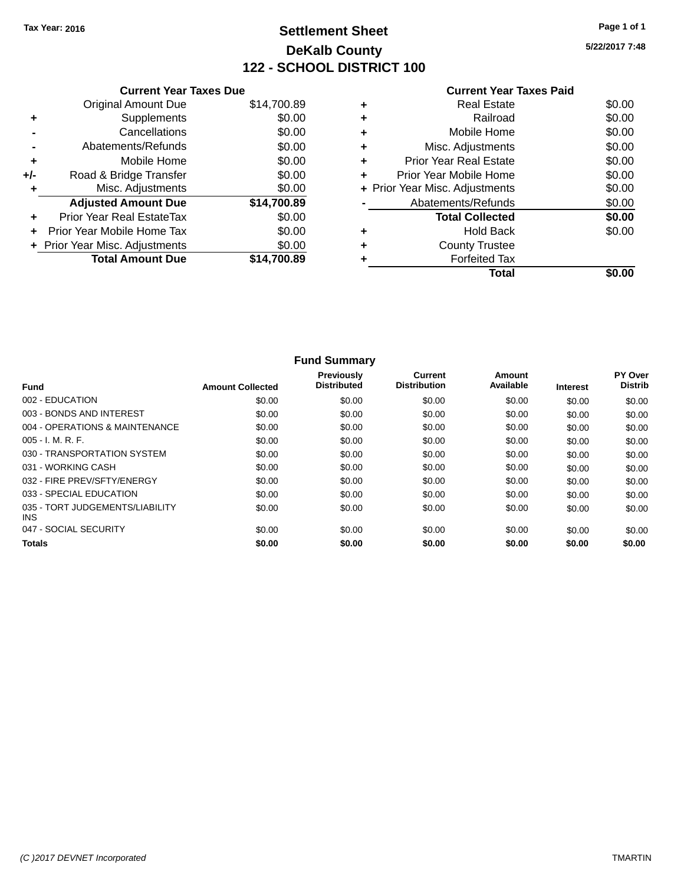### **Settlement Sheet Tax Year: 2016 Page 1 of 1 DeKalb County 122 - SCHOOL DISTRICT 100**

**5/22/2017 7:48**

|     | <b>Current Year Taxes Due</b>  |             |
|-----|--------------------------------|-------------|
|     | <b>Original Amount Due</b>     | \$14,700.89 |
| ٠   | Supplements                    | \$0.00      |
|     | Cancellations                  | \$0.00      |
|     | Abatements/Refunds             | \$0.00      |
| ٠   | Mobile Home                    | \$0.00      |
| +/- | Road & Bridge Transfer         | \$0.00      |
|     | Misc. Adjustments              | \$0.00      |
|     | <b>Adjusted Amount Due</b>     | \$14,700.89 |
| ٠   | Prior Year Real EstateTax      | \$0.00      |
|     | Prior Year Mobile Home Tax     | \$0.00      |
|     | + Prior Year Misc. Adjustments | \$0.00      |
|     | <b>Total Amount Due</b>        | \$14.700.89 |
|     |                                |             |

|   | <b>Real Estate</b>             | \$0.00 |
|---|--------------------------------|--------|
| ٠ | Railroad                       | \$0.00 |
| ٠ | Mobile Home                    | \$0.00 |
| ٠ | Misc. Adjustments              | \$0.00 |
| ÷ | <b>Prior Year Real Estate</b>  | \$0.00 |
| ÷ | Prior Year Mobile Home         | \$0.00 |
|   | + Prior Year Misc. Adjustments | \$0.00 |
|   | Abatements/Refunds             | \$0.00 |
|   | <b>Total Collected</b>         | \$0.00 |
| ٠ | <b>Hold Back</b>               | \$0.00 |
| ٠ | <b>County Trustee</b>          |        |
|   | <b>Forfeited Tax</b>           |        |
|   | Total                          |        |

|                                         |                         | <b>Fund Summary</b>                     |                                |                     |                 |                           |
|-----------------------------------------|-------------------------|-----------------------------------------|--------------------------------|---------------------|-----------------|---------------------------|
| <b>Fund</b>                             | <b>Amount Collected</b> | <b>Previously</b><br><b>Distributed</b> | Current<br><b>Distribution</b> | Amount<br>Available | <b>Interest</b> | PY Over<br><b>Distrib</b> |
| 002 - EDUCATION                         | \$0.00                  | \$0.00                                  | \$0.00                         | \$0.00              | \$0.00          | \$0.00                    |
| 003 - BONDS AND INTEREST                | \$0.00                  | \$0.00                                  | \$0.00                         | \$0.00              | \$0.00          | \$0.00                    |
| 004 - OPERATIONS & MAINTENANCE          | \$0.00                  | \$0.00                                  | \$0.00                         | \$0.00              | \$0.00          | \$0.00                    |
| $005 - I. M. R. F.$                     | \$0.00                  | \$0.00                                  | \$0.00                         | \$0.00              | \$0.00          | \$0.00                    |
| 030 - TRANSPORTATION SYSTEM             | \$0.00                  | \$0.00                                  | \$0.00                         | \$0.00              | \$0.00          | \$0.00                    |
| 031 - WORKING CASH                      | \$0.00                  | \$0.00                                  | \$0.00                         | \$0.00              | \$0.00          | \$0.00                    |
| 032 - FIRE PREV/SFTY/ENERGY             | \$0.00                  | \$0.00                                  | \$0.00                         | \$0.00              | \$0.00          | \$0.00                    |
| 033 - SPECIAL EDUCATION                 | \$0.00                  | \$0.00                                  | \$0.00                         | \$0.00              | \$0.00          | \$0.00                    |
| 035 - TORT JUDGEMENTS/LIABILITY<br>INS. | \$0.00                  | \$0.00                                  | \$0.00                         | \$0.00              | \$0.00          | \$0.00                    |
| 047 - SOCIAL SECURITY                   | \$0.00                  | \$0.00                                  | \$0.00                         | \$0.00              | \$0.00          | \$0.00                    |
| <b>Totals</b>                           | \$0.00                  | \$0.00                                  | \$0.00                         | \$0.00              | \$0.00          | \$0.00                    |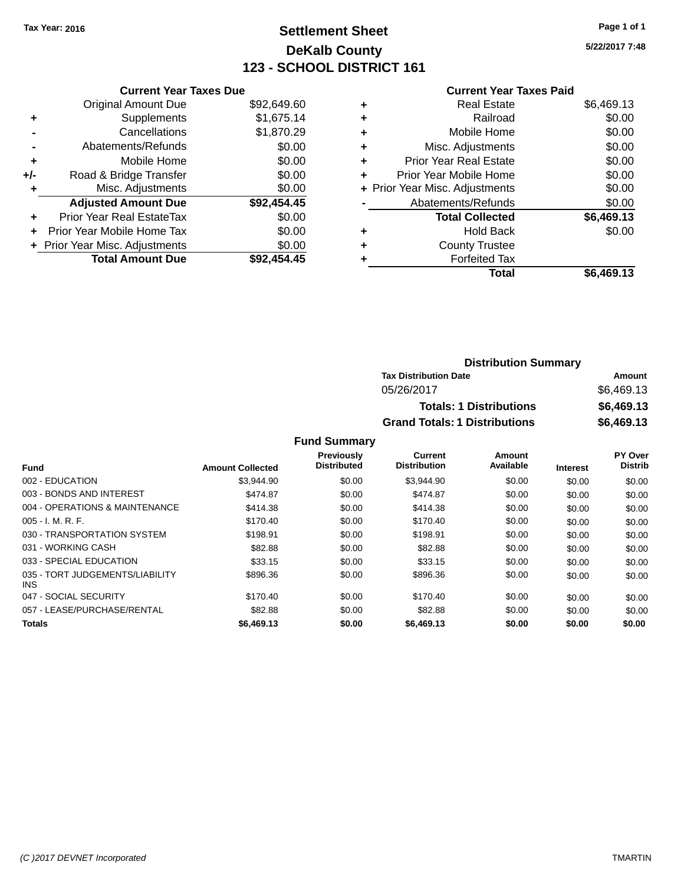### **Settlement Sheet Tax Year: 2016 Page 1 of 1 DeKalb County 123 - SCHOOL DISTRICT 161**

**5/22/2017 7:48**

#### **Current Year Taxes Paid**

|     | <b>Current Year Taxes Due</b>  |             |
|-----|--------------------------------|-------------|
|     | <b>Original Amount Due</b>     | \$92,649.60 |
| ÷   | Supplements                    | \$1,675.14  |
|     | Cancellations                  | \$1,870.29  |
|     | Abatements/Refunds             | \$0.00      |
| ٠   | Mobile Home                    | \$0.00      |
| +/- | Road & Bridge Transfer         | \$0.00      |
|     | Misc. Adjustments              | \$0.00      |
|     | <b>Adjusted Amount Due</b>     | \$92,454.45 |
| ÷   | Prior Year Real EstateTax      | \$0.00      |
| ÷   | Prior Year Mobile Home Tax     | \$0.00      |
|     | + Prior Year Misc. Adjustments | \$0.00      |
|     | <b>Total Amount Due</b>        | \$92.454.45 |

| ٠ | <b>Real Estate</b>             | \$6,469.13 |
|---|--------------------------------|------------|
| ٠ | Railroad                       | \$0.00     |
| ٠ | Mobile Home                    | \$0.00     |
| ٠ | Misc. Adjustments              | \$0.00     |
| ٠ | <b>Prior Year Real Estate</b>  | \$0.00     |
| ٠ | Prior Year Mobile Home         | \$0.00     |
|   | + Prior Year Misc. Adjustments | \$0.00     |
|   | Abatements/Refunds             | \$0.00     |
|   | <b>Total Collected</b>         | \$6,469.13 |
| ٠ | <b>Hold Back</b>               | \$0.00     |
| ٠ | <b>County Trustee</b>          |            |
| ٠ | <b>Forfeited Tax</b>           |            |
|   | Total                          | \$6,469.13 |
|   |                                |            |

| <b>Distribution Summary</b>          |            |
|--------------------------------------|------------|
| <b>Tax Distribution Date</b>         | Amount     |
| 05/26/2017                           | \$6,469.13 |
| <b>Totals: 1 Distributions</b>       | \$6,469.13 |
| <b>Grand Totals: 1 Distributions</b> | \$6,469.13 |

#### **Fund Summary**

|                                         |                         | <b>Previously</b>  | Current             | Amount    |                 | PY Over        |
|-----------------------------------------|-------------------------|--------------------|---------------------|-----------|-----------------|----------------|
| <b>Fund</b>                             | <b>Amount Collected</b> | <b>Distributed</b> | <b>Distribution</b> | Available | <b>Interest</b> | <b>Distrib</b> |
| 002 - EDUCATION                         | \$3.944.90              | \$0.00             | \$3,944.90          | \$0.00    | \$0.00          | \$0.00         |
| 003 - BONDS AND INTEREST                | \$474.87                | \$0.00             | \$474.87            | \$0.00    | \$0.00          | \$0.00         |
| 004 - OPERATIONS & MAINTENANCE          | \$414.38                | \$0.00             | \$414.38            | \$0.00    | \$0.00          | \$0.00         |
| $005 - I. M. R. F.$                     | \$170.40                | \$0.00             | \$170.40            | \$0.00    | \$0.00          | \$0.00         |
| 030 - TRANSPORTATION SYSTEM             | \$198.91                | \$0.00             | \$198.91            | \$0.00    | \$0.00          | \$0.00         |
| 031 - WORKING CASH                      | \$82.88                 | \$0.00             | \$82.88             | \$0.00    | \$0.00          | \$0.00         |
| 033 - SPECIAL EDUCATION                 | \$33.15                 | \$0.00             | \$33.15             | \$0.00    | \$0.00          | \$0.00         |
| 035 - TORT JUDGEMENTS/LIABILITY<br>INS. | \$896.36                | \$0.00             | \$896.36            | \$0.00    | \$0.00          | \$0.00         |
| 047 - SOCIAL SECURITY                   | \$170.40                | \$0.00             | \$170.40            | \$0.00    | \$0.00          | \$0.00         |
| 057 - LEASE/PURCHASE/RENTAL             | \$82.88                 | \$0.00             | \$82.88             | \$0.00    | \$0.00          | \$0.00         |
| <b>Totals</b>                           | \$6,469.13              | \$0.00             | \$6,469.13          | \$0.00    | \$0.00          | \$0.00         |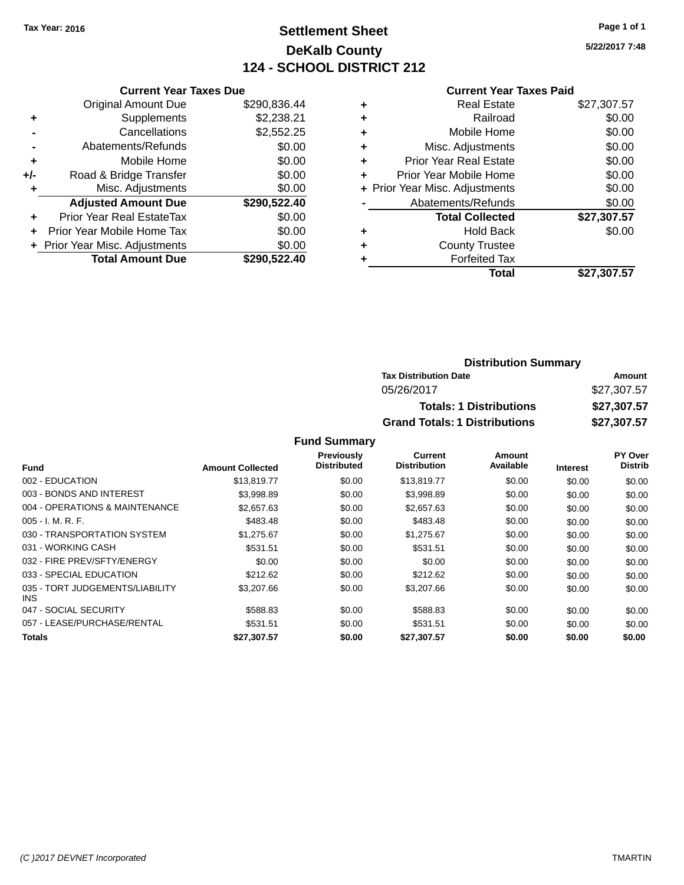### **Settlement Sheet Tax Year: 2016 Page 1 of 1 DeKalb County 124 - SCHOOL DISTRICT 212**

**5/22/2017 7:48**

#### **Current Year Taxes Paid**

| <b>Current Year Taxes Due</b>  |              |
|--------------------------------|--------------|
| <b>Original Amount Due</b>     | \$290,836.44 |
| Supplements                    | \$2,238.21   |
| Cancellations                  | \$2,552.25   |
| Abatements/Refunds             | \$0.00       |
| Mobile Home                    | \$0.00       |
| Road & Bridge Transfer         | \$0.00       |
| Misc. Adjustments              | \$0.00       |
| <b>Adjusted Amount Due</b>     | \$290,522.40 |
| Prior Year Real EstateTax      | \$0.00       |
| Prior Year Mobile Home Tax     | \$0.00       |
| + Prior Year Misc. Adjustments | \$0.00       |
| <b>Total Amount Due</b>        | \$290,522,40 |
|                                |              |

|   | <b>Real Estate</b>             | \$27,307.57 |
|---|--------------------------------|-------------|
| ٠ | Railroad                       | \$0.00      |
| ٠ | Mobile Home                    | \$0.00      |
| ٠ | Misc. Adjustments              | \$0.00      |
| ٠ | <b>Prior Year Real Estate</b>  | \$0.00      |
| ÷ | Prior Year Mobile Home         | \$0.00      |
|   | + Prior Year Misc. Adjustments | \$0.00      |
|   | Abatements/Refunds             | \$0.00      |
|   | <b>Total Collected</b>         | \$27,307.57 |
| ٠ | <b>Hold Back</b>               | \$0.00      |
|   | <b>County Trustee</b>          |             |
| ٠ | <b>Forfeited Tax</b>           |             |
|   | Total                          | \$27,307.57 |
|   |                                |             |

| <b>Distribution Summary</b>          |             |
|--------------------------------------|-------------|
| <b>Tax Distribution Date</b>         | Amount      |
| 05/26/2017                           | \$27,307.57 |
| <b>Totals: 1 Distributions</b>       | \$27,307.57 |
| <b>Grand Totals: 1 Distributions</b> | \$27,307.57 |

#### **Fund Summary**

|                                         |                         | Previously         | <b>Current</b>      | Amount    |                 | PY Over        |
|-----------------------------------------|-------------------------|--------------------|---------------------|-----------|-----------------|----------------|
| <b>Fund</b>                             | <b>Amount Collected</b> | <b>Distributed</b> | <b>Distribution</b> | Available | <b>Interest</b> | <b>Distrib</b> |
| 002 - EDUCATION                         | \$13,819.77             | \$0.00             | \$13,819.77         | \$0.00    | \$0.00          | \$0.00         |
| 003 - BONDS AND INTEREST                | \$3,998.89              | \$0.00             | \$3,998.89          | \$0.00    | \$0.00          | \$0.00         |
| 004 - OPERATIONS & MAINTENANCE          | \$2,657.63              | \$0.00             | \$2,657.63          | \$0.00    | \$0.00          | \$0.00         |
| $005 - I. M. R. F.$                     | \$483.48                | \$0.00             | \$483.48            | \$0.00    | \$0.00          | \$0.00         |
| 030 - TRANSPORTATION SYSTEM             | \$1,275.67              | \$0.00             | \$1,275.67          | \$0.00    | \$0.00          | \$0.00         |
| 031 - WORKING CASH                      | \$531.51                | \$0.00             | \$531.51            | \$0.00    | \$0.00          | \$0.00         |
| 032 - FIRE PREV/SFTY/ENERGY             | \$0.00                  | \$0.00             | \$0.00              | \$0.00    | \$0.00          | \$0.00         |
| 033 - SPECIAL EDUCATION                 | \$212.62                | \$0.00             | \$212.62            | \$0.00    | \$0.00          | \$0.00         |
| 035 - TORT JUDGEMENTS/LIABILITY<br>INS. | \$3,207.66              | \$0.00             | \$3,207.66          | \$0.00    | \$0.00          | \$0.00         |
| 047 - SOCIAL SECURITY                   | \$588.83                | \$0.00             | \$588.83            | \$0.00    | \$0.00          | \$0.00         |
| 057 - LEASE/PURCHASE/RENTAL             | \$531.51                | \$0.00             | \$531.51            | \$0.00    | \$0.00          | \$0.00         |
| Totals                                  | \$27,307.57             | \$0.00             | \$27,307.57         | \$0.00    | \$0.00          | \$0.00         |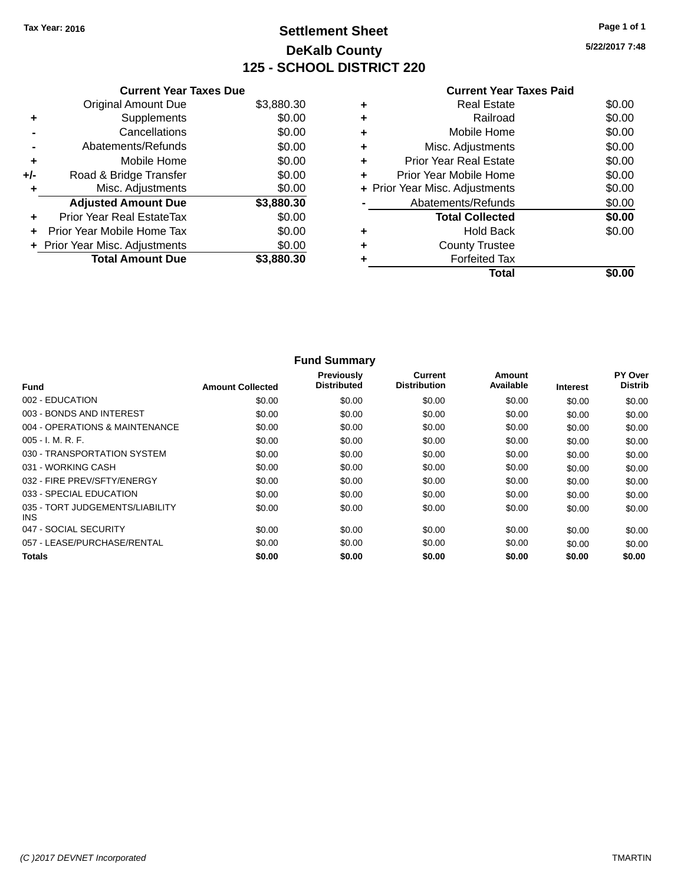### **Settlement Sheet Tax Year: 2016 Page 1 of 1 DeKalb County 125 - SCHOOL DISTRICT 220**

**5/22/2017 7:48**

|       | <b>Current Year Taxes Due</b>  |            |
|-------|--------------------------------|------------|
|       | <b>Original Amount Due</b>     | \$3,880.30 |
| ٠     | Supplements                    | \$0.00     |
|       | Cancellations                  | \$0.00     |
|       | Abatements/Refunds             | \$0.00     |
| ٠     | Mobile Home                    | \$0.00     |
| $+/-$ | Road & Bridge Transfer         | \$0.00     |
| ٠     | Misc. Adjustments              | \$0.00     |
|       | <b>Adjusted Amount Due</b>     | \$3,880.30 |
| ٠     | Prior Year Real EstateTax      | \$0.00     |
| ÷     | Prior Year Mobile Home Tax     | \$0.00     |
|       | + Prior Year Misc. Adjustments | \$0.00     |
|       | <b>Total Amount Due</b>        | \$3,880.30 |
|       |                                |            |

### **Current Year Taxes Paid +** Real Estate \$0.00 **+** Railroad \$0.00 **+** Mobile Home \$0.00

|   | Total                          |        |
|---|--------------------------------|--------|
|   | <b>Forfeited Tax</b>           |        |
| ÷ | <b>County Trustee</b>          |        |
|   | <b>Hold Back</b>               | \$0.00 |
|   | <b>Total Collected</b>         | \$0.00 |
|   | Abatements/Refunds             | \$0.00 |
|   | + Prior Year Misc. Adjustments | \$0.00 |
| ÷ | Prior Year Mobile Home         | \$0.00 |
| ÷ | <b>Prior Year Real Estate</b>  | \$0.00 |
| ÷ | Misc. Adjustments              | \$0.00 |

|                                         |                         | <b>Fund Summary</b>              |                                       |                            |                 |                           |
|-----------------------------------------|-------------------------|----------------------------------|---------------------------------------|----------------------------|-----------------|---------------------------|
| <b>Fund</b>                             | <b>Amount Collected</b> | Previously<br><b>Distributed</b> | <b>Current</b><br><b>Distribution</b> | <b>Amount</b><br>Available | <b>Interest</b> | PY Over<br><b>Distrib</b> |
| 002 - EDUCATION                         | \$0.00                  | \$0.00                           | \$0.00                                | \$0.00                     | \$0.00          | \$0.00                    |
| 003 - BONDS AND INTEREST                | \$0.00                  | \$0.00                           | \$0.00                                | \$0.00                     | \$0.00          | \$0.00                    |
| 004 - OPERATIONS & MAINTENANCE          | \$0.00                  | \$0.00                           | \$0.00                                | \$0.00                     | \$0.00          | \$0.00                    |
| 005 - I. M. R. F.                       | \$0.00                  | \$0.00                           | \$0.00                                | \$0.00                     | \$0.00          | \$0.00                    |
| 030 - TRANSPORTATION SYSTEM             | \$0.00                  | \$0.00                           | \$0.00                                | \$0.00                     | \$0.00          | \$0.00                    |
| 031 - WORKING CASH                      | \$0.00                  | \$0.00                           | \$0.00                                | \$0.00                     | \$0.00          | \$0.00                    |
| 032 - FIRE PREV/SFTY/ENERGY             | \$0.00                  | \$0.00                           | \$0.00                                | \$0.00                     | \$0.00          | \$0.00                    |
| 033 - SPECIAL EDUCATION                 | \$0.00                  | \$0.00                           | \$0.00                                | \$0.00                     | \$0.00          | \$0.00                    |
| 035 - TORT JUDGEMENTS/LIABILITY<br>INS. | \$0.00                  | \$0.00                           | \$0.00                                | \$0.00                     | \$0.00          | \$0.00                    |
| 047 - SOCIAL SECURITY                   | \$0.00                  | \$0.00                           | \$0.00                                | \$0.00                     | \$0.00          | \$0.00                    |
| 057 - LEASE/PURCHASE/RENTAL             | \$0.00                  | \$0.00                           | \$0.00                                | \$0.00                     | \$0.00          | \$0.00                    |
| <b>Totals</b>                           | \$0.00                  | \$0.00                           | \$0.00                                | \$0.00                     | \$0.00          | \$0.00                    |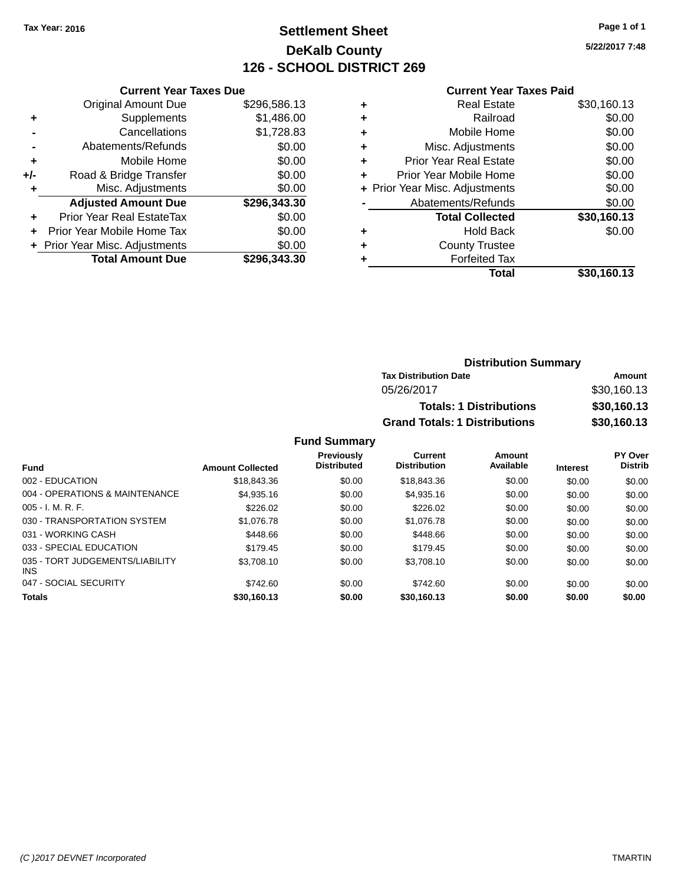### **Settlement Sheet Tax Year: 2016 Page 1 of 1 DeKalb County 126 - SCHOOL DISTRICT 269**

**5/22/2017 7:48**

#### **Current Year Taxes Paid**

|     | <b>Current Year Taxes Due</b>  |              |  |
|-----|--------------------------------|--------------|--|
|     | <b>Original Amount Due</b>     | \$296,586.13 |  |
| ٠   | Supplements                    | \$1,486.00   |  |
|     | Cancellations                  | \$1,728.83   |  |
|     | Abatements/Refunds             | \$0.00       |  |
| ÷   | Mobile Home                    | \$0.00       |  |
| +/- | Road & Bridge Transfer         | \$0.00       |  |
|     | Misc. Adjustments              | \$0.00       |  |
|     | <b>Adjusted Amount Due</b>     | \$296,343.30 |  |
| ٠   | Prior Year Real EstateTax      | \$0.00       |  |
|     | Prior Year Mobile Home Tax     | \$0.00       |  |
|     | + Prior Year Misc. Adjustments | \$0.00       |  |
|     | <b>Total Amount Due</b>        | \$296.343.30 |  |
|     |                                |              |  |

| ٠ | <b>Real Estate</b>             | \$30,160.13 |
|---|--------------------------------|-------------|
| ٠ | Railroad                       | \$0.00      |
| ٠ | Mobile Home                    | \$0.00      |
| ٠ | Misc. Adjustments              | \$0.00      |
| ٠ | <b>Prior Year Real Estate</b>  | \$0.00      |
| ٠ | Prior Year Mobile Home         | \$0.00      |
|   | + Prior Year Misc. Adjustments | \$0.00      |
|   | Abatements/Refunds             | \$0.00      |
|   | <b>Total Collected</b>         | \$30,160.13 |
| ٠ | Hold Back                      | \$0.00      |
| ٠ | <b>County Trustee</b>          |             |
| ٠ | <b>Forfeited Tax</b>           |             |
|   | Total                          | \$30,160.13 |
|   |                                |             |

| <b>Distribution Summary</b>          |             |  |  |  |
|--------------------------------------|-------------|--|--|--|
| <b>Tax Distribution Date</b>         | Amount      |  |  |  |
| 05/26/2017                           | \$30,160.13 |  |  |  |
| <b>Totals: 1 Distributions</b>       | \$30,160.13 |  |  |  |
| <b>Grand Totals: 1 Distributions</b> | \$30,160.13 |  |  |  |

#### **Fund Summary**

| <b>Fund</b>                                   | <b>Amount Collected</b> | <b>Previously</b><br><b>Distributed</b> | <b>Current</b><br><b>Distribution</b> | Amount<br>Available | <b>Interest</b> | <b>PY Over</b><br><b>Distrib</b> |
|-----------------------------------------------|-------------------------|-----------------------------------------|---------------------------------------|---------------------|-----------------|----------------------------------|
| 002 - EDUCATION                               | \$18,843,36             | \$0.00                                  | \$18,843.36                           | \$0.00              | \$0.00          | \$0.00                           |
| 004 - OPERATIONS & MAINTENANCE                | \$4.935.16              | \$0.00                                  | \$4,935.16                            | \$0.00              | \$0.00          | \$0.00                           |
| $005 - I. M. R. F.$                           | \$226.02                | \$0.00                                  | \$226.02                              | \$0.00              | \$0.00          | \$0.00                           |
| 030 - TRANSPORTATION SYSTEM                   | \$1,076.78              | \$0.00                                  | \$1,076.78                            | \$0.00              | \$0.00          | \$0.00                           |
| 031 - WORKING CASH                            | \$448.66                | \$0.00                                  | \$448.66                              | \$0.00              | \$0.00          | \$0.00                           |
| 033 - SPECIAL EDUCATION                       | \$179.45                | \$0.00                                  | \$179.45                              | \$0.00              | \$0.00          | \$0.00                           |
| 035 - TORT JUDGEMENTS/LIABILITY<br><b>INS</b> | \$3.708.10              | \$0.00                                  | \$3,708.10                            | \$0.00              | \$0.00          | \$0.00                           |
| 047 - SOCIAL SECURITY                         | \$742.60                | \$0.00                                  | \$742.60                              | \$0.00              | \$0.00          | \$0.00                           |
| <b>Totals</b>                                 | \$30,160.13             | \$0.00                                  | \$30,160.13                           | \$0.00              | \$0.00          | \$0.00                           |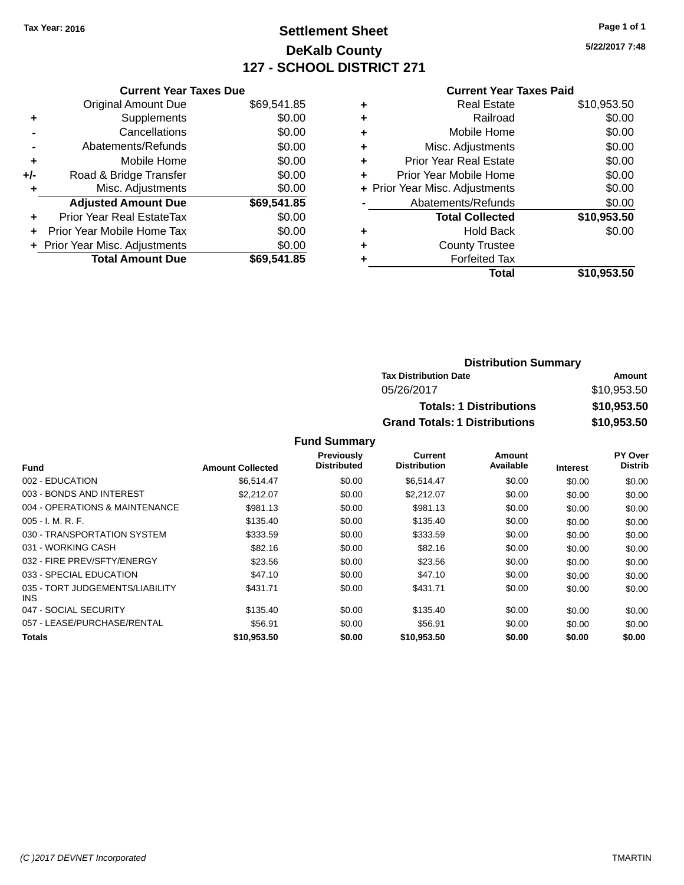### **Settlement Sheet Tax Year: 2016 Page 1 of 1 DeKalb County 127 - SCHOOL DISTRICT 271**

**5/22/2017 7:48**

#### **Current Year Taxes Paid**

|     | <b>Current Year Taxes Due</b>  |             |
|-----|--------------------------------|-------------|
|     | <b>Original Amount Due</b>     | \$69,541.85 |
| ÷   | Supplements                    | \$0.00      |
|     | Cancellations                  | \$0.00      |
|     | Abatements/Refunds             | \$0.00      |
| ٠   | Mobile Home                    | \$0.00      |
| +/- | Road & Bridge Transfer         | \$0.00      |
|     | Misc. Adjustments              | \$0.00      |
|     | <b>Adjusted Amount Due</b>     | \$69,541.85 |
| ÷   | Prior Year Real EstateTax      | \$0.00      |
|     | Prior Year Mobile Home Tax     | \$0.00      |
|     | + Prior Year Misc. Adjustments | \$0.00      |
|     | <b>Total Amount Due</b>        | \$69,541.85 |
|     |                                |             |

|   | <b>Real Estate</b>             | \$10,953.50 |
|---|--------------------------------|-------------|
| ٠ | Railroad                       | \$0.00      |
| ٠ | Mobile Home                    | \$0.00      |
| ٠ | Misc. Adjustments              | \$0.00      |
| ٠ | <b>Prior Year Real Estate</b>  | \$0.00      |
| ÷ | Prior Year Mobile Home         | \$0.00      |
|   | + Prior Year Misc. Adjustments | \$0.00      |
|   | Abatements/Refunds             | \$0.00      |
|   | <b>Total Collected</b>         | \$10,953.50 |
| ٠ | <b>Hold Back</b>               | \$0.00      |
| ٠ | <b>County Trustee</b>          |             |
| ٠ | <b>Forfeited Tax</b>           |             |
|   | Total                          | \$10,953.50 |
|   |                                |             |

| <b>Distribution Summary</b>          |             |  |  |  |
|--------------------------------------|-------------|--|--|--|
| <b>Tax Distribution Date</b>         | Amount      |  |  |  |
| 05/26/2017                           | \$10,953.50 |  |  |  |
| <b>Totals: 1 Distributions</b>       | \$10,953.50 |  |  |  |
| <b>Grand Totals: 1 Distributions</b> | \$10,953.50 |  |  |  |

#### **Fund Summary**

|                                         |                         | Previously         | <b>Current</b>      | Amount    |                 | PY Over        |
|-----------------------------------------|-------------------------|--------------------|---------------------|-----------|-----------------|----------------|
| <b>Fund</b>                             | <b>Amount Collected</b> | <b>Distributed</b> | <b>Distribution</b> | Available | <b>Interest</b> | <b>Distrib</b> |
| 002 - EDUCATION                         | \$6,514.47              | \$0.00             | \$6,514.47          | \$0.00    | \$0.00          | \$0.00         |
| 003 - BONDS AND INTEREST                | \$2,212.07              | \$0.00             | \$2,212.07          | \$0.00    | \$0.00          | \$0.00         |
| 004 - OPERATIONS & MAINTENANCE          | \$981.13                | \$0.00             | \$981.13            | \$0.00    | \$0.00          | \$0.00         |
| $005 - I. M. R. F.$                     | \$135.40                | \$0.00             | \$135.40            | \$0.00    | \$0.00          | \$0.00         |
| 030 - TRANSPORTATION SYSTEM             | \$333.59                | \$0.00             | \$333.59            | \$0.00    | \$0.00          | \$0.00         |
| 031 - WORKING CASH                      | \$82.16                 | \$0.00             | \$82.16             | \$0.00    | \$0.00          | \$0.00         |
| 032 - FIRE PREV/SFTY/ENERGY             | \$23.56                 | \$0.00             | \$23.56             | \$0.00    | \$0.00          | \$0.00         |
| 033 - SPECIAL EDUCATION                 | \$47.10                 | \$0.00             | \$47.10             | \$0.00    | \$0.00          | \$0.00         |
| 035 - TORT JUDGEMENTS/LIABILITY<br>INS. | \$431.71                | \$0.00             | \$431.71            | \$0.00    | \$0.00          | \$0.00         |
| 047 - SOCIAL SECURITY                   | \$135.40                | \$0.00             | \$135.40            | \$0.00    | \$0.00          | \$0.00         |
| 057 - LEASE/PURCHASE/RENTAL             | \$56.91                 | \$0.00             | \$56.91             | \$0.00    | \$0.00          | \$0.00         |
| Totals                                  | \$10,953.50             | \$0.00             | \$10,953.50         | \$0.00    | \$0.00          | \$0.00         |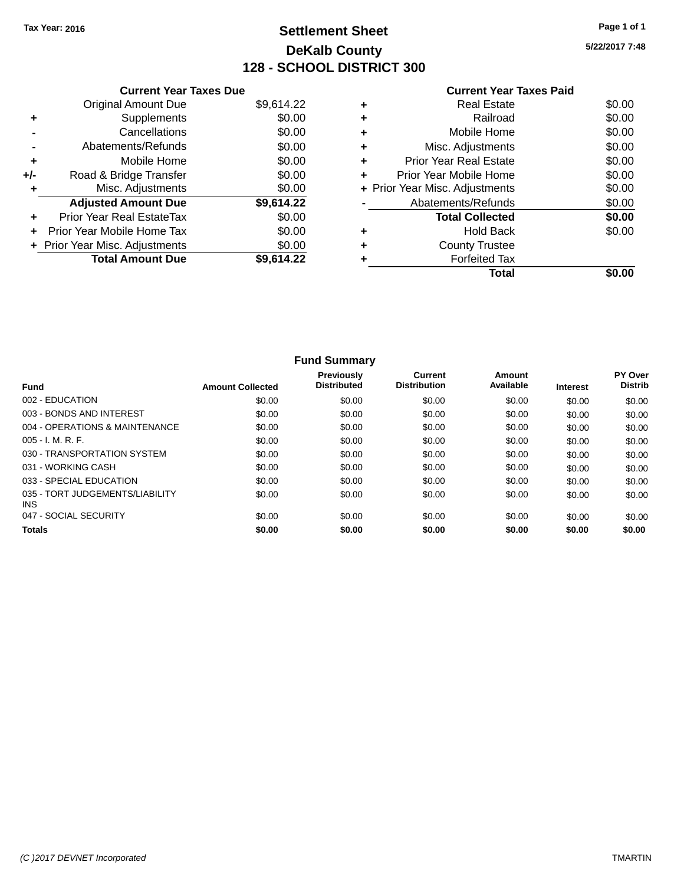### **Settlement Sheet Tax Year: 2016 Page 1 of 1 DeKalb County 128 - SCHOOL DISTRICT 300**

**5/22/2017 7:48**

|       | <b>Current Year Taxes Due</b>  |            |
|-------|--------------------------------|------------|
|       | <b>Original Amount Due</b>     | \$9,614.22 |
| ٠     | Supplements                    | \$0.00     |
|       | Cancellations                  | \$0.00     |
|       | Abatements/Refunds             | \$0.00     |
| ٠     | Mobile Home                    | \$0.00     |
| $+/-$ | Road & Bridge Transfer         | \$0.00     |
| ٠     | Misc. Adjustments              | \$0.00     |
|       | <b>Adjusted Amount Due</b>     | \$9,614.22 |
| ٠     | Prior Year Real EstateTax      | \$0.00     |
| ÷     | Prior Year Mobile Home Tax     | \$0.00     |
|       | + Prior Year Misc. Adjustments | \$0.00     |
|       | <b>Total Amount Due</b>        | \$9.614.22 |
|       |                                |            |

|   | Total                          |        |
|---|--------------------------------|--------|
|   | <b>Forfeited Tax</b>           |        |
| ÷ | <b>County Trustee</b>          |        |
| ٠ | <b>Hold Back</b>               | \$0.00 |
|   | <b>Total Collected</b>         | \$0.00 |
|   | Abatements/Refunds             | \$0.00 |
|   | + Prior Year Misc. Adjustments | \$0.00 |
| ÷ | Prior Year Mobile Home         | \$0.00 |
| ٠ | <b>Prior Year Real Estate</b>  | \$0.00 |
| ٠ | Misc. Adjustments              | \$0.00 |
| ٠ | Mobile Home                    | \$0.00 |
| ÷ | Railroad                       | \$0.00 |
| ٠ | <b>Real Estate</b>             | \$0.00 |

|                                         |                         | <b>Fund Summary</b>              |                                       |                     |                 |                           |
|-----------------------------------------|-------------------------|----------------------------------|---------------------------------------|---------------------|-----------------|---------------------------|
| <b>Fund</b>                             | <b>Amount Collected</b> | Previously<br><b>Distributed</b> | <b>Current</b><br><b>Distribution</b> | Amount<br>Available | <b>Interest</b> | PY Over<br><b>Distrib</b> |
| 002 - EDUCATION                         | \$0.00                  | \$0.00                           | \$0.00                                | \$0.00              | \$0.00          | \$0.00                    |
| 003 - BONDS AND INTEREST                | \$0.00                  | \$0.00                           | \$0.00                                | \$0.00              | \$0.00          | \$0.00                    |
| 004 - OPERATIONS & MAINTENANCE          | \$0.00                  | \$0.00                           | \$0.00                                | \$0.00              | \$0.00          | \$0.00                    |
| $005 - I. M. R. F.$                     | \$0.00                  | \$0.00                           | \$0.00                                | \$0.00              | \$0.00          | \$0.00                    |
| 030 - TRANSPORTATION SYSTEM             | \$0.00                  | \$0.00                           | \$0.00                                | \$0.00              | \$0.00          | \$0.00                    |
| 031 - WORKING CASH                      | \$0.00                  | \$0.00                           | \$0.00                                | \$0.00              | \$0.00          | \$0.00                    |
| 033 - SPECIAL EDUCATION                 | \$0.00                  | \$0.00                           | \$0.00                                | \$0.00              | \$0.00          | \$0.00                    |
| 035 - TORT JUDGEMENTS/LIABILITY<br>INS. | \$0.00                  | \$0.00                           | \$0.00                                | \$0.00              | \$0.00          | \$0.00                    |
| 047 - SOCIAL SECURITY                   | \$0.00                  | \$0.00                           | \$0.00                                | \$0.00              | \$0.00          | \$0.00                    |
| <b>Totals</b>                           | \$0.00                  | \$0.00                           | \$0.00                                | \$0.00              | \$0.00          | \$0.00                    |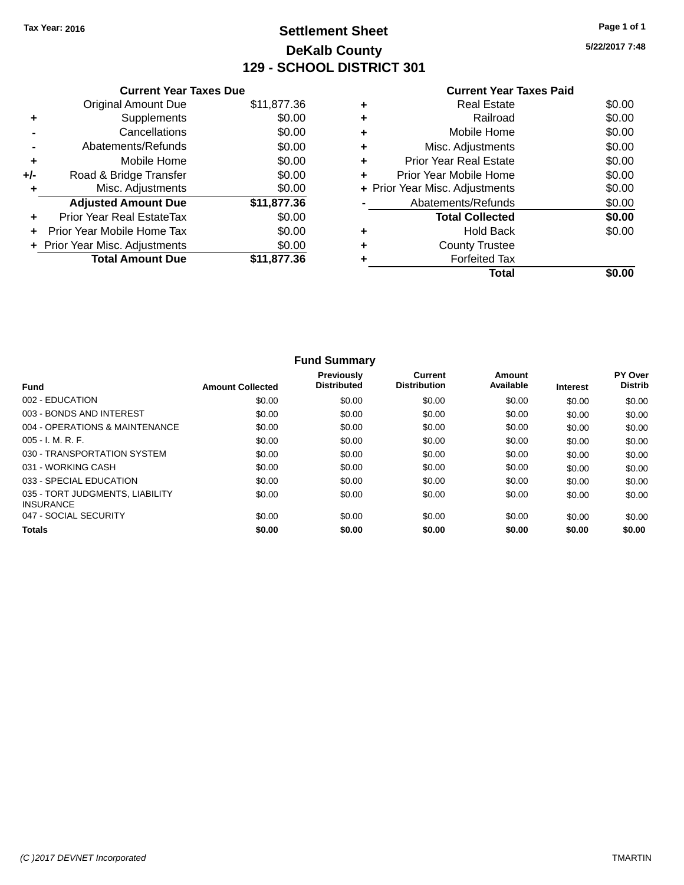### **Settlement Sheet Tax Year: 2016 Page 1 of 1 DeKalb County 129 - SCHOOL DISTRICT 301**

**5/22/2017 7:48**

|       | <b>Current Year Taxes Due</b>  |             |
|-------|--------------------------------|-------------|
|       | <b>Original Amount Due</b>     | \$11,877.36 |
| ٠     | Supplements                    | \$0.00      |
|       | Cancellations                  | \$0.00      |
|       | Abatements/Refunds             | \$0.00      |
| ٠     | Mobile Home                    | \$0.00      |
| $+/-$ | Road & Bridge Transfer         | \$0.00      |
| ÷     | Misc. Adjustments              | \$0.00      |
|       | <b>Adjusted Amount Due</b>     | \$11,877.36 |
| ٠     | Prior Year Real EstateTax      | \$0.00      |
|       | Prior Year Mobile Home Tax     | \$0.00      |
|       | + Prior Year Misc. Adjustments | \$0.00      |
|       | <b>Total Amount Due</b>        | \$11.877.36 |
|       |                                |             |

### **Current Year Taxes Paid +** Real Estate \$0.00 **+** Railroad \$0.00

| Total                          |        |
|--------------------------------|--------|
| <b>Forfeited Tax</b>           |        |
| <b>County Trustee</b>          |        |
| <b>Hold Back</b>               | \$0.00 |
| <b>Total Collected</b>         | \$0.00 |
| Abatements/Refunds             | \$0.00 |
| + Prior Year Misc. Adjustments | \$0.00 |
| Prior Year Mobile Home         | \$0.00 |
| <b>Prior Year Real Estate</b>  | \$0.00 |
| Misc. Adjustments              | \$0.00 |
| Mobile Home                    | \$0.00 |

|                                                     |                         | <b>Fund Summary</b>                     |                                |                     |                 |                                  |
|-----------------------------------------------------|-------------------------|-----------------------------------------|--------------------------------|---------------------|-----------------|----------------------------------|
| <b>Fund</b>                                         | <b>Amount Collected</b> | <b>Previously</b><br><b>Distributed</b> | Current<br><b>Distribution</b> | Amount<br>Available | <b>Interest</b> | <b>PY Over</b><br><b>Distrib</b> |
| 002 - EDUCATION                                     | \$0.00                  | \$0.00                                  | \$0.00                         | \$0.00              | \$0.00          | \$0.00                           |
| 003 - BONDS AND INTEREST                            | \$0.00                  | \$0.00                                  | \$0.00                         | \$0.00              | \$0.00          | \$0.00                           |
| 004 - OPERATIONS & MAINTENANCE                      | \$0.00                  | \$0.00                                  | \$0.00                         | \$0.00              | \$0.00          | \$0.00                           |
| $005 - I. M. R. F.$                                 | \$0.00                  | \$0.00                                  | \$0.00                         | \$0.00              | \$0.00          | \$0.00                           |
| 030 - TRANSPORTATION SYSTEM                         | \$0.00                  | \$0.00                                  | \$0.00                         | \$0.00              | \$0.00          | \$0.00                           |
| 031 - WORKING CASH                                  | \$0.00                  | \$0.00                                  | \$0.00                         | \$0.00              | \$0.00          | \$0.00                           |
| 033 - SPECIAL EDUCATION                             | \$0.00                  | \$0.00                                  | \$0.00                         | \$0.00              | \$0.00          | \$0.00                           |
| 035 - TORT JUDGMENTS, LIABILITY<br><b>INSURANCE</b> | \$0.00                  | \$0.00                                  | \$0.00                         | \$0.00              | \$0.00          | \$0.00                           |
| 047 - SOCIAL SECURITY                               | \$0.00                  | \$0.00                                  | \$0.00                         | \$0.00              | \$0.00          | \$0.00                           |
| <b>Totals</b>                                       | \$0.00                  | \$0.00                                  | \$0.00                         | \$0.00              | \$0.00          | \$0.00                           |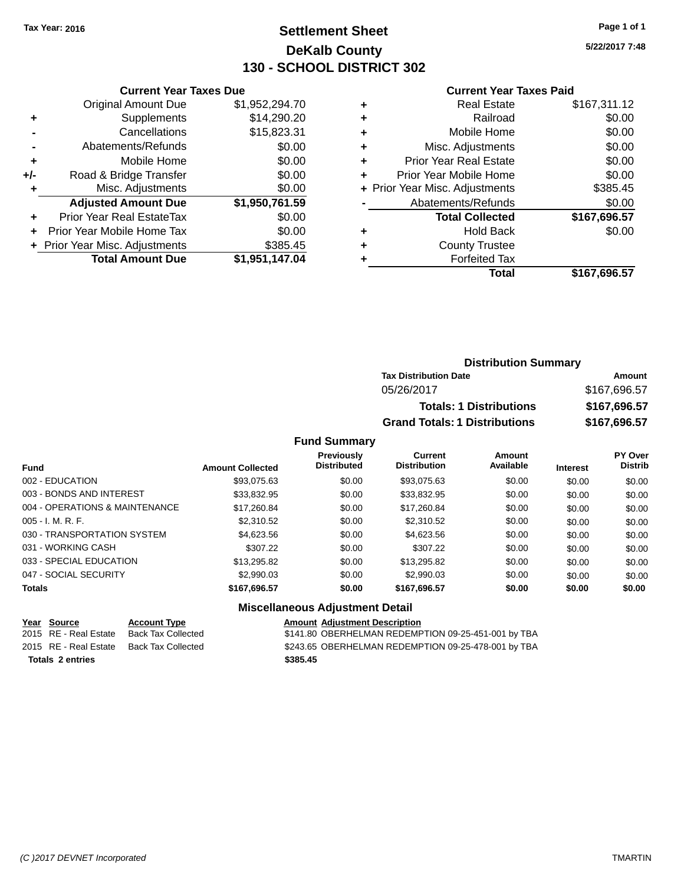### **Settlement Sheet Tax Year: 2016 Page 1 of 1 DeKalb County 130 - SCHOOL DISTRICT 302**

**5/22/2017 7:48**

#### **Current Year Taxes Paid**

|       | <b>Total Amount Due</b>          | \$1,951,147.04 |
|-------|----------------------------------|----------------|
|       | + Prior Year Misc. Adjustments   | \$385.45       |
| ٠     | Prior Year Mobile Home Tax       | \$0.00         |
| ٠     | <b>Prior Year Real EstateTax</b> | \$0.00         |
|       | <b>Adjusted Amount Due</b>       | \$1,950,761.59 |
| ٠     | Misc. Adjustments                | \$0.00         |
| $+/-$ | Road & Bridge Transfer           | \$0.00         |
| ÷     | Mobile Home                      | \$0.00         |
|       | Abatements/Refunds               | \$0.00         |
|       | Cancellations                    | \$15,823.31    |
| ٠     | Supplements                      | \$14,290.20    |
|       | <b>Original Amount Due</b>       | \$1,952,294.70 |
|       |                                  |                |

**Current Year Taxes Due**

| ٠ | <b>Real Estate</b>             | \$167,311.12 |
|---|--------------------------------|--------------|
| ٠ | Railroad                       | \$0.00       |
| ٠ | Mobile Home                    | \$0.00       |
| ٠ | Misc. Adjustments              | \$0.00       |
| ٠ | <b>Prior Year Real Estate</b>  | \$0.00       |
| ٠ | Prior Year Mobile Home         | \$0.00       |
|   | + Prior Year Misc. Adjustments | \$385.45     |
|   | Abatements/Refunds             | \$0.00       |
|   | <b>Total Collected</b>         | \$167,696.57 |
| ٠ | <b>Hold Back</b>               | \$0.00       |
| ٠ | <b>County Trustee</b>          |              |
| ٠ | <b>Forfeited Tax</b>           |              |
|   | <b>Total</b>                   | \$167,696.57 |
|   |                                |              |

### **Distribution Summary Tax Distribution Date Amount** 05/26/2017 \$167,696.57 **Totals: 1 Distributions \$167,696.57 Grand Totals: 1 Distributions \$167,696.57**

#### **Fund Summary**

| <b>Fund</b>                    | <b>Amount Collected</b> | <b>Previously</b><br><b>Distributed</b> | Current<br><b>Distribution</b> | Amount<br>Available | <b>Interest</b> | <b>PY Over</b><br><b>Distrib</b> |
|--------------------------------|-------------------------|-----------------------------------------|--------------------------------|---------------------|-----------------|----------------------------------|
| 002 - EDUCATION                | \$93,075.63             | \$0.00                                  | \$93,075.63                    | \$0.00              | \$0.00          | \$0.00                           |
| 003 - BONDS AND INTEREST       | \$33.832.95             | \$0.00                                  | \$33,832.95                    | \$0.00              | \$0.00          | \$0.00                           |
| 004 - OPERATIONS & MAINTENANCE | \$17,260.84             | \$0.00                                  | \$17,260.84                    | \$0.00              | \$0.00          | \$0.00                           |
| $005 - I. M. R. F.$            | \$2,310.52              | \$0.00                                  | \$2,310.52                     | \$0.00              | \$0.00          | \$0.00                           |
| 030 - TRANSPORTATION SYSTEM    | \$4.623.56              | \$0.00                                  | \$4,623.56                     | \$0.00              | \$0.00          | \$0.00                           |
| 031 - WORKING CASH             | \$307.22                | \$0.00                                  | \$307.22                       | \$0.00              | \$0.00          | \$0.00                           |
| 033 - SPECIAL EDUCATION        | \$13,295.82             | \$0.00                                  | \$13,295.82                    | \$0.00              | \$0.00          | \$0.00                           |
| 047 - SOCIAL SECURITY          | \$2,990.03              | \$0.00                                  | \$2,990.03                     | \$0.00              | \$0.00          | \$0.00                           |
| <b>Totals</b>                  | \$167,696.57            | \$0.00                                  | \$167,696.57                   | \$0.00              | \$0.00          | \$0.00                           |

#### **Miscellaneous Adjustment Detail**

**Year Source Account Type Amount Adjustment Description Totals 2 entries \$385.45**

2015 RE - Real Estate Back Tax Collected \$141.80 OBERHELMAN REDEMPTION 09-25-451-001 by TBA 2015 RE - Real Estate Back Tax Collected \$243.65 OBERHELMAN REDEMPTION 09-25-478-001 by TBA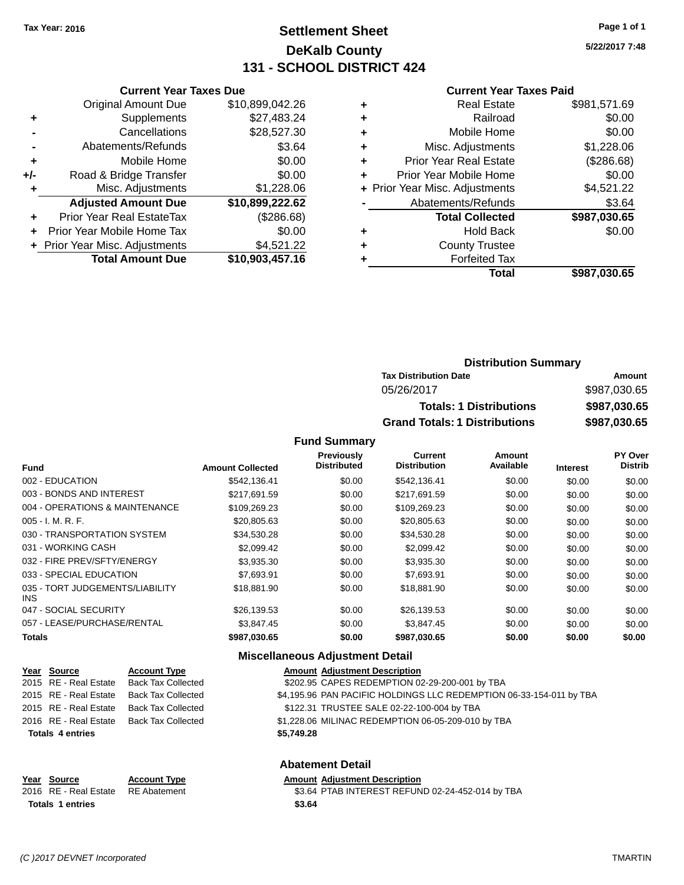### **Settlement Sheet Tax Year: 2016 Page 1 of 1 DeKalb County 131 - SCHOOL DISTRICT 424**

**5/22/2017 7:48**

#### **Current Year Taxes Paid**

|       | <b>Current Year Taxes Due</b>  |                 |
|-------|--------------------------------|-----------------|
|       | <b>Original Amount Due</b>     | \$10,899,042.26 |
| ٠     | Supplements                    | \$27,483.24     |
|       | Cancellations                  | \$28,527.30     |
|       | Abatements/Refunds             | \$3.64          |
| ٠     | Mobile Home                    | \$0.00          |
| $+/-$ | Road & Bridge Transfer         | \$0.00          |
| ٠     | Misc. Adjustments              | \$1,228.06      |
|       | <b>Adjusted Amount Due</b>     | \$10,899,222.62 |
|       | Prior Year Real EstateTax      | (\$286.68)      |
|       | Prior Year Mobile Home Tax     | \$0.00          |
|       | + Prior Year Misc. Adjustments | \$4,521.22      |
|       | <b>Total Amount Due</b>        | \$10,903,457.16 |
|       |                                |                 |

|   | <b>Real Estate</b>             | \$981,571.69 |
|---|--------------------------------|--------------|
| ٠ | Railroad                       | \$0.00       |
| ٠ | Mobile Home                    | \$0.00       |
| ٠ | Misc. Adjustments              | \$1,228.06   |
| ٠ | <b>Prior Year Real Estate</b>  | (\$286.68)   |
|   | Prior Year Mobile Home         | \$0.00       |
|   | + Prior Year Misc. Adjustments | \$4,521.22   |
|   | Abatements/Refunds             | \$3.64       |
|   | <b>Total Collected</b>         | \$987,030.65 |
| ٠ | Hold Back                      | \$0.00       |
|   | <b>County Trustee</b>          |              |
|   | <b>Forfeited Tax</b>           |              |
|   | Total                          | \$987,030.65 |
|   |                                |              |

| <b>Distribution Summary</b>          |              |
|--------------------------------------|--------------|
| <b>Tax Distribution Date</b>         | Amount       |
| 05/26/2017                           | \$987,030.65 |
| <b>Totals: 1 Distributions</b>       | \$987,030.65 |
| <b>Grand Totals: 1 Distributions</b> | \$987,030.65 |

#### **Fund Summary**

| <b>Fund</b>                             | <b>Amount Collected</b> | Previously<br><b>Distributed</b> | Current<br><b>Distribution</b> | Amount<br>Available | <b>Interest</b> | <b>PY Over</b><br><b>Distrib</b> |
|-----------------------------------------|-------------------------|----------------------------------|--------------------------------|---------------------|-----------------|----------------------------------|
| 002 - EDUCATION                         | \$542.136.41            | \$0.00                           | \$542.136.41                   | \$0.00              | \$0.00          | \$0.00                           |
| 003 - BONDS AND INTEREST                | \$217,691.59            | \$0.00                           | \$217,691.59                   | \$0.00              | \$0.00          | \$0.00                           |
| 004 - OPERATIONS & MAINTENANCE          | \$109,269.23            | \$0.00                           | \$109,269.23                   | \$0.00              | \$0.00          | \$0.00                           |
| $005 - I. M. R. F.$                     | \$20,805.63             | \$0.00                           | \$20,805.63                    | \$0.00              | \$0.00          | \$0.00                           |
| 030 - TRANSPORTATION SYSTEM             | \$34,530.28             | \$0.00                           | \$34,530.28                    | \$0.00              | \$0.00          | \$0.00                           |
| 031 - WORKING CASH                      | \$2,099.42              | \$0.00                           | \$2,099.42                     | \$0.00              | \$0.00          | \$0.00                           |
| 032 - FIRE PREV/SFTY/ENERGY             | \$3,935.30              | \$0.00                           | \$3,935.30                     | \$0.00              | \$0.00          | \$0.00                           |
| 033 - SPECIAL EDUCATION                 | \$7,693.91              | \$0.00                           | \$7,693.91                     | \$0.00              | \$0.00          | \$0.00                           |
| 035 - TORT JUDGEMENTS/LIABILITY<br>INS. | \$18,881.90             | \$0.00                           | \$18,881.90                    | \$0.00              | \$0.00          | \$0.00                           |
| 047 - SOCIAL SECURITY                   | \$26,139.53             | \$0.00                           | \$26,139.53                    | \$0.00              | \$0.00          | \$0.00                           |
| 057 - LEASE/PURCHASE/RENTAL             | \$3.847.45              | \$0.00                           | \$3.847.45                     | \$0.00              | \$0.00          | \$0.00                           |
| <b>Totals</b>                           | \$987,030.65            | \$0.00                           | \$987,030.65                   | \$0.00              | \$0.00          | \$0.00                           |

#### **Miscellaneous Adjustment Detail**

| Year Source             | <b>Account Type</b>                      | <b>Amount Adjustment Description</b>                                |
|-------------------------|------------------------------------------|---------------------------------------------------------------------|
|                         | 2015 RE - Real Estate Back Tax Collected | \$202.95 CAPES REDEMPTION 02-29-200-001 by TBA                      |
| 2015 RE - Real Estate   | Back Tax Collected                       | \$4,195.96 PAN PACIFIC HOLDINGS LLC REDEMPTION 06-33-154-011 by TBA |
| 2015 RE - Real Estate   | Back Tax Collected                       | \$122.31 TRUSTEE SALE 02-22-100-004 by TBA                          |
|                         | 2016 RE - Real Estate Back Tax Collected | \$1,228.06 MILINAC REDEMPTION 06-05-209-010 by TBA                  |
| <b>Totals 4 entries</b> |                                          | \$5,749.28                                                          |
|                         |                                          |                                                                     |
|                         |                                          | <b>Abatement Detail</b>                                             |

#### **Year Source Account Type Amount Adjustment Description**

|                         | Year Source           | <b>Account Type</b> | <b>Amount Adjustment Description</b>             |
|-------------------------|-----------------------|---------------------|--------------------------------------------------|
|                         | 2016 RE - Real Estate | RE Abatement        | \$3.64 PTAB INTEREST REFUND 02-24-452-014 by TBA |
| <b>Totals 1 entries</b> |                       |                     | \$3.64                                           |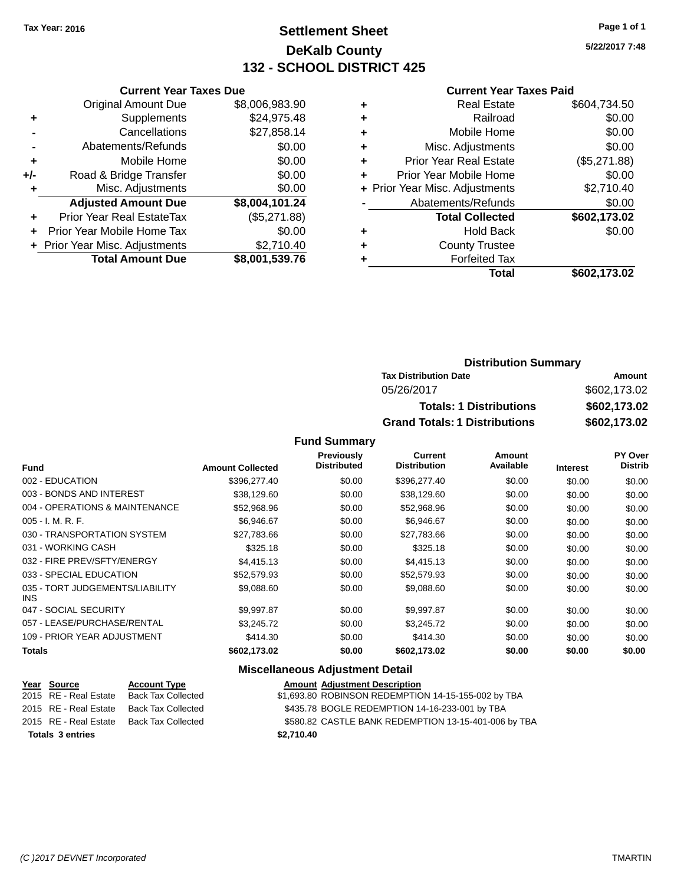### **Settlement Sheet Tax Year: 2016 Page 1 of 1 DeKalb County 132 - SCHOOL DISTRICT 425**

**5/22/2017 7:48**

#### **Current Year Taxes Paid**

|       | <b>Current Year Taxes Due</b>  |                |  |  |  |  |
|-------|--------------------------------|----------------|--|--|--|--|
|       | <b>Original Amount Due</b>     | \$8,006,983.90 |  |  |  |  |
| ÷     | Supplements                    | \$24,975.48    |  |  |  |  |
|       | Cancellations                  | \$27,858.14    |  |  |  |  |
|       | Abatements/Refunds             | \$0.00         |  |  |  |  |
| ٠     | Mobile Home                    | \$0.00         |  |  |  |  |
| $+/-$ | Road & Bridge Transfer         | \$0.00         |  |  |  |  |
|       | Misc. Adjustments              | \$0.00         |  |  |  |  |
|       | <b>Adjusted Amount Due</b>     | \$8,004,101.24 |  |  |  |  |
| ÷     | Prior Year Real EstateTax      | (\$5,271.88)   |  |  |  |  |
|       | Prior Year Mobile Home Tax     | \$0.00         |  |  |  |  |
|       | + Prior Year Misc. Adjustments | \$2.710.40     |  |  |  |  |
|       | <b>Total Amount Due</b>        | \$8,001,539.76 |  |  |  |  |
|       |                                |                |  |  |  |  |

| ٠ | <b>Real Estate</b>             | \$604,734.50 |
|---|--------------------------------|--------------|
| ٠ | Railroad                       | \$0.00       |
| ٠ | Mobile Home                    | \$0.00       |
| ٠ | Misc. Adjustments              | \$0.00       |
| ٠ | <b>Prior Year Real Estate</b>  | (\$5,271.88) |
|   | Prior Year Mobile Home         | \$0.00       |
|   | + Prior Year Misc. Adjustments | \$2,710.40   |
|   | Abatements/Refunds             | \$0.00       |
|   | <b>Total Collected</b>         | \$602,173.02 |
| ٠ | Hold Back                      | \$0.00       |
| ٠ | <b>County Trustee</b>          |              |
|   | <b>Forfeited Tax</b>           |              |
|   | Total                          | \$602,173.02 |
|   |                                |              |

| <b>Distribution Summary</b>          |              |
|--------------------------------------|--------------|
| <b>Tax Distribution Date</b>         | Amount       |
| 05/26/2017                           | \$602,173.02 |
| <b>Totals: 1 Distributions</b>       | \$602,173.02 |
| <b>Grand Totals: 1 Distributions</b> | \$602,173.02 |

#### **Fund Summary**

| <b>Fund</b>                             | <b>Amount Collected</b> | <b>Previously</b><br><b>Distributed</b> | Current<br><b>Distribution</b> | Amount<br>Available | <b>Interest</b> | <b>PY Over</b><br><b>Distrib</b> |
|-----------------------------------------|-------------------------|-----------------------------------------|--------------------------------|---------------------|-----------------|----------------------------------|
| 002 - EDUCATION                         | \$396,277.40            | \$0.00                                  | \$396,277.40                   | \$0.00              | \$0.00          | \$0.00                           |
| 003 - BONDS AND INTEREST                | \$38,129.60             | \$0.00                                  | \$38,129.60                    | \$0.00              | \$0.00          | \$0.00                           |
| 004 - OPERATIONS & MAINTENANCE          | \$52,968.96             | \$0.00                                  | \$52,968.96                    | \$0.00              | \$0.00          | \$0.00                           |
| $005 - I. M. R. F.$                     | \$6,946.67              | \$0.00                                  | \$6,946.67                     | \$0.00              | \$0.00          | \$0.00                           |
| 030 - TRANSPORTATION SYSTEM             | \$27,783.66             | \$0.00                                  | \$27,783.66                    | \$0.00              | \$0.00          | \$0.00                           |
| 031 - WORKING CASH                      | \$325.18                | \$0.00                                  | \$325.18                       | \$0.00              | \$0.00          | \$0.00                           |
| 032 - FIRE PREV/SFTY/ENERGY             | \$4,415.13              | \$0.00                                  | \$4,415.13                     | \$0.00              | \$0.00          | \$0.00                           |
| 033 - SPECIAL EDUCATION                 | \$52,579.93             | \$0.00                                  | \$52,579.93                    | \$0.00              | \$0.00          | \$0.00                           |
| 035 - TORT JUDGEMENTS/LIABILITY<br>INS. | \$9,088.60              | \$0.00                                  | \$9,088.60                     | \$0.00              | \$0.00          | \$0.00                           |
| 047 - SOCIAL SECURITY                   | \$9,997.87              | \$0.00                                  | \$9,997.87                     | \$0.00              | \$0.00          | \$0.00                           |
| 057 - LEASE/PURCHASE/RENTAL             | \$3.245.72              | \$0.00                                  | \$3.245.72                     | \$0.00              | \$0.00          | \$0.00                           |
| 109 - PRIOR YEAR ADJUSTMENT             | \$414.30                | \$0.00                                  | \$414.30                       | \$0.00              | \$0.00          | \$0.00                           |
| <b>Totals</b>                           | \$602,173.02            | \$0.00                                  | \$602,173.02                   | \$0.00              | \$0.00          | \$0.00                           |

#### **Miscellaneous Adjustment Detail**

| <u>Year Source</u>      | <b>Account Type</b> | <b>Amount Adjustment Description</b>                 |
|-------------------------|---------------------|------------------------------------------------------|
| 2015 RE - Real Estate   | Back Tax Collected  | \$1,693.80 ROBINSON REDEMPTION 14-15-155-002 by TBA  |
| 2015 RE - Real Estate   | Back Tax Collected  | \$435.78 BOGLE REDEMPTION 14-16-233-001 by TBA       |
| 2015 RE - Real Estate   | Back Tax Collected  | \$580.82 CASTLE BANK REDEMPTION 13-15-401-006 by TBA |
| <b>Totals 3 entries</b> |                     | \$2.710.40                                           |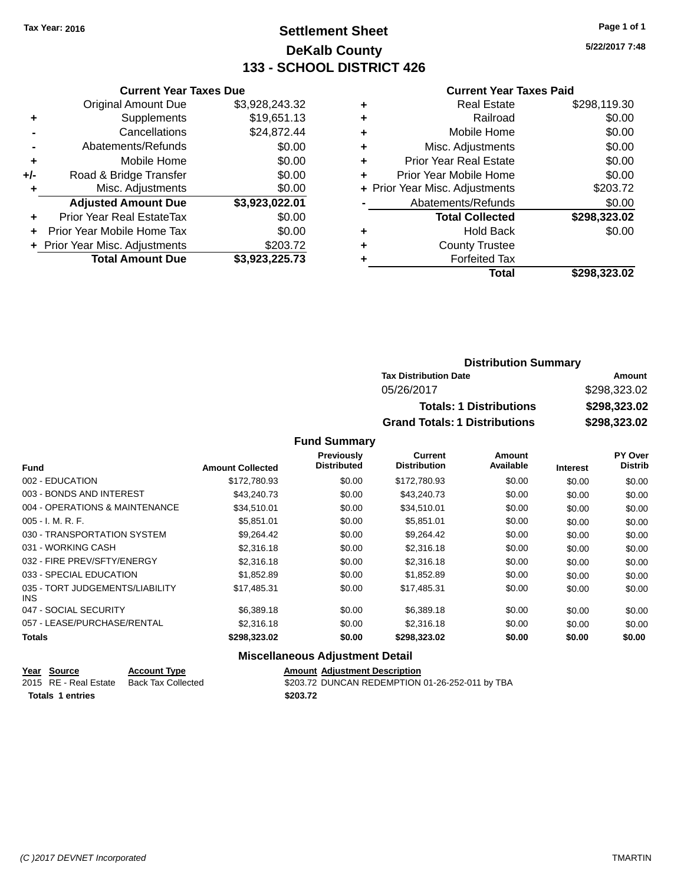### **Settlement Sheet Tax Year: 2016 Page 1 of 1 DeKalb County 133 - SCHOOL DISTRICT 426**

**5/22/2017 7:48**

#### **Current Year Taxes Paid**

|     | <b>Current Year Taxes Due</b>  |                |  |  |  |  |
|-----|--------------------------------|----------------|--|--|--|--|
|     | <b>Original Amount Due</b>     | \$3,928,243.32 |  |  |  |  |
| ٠   | Supplements                    | \$19,651.13    |  |  |  |  |
|     | Cancellations                  | \$24,872.44    |  |  |  |  |
|     | Abatements/Refunds             | \$0.00         |  |  |  |  |
| ٠   | Mobile Home                    | \$0.00         |  |  |  |  |
| +/- | Road & Bridge Transfer         | \$0.00         |  |  |  |  |
|     | Misc. Adjustments              | \$0.00         |  |  |  |  |
|     | <b>Adjusted Amount Due</b>     | \$3,923,022.01 |  |  |  |  |
|     | Prior Year Real EstateTax      | \$0.00         |  |  |  |  |
|     | Prior Year Mobile Home Tax     | \$0.00         |  |  |  |  |
|     | + Prior Year Misc. Adjustments | \$203.72       |  |  |  |  |
|     | <b>Total Amount Due</b>        | \$3,923,225.73 |  |  |  |  |
|     |                                |                |  |  |  |  |

|   | <b>Real Estate</b>             | \$298,119.30 |
|---|--------------------------------|--------------|
| ٠ | Railroad                       | \$0.00       |
| ٠ | Mobile Home                    | \$0.00       |
| ٠ | Misc. Adjustments              | \$0.00       |
| ٠ | <b>Prior Year Real Estate</b>  | \$0.00       |
|   | Prior Year Mobile Home         | \$0.00       |
|   | + Prior Year Misc. Adjustments | \$203.72     |
|   | Abatements/Refunds             | \$0.00       |
|   | <b>Total Collected</b>         | \$298,323.02 |
| ٠ | <b>Hold Back</b>               | \$0.00       |
|   | <b>County Trustee</b>          |              |
|   | <b>Forfeited Tax</b>           |              |
|   | Total                          | \$298,323.02 |
|   |                                |              |

| <b>Distribution Summary</b>          |              |
|--------------------------------------|--------------|
| <b>Tax Distribution Date</b>         | Amount       |
| 05/26/2017                           | \$298,323.02 |
| <b>Totals: 1 Distributions</b>       | \$298,323.02 |
| <b>Grand Totals: 1 Distributions</b> | \$298,323.02 |

#### **Fund Summary**

|                                         |                         | Previously         | Current             | Amount    |                 | <b>PY Over</b> |
|-----------------------------------------|-------------------------|--------------------|---------------------|-----------|-----------------|----------------|
| <b>Fund</b>                             | <b>Amount Collected</b> | <b>Distributed</b> | <b>Distribution</b> | Available | <b>Interest</b> | <b>Distrib</b> |
| 002 - EDUCATION                         | \$172,780.93            | \$0.00             | \$172,780.93        | \$0.00    | \$0.00          | \$0.00         |
| 003 - BONDS AND INTEREST                | \$43,240.73             | \$0.00             | \$43,240.73         | \$0.00    | \$0.00          | \$0.00         |
| 004 - OPERATIONS & MAINTENANCE          | \$34.510.01             | \$0.00             | \$34.510.01         | \$0.00    | \$0.00          | \$0.00         |
| $005 - I. M. R. F.$                     | \$5,851.01              | \$0.00             | \$5,851.01          | \$0.00    | \$0.00          | \$0.00         |
| 030 - TRANSPORTATION SYSTEM             | \$9.264.42              | \$0.00             | \$9,264.42          | \$0.00    | \$0.00          | \$0.00         |
| 031 - WORKING CASH                      | \$2,316.18              | \$0.00             | \$2,316.18          | \$0.00    | \$0.00          | \$0.00         |
| 032 - FIRE PREV/SFTY/ENERGY             | \$2,316.18              | \$0.00             | \$2,316.18          | \$0.00    | \$0.00          | \$0.00         |
| 033 - SPECIAL EDUCATION                 | \$1,852.89              | \$0.00             | \$1,852.89          | \$0.00    | \$0.00          | \$0.00         |
| 035 - TORT JUDGEMENTS/LIABILITY<br>INS. | \$17,485.31             | \$0.00             | \$17.485.31         | \$0.00    | \$0.00          | \$0.00         |
| 047 - SOCIAL SECURITY                   | \$6,389.18              | \$0.00             | \$6,389.18          | \$0.00    | \$0.00          | \$0.00         |
| 057 - LEASE/PURCHASE/RENTAL             | \$2,316.18              | \$0.00             | \$2,316.18          | \$0.00    | \$0.00          | \$0.00         |
| <b>Totals</b>                           | \$298,323.02            | \$0.00             | \$298,323.02        | \$0.00    | \$0.00          | \$0.00         |

#### **Miscellaneous Adjustment Detail**

| Year Source             | <b>Account Type</b> |          | <b>Amount Adjustment Description</b>            |
|-------------------------|---------------------|----------|-------------------------------------------------|
| 2015 RE - Real Estate   | Back Tax Collected  |          | \$203.72 DUNCAN REDEMPTION 01-26-252-011 by TBA |
| <b>Totals 1 entries</b> |                     | \$203.72 |                                                 |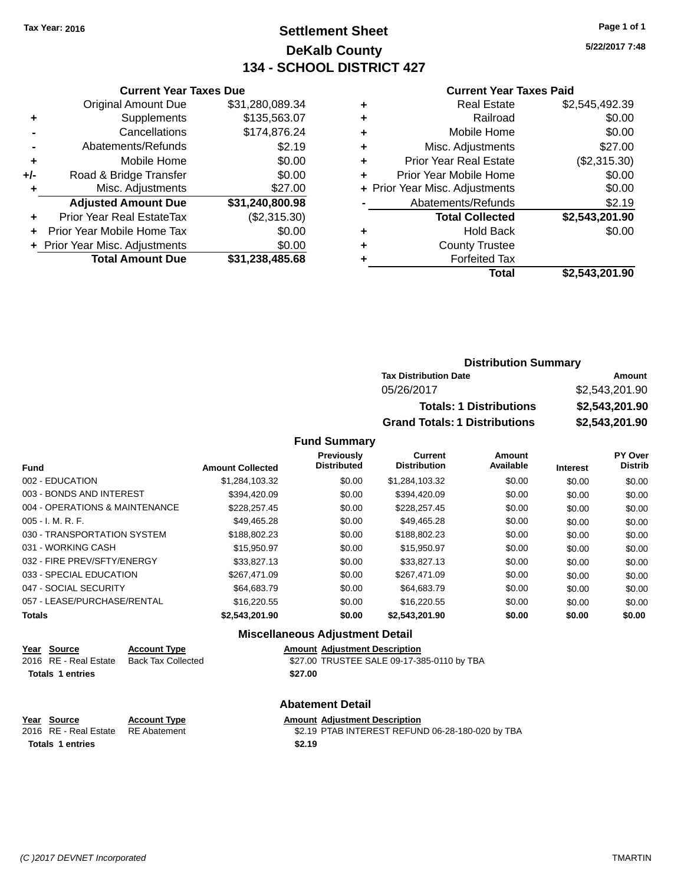### **Settlement Sheet Tax Year: 2016 Page 1 of 1 DeKalb County 134 - SCHOOL DISTRICT 427**

**5/22/2017 7:48**

#### **Current Year Taxes Paid**

|       | <b>Original Amount Due</b>     | \$31,280,089.34 |
|-------|--------------------------------|-----------------|
| ٠     | Supplements                    | \$135,563.07    |
|       | Cancellations                  | \$174,876.24    |
|       | Abatements/Refunds             | \$2.19          |
| ٠     | Mobile Home                    | \$0.00          |
| $+/-$ | Road & Bridge Transfer         | \$0.00          |
|       | Misc. Adjustments              | \$27.00         |
|       | <b>Adjusted Amount Due</b>     | \$31,240,800.98 |
| ٠     | Prior Year Real EstateTax      | (\$2,315.30)    |
|       | Prior Year Mobile Home Tax     | \$0.00          |
|       | + Prior Year Misc. Adjustments | \$0.00          |
|       | <b>Total Amount Due</b>        | \$31,238,485.68 |
|       |                                |                 |

**Current Year Taxes Due**

|   | <b>Real Estate</b>             | \$2,545,492.39 |
|---|--------------------------------|----------------|
| ٠ | Railroad                       | \$0.00         |
| ٠ | Mobile Home                    | \$0.00         |
| ٠ | Misc. Adjustments              | \$27.00        |
| ٠ | <b>Prior Year Real Estate</b>  | (\$2,315.30)   |
| ٠ | Prior Year Mobile Home         | \$0.00         |
|   | + Prior Year Misc. Adjustments | \$0.00         |
|   | Abatements/Refunds             | \$2.19         |
|   | <b>Total Collected</b>         | \$2,543,201.90 |
| ٠ | <b>Hold Back</b>               | \$0.00         |
| ٠ | <b>County Trustee</b>          |                |
| ۰ | <b>Forfeited Tax</b>           |                |
|   | Total                          | \$2,543,201.90 |
|   |                                |                |

| <b>Distribution Summary</b>          |                |  |  |
|--------------------------------------|----------------|--|--|
| <b>Tax Distribution Date</b>         | Amount         |  |  |
| 05/26/2017                           | \$2,543,201.90 |  |  |
| <b>Totals: 1 Distributions</b>       | \$2,543,201.90 |  |  |
| <b>Grand Totals: 1 Distributions</b> | \$2,543,201.90 |  |  |

#### **Fund Summary**

| <b>Fund</b>                    | <b>Amount Collected</b> | <b>Previously</b><br><b>Distributed</b> | <b>Current</b><br><b>Distribution</b> | Amount<br>Available | <b>Interest</b> | PY Over<br><b>Distrib</b> |
|--------------------------------|-------------------------|-----------------------------------------|---------------------------------------|---------------------|-----------------|---------------------------|
| 002 - EDUCATION                | \$1,284,103.32          | \$0.00                                  | \$1,284,103.32                        | \$0.00              | \$0.00          | \$0.00                    |
| 003 - BONDS AND INTEREST       | \$394.420.09            | \$0.00                                  | \$394.420.09                          | \$0.00              | \$0.00          | \$0.00                    |
| 004 - OPERATIONS & MAINTENANCE | \$228.257.45            | \$0.00                                  | \$228,257.45                          | \$0.00              | \$0.00          | \$0.00                    |
| $005 - I. M. R. F.$            | \$49.465.28             | \$0.00                                  | \$49.465.28                           | \$0.00              | \$0.00          | \$0.00                    |
| 030 - TRANSPORTATION SYSTEM    | \$188,802.23            | \$0.00                                  | \$188,802.23                          | \$0.00              | \$0.00          | \$0.00                    |
| 031 - WORKING CASH             | \$15,950.97             | \$0.00                                  | \$15,950.97                           | \$0.00              | \$0.00          | \$0.00                    |
| 032 - FIRE PREV/SFTY/ENERGY    | \$33,827.13             | \$0.00                                  | \$33,827.13                           | \$0.00              | \$0.00          | \$0.00                    |
| 033 - SPECIAL EDUCATION        | \$267.471.09            | \$0.00                                  | \$267.471.09                          | \$0.00              | \$0.00          | \$0.00                    |
| 047 - SOCIAL SECURITY          | \$64,683.79             | \$0.00                                  | \$64,683.79                           | \$0.00              | \$0.00          | \$0.00                    |
| 057 - LEASE/PURCHASE/RENTAL    | \$16,220.55             | \$0.00                                  | \$16,220.55                           | \$0.00              | \$0.00          | \$0.00                    |
| <b>Totals</b>                  | \$2,543,201.90          | \$0.00                                  | \$2.543.201.90                        | \$0.00              | \$0.00          | \$0.00                    |

#### **Miscellaneous Adjustment Detail**

| Year Source             | <b>Account Type</b>       | Amount  |
|-------------------------|---------------------------|---------|
| 2016 RE - Real Estate   | <b>Back Tax Collected</b> | \$27.00 |
| <b>Totals 1 entries</b> |                           | \$27.00 |

**Amount Adjustment Description** d  $$27.00$  TRUSTEE SALE 09-17-385-0110 by TBA

**Year Source Account Type Aggle Amount Adjustment Description**<br>
2016 RE - Real Estate RE Abatement **Aggle SEAD SEAD SEAD PTAB INTEREST REFUN Totals 1 entries \$2.19**

#### **Abatement Detail**

\$2.19 PTAB INTEREST REFUND 06-28-180-020 by TBA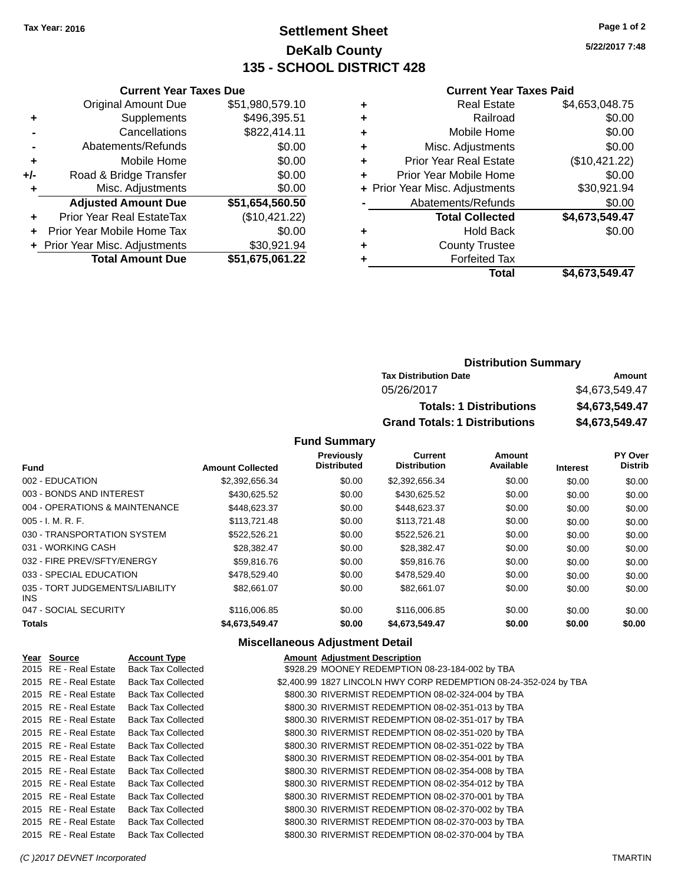**Current Year Taxes Due** Original Amount Due \$51,980,579.10

**Adjusted Amount Due \$51,654,560.50**

**Total Amount Due \$51,675,061.22**

**+** Supplements \$496,395.51 **-** Cancellations \$822,414.11 **-** Abatements/Refunds \$0.00 **+** Mobile Home \$0.00 **+/-** Road & Bridge Transfer \$0.00 **+** Misc. Adjustments \$0.00

**+** Prior Year Real EstateTax (\$10,421.22) **+** Prior Year Mobile Home Tax \$0.00 **+ Prior Year Misc. Adjustments \$30,921.94** 

### **Settlement Sheet Tax Year: 2016 Page 1 of 2 DeKalb County 135 - SCHOOL DISTRICT 428**

**5/22/2017 7:48**

#### **Current Year Taxes Paid**

| ٠ | <b>Real Estate</b>             | \$4,653,048.75 |
|---|--------------------------------|----------------|
| ٠ | Railroad                       | \$0.00         |
| ٠ | Mobile Home                    | \$0.00         |
| ٠ | Misc. Adjustments              | \$0.00         |
| ٠ | <b>Prior Year Real Estate</b>  | (\$10,421.22)  |
| ÷ | Prior Year Mobile Home         | \$0.00         |
|   | + Prior Year Misc. Adjustments | \$30,921.94    |
|   | Abatements/Refunds             | \$0.00         |
|   | <b>Total Collected</b>         | \$4,673,549.47 |
| ٠ | Hold Back                      | \$0.00         |
| ٠ | <b>County Trustee</b>          |                |
|   | <b>Forfeited Tax</b>           |                |
|   | Total                          | \$4.673.549.47 |
|   |                                |                |

| <b>Distribution Summary</b>          |                |
|--------------------------------------|----------------|
| <b>Tax Distribution Date</b>         | Amount         |
| 05/26/2017                           | \$4,673,549,47 |
| <b>Totals: 1 Distributions</b>       | \$4,673,549.47 |
| <b>Grand Totals: 1 Distributions</b> | \$4,673,549.47 |

#### **Fund Summary**

|                                         |                         | <b>Previously</b>  | <b>Current</b>      | Amount    |                 | PY Over        |
|-----------------------------------------|-------------------------|--------------------|---------------------|-----------|-----------------|----------------|
| <b>Fund</b>                             | <b>Amount Collected</b> | <b>Distributed</b> | <b>Distribution</b> | Available | <b>Interest</b> | <b>Distrib</b> |
| 002 - EDUCATION                         | \$2,392,656.34          | \$0.00             | \$2,392,656.34      | \$0.00    | \$0.00          | \$0.00         |
| 003 - BONDS AND INTEREST                | \$430,625.52            | \$0.00             | \$430,625.52        | \$0.00    | \$0.00          | \$0.00         |
| 004 - OPERATIONS & MAINTENANCE          | \$448.623.37            | \$0.00             | \$448,623.37        | \$0.00    | \$0.00          | \$0.00         |
| $005 - I. M. R. F.$                     | \$113,721.48            | \$0.00             | \$113,721.48        | \$0.00    | \$0.00          | \$0.00         |
| 030 - TRANSPORTATION SYSTEM             | \$522.526.21            | \$0.00             | \$522.526.21        | \$0.00    | \$0.00          | \$0.00         |
| 031 - WORKING CASH                      | \$28,382,47             | \$0.00             | \$28,382.47         | \$0.00    | \$0.00          | \$0.00         |
| 032 - FIRE PREV/SFTY/ENERGY             | \$59,816,76             | \$0.00             | \$59,816.76         | \$0.00    | \$0.00          | \$0.00         |
| 033 - SPECIAL EDUCATION                 | \$478,529.40            | \$0.00             | \$478,529.40        | \$0.00    | \$0.00          | \$0.00         |
| 035 - TORT JUDGEMENTS/LIABILITY<br>INS. | \$82.661.07             | \$0.00             | \$82,661,07         | \$0.00    | \$0.00          | \$0.00         |
| 047 - SOCIAL SECURITY                   | \$116,006.85            | \$0.00             | \$116,006.85        | \$0.00    | \$0.00          | \$0.00         |
| <b>Totals</b>                           | \$4,673,549.47          | \$0.00             | \$4,673,549.47      | \$0.00    | \$0.00          | \$0.00         |

#### **Miscellaneous Adjustment Detail**

| Year Source           | <b>Account Type</b>       | <b>Amount Adjustment Description</b>                             |
|-----------------------|---------------------------|------------------------------------------------------------------|
| 2015 RE - Real Estate | <b>Back Tax Collected</b> | \$928.29 MOONEY REDEMPTION 08-23-184-002 by TBA                  |
| 2015 RE - Real Estate | <b>Back Tax Collected</b> | \$2,400.99 1827 LINCOLN HWY CORP REDEMPTION 08-24-352-024 by TBA |
| 2015 RE - Real Estate | <b>Back Tax Collected</b> | \$800.30 RIVERMIST REDEMPTION 08-02-324-004 by TBA               |
| 2015 RE - Real Estate | <b>Back Tax Collected</b> | \$800.30 RIVERMIST REDEMPTION 08-02-351-013 by TBA               |
| 2015 RE - Real Estate | <b>Back Tax Collected</b> | \$800.30 RIVERMIST REDEMPTION 08-02-351-017 by TBA               |
| 2015 RE - Real Estate | <b>Back Tax Collected</b> | \$800.30 RIVERMIST REDEMPTION 08-02-351-020 by TBA               |
| 2015 RE - Real Estate | <b>Back Tax Collected</b> | \$800.30 RIVERMIST REDEMPTION 08-02-351-022 by TBA               |
| 2015 RE - Real Estate | <b>Back Tax Collected</b> | \$800.30 RIVERMIST REDEMPTION 08-02-354-001 by TBA               |
| 2015 RE - Real Estate | <b>Back Tax Collected</b> | \$800.30 RIVERMIST REDEMPTION 08-02-354-008 by TBA               |
| 2015 RE - Real Estate | <b>Back Tax Collected</b> | \$800.30 RIVERMIST REDEMPTION 08-02-354-012 by TBA               |
| 2015 RE - Real Estate | <b>Back Tax Collected</b> | \$800.30 RIVERMIST REDEMPTION 08-02-370-001 by TBA               |
| 2015 RE - Real Estate | <b>Back Tax Collected</b> | \$800.30 RIVERMIST REDEMPTION 08-02-370-002 by TBA               |
| 2015 RE - Real Estate | <b>Back Tax Collected</b> | \$800.30 RIVERMIST REDEMPTION 08-02-370-003 by TBA               |
| 2015 RE - Real Estate | <b>Back Tax Collected</b> | \$800.30 RIVERMIST REDEMPTION 08-02-370-004 by TBA               |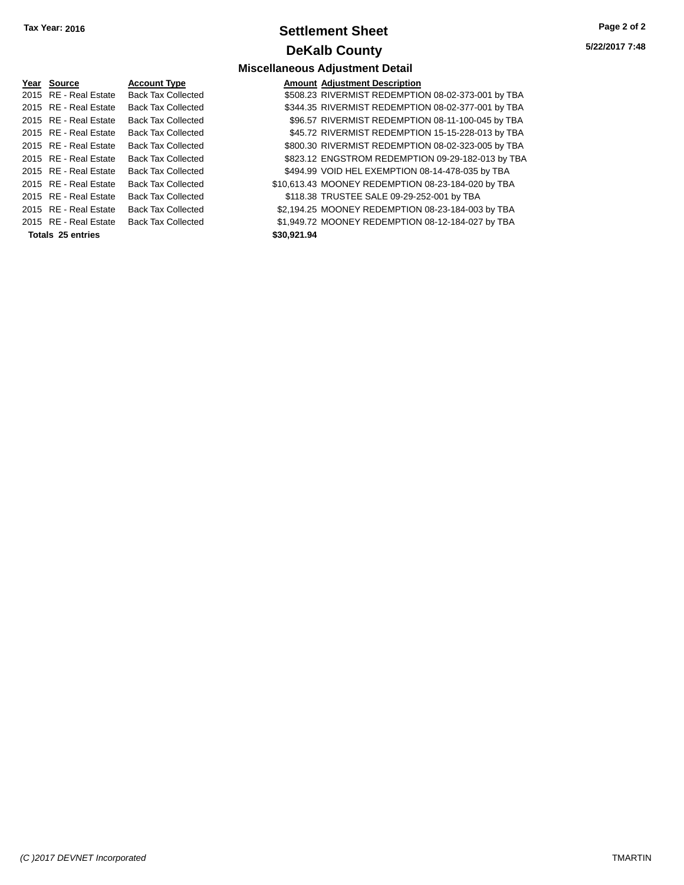### **Settlement Sheet Tax Year: 2016 Page 2 of 2 DeKalb County**

| Year Source           | <b>Account Type</b>       | Amount      |
|-----------------------|---------------------------|-------------|
| 2015 RE - Real Estate | <b>Back Tax Collected</b> | \$508.23    |
| 2015 RE - Real Estate | <b>Back Tax Collected</b> | \$344.35    |
| 2015 RE - Real Estate | <b>Back Tax Collected</b> | \$96.57     |
| 2015 RE - Real Estate | <b>Back Tax Collected</b> | \$45.72     |
| 2015 RE - Real Estate | <b>Back Tax Collected</b> | \$800.30    |
| 2015 RE - Real Estate | <b>Back Tax Collected</b> | \$823.12    |
| 2015 RE - Real Estate | <b>Back Tax Collected</b> | \$494.99    |
| 2015 RE - Real Estate | <b>Back Tax Collected</b> | \$10.613.43 |
| 2015 RE - Real Estate | <b>Back Tax Collected</b> | \$118.38    |
| 2015 RE - Real Estate | <b>Back Tax Collected</b> | \$2,194.25  |
| 2015 RE - Real Estate | <b>Back Tax Collected</b> | \$1.949.72  |
| Totals 25 entries     |                           | \$30,921.94 |

|                       |                           | <b>Miscellaneous Adjustment Detail</b>             |
|-----------------------|---------------------------|----------------------------------------------------|
| Yea <u>r</u> Source   | <b>Account Type</b>       | <b>Amount Adjustment Description</b>               |
| 2015 RE - Real Estate | <b>Back Tax Collected</b> | \$508.23 RIVERMIST REDEMPTION 08-02-373-001 by TBA |
| 2015 RE - Real Estate | <b>Back Tax Collected</b> | \$344.35 RIVERMIST REDEMPTION 08-02-377-001 by TBA |
| 2015 RE - Real Estate | <b>Back Tax Collected</b> | \$96.57 RIVERMIST REDEMPTION 08-11-100-045 by TBA  |
| 2015 RE - Real Estate | <b>Back Tax Collected</b> | \$45.72 RIVERMIST REDEMPTION 15-15-228-013 by TBA  |
| 2015 RE - Real Estate | <b>Back Tax Collected</b> | \$800.30 RIVERMIST REDEMPTION 08-02-323-005 by TBA |
| 2015 RE - Real Estate | <b>Back Tax Collected</b> | \$823.12 ENGSTROM REDEMPTION 09-29-182-013 by TBA  |
| 2015 RE - Real Estate | <b>Back Tax Collected</b> | \$494.99 VOID HEL EXEMPTION 08-14-478-035 by TBA   |
| 2015 RE - Real Estate | <b>Back Tax Collected</b> | \$10,613.43 MOONEY REDEMPTION 08-23-184-020 by TBA |
| 2015 RE - Real Estate | <b>Back Tax Collected</b> | \$118.38 TRUSTEE SALE 09-29-252-001 by TBA         |

ollected \$2,194.25 MOONEY REDEMPTION 08-23-184-003 by TBA

2016 and Estate Back Collected \$1,949.72 MOONEY REDEMPTION 08-12-184-027 by TBA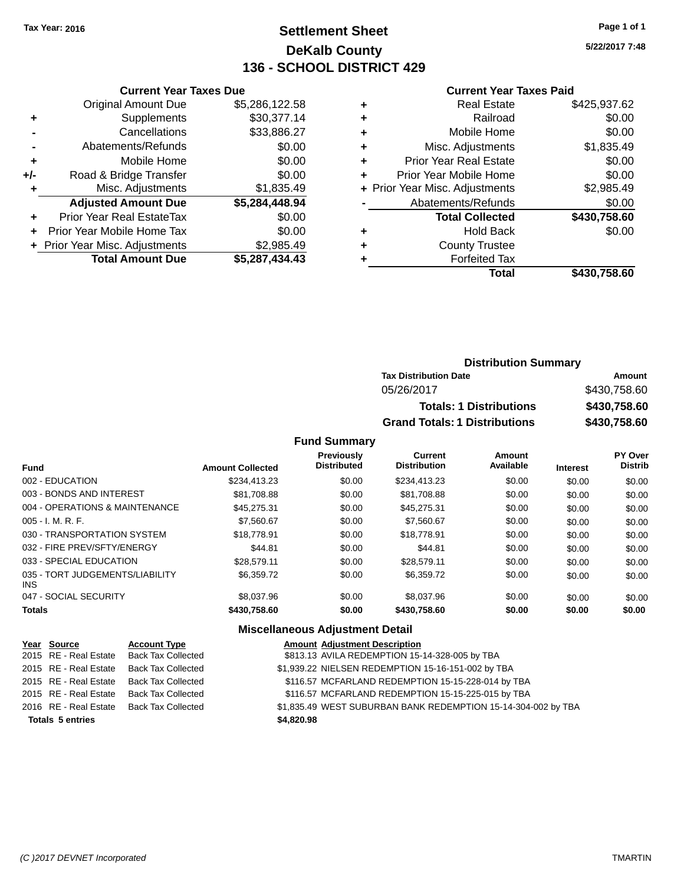### **Settlement Sheet Tax Year: 2016 Page 1 of 1 DeKalb County 136 - SCHOOL DISTRICT 429**

**5/22/2017 7:48**

#### **Current Year Taxes Paid**

|     | <b>Current Year Taxes Due</b>    |                |  |  |  |
|-----|----------------------------------|----------------|--|--|--|
|     | <b>Original Amount Due</b>       | \$5,286,122.58 |  |  |  |
| ٠   | Supplements                      | \$30,377.14    |  |  |  |
|     | Cancellations                    | \$33,886.27    |  |  |  |
|     | Abatements/Refunds               | \$0.00         |  |  |  |
| ٠   | \$0.00<br>Mobile Home            |                |  |  |  |
| +/- | Road & Bridge Transfer           | \$0.00         |  |  |  |
| ٠   | Misc. Adjustments                | \$1,835.49     |  |  |  |
|     | <b>Adjusted Amount Due</b>       | \$5,284,448.94 |  |  |  |
| ٠   | <b>Prior Year Real EstateTax</b> | \$0.00         |  |  |  |
|     | Prior Year Mobile Home Tax       | \$0.00         |  |  |  |
|     | + Prior Year Misc. Adjustments   | \$2,985.49     |  |  |  |
|     | <b>Total Amount Due</b>          | \$5,287,434.43 |  |  |  |

| ۰ | <b>Real Estate</b>             | \$425,937.62 |
|---|--------------------------------|--------------|
| ٠ | Railroad                       | \$0.00       |
| ٠ | Mobile Home                    | \$0.00       |
| ٠ | Misc. Adjustments              | \$1,835.49   |
| ٠ | <b>Prior Year Real Estate</b>  | \$0.00       |
| ٠ | Prior Year Mobile Home         | \$0.00       |
|   | + Prior Year Misc. Adjustments | \$2,985.49   |
|   | Abatements/Refunds             | \$0.00       |
|   | <b>Total Collected</b>         | \$430,758.60 |
| ٠ | <b>Hold Back</b>               | \$0.00       |
| ٠ | <b>County Trustee</b>          |              |
| ٠ | <b>Forfeited Tax</b>           |              |
|   | Total                          | \$430,758.60 |
|   |                                |              |

| <b>Distribution Summary</b>          |              |
|--------------------------------------|--------------|
| <b>Tax Distribution Date</b>         | Amount       |
| 05/26/2017                           | \$430,758.60 |
| <b>Totals: 1 Distributions</b>       | \$430,758.60 |
| <b>Grand Totals: 1 Distributions</b> | \$430,758.60 |

#### **Fund Summary**

| <b>Fund</b>                             | <b>Amount Collected</b> | <b>Previously</b><br><b>Distributed</b> | Current<br><b>Distribution</b> | Amount<br>Available | <b>Interest</b> | PY Over<br><b>Distrib</b> |
|-----------------------------------------|-------------------------|-----------------------------------------|--------------------------------|---------------------|-----------------|---------------------------|
| 002 - EDUCATION                         | \$234.413.23            | \$0.00                                  | \$234.413.23                   | \$0.00              | \$0.00          | \$0.00                    |
| 003 - BONDS AND INTEREST                | \$81.708.88             | \$0.00                                  | \$81,708.88                    | \$0.00              | \$0.00          | \$0.00                    |
| 004 - OPERATIONS & MAINTENANCE          | \$45,275.31             | \$0.00                                  | \$45.275.31                    | \$0.00              | \$0.00          | \$0.00                    |
| $005 - I. M. R. F.$                     | \$7,560.67              | \$0.00                                  | \$7,560.67                     | \$0.00              | \$0.00          | \$0.00                    |
| 030 - TRANSPORTATION SYSTEM             | \$18,778.91             | \$0.00                                  | \$18,778.91                    | \$0.00              | \$0.00          | \$0.00                    |
| 032 - FIRE PREV/SFTY/ENERGY             | \$44.81                 | \$0.00                                  | \$44.81                        | \$0.00              | \$0.00          | \$0.00                    |
| 033 - SPECIAL EDUCATION                 | \$28,579.11             | \$0.00                                  | \$28,579.11                    | \$0.00              | \$0.00          | \$0.00                    |
| 035 - TORT JUDGEMENTS/LIABILITY<br>INS. | \$6,359.72              | \$0.00                                  | \$6,359.72                     | \$0.00              | \$0.00          | \$0.00                    |
| 047 - SOCIAL SECURITY                   | \$8,037.96              | \$0.00                                  | \$8,037.96                     | \$0.00              | \$0.00          | \$0.00                    |
| <b>Totals</b>                           | \$430,758.60            | \$0.00                                  | \$430,758.60                   | \$0.00              | \$0.00          | \$0.00                    |

### **Miscellaneous Adjustment Detail**

| Year Source             | <b>Account Type</b>       | <b>Amount Adjustment Description</b>                          |
|-------------------------|---------------------------|---------------------------------------------------------------|
| 2015 RE - Real Estate   | <b>Back Tax Collected</b> | \$813.13 AVILA REDEMPTION 15-14-328-005 by TBA                |
| 2015 RE - Real Estate   | <b>Back Tax Collected</b> | \$1,939.22 NIELSEN REDEMPTION 15-16-151-002 by TBA            |
| 2015 RE - Real Estate   | <b>Back Tax Collected</b> | \$116.57 MCFARLAND REDEMPTION 15-15-228-014 by TBA            |
| 2015 RE - Real Estate   | <b>Back Tax Collected</b> | \$116.57 MCFARLAND REDEMPTION 15-15-225-015 by TBA            |
| 2016 RE - Real Estate   | <b>Back Tax Collected</b> | \$1,835.49 WEST SUBURBAN BANK REDEMPTION 15-14-304-002 by TBA |
| <b>Totals 5 entries</b> |                           | \$4,820.98                                                    |
|                         |                           |                                                               |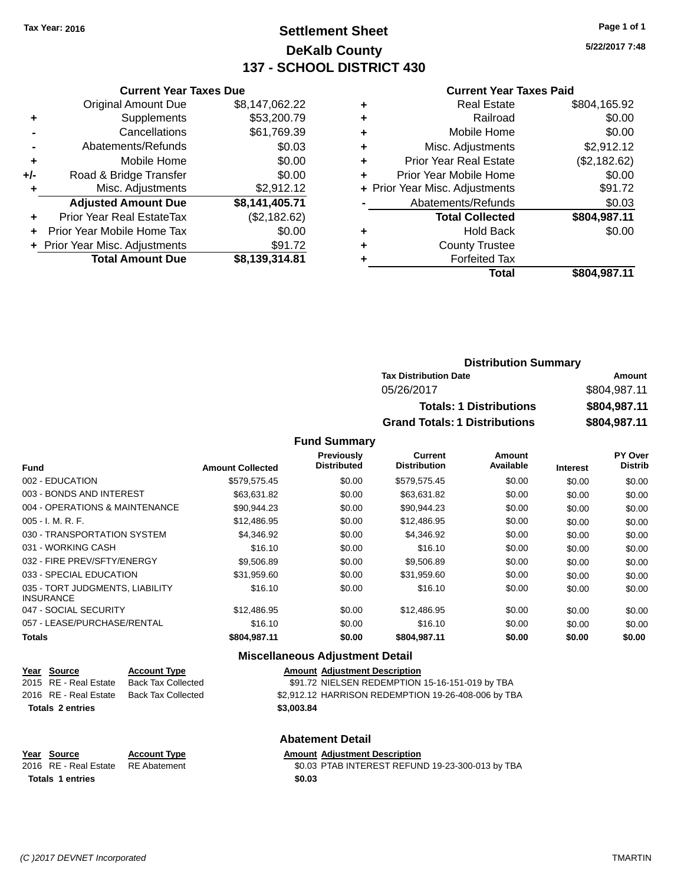### **Settlement Sheet Tax Year: 2016 Page 1 of 1 DeKalb County 137 - SCHOOL DISTRICT 430**

**5/22/2017 7:48**

#### **Current Year Taxes Paid**

|     | <b>Current Year Taxes Due</b>  |                |
|-----|--------------------------------|----------------|
|     | <b>Original Amount Due</b>     | \$8,147,062.22 |
| ٠   | Supplements                    | \$53,200.79    |
|     | Cancellations                  | \$61,769.39    |
|     | Abatements/Refunds             | \$0.03         |
| ٠   | Mobile Home                    | \$0.00         |
| +/- | Road & Bridge Transfer         | \$0.00         |
|     | Misc. Adjustments              | \$2,912.12     |
|     | <b>Adjusted Amount Due</b>     | \$8,141,405.71 |
| ÷   | Prior Year Real EstateTax      | (\$2,182.62)   |
|     | Prior Year Mobile Home Tax     | \$0.00         |
|     | + Prior Year Misc. Adjustments | \$91.72        |
|     | <b>Total Amount Due</b>        | \$8,139,314.81 |

|   | Real Estate                    | \$804,165.92 |
|---|--------------------------------|--------------|
| ٠ | Railroad                       | \$0.00       |
| ٠ | Mobile Home                    | \$0.00       |
| ٠ | Misc. Adjustments              | \$2,912.12   |
| ٠ | <b>Prior Year Real Estate</b>  | (\$2,182.62) |
| ÷ | Prior Year Mobile Home         | \$0.00       |
|   | + Prior Year Misc. Adjustments | \$91.72      |
|   | Abatements/Refunds             | \$0.03       |
|   | <b>Total Collected</b>         | \$804,987.11 |
| ٠ | Hold Back                      | \$0.00       |
| ٠ | <b>County Trustee</b>          |              |
|   | <b>Forfeited Tax</b>           |              |
|   | Total                          | \$804,987.11 |
|   |                                |              |

| <b>Distribution Summary</b>          |              |
|--------------------------------------|--------------|
| <b>Tax Distribution Date</b>         | Amount       |
| 05/26/2017                           | \$804,987.11 |
| <b>Totals: 1 Distributions</b>       | \$804,987.11 |
| <b>Grand Totals: 1 Distributions</b> | \$804,987.11 |

#### **Fund Summary**

|                                                     |                         | <b>Previously</b><br><b>Distributed</b> | Current<br><b>Distribution</b> | Amount<br>Available |                 | <b>PY Over</b><br><b>Distrib</b> |
|-----------------------------------------------------|-------------------------|-----------------------------------------|--------------------------------|---------------------|-----------------|----------------------------------|
| <b>Fund</b>                                         | <b>Amount Collected</b> |                                         |                                |                     | <b>Interest</b> |                                  |
| 002 - EDUCATION                                     | \$579.575.45            | \$0.00                                  | \$579,575.45                   | \$0.00              | \$0.00          | \$0.00                           |
| 003 - BONDS AND INTEREST                            | \$63,631.82             | \$0.00                                  | \$63,631.82                    | \$0.00              | \$0.00          | \$0.00                           |
| 004 - OPERATIONS & MAINTENANCE                      | \$90.944.23             | \$0.00                                  | \$90.944.23                    | \$0.00              | \$0.00          | \$0.00                           |
| $005 - I. M. R. F.$                                 | \$12,486.95             | \$0.00                                  | \$12,486.95                    | \$0.00              | \$0.00          | \$0.00                           |
| 030 - TRANSPORTATION SYSTEM                         | \$4,346.92              | \$0.00                                  | \$4.346.92                     | \$0.00              | \$0.00          | \$0.00                           |
| 031 - WORKING CASH                                  | \$16.10                 | \$0.00                                  | \$16.10                        | \$0.00              | \$0.00          | \$0.00                           |
| 032 - FIRE PREV/SFTY/ENERGY                         | \$9,506.89              | \$0.00                                  | \$9,506.89                     | \$0.00              | \$0.00          | \$0.00                           |
| 033 - SPECIAL EDUCATION                             | \$31,959.60             | \$0.00                                  | \$31,959.60                    | \$0.00              | \$0.00          | \$0.00                           |
| 035 - TORT JUDGMENTS, LIABILITY<br><b>INSURANCE</b> | \$16.10                 | \$0.00                                  | \$16.10                        | \$0.00              | \$0.00          | \$0.00                           |
| 047 - SOCIAL SECURITY                               | \$12.486.95             | \$0.00                                  | \$12,486.95                    | \$0.00              | \$0.00          | \$0.00                           |
| 057 - LEASE/PURCHASE/RENTAL                         | \$16.10                 | \$0.00                                  | \$16.10                        | \$0.00              | \$0.00          | \$0.00                           |
| <b>Totals</b>                                       | \$804,987.11            | \$0.00                                  | \$804,987.11                   | \$0.00              | \$0.00          | \$0.00                           |

#### **Miscellaneous Adjustment Detail**

| Year Source             | <b>Account Type</b>       | <b>Amount Adjustment Description</b>                |
|-------------------------|---------------------------|-----------------------------------------------------|
| 2015 RE - Real Estate   | Back Tax Collected        | \$91.72 NIELSEN REDEMPTION 15-16-151-019 by TBA     |
| 2016 RE - Real Estate   | <b>Back Tax Collected</b> | \$2,912.12 HARRISON REDEMPTION 19-26-408-006 by TBA |
| <b>Totals 2 entries</b> |                           | \$3,003.84                                          |
|                         |                           | <b>Abatement Detail</b>                             |

**Year Source Account Type**<br>
2016 RE - Real Estate RE Abatement **Adjustment Adjustment Description**<br>
30.03 PTAB INTEREST REFUN  $\overline{$0.03}$  PTAB INTEREST REFUND 19-23-300-013 by TBA **Totals 1 entries \$0.03**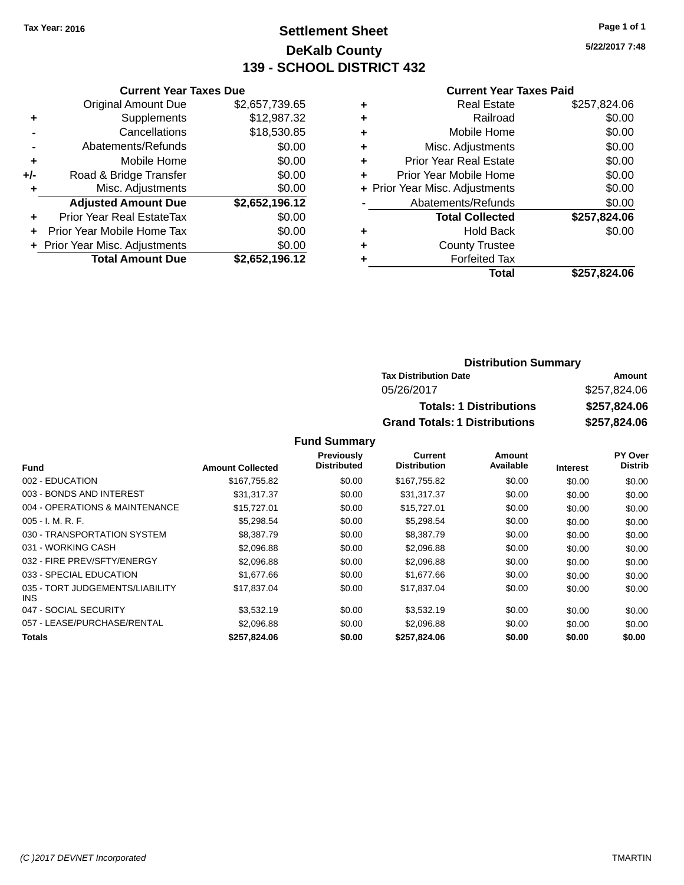### **Settlement Sheet Tax Year: 2016 Page 1 of 1 DeKalb County 139 - SCHOOL DISTRICT 432**

**5/22/2017 7:48**

#### **Current Year Taxes Paid**

|     | <b>Current Year Taxes Due</b>  |                |
|-----|--------------------------------|----------------|
|     | <b>Original Amount Due</b>     | \$2,657,739.65 |
| ٠   | Supplements                    | \$12,987.32    |
|     | Cancellations                  | \$18,530.85    |
|     | Abatements/Refunds             | \$0.00         |
| ٠   | Mobile Home                    | \$0.00         |
| +/- | Road & Bridge Transfer         | \$0.00         |
| ٠   | Misc. Adjustments              | \$0.00         |
|     | <b>Adjusted Amount Due</b>     | \$2,652,196.12 |
| ÷   | Prior Year Real EstateTax      | \$0.00         |
|     | Prior Year Mobile Home Tax     | \$0.00         |
|     | + Prior Year Misc. Adjustments | \$0.00         |
|     | <b>Total Amount Due</b>        | \$2,652,196.12 |

| \$257,824.06 |
|--------------|
| \$0.00       |
| \$0.00       |
| \$0.00       |
| \$0.00       |
| \$0.00       |
| \$0.00       |
| \$0.00       |
| \$257,824.06 |
| \$0.00       |
|              |
|              |
| \$257,824.06 |
|              |

#### **Distribution Summary Tax Distribution Date Amount** 05/26/2017 \$257,824.06 **Totals: 1 Distributions \$257,824.06 Grand Totals: 1 Distributions \$257,824.06**

#### **Fund Summary**

|                                         |                         | Previously  | <b>Current</b>      | Amount    |                 | <b>PY Over</b> |
|-----------------------------------------|-------------------------|-------------|---------------------|-----------|-----------------|----------------|
| <b>Fund</b>                             | <b>Amount Collected</b> | Distributed | <b>Distribution</b> | Available | <b>Interest</b> | <b>Distrib</b> |
| 002 - EDUCATION                         | \$167,755.82            | \$0.00      | \$167,755.82        | \$0.00    | \$0.00          | \$0.00         |
| 003 - BONDS AND INTEREST                | \$31,317.37             | \$0.00      | \$31,317.37         | \$0.00    | \$0.00          | \$0.00         |
| 004 - OPERATIONS & MAINTENANCE          | \$15,727.01             | \$0.00      | \$15,727.01         | \$0.00    | \$0.00          | \$0.00         |
| 005 - I. M. R. F.                       | \$5,298.54              | \$0.00      | \$5,298.54          | \$0.00    | \$0.00          | \$0.00         |
| 030 - TRANSPORTATION SYSTEM             | \$8,387.79              | \$0.00      | \$8,387.79          | \$0.00    | \$0.00          | \$0.00         |
| 031 - WORKING CASH                      | \$2.096.88              | \$0.00      | \$2,096.88          | \$0.00    | \$0.00          | \$0.00         |
| 032 - FIRE PREV/SFTY/ENERGY             | \$2,096.88              | \$0.00      | \$2,096.88          | \$0.00    | \$0.00          | \$0.00         |
| 033 - SPECIAL EDUCATION                 | \$1,677.66              | \$0.00      | \$1,677.66          | \$0.00    | \$0.00          | \$0.00         |
| 035 - TORT JUDGEMENTS/LIABILITY<br>INS. | \$17,837.04             | \$0.00      | \$17,837.04         | \$0.00    | \$0.00          | \$0.00         |
| 047 - SOCIAL SECURITY                   | \$3,532.19              | \$0.00      | \$3,532.19          | \$0.00    | \$0.00          | \$0.00         |
| 057 - LEASE/PURCHASE/RENTAL             | \$2,096.88              | \$0.00      | \$2,096.88          | \$0.00    | \$0.00          | \$0.00         |
| Totals                                  | \$257,824.06            | \$0.00      | \$257,824.06        | \$0.00    | \$0.00          | \$0.00         |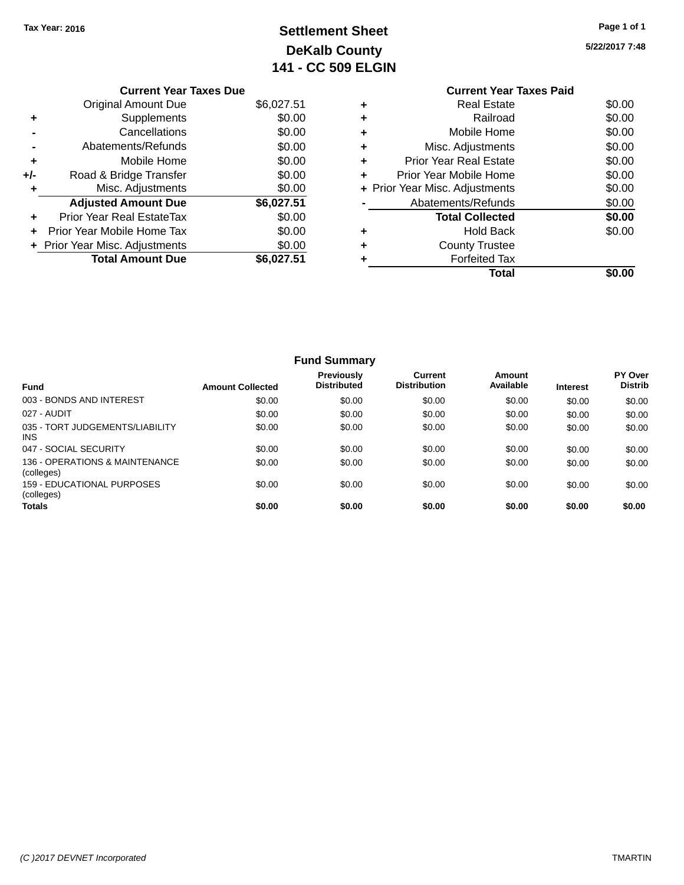## **Settlement Sheet Tax Year: 2016 Page 1 of 1 DeKalb County 141 - CC 509 ELGIN**

#### **5/22/2017 7:48**

|       | <b>Current Year Taxes Due</b>  |            |
|-------|--------------------------------|------------|
|       | Original Amount Due            | \$6,027.51 |
|       | Supplements                    | \$0.00     |
|       | Cancellations                  | \$0.00     |
|       | Abatements/Refunds             | \$0.00     |
| ٠     | Mobile Home                    | \$0.00     |
| $+/-$ | Road & Bridge Transfer         | \$0.00     |
| ٠     | Misc. Adjustments              | \$0.00     |
|       | <b>Adjusted Amount Due</b>     | \$6,027.51 |
|       | Prior Year Real EstateTax      | \$0.00     |
|       | Prior Year Mobile Home Tax     | \$0.00     |
|       | + Prior Year Misc. Adjustments | \$0.00     |
|       | <b>Total Amount Due</b>        | \$6,027.51 |
|       |                                |            |

|   | <b>Current Year Taxes Paid</b> |        |
|---|--------------------------------|--------|
| ٠ | <b>Real Estate</b>             | \$0.00 |
|   | Railroad                       | \$0.00 |
| ٠ | Mobile Home                    | \$0.00 |
|   | Misc. Adjustments              | \$0.00 |
| ٠ | <b>Prior Year Real Estate</b>  | \$0.00 |
|   | Prior Year Mobile Home         | \$0.00 |
|   | + Prior Year Misc. Adjustments | \$0.00 |
|   | Abatements/Refunds             | \$0.00 |
|   | <b>Total Collected</b>         | \$0.00 |
|   | <b>Hold Back</b>               | \$0.00 |
|   | <b>County Trustee</b>          |        |
|   | <b>Forfeited Tax</b>           |        |
|   | Total                          |        |
|   |                                |        |

|                                               |                         | <b>Fund Summary</b>                     |                                |                     |                 |                                  |
|-----------------------------------------------|-------------------------|-----------------------------------------|--------------------------------|---------------------|-----------------|----------------------------------|
| Fund                                          | <b>Amount Collected</b> | <b>Previously</b><br><b>Distributed</b> | Current<br><b>Distribution</b> | Amount<br>Available | <b>Interest</b> | <b>PY Over</b><br><b>Distrib</b> |
| 003 - BONDS AND INTEREST                      | \$0.00                  | \$0.00                                  | \$0.00                         | \$0.00              | \$0.00          | \$0.00                           |
| 027 - AUDIT                                   | \$0.00                  | \$0.00                                  | \$0.00                         | \$0.00              | \$0.00          | \$0.00                           |
| 035 - TORT JUDGEMENTS/LIABILITY<br><b>INS</b> | \$0.00                  | \$0.00                                  | \$0.00                         | \$0.00              | \$0.00          | \$0.00                           |
| 047 - SOCIAL SECURITY                         | \$0.00                  | \$0.00                                  | \$0.00                         | \$0.00              | \$0.00          | \$0.00                           |
| 136 - OPERATIONS & MAINTENANCE<br>(colleges)  | \$0.00                  | \$0.00                                  | \$0.00                         | \$0.00              | \$0.00          | \$0.00                           |
| 159 - EDUCATIONAL PURPOSES<br>(colleges)      | \$0.00                  | \$0.00                                  | \$0.00                         | \$0.00              | \$0.00          | \$0.00                           |
| <b>Totals</b>                                 | \$0.00                  | \$0.00                                  | \$0.00                         | \$0.00              | \$0.00          | \$0.00                           |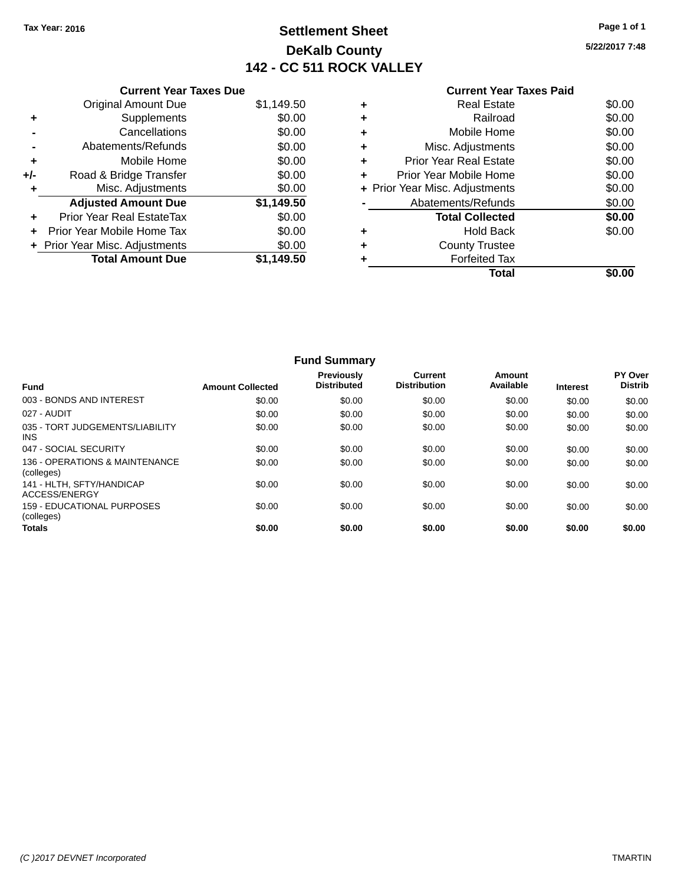### **Settlement Sheet Tax Year: 2016 Page 1 of 1 DeKalb County 142 - CC 511 ROCK VALLEY**

**5/22/2017 7:48**

|     | <b>Current Year Taxes Due</b>  |            |
|-----|--------------------------------|------------|
|     | <b>Original Amount Due</b>     | \$1,149.50 |
| ٠   | Supplements                    | \$0.00     |
|     | Cancellations                  | \$0.00     |
|     | Abatements/Refunds             | \$0.00     |
| ٠   | Mobile Home                    | \$0.00     |
| +/- | Road & Bridge Transfer         | \$0.00     |
|     | Misc. Adjustments              | \$0.00     |
|     | <b>Adjusted Amount Due</b>     | \$1,149.50 |
|     | Prior Year Real EstateTax      | \$0.00     |
| ÷   | Prior Year Mobile Home Tax     | \$0.00     |
|     | + Prior Year Misc. Adjustments | \$0.00     |
|     | <b>Total Amount Due</b>        | \$1,149.50 |
|     |                                |            |

|   | <b>Real Estate</b>             | \$0.00 |
|---|--------------------------------|--------|
| ÷ | Railroad                       | \$0.00 |
| ٠ | Mobile Home                    | \$0.00 |
|   | Misc. Adjustments              | \$0.00 |
| ÷ | <b>Prior Year Real Estate</b>  | \$0.00 |
| ÷ | Prior Year Mobile Home         | \$0.00 |
|   | + Prior Year Misc. Adjustments | \$0.00 |
|   | Abatements/Refunds             | \$0.00 |
|   | <b>Total Collected</b>         | \$0.00 |
| ٠ | <b>Hold Back</b>               | \$0.00 |
| ÷ | <b>County Trustee</b>          |        |
|   | <b>Forfeited Tax</b>           |        |
|   | Total                          |        |
|   |                                |        |

|                                                 |                         | <b>Fund Summary</b>                     |                                |                     |                 |                           |
|-------------------------------------------------|-------------------------|-----------------------------------------|--------------------------------|---------------------|-----------------|---------------------------|
| <b>Fund</b>                                     | <b>Amount Collected</b> | <b>Previously</b><br><b>Distributed</b> | Current<br><b>Distribution</b> | Amount<br>Available | <b>Interest</b> | PY Over<br><b>Distrib</b> |
| 003 - BONDS AND INTEREST                        | \$0.00                  | \$0.00                                  | \$0.00                         | \$0.00              | \$0.00          | \$0.00                    |
| 027 - AUDIT                                     | \$0.00                  | \$0.00                                  | \$0.00                         | \$0.00              | \$0.00          | \$0.00                    |
| 035 - TORT JUDGEMENTS/LIABILITY<br><b>INS</b>   | \$0.00                  | \$0.00                                  | \$0.00                         | \$0.00              | \$0.00          | \$0.00                    |
| 047 - SOCIAL SECURITY                           | \$0.00                  | \$0.00                                  | \$0.00                         | \$0.00              | \$0.00          | \$0.00                    |
| 136 - OPERATIONS & MAINTENANCE<br>(colleges)    | \$0.00                  | \$0.00                                  | \$0.00                         | \$0.00              | \$0.00          | \$0.00                    |
| 141 - HLTH, SFTY/HANDICAP<br>ACCESS/ENERGY      | \$0.00                  | \$0.00                                  | \$0.00                         | \$0.00              | \$0.00          | \$0.00                    |
| <b>159 - EDUCATIONAL PURPOSES</b><br>(colleges) | \$0.00                  | \$0.00                                  | \$0.00                         | \$0.00              | \$0.00          | \$0.00                    |
| <b>Totals</b>                                   | \$0.00                  | \$0.00                                  | \$0.00                         | \$0.00              | \$0.00          | \$0.00                    |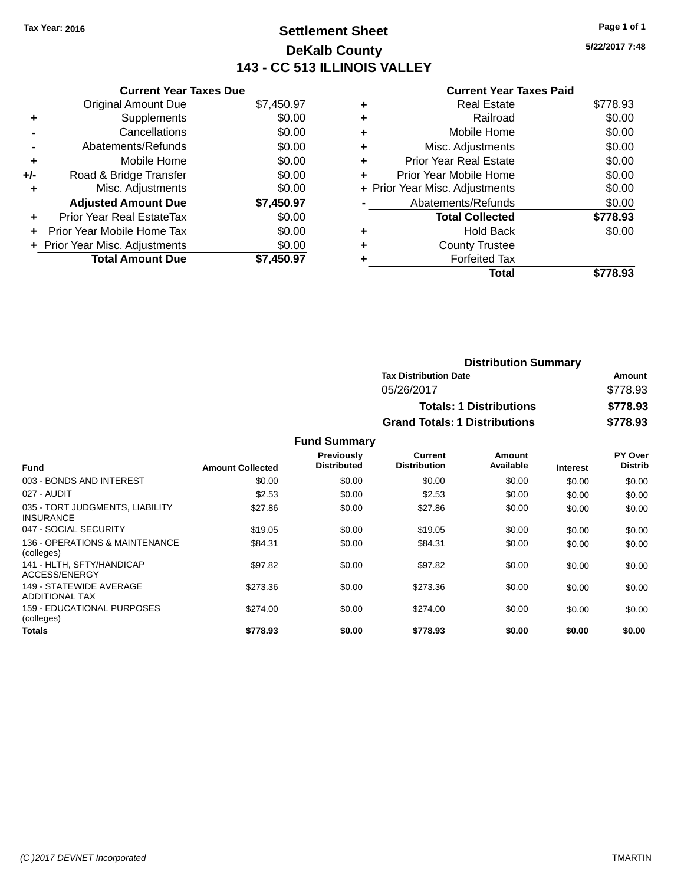### **Settlement Sheet Tax Year: 2016 Page 1 of 1 DeKalb County 143 - CC 513 ILLINOIS VALLEY**

**5/22/2017 7:48**

#### **Current Year Taxes Paid**

|     | <b>Current Year Taxes Due</b>  |            |
|-----|--------------------------------|------------|
|     | <b>Original Amount Due</b>     | \$7,450.97 |
| ٠   | Supplements                    | \$0.00     |
|     | Cancellations                  | \$0.00     |
|     | Abatements/Refunds             | \$0.00     |
| ÷   | Mobile Home                    | \$0.00     |
| +/- | Road & Bridge Transfer         | \$0.00     |
|     | Misc. Adjustments              | \$0.00     |
|     | <b>Adjusted Amount Due</b>     | \$7,450.97 |
| ÷   | Prior Year Real EstateTax      | \$0.00     |
|     | Prior Year Mobile Home Tax     | \$0.00     |
|     | + Prior Year Misc. Adjustments | \$0.00     |
|     | <b>Total Amount Due</b>        | \$7,450.97 |
|     |                                |            |

|   | Real Estate                    | \$778.93 |
|---|--------------------------------|----------|
| ٠ | Railroad                       | \$0.00   |
| ٠ | Mobile Home                    | \$0.00   |
| ٠ | Misc. Adjustments              | \$0.00   |
| ٠ | <b>Prior Year Real Estate</b>  | \$0.00   |
| ÷ | Prior Year Mobile Home         | \$0.00   |
|   | + Prior Year Misc. Adjustments | \$0.00   |
|   | Abatements/Refunds             | \$0.00   |
|   | <b>Total Collected</b>         | \$778.93 |
| ٠ | <b>Hold Back</b>               | \$0.00   |
|   | <b>County Trustee</b>          |          |
|   | <b>Forfeited Tax</b>           |          |
|   | Total                          | \$778.93 |
|   |                                |          |

| <b>Distribution Summary</b>          |          |
|--------------------------------------|----------|
| <b>Tax Distribution Date</b>         | Amount   |
| 05/26/2017                           | \$778.93 |
| <b>Totals: 1 Distributions</b>       | \$778.93 |
| <b>Grand Totals: 1 Distributions</b> | \$778.93 |

#### **Fund Summary**

|                                                     |                         | Previously<br><b>Distributed</b> | Current<br><b>Distribution</b> | Amount<br>Available |                 | PY Over<br><b>Distrib</b> |
|-----------------------------------------------------|-------------------------|----------------------------------|--------------------------------|---------------------|-----------------|---------------------------|
| <b>Fund</b>                                         | <b>Amount Collected</b> |                                  |                                |                     | <b>Interest</b> |                           |
| 003 - BONDS AND INTEREST                            | \$0.00                  | \$0.00                           | \$0.00                         | \$0.00              | \$0.00          | \$0.00                    |
| 027 - AUDIT                                         | \$2.53                  | \$0.00                           | \$2.53                         | \$0.00              | \$0.00          | \$0.00                    |
| 035 - TORT JUDGMENTS, LIABILITY<br><b>INSURANCE</b> | \$27.86                 | \$0.00                           | \$27.86                        | \$0.00              | \$0.00          | \$0.00                    |
| 047 - SOCIAL SECURITY                               | \$19.05                 | \$0.00                           | \$19.05                        | \$0.00              | \$0.00          | \$0.00                    |
| 136 - OPERATIONS & MAINTENANCE<br>(colleges)        | \$84.31                 | \$0.00                           | \$84.31                        | \$0.00              | \$0.00          | \$0.00                    |
| 141 - HLTH, SFTY/HANDICAP<br>ACCESS/ENERGY          | \$97.82                 | \$0.00                           | \$97.82                        | \$0.00              | \$0.00          | \$0.00                    |
| 149 - STATEWIDE AVERAGE<br>ADDITIONAL TAX           | \$273.36                | \$0.00                           | \$273.36                       | \$0.00              | \$0.00          | \$0.00                    |
| 159 - EDUCATIONAL PURPOSES<br>(colleges)            | \$274.00                | \$0.00                           | \$274.00                       | \$0.00              | \$0.00          | \$0.00                    |
| <b>Totals</b>                                       | \$778.93                | \$0.00                           | \$778.93                       | \$0.00              | \$0.00          | \$0.00                    |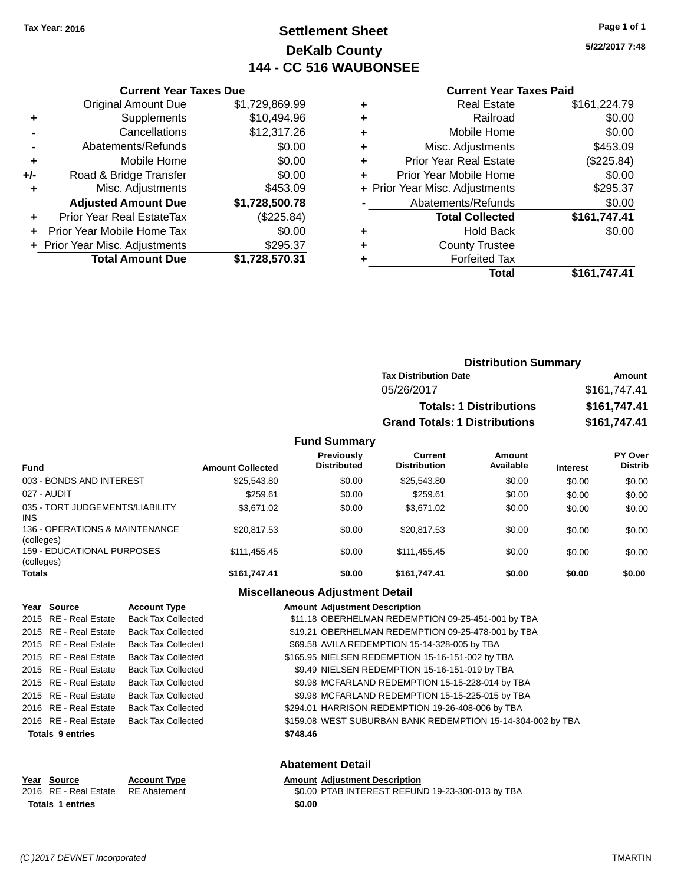### **Settlement Sheet Tax Year: 2016 Page 1 of 1 DeKalb County 144 - CC 516 WAUBONSEE**

**5/22/2017 7:48**

#### **Current Year Taxes Paid**

|     | <b>Current Year Taxes Due</b>  |                |
|-----|--------------------------------|----------------|
|     | <b>Original Amount Due</b>     | \$1,729,869.99 |
| ÷   | Supplements                    | \$10,494.96    |
|     | Cancellations                  | \$12,317.26    |
|     | Abatements/Refunds             | \$0.00         |
| ٠   | Mobile Home                    | \$0.00         |
| +/- | Road & Bridge Transfer         | \$0.00         |
|     | Misc. Adjustments              | \$453.09       |
|     | <b>Adjusted Amount Due</b>     | \$1,728,500.78 |
| ÷   | Prior Year Real EstateTax      | (\$225.84)     |
|     | Prior Year Mobile Home Tax     | \$0.00         |
|     | + Prior Year Misc. Adjustments | \$295.37       |
|     | <b>Total Amount Due</b>        | \$1,728,570.31 |

| ۰ | <b>Real Estate</b>             | \$161,224.79 |
|---|--------------------------------|--------------|
| ٠ | Railroad                       | \$0.00       |
| ٠ | Mobile Home                    | \$0.00       |
| ٠ | Misc. Adjustments              | \$453.09     |
| ٠ | <b>Prior Year Real Estate</b>  | (\$225.84)   |
| ٠ | Prior Year Mobile Home         | \$0.00       |
|   | + Prior Year Misc. Adjustments | \$295.37     |
|   | Abatements/Refunds             | \$0.00       |
|   | <b>Total Collected</b>         | \$161,747.41 |
| ٠ | <b>Hold Back</b>               | \$0.00       |
| ٠ | <b>County Trustee</b>          |              |
| ٠ | <b>Forfeited Tax</b>           |              |
|   | Total                          | \$161,747.41 |
|   |                                |              |

| <b>Distribution Summary</b>          |              |
|--------------------------------------|--------------|
| <b>Tax Distribution Date</b>         | Amount       |
| 05/26/2017                           | \$161,747.41 |
| <b>Totals: 1 Distributions</b>       | \$161,747.41 |
| <b>Grand Totals: 1 Distributions</b> | \$161,747.41 |

#### **Fund Summary**

| <b>Fund</b>                                  | <b>Amount Collected</b> | <b>Previously</b><br><b>Distributed</b> | Current<br><b>Distribution</b> | Amount<br>Available | <b>Interest</b> | PY Over<br><b>Distrib</b> |
|----------------------------------------------|-------------------------|-----------------------------------------|--------------------------------|---------------------|-----------------|---------------------------|
| 003 - BONDS AND INTEREST                     | \$25,543.80             | \$0.00                                  | \$25,543.80                    | \$0.00              | \$0.00          | \$0.00                    |
| 027 - AUDIT                                  | \$259.61                | \$0.00                                  | \$259.61                       | \$0.00              | \$0.00          | \$0.00                    |
| 035 - TORT JUDGEMENTS/LIABILITY<br>INS.      | \$3.671.02              | \$0.00                                  | \$3.671.02                     | \$0.00              | \$0.00          | \$0.00                    |
| 136 - OPERATIONS & MAINTENANCE<br>(colleges) | \$20.817.53             | \$0.00                                  | \$20.817.53                    | \$0.00              | \$0.00          | \$0.00                    |
| 159 - EDUCATIONAL PURPOSES<br>(colleges)     | \$111.455.45            | \$0.00                                  | \$111.455.45                   | \$0.00              | \$0.00          | \$0.00                    |
| Totals                                       | \$161.747.41            | \$0.00                                  | \$161.747.41                   | \$0.00              | \$0.00          | \$0.00                    |

#### **Miscellaneous Adjustment Detail**

| Year Source             | <b>Account Type</b>       | <b>Amount Adjustment Description</b>                        |
|-------------------------|---------------------------|-------------------------------------------------------------|
| 2015 RE - Real Estate   | <b>Back Tax Collected</b> | \$11.18 OBERHELMAN REDEMPTION 09-25-451-001 by TBA          |
| 2015 RE - Real Estate   | <b>Back Tax Collected</b> | \$19.21 OBERHELMAN REDEMPTION 09-25-478-001 by TBA          |
| 2015 RE - Real Estate   | <b>Back Tax Collected</b> | \$69.58 AVILA REDEMPTION 15-14-328-005 by TBA               |
| 2015 RE - Real Estate   | <b>Back Tax Collected</b> | \$165.95 NIELSEN REDEMPTION 15-16-151-002 by TBA            |
| 2015 RE - Real Estate   | Back Tax Collected        | \$9.49 NIELSEN REDEMPTION 15-16-151-019 by TBA              |
| 2015 RE - Real Estate   | <b>Back Tax Collected</b> | \$9.98 MCFARLAND REDEMPTION 15-15-228-014 by TBA            |
| 2015 RE - Real Estate   | <b>Back Tax Collected</b> | \$9.98 MCFARLAND REDEMPTION 15-15-225-015 by TBA            |
| 2016 RE - Real Estate   | <b>Back Tax Collected</b> | \$294.01 HARRISON REDEMPTION 19-26-408-006 by TBA           |
| 2016 RE - Real Estate   | <b>Back Tax Collected</b> | \$159.08 WEST SUBURBAN BANK REDEMPTION 15-14-304-002 by TBA |
| <b>Totals 9 entries</b> |                           | \$748.46                                                    |
|                         |                           |                                                             |

#### **Abatement Detail**

#### **Year** Source **Account Type Account Adjustment Description**

2016 RE - Real Estate RE Abatement \$0.00 PTAB INTEREST REFUND 19-23-300-013 by TBA **Totals 1 entries \$0.00**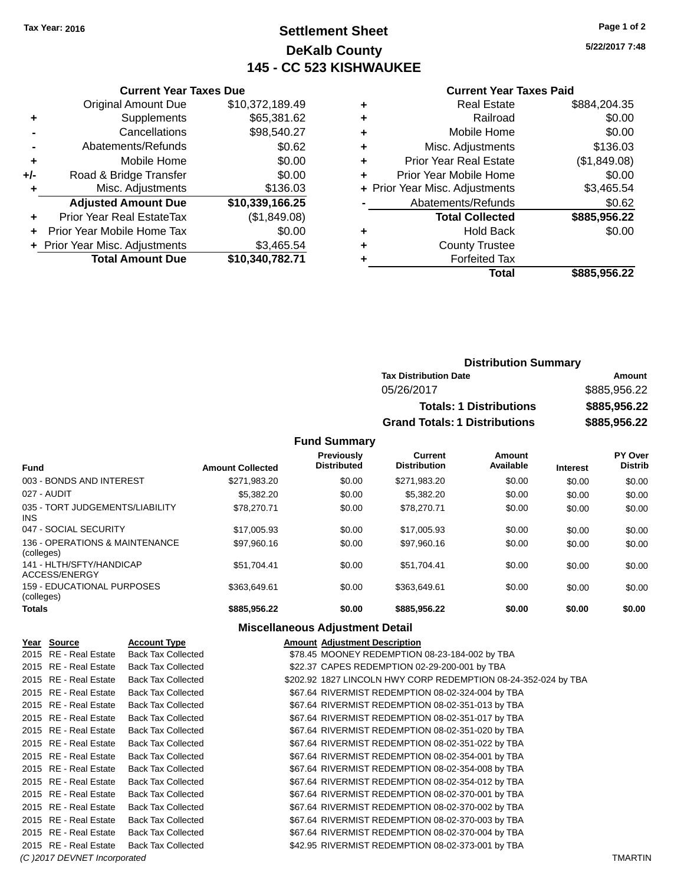### **Settlement Sheet Tax Year: 2016 Page 1 of 2 DeKalb County 145 - CC 523 KISHWAUKEE**

**5/22/2017 7:48**

#### **Current Year Taxes Paid**

|     | <b>Current Year Taxes Due</b>  |                 |
|-----|--------------------------------|-----------------|
|     | <b>Original Amount Due</b>     | \$10,372,189.49 |
| ٠   | Supplements                    | \$65,381.62     |
|     | Cancellations                  | \$98,540.27     |
|     | Abatements/Refunds             | \$0.62          |
| ٠   | Mobile Home                    | \$0.00          |
| +/- | Road & Bridge Transfer         | \$0.00          |
| ٠   | Misc. Adjustments              | \$136.03        |
|     | <b>Adjusted Amount Due</b>     | \$10,339,166.25 |
|     | Prior Year Real EstateTax      | (\$1,849.08)    |
| ÷   | Prior Year Mobile Home Tax     | \$0.00          |
|     | + Prior Year Misc. Adjustments | \$3,465.54      |
|     | <b>Total Amount Due</b>        | \$10,340,782.71 |
|     |                                |                 |

|   | <b>Real Estate</b>             | \$884,204.35 |
|---|--------------------------------|--------------|
| ٠ | Railroad                       | \$0.00       |
| ٠ | Mobile Home                    | \$0.00       |
| ٠ | Misc. Adjustments              | \$136.03     |
| ٠ | <b>Prior Year Real Estate</b>  | (\$1,849.08) |
|   | Prior Year Mobile Home         | \$0.00       |
|   | + Prior Year Misc. Adjustments | \$3,465.54   |
|   | Abatements/Refunds             | \$0.62       |
|   | <b>Total Collected</b>         | \$885,956.22 |
| ٠ | <b>Hold Back</b>               | \$0.00       |
|   | <b>County Trustee</b>          |              |
|   | <b>Forfeited Tax</b>           |              |
|   | Total                          | \$885,956.22 |
|   |                                |              |

| <b>Distribution Summary</b>          |              |
|--------------------------------------|--------------|
| <b>Tax Distribution Date</b>         | Amount       |
| 05/26/2017                           | \$885,956.22 |
| <b>Totals: 1 Distributions</b>       | \$885,956,22 |
| <b>Grand Totals: 1 Distributions</b> | \$885,956.22 |

**Fund Summary**

| <b>Fund</b>                                   | <b>Amount Collected</b> | <b>Previously</b><br><b>Distributed</b> | Current<br><b>Distribution</b> | Amount<br>Available | <b>Interest</b> | PY Over<br><b>Distrib</b> |
|-----------------------------------------------|-------------------------|-----------------------------------------|--------------------------------|---------------------|-----------------|---------------------------|
| 003 - BONDS AND INTEREST                      | \$271.983.20            | \$0.00                                  | \$271,983.20                   | \$0.00              | \$0.00          | \$0.00                    |
| 027 - AUDIT                                   | \$5,382.20              | \$0.00                                  | \$5.382.20                     | \$0.00              | \$0.00          | \$0.00                    |
| 035 - TORT JUDGEMENTS/LIABILITY<br><b>INS</b> | \$78,270.71             | \$0.00                                  | \$78,270.71                    | \$0.00              | \$0.00          | \$0.00                    |
| 047 - SOCIAL SECURITY                         | \$17,005.93             | \$0.00                                  | \$17,005.93                    | \$0.00              | \$0.00          | \$0.00                    |
| 136 - OPERATIONS & MAINTENANCE<br>(colleges)  | \$97.960.16             | \$0.00                                  | \$97.960.16                    | \$0.00              | \$0.00          | \$0.00                    |
| 141 - HLTH/SFTY/HANDICAP<br>ACCESS/ENERGY     | \$51.704.41             | \$0.00                                  | \$51.704.41                    | \$0.00              | \$0.00          | \$0.00                    |
| 159 - EDUCATIONAL PURPOSES<br>(colleges)      | \$363,649.61            | \$0.00                                  | \$363,649.61                   | \$0.00              | \$0.00          | \$0.00                    |
| <b>Totals</b>                                 | \$885,956.22            | \$0.00                                  | \$885,956.22                   | \$0.00              | \$0.00          | \$0.00                    |

### **Miscellaneous Adjustment Detail**

| Year Source                  | <b>Account Type</b>       | <b>Amount Adiustment Description</b>                           |                |
|------------------------------|---------------------------|----------------------------------------------------------------|----------------|
| 2015 RE - Real Estate        | <b>Back Tax Collected</b> | \$78.45 MOONEY REDEMPTION 08-23-184-002 by TBA                 |                |
| 2015 RE - Real Estate        | <b>Back Tax Collected</b> | \$22.37 CAPES REDEMPTION 02-29-200-001 by TBA                  |                |
| 2015 RE - Real Estate        | <b>Back Tax Collected</b> | \$202.92 1827 LINCOLN HWY CORP REDEMPTION 08-24-352-024 by TBA |                |
| 2015 RE - Real Estate        | <b>Back Tax Collected</b> | \$67.64 RIVERMIST REDEMPTION 08-02-324-004 by TBA              |                |
| 2015 RE - Real Estate        | <b>Back Tax Collected</b> | \$67.64 RIVERMIST REDEMPTION 08-02-351-013 by TBA              |                |
| 2015 RE - Real Estate        | <b>Back Tax Collected</b> | \$67.64 RIVERMIST REDEMPTION 08-02-351-017 by TBA              |                |
| 2015 RE - Real Estate        | <b>Back Tax Collected</b> | \$67.64 RIVERMIST REDEMPTION 08-02-351-020 by TBA              |                |
| 2015 RE - Real Estate        | <b>Back Tax Collected</b> | \$67.64 RIVERMIST REDEMPTION 08-02-351-022 by TBA              |                |
| 2015 RE - Real Estate        | <b>Back Tax Collected</b> | \$67.64 RIVERMIST REDEMPTION 08-02-354-001 by TBA              |                |
| 2015 RE - Real Estate        | <b>Back Tax Collected</b> | \$67.64 RIVERMIST REDEMPTION 08-02-354-008 by TBA              |                |
| 2015 RE - Real Estate        | <b>Back Tax Collected</b> | \$67.64 RIVERMIST REDEMPTION 08-02-354-012 by TBA              |                |
| 2015 RE - Real Estate        | <b>Back Tax Collected</b> | \$67.64 RIVERMIST REDEMPTION 08-02-370-001 by TBA              |                |
| 2015 RE - Real Estate        | <b>Back Tax Collected</b> | \$67.64 RIVERMIST REDEMPTION 08-02-370-002 by TBA              |                |
| 2015 RE - Real Estate        | <b>Back Tax Collected</b> | \$67.64 RIVERMIST REDEMPTION 08-02-370-003 by TBA              |                |
| 2015 RE - Real Estate        | <b>Back Tax Collected</b> | \$67.64 RIVERMIST REDEMPTION 08-02-370-004 by TBA              |                |
| 2015 RE - Real Estate        | <b>Back Tax Collected</b> | \$42.95 RIVERMIST REDEMPTION 08-02-373-001 by TBA              |                |
| (C) 2017 DEVNET Incorporated |                           |                                                                | <b>TMARTIN</b> |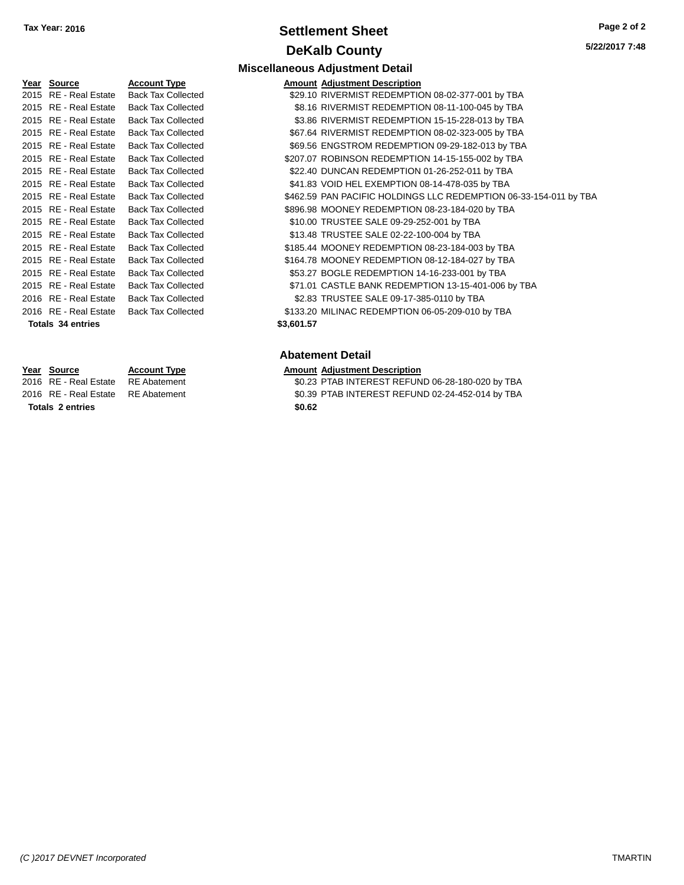### **Settlement Sheet Tax Year: 2016 Page 2 of 2 DeKalb County**

| Year Source              | <b>Account Type</b>       |            | <b>Amount Adjustment Description</b> |
|--------------------------|---------------------------|------------|--------------------------------------|
| 2015 RE - Real Estate    | <b>Back Tax Collected</b> |            | \$29.10 RIVERMIST REDEMPTIO          |
| 2015 RE - Real Estate    | <b>Back Tax Collected</b> |            | \$8.16 RIVERMIST REDEMPTIO           |
| 2015 RE - Real Estate    | <b>Back Tax Collected</b> |            | \$3.86 RIVERMIST REDEMPTIO           |
| 2015 RE - Real Estate    | <b>Back Tax Collected</b> |            | \$67.64 RIVERMIST REDEMPTIO          |
| 2015 RE - Real Estate    | <b>Back Tax Collected</b> |            | \$69.56 ENGSTROM REDEMPTI            |
| 2015 RE - Real Estate    | <b>Back Tax Collected</b> |            | \$207.07 ROBINSON REDEMPTIO          |
| 2015 RE - Real Estate    | <b>Back Tax Collected</b> |            | \$22.40 DUNCAN REDEMPTION            |
| 2015 RE - Real Estate    | <b>Back Tax Collected</b> |            | \$41.83 VOID HEL EXEMPTION           |
| 2015 RE - Real Estate    | <b>Back Tax Collected</b> |            | \$462.59 PAN PACIFIC HOLDINGS        |
| 2015 RE - Real Estate    | <b>Back Tax Collected</b> |            | \$896.98 MOONEY REDEMPTION           |
| 2015 RE - Real Estate    | <b>Back Tax Collected</b> |            | \$10.00 TRUSTEE SALE 09-29-2         |
| 2015 RE - Real Estate    | <b>Back Tax Collected</b> |            | \$13.48 TRUSTEE SALE 02-22-1         |
| 2015 RE - Real Estate    | <b>Back Tax Collected</b> |            | \$185.44 MOONEY REDEMPTION           |
| 2015 RE - Real Estate    | <b>Back Tax Collected</b> |            | \$164.78 MOONEY REDEMPTION           |
| 2015 RE - Real Estate    | <b>Back Tax Collected</b> |            | \$53.27 BOGLE REDEMPTION 1           |
| 2015 RE - Real Estate    | <b>Back Tax Collected</b> |            | \$71.01 CASTLE BANK REDEMF           |
| 2016 RE - Real Estate    | <b>Back Tax Collected</b> |            | \$2.83 TRUSTEE SALE 09-17-3          |
| 2016 RE - Real Estate    | <b>Back Tax Collected</b> |            | \$133.20 MILINAC REDEMPTION          |
| <b>Totals 34 entries</b> |                           | \$3,601.57 |                                      |

# **Miscellaneous Adjustment Detail**

| <b>IGAL OVAIGU</b>    | Avvvun typo               | Amount Aujustment Description                                     |
|-----------------------|---------------------------|-------------------------------------------------------------------|
| 2015 RE - Real Estate | <b>Back Tax Collected</b> | \$29.10 RIVERMIST REDEMPTION 08-02-377-001 by TBA                 |
| 2015 RE - Real Estate | <b>Back Tax Collected</b> | \$8.16 RIVERMIST REDEMPTION 08-11-100-045 by TBA                  |
| 2015 RE - Real Estate | <b>Back Tax Collected</b> | \$3.86 RIVERMIST REDEMPTION 15-15-228-013 by TBA                  |
| 2015 RE - Real Estate | <b>Back Tax Collected</b> | \$67.64 RIVERMIST REDEMPTION 08-02-323-005 by TBA                 |
| 2015 RE - Real Estate | Back Tax Collected        | \$69.56 ENGSTROM REDEMPTION 09-29-182-013 by TBA                  |
| 2015 RE - Real Estate | <b>Back Tax Collected</b> | \$207.07 ROBINSON REDEMPTION 14-15-155-002 by TBA                 |
| 2015 RE - Real Estate | <b>Back Tax Collected</b> | \$22.40 DUNCAN REDEMPTION 01-26-252-011 by TBA                    |
| 2015 RE - Real Estate | <b>Back Tax Collected</b> | \$41.83 VOID HEL EXEMPTION 08-14-478-035 by TBA                   |
| 2015 RE - Real Estate | <b>Back Tax Collected</b> | \$462.59 PAN PACIFIC HOLDINGS LLC REDEMPTION 06-33-154-011 by TBA |
| 2015 RE - Real Estate | <b>Back Tax Collected</b> | \$896.98 MOONEY REDEMPTION 08-23-184-020 by TBA                   |
| 2015 RE - Real Estate | <b>Back Tax Collected</b> | \$10.00 TRUSTEE SALE 09-29-252-001 by TBA                         |
| 2015 RE - Real Estate | <b>Back Tax Collected</b> | \$13.48 TRUSTEE SALE 02-22-100-004 by TBA                         |
| 2015 RE - Real Estate | <b>Back Tax Collected</b> | \$185.44 MOONEY REDEMPTION 08-23-184-003 by TBA                   |
| 2015 RE - Real Estate | <b>Back Tax Collected</b> | \$164.78 MOONEY REDEMPTION 08-12-184-027 by TBA                   |
| 2015 RE - Real Estate | <b>Back Tax Collected</b> | \$53.27 BOGLE REDEMPTION 14-16-233-001 by TBA                     |
| 2015 RE - Real Estate | <b>Back Tax Collected</b> | \$71.01 CASTLE BANK REDEMPTION 13-15-401-006 by TBA               |
| 2016 RE - Real Estate | <b>Back Tax Collected</b> | \$2.83 TRUSTEE SALE 09-17-385-0110 by TBA                         |
| 2016 RE - Real Estate | Back Tax Collected        | \$133.20 MILINAC REDEMPTION 06-05-209-010 by TBA                  |
| Totals 34 entries     |                           | \$3,601.57                                                        |
|                       |                           |                                                                   |

#### **Abatement Detail**

# **Year Source Account Type Amount Adjustment Description**

 $\overline{$0.23$}$  PTAB INTEREST REFUND 06-28-180-020 by TBA 2016 RE - Real Estate RE Abatement \$0.39 PTAB INTEREST REFUND 02-24-452-014 by TBA

**Totals 2 entries \$0.62**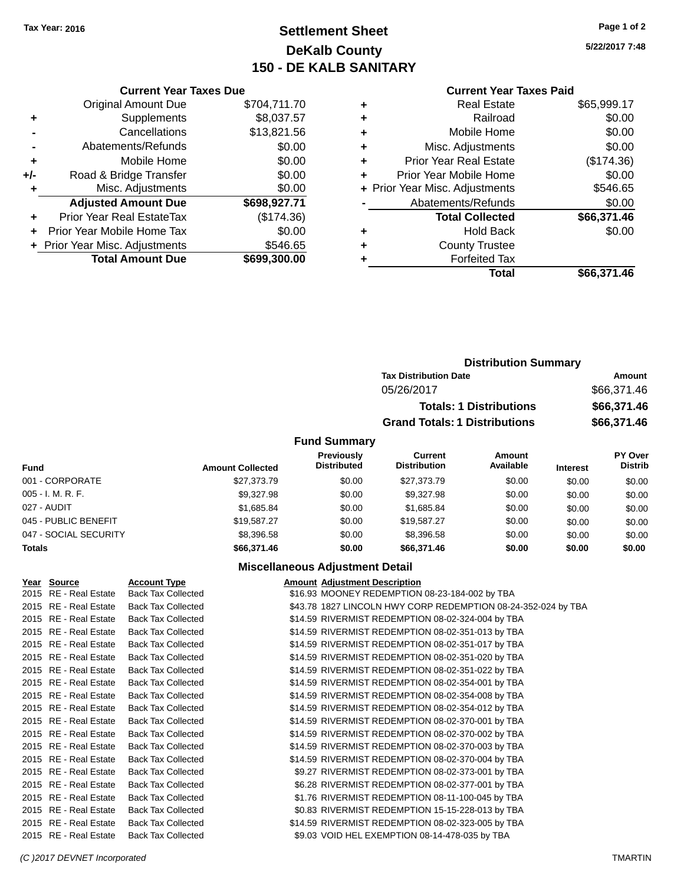### **Settlement Sheet Tax Year: 2016 Page 1 of 2 DeKalb County 150 - DE KALB SANITARY**

**5/22/2017 7:48**

#### **Current Year Taxes Paid**

|     | <b>Current Year Taxes Due</b>  |              |
|-----|--------------------------------|--------------|
|     | <b>Original Amount Due</b>     | \$704,711.70 |
| ٠   | Supplements                    | \$8,037.57   |
|     | Cancellations                  | \$13,821.56  |
|     | Abatements/Refunds             | \$0.00       |
| ٠   | Mobile Home                    | \$0.00       |
| +/- | Road & Bridge Transfer         | \$0.00       |
| ٠   | Misc. Adjustments              | \$0.00       |
|     | <b>Adjusted Amount Due</b>     | \$698,927.71 |
| ÷   | Prior Year Real EstateTax      | (\$174.36)   |
| ÷   | Prior Year Mobile Home Tax     | \$0.00       |
|     | + Prior Year Misc. Adjustments | \$546.65     |
|     | <b>Total Amount Due</b>        | \$699,300,00 |

|   | Real Estate                    | \$65,999.17 |
|---|--------------------------------|-------------|
| ٠ | Railroad                       | \$0.00      |
| ٠ | Mobile Home                    | \$0.00      |
| ٠ | Misc. Adjustments              | \$0.00      |
| ٠ | <b>Prior Year Real Estate</b>  | (\$174.36)  |
| ÷ | Prior Year Mobile Home         | \$0.00      |
|   | + Prior Year Misc. Adjustments | \$546.65    |
|   | Abatements/Refunds             | \$0.00      |
|   | <b>Total Collected</b>         | \$66,371.46 |
| ٠ | Hold Back                      | \$0.00      |
| ٠ | <b>County Trustee</b>          |             |
|   | <b>Forfeited Tax</b>           |             |
|   | Total                          | \$66,371.46 |
|   |                                |             |

| <b>Distribution Summary</b>          |             |  |  |  |
|--------------------------------------|-------------|--|--|--|
| <b>Tax Distribution Date</b>         | Amount      |  |  |  |
| 05/26/2017                           | \$66,371.46 |  |  |  |
| <b>Totals: 1 Distributions</b>       | \$66,371.46 |  |  |  |
| <b>Grand Totals: 1 Distributions</b> | \$66,371.46 |  |  |  |
|                                      |             |  |  |  |

#### **Fund Summary**

| <b>Fund</b>           | <b>Amount Collected</b> | <b>Previously</b><br><b>Distributed</b> | Current<br><b>Distribution</b> | Amount<br>Available | <b>Interest</b> | PY Over<br><b>Distrib</b> |
|-----------------------|-------------------------|-----------------------------------------|--------------------------------|---------------------|-----------------|---------------------------|
| 001 - CORPORATE       | \$27,373,79             | \$0.00                                  | \$27,373,79                    | \$0.00              | \$0.00          | \$0.00                    |
| 005 - I. M. R. F.     | \$9,327.98              | \$0.00                                  | \$9,327.98                     | \$0.00              | \$0.00          | \$0.00                    |
| 027 - AUDIT           | \$1.685.84              | \$0.00                                  | \$1.685.84                     | \$0.00              | \$0.00          | \$0.00                    |
| 045 - PUBLIC BENEFIT  | \$19,587.27             | \$0.00                                  | \$19.587.27                    | \$0.00              | \$0.00          | \$0.00                    |
| 047 - SOCIAL SECURITY | \$8,396.58              | \$0.00                                  | \$8,396.58                     | \$0.00              | \$0.00          | \$0.00                    |
| <b>Totals</b>         | \$66,371.46             | \$0.00                                  | \$66,371.46                    | \$0.00              | \$0.00          | \$0.00                    |

#### **Miscellaneous Adjustment Detail**

| Year Source           | <b>Account Type</b>       | <b>Amount Adjustment Description</b>                          |
|-----------------------|---------------------------|---------------------------------------------------------------|
| 2015 RE - Real Estate | <b>Back Tax Collected</b> | \$16.93 MOONEY REDEMPTION 08-23-184-002 by TBA                |
| 2015 RE - Real Estate | <b>Back Tax Collected</b> | \$43.78 1827 LINCOLN HWY CORP REDEMPTION 08-24-352-024 by TBA |
| 2015 RE - Real Estate | <b>Back Tax Collected</b> | \$14.59 RIVERMIST REDEMPTION 08-02-324-004 by TBA             |
| 2015 RE - Real Estate | <b>Back Tax Collected</b> | \$14.59 RIVERMIST REDEMPTION 08-02-351-013 by TBA             |
| 2015 RE - Real Estate | <b>Back Tax Collected</b> | \$14.59 RIVERMIST REDEMPTION 08-02-351-017 by TBA             |
| 2015 RE - Real Estate | <b>Back Tax Collected</b> | \$14.59 RIVERMIST REDEMPTION 08-02-351-020 by TBA             |
| 2015 RE - Real Estate | <b>Back Tax Collected</b> | \$14.59 RIVERMIST REDEMPTION 08-02-351-022 by TBA             |
| 2015 RE - Real Estate | <b>Back Tax Collected</b> | \$14.59 RIVERMIST REDEMPTION 08-02-354-001 by TBA             |
| 2015 RE - Real Estate | <b>Back Tax Collected</b> | \$14.59 RIVERMIST REDEMPTION 08-02-354-008 by TBA             |
| 2015 RE - Real Estate | <b>Back Tax Collected</b> | \$14.59 RIVERMIST REDEMPTION 08-02-354-012 by TBA             |
| 2015 RE - Real Estate | <b>Back Tax Collected</b> | \$14.59 RIVERMIST REDEMPTION 08-02-370-001 by TBA             |
| 2015 RE - Real Estate | <b>Back Tax Collected</b> | \$14.59 RIVERMIST REDEMPTION 08-02-370-002 by TBA             |
| 2015 RE - Real Estate | <b>Back Tax Collected</b> | \$14.59 RIVERMIST REDEMPTION 08-02-370-003 by TBA             |
| 2015 RE - Real Estate | <b>Back Tax Collected</b> | \$14.59 RIVERMIST REDEMPTION 08-02-370-004 by TBA             |
| 2015 RE - Real Estate | <b>Back Tax Collected</b> | \$9.27 RIVERMIST REDEMPTION 08-02-373-001 by TBA              |
| 2015 RE - Real Estate | <b>Back Tax Collected</b> | \$6.28 RIVERMIST REDEMPTION 08-02-377-001 by TBA              |
| 2015 RE - Real Estate | <b>Back Tax Collected</b> | \$1.76 RIVERMIST REDEMPTION 08-11-100-045 by TBA              |
| 2015 RE - Real Estate | <b>Back Tax Collected</b> | \$0.83 RIVERMIST REDEMPTION 15-15-228-013 by TBA              |
| 2015 RE - Real Estate | <b>Back Tax Collected</b> | \$14.59 RIVERMIST REDEMPTION 08-02-323-005 by TBA             |
| 2015 RE - Real Estate | <b>Back Tax Collected</b> | \$9.03 VOID HEL EXEMPTION 08-14-478-035 by TBA                |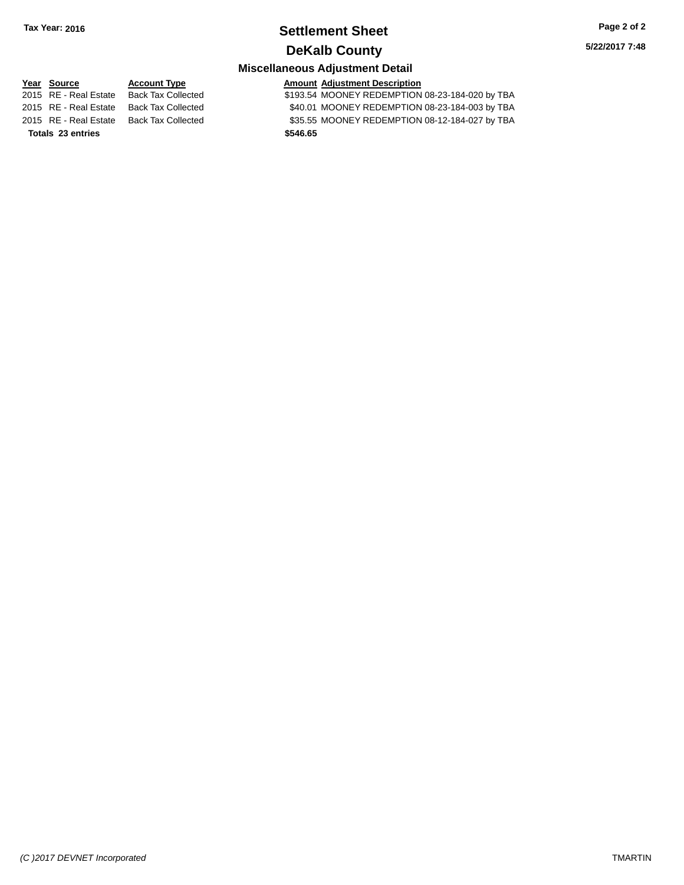### **Settlement Sheet Tax Year: 2016 Page 2 of 2 DeKalb County**

**5/22/2017 7:48**

### **Miscellaneous Adjustment Detail**

**Totals 23 entries \$546.65**

**Year** Source **Account Type Account Adjustment Description** 2015 RE - Real Estate Back Tax Collected \$193.54 MOONEY REDEMPTION 08-23-184-020 by TBA 2015 RE - Real Estate Back Tax Collected \$40.01 MOONEY REDEMPTION 08-23-184-003 by TBA<br>2015 RE - Real Estate Back Tax Collected \$35.55 MOONEY REDEMPTION 08-12-184-027 by TBA \$35.55 MOONEY REDEMPTION 08-12-184-027 by TBA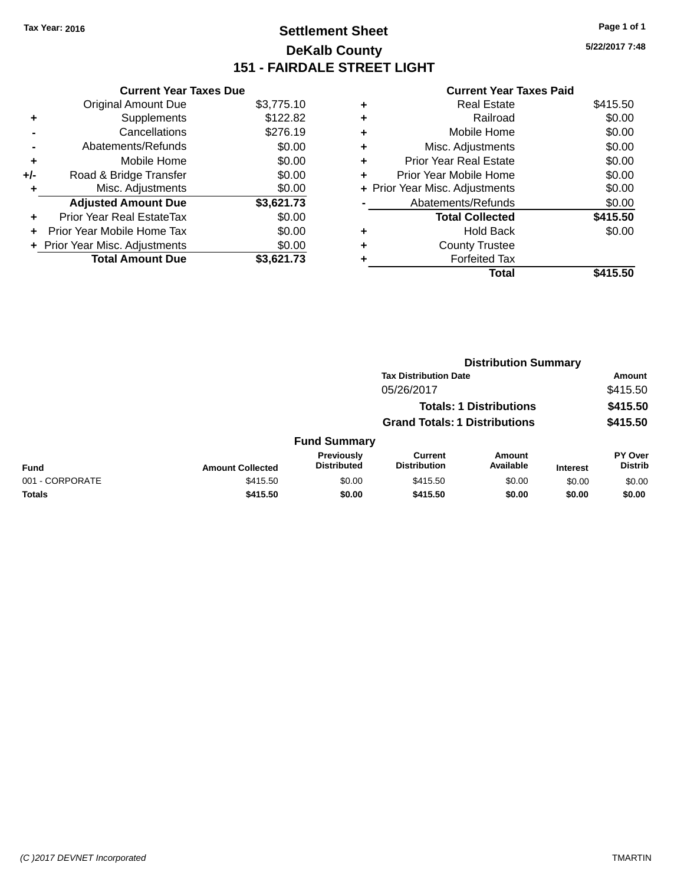### **Settlement Sheet Tax Year: 2016 Page 1 of 1 DeKalb County 151 - FAIRDALE STREET LIGHT**

**5/22/2017 7:48**

|     | <b>Current Year Taxes Due</b>  |            |
|-----|--------------------------------|------------|
|     | <b>Original Amount Due</b>     | \$3,775.10 |
| ٠   | Supplements                    | \$122.82   |
|     | Cancellations                  | \$276.19   |
|     | Abatements/Refunds             | \$0.00     |
| ٠   | Mobile Home                    | \$0.00     |
| +/- | Road & Bridge Transfer         | \$0.00     |
| ٠   | Misc. Adjustments              | \$0.00     |
|     | <b>Adjusted Amount Due</b>     | \$3,621.73 |
| ٠   | Prior Year Real EstateTax      | \$0.00     |
| ÷   | Prior Year Mobile Home Tax     | \$0.00     |
|     | + Prior Year Misc. Adjustments | \$0.00     |
|     | <b>Total Amount Due</b>        | \$3.621.73 |

|   | <b>Real Estate</b>             | \$415.50 |
|---|--------------------------------|----------|
| ٠ | Railroad                       | \$0.00   |
| ٠ | Mobile Home                    | \$0.00   |
| ٠ | Misc. Adjustments              | \$0.00   |
| ٠ | <b>Prior Year Real Estate</b>  | \$0.00   |
| ٠ | Prior Year Mobile Home         | \$0.00   |
|   | + Prior Year Misc. Adjustments | \$0.00   |
|   | Abatements/Refunds             | \$0.00   |
|   | <b>Total Collected</b>         | \$415.50 |
| ٠ | <b>Hold Back</b>               | \$0.00   |
| ٠ | <b>County Trustee</b>          |          |
| ٠ | <b>Forfeited Tax</b>           |          |
|   | Total                          | \$415.50 |
|   |                                |          |

|                 |                                |                                      |                                | <b>Distribution Summary</b> |                 |                           |
|-----------------|--------------------------------|--------------------------------------|--------------------------------|-----------------------------|-----------------|---------------------------|
|                 |                                |                                      | <b>Tax Distribution Date</b>   |                             |                 | Amount                    |
|                 |                                |                                      | 05/26/2017                     |                             |                 | \$415.50                  |
|                 | <b>Totals: 1 Distributions</b> |                                      |                                | \$415.50                    |                 |                           |
|                 |                                | <b>Grand Totals: 1 Distributions</b> |                                |                             | \$415.50        |                           |
|                 |                                | <b>Fund Summary</b>                  |                                |                             |                 |                           |
| <b>Fund</b>     | <b>Amount Collected</b>        | Previously<br><b>Distributed</b>     | Current<br><b>Distribution</b> | Amount<br>Available         | <b>Interest</b> | PY Over<br><b>Distrib</b> |
| 001 - CORPORATE | \$415.50                       | \$0.00                               | \$415.50                       | \$0.00                      | \$0.00          | \$0.00                    |
| <b>Totals</b>   | \$415.50                       | \$0.00                               | \$415.50                       | \$0.00                      | \$0.00          | \$0.00                    |
|                 |                                |                                      |                                |                             |                 |                           |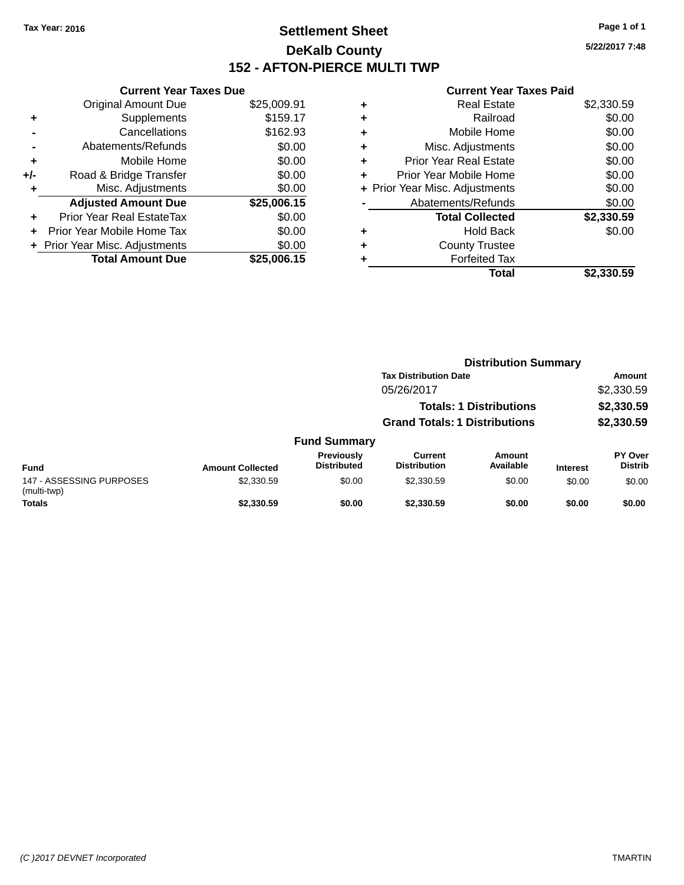### **Settlement Sheet Tax Year: 2016 Page 1 of 1 DeKalb County 152 - AFTON-PIERCE MULTI TWP**

**5/22/2017 7:48**

|     | <b>Current Year Taxes Due</b>  |             |
|-----|--------------------------------|-------------|
|     | <b>Original Amount Due</b>     | \$25,009.91 |
| ÷   | Supplements                    | \$159.17    |
|     | Cancellations                  | \$162.93    |
|     | Abatements/Refunds             | \$0.00      |
| ٠   | Mobile Home                    | \$0.00      |
| +/- | Road & Bridge Transfer         | \$0.00      |
|     | Misc. Adjustments              | \$0.00      |
|     | <b>Adjusted Amount Due</b>     | \$25,006.15 |
| ÷   | Prior Year Real EstateTax      | \$0.00      |
| ٠   | Prior Year Mobile Home Tax     | \$0.00      |
|     | + Prior Year Misc. Adjustments | \$0.00      |
|     | <b>Total Amount Due</b>        | \$25.006.15 |

| ٠ | <b>Real Estate</b>             | \$2,330.59 |
|---|--------------------------------|------------|
| ٠ | Railroad                       | \$0.00     |
| ٠ | Mobile Home                    | \$0.00     |
| ٠ | Misc. Adjustments              | \$0.00     |
| ٠ | <b>Prior Year Real Estate</b>  | \$0.00     |
| ٠ | Prior Year Mobile Home         | \$0.00     |
|   | + Prior Year Misc. Adjustments | \$0.00     |
|   | Abatements/Refunds             | \$0.00     |
|   | <b>Total Collected</b>         | \$2,330.59 |
| ٠ | Hold Back                      | \$0.00     |
| ٠ | <b>County Trustee</b>          |            |
| ٠ | <b>Forfeited Tax</b>           |            |
|   | Total                          | \$2,330.59 |
|   |                                |            |

|                                         |                         |                                         | <b>Distribution Summary</b>          |                                |                 |                           |
|-----------------------------------------|-------------------------|-----------------------------------------|--------------------------------------|--------------------------------|-----------------|---------------------------|
|                                         |                         |                                         | <b>Tax Distribution Date</b>         |                                |                 | Amount                    |
|                                         |                         |                                         | 05/26/2017                           |                                |                 | \$2,330.59                |
|                                         |                         |                                         |                                      | <b>Totals: 1 Distributions</b> |                 | \$2,330.59                |
|                                         |                         |                                         | <b>Grand Totals: 1 Distributions</b> |                                |                 | \$2,330.59                |
|                                         |                         | <b>Fund Summary</b>                     |                                      |                                |                 |                           |
| <b>Fund</b>                             | <b>Amount Collected</b> | <b>Previously</b><br><b>Distributed</b> | Current<br><b>Distribution</b>       | Amount<br>Available            | <b>Interest</b> | PY Over<br><b>Distrib</b> |
| 147 - ASSESSING PURPOSES<br>(multi-twp) | \$2,330.59              | \$0.00                                  | \$2,330.59                           | \$0.00                         | \$0.00          | \$0.00                    |
| <b>Totals</b>                           | \$2,330.59              | \$0.00                                  | \$2,330.59                           | \$0.00                         | \$0.00          | \$0.00                    |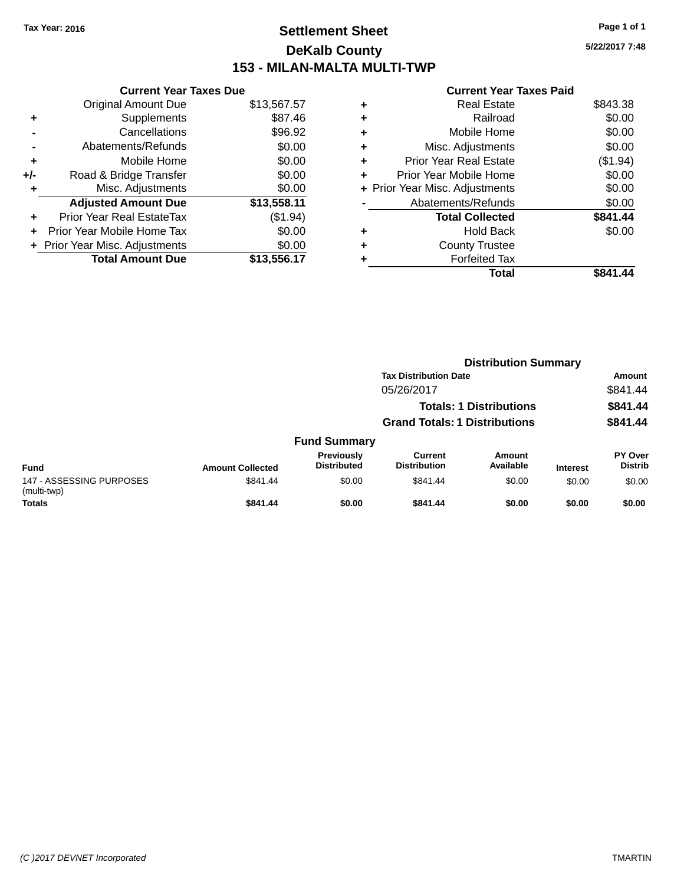### **Settlement Sheet Tax Year: 2016 Page 1 of 1 DeKalb County 153 - MILAN-MALTA MULTI-TWP**

**5/22/2017 7:48**

|       | <b>Current Year Taxes Due</b>  |             |
|-------|--------------------------------|-------------|
|       | <b>Original Amount Due</b>     | \$13,567.57 |
| ٠     | Supplements                    | \$87.46     |
|       | Cancellations                  | \$96.92     |
|       | Abatements/Refunds             | \$0.00      |
| ٠     | Mobile Home                    | \$0.00      |
| $+/-$ | Road & Bridge Transfer         | \$0.00      |
|       | Misc. Adjustments              | \$0.00      |
|       | <b>Adjusted Amount Due</b>     | \$13,558.11 |
|       | Prior Year Real EstateTax      | (\$1.94)    |
|       | Prior Year Mobile Home Tax     | \$0.00      |
|       | + Prior Year Misc. Adjustments | \$0.00      |
|       | <b>Total Amount Due</b>        | \$13,556.17 |
|       |                                |             |

|   | <b>Real Estate</b>             | \$843.38 |
|---|--------------------------------|----------|
| ٠ | Railroad                       | \$0.00   |
| ٠ | Mobile Home                    | \$0.00   |
| ٠ | Misc. Adjustments              | \$0.00   |
| ٠ | Prior Year Real Estate         | (\$1.94) |
|   | Prior Year Mobile Home         | \$0.00   |
|   | + Prior Year Misc. Adjustments | \$0.00   |
|   | Abatements/Refunds             | \$0.00   |
|   | <b>Total Collected</b>         | \$841.44 |
| ٠ | <b>Hold Back</b>               | \$0.00   |
|   | <b>County Trustee</b>          |          |
|   | <b>Forfeited Tax</b>           |          |
|   | Total                          | \$841.44 |
|   |                                |          |

|                                         |                         |                                         |                                      | <b>Distribution Summary</b>    |                 |                           |
|-----------------------------------------|-------------------------|-----------------------------------------|--------------------------------------|--------------------------------|-----------------|---------------------------|
|                                         |                         |                                         | <b>Tax Distribution Date</b>         |                                |                 | Amount                    |
|                                         |                         |                                         | 05/26/2017                           |                                |                 | \$841.44                  |
|                                         |                         |                                         |                                      | <b>Totals: 1 Distributions</b> |                 | \$841.44                  |
|                                         |                         |                                         | <b>Grand Totals: 1 Distributions</b> |                                |                 | \$841.44                  |
|                                         |                         | <b>Fund Summary</b>                     |                                      |                                |                 |                           |
| <b>Fund</b>                             | <b>Amount Collected</b> | <b>Previously</b><br><b>Distributed</b> | Current<br><b>Distribution</b>       | Amount<br>Available            | <b>Interest</b> | PY Over<br><b>Distrib</b> |
| 147 - ASSESSING PURPOSES<br>(multi-twp) | \$841.44                | \$0.00                                  | \$841.44                             | \$0.00                         | \$0.00          | \$0.00                    |
| <b>Totals</b>                           | \$841.44                | \$0.00                                  | \$841.44                             | \$0.00                         | \$0.00          | \$0.00                    |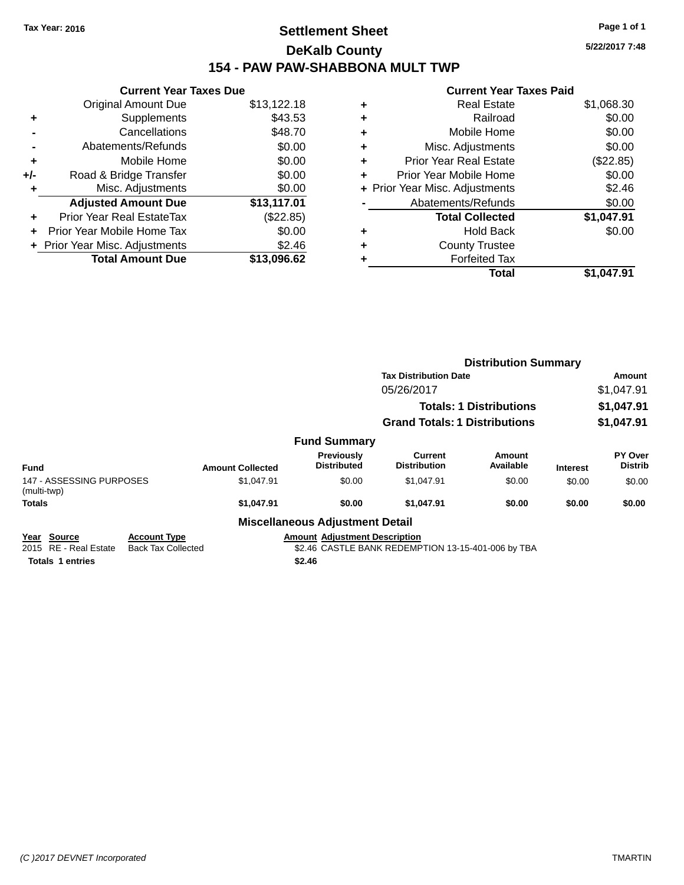### **Settlement Sheet Tax Year: 2016 Page 1 of 1 DeKalb County 154 - PAW PAW-SHABBONA MULT TWP**

**Current Year Taxes Due** Original Amount Due \$13,122.18 **+** Supplements \$43.53 **-** Cancellations \$48.70 **-** Abatements/Refunds \$0.00 **+** Mobile Home \$0.00 **+/-** Road & Bridge Transfer \$0.00 **+** Misc. Adjustments \$0.00 **Adjusted Amount Due \$13,117.01 +** Prior Year Real EstateTax (\$22.85) **+** Prior Year Mobile Home Tax \$0.00 **+** Prior Year Misc. Adjustments \$2.46 **Total Amount Due \$13,096.62**

#### **+** Real Estate \$1,068.30 **+** Railroad \$0.00 **+** Mobile Home \$0.00 **+** Misc. Adjustments \$0.00 **+** Prior Year Real Estate (\$22.85) **+** Prior Year Mobile Home \$0.00 **+** Prior Year Misc. Adjustments \$2.46 Abatements/Refunds \$0.00 **Total Collected \$1,047.91 +** Hold Back \$0.00 **+** County Trustee **+** Forfeited Tax **Total \$1,047.91**

|                                         |                                                  |                         |                                         | <b>Distribution Summary</b>                        |                     |                 |                                  |
|-----------------------------------------|--------------------------------------------------|-------------------------|-----------------------------------------|----------------------------------------------------|---------------------|-----------------|----------------------------------|
|                                         |                                                  |                         |                                         | <b>Tax Distribution Date</b>                       |                     |                 | Amount                           |
|                                         |                                                  |                         |                                         | 05/26/2017                                         |                     |                 | \$1,047.91                       |
|                                         |                                                  |                         |                                         | <b>Totals: 1 Distributions</b>                     |                     |                 | \$1,047.91                       |
|                                         |                                                  |                         |                                         | <b>Grand Totals: 1 Distributions</b>               |                     |                 | \$1,047.91                       |
|                                         |                                                  |                         | <b>Fund Summary</b>                     |                                                    |                     |                 |                                  |
| <b>Fund</b>                             |                                                  | <b>Amount Collected</b> | <b>Previously</b><br><b>Distributed</b> | Current<br><b>Distribution</b>                     | Amount<br>Available | <b>Interest</b> | <b>PY Over</b><br><b>Distrib</b> |
| 147 - ASSESSING PURPOSES<br>(multi-twp) |                                                  | \$1,047.91              | \$0.00                                  | \$1,047.91                                         | \$0.00              | \$0.00          | \$0.00                           |
| <b>Totals</b>                           |                                                  | \$1,047.91              | \$0.00                                  | \$1,047.91                                         | \$0.00              | \$0.00          | \$0.00                           |
|                                         |                                                  |                         | <b>Miscellaneous Adjustment Detail</b>  |                                                    |                     |                 |                                  |
| Year Source<br>2015 RE - Real Estate    | <b>Account Type</b><br><b>Back Tax Collected</b> |                         | <b>Amount Adjustment Description</b>    | \$2.46 CASTLE BANK REDEMPTION 13-15-401-006 by TBA |                     |                 |                                  |
| <b>Totals 1 entries</b>                 |                                                  |                         | \$2.46                                  |                                                    |                     |                 |                                  |

*(C )2017 DEVNET Incorporated* TMARTIN

**5/22/2017 7:48**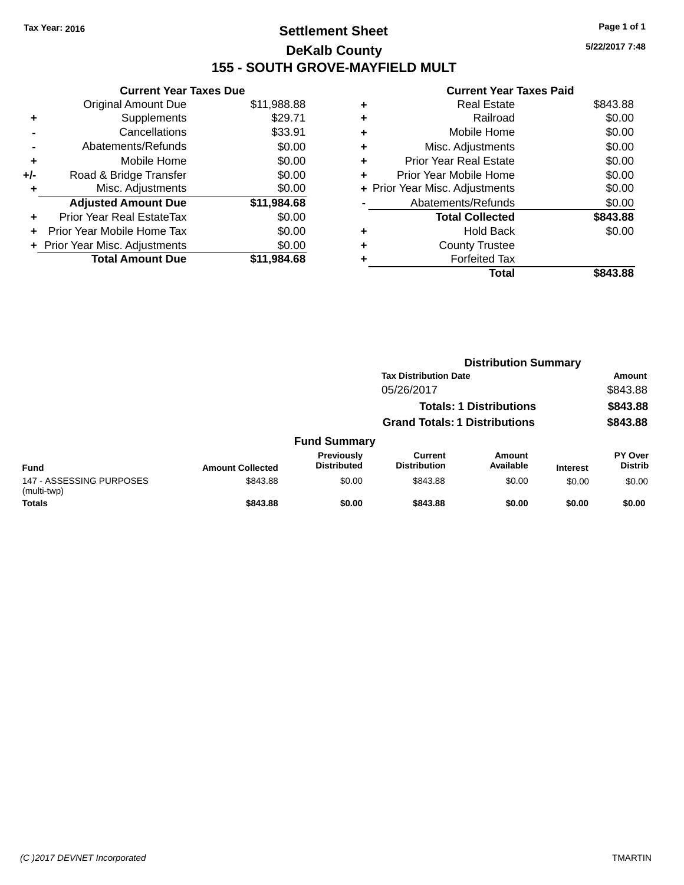### **Settlement Sheet Tax Year: 2016 Page 1 of 1 DeKalb County 155 - SOUTH GROVE-MAYFIELD MULT**

**5/22/2017 7:48**

|     | <b>Current Year Taxes Due</b>  |             |
|-----|--------------------------------|-------------|
|     | <b>Original Amount Due</b>     | \$11,988.88 |
| ÷   | Supplements                    | \$29.71     |
|     | Cancellations                  | \$33.91     |
|     | Abatements/Refunds             | \$0.00      |
| ٠   | Mobile Home                    | \$0.00      |
| +/- | Road & Bridge Transfer         | \$0.00      |
|     | Misc. Adjustments              | \$0.00      |
|     | <b>Adjusted Amount Due</b>     | \$11,984.68 |
| ÷   | Prior Year Real EstateTax      | \$0.00      |
|     | Prior Year Mobile Home Tax     | \$0.00      |
|     | + Prior Year Misc. Adjustments | \$0.00      |
|     | <b>Total Amount Due</b>        | \$11,984.68 |

|   | Total                          | \$843.88 |
|---|--------------------------------|----------|
|   | <b>Forfeited Tax</b>           |          |
| ٠ | <b>County Trustee</b>          |          |
| ٠ | <b>Hold Back</b>               | \$0.00   |
|   | <b>Total Collected</b>         | \$843.88 |
|   | Abatements/Refunds             | \$0.00   |
|   | + Prior Year Misc. Adjustments | \$0.00   |
| ٠ | Prior Year Mobile Home         | \$0.00   |
| ÷ | <b>Prior Year Real Estate</b>  | \$0.00   |
| ٠ | Misc. Adjustments              | \$0.00   |
| ٠ | Mobile Home                    | \$0.00   |
| ٠ | Railroad                       | \$0.00   |
| ٠ | <b>Real Estate</b>             | \$843.88 |
|   |                                |          |

|                                         |                         |                                  |                                       | <b>Distribution Summary</b>    |                 |                                  |  |
|-----------------------------------------|-------------------------|----------------------------------|---------------------------------------|--------------------------------|-----------------|----------------------------------|--|
|                                         |                         |                                  | <b>Tax Distribution Date</b>          |                                |                 | <b>Amount</b>                    |  |
|                                         |                         |                                  | 05/26/2017                            |                                |                 | \$843.88                         |  |
|                                         |                         |                                  |                                       | <b>Totals: 1 Distributions</b> |                 | \$843.88                         |  |
|                                         |                         |                                  | <b>Grand Totals: 1 Distributions</b>  |                                |                 | \$843.88                         |  |
|                                         |                         | <b>Fund Summary</b>              |                                       |                                |                 |                                  |  |
| <b>Fund</b>                             | <b>Amount Collected</b> | Previously<br><b>Distributed</b> | <b>Current</b><br><b>Distribution</b> | Amount<br>Available            | <b>Interest</b> | <b>PY Over</b><br><b>Distrib</b> |  |
| 147 - ASSESSING PURPOSES<br>(multi-twp) | \$843.88                | \$0.00                           | \$843.88                              | \$0.00                         | \$0.00          | \$0.00                           |  |
| <b>Totals</b>                           | \$843.88                | \$0.00                           | \$843.88                              | \$0.00                         | \$0.00          | \$0.00                           |  |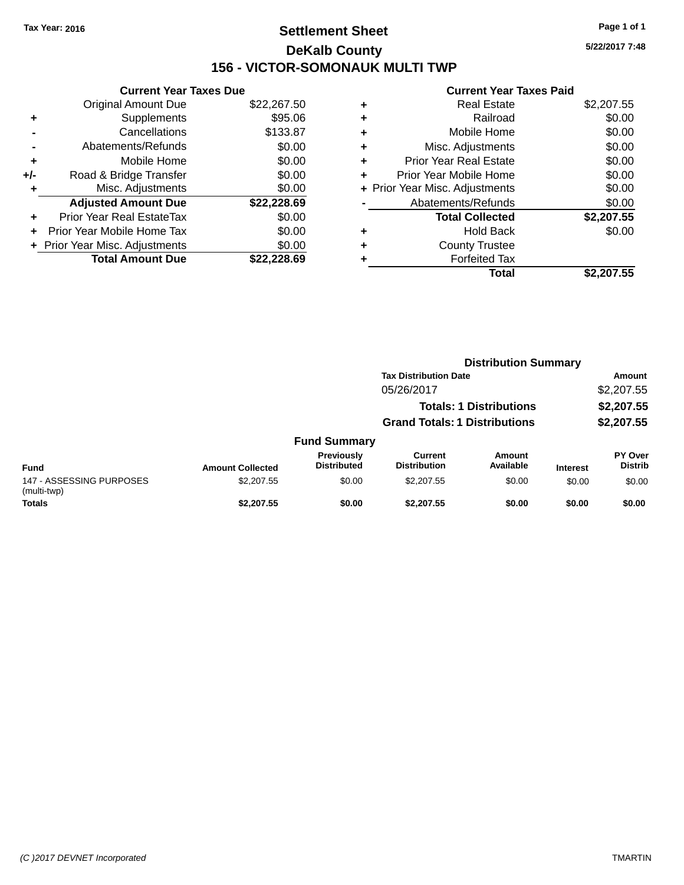### **Settlement Sheet Tax Year: 2016 Page 1 of 1 DeKalb County 156 - VICTOR-SOMONAUK MULTI TWP**

**5/22/2017 7:48**

| <b>Current Year Taxes Due</b> |                                |             |  |
|-------------------------------|--------------------------------|-------------|--|
|                               | <b>Original Amount Due</b>     | \$22,267.50 |  |
| ٠                             | Supplements                    | \$95.06     |  |
|                               | Cancellations                  | \$133.87    |  |
|                               | Abatements/Refunds             | \$0.00      |  |
| ٠                             | Mobile Home                    | \$0.00      |  |
| +/-                           | Road & Bridge Transfer         | \$0.00      |  |
| ٠                             | Misc. Adjustments              | \$0.00      |  |
|                               | <b>Adjusted Amount Due</b>     | \$22,228.69 |  |
| ÷                             | Prior Year Real EstateTax      | \$0.00      |  |
| ÷                             | Prior Year Mobile Home Tax     | \$0.00      |  |
|                               | + Prior Year Misc. Adjustments | \$0.00      |  |
|                               | <b>Total Amount Due</b>        | \$22,228.69 |  |

| ٠ | <b>Real Estate</b>             | \$2,207.55 |
|---|--------------------------------|------------|
| ٠ | Railroad                       | \$0.00     |
| ٠ | Mobile Home                    | \$0.00     |
| ٠ | Misc. Adjustments              | \$0.00     |
| ٠ | <b>Prior Year Real Estate</b>  | \$0.00     |
| ÷ | Prior Year Mobile Home         | \$0.00     |
|   | + Prior Year Misc. Adjustments | \$0.00     |
|   | Abatements/Refunds             | \$0.00     |
|   | <b>Total Collected</b>         | \$2,207.55 |
| ٠ | <b>Hold Back</b>               | \$0.00     |
|   | <b>County Trustee</b>          |            |
| ٠ | <b>Forfeited Tax</b>           |            |
|   | Total                          | \$2,207.55 |
|   |                                |            |

|                                         |                         |                                         |                                       | <b>Distribution Summary</b>    |                 |                           |
|-----------------------------------------|-------------------------|-----------------------------------------|---------------------------------------|--------------------------------|-----------------|---------------------------|
|                                         |                         |                                         | <b>Tax Distribution Date</b>          |                                |                 | <b>Amount</b>             |
|                                         |                         |                                         | 05/26/2017                            |                                |                 | \$2,207.55                |
|                                         |                         |                                         |                                       | <b>Totals: 1 Distributions</b> |                 | \$2,207.55                |
|                                         |                         |                                         | <b>Grand Totals: 1 Distributions</b>  |                                |                 | \$2,207.55                |
|                                         |                         | <b>Fund Summary</b>                     |                                       |                                |                 |                           |
| <b>Fund</b>                             | <b>Amount Collected</b> | <b>Previously</b><br><b>Distributed</b> | <b>Current</b><br><b>Distribution</b> | <b>Amount</b><br>Available     | <b>Interest</b> | PY Over<br><b>Distrib</b> |
| 147 - ASSESSING PURPOSES<br>(multi-twp) | \$2,207.55              | \$0.00                                  | \$2,207.55                            | \$0.00                         | \$0.00          | \$0.00                    |
| <b>Totals</b>                           | \$2,207.55              | \$0.00                                  | \$2,207.55                            | \$0.00                         | \$0.00          | \$0.00                    |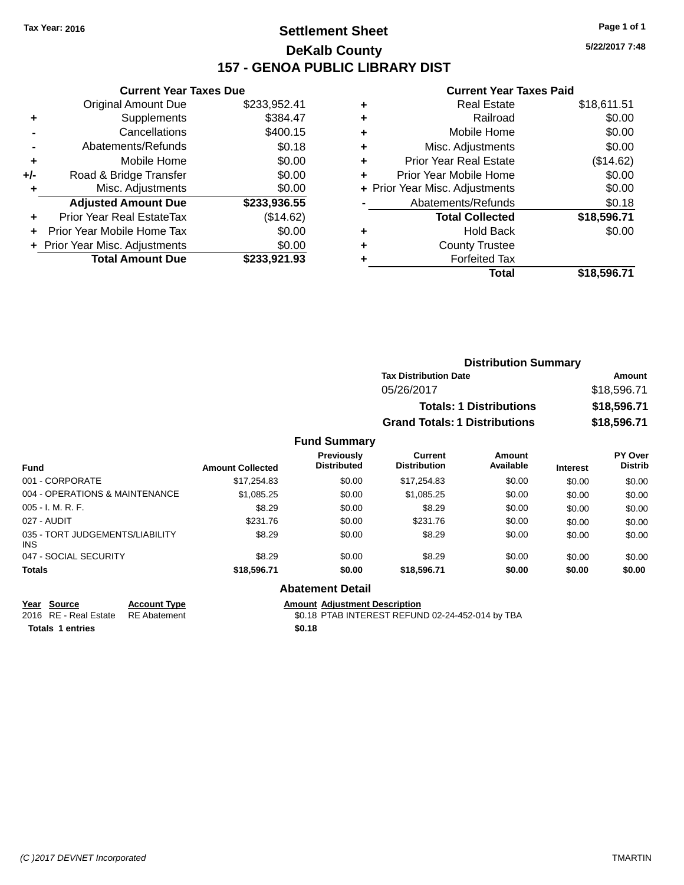### **Settlement Sheet Tax Year: 2016 Page 1 of 1 DeKalb County 157 - GENOA PUBLIC LIBRARY DIST**

**Current Year Taxes Due**

|       | <b>Original Amount Due</b>       | \$233,952.41 |
|-------|----------------------------------|--------------|
| ٠     | Supplements                      | \$384.47     |
|       | Cancellations                    | \$400.15     |
|       | Abatements/Refunds               | \$0.18       |
| ٠     | Mobile Home                      | \$0.00       |
| $+/-$ | Road & Bridge Transfer           | \$0.00       |
|       | Misc. Adjustments                | \$0.00       |
|       | <b>Adjusted Amount Due</b>       | \$233,936.55 |
|       | <b>Prior Year Real EstateTax</b> | (\$14.62)    |
|       | Prior Year Mobile Home Tax       | \$0.00       |
|       | + Prior Year Misc. Adjustments   | \$0.00       |
|       | <b>Total Amount Due</b>          | \$233,921.93 |

#### **Current Year Taxes Paid**

| ٠ | <b>Real Estate</b>             | \$18,611.51 |
|---|--------------------------------|-------------|
| ٠ | Railroad                       | \$0.00      |
| ٠ | Mobile Home                    | \$0.00      |
| ٠ | Misc. Adjustments              | \$0.00      |
| ٠ | <b>Prior Year Real Estate</b>  | (\$14.62)   |
|   | Prior Year Mobile Home         | \$0.00      |
|   | + Prior Year Misc. Adjustments | \$0.00      |
|   | Abatements/Refunds             | \$0.18      |
|   | <b>Total Collected</b>         | \$18,596.71 |
| ٠ | <b>Hold Back</b>               | \$0.00      |
|   | <b>County Trustee</b>          |             |
|   | <b>Forfeited Tax</b>           |             |
|   | Total                          | \$18,596.71 |
|   |                                |             |

| <b>Distribution Summary</b>          |             |
|--------------------------------------|-------------|
| <b>Tax Distribution Date</b>         | Amount      |
| 05/26/2017                           | \$18,596.71 |
| <b>Totals: 1 Distributions</b>       | \$18,596.71 |
| <b>Grand Totals: 1 Distributions</b> | \$18,596.71 |

#### **Fund Summary**

| <b>Fund</b>                                   | <b>Amount Collected</b> | <b>Previously</b><br><b>Distributed</b> | Current<br><b>Distribution</b> | Amount<br>Available | <b>Interest</b> | <b>PY Over</b><br><b>Distrib</b> |
|-----------------------------------------------|-------------------------|-----------------------------------------|--------------------------------|---------------------|-----------------|----------------------------------|
| 001 - CORPORATE                               | \$17,254.83             | \$0.00                                  | \$17,254.83                    | \$0.00              | \$0.00          | \$0.00                           |
| 004 - OPERATIONS & MAINTENANCE                | \$1,085.25              | \$0.00                                  | \$1.085.25                     | \$0.00              | \$0.00          | \$0.00                           |
| $005 - I. M. R. F.$                           | \$8.29                  | \$0.00                                  | \$8.29                         | \$0.00              | \$0.00          | \$0.00                           |
| 027 - AUDIT                                   | \$231.76                | \$0.00                                  | \$231.76                       | \$0.00              | \$0.00          | \$0.00                           |
| 035 - TORT JUDGEMENTS/LIABILITY<br><b>INS</b> | \$8.29                  | \$0.00                                  | \$8.29                         | \$0.00              | \$0.00          | \$0.00                           |
| 047 - SOCIAL SECURITY                         | \$8.29                  | \$0.00                                  | \$8.29                         | \$0.00              | \$0.00          | \$0.00                           |
| <b>Totals</b>                                 | \$18,596.71             | \$0.00                                  | \$18,596,71                    | \$0.00              | \$0.00          | \$0.00                           |

#### **Abatement Detail**

**Totals 1 entries \$0.18**

**Year Source Account Type Amount Adjustment Description** 2016 RE - Real Estate RE Abatement \$0.18 PTAB INTEREST REFUND 02-24-452-014 by TBA **5/22/2017 7:48**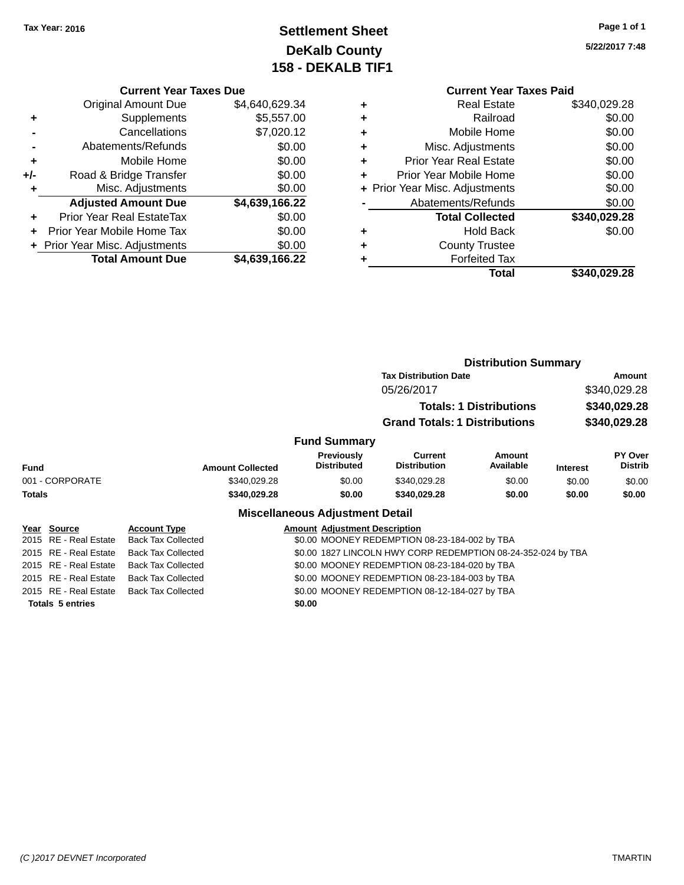### **Settlement Sheet Tax Year: 2016 Page 1 of 1 DeKalb County 158 - DEKALB TIF1**

**5/22/2017 7:48**

### **Current Year Taxes Due**

|     | + Prior Year Misc. Adjustments<br><b>Total Amount Due</b> | \$0.00<br>\$4,639,166.22 |
|-----|-----------------------------------------------------------|--------------------------|
|     | Prior Year Mobile Home Tax                                | \$0.00                   |
| ٠   | Prior Year Real EstateTax                                 | \$0.00                   |
|     | <b>Adjusted Amount Due</b>                                | \$4,639,166.22           |
| ٠   | Misc. Adjustments                                         | \$0.00                   |
| +/- | Road & Bridge Transfer                                    | \$0.00                   |
| ÷   | Mobile Home                                               | \$0.00                   |
|     | Abatements/Refunds                                        | \$0.00                   |
|     | Cancellations                                             | \$7,020.12               |
| ٠   | Supplements                                               | \$5,557.00               |
|     | <b>Original Amount Due</b>                                | \$4,640,629.34           |
|     |                                                           |                          |

|   | <b>Current Year Taxes Paid</b> |              |
|---|--------------------------------|--------------|
| ٠ | <b>Real Estate</b>             | \$340,029.28 |
| ٠ | Railroad                       | \$0.00       |
| ٠ | Mobile Home                    | \$0.00       |
| ٠ | Misc. Adjustments              | \$0.00       |
| ٠ | <b>Prior Year Real Estate</b>  | \$0.00       |
| ٠ | Prior Year Mobile Home         | \$0.00       |
|   | + Prior Year Misc. Adjustments | \$0.00       |
|   | Abatements/Refunds             | \$0.00       |
|   | <b>Total Collected</b>         | \$340,029.28 |
|   | <b>Hold Back</b>               | \$0.00       |
|   | <b>County Trustee</b>          |              |
|   | <b>Forfeited Tax</b>           |              |
|   | Total                          | \$340,029.28 |
|   |                                |              |

|                                        |                           |                                                              | <b>Distribution Summary</b>                   |                            |                              |                           |
|----------------------------------------|---------------------------|--------------------------------------------------------------|-----------------------------------------------|----------------------------|------------------------------|---------------------------|
|                                        |                           |                                                              | <b>Tax Distribution Date</b>                  | Amount                     |                              |                           |
|                                        |                           |                                                              | 05/26/2017<br><b>Totals: 1 Distributions</b>  |                            | \$340,029.28<br>\$340,029.28 |                           |
|                                        |                           |                                                              |                                               |                            |                              |                           |
|                                        |                           |                                                              | <b>Grand Totals: 1 Distributions</b>          |                            | \$340,029.28                 |                           |
|                                        | <b>Fund Summary</b>       |                                                              |                                               |                            |                              |                           |
| <b>Fund</b>                            | <b>Amount Collected</b>   | <b>Previously</b><br><b>Distributed</b>                      | <b>Current</b><br><b>Distribution</b>         | <b>Amount</b><br>Available | <b>Interest</b>              | PY Over<br><b>Distrib</b> |
| 001 - CORPORATE                        | \$340,029.28              | \$0.00                                                       | \$340,029.28                                  | \$0.00                     | \$0.00                       | \$0.00                    |
| <b>Totals</b>                          | \$340,029.28              | \$0.00                                                       | \$340,029.28                                  | \$0.00                     | \$0.00                       | \$0.00                    |
| <b>Miscellaneous Adjustment Detail</b> |                           |                                                              |                                               |                            |                              |                           |
| Year Source                            | <b>Account Type</b>       | <b>Amount Adjustment Description</b>                         |                                               |                            |                              |                           |
| 2015 RE - Real Estate                  | <b>Back Tax Collected</b> | \$0.00 MOONEY REDEMPTION 08-23-184-002 by TBA                |                                               |                            |                              |                           |
| 2015 RE - Real Estate                  | <b>Back Tax Collected</b> | \$0.00 1827 LINCOLN HWY CORP REDEMPTION 08-24-352-024 by TBA |                                               |                            |                              |                           |
| 2015 RE - Real Estate                  | <b>Back Tax Collected</b> | \$0.00 MOONEY REDEMPTION 08-23-184-020 by TBA                |                                               |                            |                              |                           |
| 2015 RE - Real Estate                  | <b>Back Tax Collected</b> |                                                              | \$0.00 MOONEY REDEMPTION 08-23-184-003 by TBA |                            |                              |                           |
| 2015 RE - Real Estate                  | <b>Back Tax Collected</b> |                                                              | \$0.00 MOONEY REDEMPTION 08-12-184-027 by TBA |                            |                              |                           |

**Totals 5 entries \$0.00**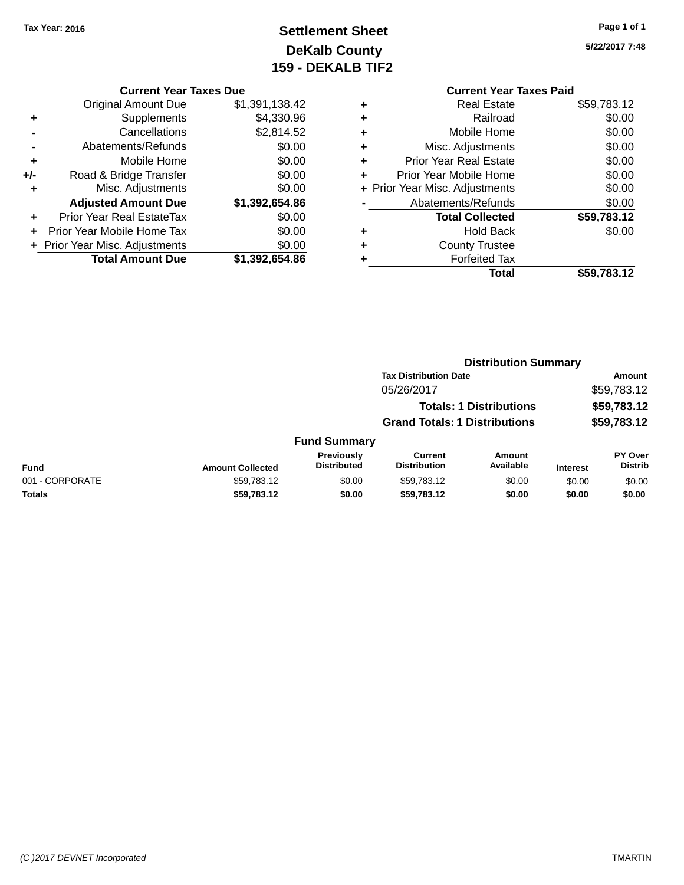### **Settlement Sheet Tax Year: 2016 Page 1 of 1 DeKalb County 159 - DEKALB TIF2**

**5/22/2017 7:48**

|   | <b>Current Year Taxes Paid</b> |             |  |  |  |
|---|--------------------------------|-------------|--|--|--|
| ٠ | <b>Real Estate</b>             | \$59,783.12 |  |  |  |
| ٠ | Railroad                       | \$0.00      |  |  |  |
| ٠ | Mobile Home                    | \$0.00      |  |  |  |
| ٠ | Misc. Adjustments              | \$0.00      |  |  |  |
| ٠ | <b>Prior Year Real Estate</b>  | \$0.00      |  |  |  |
| ٠ | Prior Year Mobile Home         | \$0.00      |  |  |  |
|   | + Prior Year Misc. Adjustments | \$0.00      |  |  |  |
|   | Abatements/Refunds             | \$0.00      |  |  |  |
|   | <b>Total Collected</b>         | \$59,783.12 |  |  |  |
| ٠ | <b>Hold Back</b>               | \$0.00      |  |  |  |
| ٠ | <b>County Trustee</b>          |             |  |  |  |
|   | <b>Forfeited Tax</b>           |             |  |  |  |
|   | Total                          | \$59,783.12 |  |  |  |
|   |                                |             |  |  |  |

**Distribution Summary**

#### **Current Year Taxes Due** Original Amount Due \$1,391,138.42 **+** Supplements \$4,330.96 **-** Cancellations \$2,814.52 **-** Abatements/Refunds \$0.00 **+** Mobile Home \$0.00 **+/-** Road & Bridge Transfer \$0.00 **+** Misc. Adjustments \$0.00 **Adjusted Amount Due \$1,392,654.86 +** Prior Year Real EstateTax \$0.00 **+** Prior Year Mobile Home Tax \$0.00 **+ Prior Year Misc. Adjustments**  $$0.00$ **Total Amount Due \$1,392,654.86**

| Amount<br>\$59,783.12<br>\$59,783.12<br><b>Totals: 1 Distributions</b><br>\$59,783.12 |  |                                  |
|---------------------------------------------------------------------------------------|--|----------------------------------|
|                                                                                       |  |                                  |
|                                                                                       |  | <b>PY Over</b><br><b>Distrib</b> |
|                                                                                       |  | \$0.00                           |
| \$0.00                                                                                |  |                                  |
|                                                                                       |  |                                  |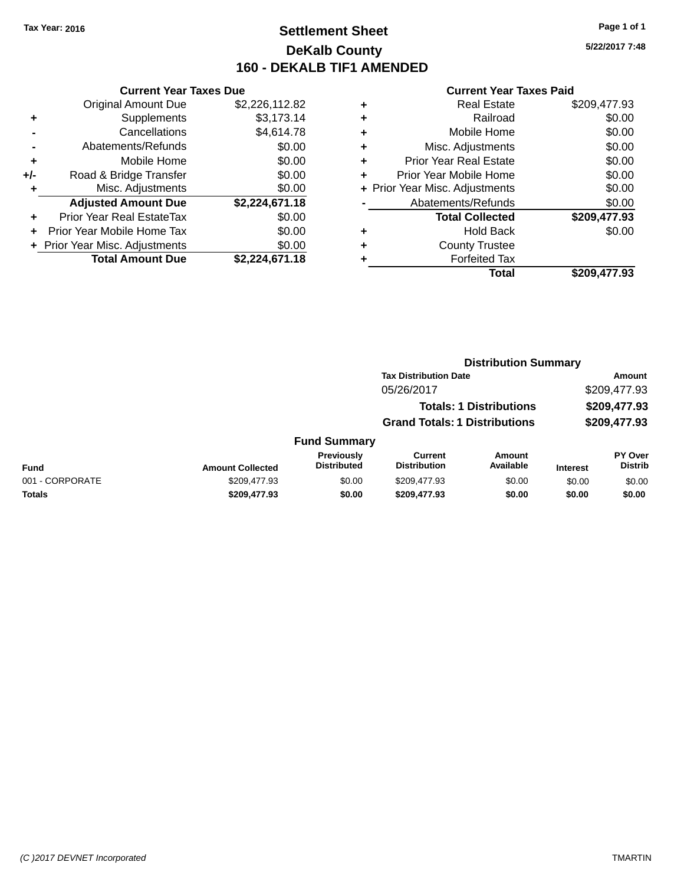### **Settlement Sheet Tax Year: 2016 Page 1 of 1 DeKalb County 160 - DEKALB TIF1 AMENDED**

**5/22/2017 7:48**

|     | <b>Current Year Taxes Due</b>  |                |
|-----|--------------------------------|----------------|
|     | <b>Original Amount Due</b>     | \$2,226,112.82 |
| ٠   | Supplements                    | \$3,173.14     |
|     | Cancellations                  | \$4,614.78     |
|     | Abatements/Refunds             | \$0.00         |
| ٠   | Mobile Home                    | \$0.00         |
| +/- | Road & Bridge Transfer         | \$0.00         |
| ٠   | Misc. Adjustments              | \$0.00         |
|     | <b>Adjusted Amount Due</b>     | \$2,224,671.18 |
| ÷   | Prior Year Real EstateTax      | \$0.00         |
|     | Prior Year Mobile Home Tax     | \$0.00         |
|     | + Prior Year Misc. Adjustments | \$0.00         |
|     | <b>Total Amount Due</b>        | \$2.224.671.18 |

|   | <b>Real Estate</b>             | \$209,477.93 |
|---|--------------------------------|--------------|
| ٠ | Railroad                       | \$0.00       |
| ٠ | Mobile Home                    | \$0.00       |
| ٠ | Misc. Adjustments              | \$0.00       |
| ٠ | <b>Prior Year Real Estate</b>  | \$0.00       |
|   | Prior Year Mobile Home         | \$0.00       |
|   | + Prior Year Misc. Adjustments | \$0.00       |
|   | Abatements/Refunds             | \$0.00       |
|   | <b>Total Collected</b>         | \$209,477.93 |
| ٠ | <b>Hold Back</b>               | \$0.00       |
|   | <b>County Trustee</b>          |              |
| ٠ | <b>Forfeited Tax</b>           |              |
|   | Total                          | \$209,477.93 |
|   |                                |              |

|                 |                         |                                  | <b>Distribution Summary</b>          |                                        |                 |                           |
|-----------------|-------------------------|----------------------------------|--------------------------------------|----------------------------------------|-----------------|---------------------------|
|                 |                         |                                  | <b>Tax Distribution Date</b>         | Amount<br>\$209,477.93<br>\$209,477.93 |                 |                           |
|                 |                         |                                  | 05/26/2017                           |                                        |                 |                           |
|                 |                         |                                  | <b>Totals: 1 Distributions</b>       |                                        |                 |                           |
|                 |                         |                                  | <b>Grand Totals: 1 Distributions</b> |                                        |                 | \$209,477.93              |
|                 |                         | <b>Fund Summary</b>              |                                      |                                        |                 |                           |
| <b>Fund</b>     | <b>Amount Collected</b> | Previously<br><b>Distributed</b> | Current<br><b>Distribution</b>       | <b>Amount</b><br>Available             | <b>Interest</b> | PY Over<br><b>Distrib</b> |
| 001 - CORPORATE | \$209,477.93            | \$0.00                           | \$209,477.93                         | \$0.00                                 | \$0.00          | \$0.00                    |
| <b>Totals</b>   | \$209,477.93            | \$0.00                           | \$209,477.93                         | \$0.00                                 | \$0.00          | \$0.00                    |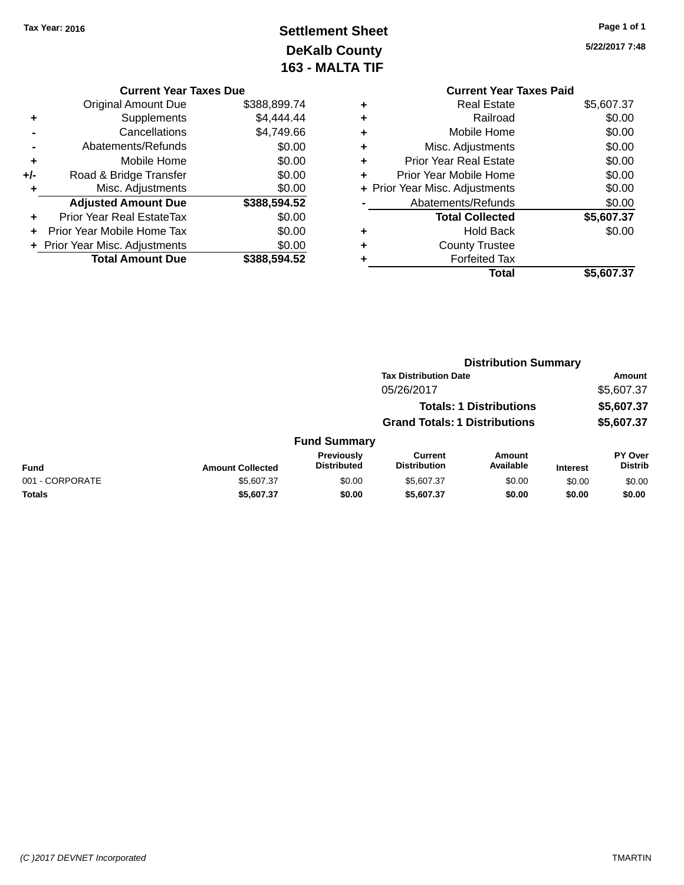# **Settlement Sheet Tax Year: 2016 Page 1 of 1 DeKalb County 163 - MALTA TIF**

**5/22/2017 7:48**

|       | <b>Current Year Taxes Due</b>    |              |
|-------|----------------------------------|--------------|
|       | <b>Original Amount Due</b>       | \$388,899.74 |
|       | Supplements                      | \$4,444.44   |
|       | Cancellations                    | \$4,749.66   |
|       | Abatements/Refunds               | \$0.00       |
| ٠     | Mobile Home                      | \$0.00       |
| $+/-$ | Road & Bridge Transfer           | \$0.00       |
|       | Misc. Adjustments                | \$0.00       |
|       | <b>Adjusted Amount Due</b>       | \$388,594.52 |
|       | <b>Prior Year Real EstateTax</b> | \$0.00       |
|       | Prior Year Mobile Home Tax       | \$0.00       |
|       | + Prior Year Misc. Adjustments   | \$0.00       |
|       | <b>Total Amount Due</b>          | \$388.594.52 |

|   | <b>Current Year Taxes Paid</b> |            |
|---|--------------------------------|------------|
| ٠ | <b>Real Estate</b>             | \$5,607.37 |
| ٠ | Railroad                       | \$0.00     |
|   | Mobile Home                    | \$0.00     |
| ٠ | Misc. Adjustments              | \$0.00     |
| ٠ | <b>Prior Year Real Estate</b>  | \$0.00     |
|   | Prior Year Mobile Home         | \$0.00     |
|   | + Prior Year Misc. Adjustments | \$0.00     |
|   | Abatements/Refunds             | \$0.00     |
|   | <b>Total Collected</b>         | \$5,607.37 |
| ٠ | <b>Hold Back</b>               | \$0.00     |
|   | <b>County Trustee</b>          |            |
|   | <b>Forfeited Tax</b>           |            |
|   | Total                          | \$5,607.37 |
|   |                                |            |

|                 |                         |                                  | <b>Distribution Summary</b>           |                                |                 |                                  |  |
|-----------------|-------------------------|----------------------------------|---------------------------------------|--------------------------------|-----------------|----------------------------------|--|
|                 |                         |                                  | <b>Tax Distribution Date</b>          |                                |                 | <b>Amount</b>                    |  |
|                 |                         |                                  | 05/26/2017                            |                                |                 | \$5,607.37                       |  |
|                 |                         |                                  |                                       | <b>Totals: 1 Distributions</b> |                 | \$5,607.37                       |  |
|                 |                         |                                  | <b>Grand Totals: 1 Distributions</b>  |                                |                 | \$5,607.37                       |  |
|                 |                         | <b>Fund Summary</b>              |                                       |                                |                 |                                  |  |
| <b>Fund</b>     | <b>Amount Collected</b> | Previously<br><b>Distributed</b> | <b>Current</b><br><b>Distribution</b> | <b>Amount</b><br>Available     | <b>Interest</b> | <b>PY Over</b><br><b>Distrib</b> |  |
| 001 - CORPORATE | \$5,607.37              | \$0.00                           | \$5,607.37                            | \$0.00                         | \$0.00          | \$0.00                           |  |
| Totals          | \$5,607.37              | \$0.00                           | \$5,607.37                            | \$0.00                         | \$0.00          | \$0.00                           |  |
|                 |                         |                                  |                                       |                                |                 |                                  |  |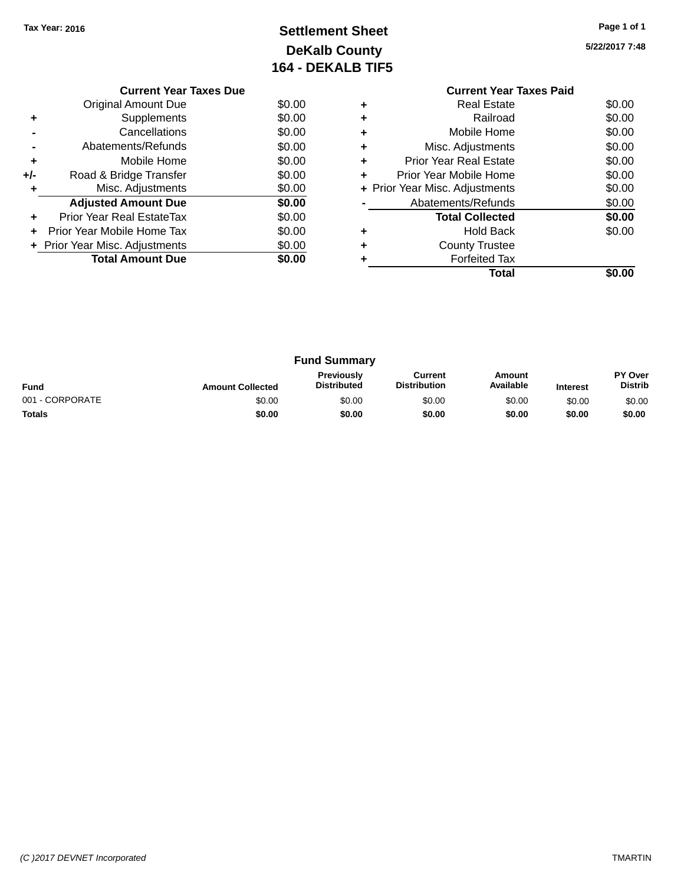# **Settlement Sheet Tax Year: 2016 Page 1 of 1 DeKalb County 164 - DEKALB TIF5**

**5/22/2017 7:48**

|     | <b>Current Year Taxes Due</b>     |        |
|-----|-----------------------------------|--------|
|     | <b>Original Amount Due</b>        | \$0.00 |
| ٠   | Supplements                       | \$0.00 |
|     | Cancellations                     | \$0.00 |
|     | Abatements/Refunds                | \$0.00 |
| ٠   | Mobile Home                       | \$0.00 |
| +/- | Road & Bridge Transfer            | \$0.00 |
| ٠   | Misc. Adjustments                 | \$0.00 |
|     | <b>Adjusted Amount Due</b>        | \$0.00 |
|     | Prior Year Real EstateTax         | \$0.00 |
| ÷   | <b>Prior Year Mobile Home Tax</b> | \$0.00 |
|     | + Prior Year Misc. Adjustments    | \$0.00 |
|     | <b>Total Amount Due</b>           | \$0.00 |
|     |                                   |        |

#### **Current Year Taxes Paid +** Real Estate \$0.00 **+** Railroad \$0.00 **+** Mobile Home \$0.00 **+** Misc. Adjustments \$0.00 **+** Prior Year Real Estate \$0.00 **+** Prior Year Mobile Home \$0.00<br> **+** Prior Year Misc. Adjustments \$0.00 **+ Prior Year Misc. Adjustments -** Abatements/Refunds \$0.00 **Total Collected \$0.00 +** Hold Back \$0.00 **+** County Trustee **+** Forfeited Tax **Total \$0.00**

| <b>Fund Summary</b> |                         |                                         |                                |                     |                 |                           |
|---------------------|-------------------------|-----------------------------------------|--------------------------------|---------------------|-----------------|---------------------------|
| <b>Fund</b>         | <b>Amount Collected</b> | <b>Previously</b><br><b>Distributed</b> | Current<br><b>Distribution</b> | Amount<br>Available | <b>Interest</b> | PY Over<br><b>Distrib</b> |
| 001 - CORPORATE     | \$0.00                  | \$0.00                                  | \$0.00                         | \$0.00              | \$0.00          | \$0.00                    |
| <b>Totals</b>       | \$0.00                  | \$0.00                                  | \$0.00                         | \$0.00              | \$0.00          | \$0.00                    |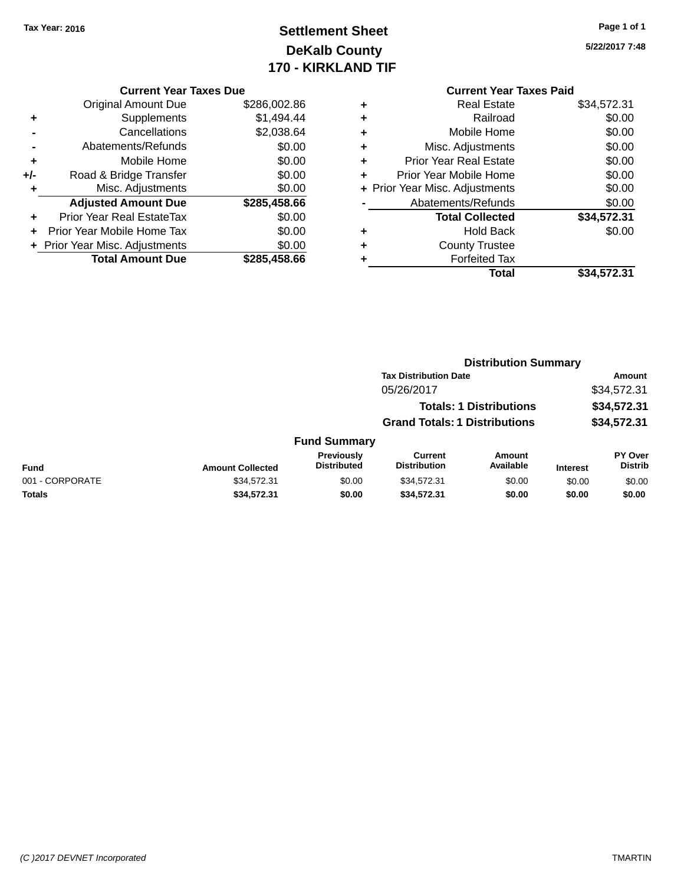# **Settlement Sheet Tax Year: 2016 Page 1 of 1 DeKalb County 170 - KIRKLAND TIF**

**5/22/2017 7:48**

|     | <b>Current Year Taxes Due</b>  |              |
|-----|--------------------------------|--------------|
|     | <b>Original Amount Due</b>     | \$286,002.86 |
| ٠   | Supplements                    | \$1,494.44   |
|     | Cancellations                  | \$2,038.64   |
|     | Abatements/Refunds             | \$0.00       |
| ٠   | Mobile Home                    | \$0.00       |
| +/- | Road & Bridge Transfer         | \$0.00       |
| ٠   | Misc. Adjustments              | \$0.00       |
|     | <b>Adjusted Amount Due</b>     | \$285,458.66 |
| ÷   | Prior Year Real EstateTax      | \$0.00       |
|     | Prior Year Mobile Home Tax     | \$0.00       |
|     | + Prior Year Misc. Adjustments | \$0.00       |
|     | <b>Total Amount Due</b>        | \$285,458,66 |

|   | <b>Real Estate</b>             | \$34,572.31 |
|---|--------------------------------|-------------|
| ٠ | Railroad                       | \$0.00      |
| ٠ | Mobile Home                    | \$0.00      |
| ٠ | Misc. Adjustments              | \$0.00      |
| ٠ | <b>Prior Year Real Estate</b>  | \$0.00      |
| ٠ | Prior Year Mobile Home         | \$0.00      |
|   | + Prior Year Misc. Adjustments | \$0.00      |
|   | Abatements/Refunds             | \$0.00      |
|   | <b>Total Collected</b>         | \$34,572.31 |
| ٠ | <b>Hold Back</b>               | \$0.00      |
| ٠ | <b>County Trustee</b>          |             |
| ٠ | <b>Forfeited Tax</b>           |             |
|   | Total                          | \$34,572.31 |
|   |                                |             |

|                 |                         |                                  | <b>Distribution Summary</b>           |                                |                 |                                  |
|-----------------|-------------------------|----------------------------------|---------------------------------------|--------------------------------|-----------------|----------------------------------|
|                 |                         |                                  | <b>Tax Distribution Date</b>          |                                |                 | Amount                           |
|                 |                         |                                  | 05/26/2017                            |                                |                 | \$34,572.31                      |
|                 |                         |                                  |                                       | <b>Totals: 1 Distributions</b> |                 | \$34,572.31                      |
|                 |                         |                                  | <b>Grand Totals: 1 Distributions</b>  |                                |                 | \$34,572.31                      |
|                 |                         | <b>Fund Summary</b>              |                                       |                                |                 |                                  |
| <b>Fund</b>     | <b>Amount Collected</b> | Previously<br><b>Distributed</b> | <b>Current</b><br><b>Distribution</b> | Amount<br>Available            | <b>Interest</b> | <b>PY Over</b><br><b>Distrib</b> |
| 001 - CORPORATE | \$34,572.31             | \$0.00                           | \$34,572.31                           | \$0.00                         | \$0.00          | \$0.00                           |
| Totals          | \$34,572.31             | \$0.00                           | \$34,572.31                           | \$0.00                         | \$0.00          | \$0.00                           |
|                 |                         |                                  |                                       |                                |                 |                                  |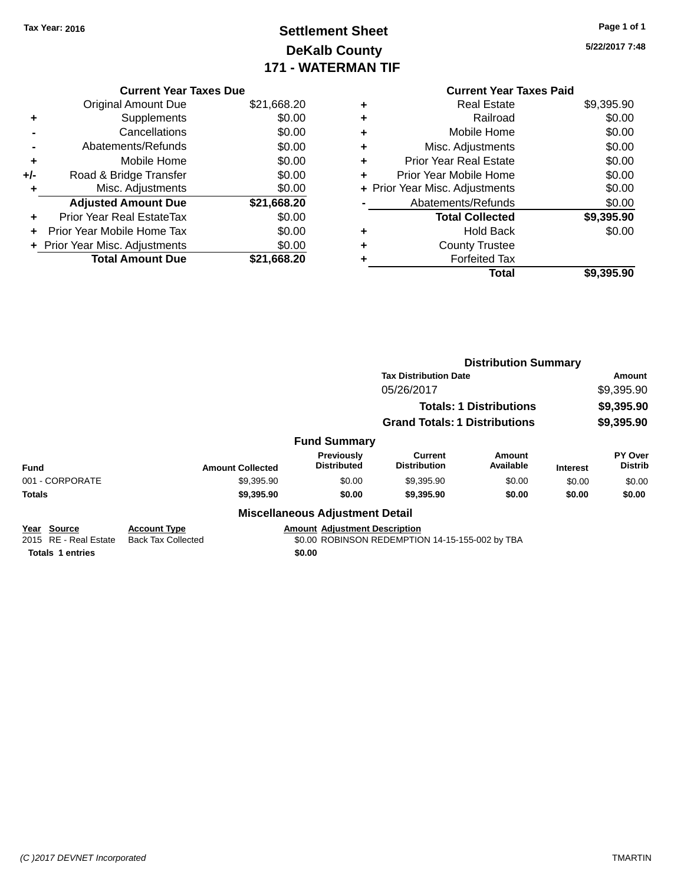# **Settlement Sheet Tax Year: 2016 Page 1 of 1 DeKalb County 171 - WATERMAN TIF**

**5/22/2017 7:48**

| \$21,668.20 |
|-------------|
| \$0.00      |
| \$0.00      |
| \$0.00      |
| \$0.00      |
| \$0.00      |
| \$0.00      |
| \$21,668.20 |
| \$0.00      |
| \$0.00      |
| \$0.00      |
|             |
|             |

|   | <b>Current Year Taxes Paid</b> |            |
|---|--------------------------------|------------|
| ٠ | Real Estate                    | \$9,395.90 |
| ٠ | Railroad                       | \$0.00     |
| ٠ | Mobile Home                    | \$0.00     |
| ٠ | Misc. Adjustments              | \$0.00     |
| ٠ | Prior Year Real Estate         | \$0.00     |
| ÷ | Prior Year Mobile Home         | \$0.00     |
|   | + Prior Year Misc. Adjustments | \$0.00     |
|   | Abatements/Refunds             | \$0.00     |
|   | <b>Total Collected</b>         | \$9,395.90 |
| ÷ | Hold Back                      | \$0.00     |
|   | <b>County Trustee</b>          |            |
| ٠ | <b>Forfeited Tax</b>           |            |
|   | <b>Total</b>                   | \$9,395.90 |
|   |                                |            |

|                                         |                                                  |                                        | <b>Distribution Summary</b>                     |                                |                 |                           |
|-----------------------------------------|--------------------------------------------------|----------------------------------------|-------------------------------------------------|--------------------------------|-----------------|---------------------------|
|                                         |                                                  |                                        | <b>Tax Distribution Date</b>                    |                                |                 | Amount                    |
|                                         |                                                  |                                        | 05/26/2017                                      |                                |                 | \$9,395.90                |
|                                         |                                                  |                                        |                                                 | <b>Totals: 1 Distributions</b> |                 | \$9,395.90                |
|                                         |                                                  |                                        | <b>Grand Totals: 1 Distributions</b>            |                                |                 | \$9,395.90                |
|                                         |                                                  | <b>Fund Summary</b>                    |                                                 |                                |                 |                           |
| <b>Fund</b>                             | <b>Amount Collected</b>                          | Previously<br><b>Distributed</b>       | <b>Current</b><br><b>Distribution</b>           | Amount<br>Available            | <b>Interest</b> | PY Over<br><b>Distrib</b> |
| 001 - CORPORATE                         | \$9,395.90                                       | \$0.00                                 | \$9,395.90                                      | \$0.00                         | \$0.00          | \$0.00                    |
| <b>Totals</b>                           | \$9,395.90                                       | \$0.00                                 | \$9,395.90                                      | \$0.00                         | \$0.00          | \$0.00                    |
|                                         |                                                  | <b>Miscellaneous Adjustment Detail</b> |                                                 |                                |                 |                           |
| Year<br>Source<br>2015 RF - Real Estate | <b>Account Type</b><br><b>Back Tax Collected</b> | <b>Amount Adjustment Description</b>   | \$0.00 ROBINSON REDEMPTION 14-15-155-002 by TBA |                                |                 |                           |

**Totals 1 entries \$0.00**

2015 ate Back Tax Collected **30.00 ROBINSON REDEMPTION 14-15-155-002** by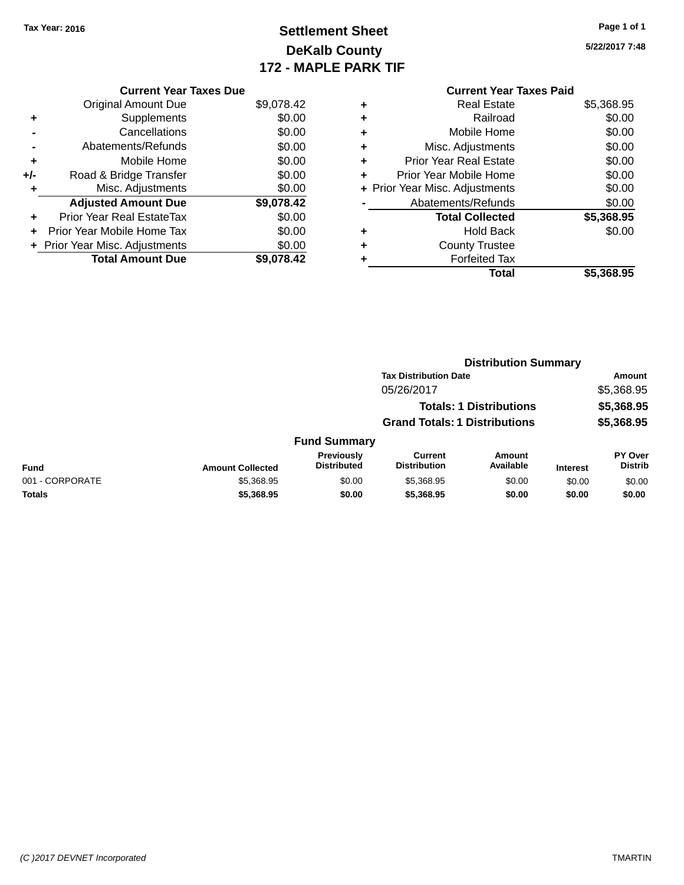# **Settlement Sheet Tax Year: 2016 Page 1 of 1 DeKalb County 172 - MAPLE PARK TIF**

**5/22/2017 7:48**

|       | <b>Current Year Taxes Due</b>    |            |
|-------|----------------------------------|------------|
|       | <b>Original Amount Due</b>       | \$9,078.42 |
| ٠     | Supplements                      | \$0.00     |
|       | Cancellations                    | \$0.00     |
|       | Abatements/Refunds               | \$0.00     |
| ٠     | Mobile Home                      | \$0.00     |
| $+/-$ | Road & Bridge Transfer           | \$0.00     |
| ٠     | Misc. Adjustments                | \$0.00     |
|       | <b>Adjusted Amount Due</b>       | \$9,078.42 |
| ÷     | <b>Prior Year Real EstateTax</b> | \$0.00     |
|       | Prior Year Mobile Home Tax       | \$0.00     |
|       | + Prior Year Misc. Adjustments   | \$0.00     |
|       | <b>Total Amount Due</b>          | \$9.078.42 |

#### **Current Year Taxes Paid +** Real Estate \$5,368.95 **+** Railroad \$0.00 **+** Mobile Home \$0.00 **+** Misc. Adjustments \$0.00 **+** Prior Year Real Estate \$0.00 **+** Prior Year Mobile Home \$0.00 **+ Prior Year Misc. Adjustments**  $$0.00$ **-** Abatements/Refunds \$0.00 **Total Collected \$5,368.95 +** Hold Back \$0.00 **+** County Trustee **+** Forfeited Tax **Total \$5,368.95**

|                 |                         | <b>Distribution Summary</b>             |                                       |                                |                 |                                  |  |
|-----------------|-------------------------|-----------------------------------------|---------------------------------------|--------------------------------|-----------------|----------------------------------|--|
|                 |                         |                                         | <b>Tax Distribution Date</b>          |                                |                 | Amount                           |  |
|                 |                         |                                         | 05/26/2017                            |                                |                 | \$5,368.95                       |  |
|                 |                         |                                         |                                       | <b>Totals: 1 Distributions</b> |                 | \$5,368.95                       |  |
|                 |                         |                                         | <b>Grand Totals: 1 Distributions</b>  |                                |                 | \$5,368.95                       |  |
|                 |                         | <b>Fund Summary</b>                     |                                       |                                |                 |                                  |  |
| <b>Fund</b>     | <b>Amount Collected</b> | <b>Previously</b><br><b>Distributed</b> | <b>Current</b><br><b>Distribution</b> | Amount<br>Available            | <b>Interest</b> | <b>PY Over</b><br><b>Distrib</b> |  |
| 001 - CORPORATE | \$5,368.95              | \$0.00                                  | \$5,368.95                            | \$0.00                         | \$0.00          | \$0.00                           |  |
| Totals          | \$5,368,95              | \$0.00                                  | \$5,368,95                            | \$0.00                         | \$0.00          | \$0.00                           |  |
|                 |                         |                                         |                                       |                                |                 |                                  |  |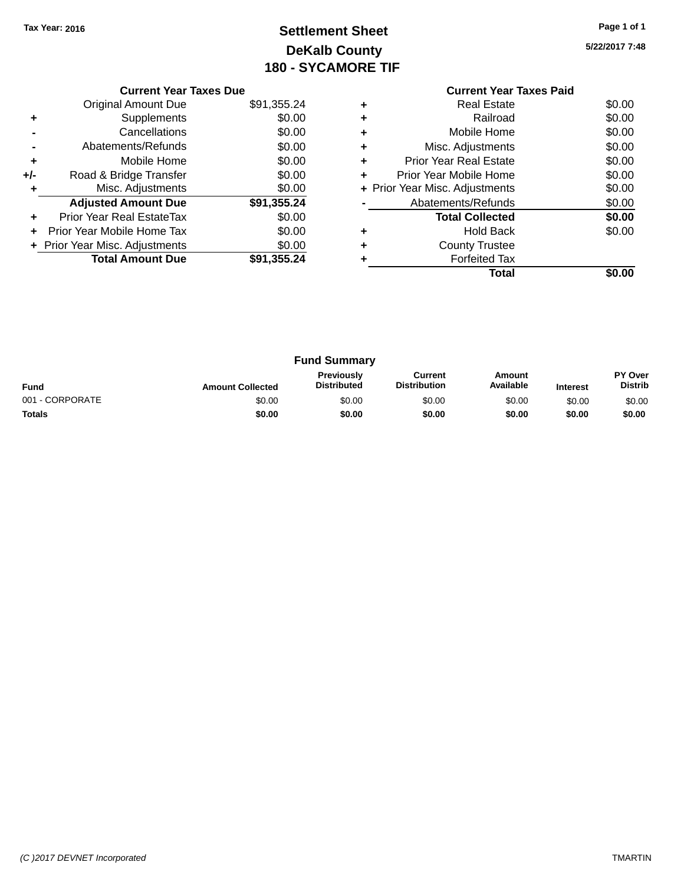# **Settlement Sheet Tax Year: 2016 Page 1 of 1 DeKalb County 180 - SYCAMORE TIF**

**5/22/2017 7:48**

|     | <b>Current Year Taxes Due</b>  |             |  |  |  |  |
|-----|--------------------------------|-------------|--|--|--|--|
|     | <b>Original Amount Due</b>     | \$91,355.24 |  |  |  |  |
|     | Supplements                    | \$0.00      |  |  |  |  |
|     | Cancellations                  | \$0.00      |  |  |  |  |
|     | Abatements/Refunds             | \$0.00      |  |  |  |  |
| ٠   | Mobile Home                    | \$0.00      |  |  |  |  |
| +/- | Road & Bridge Transfer         | \$0.00      |  |  |  |  |
|     | Misc. Adjustments              | \$0.00      |  |  |  |  |
|     | <b>Adjusted Amount Due</b>     | \$91,355.24 |  |  |  |  |
|     | Prior Year Real EstateTax      | \$0.00      |  |  |  |  |
|     | Prior Year Mobile Home Tax     | \$0.00      |  |  |  |  |
|     | + Prior Year Misc. Adjustments | \$0.00      |  |  |  |  |
|     | <b>Total Amount Due</b>        | \$91,355.24 |  |  |  |  |
|     |                                |             |  |  |  |  |

|   | <b>Current Year Taxes Paid</b> |        |
|---|--------------------------------|--------|
|   | <b>Real Estate</b>             | \$0.00 |
| ٠ | Railroad                       | \$0.00 |
|   | Mobile Home                    | \$0.00 |
| ٠ | Misc. Adjustments              | \$0.00 |
| ÷ | <b>Prior Year Real Estate</b>  | \$0.00 |
| ÷ | Prior Year Mobile Home         | \$0.00 |
|   | + Prior Year Misc. Adjustments | \$0.00 |
|   | Abatements/Refunds             | \$0.00 |
|   | <b>Total Collected</b>         | \$0.00 |
|   | <b>Hold Back</b>               | \$0.00 |
|   | <b>County Trustee</b>          |        |
|   | <b>Forfeited Tax</b>           |        |
|   | Total                          | SO.OO  |
|   |                                |        |

| <b>Fund Summary</b> |                         |                                         |                                |                     |                 |                                  |
|---------------------|-------------------------|-----------------------------------------|--------------------------------|---------------------|-----------------|----------------------------------|
| <b>Fund</b>         | <b>Amount Collected</b> | <b>Previously</b><br><b>Distributed</b> | Current<br><b>Distribution</b> | Amount<br>Available | <b>Interest</b> | <b>PY Over</b><br><b>Distrib</b> |
| 001 - CORPORATE     | \$0.00                  | \$0.00                                  | \$0.00                         | \$0.00              | \$0.00          | \$0.00                           |
| <b>Totals</b>       | \$0.00                  | \$0.00                                  | \$0.00                         | \$0.00              | \$0.00          | \$0.00                           |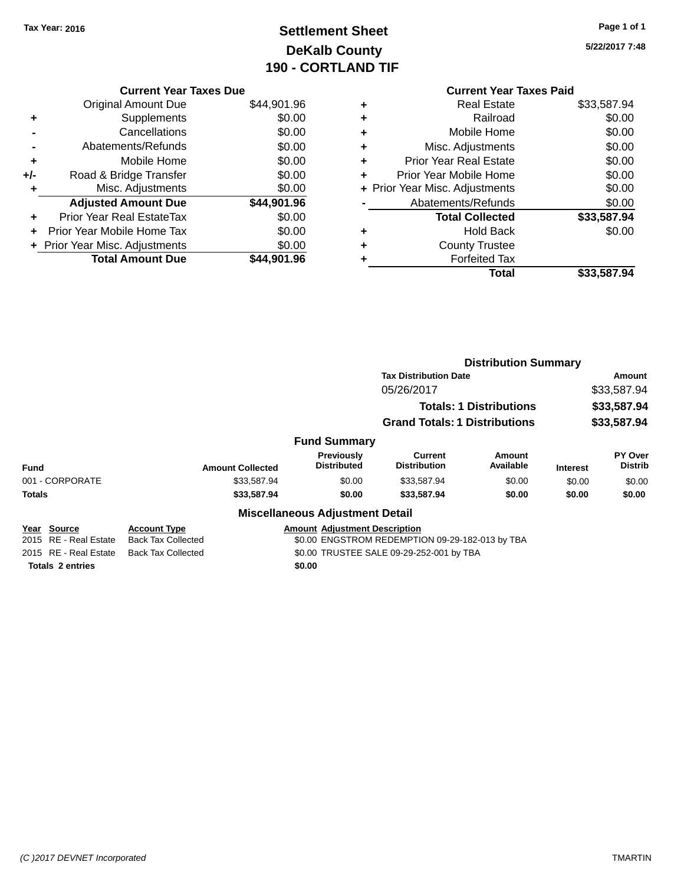# **Settlement Sheet Tax Year: 2016 Page 1 of 1 DeKalb County 190 - CORTLAND TIF**

**5/22/2017 7:48**

|     | <b>Current Year Taxes Due</b>  |             |  |  |  |  |  |
|-----|--------------------------------|-------------|--|--|--|--|--|
|     | Original Amount Due            | \$44,901.96 |  |  |  |  |  |
| ٠   | Supplements                    | \$0.00      |  |  |  |  |  |
|     | Cancellations                  | \$0.00      |  |  |  |  |  |
|     | Abatements/Refunds             | \$0.00      |  |  |  |  |  |
| ٠   | Mobile Home                    | \$0.00      |  |  |  |  |  |
| +/- | Road & Bridge Transfer         | \$0.00      |  |  |  |  |  |
| ٠   | Misc. Adjustments              | \$0.00      |  |  |  |  |  |
|     | <b>Adjusted Amount Due</b>     | \$44,901.96 |  |  |  |  |  |
| ٠   | Prior Year Real EstateTax      | \$0.00      |  |  |  |  |  |
| ÷   | Prior Year Mobile Home Tax     | \$0.00      |  |  |  |  |  |
|     | + Prior Year Misc. Adjustments | \$0.00      |  |  |  |  |  |
|     | <b>Total Amount Due</b>        | \$44,901.96 |  |  |  |  |  |
|     |                                |             |  |  |  |  |  |

#### **Current Year Taxes Paid +** Real Estate \$33,587.94 **+** Railroad \$0.00 **+** Mobile Home \$0.00 **+** Misc. Adjustments \$0.00 **+** Prior Year Real Estate \$0.00 **+** Prior Year Mobile Home \$0.00 **+ Prior Year Misc. Adjustments**  $$0.00$ **-** Abatements/Refunds \$0.00 **Total Collected \$33,587.94 +** Hold Back \$0.00 **+** County Trustee **+** Forfeited Tax **Total \$33,587.94**

|                         |                           |                                         | <b>Distribution Summary</b>                     |                            |                 |                                  |
|-------------------------|---------------------------|-----------------------------------------|-------------------------------------------------|----------------------------|-----------------|----------------------------------|
|                         |                           |                                         | <b>Tax Distribution Date</b>                    |                            | Amount          |                                  |
|                         |                           |                                         | 05/26/2017                                      | \$33,587.94<br>\$33,587.94 |                 |                                  |
|                         |                           |                                         | <b>Totals: 1 Distributions</b>                  |                            |                 |                                  |
|                         |                           |                                         | <b>Grand Totals: 1 Distributions</b>            |                            | \$33,587.94     |                                  |
|                         |                           | <b>Fund Summary</b>                     |                                                 |                            |                 |                                  |
| <b>Fund</b>             | <b>Amount Collected</b>   | <b>Previously</b><br><b>Distributed</b> | <b>Current</b><br><b>Distribution</b>           | Amount<br>Available        | <b>Interest</b> | <b>PY Over</b><br><b>Distrib</b> |
| 001 - CORPORATE         | \$33,587.94               | \$0.00                                  | \$33,587.94                                     | \$0.00                     | \$0.00          | \$0.00                           |
| <b>Totals</b>           | \$33,587.94               | \$0.00                                  | \$33,587.94                                     | \$0.00                     | \$0.00          | \$0.00                           |
|                         |                           | <b>Miscellaneous Adjustment Detail</b>  |                                                 |                            |                 |                                  |
| Year Source             | <b>Account Type</b>       | <b>Amount Adiustment Description</b>    |                                                 |                            |                 |                                  |
| 2015 RE - Real Estate   | <b>Back Tax Collected</b> |                                         | \$0.00 ENGSTROM REDEMPTION 09-29-182-013 by TBA |                            |                 |                                  |
| 2015 RE - Real Estate   | <b>Back Tax Collected</b> |                                         | \$0.00 TRUSTEE SALE 09-29-252-001 by TBA        |                            |                 |                                  |
| <b>Totals 2 entries</b> |                           | \$0.00                                  |                                                 |                            |                 |                                  |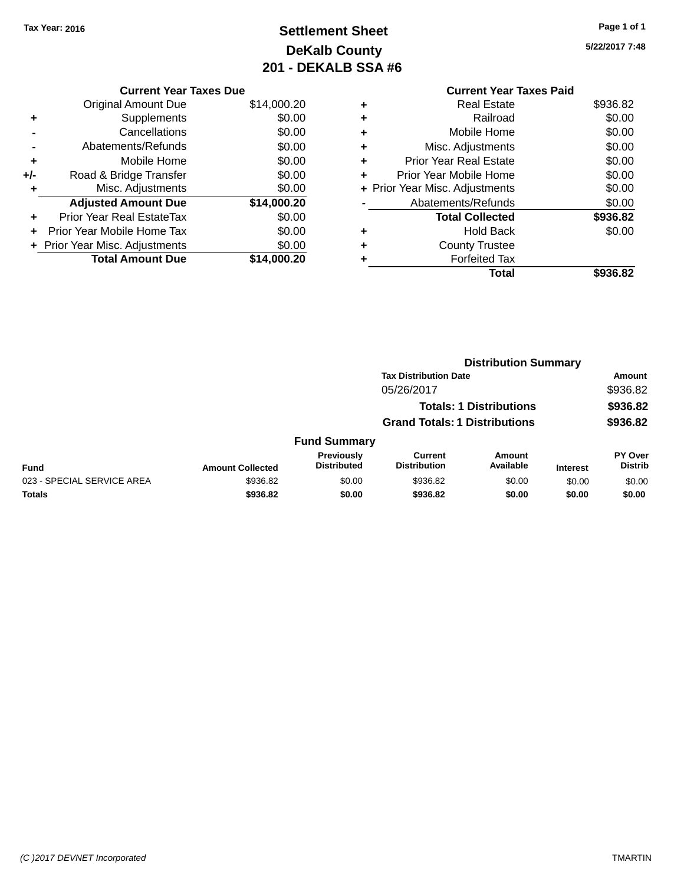# **Settlement Sheet Tax Year: 2016 Page 1 of 1 DeKalb County 201 - DEKALB SSA #6**

**5/22/2017 7:48**

|   | <b>Current Year Taxes Paid</b> |          |  |  |  |  |  |
|---|--------------------------------|----------|--|--|--|--|--|
|   | <b>Real Estate</b>             | \$936.82 |  |  |  |  |  |
| ٠ | Railroad                       | \$0.00   |  |  |  |  |  |
| ٠ | Mobile Home                    | \$0.00   |  |  |  |  |  |
|   | Misc. Adjustments              | \$0.00   |  |  |  |  |  |
| ٠ | <b>Prior Year Real Estate</b>  | \$0.00   |  |  |  |  |  |
| ٠ | Prior Year Mobile Home         | \$0.00   |  |  |  |  |  |
|   | + Prior Year Misc. Adjustments | \$0.00   |  |  |  |  |  |
|   | Abatements/Refunds             | \$0.00   |  |  |  |  |  |
|   | <b>Total Collected</b>         | \$936.82 |  |  |  |  |  |
| ٠ | <b>Hold Back</b>               | \$0.00   |  |  |  |  |  |
|   | <b>County Trustee</b>          |          |  |  |  |  |  |
|   | <b>Forfeited Tax</b>           |          |  |  |  |  |  |
|   | Total                          | \$936.82 |  |  |  |  |  |

| <b>Current Year Taxes Due</b> |                                |  |  |  |  |  |
|-------------------------------|--------------------------------|--|--|--|--|--|
| Original Amount Due           | \$14,000.20                    |  |  |  |  |  |
| Supplements                   | \$0.00                         |  |  |  |  |  |
| Cancellations                 | \$0.00                         |  |  |  |  |  |
| Abatements/Refunds            | \$0.00                         |  |  |  |  |  |
| Mobile Home                   | \$0.00                         |  |  |  |  |  |
| Road & Bridge Transfer        | \$0.00                         |  |  |  |  |  |
| Misc. Adjustments             | \$0.00                         |  |  |  |  |  |
| <b>Adjusted Amount Due</b>    | \$14,000.20                    |  |  |  |  |  |
| Prior Year Real EstateTax     | \$0.00                         |  |  |  |  |  |
| Prior Year Mobile Home Tax    | \$0.00                         |  |  |  |  |  |
|                               | \$0.00                         |  |  |  |  |  |
| <b>Total Amount Due</b>       | \$14,000.20                    |  |  |  |  |  |
|                               | + Prior Year Misc. Adjustments |  |  |  |  |  |

|                            |                         |                                  |                                      | <b>Distribution Summary</b>    |                 |                                  |
|----------------------------|-------------------------|----------------------------------|--------------------------------------|--------------------------------|-----------------|----------------------------------|
|                            |                         |                                  | <b>Tax Distribution Date</b>         |                                |                 | Amount                           |
|                            |                         |                                  | 05/26/2017                           |                                |                 | \$936.82                         |
|                            |                         |                                  |                                      | <b>Totals: 1 Distributions</b> |                 | \$936.82                         |
|                            |                         |                                  | <b>Grand Totals: 1 Distributions</b> |                                |                 | \$936.82                         |
|                            |                         | <b>Fund Summary</b>              |                                      |                                |                 |                                  |
| <b>Fund</b>                | <b>Amount Collected</b> | Previously<br><b>Distributed</b> | Current<br><b>Distribution</b>       | Amount<br>Available            | <b>Interest</b> | <b>PY Over</b><br><b>Distrib</b> |
| 023 - SPECIAL SERVICE AREA | \$936.82                | \$0.00                           | \$936.82                             | \$0.00                         | \$0.00          | \$0.00                           |
| <b>Totals</b>              | \$936.82                | \$0.00                           | \$936.82                             | \$0.00                         | \$0.00          | \$0.00                           |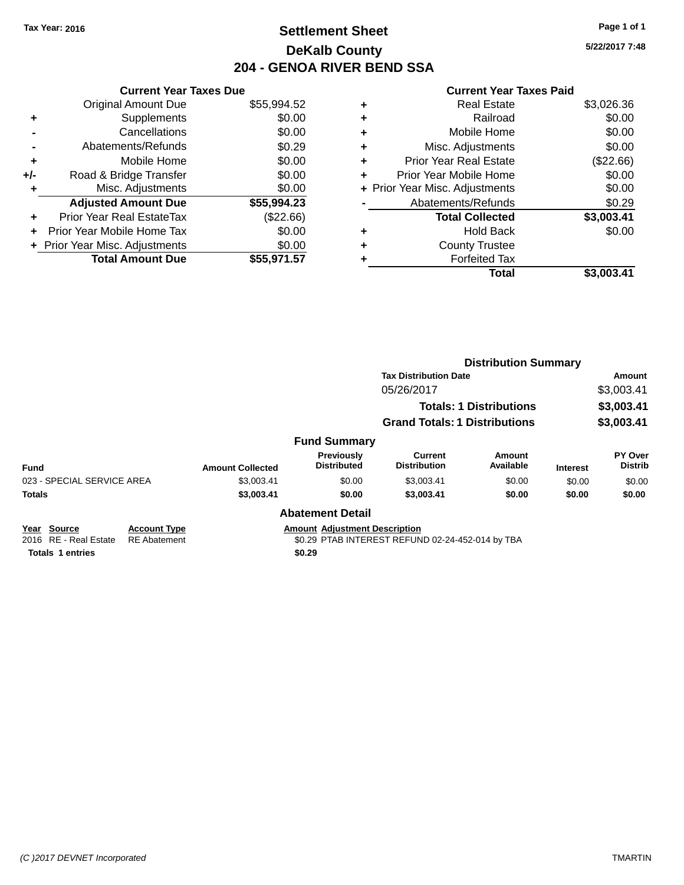## **Settlement Sheet Tax Year: 2016 Page 1 of 1 DeKalb County 204 - GENOA RIVER BEND SSA**

**5/22/2017 7:48**

#### **Current Year Taxes Paid**

| <b>Original Amount Due</b> | \$55,994.52                                                     |
|----------------------------|-----------------------------------------------------------------|
| Supplements                | \$0.00                                                          |
| Cancellations              | \$0.00                                                          |
| Abatements/Refunds         | \$0.29                                                          |
| Mobile Home                | \$0.00                                                          |
| Road & Bridge Transfer     | \$0.00                                                          |
| Misc. Adjustments          | \$0.00                                                          |
| <b>Adjusted Amount Due</b> | \$55,994.23                                                     |
| Prior Year Real EstateTax  | (\$22.66)                                                       |
| Prior Year Mobile Home Tax | \$0.00                                                          |
|                            | \$0.00                                                          |
| <b>Total Amount Due</b>    | \$55.971.57                                                     |
|                            | <b>Current Year Taxes Due</b><br>+ Prior Year Misc. Adjustments |

| ٠ | <b>Real Estate</b>             | \$3,026.36  |
|---|--------------------------------|-------------|
| ٠ | Railroad                       | \$0.00      |
| ٠ | Mobile Home                    | \$0.00      |
| ٠ | Misc. Adjustments              | \$0.00      |
| ٠ | <b>Prior Year Real Estate</b>  | $(\$22.66)$ |
| ÷ | Prior Year Mobile Home         | \$0.00      |
|   | + Prior Year Misc. Adjustments | \$0.00      |
|   | Abatements/Refunds             | \$0.29      |
|   | <b>Total Collected</b>         | \$3,003.41  |
| ٠ | Hold Back                      | \$0.00      |
| ٠ | <b>County Trustee</b>          |             |
| ٠ | <b>Forfeited Tax</b>           |             |
|   | Total                          | \$3,003.41  |
|   |                                |             |

|                            |                     |                         |                                      | <b>Distribution Summary</b>           |                            |                 |                           |  |
|----------------------------|---------------------|-------------------------|--------------------------------------|---------------------------------------|----------------------------|-----------------|---------------------------|--|
|                            |                     |                         | <b>Tax Distribution Date</b>         |                                       |                            |                 | Amount                    |  |
|                            |                     |                         |                                      | 05/26/2017                            |                            |                 | \$3,003.41                |  |
|                            |                     |                         |                                      | <b>Totals: 1 Distributions</b>        |                            |                 | \$3,003.41                |  |
|                            |                     |                         |                                      | <b>Grand Totals: 1 Distributions</b>  |                            |                 | \$3,003.41                |  |
|                            |                     |                         | <b>Fund Summary</b>                  |                                       |                            |                 |                           |  |
| <b>Fund</b>                |                     | <b>Amount Collected</b> | Previously<br><b>Distributed</b>     | <b>Current</b><br><b>Distribution</b> | <b>Amount</b><br>Available | <b>Interest</b> | PY Over<br><b>Distrib</b> |  |
| 023 - SPECIAL SERVICE AREA |                     | \$3.003.41              | \$0.00                               | \$3,003.41                            | \$0.00                     | \$0.00          | \$0.00                    |  |
| <b>Totals</b>              |                     | \$3,003.41              | \$0.00                               | \$3,003.41                            | \$0.00                     | \$0.00          | \$0.00                    |  |
|                            |                     |                         | <b>Abatement Detail</b>              |                                       |                            |                 |                           |  |
| Year Source                | <b>Account Type</b> |                         | <b>Amount Adjustment Description</b> |                                       |                            |                 |                           |  |

2016 RE - Real Estate RE Abatement \$0.29 PTAB INTEREST REFUND 02-24-452-014 by TBA

**Totals 1 entries \$0.29**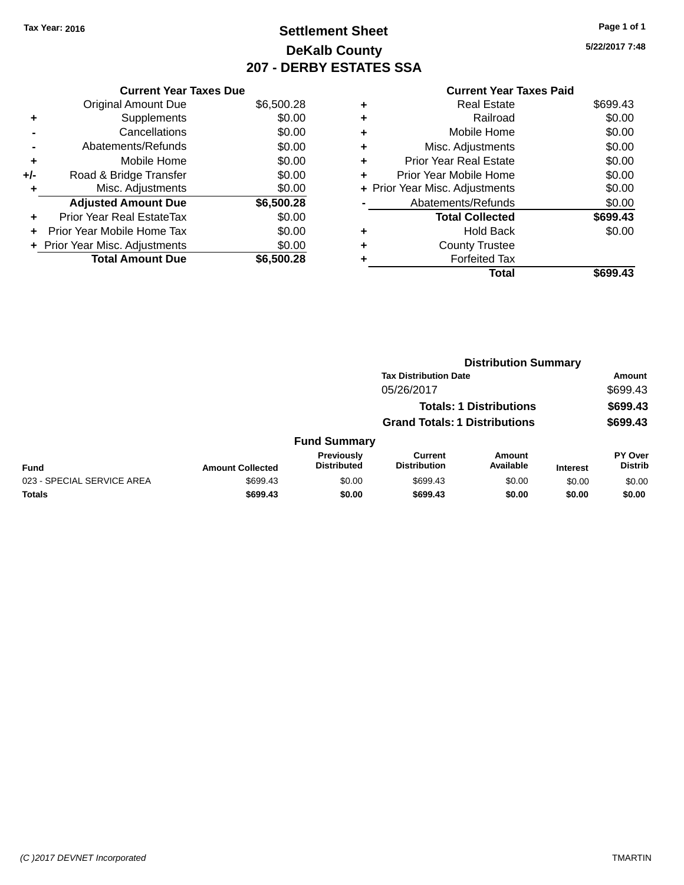# **Settlement Sheet Tax Year: 2016 Page 1 of 1 DeKalb County 207 - DERBY ESTATES SSA**

**5/22/2017 7:48**

|       | <b>Current Year Taxes Due</b>  |            |
|-------|--------------------------------|------------|
|       | <b>Original Amount Due</b>     | \$6,500.28 |
| ÷     | Supplements                    | \$0.00     |
|       | Cancellations                  | \$0.00     |
|       | Abatements/Refunds             | \$0.00     |
| ٠     | Mobile Home                    | \$0.00     |
| $+/-$ | Road & Bridge Transfer         | \$0.00     |
| ٠     | Misc. Adjustments              | \$0.00     |
|       | <b>Adjusted Amount Due</b>     | \$6,500.28 |
| ÷     | Prior Year Real EstateTax      | \$0.00     |
|       | Prior Year Mobile Home Tax     | \$0.00     |
|       | + Prior Year Misc. Adjustments | \$0.00     |
|       | <b>Total Amount Due</b>        | \$6,500.28 |
|       |                                |            |

| ٠ | Real Estate                    | \$699.43 |
|---|--------------------------------|----------|
| ٠ | Railroad                       | \$0.00   |
| ٠ | Mobile Home                    | \$0.00   |
| ٠ | Misc. Adjustments              | \$0.00   |
| ٠ | <b>Prior Year Real Estate</b>  | \$0.00   |
|   | Prior Year Mobile Home         | \$0.00   |
|   | + Prior Year Misc. Adjustments | \$0.00   |
|   | Abatements/Refunds             | \$0.00   |
|   | <b>Total Collected</b>         | \$699.43 |
| ٠ | Hold Back                      | \$0.00   |
|   | <b>County Trustee</b>          |          |
| ٠ | <b>Forfeited Tax</b>           |          |
|   | Total                          | \$699.43 |
|   |                                |          |

|                            |                         |                                  |                                       | <b>Distribution Summary</b>    |                 |                           |
|----------------------------|-------------------------|----------------------------------|---------------------------------------|--------------------------------|-----------------|---------------------------|
|                            |                         |                                  | <b>Tax Distribution Date</b>          |                                |                 | <b>Amount</b>             |
|                            |                         |                                  | 05/26/2017                            |                                |                 | \$699.43                  |
|                            |                         |                                  |                                       | <b>Totals: 1 Distributions</b> |                 | \$699.43                  |
|                            |                         |                                  | <b>Grand Totals: 1 Distributions</b>  |                                |                 | \$699.43                  |
|                            |                         | <b>Fund Summary</b>              |                                       |                                |                 |                           |
| <b>Fund</b>                | <b>Amount Collected</b> | Previously<br><b>Distributed</b> | <b>Current</b><br><b>Distribution</b> | Amount<br>Available            | <b>Interest</b> | PY Over<br><b>Distrib</b> |
| 023 - SPECIAL SERVICE AREA | \$699.43                | \$0.00                           | \$699.43                              | \$0.00                         | \$0.00          | \$0.00                    |
| <b>Totals</b>              | \$699.43                | \$0.00                           | \$699.43                              | \$0.00                         | \$0.00          | \$0.00                    |
|                            |                         |                                  |                                       |                                |                 |                           |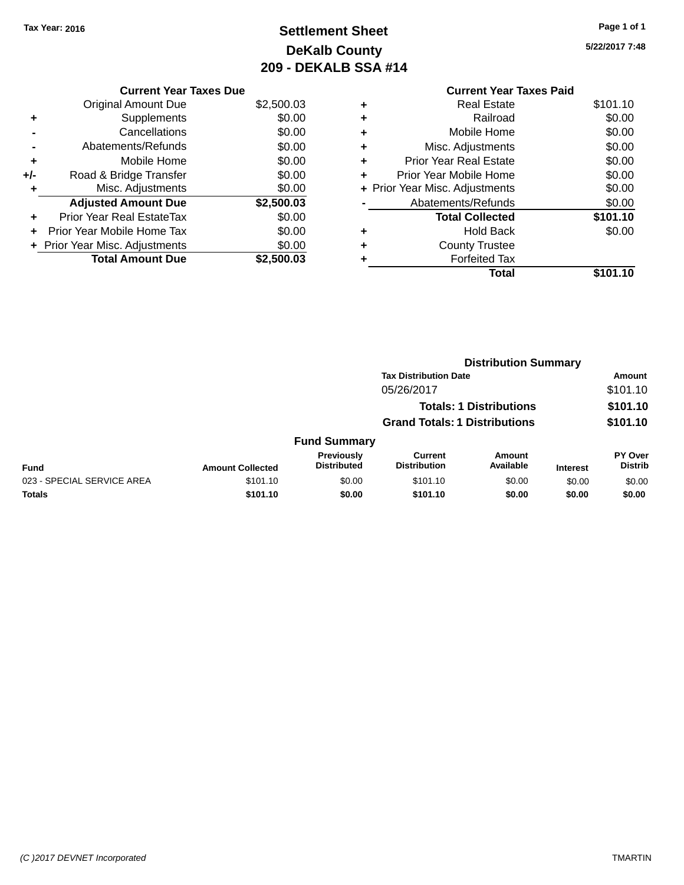# **Settlement Sheet Tax Year: 2016 Page 1 of 1 DeKalb County 209 - DEKALB SSA #14**

**5/22/2017 7:48**

|   | <b>Current Year Taxes Paid</b> |          |
|---|--------------------------------|----------|
| ٠ | <b>Real Estate</b>             | \$101.10 |
| ٠ | Railroad                       | \$0.00   |
| ٠ | Mobile Home                    | \$0.00   |
| ٠ | Misc. Adjustments              | \$0.00   |
| ٠ | <b>Prior Year Real Estate</b>  | \$0.00   |
| ÷ | Prior Year Mobile Home         | \$0.00   |
|   | + Prior Year Misc. Adjustments | \$0.00   |
|   | Abatements/Refunds             | \$0.00   |
|   | <b>Total Collected</b>         | \$101.10 |
| ٠ | <b>Hold Back</b>               | \$0.00   |
|   | <b>County Trustee</b>          |          |
|   | <b>Forfeited Tax</b>           |          |
|   | Total                          | \$101.10 |

|     | <b>Current Year Taxes Due</b>  |            |
|-----|--------------------------------|------------|
|     | <b>Original Amount Due</b>     | \$2,500.03 |
| ٠   | Supplements                    | \$0.00     |
|     | Cancellations                  | \$0.00     |
|     | Abatements/Refunds             | \$0.00     |
| ٠   | Mobile Home                    | \$0.00     |
| +/- | Road & Bridge Transfer         | \$0.00     |
| ٠   | Misc. Adjustments              | \$0.00     |
|     | <b>Adjusted Amount Due</b>     | \$2,500.03 |
|     | Prior Year Real EstateTax      | \$0.00     |
| ÷   | Prior Year Mobile Home Tax     | \$0.00     |
|     | + Prior Year Misc. Adjustments | \$0.00     |
|     | <b>Total Amount Due</b>        | \$2,500.03 |

| <b>Tax Distribution Date</b><br>05/26/2017<br><b>Totals: 1 Distributions</b><br><b>Grand Totals: 1 Distributions</b><br><b>Fund Summary</b><br>Previously<br><b>Current</b><br><b>Amount</b><br><b>Distributed</b><br>Available<br><b>Distribution</b><br><b>Fund</b><br><b>Amount Collected</b><br><b>Interest</b><br>023 - SPECIAL SERVICE AREA<br>\$0.00<br>\$101.10<br>\$101.10<br>\$0.00<br>\$0.00<br><b>Totals</b><br>\$101.10<br>\$0.00<br>\$101.10<br>\$0.00<br>\$0.00 |  |  | <b>Distribution Summary</b> |                                  |
|--------------------------------------------------------------------------------------------------------------------------------------------------------------------------------------------------------------------------------------------------------------------------------------------------------------------------------------------------------------------------------------------------------------------------------------------------------------------------------|--|--|-----------------------------|----------------------------------|
|                                                                                                                                                                                                                                                                                                                                                                                                                                                                                |  |  |                             | Amount                           |
|                                                                                                                                                                                                                                                                                                                                                                                                                                                                                |  |  |                             | \$101.10                         |
|                                                                                                                                                                                                                                                                                                                                                                                                                                                                                |  |  |                             | \$101.10                         |
|                                                                                                                                                                                                                                                                                                                                                                                                                                                                                |  |  |                             | \$101.10                         |
|                                                                                                                                                                                                                                                                                                                                                                                                                                                                                |  |  |                             |                                  |
|                                                                                                                                                                                                                                                                                                                                                                                                                                                                                |  |  |                             | <b>PY Over</b><br><b>Distrib</b> |
|                                                                                                                                                                                                                                                                                                                                                                                                                                                                                |  |  |                             | \$0.00                           |
|                                                                                                                                                                                                                                                                                                                                                                                                                                                                                |  |  |                             | \$0.00                           |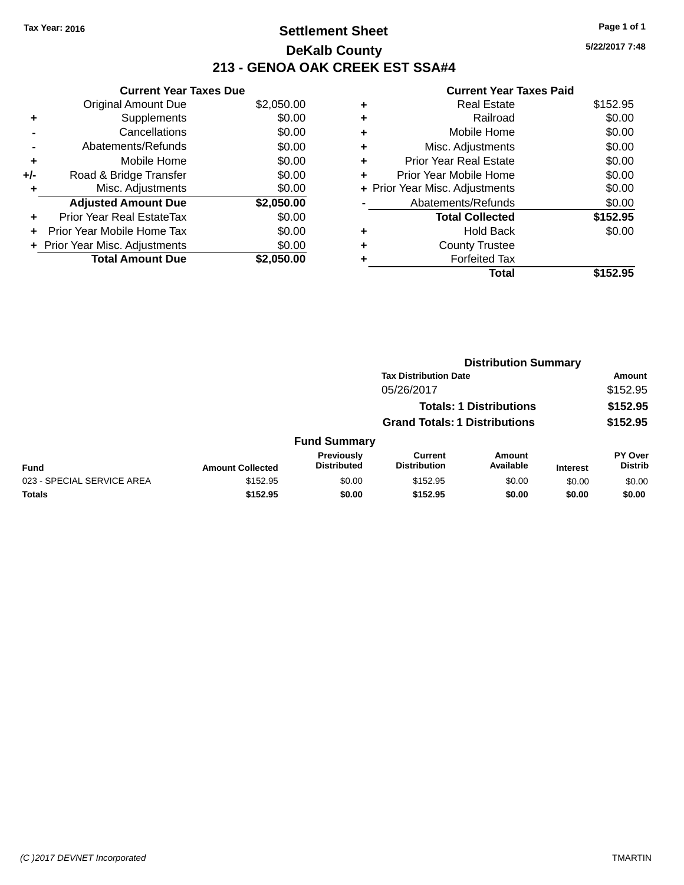## **Settlement Sheet Tax Year: 2016 Page 1 of 1 DeKalb County 213 - GENOA OAK CREEK EST SSA#4**

**Current Year Taxes Due** Original Amount Due \$2,050.00 **+** Supplements \$0.00 **-** Cancellations \$0.00 **-** Abatements/Refunds \$0.00 **+** Mobile Home \$0.00 **+/-** Road & Bridge Transfer \$0.00 **+** Misc. Adjustments \$0.00 **Adjusted Amount Due \$2,050.00 +** Prior Year Real EstateTax \$0.00 **+** Prior Year Mobile Home Tax \$0.00 **+** Prior Year Misc. Adjustments  $$0.00$ **Total Amount Due \$2,050.00**

#### **Current Year Taxes Paid +** Real Estate \$152.95 **+** Railroad \$0.00 **+** Mobile Home \$0.00 **+** Misc. Adjustments \$0.00 **+** Prior Year Real Estate \$0.00 **+** Prior Year Mobile Home \$0.00 **+** Prior Year Misc. Adjustments  $$0.00$ Abatements/Refunds \$0.00 **Total Collected \$152.95 +** Hold Back \$0.00 **+** County Trustee **+** Forfeited Tax **Total \$152.95**

|                            |                         |                                         | <b>Distribution Summary</b>           |                                |                 |                                  |  |
|----------------------------|-------------------------|-----------------------------------------|---------------------------------------|--------------------------------|-----------------|----------------------------------|--|
|                            |                         |                                         | <b>Tax Distribution Date</b>          |                                |                 | Amount                           |  |
|                            |                         |                                         | 05/26/2017                            |                                |                 | \$152.95                         |  |
|                            |                         |                                         |                                       | <b>Totals: 1 Distributions</b> |                 | \$152.95                         |  |
|                            |                         |                                         | <b>Grand Totals: 1 Distributions</b>  |                                |                 | \$152.95                         |  |
|                            |                         | <b>Fund Summary</b>                     |                                       |                                |                 |                                  |  |
| <b>Fund</b>                | <b>Amount Collected</b> | <b>Previously</b><br><b>Distributed</b> | <b>Current</b><br><b>Distribution</b> | Amount<br>Available            | <b>Interest</b> | <b>PY Over</b><br><b>Distrib</b> |  |
| 023 - SPECIAL SERVICE AREA | \$152.95                | \$0.00                                  | \$152.95                              | \$0.00                         | \$0.00          | \$0.00                           |  |
| <b>Totals</b>              | \$152.95                | \$0.00                                  | \$152.95                              | \$0.00                         | \$0.00          | \$0.00                           |  |
|                            |                         |                                         |                                       |                                |                 |                                  |  |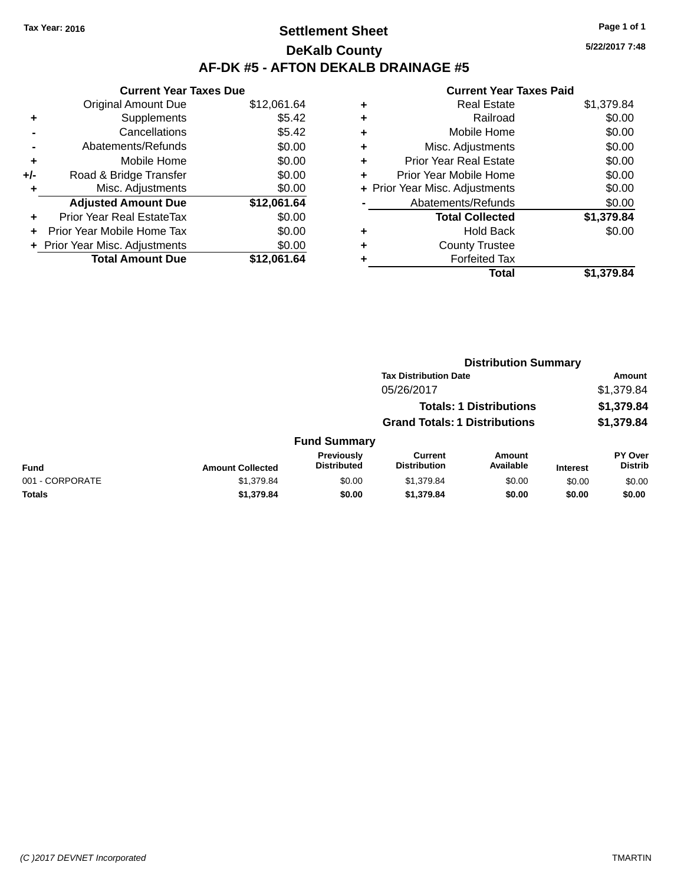## **Settlement Sheet Tax Year: 2016 Page 1 of 1 DeKalb County AF-DK #5 - AFTON DEKALB DRAINAGE #5**

**Current Year Taxes Due** Original Amount Due \$12,061.64 **+** Supplements \$5.42 **-** Cancellations \$5.42 **-** Abatements/Refunds \$0.00 **+** Mobile Home \$0.00 **+/-** Road & Bridge Transfer \$0.00 **+** Misc. Adjustments \$0.00 **Adjusted Amount Due \$12,061.64 +** Prior Year Real EstateTax \$0.00 **+** Prior Year Mobile Home Tax \$0.00 **+** Prior Year Misc. Adjustments  $$0.00$ **Total Amount Due \$12,061.64**

#### **Current Year Taxes Paid +** Real Estate \$1,379.84 **+** Railroad \$0.00 **+** Mobile Home \$0.00 **+** Misc. Adjustments \$0.00 **+** Prior Year Real Estate \$0.00 **+** Prior Year Mobile Home \$0.00 **+** Prior Year Misc. Adjustments  $$0.00$ Abatements/Refunds \$0.00 **Total Collected \$1,379.84 +** Hold Back \$0.00 **+** County Trustee **+** Forfeited Tax **Total \$1,379.84**

|                 |                         |                                  | <b>Distribution Summary</b>           |                                |                 |                                  |  |
|-----------------|-------------------------|----------------------------------|---------------------------------------|--------------------------------|-----------------|----------------------------------|--|
|                 |                         |                                  | <b>Tax Distribution Date</b>          |                                |                 | Amount                           |  |
|                 |                         |                                  | 05/26/2017                            |                                |                 | \$1,379.84                       |  |
|                 |                         |                                  |                                       | <b>Totals: 1 Distributions</b> |                 | \$1,379.84                       |  |
|                 |                         |                                  | <b>Grand Totals: 1 Distributions</b>  |                                |                 | \$1,379.84                       |  |
|                 |                         | <b>Fund Summary</b>              |                                       |                                |                 |                                  |  |
| <b>Fund</b>     | <b>Amount Collected</b> | Previously<br><b>Distributed</b> | <b>Current</b><br><b>Distribution</b> | Amount<br>Available            | <b>Interest</b> | <b>PY Over</b><br><b>Distrib</b> |  |
| 001 - CORPORATE | \$1,379.84              | \$0.00                           | \$1,379.84                            | \$0.00                         | \$0.00          | \$0.00                           |  |
| Totals          | \$1,379.84              | \$0.00                           | \$1,379.84                            | \$0.00                         | \$0.00          | \$0.00                           |  |
|                 |                         |                                  |                                       |                                |                 |                                  |  |

**5/22/2017 7:48**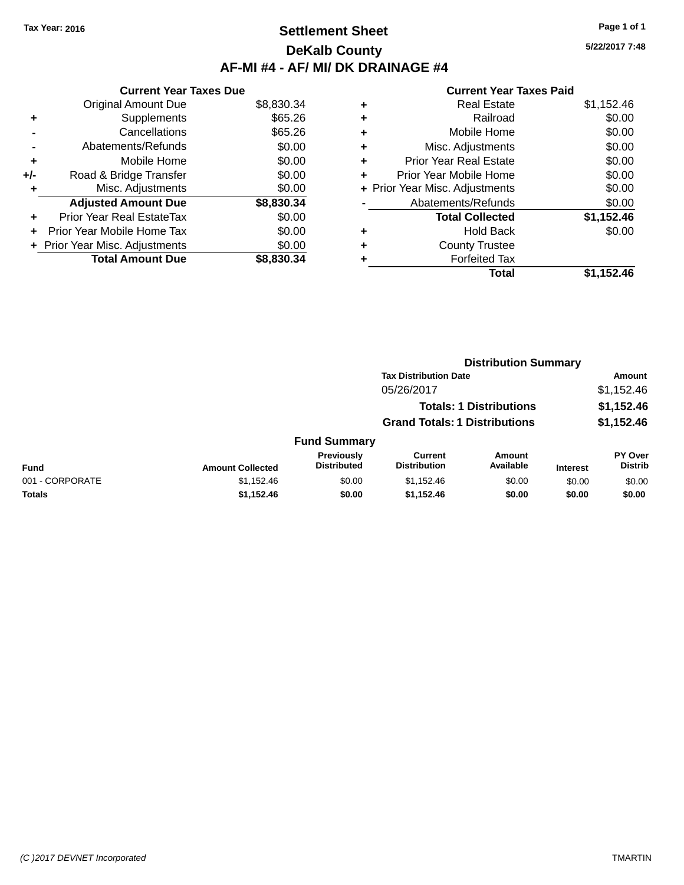## **Settlement Sheet Tax Year: 2016 Page 1 of 1 DeKalb County AF-MI #4 - AF/ MI/ DK DRAINAGE #4**

**5/22/2017 7:48**

|     | <b>Current Year Taxes Due</b>     |            |
|-----|-----------------------------------|------------|
|     | <b>Original Amount Due</b>        | \$8,830.34 |
| ٠   | Supplements                       | \$65.26    |
|     | Cancellations                     | \$65.26    |
|     | Abatements/Refunds                | \$0.00     |
| ٠   | Mobile Home                       | \$0.00     |
| +/- | Road & Bridge Transfer            | \$0.00     |
| ٠   | Misc. Adjustments                 | \$0.00     |
|     | <b>Adjusted Amount Due</b>        | \$8,830.34 |
| ٠   | Prior Year Real EstateTax         | \$0.00     |
| ÷   | <b>Prior Year Mobile Home Tax</b> | \$0.00     |
|     | + Prior Year Misc. Adjustments    | \$0.00     |
|     | <b>Total Amount Due</b>           | \$8,830,34 |

|   | <b>Real Estate</b>             | \$1,152.46 |
|---|--------------------------------|------------|
| ٠ | Railroad                       | \$0.00     |
| ٠ | Mobile Home                    | \$0.00     |
| ٠ | Misc. Adjustments              | \$0.00     |
| ٠ | <b>Prior Year Real Estate</b>  | \$0.00     |
| ٠ | Prior Year Mobile Home         | \$0.00     |
|   | + Prior Year Misc. Adjustments | \$0.00     |
|   | Abatements/Refunds             | \$0.00     |
|   | <b>Total Collected</b>         | \$1,152.46 |
| ٠ | <b>Hold Back</b>               | \$0.00     |
| ٠ | <b>County Trustee</b>          |            |
| ٠ | <b>Forfeited Tax</b>           |            |
|   | Total                          | \$1,152.46 |
|   |                                |            |

|                 |                         |                                         | <b>Distribution Summary</b>           |                                |                 |                                  |
|-----------------|-------------------------|-----------------------------------------|---------------------------------------|--------------------------------|-----------------|----------------------------------|
|                 |                         |                                         | <b>Tax Distribution Date</b>          |                                |                 | Amount                           |
|                 |                         |                                         | 05/26/2017                            |                                |                 | \$1,152.46                       |
|                 |                         |                                         |                                       | <b>Totals: 1 Distributions</b> |                 | \$1,152.46                       |
|                 |                         |                                         | <b>Grand Totals: 1 Distributions</b>  |                                |                 | \$1,152.46                       |
|                 |                         | <b>Fund Summary</b>                     |                                       |                                |                 |                                  |
| <b>Fund</b>     | <b>Amount Collected</b> | <b>Previously</b><br><b>Distributed</b> | <b>Current</b><br><b>Distribution</b> | Amount<br>Available            | <b>Interest</b> | <b>PY Over</b><br><b>Distrib</b> |
| 001 - CORPORATE | \$1,152.46              | \$0.00                                  | \$1,152.46                            | \$0.00                         | \$0.00          | \$0.00                           |
| <b>Totals</b>   | \$1,152.46              | \$0.00                                  | \$1,152.46                            | \$0.00                         | \$0.00          | \$0.00                           |
|                 |                         |                                         |                                       |                                |                 |                                  |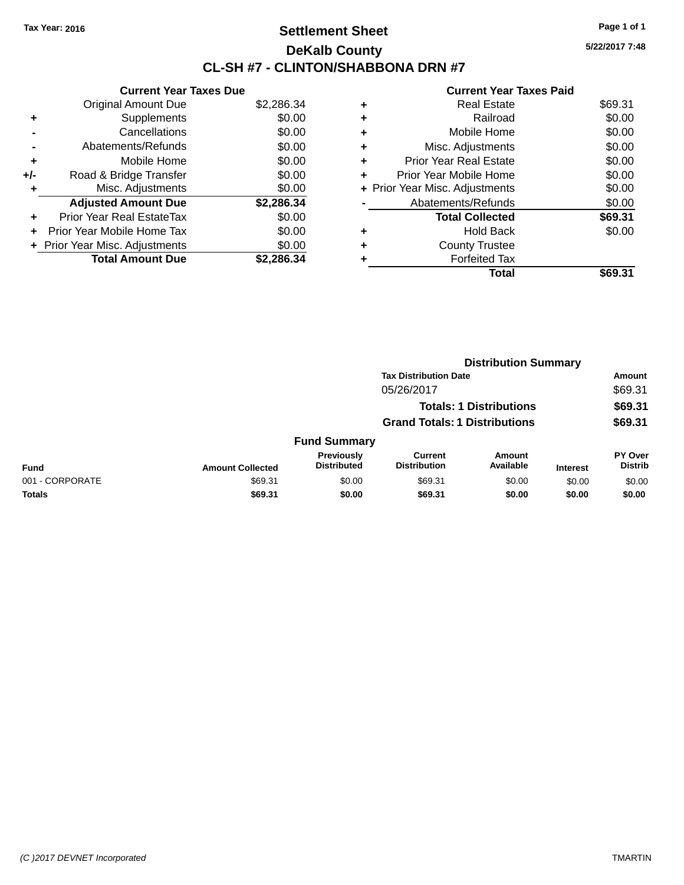## **Settlement Sheet Tax Year: 2016 Page 1 of 1 DeKalb County CL-SH #7 - CLINTON/SHABBONA DRN #7**

**5/22/2017 7:48**

|     | <b>Current Year Taxes Due</b>     |            |
|-----|-----------------------------------|------------|
|     | <b>Original Amount Due</b>        | \$2,286.34 |
| ٠   | Supplements                       | \$0.00     |
|     | Cancellations                     | \$0.00     |
|     | Abatements/Refunds                | \$0.00     |
| ٠   | Mobile Home                       | \$0.00     |
| +/- | Road & Bridge Transfer            | \$0.00     |
| ٠   | Misc. Adjustments                 | \$0.00     |
|     | <b>Adjusted Amount Due</b>        | \$2,286.34 |
| ٠   | <b>Prior Year Real EstateTax</b>  | \$0.00     |
| ٠   | <b>Prior Year Mobile Home Tax</b> | \$0.00     |
|     | + Prior Year Misc. Adjustments    | \$0.00     |
|     | <b>Total Amount Due</b>           | \$2.286.34 |

|   | Total                          | \$69.31 |
|---|--------------------------------|---------|
| ٠ | <b>Forfeited Tax</b>           |         |
| ٠ | <b>County Trustee</b>          |         |
| ٠ | <b>Hold Back</b>               | \$0.00  |
|   | <b>Total Collected</b>         | \$69.31 |
|   | Abatements/Refunds             | \$0.00  |
|   | + Prior Year Misc. Adjustments | \$0.00  |
| ٠ | Prior Year Mobile Home         | \$0.00  |
| ٠ | <b>Prior Year Real Estate</b>  | \$0.00  |
| ٠ | Misc. Adjustments              | \$0.00  |
| ٠ | Mobile Home                    | \$0.00  |
| ٠ | Railroad                       | \$0.00  |
| ٠ | <b>Real Estate</b>             | \$69.31 |
|   |                                |         |

|                 |                         |                                  |                                       | <b>Distribution Summary</b>    |                 |                           |
|-----------------|-------------------------|----------------------------------|---------------------------------------|--------------------------------|-----------------|---------------------------|
|                 |                         |                                  | <b>Tax Distribution Date</b>          |                                |                 | <b>Amount</b>             |
|                 |                         |                                  | 05/26/2017                            |                                |                 | \$69.31                   |
|                 |                         |                                  |                                       | <b>Totals: 1 Distributions</b> |                 | \$69.31                   |
|                 |                         |                                  | <b>Grand Totals: 1 Distributions</b>  |                                |                 | \$69.31                   |
|                 |                         | <b>Fund Summary</b>              |                                       |                                |                 |                           |
| <b>Fund</b>     | <b>Amount Collected</b> | Previously<br><b>Distributed</b> | <b>Current</b><br><b>Distribution</b> | Amount<br>Available            | <b>Interest</b> | PY Over<br><b>Distrib</b> |
| 001 - CORPORATE | \$69.31                 | \$0.00                           | \$69.31                               | \$0.00                         | \$0.00          | \$0.00                    |
| <b>Totals</b>   | \$69.31                 | \$0.00                           | \$69.31                               | \$0.00                         | \$0.00          | \$0.00                    |
|                 |                         |                                  |                                       |                                |                 |                           |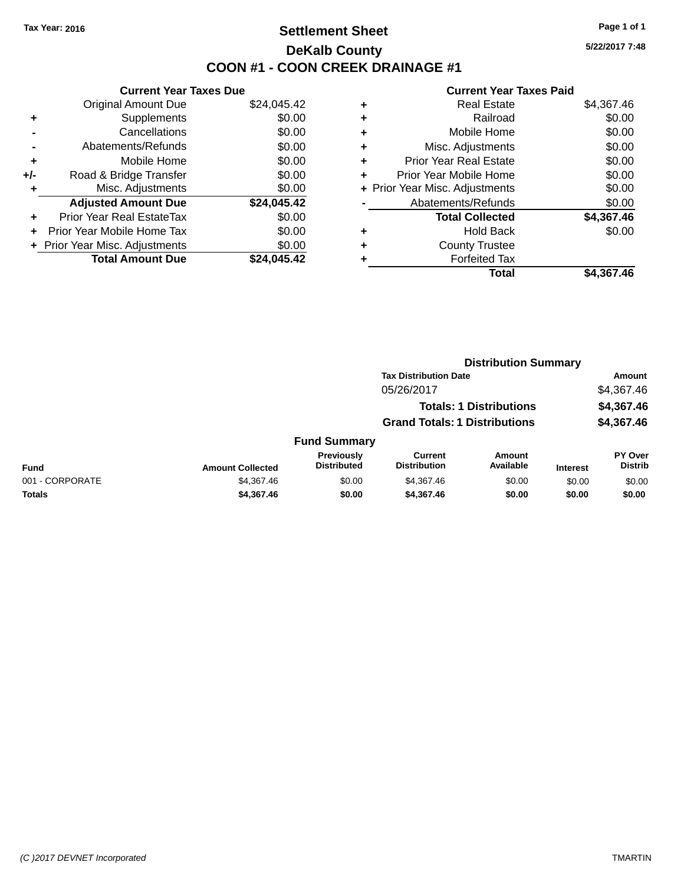## **Settlement Sheet Tax Year: 2016 Page 1 of 1 DeKalb County COON #1 - COON CREEK DRAINAGE #1**

**5/22/2017 7:48**

|     | <b>Current Year Taxes Due</b>  |             |
|-----|--------------------------------|-------------|
|     | <b>Original Amount Due</b>     | \$24,045.42 |
| ٠   | Supplements                    | \$0.00      |
|     | Cancellations                  | \$0.00      |
|     | Abatements/Refunds             | \$0.00      |
| ٠   | Mobile Home                    | \$0.00      |
| +/- | Road & Bridge Transfer         | \$0.00      |
| ٠   | Misc. Adjustments              | \$0.00      |
|     | <b>Adjusted Amount Due</b>     | \$24,045.42 |
| ٠   | Prior Year Real EstateTax      | \$0.00      |
| ÷   | Prior Year Mobile Home Tax     | \$0.00      |
|     | + Prior Year Misc. Adjustments | \$0.00      |
|     | <b>Total Amount Due</b>        | \$24.045.42 |

| ٠ | <b>Real Estate</b>             | \$4,367.46 |
|---|--------------------------------|------------|
| ٠ | Railroad                       | \$0.00     |
| ٠ | Mobile Home                    | \$0.00     |
| ٠ | Misc. Adjustments              | \$0.00     |
| ٠ | <b>Prior Year Real Estate</b>  | \$0.00     |
| ٠ | Prior Year Mobile Home         | \$0.00     |
|   | + Prior Year Misc. Adjustments | \$0.00     |
|   | Abatements/Refunds             | \$0.00     |
|   | <b>Total Collected</b>         | \$4,367.46 |
| ٠ | <b>Hold Back</b>               | \$0.00     |
| ٠ | <b>County Trustee</b>          |            |
| ٠ | <b>Forfeited Tax</b>           |            |
|   | <b>Total</b>                   | \$4,367.46 |
|   |                                |            |

|                 |                         |                                         | <b>Distribution Summary</b>           |                                |                 |                           |
|-----------------|-------------------------|-----------------------------------------|---------------------------------------|--------------------------------|-----------------|---------------------------|
|                 |                         |                                         | <b>Tax Distribution Date</b>          |                                |                 | <b>Amount</b>             |
|                 |                         |                                         | 05/26/2017                            |                                |                 | \$4,367.46                |
|                 |                         |                                         |                                       | <b>Totals: 1 Distributions</b> |                 | \$4,367.46                |
|                 |                         |                                         | <b>Grand Totals: 1 Distributions</b>  |                                |                 | \$4,367.46                |
|                 |                         | <b>Fund Summary</b>                     |                                       |                                |                 |                           |
| <b>Fund</b>     | <b>Amount Collected</b> | <b>Previously</b><br><b>Distributed</b> | <b>Current</b><br><b>Distribution</b> | Amount<br>Available            | <b>Interest</b> | PY Over<br><b>Distrib</b> |
| 001 - CORPORATE | \$4,367.46              | \$0.00                                  | \$4,367.46                            | \$0.00                         | \$0.00          | \$0.00                    |
| Totals          | \$4,367.46              | \$0.00                                  | \$4,367.46                            | \$0.00                         | \$0.00          | \$0.00                    |
|                 |                         |                                         |                                       |                                |                 |                           |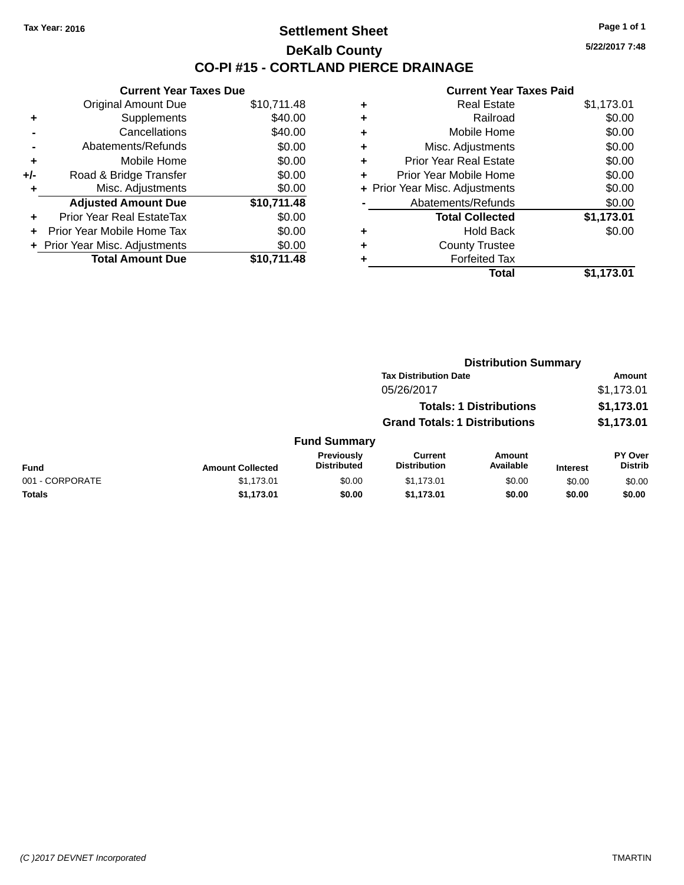#### **Settlement Sheet Tax Year: 2016 Page 1 of 1 DeKalb County CO-PI #15 - CORTLAND PIERCE DRAINAGE**

**Current Year Taxes Due** Original Amount Due \$10,711.48 **+** Supplements \$40.00 **-** Cancellations \$40.00 **-** Abatements/Refunds \$0.00 **+** Mobile Home \$0.00 **+/-** Road & Bridge Transfer \$0.00 **+** Misc. Adjustments \$0.00 **Adjusted Amount Due \$10,711.48 +** Prior Year Real EstateTax \$0.00 **+** Prior Year Mobile Home Tax \$0.00 **+ Prior Year Misc. Adjustments**  $$0.00$ **Total Amount Due \$10,711.48**

#### **Current Year Taxes Paid +** Real Estate \$1,173.01 **+** Railroad \$0.00 **+** Mobile Home \$0.00 **+** Misc. Adjustments \$0.00 **+** Prior Year Real Estate \$0.00 **+** Prior Year Mobile Home \$0.00 **+** Prior Year Misc. Adjustments  $$0.00$ Abatements/Refunds \$0.00 **Total Collected \$1,173.01 +** Hold Back \$0.00 **+** County Trustee **+** Forfeited Tax **Total \$1,173.01**

|                 |                         |                                  | <b>Distribution Summary</b>           |                                |                 |                                  |
|-----------------|-------------------------|----------------------------------|---------------------------------------|--------------------------------|-----------------|----------------------------------|
|                 |                         |                                  | <b>Tax Distribution Date</b>          |                                |                 | Amount                           |
|                 |                         |                                  | 05/26/2017                            |                                |                 | \$1,173.01                       |
|                 |                         |                                  |                                       | <b>Totals: 1 Distributions</b> |                 | \$1,173.01                       |
|                 |                         |                                  | <b>Grand Totals: 1 Distributions</b>  |                                |                 | \$1,173.01                       |
|                 |                         | <b>Fund Summary</b>              |                                       |                                |                 |                                  |
| <b>Fund</b>     | <b>Amount Collected</b> | Previously<br><b>Distributed</b> | <b>Current</b><br><b>Distribution</b> | Amount<br>Available            | <b>Interest</b> | <b>PY Over</b><br><b>Distrib</b> |
| 001 - CORPORATE | \$1,173.01              | \$0.00                           | \$1,173.01                            | \$0.00                         | \$0.00          | \$0.00                           |
| <b>Totals</b>   | \$1,173.01              | \$0.00                           | \$1,173.01                            | \$0.00                         | \$0.00          | \$0.00                           |
|                 |                         |                                  |                                       |                                |                 |                                  |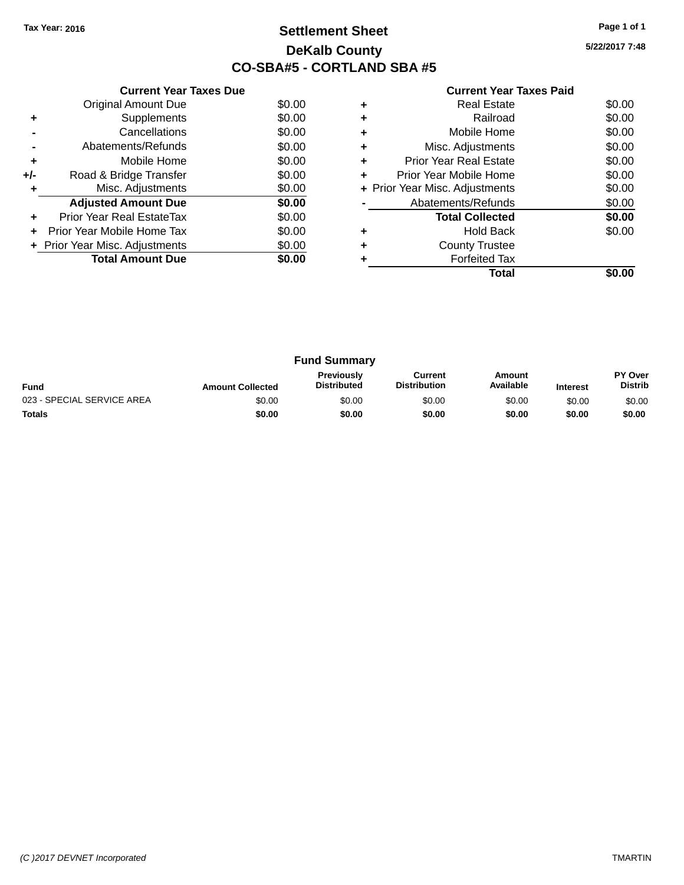## **Settlement Sheet Tax Year: 2016 Page 1 of 1 DeKalb County CO-SBA#5 - CORTLAND SBA #5**

**5/22/2017 7:48**

| <b>Current Year Taxes Paid</b> |  |  |
|--------------------------------|--|--|
|                                |  |  |

|     | <b>Current Year Taxes Due</b>  |        |
|-----|--------------------------------|--------|
|     | <b>Original Amount Due</b>     | \$0.00 |
| ٠   | Supplements                    | \$0.00 |
|     | Cancellations                  | \$0.00 |
|     | Abatements/Refunds             | \$0.00 |
| ٠   | Mobile Home                    | \$0.00 |
| +/- | Road & Bridge Transfer         | \$0.00 |
|     | Misc. Adjustments              | \$0.00 |
|     | <b>Adjusted Amount Due</b>     | \$0.00 |
|     | Prior Year Real EstateTax      | \$0.00 |
|     | Prior Year Mobile Home Tax     | \$0.00 |
|     | + Prior Year Misc. Adjustments | \$0.00 |
|     | <b>Total Amount Due</b>        | \$0.00 |
|     |                                |        |

|   | <b>Forfeited Tax</b><br>Total  |        |
|---|--------------------------------|--------|
| ٠ | <b>County Trustee</b>          |        |
|   | <b>Hold Back</b>               | \$0.00 |
|   | <b>Total Collected</b>         | \$0.00 |
|   | Abatements/Refunds             | \$0.00 |
|   | + Prior Year Misc. Adjustments | \$0.00 |
| ٠ | Prior Year Mobile Home         | \$0.00 |
| ٠ | <b>Prior Year Real Estate</b>  | \$0.00 |
| ٠ | Misc. Adjustments              | \$0.00 |
| ٠ | Mobile Home                    | \$0.00 |
| ٠ | Railroad                       | \$0.00 |
|   | Real Estate                    | \$0.00 |

| <b>Fund Summary</b>        |                         |                                         |                                |                     |                 |                                  |
|----------------------------|-------------------------|-----------------------------------------|--------------------------------|---------------------|-----------------|----------------------------------|
| <b>Fund</b>                | <b>Amount Collected</b> | <b>Previously</b><br><b>Distributed</b> | Current<br><b>Distribution</b> | Amount<br>Available | <b>Interest</b> | <b>PY Over</b><br><b>Distrib</b> |
| 023 - SPECIAL SERVICE AREA | \$0.00                  | \$0.00                                  | \$0.00                         | \$0.00              | \$0.00          | \$0.00                           |
| <b>Totals</b>              | \$0.00                  | \$0.00                                  | \$0.00                         | \$0.00              | \$0.00          | \$0.00                           |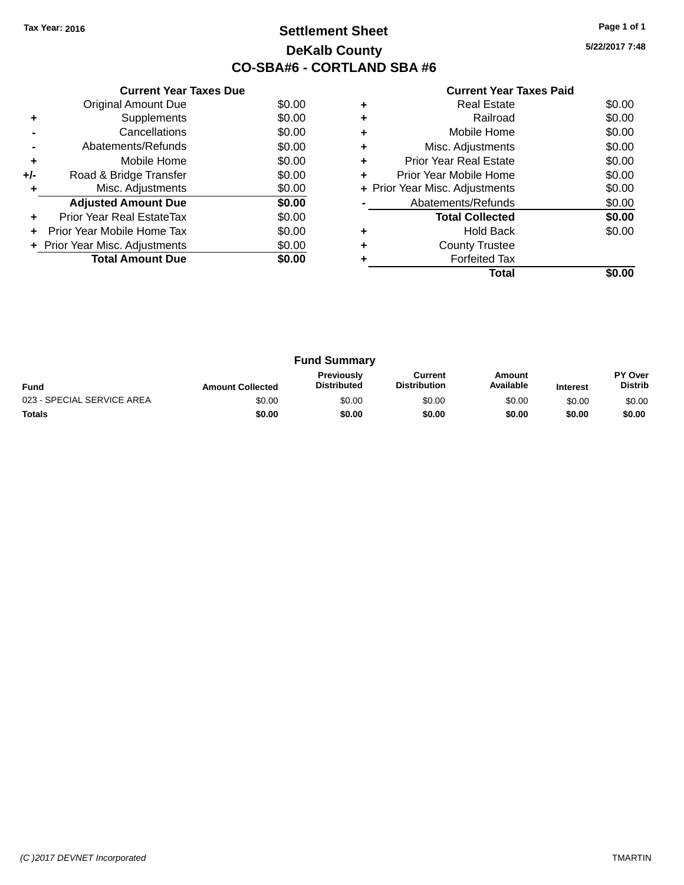## **Settlement Sheet Tax Year: 2016 Page 1 of 1 DeKalb County CO-SBA#6 - CORTLAND SBA #6**

**5/22/2017 7:48**

|     | <b>Current Year Taxes Due</b>  |        |
|-----|--------------------------------|--------|
|     | <b>Original Amount Due</b>     | \$0.00 |
| ٠   | Supplements                    | \$0.00 |
|     | Cancellations                  | \$0.00 |
|     | Abatements/Refunds             | \$0.00 |
| ٠   | Mobile Home                    | \$0.00 |
| +/- | Road & Bridge Transfer         | \$0.00 |
| ٠   | Misc. Adjustments              | \$0.00 |
|     | <b>Adjusted Amount Due</b>     | \$0.00 |
| ٠   | Prior Year Real EstateTax      | \$0.00 |
| ÷   | Prior Year Mobile Home Tax     | \$0.00 |
|     | + Prior Year Misc. Adjustments | \$0.00 |
|     | <b>Total Amount Due</b>        | \$0.00 |
|     |                                |        |

|   | <b>Real Estate</b>             | \$0.00 |
|---|--------------------------------|--------|
|   | Railroad                       | \$0.00 |
|   | Mobile Home                    | \$0.00 |
| ٠ | Misc. Adjustments              | \$0.00 |
| ٠ | Prior Year Real Estate         | \$0.00 |
| ٠ | Prior Year Mobile Home         | \$0.00 |
|   | + Prior Year Misc. Adjustments | \$0.00 |
|   | Abatements/Refunds             | \$0.00 |
|   | <b>Total Collected</b>         | \$0.00 |
|   | <b>Hold Back</b>               | \$0.00 |
|   | <b>County Trustee</b>          |        |
|   | <b>Forfeited Tax</b>           |        |
|   | Total                          |        |

| <b>Fund Summary</b>        |                         |                                         |                                |                     |                 |                           |
|----------------------------|-------------------------|-----------------------------------------|--------------------------------|---------------------|-----------------|---------------------------|
| <b>Fund</b>                | <b>Amount Collected</b> | <b>Previously</b><br><b>Distributed</b> | Current<br><b>Distribution</b> | Amount<br>Available | <b>Interest</b> | PY Over<br><b>Distrib</b> |
| 023 - SPECIAL SERVICE AREA | \$0.00                  | \$0.00                                  | \$0.00                         | \$0.00              | \$0.00          | \$0.00                    |
| <b>Totals</b>              | \$0.00                  | \$0.00                                  | \$0.00                         | \$0.00              | \$0.00          | \$0.00                    |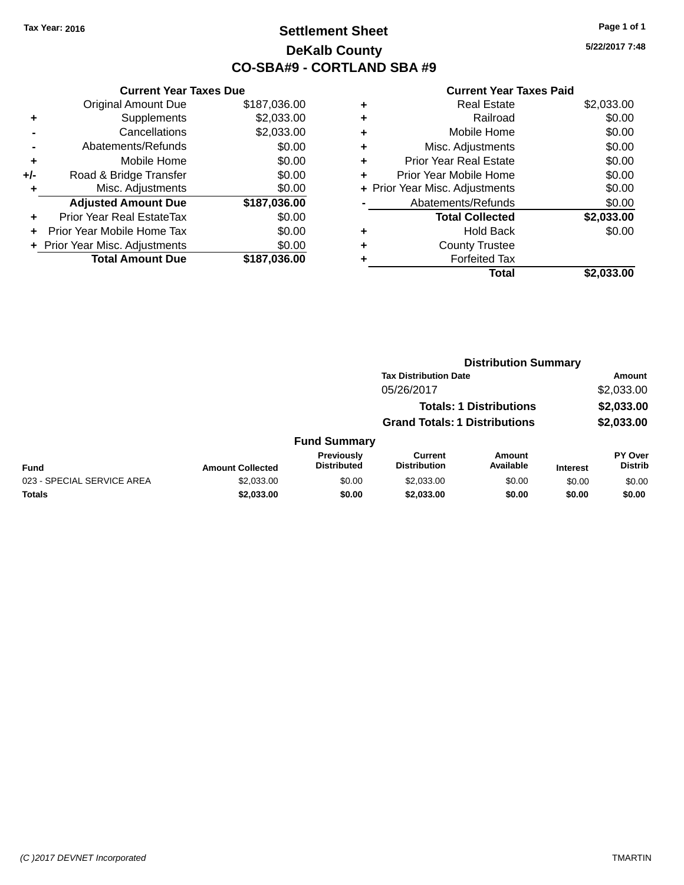## **Settlement Sheet Tax Year: 2016 Page 1 of 1 DeKalb County CO-SBA#9 - CORTLAND SBA #9**

**5/22/2017 7:48**

| <b>Current Year Taxes Due</b> |                              |  |  |  |
|-------------------------------|------------------------------|--|--|--|
| <b>Original Amount Due</b>    | \$187,036.00                 |  |  |  |
| Supplements                   | \$2,033.00                   |  |  |  |
| Cancellations                 | \$2,033.00                   |  |  |  |
| \$0.00<br>Abatements/Refunds  |                              |  |  |  |
| Mobile Home                   | \$0.00                       |  |  |  |
| Road & Bridge Transfer        | \$0.00                       |  |  |  |
| Misc. Adjustments             | \$0.00                       |  |  |  |
| <b>Adjusted Amount Due</b>    | \$187,036.00                 |  |  |  |
| Prior Year Real EstateTax     | \$0.00                       |  |  |  |
| Prior Year Mobile Home Tax    | \$0.00                       |  |  |  |
|                               | \$0.00                       |  |  |  |
| <b>Total Amount Due</b>       | \$187,036.00                 |  |  |  |
|                               | Prior Year Misc. Adjustments |  |  |  |

|   | <b>Real Estate</b>             | \$2,033.00 |
|---|--------------------------------|------------|
| ٠ | Railroad                       | \$0.00     |
| ٠ | Mobile Home                    | \$0.00     |
| ٠ | Misc. Adjustments              | \$0.00     |
| ٠ | <b>Prior Year Real Estate</b>  | \$0.00     |
| ٠ | Prior Year Mobile Home         | \$0.00     |
|   | + Prior Year Misc. Adjustments | \$0.00     |
|   | Abatements/Refunds             | \$0.00     |
|   | <b>Total Collected</b>         | \$2,033.00 |
| ٠ | Hold Back                      | \$0.00     |
| ٠ | <b>County Trustee</b>          |            |
| ٠ | <b>Forfeited Tax</b>           |            |
|   | Total                          | \$2,033.00 |
|   |                                |            |

|                         |                                  | <b>Distribution Summary</b>           |                     |                                                                                                        |                           |
|-------------------------|----------------------------------|---------------------------------------|---------------------|--------------------------------------------------------------------------------------------------------|---------------------------|
|                         |                                  |                                       |                     |                                                                                                        | <b>Amount</b>             |
|                         |                                  | 05/26/2017                            |                     |                                                                                                        | \$2,033.00                |
|                         |                                  |                                       |                     |                                                                                                        | \$2,033.00                |
|                         |                                  |                                       |                     |                                                                                                        | \$2,033.00                |
|                         |                                  |                                       |                     |                                                                                                        |                           |
| <b>Amount Collected</b> | Previously<br><b>Distributed</b> | <b>Current</b><br><b>Distribution</b> | Amount<br>Available | <b>Interest</b>                                                                                        | PY Over<br><b>Distrib</b> |
| \$2,033.00              | \$0.00                           | \$2,033,00                            | \$0.00              | \$0.00                                                                                                 | \$0.00                    |
| \$2,033.00              | \$0.00                           | \$2,033.00                            | \$0.00              | \$0.00                                                                                                 | \$0.00                    |
|                         |                                  | <b>Fund Summary</b>                   |                     | <b>Tax Distribution Date</b><br><b>Totals: 1 Distributions</b><br><b>Grand Totals: 1 Distributions</b> |                           |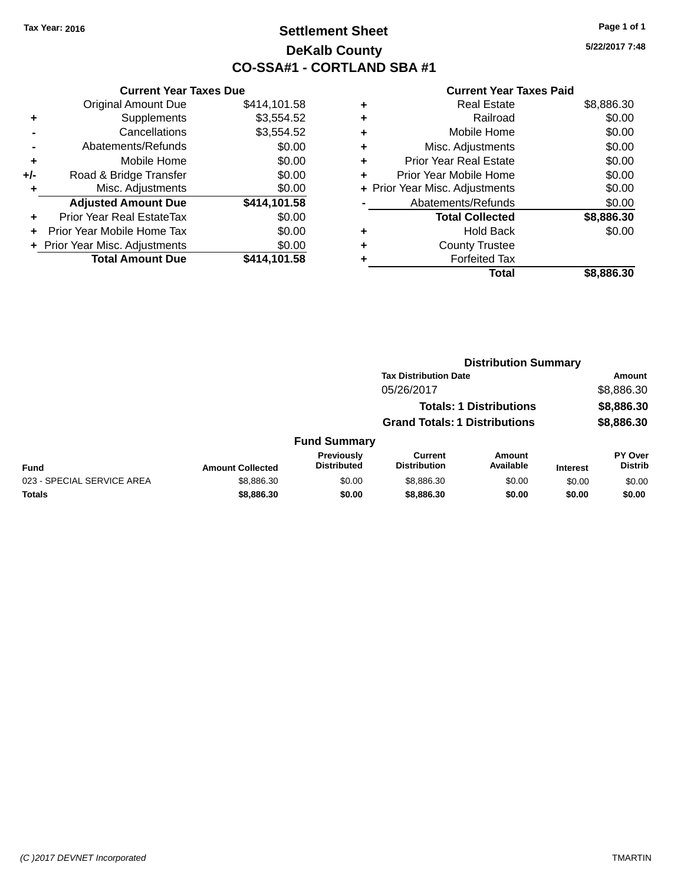## **Settlement Sheet Tax Year: 2016 Page 1 of 1 DeKalb County CO-SSA#1 - CORTLAND SBA #1**

**5/22/2017 7:48**

|       | <b>Current Year Taxes Due</b>  |              |
|-------|--------------------------------|--------------|
|       | <b>Original Amount Due</b>     | \$414,101.58 |
| ٠     | Supplements                    | \$3,554.52   |
|       | Cancellations                  | \$3,554.52   |
|       | Abatements/Refunds             | \$0.00       |
| ٠     | Mobile Home                    | \$0.00       |
| $+/-$ | Road & Bridge Transfer         | \$0.00       |
| ٠     | Misc. Adjustments              | \$0.00       |
|       | <b>Adjusted Amount Due</b>     | \$414,101.58 |
| ÷     | Prior Year Real EstateTax      | \$0.00       |
|       | Prior Year Mobile Home Tax     | \$0.00       |
|       | + Prior Year Misc. Adjustments | \$0.00       |
|       | <b>Total Amount Due</b>        | \$414,101.58 |
|       |                                |              |

| ٠ | <b>Real Estate</b>             | \$8,886.30 |
|---|--------------------------------|------------|
| ٠ | Railroad                       | \$0.00     |
| ٠ | Mobile Home                    | \$0.00     |
| ٠ | Misc. Adjustments              | \$0.00     |
| ٠ | <b>Prior Year Real Estate</b>  | \$0.00     |
| ٠ | Prior Year Mobile Home         | \$0.00     |
|   | + Prior Year Misc. Adjustments | \$0.00     |
|   | Abatements/Refunds             | \$0.00     |
|   | <b>Total Collected</b>         | \$8,886.30 |
| ٠ | <b>Hold Back</b>               | \$0.00     |
| ٠ | <b>County Trustee</b>          |            |
|   | <b>Forfeited Tax</b>           |            |
|   | Total                          | \$8,886.30 |
|   |                                |            |

|                            |                         |                                         | <b>Distribution Summary</b>           |                                |                 |                           |
|----------------------------|-------------------------|-----------------------------------------|---------------------------------------|--------------------------------|-----------------|---------------------------|
|                            |                         |                                         | <b>Tax Distribution Date</b>          |                                |                 | <b>Amount</b>             |
|                            |                         |                                         | 05/26/2017                            |                                |                 | \$8,886.30                |
|                            |                         |                                         |                                       | <b>Totals: 1 Distributions</b> |                 | \$8,886.30                |
|                            |                         |                                         | <b>Grand Totals: 1 Distributions</b>  |                                |                 | \$8,886.30                |
|                            |                         | <b>Fund Summary</b>                     |                                       |                                |                 |                           |
| <b>Fund</b>                | <b>Amount Collected</b> | <b>Previously</b><br><b>Distributed</b> | <b>Current</b><br><b>Distribution</b> | Amount<br>Available            | <b>Interest</b> | PY Over<br><b>Distrib</b> |
| 023 - SPECIAL SERVICE AREA | \$8,886.30              | \$0.00                                  | \$8,886.30                            | \$0.00                         | \$0.00          | \$0.00                    |
| <b>Totals</b>              | \$8,886.30              | \$0.00                                  | \$8,886.30                            | \$0.00                         | \$0.00          | \$0.00                    |
|                            |                         |                                         |                                       |                                |                 |                           |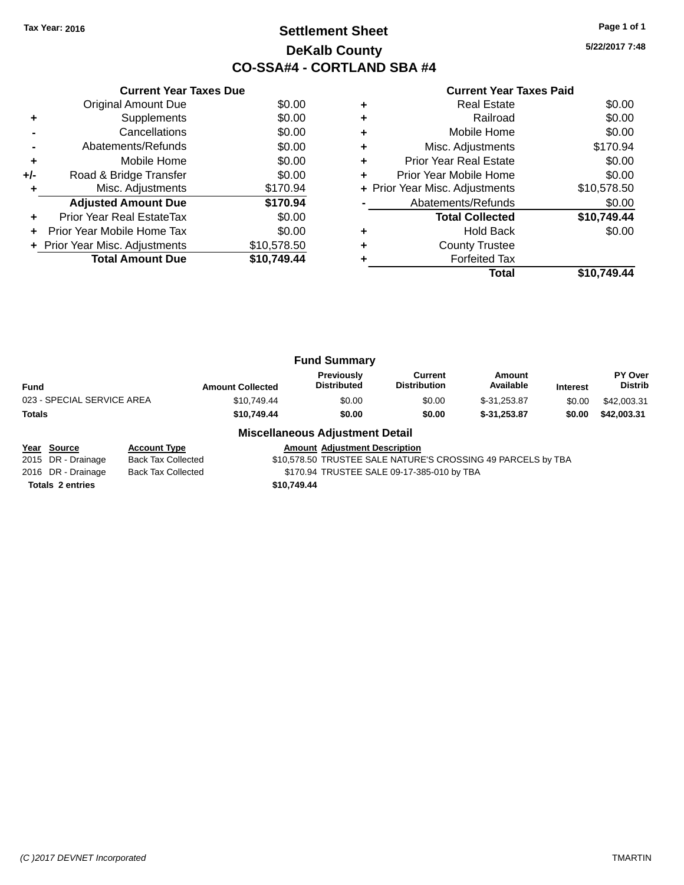## **Settlement Sheet Tax Year: 2016 Page 1 of 1 DeKalb County CO-SSA#4 - CORTLAND SBA #4**

**5/22/2017 7:48**

|     | <b>Current Year Taxes Due</b>    |             |     |
|-----|----------------------------------|-------------|-----|
|     | Original Amount Due              | \$0.00      |     |
|     | <b>Supplements</b>               | \$0.00      |     |
|     | Cancellations                    | \$0.00      |     |
|     | Abatements/Refunds               | \$0.00      |     |
|     | Mobile Home                      | \$0.00      |     |
| +/- | Road & Bridge Transfer           | \$0.00      |     |
|     | Misc. Adjustments                | \$170.94    | + F |
|     | <b>Adjusted Amount Due</b>       | \$170.94    |     |
| ÷   | <b>Prior Year Real EstateTax</b> | \$0.00      |     |
|     | Prior Year Mobile Home Tax       | \$0.00      |     |
|     | + Prior Year Misc. Adjustments   | \$10,578.50 |     |
|     | <b>Total Amount Due</b>          | \$10,749.44 |     |
|     |                                  |             |     |

# **Current Year Taxes Paid**

|   | Total                          | \$10.749.44 |
|---|--------------------------------|-------------|
|   | <b>Forfeited Tax</b>           |             |
| ٠ | <b>County Trustee</b>          |             |
| ٠ | <b>Hold Back</b>               | \$0.00      |
|   | <b>Total Collected</b>         | \$10,749.44 |
|   | Abatements/Refunds             | \$0.00      |
|   | + Prior Year Misc. Adjustments | \$10,578.50 |
|   | Prior Year Mobile Home         | \$0.00      |
| ٠ | <b>Prior Year Real Estate</b>  | \$0.00      |
| ٠ | Misc. Adjustments              | \$170.94    |
| ٠ | Mobile Home                    | \$0.00      |
| ÷ | Railroad                       | \$0.00      |
| ٠ | <b>Real Estate</b>             | \$0.00      |

| <b>Fund Summary</b>        |                         |                                  |                                |                     |                 |                           |
|----------------------------|-------------------------|----------------------------------|--------------------------------|---------------------|-----------------|---------------------------|
| Fund                       | <b>Amount Collected</b> | Previously<br><b>Distributed</b> | Current<br><b>Distribution</b> | Amount<br>Available | <b>Interest</b> | PY Over<br><b>Distrib</b> |
| 023 - SPECIAL SERVICE AREA | \$10,749.44             | \$0.00                           | \$0.00                         | $$-31.253.87$       | \$0.00          | \$42,003.31               |
| Totals                     | \$10,749.44             | \$0.00                           | \$0.00                         | $$-31,253,87$       | \$0.00          | \$42,003.31               |
|                            |                         |                                  |                                |                     |                 |                           |

#### **Miscellaneous Adjustment Detail**

**Year** Source **Account Type Account Adjustment Description** 

2015 DR - Drainage Back Tax Collected \$10,578.50 TRUSTEE SALE NATURE'S CROSSING 49 PARCELS by TBA 2016 DR - Drainage Back Tax Collected \$170.94 TRUSTEE SALE 09-17-385-010 by TBA **Totals 2 entries \$10,749.44**

*(C )2017 DEVNET Incorporated* TMARTIN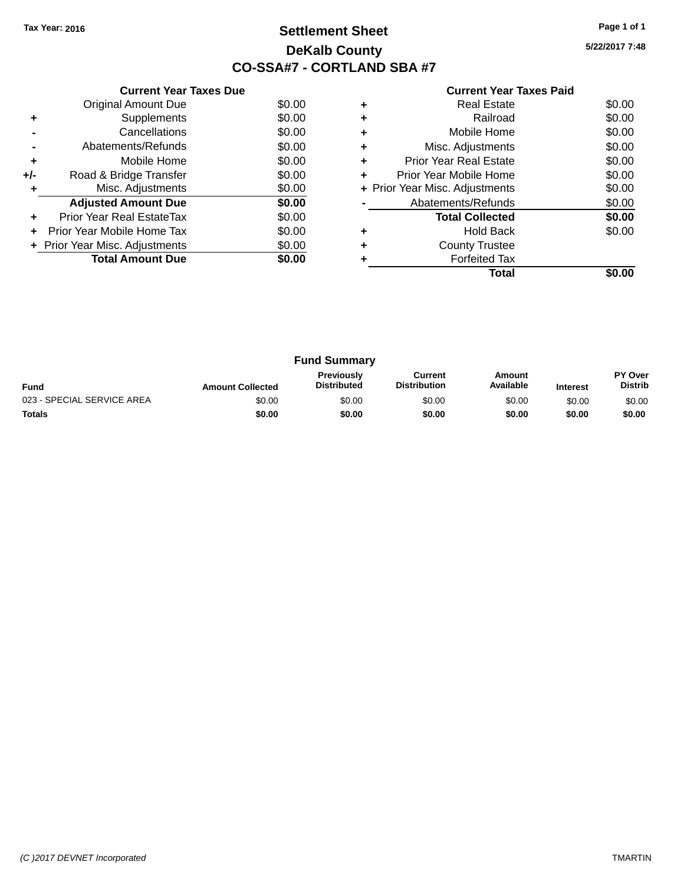## **Settlement Sheet Tax Year: 2016 Page 1 of 1 DeKalb County CO-SSA#7 - CORTLAND SBA #7**

**5/22/2017 7:48**

|     | <b>Current Year Taxes Due</b>  |        |
|-----|--------------------------------|--------|
|     | <b>Original Amount Due</b>     | \$0.00 |
| ٠   | Supplements                    | \$0.00 |
|     | Cancellations                  | \$0.00 |
|     | Abatements/Refunds             | \$0.00 |
| ٠   | Mobile Home                    | \$0.00 |
| +/- | Road & Bridge Transfer         | \$0.00 |
| ٠   | Misc. Adjustments              | \$0.00 |
|     | <b>Adjusted Amount Due</b>     | \$0.00 |
| ÷   | Prior Year Real EstateTax      | \$0.00 |
|     | Prior Year Mobile Home Tax     | \$0.00 |
|     | + Prior Year Misc. Adjustments | \$0.00 |
|     | <b>Total Amount Due</b>        | \$0.00 |
|     |                                |        |

|   | Total                          |        |
|---|--------------------------------|--------|
|   | <b>Forfeited Tax</b>           |        |
|   | <b>County Trustee</b>          |        |
|   | <b>Hold Back</b>               | \$0.00 |
|   | <b>Total Collected</b>         | \$0.00 |
|   | Abatements/Refunds             | \$0.00 |
|   | + Prior Year Misc. Adjustments | \$0.00 |
|   | Prior Year Mobile Home         | \$0.00 |
| ٠ | Prior Year Real Estate         | \$0.00 |
| ٠ | Misc. Adjustments              | \$0.00 |
| ٠ | Mobile Home                    | \$0.00 |
|   | Railroad                       | \$0.00 |
|   | Real Estate                    | \$0.00 |

| <b>Fund Summary</b>        |                         |                                         |                                |                     |                 |                                  |
|----------------------------|-------------------------|-----------------------------------------|--------------------------------|---------------------|-----------------|----------------------------------|
| <b>Fund</b>                | <b>Amount Collected</b> | <b>Previously</b><br><b>Distributed</b> | Current<br><b>Distribution</b> | Amount<br>Available | <b>Interest</b> | <b>PY Over</b><br><b>Distrib</b> |
| 023 - SPECIAL SERVICE AREA | \$0.00                  | \$0.00                                  | \$0.00                         | \$0.00              | \$0.00          | \$0.00                           |
| <b>Totals</b>              | \$0.00                  | \$0.00                                  | \$0.00                         | \$0.00              | \$0.00          | \$0.00                           |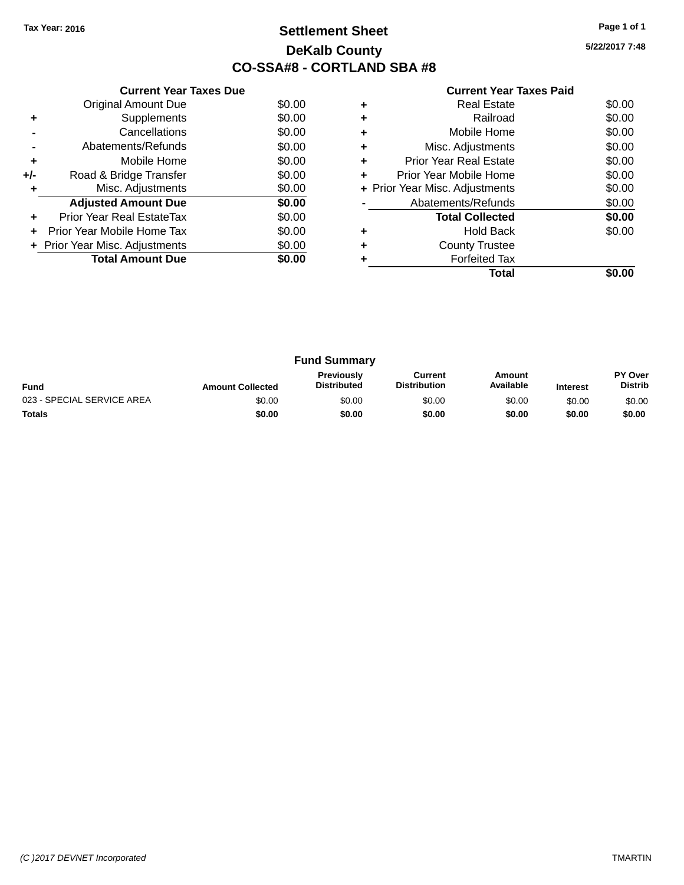## **Settlement Sheet Tax Year: 2016 Page 1 of 1 DeKalb County CO-SSA#8 - CORTLAND SBA #8**

**5/22/2017 7:48**

|     | <b>Current Year Taxes Due</b>  |        |
|-----|--------------------------------|--------|
|     | <b>Original Amount Due</b>     | \$0.00 |
| ٠   | Supplements                    | \$0.00 |
|     | Cancellations                  | \$0.00 |
|     | Abatements/Refunds             | \$0.00 |
| ٠   | Mobile Home                    | \$0.00 |
| +/- | Road & Bridge Transfer         | \$0.00 |
| ٠   | Misc. Adjustments              | \$0.00 |
|     | <b>Adjusted Amount Due</b>     | \$0.00 |
| ÷   | Prior Year Real EstateTax      | \$0.00 |
| ÷   | Prior Year Mobile Home Tax     | \$0.00 |
|     | + Prior Year Misc. Adjustments | \$0.00 |
|     | <b>Total Amount Due</b>        | \$0.00 |
|     |                                |        |

|   | <b>Real Estate</b>             | \$0.00 |
|---|--------------------------------|--------|
|   | Railroad                       | \$0.00 |
|   | Mobile Home                    | \$0.00 |
| ٠ | Misc. Adjustments              | \$0.00 |
| ٠ | Prior Year Real Estate         | \$0.00 |
| ٠ | Prior Year Mobile Home         | \$0.00 |
|   | + Prior Year Misc. Adjustments | \$0.00 |
|   | Abatements/Refunds             | \$0.00 |
|   | <b>Total Collected</b>         | \$0.00 |
|   | <b>Hold Back</b>               | \$0.00 |
|   | <b>County Trustee</b>          |        |
|   | <b>Forfeited Tax</b>           |        |
|   | Total                          |        |

|                            |                         | <b>Fund Summary</b>                     |                                |                     |                 |                           |
|----------------------------|-------------------------|-----------------------------------------|--------------------------------|---------------------|-----------------|---------------------------|
| <b>Fund</b>                | <b>Amount Collected</b> | <b>Previously</b><br><b>Distributed</b> | Current<br><b>Distribution</b> | Amount<br>Available | <b>Interest</b> | PY Over<br><b>Distrib</b> |
| 023 - SPECIAL SERVICE AREA | \$0.00                  | \$0.00                                  | \$0.00                         | \$0.00              | \$0.00          | \$0.00                    |
| <b>Totals</b>              | \$0.00                  | \$0.00                                  | \$0.00                         | \$0.00              | \$0.00          | \$0.00                    |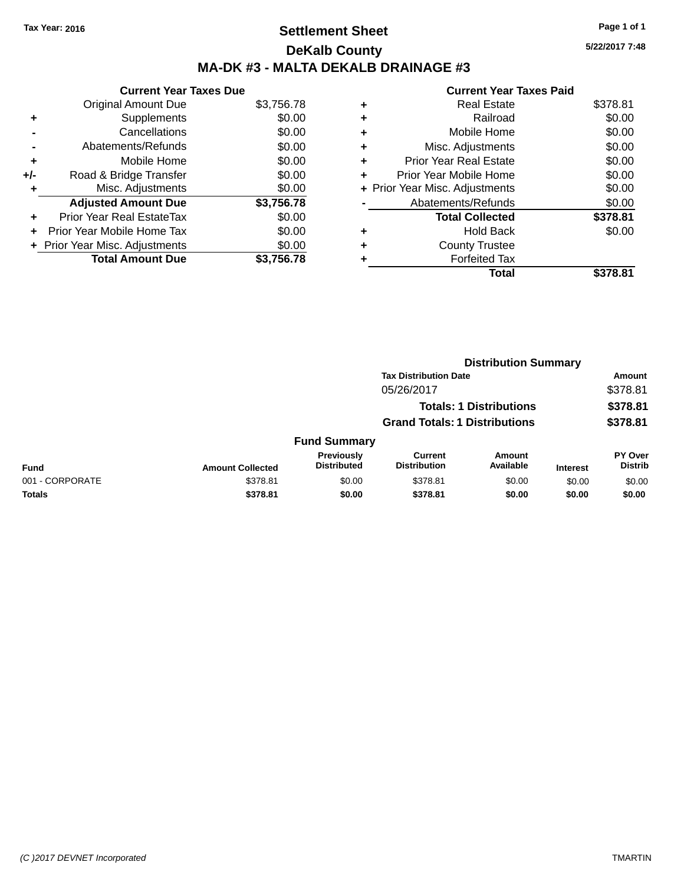# **Settlement Sheet Tax Year: 2016 Page 1 of 1 DeKalb County MA-DK #3 - MALTA DEKALB DRAINAGE #3**

|     | <b>Current Year Taxes Due</b>  |            |
|-----|--------------------------------|------------|
|     | <b>Original Amount Due</b>     | \$3,756.78 |
| ٠   | Supplements                    | \$0.00     |
|     | Cancellations                  | \$0.00     |
|     | Abatements/Refunds             | \$0.00     |
| ٠   | Mobile Home                    | \$0.00     |
| +/- | Road & Bridge Transfer         | \$0.00     |
| ٠   | Misc. Adjustments              | \$0.00     |
|     | <b>Adjusted Amount Due</b>     | \$3,756.78 |
| ÷   | Prior Year Real EstateTax      | \$0.00     |
|     | Prior Year Mobile Home Tax     | \$0.00     |
|     | + Prior Year Misc. Adjustments | \$0.00     |
|     | <b>Total Amount Due</b>        | \$3,756.78 |

|   | <b>Current Year Taxes Paid</b> |          |
|---|--------------------------------|----------|
| ٠ | Real Estate                    | \$378.81 |
| ٠ | Railroad                       | \$0.00   |
| ٠ | Mobile Home                    | \$0.00   |
| ٠ | Misc. Adjustments              | \$0.00   |
| ٠ | <b>Prior Year Real Estate</b>  | \$0.00   |
| ٠ | Prior Year Mobile Home         | \$0.00   |
|   | + Prior Year Misc. Adjustments | \$0.00   |
|   | Abatements/Refunds             | \$0.00   |
|   | <b>Total Collected</b>         | \$378.81 |
| ٠ | <b>Hold Back</b>               | \$0.00   |
|   | <b>County Trustee</b>          |          |
|   | <b>Forfeited Tax</b>           |          |
|   | Total                          | \$378.81 |
|   |                                |          |

|                 |                         |                                         | <b>Distribution Summary</b>           |                                |                 |                                  |
|-----------------|-------------------------|-----------------------------------------|---------------------------------------|--------------------------------|-----------------|----------------------------------|
|                 |                         |                                         | <b>Tax Distribution Date</b>          |                                |                 | Amount                           |
|                 |                         |                                         | 05/26/2017                            |                                |                 | \$378.81                         |
|                 |                         |                                         |                                       | <b>Totals: 1 Distributions</b> |                 | \$378.81                         |
|                 |                         |                                         | <b>Grand Totals: 1 Distributions</b>  |                                |                 | \$378.81                         |
|                 |                         | <b>Fund Summary</b>                     |                                       |                                |                 |                                  |
| <b>Fund</b>     | <b>Amount Collected</b> | <b>Previously</b><br><b>Distributed</b> | <b>Current</b><br><b>Distribution</b> | Amount<br>Available            | <b>Interest</b> | <b>PY Over</b><br><b>Distrib</b> |
| 001 - CORPORATE | \$378.81                | \$0.00                                  | \$378.81                              | \$0.00                         | \$0.00          | \$0.00                           |
| <b>Totals</b>   | \$378.81                | \$0.00                                  | \$378.81                              | \$0.00                         | \$0.00          | \$0.00                           |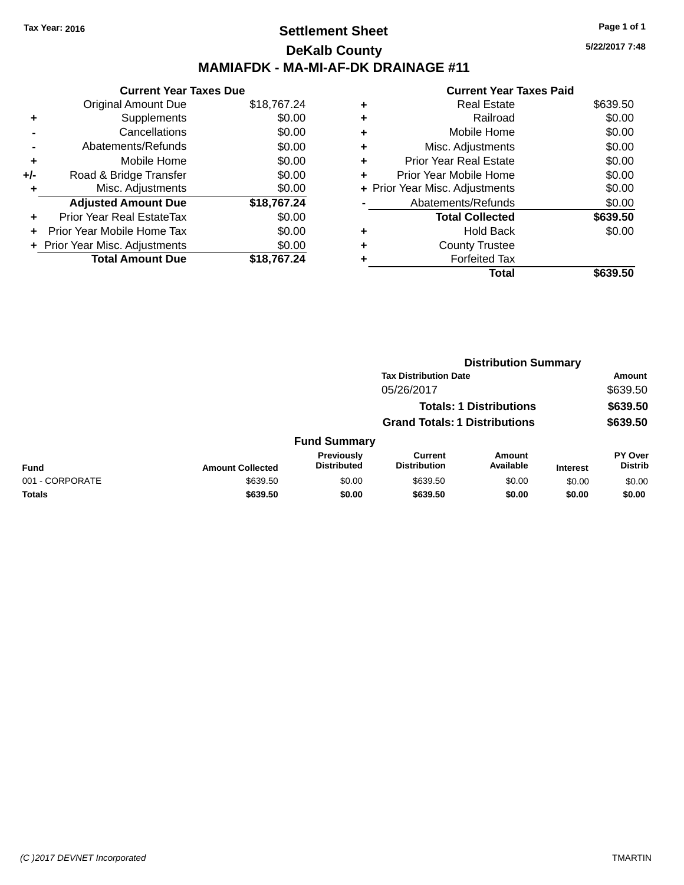## **Settlement Sheet Tax Year: 2016 Page 1 of 1 DeKalb County MAMIAFDK - MA-MI-AF-DK DRAINAGE #11**

|     | <b>Current Year Taxes Due</b>  |             |
|-----|--------------------------------|-------------|
|     | <b>Original Amount Due</b>     | \$18,767.24 |
| ٠   | Supplements                    | \$0.00      |
|     | Cancellations                  | \$0.00      |
|     | Abatements/Refunds             | \$0.00      |
| ٠   | Mobile Home                    | \$0.00      |
| +/- | Road & Bridge Transfer         | \$0.00      |
| ٠   | Misc. Adjustments              | \$0.00      |
|     | <b>Adjusted Amount Due</b>     | \$18,767.24 |
| ÷   | Prior Year Real EstateTax      | \$0.00      |
|     | Prior Year Mobile Home Tax     | \$0.00      |
|     | + Prior Year Misc. Adjustments | \$0.00      |
|     | <b>Total Amount Due</b>        | \$18,767.24 |

|   | <b>Current Year Taxes Paid</b> |          |
|---|--------------------------------|----------|
| ٠ | <b>Real Estate</b>             | \$639.50 |
|   | Railroad                       | \$0.00   |
| ٠ | Mobile Home                    | \$0.00   |
| ٠ | Misc. Adjustments              | \$0.00   |
| ٠ | <b>Prior Year Real Estate</b>  | \$0.00   |
|   | Prior Year Mobile Home         | \$0.00   |
|   | + Prior Year Misc. Adjustments | \$0.00   |
|   | Abatements/Refunds             | \$0.00   |
|   | <b>Total Collected</b>         | \$639.50 |
| ٠ | Hold Back                      | \$0.00   |
|   | <b>County Trustee</b>          |          |
|   | <b>Forfeited Tax</b>           |          |
|   | Total                          |          |

|                 |                         |                                         |                                       | <b>Distribution Summary</b>    |                 |                           |
|-----------------|-------------------------|-----------------------------------------|---------------------------------------|--------------------------------|-----------------|---------------------------|
|                 |                         |                                         | <b>Tax Distribution Date</b>          |                                |                 | <b>Amount</b>             |
|                 |                         |                                         | 05/26/2017                            |                                |                 | \$639.50                  |
|                 |                         |                                         |                                       | <b>Totals: 1 Distributions</b> |                 | \$639.50                  |
|                 |                         |                                         | <b>Grand Totals: 1 Distributions</b>  |                                |                 | \$639.50                  |
|                 |                         | <b>Fund Summary</b>                     |                                       |                                |                 |                           |
| Fund            | <b>Amount Collected</b> | <b>Previously</b><br><b>Distributed</b> | <b>Current</b><br><b>Distribution</b> | Amount<br>Available            | <b>Interest</b> | PY Over<br><b>Distrib</b> |
| 001 - CORPORATE | \$639.50                | \$0.00                                  | \$639.50                              | \$0.00                         | \$0.00          | \$0.00                    |
| <b>Totals</b>   | \$639.50                | \$0.00                                  | \$639.50                              | \$0.00                         | \$0.00          | \$0.00                    |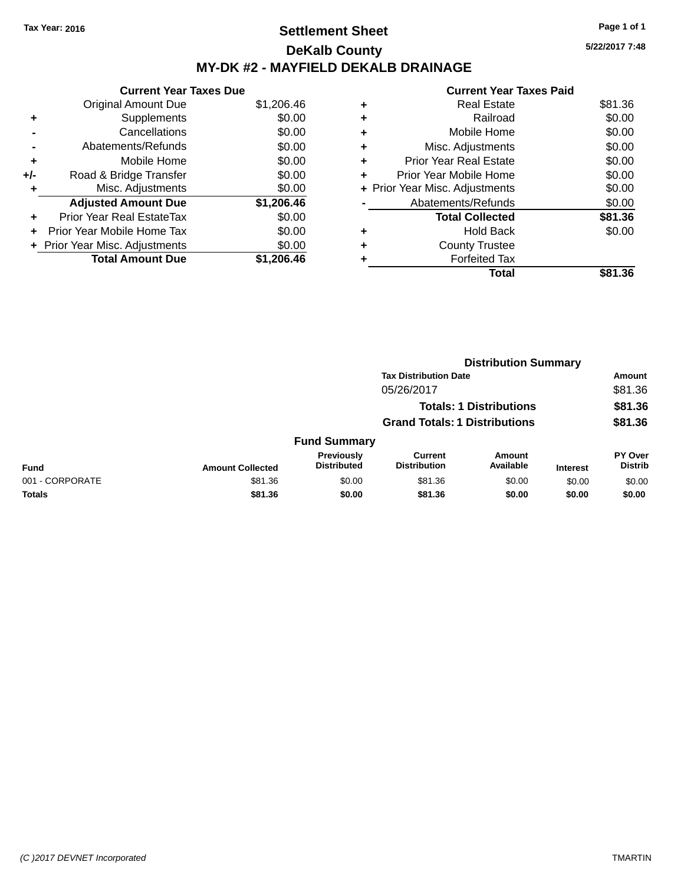## **Settlement Sheet Tax Year: 2016 Page 1 of 1 DeKalb County MY-DK #2 - MAYFIELD DEKALB DRAINAGE**

**5/22/2017 7:48**

|     | <b>Current Year Taxes Due</b>  |            |
|-----|--------------------------------|------------|
|     | <b>Original Amount Due</b>     | \$1,206.46 |
| ÷   | Supplements                    | \$0.00     |
|     | Cancellations                  | \$0.00     |
|     | Abatements/Refunds             | \$0.00     |
| ٠   | Mobile Home                    | \$0.00     |
| +/- | Road & Bridge Transfer         | \$0.00     |
| ٠   | Misc. Adjustments              | \$0.00     |
|     | <b>Adjusted Amount Due</b>     | \$1,206.46 |
| ÷   | Prior Year Real EstateTax      | \$0.00     |
| ÷   | Prior Year Mobile Home Tax     | \$0.00     |
|     | + Prior Year Misc. Adjustments | \$0.00     |
|     | <b>Total Amount Due</b>        | \$1.206.46 |

|   | <b>Real Estate</b>             | \$81.36 |
|---|--------------------------------|---------|
| ٠ | Railroad                       | \$0.00  |
| ٠ | Mobile Home                    | \$0.00  |
| ٠ | Misc. Adjustments              | \$0.00  |
| ٠ | <b>Prior Year Real Estate</b>  | \$0.00  |
| ٠ | Prior Year Mobile Home         | \$0.00  |
|   | + Prior Year Misc. Adjustments | \$0.00  |
|   | Abatements/Refunds             | \$0.00  |
|   | <b>Total Collected</b>         | \$81.36 |
| ٠ | Hold Back                      | \$0.00  |
| ٠ | <b>County Trustee</b>          |         |
| ٠ | <b>Forfeited Tax</b>           |         |
|   | Total                          | \$81.36 |
|   |                                |         |

|                 |                         | <b>Distribution Summary</b>      |                                       |                                |                 |                           |
|-----------------|-------------------------|----------------------------------|---------------------------------------|--------------------------------|-----------------|---------------------------|
|                 |                         |                                  | <b>Tax Distribution Date</b>          |                                |                 | <b>Amount</b>             |
|                 |                         |                                  | 05/26/2017                            |                                |                 | \$81.36                   |
|                 |                         |                                  |                                       | <b>Totals: 1 Distributions</b> |                 | \$81.36                   |
|                 |                         |                                  | <b>Grand Totals: 1 Distributions</b>  |                                |                 | \$81.36                   |
|                 |                         | <b>Fund Summary</b>              |                                       |                                |                 |                           |
| <b>Fund</b>     | <b>Amount Collected</b> | Previously<br><b>Distributed</b> | <b>Current</b><br><b>Distribution</b> | Amount<br>Available            | <b>Interest</b> | PY Over<br><b>Distrib</b> |
| 001 - CORPORATE | \$81.36                 | \$0.00                           | \$81.36                               | \$0.00                         | \$0.00          | \$0.00                    |
| Totals          | \$81.36                 | \$0.00                           | \$81.36                               | \$0.00                         | \$0.00          | \$0.00                    |
|                 |                         |                                  |                                       |                                |                 |                           |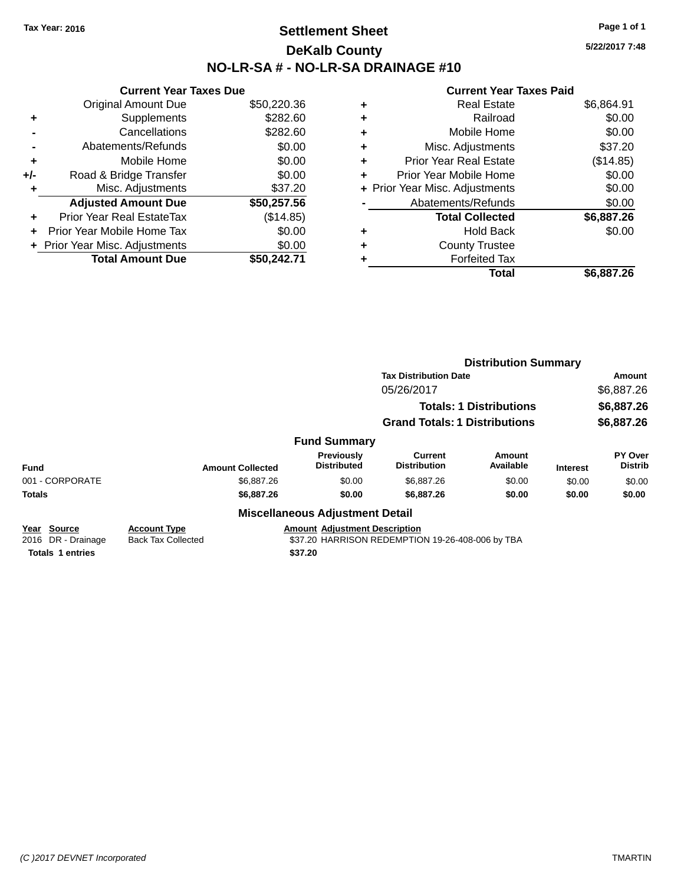## **Settlement Sheet Tax Year: 2016 Page 1 of 1 DeKalb County NO-LR-SA # - NO-LR-SA DRAINAGE #10**

**5/22/2017 7:48**

#### **Current Year Taxes Paid**

|     | <b>Current Year Taxes Due</b>    |             |
|-----|----------------------------------|-------------|
|     | <b>Original Amount Due</b>       | \$50,220.36 |
| ٠   | Supplements                      | \$282.60    |
|     | Cancellations                    | \$282.60    |
|     | Abatements/Refunds               | \$0.00      |
| ٠   | Mobile Home                      | \$0.00      |
| +/- | Road & Bridge Transfer           | \$0.00      |
|     | Misc. Adjustments                | \$37.20     |
|     | <b>Adjusted Amount Due</b>       | \$50,257.56 |
| ٠   | <b>Prior Year Real EstateTax</b> | (\$14.85)   |
| ÷   | Prior Year Mobile Home Tax       | \$0.00      |
|     | + Prior Year Misc. Adjustments   | \$0.00      |
|     | <b>Total Amount Due</b>          | \$50.242.71 |

|   | Total                          | \$6,887.26 |
|---|--------------------------------|------------|
| ٠ | <b>Forfeited Tax</b>           |            |
| ٠ | <b>County Trustee</b>          |            |
| ٠ | <b>Hold Back</b>               | \$0.00     |
|   | <b>Total Collected</b>         | \$6,887.26 |
|   | Abatements/Refunds             | \$0.00     |
|   | + Prior Year Misc. Adjustments | \$0.00     |
| ٠ | Prior Year Mobile Home         | \$0.00     |
| ÷ | <b>Prior Year Real Estate</b>  | (\$14.85)  |
| ٠ | Misc. Adjustments              | \$37.20    |
| ٠ | Mobile Home                    | \$0.00     |
| ٠ | Railroad                       | \$0.00     |
| ٠ | <b>Real Estate</b>             | \$6.864.91 |
|   |                                |            |

|                                   |                                                  |                                        | <b>Distribution Summary</b>                      |                                |                 |                           |
|-----------------------------------|--------------------------------------------------|----------------------------------------|--------------------------------------------------|--------------------------------|-----------------|---------------------------|
|                                   |                                                  |                                        | <b>Tax Distribution Date</b>                     |                                |                 | Amount                    |
|                                   |                                                  |                                        | 05/26/2017                                       |                                |                 | \$6,887.26                |
|                                   |                                                  |                                        |                                                  | <b>Totals: 1 Distributions</b> |                 | \$6,887.26                |
|                                   |                                                  |                                        | <b>Grand Totals: 1 Distributions</b>             |                                |                 | \$6,887.26                |
|                                   |                                                  | <b>Fund Summary</b>                    |                                                  |                                |                 |                           |
| <b>Fund</b>                       | <b>Amount Collected</b>                          | Previously<br><b>Distributed</b>       | Current<br><b>Distribution</b>                   | Amount<br>Available            | <b>Interest</b> | PY Over<br><b>Distrib</b> |
| 001 - CORPORATE                   | \$6,887.26                                       | \$0.00                                 | \$6,887.26                                       | \$0.00                         | \$0.00          | \$0.00                    |
| <b>Totals</b>                     | \$6,887.26                                       | \$0.00                                 | \$6,887.26                                       | \$0.00                         | \$0.00          | \$0.00                    |
|                                   |                                                  | <b>Miscellaneous Adjustment Detail</b> |                                                  |                                |                 |                           |
| Year Source<br>2016 DR - Drainage | <b>Account Type</b><br><b>Back Tax Collected</b> | <b>Amount Adiustment Description</b>   | \$37.20 HARRISON REDEMPTION 19-26-408-006 by TBA |                                |                 |                           |

**Totals 1 entries \$37.20**

*(C )2017 DEVNET Incorporated* TMARTIN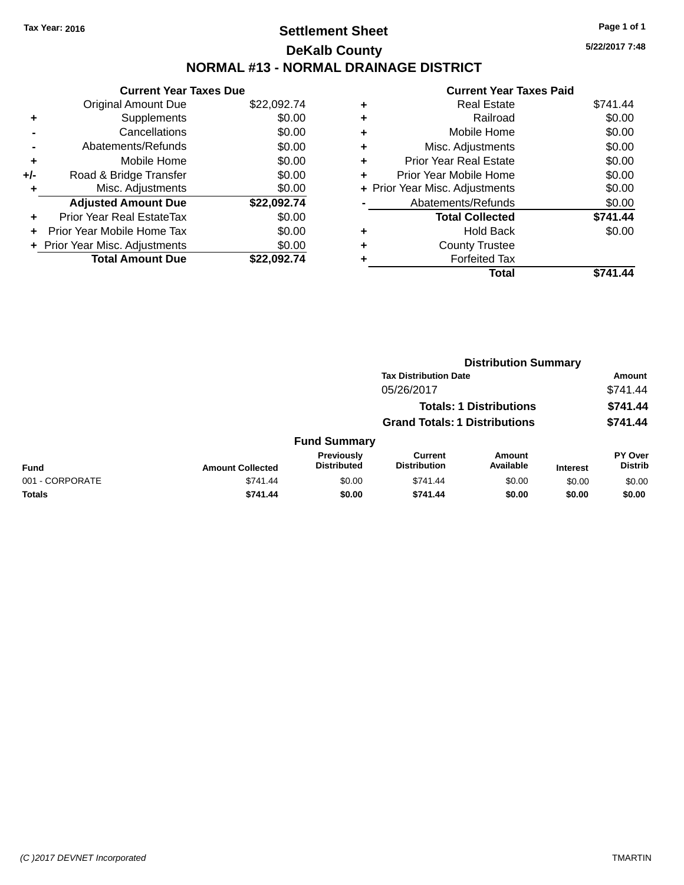## **Settlement Sheet Tax Year: 2016 Page 1 of 1 DeKalb County NORMAL #13 - NORMAL DRAINAGE DISTRICT**

**Current Year Taxes Due** Original Amount Due \$22,092.74 **+** Supplements \$0.00 **-** Cancellations \$0.00 **-** Abatements/Refunds \$0.00 **+** Mobile Home \$0.00 **+/-** Road & Bridge Transfer \$0.00 **+** Misc. Adjustments \$0.00 **Adjusted Amount Due \$22,092.74 +** Prior Year Real EstateTax \$0.00 **+** Prior Year Mobile Home Tax \$0.00 **+ Prior Year Misc. Adjustments**  $$0.00$ **Total Amount Due \$22,092.74**

|   | <b>Current Year Taxes Paid</b> |          |
|---|--------------------------------|----------|
| ٠ | Real Estate                    | \$741.44 |
|   | Railroad                       | \$0.00   |
| ٠ | Mobile Home                    | \$0.00   |
| ٠ | Misc. Adjustments              | \$0.00   |
|   | <b>Prior Year Real Estate</b>  | \$0.00   |
| ٠ | Prior Year Mobile Home         | \$0.00   |
|   | + Prior Year Misc. Adjustments | \$0.00   |
|   | Abatements/Refunds             | \$0.00   |
|   | <b>Total Collected</b>         | \$741.44 |
|   | Hold Back                      | \$0.00   |
|   | <b>County Trustee</b>          |          |
|   | <b>Forfeited Tax</b>           |          |
|   | Total                          |          |

| <b>Tax Distribution Date</b>                                                                                                                                  | <b>Amount</b>                    |
|---------------------------------------------------------------------------------------------------------------------------------------------------------------|----------------------------------|
|                                                                                                                                                               |                                  |
| 05/26/2017                                                                                                                                                    | \$741.44                         |
| <b>Totals: 1 Distributions</b>                                                                                                                                | \$741.44                         |
| <b>Grand Totals: 1 Distributions</b>                                                                                                                          | \$741.44                         |
| <b>Fund Summary</b>                                                                                                                                           |                                  |
| Previously<br><b>Current</b><br>Amount<br>Available<br><b>Distributed</b><br><b>Distribution</b><br><b>Fund</b><br><b>Amount Collected</b><br><b>Interest</b> | <b>PY Over</b><br><b>Distrib</b> |
| 001 - CORPORATE<br>\$741.44<br>\$0.00<br>\$741.44<br>\$0.00<br>\$0.00                                                                                         | \$0.00                           |
| Totals<br>\$741.44<br>\$741.44<br>\$0.00<br>\$0.00<br>\$0.00                                                                                                  | \$0.00                           |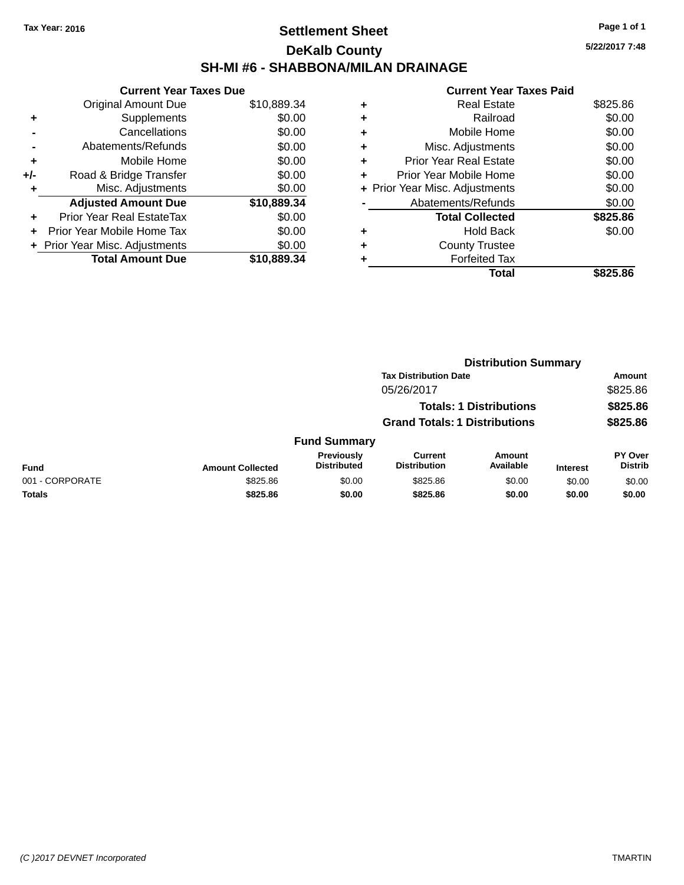## **Settlement Sheet Tax Year: 2016 Page 1 of 1 DeKalb County SH-MI #6 - SHABBONA/MILAN DRAINAGE**

**5/22/2017 7:48**

|     | <b>Current Year Taxes Due</b>  |             |  |  |  |  |  |
|-----|--------------------------------|-------------|--|--|--|--|--|
|     | Original Amount Due            | \$10,889.34 |  |  |  |  |  |
| ٠   | Supplements                    | \$0.00      |  |  |  |  |  |
|     | Cancellations                  | \$0.00      |  |  |  |  |  |
|     | Abatements/Refunds             | \$0.00      |  |  |  |  |  |
| ٠   | Mobile Home                    | \$0.00      |  |  |  |  |  |
| +/- | Road & Bridge Transfer         | \$0.00      |  |  |  |  |  |
| ٠   | Misc. Adjustments              | \$0.00      |  |  |  |  |  |
|     | <b>Adjusted Amount Due</b>     | \$10,889.34 |  |  |  |  |  |
| ٠   | Prior Year Real EstateTax      | \$0.00      |  |  |  |  |  |
| ÷   | Prior Year Mobile Home Tax     | \$0.00      |  |  |  |  |  |
|     | + Prior Year Misc. Adjustments | \$0.00      |  |  |  |  |  |
|     | <b>Total Amount Due</b>        | \$10,889.34 |  |  |  |  |  |

| ٠ | <b>Real Estate</b>             | \$825.86 |
|---|--------------------------------|----------|
| ٠ | Railroad                       | \$0.00   |
| ٠ | Mobile Home                    | \$0.00   |
| ٠ | Misc. Adjustments              | \$0.00   |
| ٠ | <b>Prior Year Real Estate</b>  | \$0.00   |
| ٠ | Prior Year Mobile Home         | \$0.00   |
|   | + Prior Year Misc. Adjustments | \$0.00   |
|   | Abatements/Refunds             | \$0.00   |
|   | <b>Total Collected</b>         | \$825.86 |
| ٠ | Hold Back                      | \$0.00   |
| ٠ | <b>County Trustee</b>          |          |
| ٠ | <b>Forfeited Tax</b>           |          |
|   | Total                          | \$825.86 |
|   |                                |          |

|                 | <b>Distribution Summary</b> |                                  |                                       |                                |                 |                           |  |
|-----------------|-----------------------------|----------------------------------|---------------------------------------|--------------------------------|-----------------|---------------------------|--|
|                 |                             |                                  | <b>Tax Distribution Date</b>          |                                |                 | Amount                    |  |
|                 |                             |                                  | 05/26/2017                            |                                |                 | \$825.86                  |  |
|                 |                             |                                  |                                       | <b>Totals: 1 Distributions</b> |                 | \$825.86                  |  |
|                 |                             |                                  | <b>Grand Totals: 1 Distributions</b>  |                                |                 | \$825.86                  |  |
|                 |                             | <b>Fund Summary</b>              |                                       |                                |                 |                           |  |
| <b>Fund</b>     | <b>Amount Collected</b>     | Previously<br><b>Distributed</b> | <b>Current</b><br><b>Distribution</b> | Amount<br>Available            | <b>Interest</b> | PY Over<br><b>Distrib</b> |  |
| 001 - CORPORATE | \$825.86                    | \$0.00                           | \$825.86                              | \$0.00                         | \$0.00          | \$0.00                    |  |
| <b>Totals</b>   | \$825.86                    | \$0.00                           | \$825.86                              | \$0.00                         | \$0.00          | \$0.00                    |  |
|                 |                             |                                  |                                       |                                |                 |                           |  |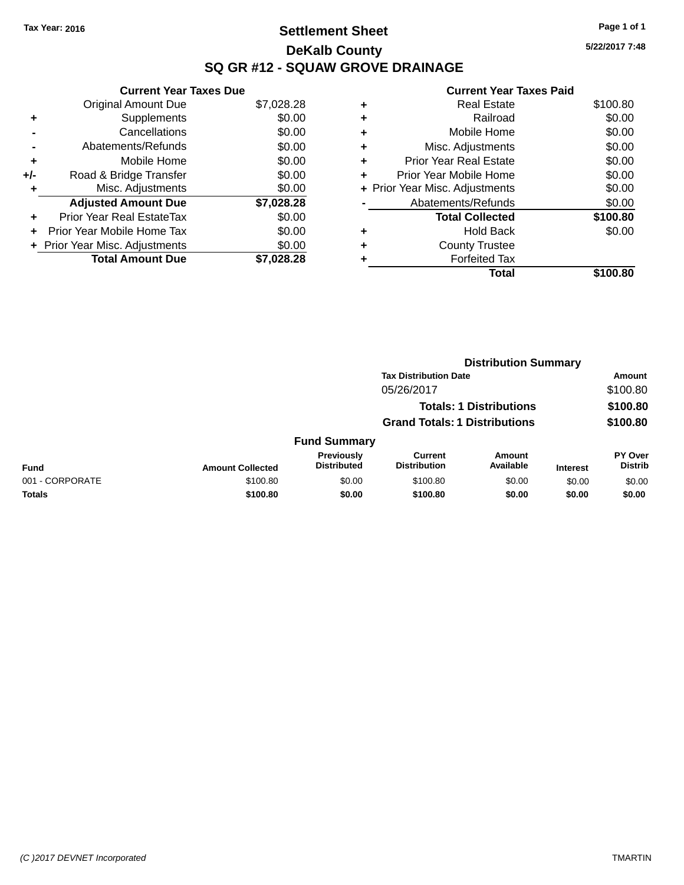# **Settlement Sheet Tax Year: 2016 Page 1 of 1 DeKalb County SQ GR #12 - SQUAW GROVE DRAINAGE**

**5/22/2017 7:48**

|     | <b>Current Year Taxes Due</b> |            |
|-----|-------------------------------|------------|
|     | <b>Original Amount Due</b>    | \$7,028.28 |
| ٠   | Supplements                   | \$0.00     |
|     | Cancellations                 | \$0.00     |
|     | Abatements/Refunds            | \$0.00     |
| ٠   | Mobile Home                   | \$0.00     |
| +/- | Road & Bridge Transfer        | \$0.00     |
|     | Misc. Adjustments             | \$0.00     |
|     | <b>Adjusted Amount Due</b>    | \$7,028.28 |
| ÷   | Prior Year Real EstateTax     | \$0.00     |
|     | Prior Year Mobile Home Tax    | \$0.00     |
|     | Prior Year Misc. Adjustments  | \$0.00     |
|     | <b>Total Amount Due</b>       | \$7.028.28 |

| ٠ | <b>Real Estate</b>             | \$100.80 |
|---|--------------------------------|----------|
| ٠ | Railroad                       | \$0.00   |
| ٠ | Mobile Home                    | \$0.00   |
| ٠ | Misc. Adjustments              | \$0.00   |
| ٠ | <b>Prior Year Real Estate</b>  | \$0.00   |
| ÷ | Prior Year Mobile Home         | \$0.00   |
|   | + Prior Year Misc. Adjustments | \$0.00   |
|   | Abatements/Refunds             | \$0.00   |
|   | <b>Total Collected</b>         | \$100.80 |
| ٠ | <b>Hold Back</b>               | \$0.00   |
| ٠ | <b>County Trustee</b>          |          |
| ٠ | <b>Forfeited Tax</b>           |          |
|   | Total                          | \$100.80 |
|   |                                |          |

|                 |                         | <b>Distribution Summary</b>             |                                       |                                |                 |                           |
|-----------------|-------------------------|-----------------------------------------|---------------------------------------|--------------------------------|-----------------|---------------------------|
|                 |                         |                                         | <b>Tax Distribution Date</b>          |                                |                 | <b>Amount</b>             |
|                 |                         |                                         | 05/26/2017                            |                                |                 | \$100.80                  |
|                 |                         |                                         |                                       | <b>Totals: 1 Distributions</b> |                 | \$100.80                  |
|                 |                         |                                         | <b>Grand Totals: 1 Distributions</b>  |                                |                 | \$100.80                  |
|                 |                         | <b>Fund Summary</b>                     |                                       |                                |                 |                           |
| <b>Fund</b>     | <b>Amount Collected</b> | <b>Previously</b><br><b>Distributed</b> | <b>Current</b><br><b>Distribution</b> | Amount<br>Available            | <b>Interest</b> | PY Over<br><b>Distrib</b> |
| 001 - CORPORATE | \$100.80                | \$0.00                                  | \$100.80                              | \$0.00                         | \$0.00          | \$0.00                    |
| <b>Totals</b>   | \$100.80                | \$0.00                                  | \$100.80                              | \$0.00                         | \$0.00          | \$0.00                    |
|                 |                         |                                         |                                       |                                |                 |                           |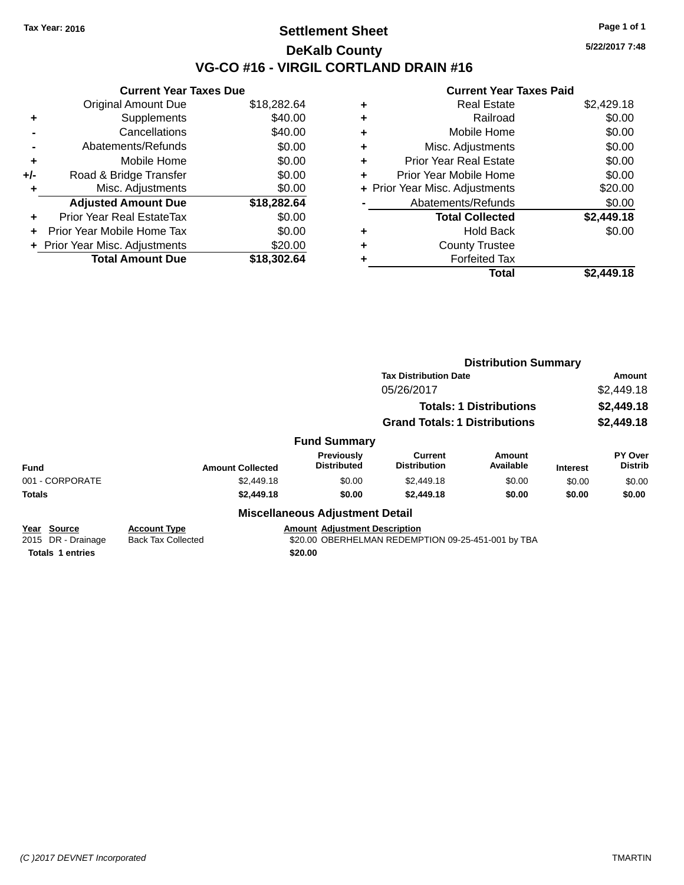## **Settlement Sheet Tax Year: 2016 Page 1 of 1 DeKalb County VG-CO #16 - VIRGIL CORTLAND DRAIN #16**

**Current Year Taxes Due** Original Amount Due \$18,282.64 **+** Supplements \$40.00 **-** Cancellations \$40.00 **-** Abatements/Refunds \$0.00 **+** Mobile Home \$0.00 **+/-** Road & Bridge Transfer \$0.00 **+** Misc. Adjustments \$0.00 **Adjusted Amount Due \$18,282.64 +** Prior Year Real EstateTax \$0.00 **+** Prior Year Mobile Home Tax \$0.00 **+** Prior Year Misc. Adjustments \$20.00 **Total Amount Due \$18,302.64**

#### **Current Year Taxes Paid +** Real Estate \$2,429.18 **+** Railroad \$0.00 **+** Mobile Home \$0.00 **+** Misc. Adjustments \$0.00 **+** Prior Year Real Estate \$0.00 **+** Prior Year Mobile Home \$0.00 **+** Prior Year Misc. Adjustments \$20.00 Abatements/Refunds \$0.00 **Total Collected \$2,449.18 +** Hold Back \$0.00 **+** County Trustee **+** Forfeited Tax **Total \$2,449.18**

|                                   |                                                  |                                                                                            | <b>Distribution Summary</b>           |                                |                 |                                  |  |
|-----------------------------------|--------------------------------------------------|--------------------------------------------------------------------------------------------|---------------------------------------|--------------------------------|-----------------|----------------------------------|--|
|                                   |                                                  |                                                                                            | <b>Tax Distribution Date</b>          |                                |                 | Amount                           |  |
|                                   |                                                  |                                                                                            | 05/26/2017                            |                                |                 | \$2,449.18                       |  |
|                                   |                                                  |                                                                                            |                                       | <b>Totals: 1 Distributions</b> |                 | \$2,449.18                       |  |
|                                   |                                                  |                                                                                            | <b>Grand Totals: 1 Distributions</b>  |                                |                 | \$2,449.18                       |  |
|                                   |                                                  | <b>Fund Summary</b>                                                                        |                                       |                                |                 |                                  |  |
| <b>Fund</b>                       | <b>Amount Collected</b>                          | Previously<br><b>Distributed</b>                                                           | <b>Current</b><br><b>Distribution</b> | Amount<br>Available            | <b>Interest</b> | <b>PY Over</b><br><b>Distrib</b> |  |
| 001 - CORPORATE                   | \$2,449.18                                       | \$0.00                                                                                     | \$2,449.18                            | \$0.00                         | \$0.00          | \$0.00                           |  |
| <b>Totals</b>                     | \$2,449.18                                       | \$0.00                                                                                     | \$2,449.18                            | \$0.00                         | \$0.00          | \$0.00                           |  |
|                                   |                                                  | <b>Miscellaneous Adjustment Detail</b>                                                     |                                       |                                |                 |                                  |  |
| Year Source<br>2015 DR - Drainage | <b>Account Type</b><br><b>Back Tax Collected</b> | <b>Amount Adjustment Description</b><br>\$20.00 OBERHELMAN REDEMPTION 09-25-451-001 by TBA |                                       |                                |                 |                                  |  |

**Totals 1 entries \$20.00**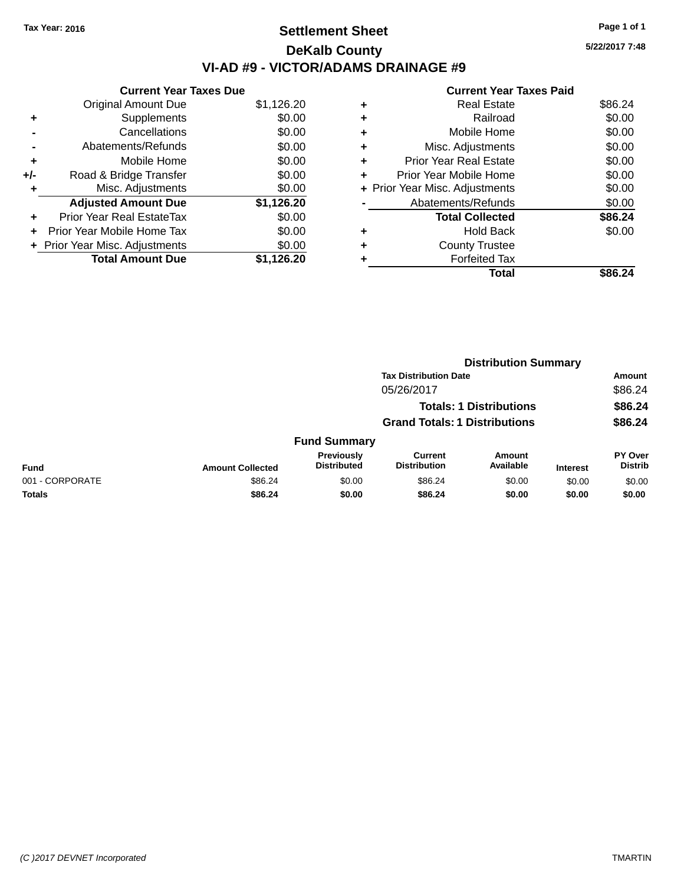# **Settlement Sheet Tax Year: 2016 Page 1 of 1 DeKalb County VI-AD #9 - VICTOR/ADAMS DRAINAGE #9**

**Current Year Taxes Due** Original Amount Due \$1,126.20 **+** Supplements \$0.00 **-** Cancellations \$0.00 **-** Abatements/Refunds \$0.00 **+** Mobile Home \$0.00 **+/-** Road & Bridge Transfer \$0.00 **+** Misc. Adjustments \$0.00 **Adjusted Amount Due \$1,126.20 +** Prior Year Real EstateTax \$0.00 **+** Prior Year Mobile Home Tax \$0.00 **+ Prior Year Misc. Adjustments**  $$0.00$ **Total Amount Due \$1,126.20**

| ٠ | <b>Real Estate</b>             | \$86.24 |
|---|--------------------------------|---------|
| ٠ | Railroad                       | \$0.00  |
| ٠ | Mobile Home                    | \$0.00  |
| ٠ | Misc. Adjustments              | \$0.00  |
| ٠ | <b>Prior Year Real Estate</b>  | \$0.00  |
| ٠ | Prior Year Mobile Home         | \$0.00  |
|   | + Prior Year Misc. Adjustments | \$0.00  |
|   | Abatements/Refunds             | \$0.00  |
|   | <b>Total Collected</b>         | \$86.24 |
| ٠ | <b>Hold Back</b>               | \$0.00  |
| ٠ | <b>County Trustee</b>          |         |
|   | <b>Forfeited Tax</b>           |         |
|   | Total                          | \$86.24 |
|   |                                |         |

|                 |                         | <b>Distribution Summary</b>          |                                |                                |                 |                           |  |
|-----------------|-------------------------|--------------------------------------|--------------------------------|--------------------------------|-----------------|---------------------------|--|
|                 |                         |                                      | <b>Tax Distribution Date</b>   |                                |                 | <b>Amount</b>             |  |
|                 |                         |                                      | 05/26/2017                     |                                |                 | \$86.24                   |  |
|                 |                         |                                      |                                | <b>Totals: 1 Distributions</b> |                 | \$86.24                   |  |
|                 |                         | <b>Grand Totals: 1 Distributions</b> |                                |                                | \$86.24         |                           |  |
|                 |                         | <b>Fund Summary</b>                  |                                |                                |                 |                           |  |
| <b>Fund</b>     | <b>Amount Collected</b> | Previously<br><b>Distributed</b>     | Current<br><b>Distribution</b> | Amount<br>Available            | <b>Interest</b> | PY Over<br><b>Distrib</b> |  |
| 001 - CORPORATE | \$86.24                 | \$0.00                               | \$86.24                        | \$0.00                         | \$0.00          | \$0.00                    |  |
| <b>Totals</b>   | \$86.24                 | \$0.00                               | \$86.24                        | \$0.00                         | \$0.00          | \$0.00                    |  |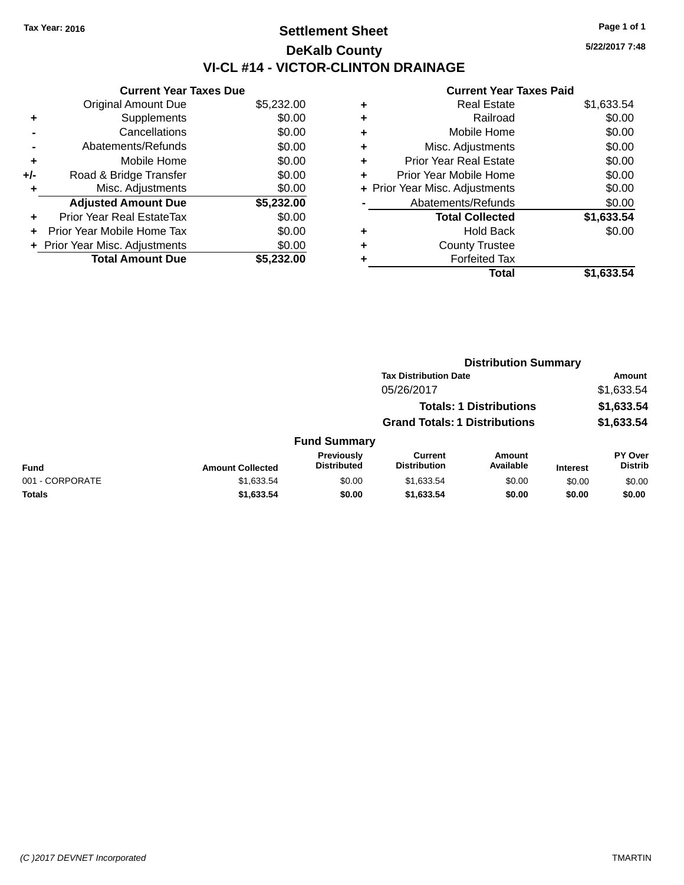# **Settlement Sheet Tax Year: 2016 Page 1 of 1 DeKalb County VI-CL #14 - VICTOR-CLINTON DRAINAGE**

**5/22/2017 7:48**

|     | <b>Current Year Taxes Due</b>  |            |
|-----|--------------------------------|------------|
|     | <b>Original Amount Due</b>     | \$5,232.00 |
| ٠   | Supplements                    | \$0.00     |
|     | Cancellations                  | \$0.00     |
|     | Abatements/Refunds             | \$0.00     |
| ٠   | Mobile Home                    | \$0.00     |
| +/- | Road & Bridge Transfer         | \$0.00     |
|     | Misc. Adjustments              | \$0.00     |
|     | <b>Adjusted Amount Due</b>     | \$5,232.00 |
| ÷   | Prior Year Real EstateTax      | \$0.00     |
|     | Prior Year Mobile Home Tax     | \$0.00     |
|     | + Prior Year Misc. Adjustments | \$0.00     |
|     | <b>Total Amount Due</b>        | \$5.232.00 |

| ٠ | <b>Real Estate</b>             | \$1,633.54 |
|---|--------------------------------|------------|
| ٠ | Railroad                       | \$0.00     |
| ٠ | Mobile Home                    | \$0.00     |
| ٠ | Misc. Adjustments              | \$0.00     |
| ٠ | <b>Prior Year Real Estate</b>  | \$0.00     |
|   | Prior Year Mobile Home         | \$0.00     |
|   | + Prior Year Misc. Adjustments | \$0.00     |
|   | Abatements/Refunds             | \$0.00     |
|   | <b>Total Collected</b>         | \$1,633.54 |
| ٠ | <b>Hold Back</b>               | \$0.00     |
|   | <b>County Trustee</b>          |            |
| ٠ | <b>Forfeited Tax</b>           |            |
|   | Total                          | \$1,633.54 |
|   |                                |            |

|                 |                         |                                  | <b>Distribution Summary</b><br><b>Tax Distribution Date</b> |                                |                 |                                  |
|-----------------|-------------------------|----------------------------------|-------------------------------------------------------------|--------------------------------|-----------------|----------------------------------|
|                 |                         |                                  |                                                             |                                |                 | Amount                           |
|                 |                         |                                  | 05/26/2017                                                  |                                |                 | \$1,633.54                       |
|                 |                         |                                  |                                                             | <b>Totals: 1 Distributions</b> |                 | \$1,633.54                       |
|                 |                         |                                  | <b>Grand Totals: 1 Distributions</b>                        |                                |                 | \$1,633.54                       |
|                 |                         | <b>Fund Summary</b>              |                                                             |                                |                 |                                  |
| <b>Fund</b>     | <b>Amount Collected</b> | Previously<br><b>Distributed</b> | <b>Current</b><br><b>Distribution</b>                       | Amount<br>Available            | <b>Interest</b> | <b>PY Over</b><br><b>Distrib</b> |
| 001 - CORPORATE | \$1,633.54              | \$0.00                           | \$1,633.54                                                  | \$0.00                         | \$0.00          | \$0.00                           |
| <b>Totals</b>   | \$1,633.54              | \$0.00                           | \$1,633.54                                                  | \$0.00                         | \$0.00          | \$0.00                           |
|                 |                         |                                  |                                                             |                                |                 |                                  |